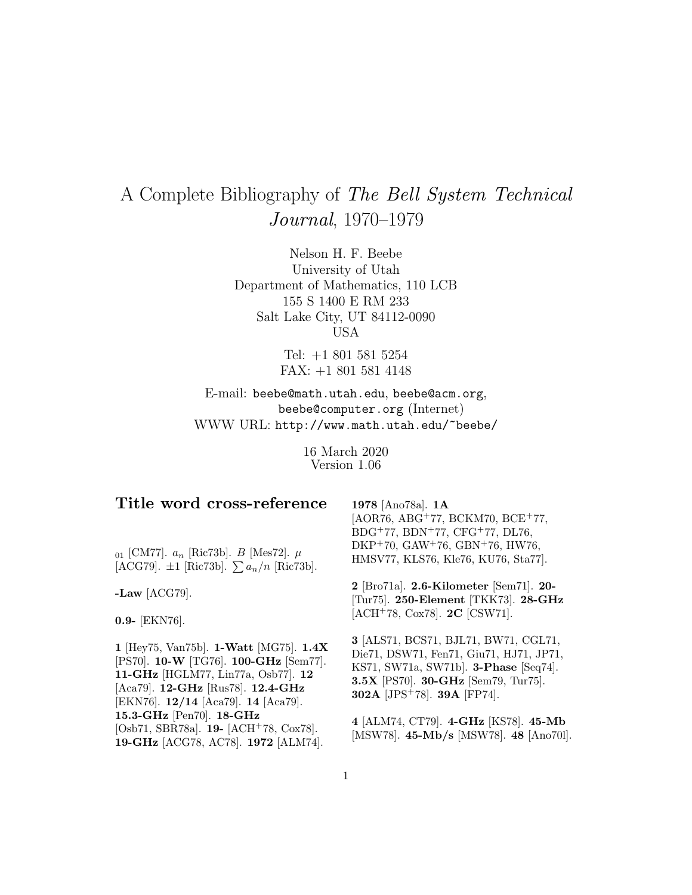# A Complete Bibliography of The Bell System Technical Journal, 1970–1979

Nelson H. F. Beebe University of Utah Department of Mathematics, 110 LCB 155 S 1400 E RM 233 Salt Lake City, UT 84112-0090 USA

> Tel: +1 801 581 5254 FAX: +1 801 581 4148

E-mail: beebe@math.utah.edu, beebe@acm.org, beebe@computer.org (Internet) WWW URL: http://www.math.utah.edu/~beebe/

> 16 March 2020 Version 1.06

| Title word cross-reference<br>$_{01}$ [CM77]. $a_n$ [Ric73b]. <i>B</i> [Mes72]. $\mu$<br>[ACG79]. $\pm 1$ [Ric73b]. $\sum a_n/n$ [Ric73b]. | 1978 [Ano78a]. 1A<br>$[AOR76, ABG+77, BCKM70, BCE+77,$<br>$BDG+77, BDN+77, CFG+77, DL76,$<br>$DKP+70$ , $GAW+76$ , $GBN+76$ , HW76,<br>HMSV77, KLS76, Kle76, KU76, Sta77. |
|--------------------------------------------------------------------------------------------------------------------------------------------|---------------------------------------------------------------------------------------------------------------------------------------------------------------------------|
| -Law $[ACG79]$ .<br>$0.9 - [EKN76].$                                                                                                       | 2 [Bro71a]. 2.6-Kilometer [Sem71]. 20-<br>[Tur75]. 250-Element [TKK73]. 28-GHz<br>[ACH+78, Cox78]. $2C$ [CSW71].                                                          |

**1** [Hey75, Van75b]. **1-Watt** [MG75]. **1.4X** [PS70]. **10-W** [TG76]. **100-GHz** [Sem77]. **11-GHz** [HGLM77, Lin77a, Osb77]. **12** [Aca79]. **12-GHz** [Rus78]. **12.4-GHz** [EKN76]. **12/14** [Aca79]. **14** [Aca79]. **15.3-GHz** [Pen70]. **18-GHz** [Osb71, SBR78a]. **19-** [ACH<sup>+</sup>78, Cox78]. **19-GHz** [ACG78, AC78]. **1972** [ALM74].

**3** [ALS71, BCS71, BJL71, BW71, CGL71, Die71, DSW71, Fen71, Giu71, HJ71, JP71, KS71, SW71a, SW71b]. **3-Phase** [Seq74]. **3.5X** [PS70]. **30-GHz** [Sem79, Tur75]. **302A** [JPS<sup>+</sup>78]. **39A** [FP74].

**4** [ALM74, CT79]. **4-GHz** [KS78]. **45-Mb** [MSW78]. **45-Mb/s** [MSW78]. **48** [Ano70l].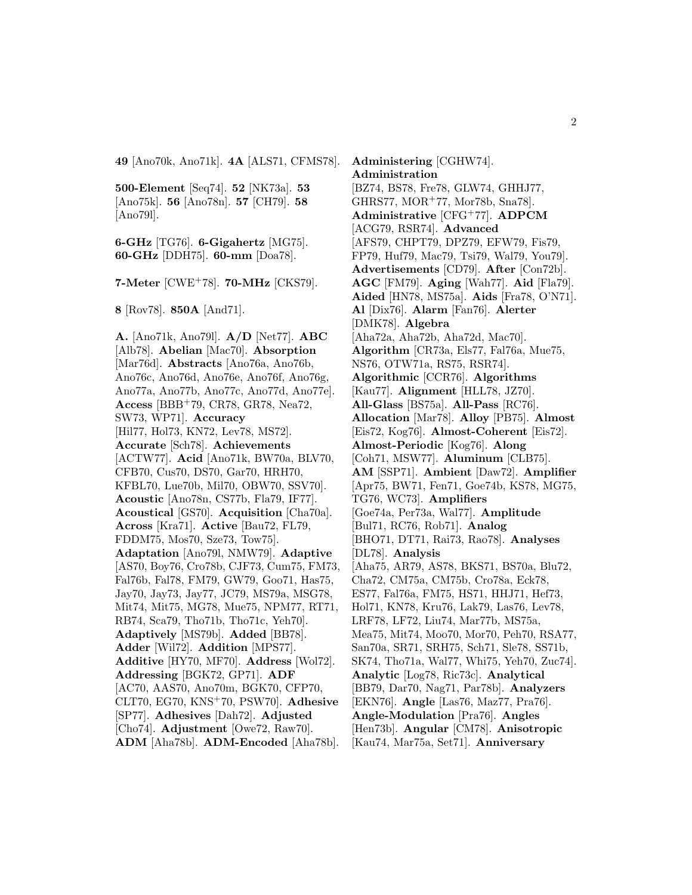**49** [Ano70k, Ano71k]. **4A** [ALS71, CFMS78].

**500-Element** [Seq74]. **52** [NK73a]. **53** [Ano75k]. **56** [Ano78n]. **57** [CH79]. **58** [Ano79l].

**6-GHz** [TG76]. **6-Gigahertz** [MG75]. **60-GHz** [DDH75]. **60-mm** [Doa78].

**7-Meter** [CWE<sup>+</sup>78]. **70-MHz** [CKS79].

**8** [Rov78]. **850A** [And71].

**A.** [Ano71k, Ano79l]. **A/D** [Net77]. **ABC** [Alb78]. **Abelian** [Mac70]. **Absorption** [Mar76d]. **Abstracts** [Ano76a, Ano76b, Ano76c, Ano76d, Ano76e, Ano76f, Ano76g, Ano77a, Ano77b, Ano77c, Ano77d, Ano77e]. **Access** [BBB<sup>+</sup>79, CR78, GR78, Nea72, SW73, WP71]. **Accuracy** [Hil77, Hol73, KN72, Lev78, MS72]. **Accurate** [Sch78]. **Achievements** [ACTW77]. **Acid** [Ano71k, BW70a, BLV70, CFB70, Cus70, DS70, Gar70, HRH70, KFBL70, Lue70b, Mil70, OBW70, SSV70]. **Acoustic** [Ano78n, CS77b, Fla79, IF77]. **Acoustical** [GS70]. **Acquisition** [Cha70a]. **Across** [Kra71]. **Active** [Bau72, FL79, FDDM75, Mos70, Sze73, Tow75]. **Adaptation** [Ano79l, NMW79]. **Adaptive** [AS70, Boy76, Cro78b, CJF73, Cum75, FM73, Fal76b, Fal78, FM79, GW79, Goo71, Has75, Jay70, Jay73, Jay77, JC79, MS79a, MSG78, Mit74, Mit75, MG78, Mue75, NPM77, RT71, RB74, Sca79, Tho71b, Tho71c, Yeh70]. **Adaptively** [MS79b]. **Added** [BB78]. **Adder** [Wil72]. **Addition** [MPS77]. **Additive** [HY70, MF70]. **Address** [Wol72]. **Addressing** [BGK72, GP71]. **ADF** [AC70, AAS70, Ano70m, BGK70, CFP70, CLT70, EG70, KNS<sup>+</sup>70, PSW70]. **Adhesive** [SP77]. **Adhesives** [Dah72]. **Adjusted** [Cho74]. **Adjustment** [Owe72, Raw70]. **ADM** [Aha78b]. **ADM-Encoded** [Aha78b].

**Administering** [CGHW74]. **Administration** [BZ74, BS78, Fre78, GLW74, GHHJ77, GHRS77, MOR<sup>+</sup>77, Mor78b, Sna78]. **Administrative** [CFG<sup>+</sup>77]. **ADPCM** [ACG79, RSR74]. **Advanced** [AFS79, CHPT79, DPZ79, EFW79, Fis79, FP79, Huf79, Mac79, Tsi79, Wal79, You79]. **Advertisements** [CD79]. **After** [Con72b]. **AGC** [FM79]. **Aging** [Wah77]. **Aid** [Fla79]. **Aided** [HN78, MS75a]. **Aids** [Fra78, O'N71]. **Al** [Dix76]. **Alarm** [Fan76]. **Alerter** [DMK78]. **Algebra** [Aha72a, Aha72b, Aha72d, Mac70]. **Algorithm** [CR73a, Els77, Fal76a, Mue75, NS76, OTW71a, RS75, RSR74]. **Algorithmic** [CCR76]. **Algorithms** [Kau77]. **Alignment** [HLL78, JZ70]. **All-Glass** [BS75a]. **All-Pass** [RC76]. **Allocation** [Mar78]. **Alloy** [PB75]. **Almost** [Eis72, Kog76]. **Almost-Coherent** [Eis72]. **Almost-Periodic** [Kog76]. **Along** [Coh71, MSW77]. **Aluminum** [CLB75]. **AM** [SSP71]. **Ambient** [Daw72]. **Amplifier** [Apr75, BW71, Fen71, Goe74b, KS78, MG75, TG76, WC73]. **Amplifiers** [Goe74a, Per73a, Wal77]. **Amplitude** [Bul71, RC76, Rob71]. **Analog** [BHO71, DT71, Rai73, Rao78]. **Analyses** [DL78]. **Analysis** [Aha75, AR79, AS78, BKS71, BS70a, Blu72, Cha72, CM75a, CM75b, Cro78a, Eck78, ES77, Fal76a, FM75, HS71, HHJ71, Hef73, Hol71, KN78, Kru76, Lak79, Las76, Lev78, LRF78, LF72, Liu74, Mar77b, MS75a, Mea75, Mit74, Moo70, Mor70, Peh70, RSA77, San70a, SR71, SRH75, Sch71, Sle78, SS71b, SK74, Tho71a, Wal77, Whi75, Yeh70, Zuc74]. **Analytic** [Log78, Ric73c]. **Analytical** [BB79, Dar70, Nag71, Par78b]. **Analyzers** [EKN76]. **Angle** [Las76, Maz77, Pra76]. **Angle-Modulation** [Pra76]. **Angles** [Hen73b]. **Angular** [CM78]. **Anisotropic** [Kau74, Mar75a, Set71]. **Anniversary**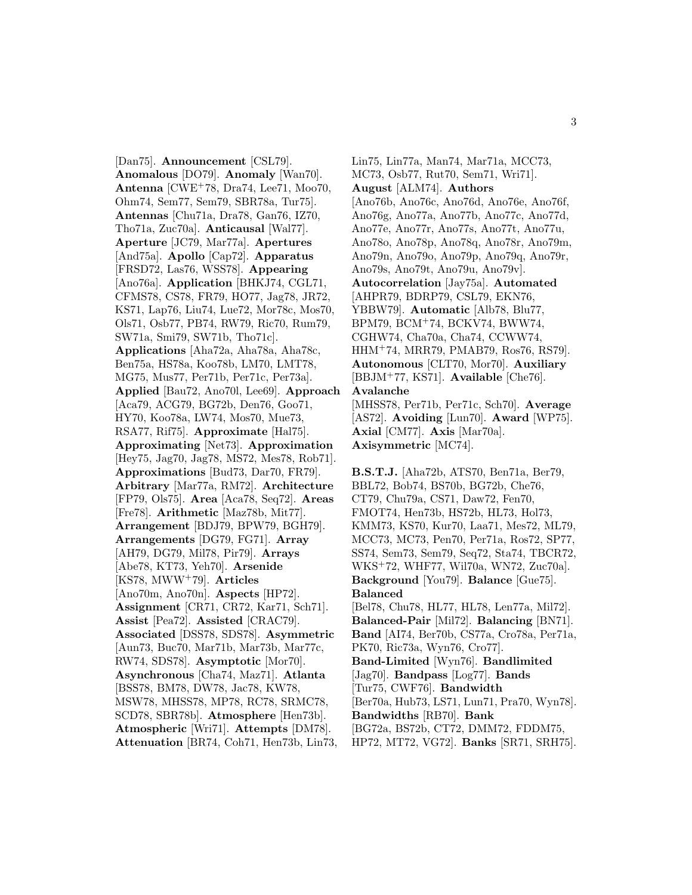[Dan75]. **Announcement** [CSL79]. **Anomalous** [DO79]. **Anomaly** [Wan70]. **Antenna** [CWE<sup>+</sup>78, Dra74, Lee71, Moo70, Ohm74, Sem77, Sem79, SBR78a, Tur75]. **Antennas** [Chu71a, Dra78, Gan76, IZ70, Tho71a, Zuc70a]. **Anticausal** [Wal77]. **Aperture** [JC79, Mar77a]. **Apertures** [And75a]. **Apollo** [Cap72]. **Apparatus** [FRSD72, Las76, WSS78]. **Appearing** [Ano76a]. **Application** [BHKJ74, CGL71, CFMS78, CS78, FR79, HO77, Jag78, JR72, KS71, Lap76, Liu74, Lue72, Mor78c, Mos70, Ols71, Osb77, PB74, RW79, Ric70, Rum79, SW71a, Smi79, SW71b, Tho71c]. **Applications** [Aha72a, Aha78a, Aha78c, Ben75a, HS78a, Koo78b, LM70, LMT78, MG75, Mus77, Per71b, Per71c, Per73a]. **Applied** [Bau72, Ano70l, Lee69]. **Approach** [Aca79, ACG79, BG72b, Den76, Goo71, HY70, Koo78a, LW74, Mos70, Mue73, RSA77, Rif75]. **Approximate** [Hal75]. **Approximating** [Net73]. **Approximation** [Hey75, Jag70, Jag78, MS72, Mes78, Rob71]. **Approximations** [Bud73, Dar70, FR79]. **Arbitrary** [Mar77a, RM72]. **Architecture** [FP79, Ols75]. **Area** [Aca78, Seq72]. **Areas** [Fre78]. **Arithmetic** [Maz78b, Mit77]. **Arrangement** [BDJ79, BPW79, BGH79]. **Arrangements** [DG79, FG71]. **Array** [AH79, DG79, Mil78, Pir79]. **Arrays** [Abe78, KT73, Yeh70]. **Arsenide** [KS78, MWW<sup>+</sup>79]. **Articles** [Ano70m, Ano70n]. **Aspects** [HP72]. **Assignment** [CR71, CR72, Kar71, Sch71]. **Assist** [Pea72]. **Assisted** [CRAC79]. **Associated** [DSS78, SDS78]. **Asymmetric** [Aun73, Buc70, Mar71b, Mar73b, Mar77c, RW74, SDS78]. **Asymptotic** [Mor70]. **Asynchronous** [Cha74, Maz71]. **Atlanta** [BSS78, BM78, DW78, Jac78, KW78, MSW78, MHSS78, MP78, RC78, SRMC78, SCD78, SBR78b]. **Atmosphere** [Hen73b]. **Atmospheric** [Wri71]. **Attempts** [DM78]. **Attenuation** [BR74, Coh71, Hen73b, Lin73,

Lin75, Lin77a, Man74, Mar71a, MCC73, MC73, Osb77, Rut70, Sem71, Wri71]. **August** [ALM74]. **Authors** [Ano76b, Ano76c, Ano76d, Ano76e, Ano76f, Ano76g, Ano77a, Ano77b, Ano77c, Ano77d, Ano77e, Ano77r, Ano77s, Ano77t, Ano77u, Ano78o, Ano78p, Ano78q, Ano78r, Ano79m, Ano79n, Ano79o, Ano79p, Ano79q, Ano79r, Ano79s, Ano79t, Ano79u, Ano79v]. **Autocorrelation** [Jay75a]. **Automated** [AHPR79, BDRP79, CSL79, EKN76, YBBW79]. **Automatic** [Alb78, Blu77, BPM79, BCM<sup>+</sup>74, BCKV74, BWW74, CGHW74, Cha70a, Cha74, CCWW74, HHM<sup>+</sup>74, MRR79, PMAB79, Ros76, RS79]. **Autonomous** [CLT70, Mor70]. **Auxiliary** [BBJM<sup>+</sup>77, KS71]. **Available** [Che76]. **Avalanche** [MHSS78, Per71b, Per71c, Sch70]. **Average** [AS72]. **Avoiding** [Lun70]. **Award** [WP75]. **Axial** [CM77]. **Axis** [Mar70a].

**Axisymmetric** [MC74].

**B.S.T.J.** [Aha72b, ATS70, Ben71a, Ber79, BBL72, Bob74, BS70b, BG72b, Che76, CT79, Chu79a, CS71, Daw72, Fen70, FMOT74, Hen73b, HS72b, HL73, Hol73, KMM73, KS70, Kur70, Laa71, Mes72, ML79, MCC73, MC73, Pen70, Per71a, Ros72, SP77, SS74, Sem73, Sem79, Seq72, Sta74, TBCR72, WKS<sup>+</sup>72, WHF77, Wil70a, WN72, Zuc70a]. **Background** [You79]. **Balance** [Gue75]. **Balanced** [Bel78, Chu78, HL77, HL78, Len77a, Mil72]. **Balanced-Pair** [Mil72]. **Balancing** [BN71]. **Band** [AI74, Ber70b, CS77a, Cro78a, Per71a, PK70, Ric73a, Wyn76, Cro77]. **Band-Limited** [Wyn76]. **Bandlimited** [Jag70]. **Bandpass** [Log77]. **Bands** [Tur75, CWF76]. **Bandwidth** [Ber70a, Hub73, LS71, Lun71, Pra70, Wyn78].

**Bandwidths** [RB70]. **Bank** [BG72a, BS72b, CT72, DMM72, FDDM75,

HP72, MT72, VG72]. **Banks** [SR71, SRH75].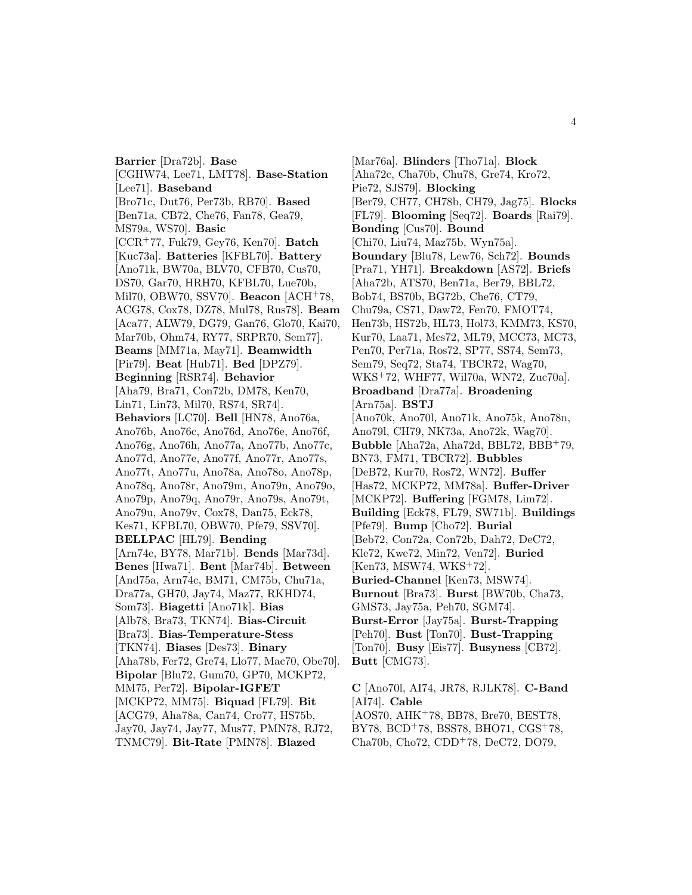**Barrier** [Dra72b]. **Base** [CGHW74, Lee71, LMT78]. **Base-Station** [Lee71]. **Baseband** [Bro71c, Dut76, Per73b, RB70]. **Based** [Ben71a, CB72, Che76, Fan78, Gea79, MS79a, WS70]. **Basic** [CCR<sup>+</sup>77, Fuk79, Gey76, Ken70]. **Batch** [Kuc73a]. **Batteries** [KFBL70]. **Battery** [Ano71k, BW70a, BLV70, CFB70, Cus70, DS70, Gar70, HRH70, KFBL70, Lue70b, Mil70, OBW70, SSV70]. **Beacon** [ACH<sup>+</sup>78, ACG78, Cox78, DZ78, Mul78, Rus78]. **Beam** [Aca77, ALW79, DG79, Gan76, Glo70, Kai70, Mar70b, Ohm74, RY77, SRPR70, Sem77]. **Beams** [MM71a, May71]. **Beamwidth** [Pir79]. **Beat** [Hub71]. **Bed** [DPZ79]. **Beginning** [RSR74]. **Behavior** [Aha79, Bra71, Con72b, DM78, Ken70, Lin71, Lin73, Mil70, RS74, SR74]. **Behaviors** [LC70]. **Bell** [HN78, Ano76a, Ano76b, Ano76c, Ano76d, Ano76e, Ano76f, Ano76g, Ano76h, Ano77a, Ano77b, Ano77c, Ano77d, Ano77e, Ano77f, Ano77r, Ano77s, Ano77t, Ano77u, Ano78a, Ano78o, Ano78p, Ano78q, Ano78r, Ano79m, Ano79n, Ano79o, Ano79p, Ano79q, Ano79r, Ano79s, Ano79t, Ano79u, Ano79v, Cox78, Dan75, Eck78, Kes71, KFBL70, OBW70, Pfe79, SSV70]. **BELLPAC** [HL79]. **Bending** [Arn74e, BY78, Mar71b]. **Bends** [Mar73d]. **Benes** [Hwa71]. **Bent** [Mar74b]. **Between** [And75a, Arn74c, BM71, CM75b, Chu71a, Dra77a, GH70, Jay74, Maz77, RKHD74, Som73]. **Biagetti** [Ano71k]. **Bias** [Alb78, Bra73, TKN74]. **Bias-Circuit** [Bra73]. **Bias-Temperature-Stess** [TKN74]. **Biases** [Des73]. **Binary** [Aha78b, Fer72, Gre74, Llo77, Mac70, Obe70]. **Bipolar** [Blu72, Gum70, GP70, MCKP72, MM75, Per72]. **Bipolar-IGFET** [MCKP72, MM75]. **Biquad** [FL79]. **Bit** [ACG79, Aha78a, Can74, Cro77, HS75b, Jay70, Jay74, Jay77, Mus77, PMN78, RJ72, TNMC79]. **Bit-Rate** [PMN78]. **Blazed**

[Mar76a]. **Blinders** [Tho71a]. **Block** [Aha72c, Cha70b, Chu78, Gre74, Kro72, Pie72, SJS79]. **Blocking** [Ber79, CH77, CH78b, CH79, Jag75]. **Blocks** [FL79]. **Blooming** [Seq72]. **Boards** [Rai79]. **Bonding** [Cus70]. **Bound** [Chi70, Liu74, Maz75b, Wyn75a]. **Boundary** [Blu78, Lew76, Sch72]. **Bounds** [Pra71, YH71]. **Breakdown** [AS72]. **Briefs** [Aha72b, ATS70, Ben71a, Ber79, BBL72, Bob74, BS70b, BG72b, Che76, CT79, Chu79a, CS71, Daw72, Fen70, FMOT74, Hen73b, HS72b, HL73, Hol73, KMM73, KS70, Kur70, Laa71, Mes72, ML79, MCC73, MC73, Pen70, Per71a, Ros72, SP77, SS74, Sem73, Sem79, Seq72, Sta74, TBCR72, Wag70, WKS<sup>+</sup>72, WHF77, Wil70a, WN72, Zuc70a]. **Broadband** [Dra77a]. **Broadening** [Arn75a]. **BSTJ** [Ano70k, Ano70l, Ano71k, Ano75k, Ano78n, Ano79l, CH79, NK73a, Ano72k, Wag70]. **Bubble** [Aha72a, Aha72d, BBL72, BBB<sup>+</sup>79, BN73, FM71, TBCR72]. **Bubbles** [DeB72, Kur70, Ros72, WN72]. **Buffer** [Has72, MCKP72, MM78a]. **Buffer-Driver** [MCKP72]. **Buffering** [FGM78, Lim72]. **Building** [Eck78, FL79, SW71b]. **Buildings** [Pfe79]. **Bump** [Cho72]. **Burial** [Beb72, Con72a, Con72b, Dah72, DeC72, Kle72, Kwe72, Min72, Ven72]. **Buried** [Ken73, MSW74, WKS<sup>+</sup>72]. **Buried-Channel** [Ken73, MSW74]. **Burnout** [Bra73]. **Burst** [BW70b, Cha73, GMS73, Jay75a, Peh70, SGM74]. **Burst-Error** [Jay75a]. **Burst-Trapping** [Peh70]. **Bust** [Ton70]. **Bust-Trapping** [Ton70]. **Busy** [Eis77]. **Busyness** [CB72]. **Butt** [CMG73].

**C** [Ano70l, AI74, JR78, RJLK78]. **C-Band** [AI74]. **Cable** [AOS70, AHK<sup>+</sup>78, BB78, Bre70, BEST78, BY78, BCD<sup>+</sup>78, BSS78, BHO71, CGS<sup>+</sup>78, Cha70b, Cho72, CDD<sup>+</sup>78, DeC72, DO79,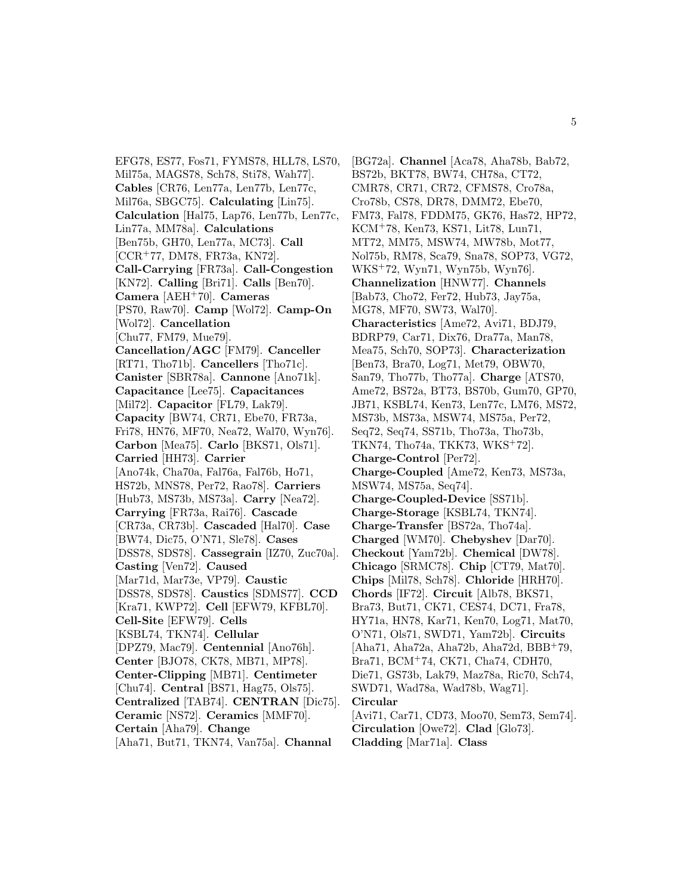EFG78, ES77, Fos71, FYMS78, HLL78, LS70, Mil75a, MAGS78, Sch78, Sti78, Wah77]. **Cables** [CR76, Len77a, Len77b, Len77c, Mil76a, SBGC75]. **Calculating** [Lin75]. **Calculation** [Hal75, Lap76, Len77b, Len77c, Lin77a, MM78a]. **Calculations** [Ben75b, GH70, Len77a, MC73]. **Call** [CCR<sup>+</sup>77, DM78, FR73a, KN72]. **Call-Carrying** [FR73a]. **Call-Congestion** [KN72]. **Calling** [Bri71]. **Calls** [Ben70]. **Camera** [AEH<sup>+</sup>70]. **Cameras** [PS70, Raw70]. **Camp** [Wol72]. **Camp-On** [Wol72]. **Cancellation** [Chu77, FM79, Mue79]. **Cancellation/AGC** [FM79]. **Canceller** [RT71, Tho71b]. **Cancellers** [Tho71c]. **Canister** [SBR78a]. **Cannone** [Ano71k]. **Capacitance** [Lee75]. **Capacitances** [Mil72]. **Capacitor** [FL79, Lak79]. **Capacity** [BW74, CR71, Ebe70, FR73a, Fri78, HN76, MF70, Nea72, Wal70, Wyn76]. **Carbon** [Mea75]. **Carlo** [BKS71, Ols71]. **Carried** [HH73]. **Carrier** [Ano74k, Cha70a, Fal76a, Fal76b, Ho71, HS72b, MNS78, Per72, Rao78]. **Carriers** [Hub73, MS73b, MS73a]. **Carry** [Nea72]. **Carrying** [FR73a, Rai76]. **Cascade** [CR73a, CR73b]. **Cascaded** [Hal70]. **Case** [BW74, Dic75, O'N71, Sle78]. **Cases** [DSS78, SDS78]. **Cassegrain** [IZ70, Zuc70a]. **Casting** [Ven72]. **Caused** [Mar71d, Mar73e, VP79]. **Caustic** [DSS78, SDS78]. **Caustics** [SDMS77]. **CCD** [Kra71, KWP72]. **Cell** [EFW79, KFBL70]. **Cell-Site** [EFW79]. **Cells** [KSBL74, TKN74]. **Cellular** [DPZ79, Mac79]. **Centennial** [Ano76h]. **Center** [BJO78, CK78, MB71, MP78]. **Center-Clipping** [MB71]. **Centimeter** [Chu74]. **Central** [BS71, Hag75, Ols75]. **Centralized** [TAB74]. **CENTRAN** [Dic75]. **Ceramic** [NS72]. **Ceramics** [MMF70]. **Certain** [Aha79]. **Change** [Aha71, But71, TKN74, Van75a]. **Channal**

[BG72a]. **Channel** [Aca78, Aha78b, Bab72, BS72b, BKT78, BW74, CH78a, CT72, CMR78, CR71, CR72, CFMS78, Cro78a, Cro78b, CS78, DR78, DMM72, Ebe70, FM73, Fal78, FDDM75, GK76, Has72, HP72, KCM<sup>+</sup>78, Ken73, KS71, Lit78, Lun71, MT72, MM75, MSW74, MW78b, Mot77, Nol75b, RM78, Sca79, Sna78, SOP73, VG72, WKS<sup>+</sup>72, Wyn71, Wyn75b, Wyn76]. **Channelization** [HNW77]. **Channels** [Bab73, Cho72, Fer72, Hub73, Jay75a, MG78, MF70, SW73, Wal70]. **Characteristics** [Ame72, Avi71, BDJ79, BDRP79, Car71, Dix76, Dra77a, Man78, Mea75, Sch70, SOP73]. **Characterization** [Ben73, Bra70, Log71, Met79, OBW70, San79, Tho77b, Tho77a]. **Charge** [ATS70, Ame72, BS72a, BT73, BS70b, Gum70, GP70, JB71, KSBL74, Ken73, Len77c, LM76, MS72, MS73b, MS73a, MSW74, MS75a, Per72, Seq72, Seq74, SS71b, Tho73a, Tho73b, TKN74, Tho74a, TKK73, WKS<sup>+</sup>72]. **Charge-Control** [Per72]. **Charge-Coupled** [Ame72, Ken73, MS73a, MSW74, MS75a, Seq74]. **Charge-Coupled-Device** [SS71b]. **Charge-Storage** [KSBL74, TKN74]. **Charge-Transfer** [BS72a, Tho74a]. **Charged** [WM70]. **Chebyshev** [Dar70]. **Checkout** [Yam72b]. **Chemical** [DW78]. **Chicago** [SRMC78]. **Chip** [CT79, Mat70]. **Chips** [Mil78, Sch78]. **Chloride** [HRH70]. **Chords** [IF72]. **Circuit** [Alb78, BKS71, Bra73, But71, CK71, CES74, DC71, Fra78, HY71a, HN78, Kar71, Ken70, Log71, Mat70, O'N71, Ols71, SWD71, Yam72b]. **Circuits** [Aha71, Aha72a, Aha72b, Aha72d, BBB<sup>+</sup>79, Bra71, BCM<sup>+</sup>74, CK71, Cha74, CDH70, Die71, GS73b, Lak79, Maz78a, Ric70, Sch74, SWD71, Wad78a, Wad78b, Wag71]. **Circular** [Avi71, Car71, CD73, Moo70, Sem73, Sem74]. **Circulation** [Owe72]. **Clad** [Glo73]. **Cladding** [Mar71a]. **Class**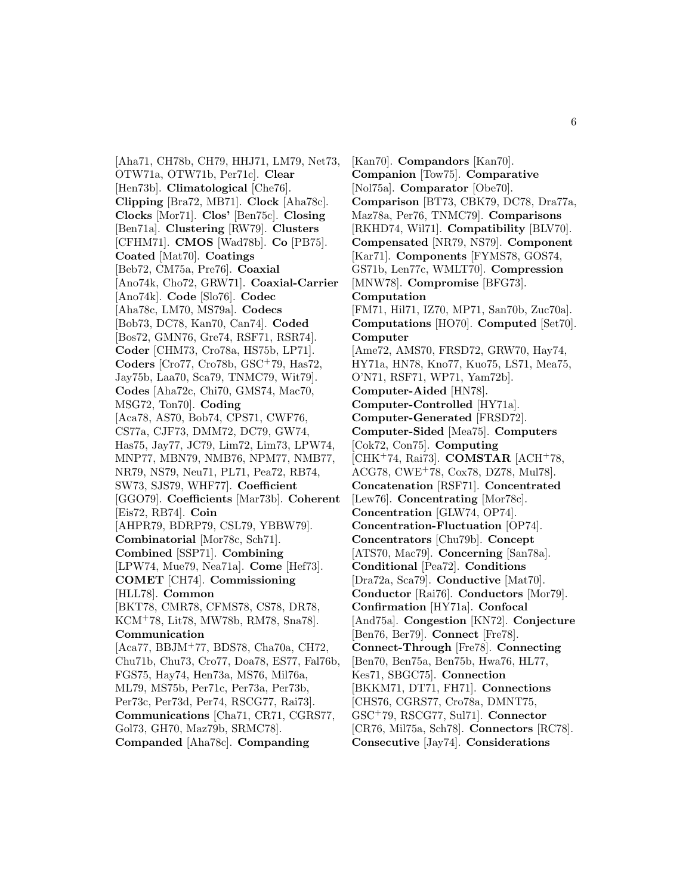[Aha71, CH78b, CH79, HHJ71, LM79, Net73, OTW71a, OTW71b, Per71c]. **Clear** [Hen73b]. **Climatological** [Che76]. **Clipping** [Bra72, MB71]. **Clock** [Aha78c]. **Clocks** [Mor71]. **Clos'** [Ben75c]. **Closing** [Ben71a]. **Clustering** [RW79]. **Clusters** [CFHM71]. **CMOS** [Wad78b]. **Co** [PB75]. **Coated** [Mat70]. **Coatings** [Beb72, CM75a, Pre76]. **Coaxial** [Ano74k, Cho72, GRW71]. **Coaxial-Carrier** [Ano74k]. **Code** [Slo76]. **Codec** [Aha78c, LM70, MS79a]. **Codecs** [Bob73, DC78, Kan70, Can74]. **Coded** [Bos72, GMN76, Gre74, RSF71, RSR74]. **Coder** [CHM73, Cro78a, HS75b, LP71]. **Coders** [Cro77, Cro78b, GSC<sup>+</sup>79, Has72, Jay75b, Laa70, Sca79, TNMC79, Wit79]. **Codes** [Aha72c, Chi70, GMS74, Mac70, MSG72, Ton70]. **Coding** [Aca78, AS70, Bob74, CPS71, CWF76, CS77a, CJF73, DMM72, DC79, GW74, Has75, Jay77, JC79, Lim72, Lim73, LPW74, MNP77, MBN79, NMB76, NPM77, NMB77, NR79, NS79, Neu71, PL71, Pea72, RB74, SW73, SJS79, WHF77]. **Coefficient** [GGO79]. **Coefficients** [Mar73b]. **Coherent** [Eis72, RB74]. **Coin** [AHPR79, BDRP79, CSL79, YBBW79]. **Combinatorial** [Mor78c, Sch71]. **Combined** [SSP71]. **Combining** [LPW74, Mue79, Nea71a]. **Come** [Hef73]. **COMET** [CH74]. **Commissioning** [HLL78]. **Common** [BKT78, CMR78, CFMS78, CS78, DR78, KCM<sup>+</sup>78, Lit78, MW78b, RM78, Sna78]. **Communication** [Aca77, BBJM<sup>+</sup>77, BDS78, Cha70a, CH72, Chu71b, Chu73, Cro77, Doa78, ES77, Fal76b, FGS75, Hay74, Hen73a, MS76, Mil76a, ML79, MS75b, Per71c, Per73a, Per73b, Per73c, Per73d, Per74, RSCG77, Rai73]. **Communications** [Cha71, CR71, CGRS77, Gol73, GH70, Maz79b, SRMC78]. **Companded** [Aha78c]. **Companding**

[Kan70]. **Compandors** [Kan70]. **Companion** [Tow75]. **Comparative** [Nol75a]. **Comparator** [Obe70]. **Comparison** [BT73, CBK79, DC78, Dra77a, Maz78a, Per76, TNMC79]. **Comparisons** [RKHD74, Wil71]. **Compatibility** [BLV70]. **Compensated** [NR79, NS79]. **Component** [Kar71]. **Components** [FYMS78, GOS74, GS71b, Len77c, WMLT70]. **Compression** [MNW78]. **Compromise** [BFG73]. **Computation** [FM71, Hil71, IZ70, MP71, San70b, Zuc70a]. **Computations** [HO70]. **Computed** [Set70]. **Computer** [Ame72, AMS70, FRSD72, GRW70, Hay74, HY71a, HN78, Kno77, Kuo75, LS71, Mea75, O'N71, RSF71, WP71, Yam72b]. **Computer-Aided** [HN78]. **Computer-Controlled** [HY71a]. **Computer-Generated** [FRSD72]. **Computer-Sided** [Mea75]. **Computers** [Cok72, Con75]. **Computing** [CHK<sup>+</sup>74, Rai73]. **COMSTAR** [ACH<sup>+</sup>78, ACG78, CWE<sup>+</sup>78, Cox78, DZ78, Mul78]. **Concatenation** [RSF71]. **Concentrated** [Lew76]. **Concentrating** [Mor78c]. **Concentration** [GLW74, OP74]. **Concentration-Fluctuation** [OP74]. **Concentrators** [Chu79b]. **Concept** [ATS70, Mac79]. **Concerning** [San78a]. **Conditional** [Pea72]. **Conditions** [Dra72a, Sca79]. **Conductive** [Mat70]. **Conductor** [Rai76]. **Conductors** [Mor79]. **Confirmation** [HY71a]. **Confocal** [And75a]. **Congestion** [KN72]. **Conjecture** [Ben76, Ber79]. **Connect** [Fre78]. **Connect-Through** [Fre78]. **Connecting** [Ben70, Ben75a, Ben75b, Hwa76, HL77, Kes71, SBGC75]. **Connection** [BKKM71, DT71, FH71]. **Connections** [CHS76, CGRS77, Cro78a, DMNT75, GSC<sup>+</sup>79, RSCG77, Sul71]. **Connector** [CR76, Mil75a, Sch78]. **Connectors** [RC78]. **Consecutive** [Jay74]. **Considerations**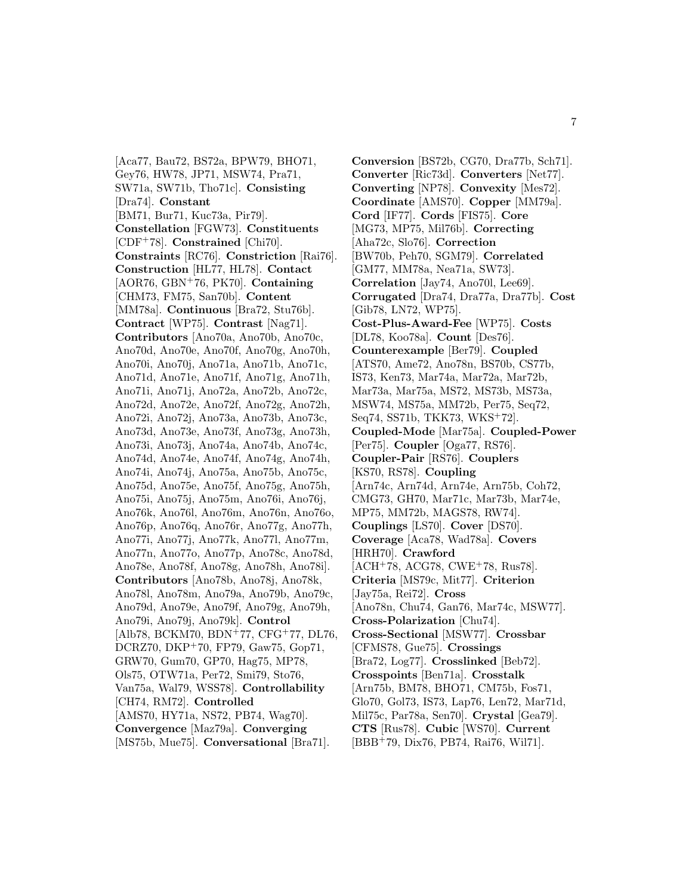[Aca77, Bau72, BS72a, BPW79, BHO71, Gey76, HW78, JP71, MSW74, Pra71, SW71a, SW71b, Tho71c]. **Consisting** [Dra74]. **Constant** [BM71, Bur71, Kuc73a, Pir79]. **Constellation** [FGW73]. **Constituents** [CDF<sup>+</sup>78]. **Constrained** [Chi70]. **Constraints** [RC76]. **Constriction** [Rai76]. **Construction** [HL77, HL78]. **Contact** [AOR76, GBN<sup>+</sup>76, PK70]. **Containing** [CHM73, FM75, San70b]. **Content** [MM78a]. **Continuous** [Bra72, Stu76b]. **Contract** [WP75]. **Contrast** [Nag71]. **Contributors** [Ano70a, Ano70b, Ano70c, Ano70d, Ano70e, Ano70f, Ano70g, Ano70h, Ano70i, Ano70j, Ano71a, Ano71b, Ano71c, Ano71d, Ano71e, Ano71f, Ano71g, Ano71h, Ano71i, Ano71j, Ano72a, Ano72b, Ano72c, Ano72d, Ano72e, Ano72f, Ano72g, Ano72h, Ano72i, Ano72j, Ano73a, Ano73b, Ano73c, Ano73d, Ano73e, Ano73f, Ano73g, Ano73h, Ano73i, Ano73j, Ano74a, Ano74b, Ano74c, Ano74d, Ano74e, Ano74f, Ano74g, Ano74h, Ano74i, Ano74j, Ano75a, Ano75b, Ano75c, Ano75d, Ano75e, Ano75f, Ano75g, Ano75h, Ano75i, Ano75j, Ano75m, Ano76i, Ano76j, Ano76k, Ano76l, Ano76m, Ano76n, Ano76o, Ano76p, Ano76q, Ano76r, Ano77g, Ano77h, Ano77i, Ano77j, Ano77k, Ano77l, Ano77m, Ano77n, Ano77o, Ano77p, Ano78c, Ano78d, Ano78e, Ano78f, Ano78g, Ano78h, Ano78i]. **Contributors** [Ano78b, Ano78j, Ano78k, Ano78l, Ano78m, Ano79a, Ano79b, Ano79c, Ano79d, Ano79e, Ano79f, Ano79g, Ano79h, Ano79i, Ano79j, Ano79k]. **Control** [Alb78, BCKM70, BDN<sup>+</sup>77, CFG<sup>+</sup>77, DL76, DCRZ70, DKP<sup>+</sup>70, FP79, Gaw75, Gop71, GRW70, Gum70, GP70, Hag75, MP78, Ols75, OTW71a, Per72, Smi79, Sto76, Van75a, Wal79, WSS78]. **Controllability** [CH74, RM72]. **Controlled** [AMS70, HY71a, NS72, PB74, Wag70]. **Convergence** [Maz79a]. **Converging** [MS75b, Mue75]. **Conversational** [Bra71].

**Conversion** [BS72b, CG70, Dra77b, Sch71]. **Converter** [Ric73d]. **Converters** [Net77]. **Converting** [NP78]. **Convexity** [Mes72]. **Coordinate** [AMS70]. **Copper** [MM79a]. **Cord** [IF77]. **Cords** [FIS75]. **Core** [MG73, MP75, Mil76b]. **Correcting** [Aha72c, Slo76]. **Correction** [BW70b, Peh70, SGM79]. **Correlated** [GM77, MM78a, Nea71a, SW73]. **Correlation** [Jay74, Ano70l, Lee69]. **Corrugated** [Dra74, Dra77a, Dra77b]. **Cost** [Gib78, LN72, WP75]. **Cost-Plus-Award-Fee** [WP75]. **Costs** [DL78, Koo78a]. **Count** [Des76]. **Counterexample** [Ber79]. **Coupled** [ATS70, Ame72, Ano78n, BS70b, CS77b, IS73, Ken73, Mar74a, Mar72a, Mar72b, Mar73a, Mar75a, MS72, MS73b, MS73a, MSW74, MS75a, MM72b, Per75, Seq72, Seq74, SS71b, TKK73, WKS<sup>+</sup>72]. **Coupled-Mode** [Mar75a]. **Coupled-Power** [Per75]. **Coupler** [Oga77, RS76]. **Coupler-Pair** [RS76]. **Couplers** [KS70, RS78]. **Coupling** [Arn74c, Arn74d, Arn74e, Arn75b, Coh72, CMG73, GH70, Mar71c, Mar73b, Mar74e, MP75, MM72b, MAGS78, RW74]. **Couplings** [LS70]. **Cover** [DS70]. **Coverage** [Aca78, Wad78a]. **Covers** [HRH70]. **Crawford** [ACH<sup>+</sup>78, ACG78, CWE<sup>+</sup>78, Rus78]. **Criteria** [MS79c, Mit77]. **Criterion** [Jay75a, Rei72]. **Cross** [Ano78n, Chu74, Gan76, Mar74c, MSW77]. **Cross-Polarization** [Chu74]. **Cross-Sectional** [MSW77]. **Crossbar** [CFMS78, Gue75]. **Crossings** [Bra72, Log77]. **Crosslinked** [Beb72]. **Crosspoints** [Ben71a]. **Crosstalk** [Arn75b, BM78, BHO71, CM75b, Fos71, Glo70, Gol73, IS73, Lap76, Len72, Mar71d, Mil75c, Par78a, Sen70]. **Crystal** [Gea79]. **CTS** [Rus78]. **Cubic** [WS70]. **Current** [BBB<sup>+</sup>79, Dix76, PB74, Rai76, Wil71].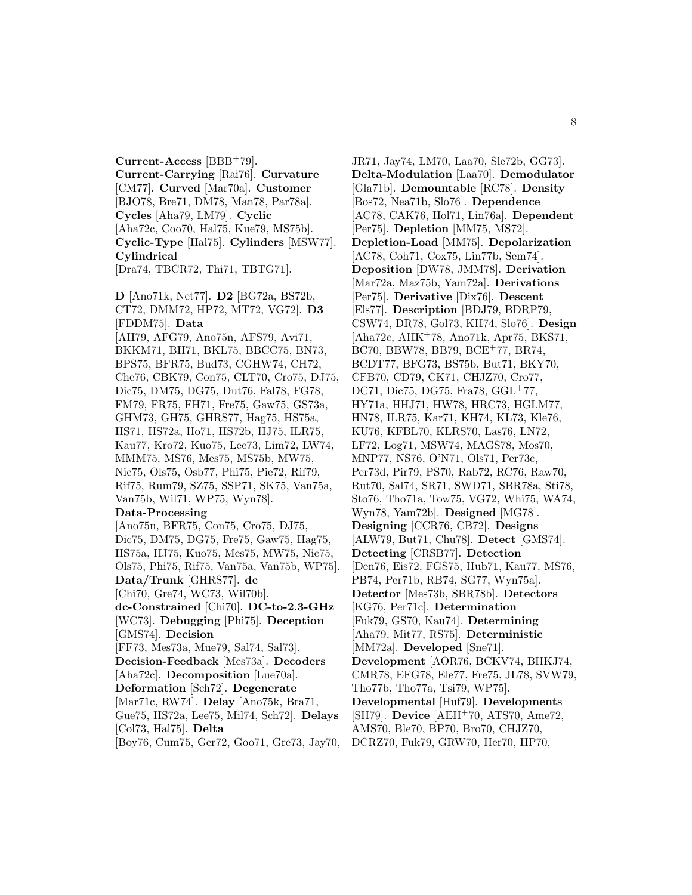**Current-Access** [BBB<sup>+</sup>79]. **Current-Carrying** [Rai76]. **Curvature** [CM77]. **Curved** [Mar70a]. **Customer** [BJO78, Bre71, DM78, Man78, Par78a]. **Cycles** [Aha79, LM79]. **Cyclic** [Aha72c, Coo70, Hal75, Kue79, MS75b]. **Cyclic-Type** [Hal75]. **Cylinders** [MSW77]. **Cylindrical**

[Dra74, TBCR72, Thi71, TBTG71].

**D** [Ano71k, Net77]. **D2** [BG72a, BS72b, CT72, DMM72, HP72, MT72, VG72]. **D3** [FDDM75]. **Data** [AH79, AFG79, Ano75n, AFS79, Avi71, BKKM71, BH71, BKL75, BBCC75, BN73, BPS75, BFR75, Bud73, CGHW74, CH72, Che76, CBK79, Con75, CLT70, Cro75, DJ75, Dic75, DM75, DG75, Dut76, Fal78, FG78, FM79, FR75, FH71, Fre75, Gaw75, GS73a, GHM73, GH75, GHRS77, Hag75, HS75a, HS71, HS72a, Ho71, HS72b, HJ75, ILR75, Kau77, Kro72, Kuo75, Lee73, Lim72, LW74, MMM75, MS76, Mes75, MS75b, MW75, Nic75, Ols75, Osb77, Phi75, Pie72, Rif79, Rif75, Rum79, SZ75, SSP71, SK75, Van75a, Van75b, Wil71, WP75, Wyn78].

#### **Data-Processing**

[Ano75n, BFR75, Con75, Cro75, DJ75, Dic75, DM75, DG75, Fre75, Gaw75, Hag75, HS75a, HJ75, Kuo75, Mes75, MW75, Nic75, Ols75, Phi75, Rif75, Van75a, Van75b, WP75]. **Data/Trunk** [GHRS77]. **dc** [Chi70, Gre74, WC73, Wil70b]. **dc-Constrained** [Chi70]. **DC-to-2.3-GHz** [WC73]. **Debugging** [Phi75]. **Deception** [GMS74]. **Decision** [FF73, Mes73a, Mue79, Sal74, Sal73]. **Decision-Feedback** [Mes73a]. **Decoders** [Aha72c]. **Decomposition** [Lue70a]. **Deformation** [Sch72]. **Degenerate** [Mar71c, RW74]. **Delay** [Ano75k, Bra71, Gue75, HS72a, Lee75, Mil74, Sch72]. **Delays**

[Col73, Hal75]. **Delta**

[Boy76, Cum75, Ger72, Goo71, Gre73, Jay70,

JR71, Jay74, LM70, Laa70, Sle72b, GG73]. **Delta-Modulation** [Laa70]. **Demodulator** [Gla71b]. **Demountable** [RC78]. **Density** [Bos72, Nea71b, Slo76]. **Dependence** [AC78, CAK76, Hol71, Lin76a]. **Dependent** [Per75]. **Depletion** [MM75, MS72]. **Depletion-Load** [MM75]. **Depolarization** [AC78, Coh71, Cox75, Lin77b, Sem74]. **Deposition** [DW78, JMM78]. **Derivation** [Mar72a, Maz75b, Yam72a]. **Derivations** [Per75]. **Derivative** [Dix76]. **Descent** [Els77]. **Description** [BDJ79, BDRP79, CSW74, DR78, Gol73, KH74, Slo76]. **Design** [Aha72c, AHK<sup>+</sup>78, Ano71k, Apr75, BKS71, BC70, BBW78, BB79, BCE<sup>+</sup>77, BR74, BCDT77, BFG73, BS75b, But71, BKY70, CFB70, CD79, CK71, CHJZ70, Cro77, DC71, Dic75, DG75, Fra78, GGL<sup>+</sup>77, HY71a, HHJ71, HW78, HRC73, HGLM77, HN78, ILR75, Kar71, KH74, KL73, Kle76, KU76, KFBL70, KLRS70, Las76, LN72, LF72, Log71, MSW74, MAGS78, Mos70, MNP77, NS76, O'N71, Ols71, Per73c, Per73d, Pir79, PS70, Rab72, RC76, Raw70, Rut70, Sal74, SR71, SWD71, SBR78a, Sti78, Sto76, Tho71a, Tow75, VG72, Whi75, WA74, Wyn78, Yam72b]. **Designed** [MG78]. **Designing** [CCR76, CB72]. **Designs** [ALW79, But71, Chu78]. **Detect** [GMS74]. **Detecting** [CRSB77]. **Detection** [Den76, Eis72, FGS75, Hub71, Kau77, MS76, PB74, Per71b, RB74, SG77, Wyn75a]. **Detector** [Mes73b, SBR78b]. **Detectors** [KG76, Per71c]. **Determination** [Fuk79, GS70, Kau74]. **Determining** [Aha79, Mit77, RS75]. **Deterministic** [MM72a]. **Developed** [Sne71]. **Development** [AOR76, BCKV74, BHKJ74, CMR78, EFG78, Ele77, Fre75, JL78, SVW79, Tho77b, Tho77a, Tsi79, WP75]. **Developmental** [Huf79]. **Developments** [SH79]. **Device** [AEH<sup>+</sup>70, ATS70, Ame72, AMS70, Ble70, BP70, Bro70, CHJZ70, DCRZ70, Fuk79, GRW70, Her70, HP70,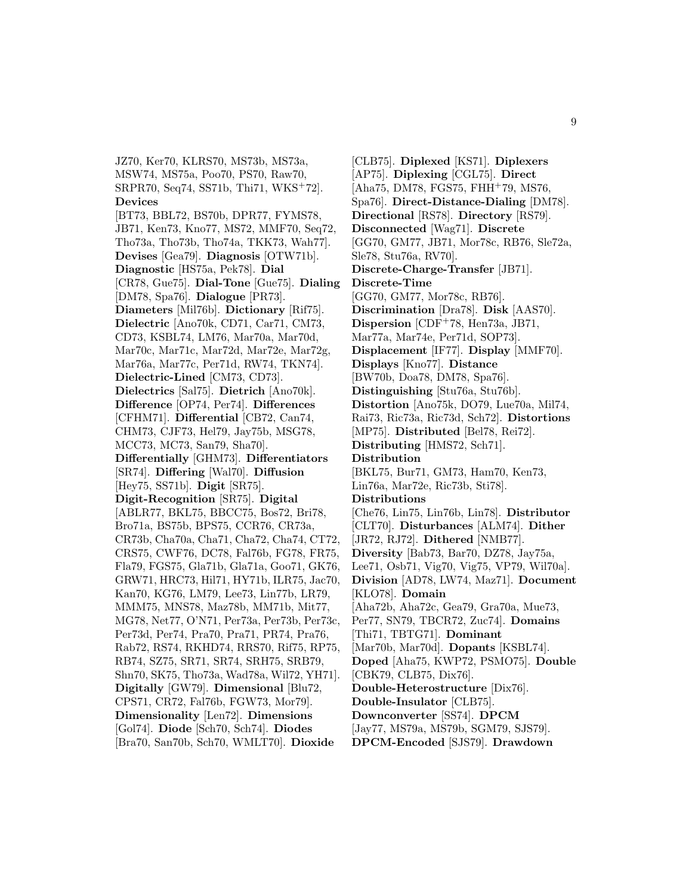JZ70, Ker70, KLRS70, MS73b, MS73a, MSW74, MS75a, Poo70, PS70, Raw70, SRPR70, Seq74, SS71b, Thi71, WKS<sup>+</sup>72]. **Devices** [BT73, BBL72, BS70b, DPR77, FYMS78, JB71, Ken73, Kno77, MS72, MMF70, Seq72, Tho73a, Tho73b, Tho74a, TKK73, Wah77]. **Devises** [Gea79]. **Diagnosis** [OTW71b]. **Diagnostic** [HS75a, Pek78]. **Dial** [CR78, Gue75]. **Dial-Tone** [Gue75]. **Dialing** [DM78, Spa76]. **Dialogue** [PR73]. **Diameters** [Mil76b]. **Dictionary** [Rif75]. **Dielectric** [Ano70k, CD71, Car71, CM73, CD73, KSBL74, LM76, Mar70a, Mar70d, Mar70c, Mar71c, Mar72d, Mar72e, Mar72g, Mar76a, Mar77c, Per71d, RW74, TKN74]. **Dielectric-Lined** [CM73, CD73]. **Dielectrics** [Sal75]. **Dietrich** [Ano70k]. **Difference** [OP74, Per74]. **Differences** [CFHM71]. **Differential** [CB72, Can74, CHM73, CJF73, Hel79, Jay75b, MSG78, MCC73, MC73, San79, Sha70]. **Differentially** [GHM73]. **Differentiators** [SR74]. **Differing** [Wal70]. **Diffusion** [Hey75, SS71b]. **Digit** [SR75]. **Digit-Recognition** [SR75]. **Digital** [ABLR77, BKL75, BBCC75, Bos72, Bri78, Bro71a, BS75b, BPS75, CCR76, CR73a, CR73b, Cha70a, Cha71, Cha72, Cha74, CT72, CRS75, CWF76, DC78, Fal76b, FG78, FR75, Fla79, FGS75, Gla71b, Gla71a, Goo71, GK76, GRW71, HRC73, Hil71, HY71b, ILR75, Jac70, Kan70, KG76, LM79, Lee73, Lin77b, LR79, MMM75, MNS78, Maz78b, MM71b, Mit77, MG78, Net77, O'N71, Per73a, Per73b, Per73c, Per73d, Per74, Pra70, Pra71, PR74, Pra76, Rab72, RS74, RKHD74, RRS70, Rif75, RP75, RB74, SZ75, SR71, SR74, SRH75, SRB79, Shn70, SK75, Tho73a, Wad78a, Wil72, YH71]. **Digitally** [GW79]. **Dimensional** [Blu72, CPS71, CR72, Fal76b, FGW73, Mor79]. **Dimensionality** [Len72]. **Dimensions** [Gol74]. **Diode** [Sch70, Sch74]. **Diodes** [Bra70, San70b, Sch70, WMLT70]. **Dioxide**

[CLB75]. **Diplexed** [KS71]. **Diplexers** [AP75]. **Diplexing** [CGL75]. **Direct** [Aha75, DM78, FGS75, FHH<sup>+</sup>79, MS76, Spa76]. **Direct-Distance-Dialing** [DM78]. **Directional** [RS78]. **Directory** [RS79]. **Disconnected** [Wag71]. **Discrete** [GG70, GM77, JB71, Mor78c, RB76, Sle72a, Sle78, Stu76a, RV70]. **Discrete-Charge-Transfer** [JB71]. **Discrete-Time** [GG70, GM77, Mor78c, RB76]. **Discrimination** [Dra78]. **Disk** [AAS70]. **Dispersion** [CDF<sup>+</sup>78, Hen73a, JB71, Mar77a, Mar74e, Per71d, SOP73]. **Displacement** [IF77]. **Display** [MMF70]. **Displays** [Kno77]. **Distance** [BW70b, Doa78, DM78, Spa76]. **Distinguishing** [Stu76a, Stu76b]. **Distortion** [Ano75k, DO79, Lue70a, Mil74, Rai73, Ric73a, Ric73d, Sch72]. **Distortions** [MP75]. **Distributed** [Bel78, Rei72]. **Distributing** [HMS72, Sch71]. **Distribution** [BKL75, Bur71, GM73, Ham70, Ken73, Lin76a, Mar72e, Ric73b, Sti78]. **Distributions** [Che76, Lin75, Lin76b, Lin78]. **Distributor** [CLT70]. **Disturbances** [ALM74]. **Dither** [JR72, RJ72]. **Dithered** [NMB77]. **Diversity** [Bab73, Bar70, DZ78, Jay75a, Lee71, Osb71, Vig70, Vig75, VP79, Wil70a]. **Division** [AD78, LW74, Maz71]. **Document** [KLO78]. **Domain** [Aha72b, Aha72c, Gea79, Gra70a, Mue73, Per77, SN79, TBCR72, Zuc74]. **Domains** [Thi71, TBTG71]. **Dominant** [Mar70b, Mar70d]. **Dopants** [KSBL74]. **Doped** [Aha75, KWP72, PSMO75]. **Double** [CBK79, CLB75, Dix76]. **Double-Heterostructure** [Dix76]. **Double-Insulator** [CLB75]. **Downconverter** [SS74]. **DPCM** [Jay77, MS79a, MS79b, SGM79, SJS79]. **DPCM-Encoded** [SJS79]. **Drawdown**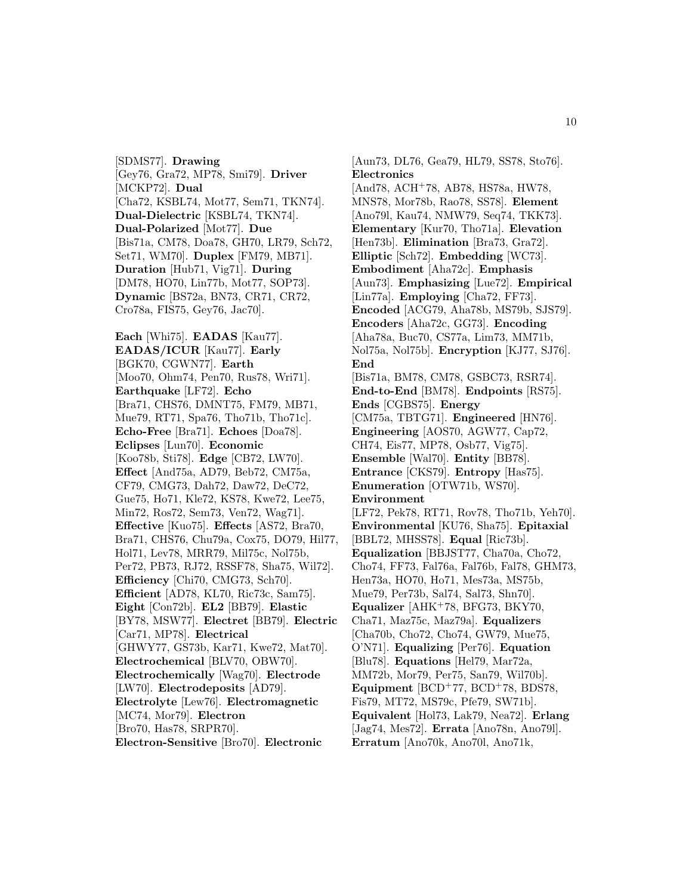[SDMS77]. **Drawing** [Gey76, Gra72, MP78, Smi79]. **Driver** [MCKP72]. **Dual** [Cha72, KSBL74, Mot77, Sem71, TKN74]. **Dual-Dielectric** [KSBL74, TKN74]. **Dual-Polarized** [Mot77]. **Due** [Bis71a, CM78, Doa78, GH70, LR79, Sch72, Set71, WM70]. **Duplex** [FM79, MB71]. **Duration** [Hub71, Vig71]. **During** [DM78, HO70, Lin77b, Mot77, SOP73]. **Dynamic** [BS72a, BN73, CR71, CR72, Cro78a, FIS75, Gey76, Jac70].

**Each** [Whi75]. **EADAS** [Kau77]. **EADAS/ICUR** [Kau77]. **Early** [BGK70, CGWN77]. **Earth** [Moo70, Ohm74, Pen70, Rus78, Wri71]. **Earthquake** [LF72]. **Echo** [Bra71, CHS76, DMNT75, FM79, MB71, Mue79, RT71, Spa76, Tho71b, Tho71c]. **Echo-Free** [Bra71]. **Echoes** [Doa78]. **Eclipses** [Lun70]. **Economic** [Koo78b, Sti78]. **Edge** [CB72, LW70]. **Effect** [And75a, AD79, Beb72, CM75a, CF79, CMG73, Dah72, Daw72, DeC72, Gue75, Ho71, Kle72, KS78, Kwe72, Lee75, Min72, Ros72, Sem73, Ven72, Wag71]. **Effective** [Kuo75]. **Effects** [AS72, Bra70, Bra71, CHS76, Chu79a, Cox75, DO79, Hil77, Hol71, Lev78, MRR79, Mil75c, Nol75b, Per72, PB73, RJ72, RSSF78, Sha75, Wil72]. **Efficiency** [Chi70, CMG73, Sch70]. **Efficient** [AD78, KL70, Ric73c, Sam75]. **Eight** [Con72b]. **EL2** [BB79]. **Elastic** [BY78, MSW77]. **Electret** [BB79]. **Electric** [Car71, MP78]. **Electrical** [GHWY77, GS73b, Kar71, Kwe72, Mat70]. **Electrochemical** [BLV70, OBW70]. **Electrochemically** [Wag70]. **Electrode** [LW70]. **Electrodeposits** [AD79]. **Electrolyte** [Lew76]. **Electromagnetic** [MC74, Mor79]. **Electron** [Bro70, Has78, SRPR70].

**Electron-Sensitive** [Bro70]. **Electronic**

[Aun73, DL76, Gea79, HL79, SS78, Sto76]. **Electronics** [And78, ACH<sup>+</sup>78, AB78, HS78a, HW78, MNS78, Mor78b, Rao78, SS78]. **Element** [Ano79l, Kau74, NMW79, Seq74, TKK73]. **Elementary** [Kur70, Tho71a]. **Elevation** [Hen73b]. **Elimination** [Bra73, Gra72]. **Elliptic** [Sch72]. **Embedding** [WC73]. **Embodiment** [Aha72c]. **Emphasis** [Aun73]. **Emphasizing** [Lue72]. **Empirical** [Lin77a]. **Employing** [Cha72, FF73]. **Encoded** [ACG79, Aha78b, MS79b, SJS79]. **Encoders** [Aha72c, GG73]. **Encoding** [Aha78a, Buc70, CS77a, Lim73, MM71b, Nol75a, Nol75b]. **Encryption** [KJ77, SJ76]. **End** [Bis71a, BM78, CM78, GSBC73, RSR74]. **End-to-End** [BM78]. **Endpoints** [RS75]. **Ends** [CGBS75]. **Energy** [CM75a, TBTG71]. **Engineered** [HN76]. **Engineering** [AOS70, AGW77, Cap72, CH74, Eis77, MP78, Osb77, Vig75]. **Ensemble** [Wal70]. **Entity** [BB78]. **Entrance** [CKS79]. **Entropy** [Has75]. **Enumeration** [OTW71b, WS70]. **Environment** [LF72, Pek78, RT71, Rov78, Tho71b, Yeh70]. **Environmental** [KU76, Sha75]. **Epitaxial** [BBL72, MHSS78]. **Equal** [Ric73b]. **Equalization** [BBJST77, Cha70a, Cho72, Cho74, FF73, Fal76a, Fal76b, Fal78, GHM73, Hen73a, HO70, Ho71, Mes73a, MS75b, Mue79, Per73b, Sal74, Sal73, Shn70]. **Equalizer** [AHK<sup>+</sup>78, BFG73, BKY70, Cha71, Maz75c, Maz79a]. **Equalizers** [Cha70b, Cho72, Cho74, GW79, Mue75, O'N71]. **Equalizing** [Per76]. **Equation** [Blu78]. **Equations** [Hel79, Mar72a, MM72b, Mor79, Per75, San79, Wil70b]. Equipment [BCD<sup>+</sup>77, BCD<sup>+</sup>78, BDS78, Fis79, MT72, MS79c, Pfe79, SW71b]. **Equivalent** [Hol73, Lak79, Nea72]. **Erlang** [Jag74, Mes72]. **Errata** [Ano78n, Ano79l]. **Erratum** [Ano70k, Ano70l, Ano71k,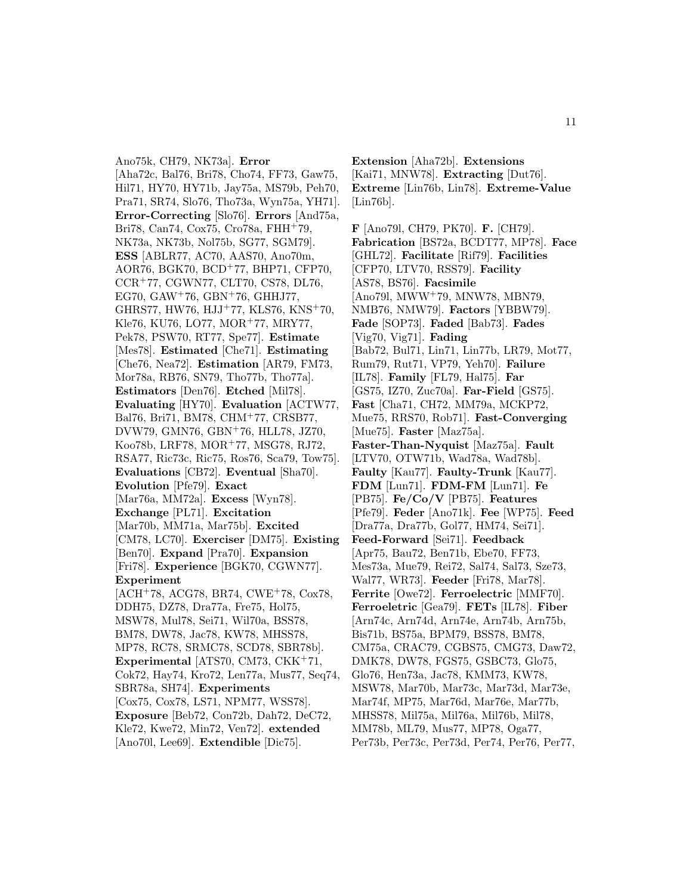Ano75k, CH79, NK73a]. **Error** [Aha72c, Bal76, Bri78, Cho74, FF73, Gaw75, Hil71, HY70, HY71b, Jay75a, MS79b, Peh70, Pra71, SR74, Slo76, Tho73a, Wyn75a, YH71]. **Error-Correcting** [Slo76]. **Errors** [And75a, Bri78, Can74, Cox75, Cro78a, FHH<sup>+</sup>79, NK73a, NK73b, Nol75b, SG77, SGM79]. **ESS** [ABLR77, AC70, AAS70, Ano70m, AOR76, BGK70, BCD<sup>+</sup>77, BHP71, CFP70, CCR<sup>+</sup>77, CGWN77, CLT70, CS78, DL76, EG70, GAW<sup>+</sup>76, GBN<sup>+</sup>76, GHHJ77, GHRS77, HW76, HJJ<sup>+</sup>77, KLS76, KNS<sup>+</sup>70, Kle76, KU76, LO77, MOR<sup>+</sup>77, MRY77, Pek78, PSW70, RT77, Spe77]. **Estimate** [Mes78]. **Estimated** [Che71]. **Estimating** [Che76, Nea72]. **Estimation** [AR79, FM73, Mor78a, RB76, SN79, Tho77b, Tho77a]. **Estimators** [Den76]. **Etched** [Mil78]. **Evaluating** [HY70]. **Evaluation** [ACTW77, Bal76, Bri71, BM78, CHM<sup>+</sup>77, CRSB77, DVW79, GMN76, GBN<sup>+</sup>76, HLL78, JZ70, Koo78b, LRF78, MOR<sup>+</sup>77, MSG78, RJ72, RSA77, Ric73c, Ric75, Ros76, Sca79, Tow75]. **Evaluations** [CB72]. **Eventual** [Sha70]. **Evolution** [Pfe79]. **Exact** [Mar76a, MM72a]. **Excess** [Wyn78]. **Exchange** [PL71]. **Excitation** [Mar70b, MM71a, Mar75b]. **Excited** [CM78, LC70]. **Exerciser** [DM75]. **Existing** [Ben70]. **Expand** [Pra70]. **Expansion** [Fri78]. **Experience** [BGK70, CGWN77]. **Experiment** [ACH<sup>+</sup>78, ACG78, BR74, CWE<sup>+</sup>78, Cox78, DDH75, DZ78, Dra77a, Fre75, Hol75, MSW78, Mul78, Sei71, Wil70a, BSS78, BM78, DW78, Jac78, KW78, MHSS78, MP78, RC78, SRMC78, SCD78, SBR78b]. **Experimental** [ATS70, CM73, CKK<sup>+</sup>71, Cok72, Hay74, Kro72, Len77a, Mus77, Seq74, SBR78a, SH74]. **Experiments** [Cox75, Cox78, LS71, NPM77, WSS78]. **Exposure** [Beb72, Con72b, Dah72, DeC72, Kle72, Kwe72, Min72, Ven72]. **extended** [Ano70l, Lee69]. **Extendible** [Dic75].

**Extension** [Aha72b]. **Extensions** [Kai71, MNW78]. **Extracting** [Dut76]. **Extreme** [Lin76b, Lin78]. **Extreme-Value** [Lin76b].

**F** [Ano79l, CH79, PK70]. **F.** [CH79]. **Fabrication** [BS72a, BCDT77, MP78]. **Face** [GHL72]. **Facilitate** [Rif79]. **Facilities** [CFP70, LTV70, RSS79]. **Facility** [AS78, BS76]. **Facsimile** [Ano79l, MWW<sup>+</sup>79, MNW78, MBN79, NMB76, NMW79]. **Factors** [YBBW79]. **Fade** [SOP73]. **Faded** [Bab73]. **Fades** [Vig70, Vig71]. **Fading** [Bab72, Bul71, Lin71, Lin77b, LR79, Mot77, Rum79, Rut71, VP79, Yeh70]. **Failure** [IL78]. **Family** [FL79, Hal75]. **Far** [GS75, IZ70, Zuc70a]. **Far-Field** [GS75]. **Fast** [Cha71, CH72, MM79a, MCKP72, Mue75, RRS70, Rob71]. **Fast-Converging** [Mue75]. **Faster** [Maz75a]. **Faster-Than-Nyquist** [Maz75a]. **Fault** [LTV70, OTW71b, Wad78a, Wad78b]. **Faulty** [Kau77]. **Faulty-Trunk** [Kau77]. **FDM** [Lun71]. **FDM-FM** [Lun71]. **Fe** [PB75]. **Fe/Co/V** [PB75]. **Features** [Pfe79]. **Feder** [Ano71k]. **Fee** [WP75]. **Feed** [Dra77a, Dra77b, Gol77, HM74, Sei71]. **Feed-Forward** [Sei71]. **Feedback** [Apr75, Bau72, Ben71b, Ebe70, FF73, Mes73a, Mue79, Rei72, Sal74, Sal73, Sze73, Wal77, WR73]. **Feeder** [Fri78, Mar78]. **Ferrite** [Owe72]. **Ferroelectric** [MMF70]. **Ferroeletric** [Gea79]. **FETs** [IL78]. **Fiber** [Arn74c, Arn74d, Arn74e, Arn74b, Arn75b, Bis71b, BS75a, BPM79, BSS78, BM78, CM75a, CRAC79, CGBS75, CMG73, Daw72, DMK78, DW78, FGS75, GSBC73, Glo75, Glo76, Hen73a, Jac78, KMM73, KW78, MSW78, Mar70b, Mar73c, Mar73d, Mar73e, Mar74f, MP75, Mar76d, Mar76e, Mar77b, MHSS78, Mil75a, Mil76a, Mil76b, Mil78, MM78b, ML79, Mus77, MP78, Oga77, Per73b, Per73c, Per73d, Per74, Per76, Per77,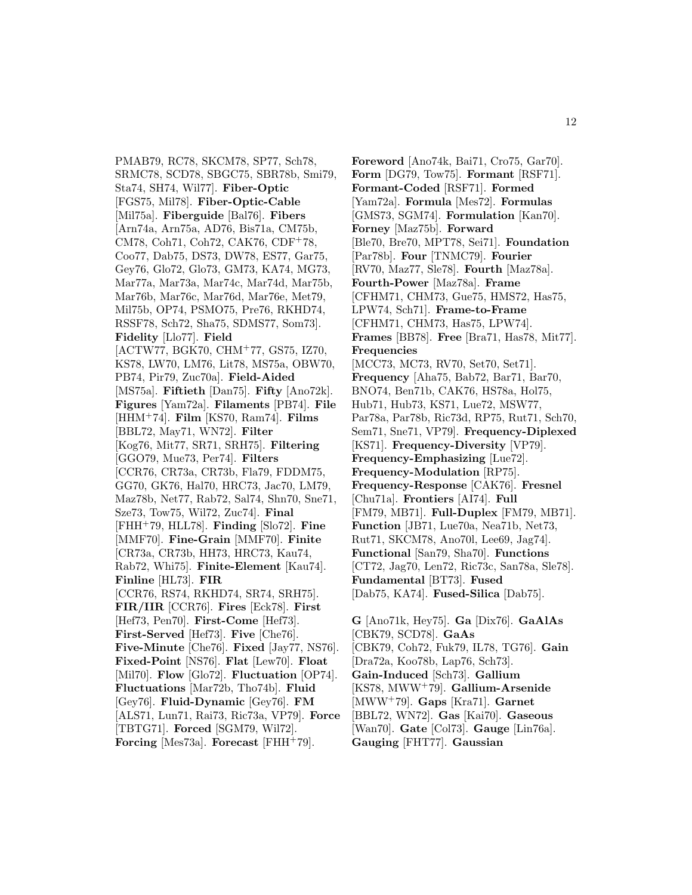PMAB79, RC78, SKCM78, SP77, Sch78, SRMC78, SCD78, SBGC75, SBR78b, Smi79, Sta74, SH74, Wil77]. **Fiber-Optic** [FGS75, Mil78]. **Fiber-Optic-Cable** [Mil75a]. **Fiberguide** [Bal76]. **Fibers** [Arn74a, Arn75a, AD76, Bis71a, CM75b, CM78, Coh71, Coh72, CAK76, CDF<sup>+</sup>78, Coo77, Dab75, DS73, DW78, ES77, Gar75, Gey76, Glo72, Glo73, GM73, KA74, MG73, Mar77a, Mar73a, Mar74c, Mar74d, Mar75b, Mar76b, Mar76c, Mar76d, Mar76e, Met79, Mil75b, OP74, PSMO75, Pre76, RKHD74, RSSF78, Sch72, Sha75, SDMS77, Som73]. **Fidelity** [Llo77]. **Field** [ACTW77, BGK70, CHM<sup>+</sup>77, GS75, IZ70, KS78, LW70, LM76, Lit78, MS75a, OBW70, PB74, Pir79, Zuc70a]. **Field-Aided** [MS75a]. **Fiftieth** [Dan75]. **Fifty** [Ano72k]. **Figures** [Yam72a]. **Filaments** [PB74]. **File** [HHM<sup>+</sup>74]. **Film** [KS70, Ram74]. **Films** [BBL72, May71, WN72]. **Filter** [Kog76, Mit77, SR71, SRH75]. **Filtering** [GGO79, Mue73, Per74]. **Filters** [CCR76, CR73a, CR73b, Fla79, FDDM75, GG70, GK76, Hal70, HRC73, Jac70, LM79, Maz78b, Net77, Rab72, Sal74, Shn70, Sne71, Sze73, Tow75, Wil72, Zuc74]. **Final** [FHH<sup>+</sup>79, HLL78]. **Finding** [Slo72]. **Fine** [MMF70]. **Fine-Grain** [MMF70]. **Finite** [CR73a, CR73b, HH73, HRC73, Kau74, Rab72, Whi75]. **Finite-Element** [Kau74]. **Finline** [HL73]. **FIR** [CCR76, RS74, RKHD74, SR74, SRH75]. **FIR/IIR** [CCR76]. **Fires** [Eck78]. **First** [Hef73, Pen70]. **First-Come** [Hef73]. **First-Served** [Hef73]. **Five** [Che76]. **Five-Minute** [Che76]. **Fixed** [Jay77, NS76]. **Fixed-Point** [NS76]. **Flat** [Lew70]. **Float** [Mil70]. **Flow** [Glo72]. **Fluctuation** [OP74]. **Fluctuations** [Mar72b, Tho74b]. **Fluid** [Gey76]. **Fluid-Dynamic** [Gey76]. **FM** [ALS71, Lun71, Rai73, Ric73a, VP79]. **Force** [TBTG71]. **Forced** [SGM79, Wil72]. **Forcing** [Mes73a]. **Forecast** [FHH<sup>+</sup>79].

**Foreword** [Ano74k, Bai71, Cro75, Gar70]. **Form** [DG79, Tow75]. **Formant** [RSF71]. **Formant-Coded** [RSF71]. **Formed** [Yam72a]. **Formula** [Mes72]. **Formulas** [GMS73, SGM74]. **Formulation** [Kan70]. **Forney** [Maz75b]. **Forward** [Ble70, Bre70, MPT78, Sei71]. **Foundation** [Par78b]. **Four** [TNMC79]. **Fourier** [RV70, Maz77, Sle78]. **Fourth** [Maz78a]. **Fourth-Power** [Maz78a]. **Frame** [CFHM71, CHM73, Gue75, HMS72, Has75, LPW74, Sch71]. **Frame-to-Frame** [CFHM71, CHM73, Has75, LPW74]. **Frames** [BB78]. **Free** [Bra71, Has78, Mit77]. **Frequencies** [MCC73, MC73, RV70, Set70, Set71]. **Frequency** [Aha75, Bab72, Bar71, Bar70, BNO74, Ben71b, CAK76, HS78a, Hol75, Hub71, Hub73, KS71, Lue72, MSW77, Par78a, Par78b, Ric73d, RP75, Rut71, Sch70, Sem71, Sne71, VP79]. **Frequency-Diplexed** [KS71]. **Frequency-Diversity** [VP79]. **Frequency-Emphasizing** [Lue72]. **Frequency-Modulation** [RP75]. **Frequency-Response** [CAK76]. **Fresnel** [Chu71a]. **Frontiers** [AI74]. **Full** [FM79, MB71]. **Full-Duplex** [FM79, MB71]. **Function** [JB71, Lue70a, Nea71b, Net73, Rut71, SKCM78, Ano70l, Lee69, Jag74]. **Functional** [San79, Sha70]. **Functions** [CT72, Jag70, Len72, Ric73c, San78a, Sle78]. **Fundamental** [BT73]. **Fused** [Dab75, KA74]. **Fused-Silica** [Dab75]. **G** [Ano71k, Hey75]. **Ga** [Dix76]. **GaAlAs**

[CBK79, SCD78]. **GaAs** [CBK79, Coh72, Fuk79, IL78, TG76]. **Gain** [Dra72a, Koo78b, Lap76, Sch73]. **Gain-Induced** [Sch73]. **Gallium** [KS78, MWW<sup>+</sup>79]. **Gallium-Arsenide** [MWW<sup>+</sup>79]. **Gaps** [Kra71]. **Garnet** [BBL72, WN72]. **Gas** [Kai70]. **Gaseous** [Wan70]. **Gate** [Col73]. **Gauge** [Lin76a]. **Gauging** [FHT77]. **Gaussian**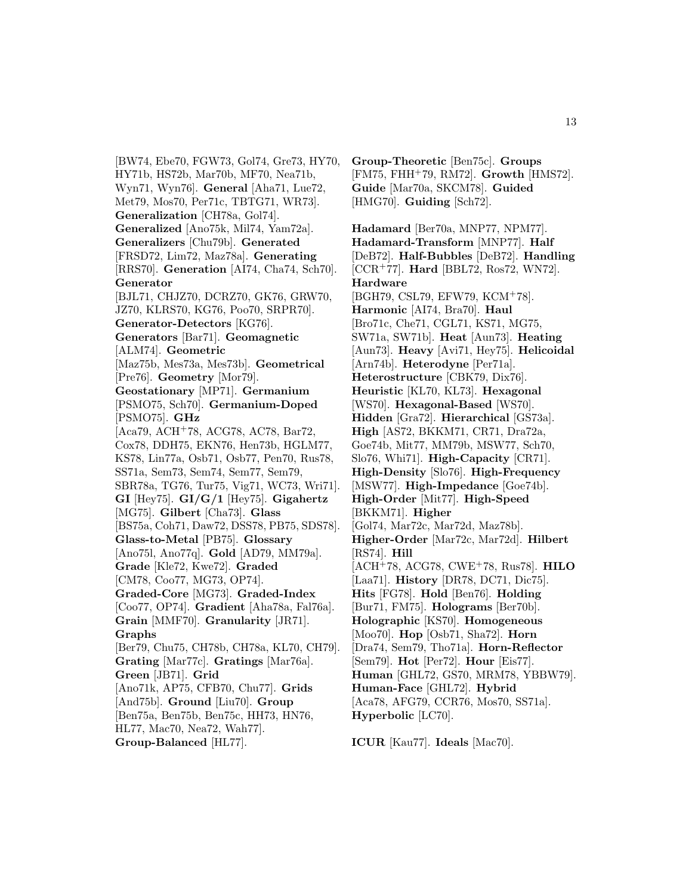[BW74, Ebe70, FGW73, Gol74, Gre73, HY70, HY71b, HS72b, Mar70b, MF70, Nea71b, Wyn71, Wyn76]. **General** [Aha71, Lue72, Met79, Mos70, Per71c, TBTG71, WR73]. **Generalization** [CH78a, Gol74]. **Generalized** [Ano75k, Mil74, Yam72a]. **Generalizers** [Chu79b]. **Generated** [FRSD72, Lim72, Maz78a]. **Generating** [RRS70]. **Generation** [AI74, Cha74, Sch70]. **Generator** [BJL71, CHJZ70, DCRZ70, GK76, GRW70, JZ70, KLRS70, KG76, Poo70, SRPR70]. **Generator-Detectors** [KG76]. **Generators** [Bar71]. **Geomagnetic** [ALM74]. **Geometric** [Maz75b, Mes73a, Mes73b]. **Geometrical** [Pre76]. **Geometry** [Mor79]. **Geostationary** [MP71]. **Germanium** [PSMO75, Sch70]. **Germanium-Doped** [PSMO75]. **GHz** [Aca79, ACH<sup>+</sup>78, ACG78, AC78, Bar72, Cox78, DDH75, EKN76, Hen73b, HGLM77, KS78, Lin77a, Osb71, Osb77, Pen70, Rus78, SS71a, Sem73, Sem74, Sem77, Sem79, SBR78a, TG76, Tur75, Vig71, WC73, Wri71]. **GI** [Hey75]. **GI/G/1** [Hey75]. **Gigahertz** [MG75]. **Gilbert** [Cha73]. **Glass** [BS75a, Coh71, Daw72, DSS78, PB75, SDS78]. **Glass-to-Metal** [PB75]. **Glossary** [Ano75l, Ano77q]. **Gold** [AD79, MM79a]. **Grade** [Kle72, Kwe72]. **Graded** [CM78, Coo77, MG73, OP74]. **Graded-Core** [MG73]. **Graded-Index** [Coo77, OP74]. **Gradient** [Aha78a, Fal76a]. **Grain** [MMF70]. **Granularity** [JR71]. **Graphs** [Ber79, Chu75, CH78b, CH78a, KL70, CH79]. **Grating** [Mar77c]. **Gratings** [Mar76a]. **Green** [JB71]. **Grid** [Ano71k, AP75, CFB70, Chu77]. **Grids** [And75b]. **Ground** [Liu70]. **Group** [Ben75a, Ben75b, Ben75c, HH73, HN76, HL77, Mac70, Nea72, Wah77].

**Group-Balanced** [HL77].

**Group-Theoretic** [Ben75c]. **Groups** [FM75, FHH<sup>+</sup>79, RM72]. **Growth** [HMS72]. **Guide** [Mar70a, SKCM78]. **Guided** [HMG70]. **Guiding** [Sch72].

**Hadamard** [Ber70a, MNP77, NPM77]. **Hadamard-Transform** [MNP77]. **Half** [DeB72]. **Half-Bubbles** [DeB72]. **Handling** [CCR<sup>+</sup>77]. **Hard** [BBL72, Ros72, WN72]. **Hardware** [BGH79, CSL79, EFW79, KCM<sup>+</sup>78]. **Harmonic** [AI74, Bra70]. **Haul** [Bro71c, Che71, CGL71, KS71, MG75, SW71a, SW71b]. **Heat** [Aun73]. **Heating** [Aun73]. **Heavy** [Avi71, Hey75]. **Helicoidal** [Arn74b]. **Heterodyne** [Per71a]. **Heterostructure** [CBK79, Dix76]. **Heuristic** [KL70, KL73]. **Hexagonal** [WS70]. **Hexagonal-Based** [WS70]. **Hidden** [Gra72]. **Hierarchical** [GS73a]. **High** [AS72, BKKM71, CR71, Dra72a, Goe74b, Mit77, MM79b, MSW77, Sch70, Slo76, Whi71]. **High-Capacity** [CR71]. **High-Density** [Slo76]. **High-Frequency** [MSW77]. **High-Impedance** [Goe74b]. **High-Order** [Mit77]. **High-Speed** [BKKM71]. **Higher** [Gol74, Mar72c, Mar72d, Maz78b]. **Higher-Order** [Mar72c, Mar72d]. **Hilbert** [RS74]. **Hill** [ACH<sup>+</sup>78, ACG78, CWE<sup>+</sup>78, Rus78]. **HILO** [Laa71]. **History** [DR78, DC71, Dic75]. **Hits** [FG78]. **Hold** [Ben76]. **Holding** [Bur71, FM75]. **Holograms** [Ber70b]. **Holographic** [KS70]. **Homogeneous** [Moo70]. **Hop** [Osb71, Sha72]. **Horn** [Dra74, Sem79, Tho71a]. **Horn-Reflector** [Sem79]. **Hot** [Per72]. **Hour** [Eis77]. **Human** [GHL72, GS70, MRM78, YBBW79]. **Human-Face** [GHL72]. **Hybrid** [Aca78, AFG79, CCR76, Mos70, SS71a]. **Hyperbolic** [LC70].

**ICUR** [Kau77]. **Ideals** [Mac70].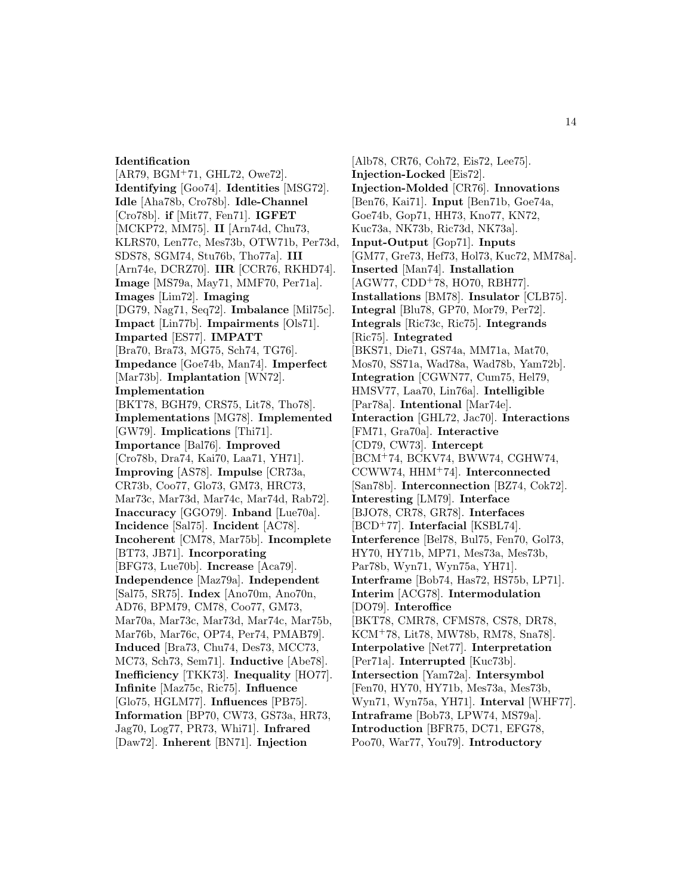#### **Identification**

[AR79, BGM<sup>+</sup>71, GHL72, Owe72]. **Identifying** [Goo74]. **Identities** [MSG72]. **Idle** [Aha78b, Cro78b]. **Idle-Channel** [Cro78b]. **if** [Mit77, Fen71]. **IGFET** [MCKP72, MM75]. **II** [Arn74d, Chu73, KLRS70, Len77c, Mes73b, OTW71b, Per73d, SDS78, SGM74, Stu76b, Tho77a]. **III** [Arn74e, DCRZ70]. **IIR** [CCR76, RKHD74]. **Image** [MS79a, May71, MMF70, Per71a]. **Images** [Lim72]. **Imaging** [DG79, Nag71, Seq72]. **Imbalance** [Mil75c]. **Impact** [Lin77b]. **Impairments** [Ols71]. **Imparted** [ES77]. **IMPATT** [Bra70, Bra73, MG75, Sch74, TG76]. **Impedance** [Goe74b, Man74]. **Imperfect** [Mar73b]. **Implantation** [WN72]. **Implementation** [BKT78, BGH79, CRS75, Lit78, Tho78]. **Implementations** [MG78]. **Implemented** [GW79]. **Implications** [Thi71]. **Importance** [Bal76]. **Improved** [Cro78b, Dra74, Kai70, Laa71, YH71]. **Improving** [AS78]. **Impulse** [CR73a, CR73b, Coo77, Glo73, GM73, HRC73, Mar73c, Mar73d, Mar74c, Mar74d, Rab72]. **Inaccuracy** [GGO79]. **Inband** [Lue70a]. **Incidence** [Sal75]. **Incident** [AC78]. **Incoherent** [CM78, Mar75b]. **Incomplete** [BT73, JB71]. **Incorporating** [BFG73, Lue70b]. **Increase** [Aca79]. **Independence** [Maz79a]. **Independent** [Sal75, SR75]. **Index** [Ano70m, Ano70n, AD76, BPM79, CM78, Coo77, GM73, Mar70a, Mar73c, Mar73d, Mar74c, Mar75b, Mar76b, Mar76c, OP74, Per74, PMAB79]. **Induced** [Bra73, Chu74, Des73, MCC73, MC73, Sch73, Sem71]. **Inductive** [Abe78]. **Inefficiency** [TKK73]. **Inequality** [HO77]. **Infinite** [Maz75c, Ric75]. **Influence** [Glo75, HGLM77]. **Influences** [PB75]. **Information** [BP70, CW73, GS73a, HR73, Jag70, Log77, PR73, Whi71]. **Infrared** [Daw72]. **Inherent** [BN71]. **Injection**

[Alb78, CR76, Coh72, Eis72, Lee75]. **Injection-Locked** [Eis72]. **Injection-Molded** [CR76]. **Innovations** [Ben76, Kai71]. **Input** [Ben71b, Goe74a, Goe74b, Gop71, HH73, Kno77, KN72, Kuc73a, NK73b, Ric73d, NK73a]. **Input-Output** [Gop71]. **Inputs** [GM77, Gre73, Hef73, Hol73, Kuc72, MM78a]. **Inserted** [Man74]. **Installation** [AGW77, CDD<sup>+</sup>78, HO70, RBH77]. **Installations** [BM78]. **Insulator** [CLB75]. **Integral** [Blu78, GP70, Mor79, Per72]. **Integrals** [Ric73c, Ric75]. **Integrands** [Ric75]. **Integrated** [BKS71, Die71, GS74a, MM71a, Mat70, Mos70, SS71a, Wad78a, Wad78b, Yam72b]. **Integration** [CGWN77, Cum75, Hel79, HMSV77, Laa70, Lin76a]. **Intelligible** [Par78a]. **Intentional** [Mar74e]. **Interaction** [GHL72, Jac70]. **Interactions** [FM71, Gra70a]. **Interactive** [CD79, CW73]. **Intercept** [BCM<sup>+</sup>74, BCKV74, BWW74, CGHW74, CCWW74, HHM<sup>+</sup>74]. **Interconnected** [San78b]. **Interconnection** [BZ74, Cok72]. **Interesting** [LM79]. **Interface** [BJO78, CR78, GR78]. **Interfaces** [BCD<sup>+</sup>77]. **Interfacial** [KSBL74]. **Interference** [Bel78, Bul75, Fen70, Gol73, HY70, HY71b, MP71, Mes73a, Mes73b, Par78b, Wyn71, Wyn75a, YH71]. **Interframe** [Bob74, Has72, HS75b, LP71]. **Interim** [ACG78]. **Intermodulation** [DO79]. **Interoffice** [BKT78, CMR78, CFMS78, CS78, DR78, KCM<sup>+</sup>78, Lit78, MW78b, RM78, Sna78]. **Interpolative** [Net77]. **Interpretation** [Per71a]. **Interrupted** [Kuc73b]. **Intersection** [Yam72a]. **Intersymbol** [Fen70, HY70, HY71b, Mes73a, Mes73b, Wyn71, Wyn75a, YH71]. **Interval** [WHF77]. **Intraframe** [Bob73, LPW74, MS79a]. **Introduction** [BFR75, DC71, EFG78, Poo70, War77, You79]. **Introductory**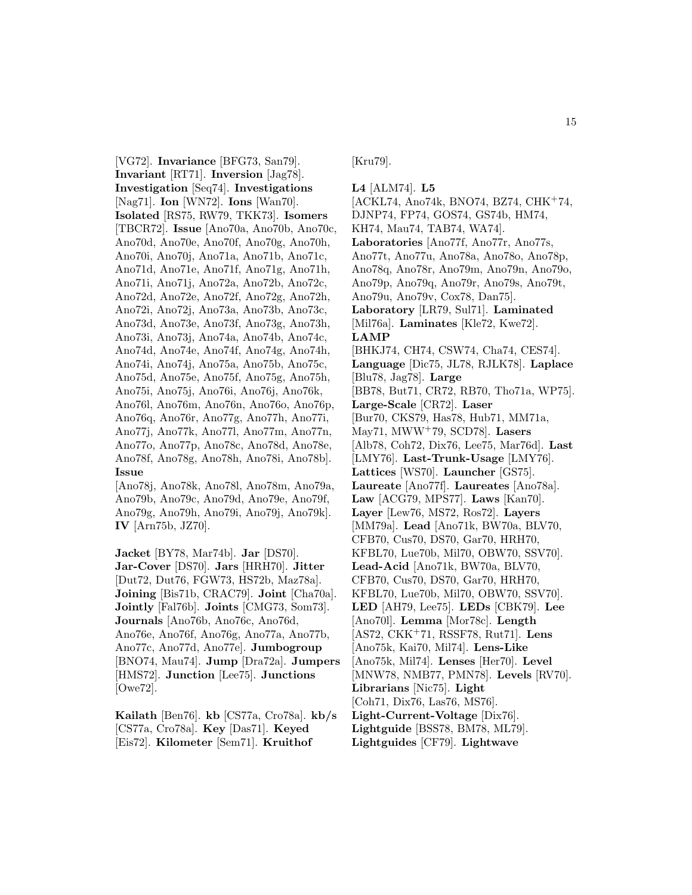[VG72]. **Invariance** [BFG73, San79]. **Invariant** [RT71]. **Inversion** [Jag78]. **Investigation** [Seq74]. **Investigations** [Nag71]. **Ion** [WN72]. **Ions** [Wan70]. **Isolated** [RS75, RW79, TKK73]. **Isomers** [TBCR72]. **Issue** [Ano70a, Ano70b, Ano70c, Ano70d, Ano70e, Ano70f, Ano70g, Ano70h, Ano70i, Ano70j, Ano71a, Ano71b, Ano71c, Ano71d, Ano71e, Ano71f, Ano71g, Ano71h, Ano71i, Ano71j, Ano72a, Ano72b, Ano72c, Ano72d, Ano72e, Ano72f, Ano72g, Ano72h, Ano72i, Ano72j, Ano73a, Ano73b, Ano73c, Ano73d, Ano73e, Ano73f, Ano73g, Ano73h, Ano73i, Ano73j, Ano74a, Ano74b, Ano74c, Ano74d, Ano74e, Ano74f, Ano74g, Ano74h, Ano74i, Ano74j, Ano75a, Ano75b, Ano75c, Ano75d, Ano75e, Ano75f, Ano75g, Ano75h, Ano75i, Ano75j, Ano76i, Ano76j, Ano76k, Ano76l, Ano76m, Ano76n, Ano76o, Ano76p, Ano76q, Ano76r, Ano77g, Ano77h, Ano77i, Ano77j, Ano77k, Ano77l, Ano77m, Ano77n, Ano77o, Ano77p, Ano78c, Ano78d, Ano78e, Ano78f, Ano78g, Ano78h, Ano78i, Ano78b]. **Issue**

[Ano78j, Ano78k, Ano78l, Ano78m, Ano79a, Ano79b, Ano79c, Ano79d, Ano79e, Ano79f, Ano79g, Ano79h, Ano79i, Ano79j, Ano79k]. **IV** [Arn75b, JZ70].

**Jacket** [BY78, Mar74b]. **Jar** [DS70]. **Jar-Cover** [DS70]. **Jars** [HRH70]. **Jitter** [Dut72, Dut76, FGW73, HS72b, Maz78a]. **Joining** [Bis71b, CRAC79]. **Joint** [Cha70a]. **Jointly** [Fal76b]. **Joints** [CMG73, Som73]. **Journals** [Ano76b, Ano76c, Ano76d, Ano76e, Ano76f, Ano76g, Ano77a, Ano77b, Ano77c, Ano77d, Ano77e]. **Jumbogroup** [BNO74, Mau74]. **Jump** [Dra72a]. **Jumpers** [HMS72]. **Junction** [Lee75]. **Junctions** [Owe72].

**Kailath** [Ben76]. **kb** [CS77a, Cro78a]. **kb/s** [CS77a, Cro78a]. **Key** [Das71]. **Keyed** [Eis72]. **Kilometer** [Sem71]. **Kruithof**

[Kru79].

**L4** [ALM74]. **L5** [ACKL74, Ano74k, BNO74, BZ74, CHK<sup>+</sup>74, DJNP74, FP74, GOS74, GS74b, HM74, KH74, Mau74, TAB74, WA74]. **Laboratories** [Ano77f, Ano77r, Ano77s, Ano77t, Ano77u, Ano78a, Ano78o, Ano78p, Ano78q, Ano78r, Ano79m, Ano79n, Ano79o, Ano79p, Ano79q, Ano79r, Ano79s, Ano79t, Ano79u, Ano79v, Cox78, Dan75]. **Laboratory** [LR79, Sul71]. **Laminated** [Mil76a]. **Laminates** [Kle72, Kwe72]. **LAMP** [BHKJ74, CH74, CSW74, Cha74, CES74]. **Language** [Dic75, JL78, RJLK78]. **Laplace** [Blu78, Jag78]. **Large** [BB78, But71, CR72, RB70, Tho71a, WP75]. **Large-Scale** [CR72]. **Laser** [Bur70, CKS79, Has78, Hub71, MM71a, May71, MWW<sup>+</sup>79, SCD78]. **Lasers** [Alb78, Coh72, Dix76, Lee75, Mar76d]. **Last** [LMY76]. **Last-Trunk-Usage** [LMY76]. **Lattices** [WS70]. **Launcher** [GS75]. **Laureate** [Ano77f]. **Laureates** [Ano78a]. **Law** [ACG79, MPS77]. **Laws** [Kan70]. **Layer** [Lew76, MS72, Ros72]. **Layers** [MM79a]. **Lead** [Ano71k, BW70a, BLV70, CFB70, Cus70, DS70, Gar70, HRH70, KFBL70, Lue70b, Mil70, OBW70, SSV70]. **Lead-Acid** [Ano71k, BW70a, BLV70, CFB70, Cus70, DS70, Gar70, HRH70, KFBL70, Lue70b, Mil70, OBW70, SSV70]. **LED** [AH79, Lee75]. **LEDs** [CBK79]. **Lee** [Ano70l]. **Lemma** [Mor78c]. **Length** [AS72, CKK<sup>+</sup>71, RSSF78, Rut71]. **Lens** [Ano75k, Kai70, Mil74]. **Lens-Like** [Ano75k, Mil74]. **Lenses** [Her70]. **Level** [MNW78, NMB77, PMN78]. **Levels** [RV70]. **Librarians** [Nic75]. **Light** [Coh71, Dix76, Las76, MS76]. **Light-Current-Voltage** [Dix76]. **Lightguide** [BSS78, BM78, ML79]. **Lightguides** [CF79]. **Lightwave**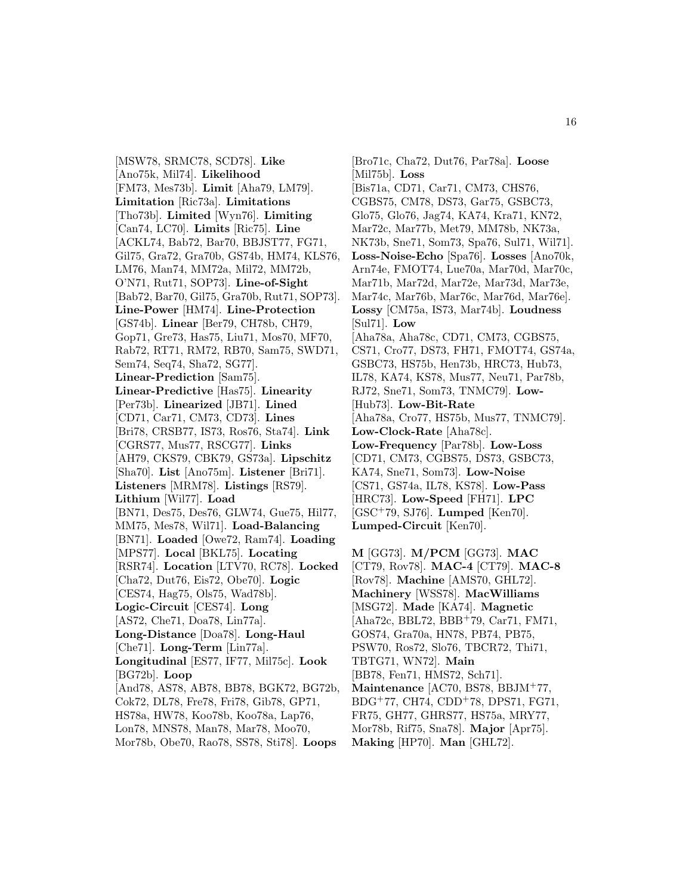[MSW78, SRMC78, SCD78]. **Like** [Ano75k, Mil74]. **Likelihood** [FM73, Mes73b]. **Limit** [Aha79, LM79]. **Limitation** [Ric73a]. **Limitations** [Tho73b]. **Limited** [Wyn76]. **Limiting** [Can74, LC70]. **Limits** [Ric75]. **Line** [ACKL74, Bab72, Bar70, BBJST77, FG71, Gil75, Gra72, Gra70b, GS74b, HM74, KLS76, LM76, Man74, MM72a, Mil72, MM72b, O'N71, Rut71, SOP73]. **Line-of-Sight** [Bab72, Bar70, Gil75, Gra70b, Rut71, SOP73]. **Line-Power** [HM74]. **Line-Protection** [GS74b]. **Linear** [Ber79, CH78b, CH79, Gop71, Gre73, Has75, Liu71, Mos70, MF70, Rab72, RT71, RM72, RB70, Sam75, SWD71, Sem74, Seq74, Sha72, SG77]. **Linear-Prediction** [Sam75]. **Linear-Predictive** [Has75]. **Linearity** [Per73b]. **Linearized** [JB71]. **Lined** [CD71, Car71, CM73, CD73]. **Lines** [Bri78, CRSB77, IS73, Ros76, Sta74]. **Link** [CGRS77, Mus77, RSCG77]. **Links** [AH79, CKS79, CBK79, GS73a]. **Lipschitz** [Sha70]. **List** [Ano75m]. **Listener** [Bri71]. **Listeners** [MRM78]. **Listings** [RS79]. **Lithium** [Wil77]. **Load** [BN71, Des75, Des76, GLW74, Gue75, Hil77, MM75, Mes78, Wil71]. **Load-Balancing** [BN71]. **Loaded** [Owe72, Ram74]. **Loading** [MPS77]. **Local** [BKL75]. **Locating** [RSR74]. **Location** [LTV70, RC78]. **Locked** [Cha72, Dut76, Eis72, Obe70]. **Logic** [CES74, Hag75, Ols75, Wad78b]. **Logic-Circuit** [CES74]. **Long** [AS72, Che71, Doa78, Lin77a]. **Long-Distance** [Doa78]. **Long-Haul** [Che71]. **Long-Term** [Lin77a]. **Longitudinal** [ES77, IF77, Mil75c]. **Look** [BG72b]. **Loop** [And78, AS78, AB78, BB78, BGK72, BG72b, Cok72, DL78, Fre78, Fri78, Gib78, GP71, HS78a, HW78, Koo78b, Koo78a, Lap76, Lon78, MNS78, Man78, Mar78, Moo70,

Mor78b, Obe70, Rao78, SS78, Sti78]. **Loops**

[Bro71c, Cha72, Dut76, Par78a]. **Loose** [Mil75b]. **Loss** [Bis71a, CD71, Car71, CM73, CHS76, CGBS75, CM78, DS73, Gar75, GSBC73, Glo75, Glo76, Jag74, KA74, Kra71, KN72, Mar72c, Mar77b, Met79, MM78b, NK73a, NK73b, Sne71, Som73, Spa76, Sul71, Wil71]. **Loss-Noise-Echo** [Spa76]. **Losses** [Ano70k, Arn74e, FMOT74, Lue70a, Mar70d, Mar70c, Mar71b, Mar72d, Mar72e, Mar73d, Mar73e, Mar74c, Mar76b, Mar76c, Mar76d, Mar76e]. **Lossy** [CM75a, IS73, Mar74b]. **Loudness** [Sul71]. **Low** [Aha78a, Aha78c, CD71, CM73, CGBS75, CS71, Cro77, DS73, FH71, FMOT74, GS74a, GSBC73, HS75b, Hen73b, HRC73, Hub73, IL78, KA74, KS78, Mus77, Neu71, Par78b, RJ72, Sne71, Som73, TNMC79]. **Low-** [Hub73]. **Low-Bit-Rate** [Aha78a, Cro77, HS75b, Mus77, TNMC79]. **Low-Clock-Rate** [Aha78c]. **Low-Frequency** [Par78b]. **Low-Loss** [CD71, CM73, CGBS75, DS73, GSBC73, KA74, Sne71, Som73]. **Low-Noise** [CS71, GS74a, IL78, KS78]. **Low-Pass** [HRC73]. **Low-Speed** [FH71]. **LPC** [GSC<sup>+</sup>79, SJ76]. **Lumped** [Ken70]. **Lumped-Circuit** [Ken70].

**M** [GG73]. **M/PCM** [GG73]. **MAC** [CT79, Rov78]. **MAC-4** [CT79]. **MAC-8** [Rov78]. **Machine** [AMS70, GHL72]. **Machinery** [WSS78]. **MacWilliams** [MSG72]. **Made** [KA74]. **Magnetic** [Aha72c, BBL72, BBB<sup>+</sup>79, Car71, FM71, GOS74, Gra70a, HN78, PB74, PB75, PSW70, Ros72, Slo76, TBCR72, Thi71, TBTG71, WN72]. **Main** [BB78, Fen71, HMS72, Sch71]. **Maintenance** [AC70, BS78, BBJM<sup>+</sup>77, BDG<sup>+</sup>77, CH74, CDD<sup>+</sup>78, DPS71, FG71, FR75, GH77, GHRS77, HS75a, MRY77, Mor78b, Rif75, Sna78]. **Major** [Apr75]. **Making** [HP70]. **Man** [GHL72].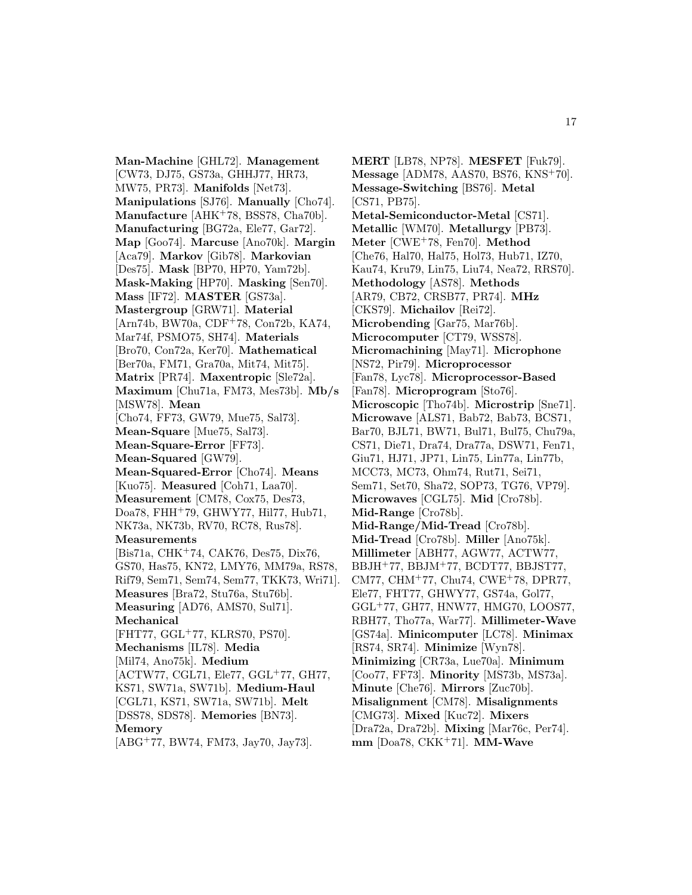**Man-Machine** [GHL72]. **Management** [CW73, DJ75, GS73a, GHHJ77, HR73, MW75, PR73]. **Manifolds** [Net73]. **Manipulations** [SJ76]. **Manually** [Cho74]. **Manufacture** [AHK<sup>+</sup>78, BSS78, Cha70b]. **Manufacturing** [BG72a, Ele77, Gar72]. **Map** [Goo74]. **Marcuse** [Ano70k]. **Margin** [Aca79]. **Markov** [Gib78]. **Markovian** [Des75]. **Mask** [BP70, HP70, Yam72b]. **Mask-Making** [HP70]. **Masking** [Sen70]. **Mass** [IF72]. **MASTER** [GS73a]. **Mastergroup** [GRW71]. **Material** [Arn74b, BW70a, CDF<sup>+</sup>78, Con72b, KA74, Mar74f, PSMO75, SH74]. **Materials** [Bro70, Con72a, Ker70]. **Mathematical** [Ber70a, FM71, Gra70a, Mit74, Mit75]. **Matrix** [PR74]. **Maxentropic** [Sle72a]. **Maximum** [Chu71a, FM73, Mes73b]. **Mb/s** [MSW78]. **Mean** [Cho74, FF73, GW79, Mue75, Sal73]. **Mean-Square** [Mue75, Sal73]. **Mean-Square-Error** [FF73]. **Mean-Squared** [GW79]. **Mean-Squared-Error** [Cho74]. **Means** [Kuo75]. **Measured** [Coh71, Laa70]. **Measurement** [CM78, Cox75, Des73, Doa78, FHH<sup>+</sup>79, GHWY77, Hil77, Hub71, NK73a, NK73b, RV70, RC78, Rus78]. **Measurements** [Bis71a, CHK<sup>+</sup>74, CAK76, Des75, Dix76, GS70, Has75, KN72, LMY76, MM79a, RS78, Rif79, Sem71, Sem74, Sem77, TKK73, Wri71]. **Measures** [Bra72, Stu76a, Stu76b]. **Measuring** [AD76, AMS70, Sul71]. **Mechanical** [FHT77, GGL<sup>+</sup>77, KLRS70, PS70]. **Mechanisms** [IL78]. **Media** [Mil74, Ano75k]. **Medium** [ACTW77, CGL71, Ele77, GGL<sup>+</sup>77, GH77, KS71, SW71a, SW71b]. **Medium-Haul** [CGL71, KS71, SW71a, SW71b]. **Melt** [DSS78, SDS78]. **Memories** [BN73]. **Memory**

[ABG<sup>+</sup>77, BW74, FM73, Jay70, Jay73].

**MERT** [LB78, NP78]. **MESFET** [Fuk79]. **Message** [ADM78, AAS70, BS76, KNS<sup>+</sup>70]. **Message-Switching** [BS76]. **Metal** [CS71, PB75]. **Metal-Semiconductor-Metal** [CS71]. **Metallic** [WM70]. **Metallurgy** [PB73]. **Meter** [CWE<sup>+</sup>78, Fen70]. **Method** [Che76, Hal70, Hal75, Hol73, Hub71, IZ70, Kau74, Kru79, Lin75, Liu74, Nea72, RRS70]. **Methodology** [AS78]. **Methods** [AR79, CB72, CRSB77, PR74]. **MHz** [CKS79]. **Michailov** [Rei72]. **Microbending** [Gar75, Mar76b]. **Microcomputer** [CT79, WSS78]. **Micromachining** [May71]. **Microphone** [NS72, Pir79]. **Microprocessor** [Fan78, Lyc78]. **Microprocessor-Based** [Fan78]. **Microprogram** [Sto76]. **Microscopic** [Tho74b]. **Microstrip** [Sne71]. **Microwave** [ALS71, Bab72, Bab73, BCS71, Bar70, BJL71, BW71, Bul71, Bul75, Chu79a, CS71, Die71, Dra74, Dra77a, DSW71, Fen71, Giu71, HJ71, JP71, Lin75, Lin77a, Lin77b, MCC73, MC73, Ohm74, Rut71, Sei71, Sem71, Set70, Sha72, SOP73, TG76, VP79]. **Microwaves** [CGL75]. **Mid** [Cro78b]. **Mid-Range** [Cro78b]. **Mid-Range/Mid-Tread** [Cro78b]. **Mid-Tread** [Cro78b]. **Miller** [Ano75k]. **Millimeter** [ABH77, AGW77, ACTW77, BBJH<sup>+</sup>77, BBJM<sup>+</sup>77, BCDT77, BBJST77, CM77, CHM<sup>+</sup>77, Chu74, CWE<sup>+</sup>78, DPR77, Ele77, FHT77, GHWY77, GS74a, Gol77, GGL<sup>+</sup>77, GH77, HNW77, HMG70, LOOS77, RBH77, Tho77a, War77]. **Millimeter-Wave** [GS74a]. **Minicomputer** [LC78]. **Minimax** [RS74, SR74]. **Minimize** [Wyn78]. **Minimizing** [CR73a, Lue70a]. **Minimum** [Coo77, FF73]. **Minority** [MS73b, MS73a]. **Minute** [Che76]. **Mirrors** [Zuc70b]. **Misalignment** [CM78]. **Misalignments** [CMG73]. **Mixed** [Kuc72]. **Mixers** [Dra72a, Dra72b]. **Mixing** [Mar76c, Per74]. **mm** [Doa78, CKK<sup>+</sup>71]. **MM-Wave**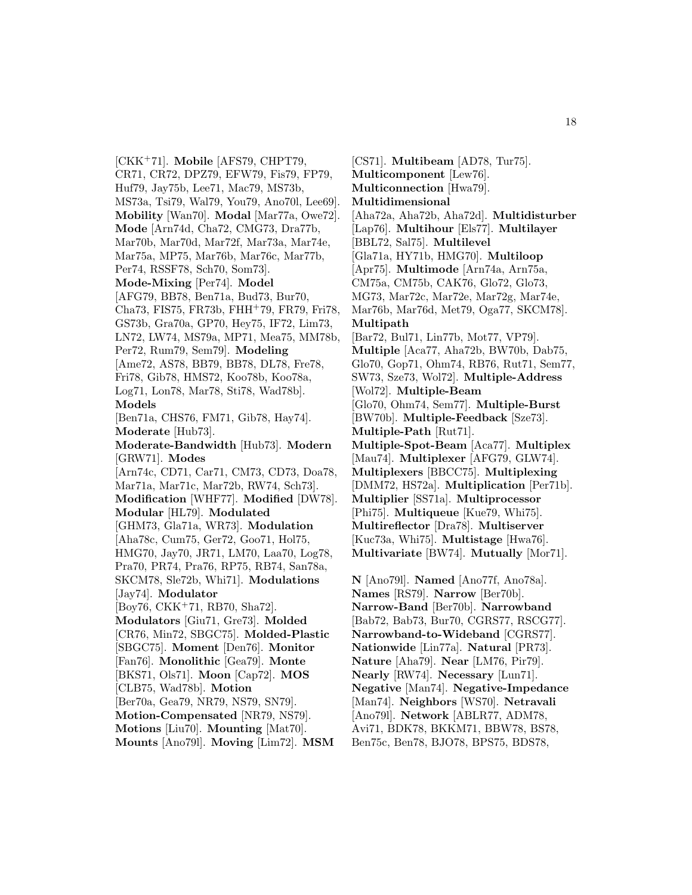[CKK<sup>+</sup>71]. **Mobile** [AFS79, CHPT79, CR71, CR72, DPZ79, EFW79, Fis79, FP79, Huf79, Jay75b, Lee71, Mac79, MS73b, MS73a, Tsi79, Wal79, You79, Ano70l, Lee69]. **Mobility** [Wan70]. **Modal** [Mar77a, Owe72]. **Mode** [Arn74d, Cha72, CMG73, Dra77b, Mar70b, Mar70d, Mar72f, Mar73a, Mar74e, Mar75a, MP75, Mar76b, Mar76c, Mar77b, Per74, RSSF78, Sch70, Som73]. **Mode-Mixing** [Per74]. **Model** [AFG79, BB78, Ben71a, Bud73, Bur70, Cha73, FIS75, FR73b, FHH<sup>+</sup>79, FR79, Fri78, GS73b, Gra70a, GP70, Hey75, IF72, Lim73, LN72, LW74, MS79a, MP71, Mea75, MM78b, Per72, Rum79, Sem79]. **Modeling** [Ame72, AS78, BB79, BB78, DL78, Fre78, Fri78, Gib78, HMS72, Koo78b, Koo78a, Log71, Lon78, Mar78, Sti78, Wad78b]. **Models** [Ben71a, CHS76, FM71, Gib78, Hay74]. **Moderate** [Hub73]. **Moderate-Bandwidth** [Hub73]. **Modern** [GRW71]. **Modes** [Arn74c, CD71, Car71, CM73, CD73, Doa78, Mar71a, Mar71c, Mar72b, RW74, Sch73]. **Modification** [WHF77]. **Modified** [DW78]. **Modular** [HL79]. **Modulated** [GHM73, Gla71a, WR73]. **Modulation** [Aha78c, Cum75, Ger72, Goo71, Hol75, HMG70, Jay70, JR71, LM70, Laa70, Log78, Pra70, PR74, Pra76, RP75, RB74, San78a, SKCM78, Sle72b, Whi71]. **Modulations** [Jay74]. **Modulator** [Boy76, CKK<sup>+</sup>71, RB70, Sha72]. **Modulators** [Giu71, Gre73]. **Molded** [CR76, Min72, SBGC75]. **Molded-Plastic** [SBGC75]. **Moment** [Den76]. **Monitor** [Fan76]. **Monolithic** [Gea79]. **Monte** [BKS71, Ols71]. **Moon** [Cap72]. **MOS** [CLB75, Wad78b]. **Motion** [Ber70a, Gea79, NR79, NS79, SN79]. **Motion-Compensated** [NR79, NS79]. **Motions** [Liu70]. **Mounting** [Mat70]. **Mounts** [Ano79l]. **Moving** [Lim72]. **MSM**

[CS71]. **Multibeam** [AD78, Tur75]. **Multicomponent** [Lew76]. **Multiconnection** [Hwa79]. **Multidimensional** [Aha72a, Aha72b, Aha72d]. **Multidisturber** [Lap76]. **Multihour** [Els77]. **Multilayer** [BBL72, Sal75]. **Multilevel** [Gla71a, HY71b, HMG70]. **Multiloop** [Apr75]. **Multimode** [Arn74a, Arn75a, CM75a, CM75b, CAK76, Glo72, Glo73, MG73, Mar72c, Mar72e, Mar72g, Mar74e, Mar76b, Mar76d, Met79, Oga77, SKCM78]. **Multipath** [Bar72, Bul71, Lin77b, Mot77, VP79]. **Multiple** [Aca77, Aha72b, BW70b, Dab75, Glo70, Gop71, Ohm74, RB76, Rut71, Sem77, SW73, Sze73, Wol72]. **Multiple-Address** [Wol72]. **Multiple-Beam** [Glo70, Ohm74, Sem77]. **Multiple-Burst** [BW70b]. **Multiple-Feedback** [Sze73]. **Multiple-Path** [Rut71]. **Multiple-Spot-Beam** [Aca77]. **Multiplex** [Mau74]. **Multiplexer** [AFG79, GLW74]. **Multiplexers** [BBCC75]. **Multiplexing** [DMM72, HS72a]. **Multiplication** [Per71b]. **Multiplier** [SS71a]. **Multiprocessor** [Phi75]. **Multiqueue** [Kue79, Whi75]. **Multireflector** [Dra78]. **Multiserver** [Kuc73a, Whi75]. **Multistage** [Hwa76]. **Multivariate** [BW74]. **Mutually** [Mor71]. **N** [Ano79l]. **Named** [Ano77f, Ano78a].

**Names** [RS79]. **Narrow** [Ber70b]. **Narrow-Band** [Ber70b]. **Narrowband** [Bab72, Bab73, Bur70, CGRS77, RSCG77]. **Narrowband-to-Wideband** [CGRS77]. **Nationwide** [Lin77a]. **Natural** [PR73]. **Nature** [Aha79]. **Near** [LM76, Pir79]. **Nearly** [RW74]. **Necessary** [Lun71]. **Negative** [Man74]. **Negative-Impedance** [Man74]. **Neighbors** [WS70]. **Netravali** [Ano79l]. **Network** [ABLR77, ADM78, Avi71, BDK78, BKKM71, BBW78, BS78, Ben75c, Ben78, BJO78, BPS75, BDS78,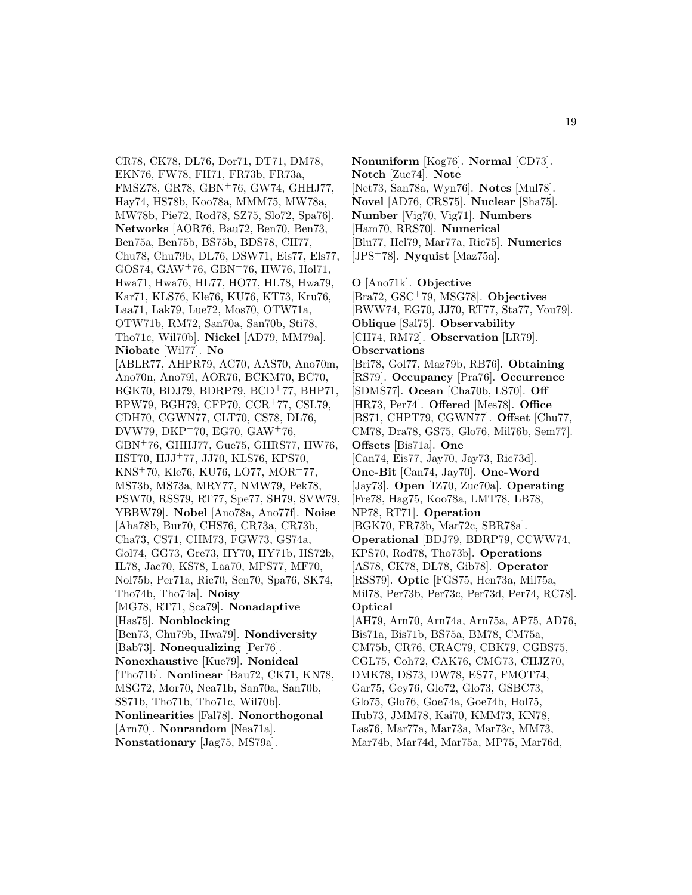CR78, CK78, DL76, Dor71, DT71, DM78, EKN76, FW78, FH71, FR73b, FR73a, FMSZ78, GR78, GBN<sup>+</sup>76, GW74, GHHJ77, Hay74, HS78b, Koo78a, MMM75, MW78a, MW78b, Pie72, Rod78, SZ75, Slo72, Spa76]. **Networks** [AOR76, Bau72, Ben70, Ben73, Ben75a, Ben75b, BS75b, BDS78, CH77, Chu78, Chu79b, DL76, DSW71, Eis77, Els77, GOS74, GAW<sup>+</sup>76, GBN<sup>+</sup>76, HW76, Hol71, Hwa71, Hwa76, HL77, HO77, HL78, Hwa79, Kar71, KLS76, Kle76, KU76, KT73, Kru76, Laa71, Lak79, Lue72, Mos70, OTW71a, OTW71b, RM72, San70a, San70b, Sti78, Tho71c, Wil70b]. **Nickel** [AD79, MM79a]. **Niobate** [Wil77]. **No** [ABLR77, AHPR79, AC70, AAS70, Ano70m, Ano70n, Ano79l, AOR76, BCKM70, BC70, BGK70, BDJ79, BDRP79, BCD<sup>+</sup>77, BHP71, BPW79, BGH79, CFP70, CCR<sup>+</sup>77, CSL79, CDH70, CGWN77, CLT70, CS78, DL76, DVW79, DKP<sup>+</sup>70, EG70, GAW<sup>+</sup>76, GBN<sup>+</sup>76, GHHJ77, Gue75, GHRS77, HW76, HST70, HJJ<sup>+</sup>77, JJ70, KLS76, KPS70, KNS<sup>+</sup>70, Kle76, KU76, LO77, MOR<sup>+</sup>77, MS73b, MS73a, MRY77, NMW79, Pek78, PSW70, RSS79, RT77, Spe77, SH79, SVW79, YBBW79]. **Nobel** [Ano78a, Ano77f]. **Noise** [Aha78b, Bur70, CHS76, CR73a, CR73b, Cha73, CS71, CHM73, FGW73, GS74a, Gol74, GG73, Gre73, HY70, HY71b, HS72b, IL78, Jac70, KS78, Laa70, MPS77, MF70, Nol75b, Per71a, Ric70, Sen70, Spa76, SK74, Tho74b, Tho74a]. **Noisy** [MG78, RT71, Sca79]. **Nonadaptive** [Has75]. **Nonblocking** [Ben73, Chu79b, Hwa79]. **Nondiversity** [Bab73]. **Nonequalizing** [Per76]. **Nonexhaustive** [Kue79]. **Nonideal** [Tho71b]. **Nonlinear** [Bau72, CK71, KN78, MSG72, Mor70, Nea71b, San70a, San70b, SS71b, Tho71b, Tho71c, Wil70b]. **Nonlinearities** [Fal78]. **Nonorthogonal** [Arn70]. **Nonrandom** [Nea71a]. **Nonstationary** [Jag75, MS79a].

**Nonuniform** [Kog76]. **Normal** [CD73]. **Notch** [Zuc74]. **Note** [Net73, San78a, Wyn76]. **Notes** [Mul78]. **Novel** [AD76, CRS75]. **Nuclear** [Sha75]. **Number** [Vig70, Vig71]. **Numbers** [Ham70, RRS70]. **Numerical** [Blu77, Hel79, Mar77a, Ric75]. **Numerics** [JPS<sup>+</sup>78]. **Nyquist** [Maz75a]. **O** [Ano71k]. **Objective** [Bra72, GSC<sup>+</sup>79, MSG78]. **Objectives** [BWW74, EG70, JJ70, RT77, Sta77, You79]. **Oblique** [Sal75]. **Observability**

[CH74, RM72]. **Observation** [LR79]. **Observations** [Bri78, Gol77, Maz79b, RB76]. **Obtaining** [RS79]. **Occupancy** [Pra76]. **Occurrence** [SDMS77]. **Ocean** [Cha70b, LS70]. **Off** [HR73, Per74]. **Offered** [Mes78]. **Office** [BS71, CHPT79, CGWN77]. **Offset** [Chu77, CM78, Dra78, GS75, Glo76, Mil76b, Sem77]. **Offsets** [Bis71a]. **One** [Can74, Eis77, Jay70, Jay73, Ric73d]. **One-Bit** [Can74, Jay70]. **One-Word** [Jay73]. **Open** [IZ70, Zuc70a]. **Operating** [Fre78, Hag75, Koo78a, LMT78, LB78, NP78, RT71]. **Operation** [BGK70, FR73b, Mar72c, SBR78a]. **Operational** [BDJ79, BDRP79, CCWW74, KPS70, Rod78, Tho73b]. **Operations** [AS78, CK78, DL78, Gib78]. **Operator** [RSS79]. **Optic** [FGS75, Hen73a, Mil75a, Mil78, Per73b, Per73c, Per73d, Per74, RC78]. **Optical** [AH79, Arn70, Arn74a, Arn75a, AP75, AD76, Bis71a, Bis71b, BS75a, BM78, CM75a, CM75b, CR76, CRAC79, CBK79, CGBS75, CGL75, Coh72, CAK76, CMG73, CHJZ70, DMK78, DS73, DW78, ES77, FMOT74, Gar75, Gey76, Glo72, Glo73, GSBC73,

Hub73, JMM78, Kai70, KMM73, KN78, Las76, Mar77a, Mar73a, Mar73c, MM73,

Glo75, Glo76, Goe74a, Goe74b, Hol75,

Mar74b, Mar74d, Mar75a, MP75, Mar76d,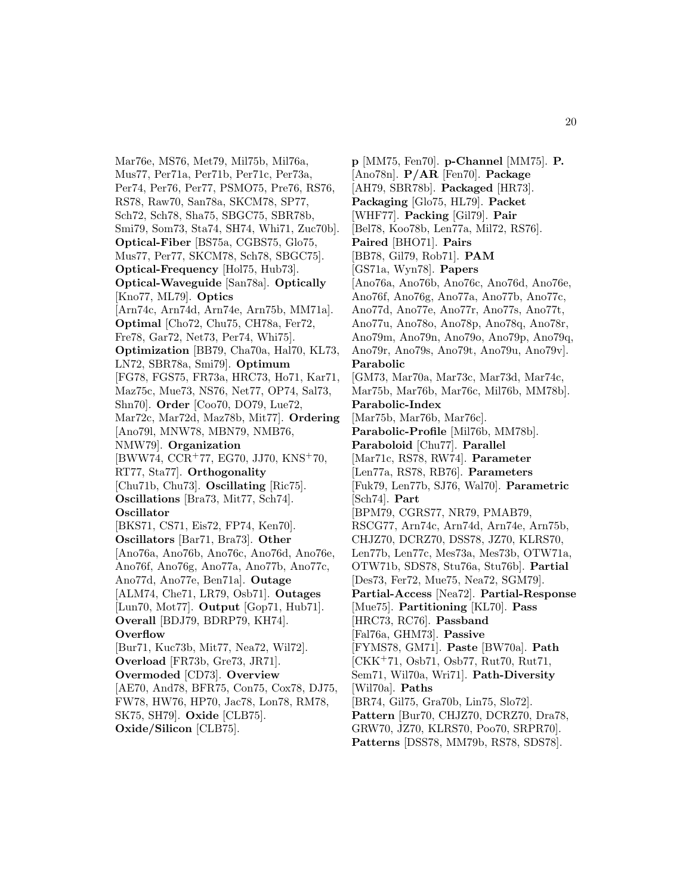Mar76e, MS76, Met79, Mil75b, Mil76a, Mus77, Per71a, Per71b, Per71c, Per73a, Per74, Per76, Per77, PSMO75, Pre76, RS76, RS78, Raw70, San78a, SKCM78, SP77, Sch72, Sch78, Sha75, SBGC75, SBR78b, Smi79, Som73, Sta74, SH74, Whi71, Zuc70b]. **Optical-Fiber** [BS75a, CGBS75, Glo75, Mus77, Per77, SKCM78, Sch78, SBGC75]. **Optical-Frequency** [Hol75, Hub73]. **Optical-Waveguide** [San78a]. **Optically** [Kno77, ML79]. **Optics** [Arn74c, Arn74d, Arn74e, Arn75b, MM71a]. **Optimal** [Cho72, Chu75, CH78a, Fer72, Fre78, Gar72, Net73, Per74, Whi75]. **Optimization** [BB79, Cha70a, Hal70, KL73, LN72, SBR78a, Smi79]. **Optimum** [FG78, FGS75, FR73a, HRC73, Ho71, Kar71, Maz75c, Mue73, NS76, Net77, OP74, Sal73, Shn70]. **Order** [Coo70, DO79, Lue72, Mar72c, Mar72d, Maz78b, Mit77]. **Ordering** [Ano79l, MNW78, MBN79, NMB76, NMW79]. **Organization** [BWW74, CCR<sup>+</sup>77, EG70, JJ70, KNS<sup>+</sup>70, RT77, Sta77]. **Orthogonality** [Chu71b, Chu73]. **Oscillating** [Ric75]. **Oscillations** [Bra73, Mit77, Sch74]. **Oscillator** [BKS71, CS71, Eis72, FP74, Ken70]. **Oscillators** [Bar71, Bra73]. **Other** [Ano76a, Ano76b, Ano76c, Ano76d, Ano76e, Ano76f, Ano76g, Ano77a, Ano77b, Ano77c, Ano77d, Ano77e, Ben71a]. **Outage** [ALM74, Che71, LR79, Osb71]. **Outages** [Lun70, Mot77]. **Output** [Gop71, Hub71]. **Overall** [BDJ79, BDRP79, KH74]. **Overflow** [Bur71, Kuc73b, Mit77, Nea72, Wil72]. **Overload** [FR73b, Gre73, JR71]. **Overmoded** [CD73]. **Overview** [AE70, And78, BFR75, Con75, Cox78, DJ75, FW78, HW76, HP70, Jac78, Lon78, RM78, SK75, SH79]. **Oxide** [CLB75].

**Oxide/Silicon** [CLB75].

**p** [MM75, Fen70]. **p-Channel** [MM75]. **P.** [Ano78n]. **P/AR** [Fen70]. **Package** [AH79, SBR78b]. **Packaged** [HR73]. **Packaging** [Glo75, HL79]. **Packet** [WHF77]. **Packing** [Gil79]. **Pair** [Bel78, Koo78b, Len77a, Mil72, RS76]. **Paired** [BHO71]. **Pairs** [BB78, Gil79, Rob71]. **PAM** [GS71a, Wyn78]. **Papers** [Ano76a, Ano76b, Ano76c, Ano76d, Ano76e, Ano76f, Ano76g, Ano77a, Ano77b, Ano77c, Ano77d, Ano77e, Ano77r, Ano77s, Ano77t, Ano77u, Ano78o, Ano78p, Ano78q, Ano78r, Ano79m, Ano79n, Ano79o, Ano79p, Ano79q, Ano79r, Ano79s, Ano79t, Ano79u, Ano79v]. **Parabolic** [GM73, Mar70a, Mar73c, Mar73d, Mar74c, Mar75b, Mar76b, Mar76c, Mil76b, MM78b]. **Parabolic-Index** [Mar75b, Mar76b, Mar76c]. **Parabolic-Profile** [Mil76b, MM78b]. **Paraboloid** [Chu77]. **Parallel** [Mar71c, RS78, RW74]. **Parameter** [Len77a, RS78, RB76]. **Parameters** [Fuk79, Len77b, SJ76, Wal70]. **Parametric** [Sch74]. **Part** [BPM79, CGRS77, NR79, PMAB79, RSCG77, Arn74c, Arn74d, Arn74e, Arn75b, CHJZ70, DCRZ70, DSS78, JZ70, KLRS70, Len77b, Len77c, Mes73a, Mes73b, OTW71a, OTW71b, SDS78, Stu76a, Stu76b]. **Partial** [Des73, Fer72, Mue75, Nea72, SGM79]. **Partial-Access** [Nea72]. **Partial-Response** [Mue75]. **Partitioning** [KL70]. **Pass** [HRC73, RC76]. **Passband** [Fal76a, GHM73]. **Passive** [FYMS78, GM71]. **Paste** [BW70a]. **Path** [CKK<sup>+</sup>71, Osb71, Osb77, Rut70, Rut71, Sem71, Wil70a, Wri71]. **Path-Diversity** [Wil70a]. **Paths** [BR74, Gil75, Gra70b, Lin75, Slo72]. **Pattern** [Bur70, CHJZ70, DCRZ70, Dra78, GRW70, JZ70, KLRS70, Poo70, SRPR70]. **Patterns** [DSS78, MM79b, RS78, SDS78].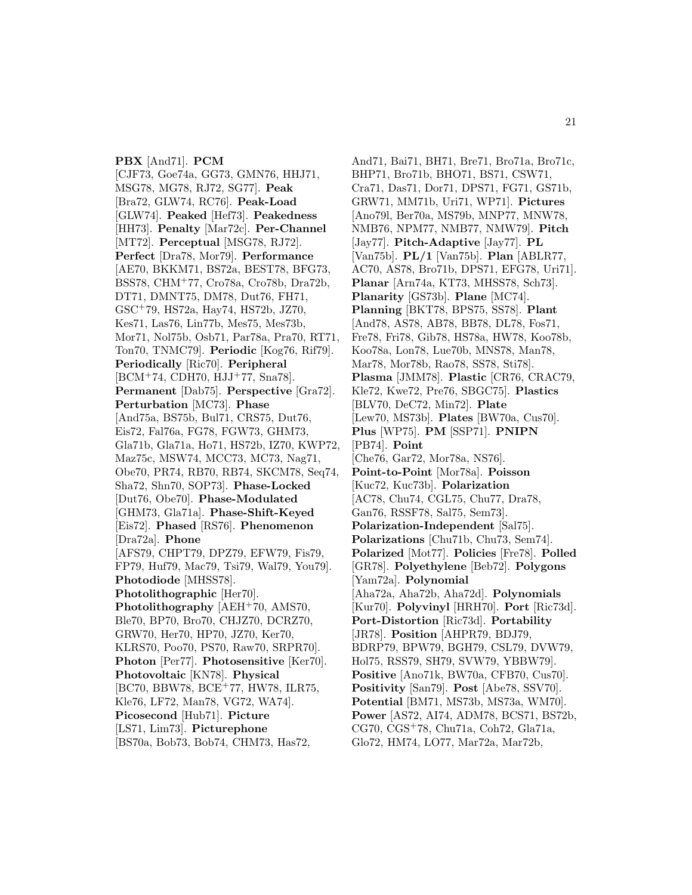**PBX** [And71]. **PCM** [CJF73, Goe74a, GG73, GMN76, HHJ71, MSG78, MG78, RJ72, SG77]. **Peak** [Bra72, GLW74, RC76]. **Peak-Load** [GLW74]. **Peaked** [Hef73]. **Peakedness** [HH73]. **Penalty** [Mar72c]. **Per-Channel** [MT72]. **Perceptual** [MSG78, RJ72]. **Perfect** [Dra78, Mor79]. **Performance** [AE70, BKKM71, BS72a, BEST78, BFG73, BSS78, CHM<sup>+</sup>77, Cro78a, Cro78b, Dra72b, DT71, DMNT75, DM78, Dut76, FH71, GSC<sup>+</sup>79, HS72a, Hay74, HS72b, JZ70, Kes71, Las76, Lin77b, Mes75, Mes73b, Mor71, Nol75b, Osb71, Par78a, Pra70, RT71, Ton70, TNMC79]. **Periodic** [Kog76, Rif79]. **Periodically** [Ric70]. **Peripheral** [BCM<sup>+</sup>74, CDH70, HJJ<sup>+</sup>77, Sna78]. **Permanent** [Dab75]. **Perspective** [Gra72]. **Perturbation** [MC73]. **Phase** [And75a, BS75b, Bul71, CRS75, Dut76, Eis72, Fal76a, FG78, FGW73, GHM73, Gla71b, Gla71a, Ho71, HS72b, IZ70, KWP72, Maz75c, MSW74, MCC73, MC73, Nag71, Obe70, PR74, RB70, RB74, SKCM78, Seq74, Sha72, Shn70, SOP73]. **Phase-Locked** [Dut76, Obe70]. **Phase-Modulated** [GHM73, Gla71a]. **Phase-Shift-Keyed** [Eis72]. **Phased** [RS76]. **Phenomenon** [Dra72a]. **Phone** [AFS79, CHPT79, DPZ79, EFW79, Fis79, FP79, Huf79, Mac79, Tsi79, Wal79, You79]. **Photodiode** [MHSS78]. **Photolithographic** [Her70]. **Photolithography** [AEH<sup>+</sup>70, AMS70, Ble70, BP70, Bro70, CHJZ70, DCRZ70, GRW70, Her70, HP70, JZ70, Ker70, KLRS70, Poo70, PS70, Raw70, SRPR70]. **Photon** [Per77]. **Photosensitive** [Ker70]. **Photovoltaic** [KN78]. **Physical** [BC70, BBW78, BCE<sup>+</sup>77, HW78, ILR75, Kle76, LF72, Man78, VG72, WA74]. **Picosecond** [Hub71]. **Picture** [LS71, Lim73]. **Picturephone** [BS70a, Bob73, Bob74, CHM73, Has72,

And71, Bai71, BH71, Bre71, Bro71a, Bro71c, BHP71, Bro71b, BHO71, BS71, CSW71, Cra71, Das71, Dor71, DPS71, FG71, GS71b, GRW71, MM71b, Uri71, WP71]. **Pictures** [Ano79l, Ber70a, MS79b, MNP77, MNW78, NMB76, NPM77, NMB77, NMW79]. **Pitch** [Jay77]. **Pitch-Adaptive** [Jay77]. **PL** [Van75b]. **PL/1** [Van75b]. **Plan** [ABLR77, AC70, AS78, Bro71b, DPS71, EFG78, Uri71]. **Planar** [Arn74a, KT73, MHSS78, Sch73]. **Planarity** [GS73b]. **Plane** [MC74]. **Planning** [BKT78, BPS75, SS78]. **Plant** [And78, AS78, AB78, BB78, DL78, Fos71, Fre78, Fri78, Gib78, HS78a, HW78, Koo78b, Koo78a, Lon78, Lue70b, MNS78, Man78, Mar78, Mor78b, Rao78, SS78, Sti78]. **Plasma** [JMM78]. **Plastic** [CR76, CRAC79, Kle72, Kwe72, Pre76, SBGC75]. **Plastics** [BLV70, DeC72, Min72]. **Plate** [Lew70, MS73b]. **Plates** [BW70a, Cus70]. **Plus** [WP75]. **PM** [SSP71]. **PNIPN** [PB74]. **Point** [Che76, Gar72, Mor78a, NS76]. **Point-to-Point** [Mor78a]. **Poisson** [Kuc72, Kuc73b]. **Polarization** [AC78, Chu74, CGL75, Chu77, Dra78, Gan76, RSSF78, Sal75, Sem73]. **Polarization-Independent** [Sal75]. **Polarizations** [Chu71b, Chu73, Sem74]. **Polarized** [Mot77]. **Policies** [Fre78]. **Polled** [GR78]. **Polyethylene** [Beb72]. **Polygons** [Yam72a]. **Polynomial** [Aha72a, Aha72b, Aha72d]. **Polynomials** [Kur70]. **Polyvinyl** [HRH70]. **Port** [Ric73d]. **Port-Distortion** [Ric73d]. **Portability** [JR78]. **Position** [AHPR79, BDJ79, BDRP79, BPW79, BGH79, CSL79, DVW79, Hol75, RSS79, SH79, SVW79, YBBW79]. **Positive** [Ano71k, BW70a, CFB70, Cus70]. **Positivity** [San79]. **Post** [Abe78, SSV70]. **Potential** [BM71, MS73b, MS73a, WM70]. **Power** [AS72, AI74, ADM78, BCS71, BS72b, CG70, CGS<sup>+</sup>78, Chu71a, Coh72, Gla71a, Glo72, HM74, LO77, Mar72a, Mar72b,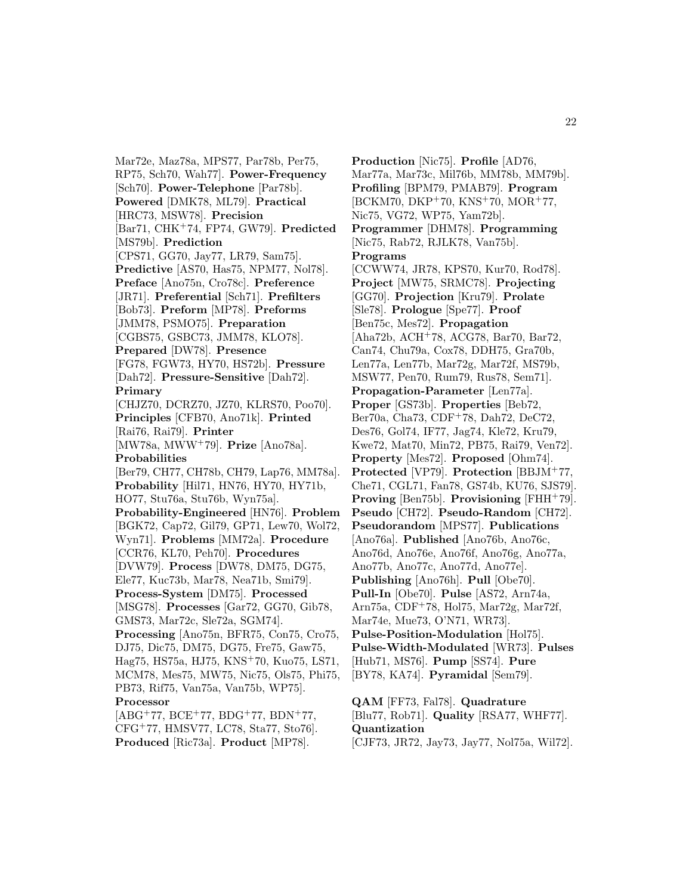Mar72e, Maz78a, MPS77, Par78b, Per75, RP75, Sch70, Wah77]. **Power-Frequency** [Sch70]. **Power-Telephone** [Par78b]. **Powered** [DMK78, ML79]. **Practical** [HRC73, MSW78]. **Precision** [Bar71, CHK<sup>+</sup>74, FP74, GW79]. **Predicted** [MS79b]. **Prediction** [CPS71, GG70, Jay77, LR79, Sam75]. **Predictive** [AS70, Has75, NPM77, Nol78]. **Preface** [Ano75n, Cro78c]. **Preference** [JR71]. **Preferential** [Sch71]. **Prefilters** [Bob73]. **Preform** [MP78]. **Preforms** [JMM78, PSMO75]. **Preparation** [CGBS75, GSBC73, JMM78, KLO78]. **Prepared** [DW78]. **Presence** [FG78, FGW73, HY70, HS72b]. **Pressure** [Dah72]. **Pressure-Sensitive** [Dah72]. **Primary** [CHJZ70, DCRZ70, JZ70, KLRS70, Poo70]. **Principles** [CFB70, Ano71k]. **Printed** [Rai76, Rai79]. **Printer** [MW78a, MWW<sup>+</sup>79]. **Prize** [Ano78a]. **Probabilities** [Ber79, CH77, CH78b, CH79, Lap76, MM78a]. **Probability** [Hil71, HN76, HY70, HY71b, HO77, Stu76a, Stu76b, Wyn75a]. **Probability-Engineered** [HN76]. **Problem** [BGK72, Cap72, Gil79, GP71, Lew70, Wol72, Wyn71]. **Problems** [MM72a]. **Procedure** [CCR76, KL70, Peh70]. **Procedures** [DVW79]. **Process** [DW78, DM75, DG75, Ele77, Kuc73b, Mar78, Nea71b, Smi79]. **Process-System** [DM75]. **Processed** [MSG78]. **Processes** [Gar72, GG70, Gib78, GMS73, Mar72c, Sle72a, SGM74]. **Processing** [Ano75n, BFR75, Con75, Cro75, DJ75, Dic75, DM75, DG75, Fre75, Gaw75, Hag75, HS75a, HJ75, KNS<sup>+</sup>70, Kuo75, LS71, MCM78, Mes75, MW75, Nic75, Ols75, Phi75, PB73, Rif75, Van75a, Van75b, WP75]. **Processor**  $[ABC^{+}77, BCE^{+}77, BDG^{+}77, BDN^{+}77,$ 

CFG<sup>+</sup>77, HMSV77, LC78, Sta77, Sto76]. **Produced** [Ric73a]. **Product** [MP78].

**Production** [Nic75]. **Profile** [AD76, Mar77a, Mar73c, Mil76b, MM78b, MM79b]. **Profiling** [BPM79, PMAB79]. **Program** [BCKM70, DKP<sup>+</sup>70, KNS<sup>+</sup>70, MOR<sup>+</sup>77, Nic75, VG72, WP75, Yam72b]. **Programmer** [DHM78]. **Programming** [Nic75, Rab72, RJLK78, Van75b]. **Programs** [CCWW74, JR78, KPS70, Kur70, Rod78]. **Project** [MW75, SRMC78]. **Projecting** [GG70]. **Projection** [Kru79]. **Prolate** [Sle78]. **Prologue** [Spe77]. **Proof** [Ben75c, Mes72]. **Propagation** [Aha72b, ACH<sup>+</sup>78, ACG78, Bar70, Bar72, Can74, Chu79a, Cox78, DDH75, Gra70b, Len77a, Len77b, Mar72g, Mar72f, MS79b, MSW77, Pen70, Rum79, Rus78, Sem71]. **Propagation-Parameter** [Len77a]. **Proper** [GS73b]. **Properties** [Beb72, Ber70a, Cha73, CDF<sup>+</sup>78, Dah72, DeC72, Des76, Gol74, IF77, Jag74, Kle72, Kru79, Kwe72, Mat70, Min72, PB75, Rai79, Ven72]. **Property** [Mes72]. **Proposed** [Ohm74]. **Protected** [VP79]. **Protection** [BBJM<sup>+</sup>77, Che71, CGL71, Fan78, GS74b, KU76, SJS79]. **Proving** [Ben75b]. **Provisioning** [FHH<sup>+</sup>79]. **Pseudo** [CH72]. **Pseudo-Random** [CH72]. **Pseudorandom** [MPS77]. **Publications** [Ano76a]. **Published** [Ano76b, Ano76c, Ano76d, Ano76e, Ano76f, Ano76g, Ano77a, Ano77b, Ano77c, Ano77d, Ano77e]. **Publishing** [Ano76h]. **Pull** [Obe70]. **Pull-In** [Obe70]. **Pulse** [AS72, Arn74a, Arn75a, CDF<sup>+</sup>78, Hol75, Mar72g, Mar72f, Mar74e, Mue73, O'N71, WR73]. **Pulse-Position-Modulation** [Hol75]. **Pulse-Width-Modulated** [WR73]. **Pulses** [Hub71, MS76]. **Pump** [SS74]. **Pure** [BY78, KA74]. **Pyramidal** [Sem79]. **QAM** [FF73, Fal78]. **Quadrature**

[Blu77, Rob71]. **Quality** [RSA77, WHF77]. **Quantization** [CJF73, JR72, Jay73, Jay77, Nol75a, Wil72].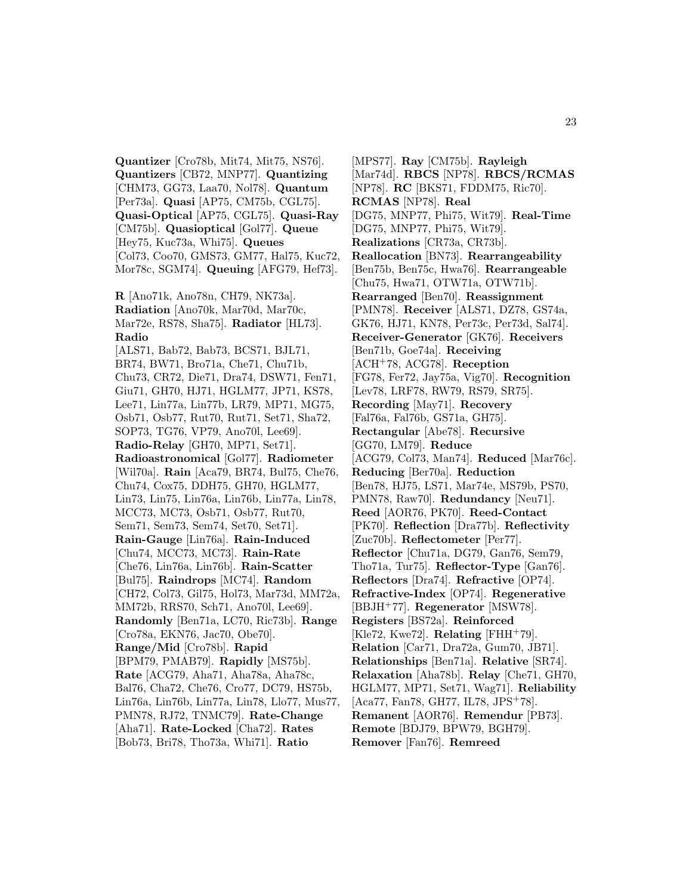**Quantizer** [Cro78b, Mit74, Mit75, NS76]. **Quantizers** [CB72, MNP77]. **Quantizing** [CHM73, GG73, Laa70, Nol78]. **Quantum** [Per73a]. **Quasi** [AP75, CM75b, CGL75]. **Quasi-Optical** [AP75, CGL75]. **Quasi-Ray** [CM75b]. **Quasioptical** [Gol77]. **Queue** [Hey75, Kuc73a, Whi75]. **Queues** [Col73, Coo70, GMS73, GM77, Hal75, Kuc72, Mor78c, SGM74]. **Queuing** [AFG79, Hef73].

**R** [Ano71k, Ano78n, CH79, NK73a]. **Radiation** [Ano70k, Mar70d, Mar70c, Mar72e, RS78, Sha75]. **Radiator** [HL73]. **Radio**

[ALS71, Bab72, Bab73, BCS71, BJL71, BR74, BW71, Bro71a, Che71, Chu71b, Chu73, CR72, Die71, Dra74, DSW71, Fen71, Giu71, GH70, HJ71, HGLM77, JP71, KS78, Lee71, Lin77a, Lin77b, LR79, MP71, MG75, Osb71, Osb77, Rut70, Rut71, Set71, Sha72, SOP73, TG76, VP79, Ano70l, Lee69]. **Radio-Relay** [GH70, MP71, Set71]. **Radioastronomical** [Gol77]. **Radiometer** [Wil70a]. **Rain** [Aca79, BR74, Bul75, Che76, Chu74, Cox75, DDH75, GH70, HGLM77, Lin73, Lin75, Lin76a, Lin76b, Lin77a, Lin78, MCC73, MC73, Osb71, Osb77, Rut70, Sem71, Sem73, Sem74, Set70, Set71]. **Rain-Gauge** [Lin76a]. **Rain-Induced** [Chu74, MCC73, MC73]. **Rain-Rate** [Che76, Lin76a, Lin76b]. **Rain-Scatter** [Bul75]. **Raindrops** [MC74]. **Random** [CH72, Col73, Gil75, Hol73, Mar73d, MM72a, MM72b, RRS70, Sch71, Ano70l, Lee69]. **Randomly** [Ben71a, LC70, Ric73b]. **Range** [Cro78a, EKN76, Jac70, Obe70]. **Range/Mid** [Cro78b]. **Rapid** [BPM79, PMAB79]. **Rapidly** [MS75b]. **Rate** [ACG79, Aha71, Aha78a, Aha78c, Bal76, Cha72, Che76, Cro77, DC79, HS75b, Lin76a, Lin76b, Lin77a, Lin78, Llo77, Mus77, PMN78, RJ72, TNMC79]. **Rate-Change** [Aha71]. **Rate-Locked** [Cha72]. **Rates** [Bob73, Bri78, Tho73a, Whi71]. **Ratio**

[MPS77]. **Ray** [CM75b]. **Rayleigh** [Mar74d]. **RBCS** [NP78]. **RBCS/RCMAS** [NP78]. **RC** [BKS71, FDDM75, Ric70]. **RCMAS** [NP78]. **Real** [DG75, MNP77, Phi75, Wit79]. **Real-Time** [DG75, MNP77, Phi75, Wit79]. **Realizations** [CR73a, CR73b]. **Reallocation** [BN73]. **Rearrangeability** [Ben75b, Ben75c, Hwa76]. **Rearrangeable** [Chu75, Hwa71, OTW71a, OTW71b]. **Rearranged** [Ben70]. **Reassignment** [PMN78]. **Receiver** [ALS71, DZ78, GS74a, GK76, HJ71, KN78, Per73c, Per73d, Sal74]. **Receiver-Generator** [GK76]. **Receivers** [Ben71b, Goe74a]. **Receiving** [ACH<sup>+</sup>78, ACG78]. **Reception** [FG78, Fer72, Jay75a, Vig70]. **Recognition** [Lev78, LRF78, RW79, RS79, SR75]. **Recording** [May71]. **Recovery** [Fal76a, Fal76b, GS71a, GH75]. **Rectangular** [Abe78]. **Recursive** [GG70, LM79]. **Reduce** [ACG79, Col73, Man74]. **Reduced** [Mar76c]. **Reducing** [Ber70a]. **Reduction** [Ben78, HJ75, LS71, Mar74e, MS79b, PS70, PMN78, Raw70]. **Redundancy** [Neu71]. **Reed** [AOR76, PK70]. **Reed-Contact** [PK70]. **Reflection** [Dra77b]. **Reflectivity** [Zuc70b]. **Reflectometer** [Per77]. **Reflector** [Chu71a, DG79, Gan76, Sem79, Tho71a, Tur75]. **Reflector-Type** [Gan76]. **Reflectors** [Dra74]. **Refractive** [OP74]. **Refractive-Index** [OP74]. **Regenerative** [BBJH<sup>+</sup>77]. **Regenerator** [MSW78]. **Registers** [BS72a]. **Reinforced** [Kle72, Kwe72]. **Relating** [FHH<sup>+</sup>79]. **Relation** [Car71, Dra72a, Gum70, JB71]. **Relationships** [Ben71a]. **Relative** [SR74]. **Relaxation** [Aha78b]. **Relay** [Che71, GH70, HGLM77, MP71, Set71, Wag71]. **Reliability** [Aca77, Fan78, GH77, IL78, JPS<sup>+</sup>78]. **Remanent** [AOR76]. **Remendur** [PB73]. **Remote** [BDJ79, BPW79, BGH79]. **Remover** [Fan76]. **Remreed**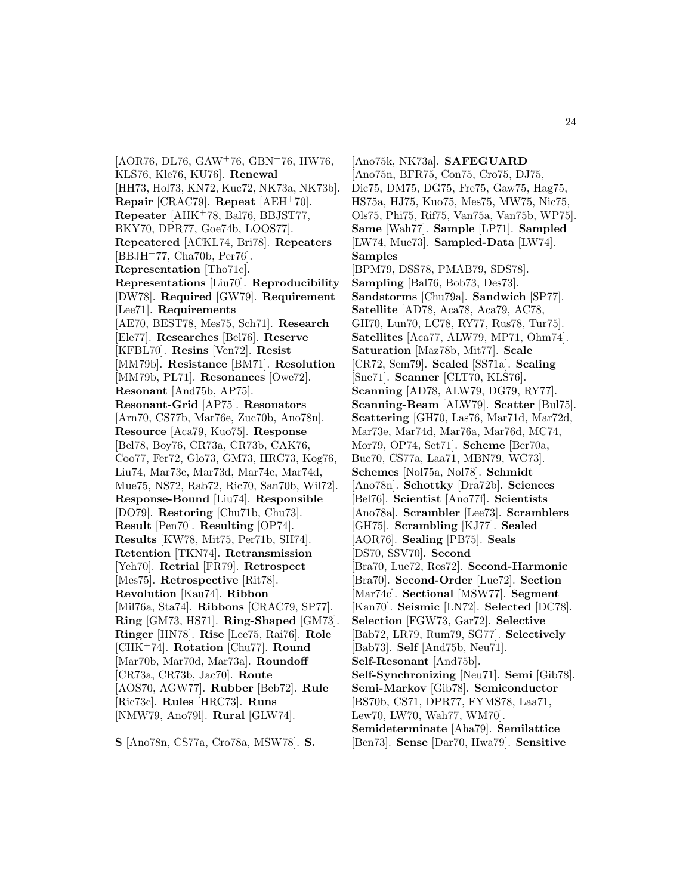$[AOR76, DL76, GAW<sup>+</sup>76, GBN<sup>+</sup>76, HW76,$ KLS76, Kle76, KU76]. **Renewal** [HH73, Hol73, KN72, Kuc72, NK73a, NK73b]. **Repair** [CRAC79]. **Repeat** [AEH<sup>+</sup>70]. **Repeater** [AHK<sup>+</sup>78, Bal76, BBJST77, BKY70, DPR77, Goe74b, LOOS77]. **Repeatered** [ACKL74, Bri78]. **Repeaters** [BBJH<sup>+</sup>77, Cha70b, Per76]. **Representation** [Tho71c]. **Representations** [Liu70]. **Reproducibility** [DW78]. **Required** [GW79]. **Requirement** [Lee71]. **Requirements** [AE70, BEST78, Mes75, Sch71]. **Research** [Ele77]. **Researches** [Bel76]. **Reserve** [KFBL70]. **Resins** [Ven72]. **Resist** [MM79b]. **Resistance** [BM71]. **Resolution** [MM79b, PL71]. **Resonances** [Owe72]. **Resonant** [And75b, AP75]. **Resonant-Grid** [AP75]. **Resonators** [Arn70, CS77b, Mar76e, Zuc70b, Ano78n]. **Resource** [Aca79, Kuo75]. **Response** [Bel78, Boy76, CR73a, CR73b, CAK76, Coo77, Fer72, Glo73, GM73, HRC73, Kog76, Liu74, Mar73c, Mar73d, Mar74c, Mar74d, Mue75, NS72, Rab72, Ric70, San70b, Wil72]. **Response-Bound** [Liu74]. **Responsible** [DO79]. **Restoring** [Chu71b, Chu73]. **Result** [Pen70]. **Resulting** [OP74]. **Results** [KW78, Mit75, Per71b, SH74]. **Retention** [TKN74]. **Retransmission** [Yeh70]. **Retrial** [FR79]. **Retrospect** [Mes75]. **Retrospective** [Rit78]. **Revolution** [Kau74]. **Ribbon** [Mil76a, Sta74]. **Ribbons** [CRAC79, SP77]. **Ring** [GM73, HS71]. **Ring-Shaped** [GM73]. **Ringer** [HN78]. **Rise** [Lee75, Rai76]. **Role** [CHK<sup>+</sup>74]. **Rotation** [Chu77]. **Round** [Mar70b, Mar70d, Mar73a]. **Roundoff** [CR73a, CR73b, Jac70]. **Route** [AOS70, AGW77]. **Rubber** [Beb72]. **Rule** [Ric73c]. **Rules** [HRC73]. **Runs** [NMW79, Ano79l]. **Rural** [GLW74].

**S** [Ano78n, CS77a, Cro78a, MSW78]. **S.**

[Ano75k, NK73a]. **SAFEGUARD** [Ano75n, BFR75, Con75, Cro75, DJ75, Dic75, DM75, DG75, Fre75, Gaw75, Hag75, HS75a, HJ75, Kuo75, Mes75, MW75, Nic75, Ols75, Phi75, Rif75, Van75a, Van75b, WP75]. **Same** [Wah77]. **Sample** [LP71]. **Sampled** [LW74, Mue73]. **Sampled-Data** [LW74]. **Samples** [BPM79, DSS78, PMAB79, SDS78]. **Sampling** [Bal76, Bob73, Des73]. **Sandstorms** [Chu79a]. **Sandwich** [SP77]. **Satellite** [AD78, Aca78, Aca79, AC78, GH70, Lun70, LC78, RY77, Rus78, Tur75]. **Satellites** [Aca77, ALW79, MP71, Ohm74]. **Saturation** [Maz78b, Mit77]. **Scale** [CR72, Sem79]. **Scaled** [SS71a]. **Scaling** [Sne71]. **Scanner** [CLT70, KLS76]. **Scanning** [AD78, ALW79, DG79, RY77]. **Scanning-Beam** [ALW79]. **Scatter** [Bul75]. **Scattering** [GH70, Las76, Mar71d, Mar72d, Mar73e, Mar74d, Mar76a, Mar76d, MC74, Mor79, OP74, Set71]. **Scheme** [Ber70a, Buc70, CS77a, Laa71, MBN79, WC73]. **Schemes** [Nol75a, Nol78]. **Schmidt** [Ano78n]. **Schottky** [Dra72b]. **Sciences** [Bel76]. **Scientist** [Ano77f]. **Scientists** [Ano78a]. **Scrambler** [Lee73]. **Scramblers** [GH75]. **Scrambling** [KJ77]. **Sealed** [AOR76]. **Sealing** [PB75]. **Seals** [DS70, SSV70]. **Second** [Bra70, Lue72, Ros72]. **Second-Harmonic** [Bra70]. **Second-Order** [Lue72]. **Section** [Mar74c]. **Sectional** [MSW77]. **Segment** [Kan70]. **Seismic** [LN72]. **Selected** [DC78]. **Selection** [FGW73, Gar72]. **Selective** [Bab72, LR79, Rum79, SG77]. **Selectively** [Bab73]. **Self** [And75b, Neu71]. **Self-Resonant** [And75b]. **Self-Synchronizing** [Neu71]. **Semi** [Gib78]. **Semi-Markov** [Gib78]. **Semiconductor** [BS70b, CS71, DPR77, FYMS78, Laa71, Lew70, LW70, Wah77, WM70]. **Semideterminate** [Aha79]. **Semilattice** [Ben73]. **Sense** [Dar70, Hwa79]. **Sensitive**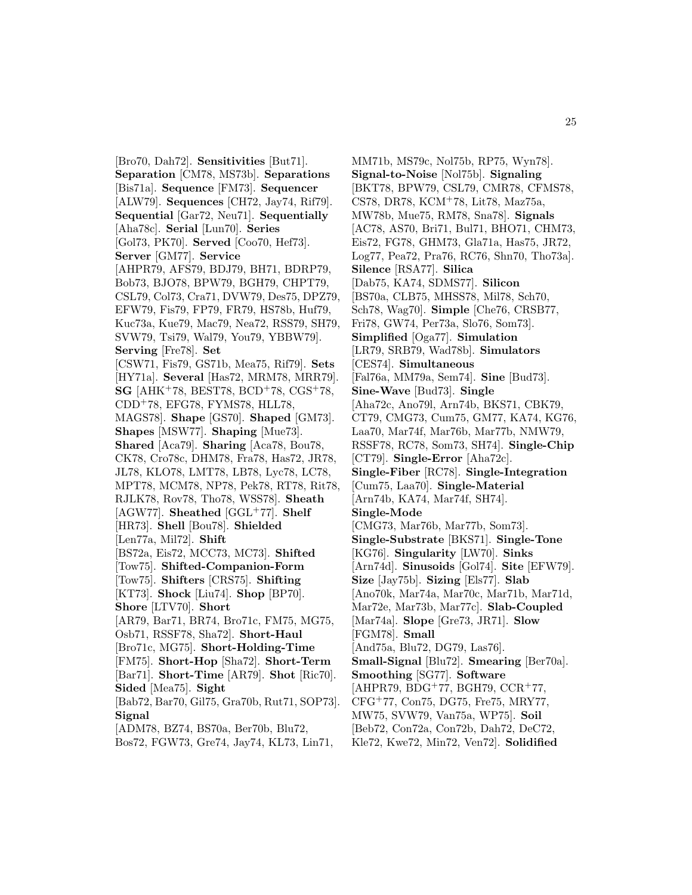[Bro70, Dah72]. **Sensitivities** [But71]. **Separation** [CM78, MS73b]. **Separations** [Bis71a]. **Sequence** [FM73]. **Sequencer** [ALW79]. **Sequences** [CH72, Jay74, Rif79]. **Sequential** [Gar72, Neu71]. **Sequentially** [Aha78c]. **Serial** [Lun70]. **Series** [Gol73, PK70]. **Served** [Coo70, Hef73]. **Server** [GM77]. **Service** [AHPR79, AFS79, BDJ79, BH71, BDRP79, Bob73, BJO78, BPW79, BGH79, CHPT79, CSL79, Col73, Cra71, DVW79, Des75, DPZ79, EFW79, Fis79, FP79, FR79, HS78b, Huf79, Kuc73a, Kue79, Mac79, Nea72, RSS79, SH79, SVW79, Tsi79, Wal79, You79, YBBW79]. **Serving** [Fre78]. **Set** [CSW71, Fis79, GS71b, Mea75, Rif79]. **Sets** [HY71a]. **Several** [Has72, MRM78, MRR79]. **SG** [AHK<sup>+</sup>78, BEST78, BCD<sup>+</sup>78, CGS<sup>+</sup>78, CDD<sup>+</sup>78, EFG78, FYMS78, HLL78, MAGS78]. **Shape** [GS70]. **Shaped** [GM73]. **Shapes** [MSW77]. **Shaping** [Mue73]. **Shared** [Aca79]. **Sharing** [Aca78, Bou78, CK78, Cro78c, DHM78, Fra78, Has72, JR78, JL78, KLO78, LMT78, LB78, Lyc78, LC78, MPT78, MCM78, NP78, Pek78, RT78, Rit78, RJLK78, Rov78, Tho78, WSS78]. **Sheath** [AGW77]. **Sheathed** [GGL<sup>+</sup>77]. **Shelf** [HR73]. **Shell** [Bou78]. **Shielded** [Len77a, Mil72]. **Shift** [BS72a, Eis72, MCC73, MC73]. **Shifted** [Tow75]. **Shifted-Companion-Form** [Tow75]. **Shifters** [CRS75]. **Shifting** [KT73]. **Shock** [Liu74]. **Shop** [BP70]. **Shore** [LTV70]. **Short** [AR79, Bar71, BR74, Bro71c, FM75, MG75, Osb71, RSSF78, Sha72]. **Short-Haul** [Bro71c, MG75]. **Short-Holding-Time** [FM75]. **Short-Hop** [Sha72]. **Short-Term** [Bar71]. **Short-Time** [AR79]. **Shot** [Ric70]. **Sided** [Mea75]. **Sight** [Bab72, Bar70, Gil75, Gra70b, Rut71, SOP73]. **Signal** [ADM78, BZ74, BS70a, Ber70b, Blu72, Bos72, FGW73, Gre74, Jay74, KL73, Lin71,

MM71b, MS79c, Nol75b, RP75, Wyn78]. **Signal-to-Noise** [Nol75b]. **Signaling** [BKT78, BPW79, CSL79, CMR78, CFMS78, CS78, DR78, KCM<sup>+</sup>78, Lit78, Maz75a, MW78b, Mue75, RM78, Sna78]. **Signals** [AC78, AS70, Bri71, Bul71, BHO71, CHM73, Eis72, FG78, GHM73, Gla71a, Has75, JR72, Log77, Pea72, Pra76, RC76, Shn70, Tho73a]. **Silence** [RSA77]. **Silica** [Dab75, KA74, SDMS77]. **Silicon** [BS70a, CLB75, MHSS78, Mil78, Sch70, Sch78, Wag70]. **Simple** [Che76, CRSB77, Fri78, GW74, Per73a, Slo76, Som73]. **Simplified** [Oga77]. **Simulation** [LR79, SRB79, Wad78b]. **Simulators** [CES74]. **Simultaneous** [Fal76a, MM79a, Sem74]. **Sine** [Bud73]. **Sine-Wave** [Bud73]. **Single** [Aha72c, Ano79l, Arn74b, BKS71, CBK79, CT79, CMG73, Cum75, GM77, KA74, KG76, Laa70, Mar74f, Mar76b, Mar77b, NMW79, RSSF78, RC78, Som73, SH74]. **Single-Chip** [CT79]. **Single-Error** [Aha72c]. **Single-Fiber** [RC78]. **Single-Integration** [Cum75, Laa70]. **Single-Material** [Arn74b, KA74, Mar74f, SH74]. **Single-Mode** [CMG73, Mar76b, Mar77b, Som73]. **Single-Substrate** [BKS71]. **Single-Tone** [KG76]. **Singularity** [LW70]. **Sinks** [Arn74d]. **Sinusoids** [Gol74]. **Site** [EFW79]. **Size** [Jay75b]. **Sizing** [Els77]. **Slab** [Ano70k, Mar74a, Mar70c, Mar71b, Mar71d, Mar72e, Mar73b, Mar77c]. **Slab-Coupled** [Mar74a]. **Slope** [Gre73, JR71]. **Slow** [FGM78]. **Small** [And75a, Blu72, DG79, Las76]. **Small-Signal** [Blu72]. **Smearing** [Ber70a]. **Smoothing** [SG77]. **Software** [AHPR79, BDG<sup>+</sup>77, BGH79, CCR<sup>+</sup>77, CFG<sup>+</sup>77, Con75, DG75, Fre75, MRY77, MW75, SVW79, Van75a, WP75]. **Soil** [Beb72, Con72a, Con72b, Dah72, DeC72,

Kle72, Kwe72, Min72, Ven72]. **Solidified**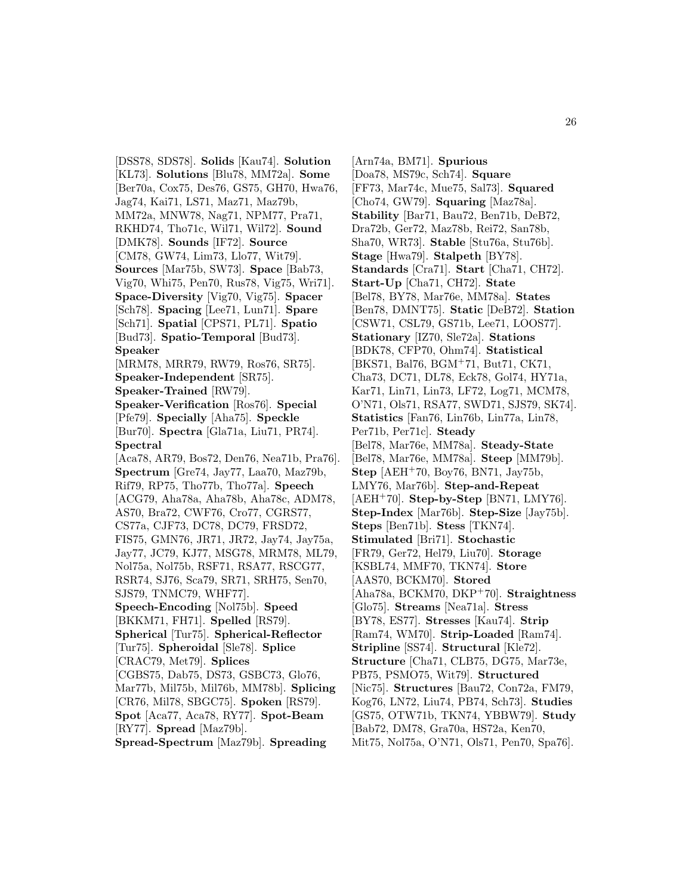[DSS78, SDS78]. **Solids** [Kau74]. **Solution** [KL73]. **Solutions** [Blu78, MM72a]. **Some** [Ber70a, Cox75, Des76, GS75, GH70, Hwa76, Jag74, Kai71, LS71, Maz71, Maz79b, MM72a, MNW78, Nag71, NPM77, Pra71, RKHD74, Tho71c, Wil71, Wil72]. **Sound** [DMK78]. **Sounds** [IF72]. **Source** [CM78, GW74, Lim73, Llo77, Wit79]. **Sources** [Mar75b, SW73]. **Space** [Bab73, Vig70, Whi75, Pen70, Rus78, Vig75, Wri71]. **Space-Diversity** [Vig70, Vig75]. **Spacer** [Sch78]. **Spacing** [Lee71, Lun71]. **Spare** [Sch71]. **Spatial** [CPS71, PL71]. **Spatio** [Bud73]. **Spatio-Temporal** [Bud73]. **Speaker** [MRM78, MRR79, RW79, Ros76, SR75]. **Speaker-Independent** [SR75]. **Speaker-Trained** [RW79]. **Speaker-Verification** [Ros76]. **Special** [Pfe79]. **Specially** [Aha75]. **Speckle** [Bur70]. **Spectra** [Gla71a, Liu71, PR74]. **Spectral** [Aca78, AR79, Bos72, Den76, Nea71b, Pra76]. **Spectrum** [Gre74, Jay77, Laa70, Maz79b, Rif79, RP75, Tho77b, Tho77a]. **Speech** [ACG79, Aha78a, Aha78b, Aha78c, ADM78, AS70, Bra72, CWF76, Cro77, CGRS77, CS77a, CJF73, DC78, DC79, FRSD72, FIS75, GMN76, JR71, JR72, Jay74, Jay75a, Jay77, JC79, KJ77, MSG78, MRM78, ML79, Nol75a, Nol75b, RSF71, RSA77, RSCG77, RSR74, SJ76, Sca79, SR71, SRH75, Sen70, SJS79, TNMC79, WHF77]. **Speech-Encoding** [Nol75b]. **Speed** [BKKM71, FH71]. **Spelled** [RS79]. **Spherical** [Tur75]. **Spherical-Reflector** [Tur75]. **Spheroidal** [Sle78]. **Splice** [CRAC79, Met79]. **Splices** [CGBS75, Dab75, DS73, GSBC73, Glo76, Mar77b, Mil75b, Mil76b, MM78b]. **Splicing** [CR76, Mil78, SBGC75]. **Spoken** [RS79]. **Spot** [Aca77, Aca78, RY77]. **Spot-Beam** [RY77]. **Spread** [Maz79b]. **Spread-Spectrum** [Maz79b]. **Spreading**

[Arn74a, BM71]. **Spurious** [Doa78, MS79c, Sch74]. **Square** [FF73, Mar74c, Mue75, Sal73]. **Squared** [Cho74, GW79]. **Squaring** [Maz78a]. **Stability** [Bar71, Bau72, Ben71b, DeB72, Dra72b, Ger72, Maz78b, Rei72, San78b, Sha70, WR73]. **Stable** [Stu76a, Stu76b]. **Stage** [Hwa79]. **Stalpeth** [BY78]. **Standards** [Cra71]. **Start** [Cha71, CH72]. **Start-Up** [Cha71, CH72]. **State** [Bel78, BY78, Mar76e, MM78a]. **States** [Ben78, DMNT75]. **Static** [DeB72]. **Station** [CSW71, CSL79, GS71b, Lee71, LOOS77]. **Stationary** [IZ70, Sle72a]. **Stations** [BDK78, CFP70, Ohm74]. **Statistical** [BKS71, Bal76, BGM<sup>+</sup>71, But71, CK71, Cha73, DC71, DL78, Eck78, Gol74, HY71a, Kar71, Lin71, Lin73, LF72, Log71, MCM78, O'N71, Ols71, RSA77, SWD71, SJS79, SK74]. **Statistics** [Fan76, Lin76b, Lin77a, Lin78, Per71b, Per71c]. **Steady** [Bel78, Mar76e, MM78a]. **Steady-State** [Bel78, Mar76e, MM78a]. **Steep** [MM79b]. **Step** [AEH<sup>+</sup>70, Boy76, BN71, Jay75b, LMY76, Mar76b]. **Step-and-Repeat** [AEH<sup>+</sup>70]. **Step-by-Step** [BN71, LMY76]. **Step-Index** [Mar76b]. **Step-Size** [Jay75b]. **Steps** [Ben71b]. **Stess** [TKN74]. **Stimulated** [Bri71]. **Stochastic** [FR79, Ger72, Hel79, Liu70]. **Storage** [KSBL74, MMF70, TKN74]. **Store** [AAS70, BCKM70]. **Stored** [Aha78a, BCKM70, DKP<sup>+</sup>70]. **Straightness** [Glo75]. **Streams** [Nea71a]. **Stress** [BY78, ES77]. **Stresses** [Kau74]. **Strip** [Ram74, WM70]. **Strip-Loaded** [Ram74]. **Stripline** [SS74]. **Structural** [Kle72]. **Structure** [Cha71, CLB75, DG75, Mar73e, PB75, PSMO75, Wit79]. **Structured** [Nic75]. **Structures** [Bau72, Con72a, FM79, Kog76, LN72, Liu74, PB74, Sch73]. **Studies** [GS75, OTW71b, TKN74, YBBW79]. **Study** [Bab72, DM78, Gra70a, HS72a, Ken70, Mit75, Nol75a, O'N71, Ols71, Pen70, Spa76].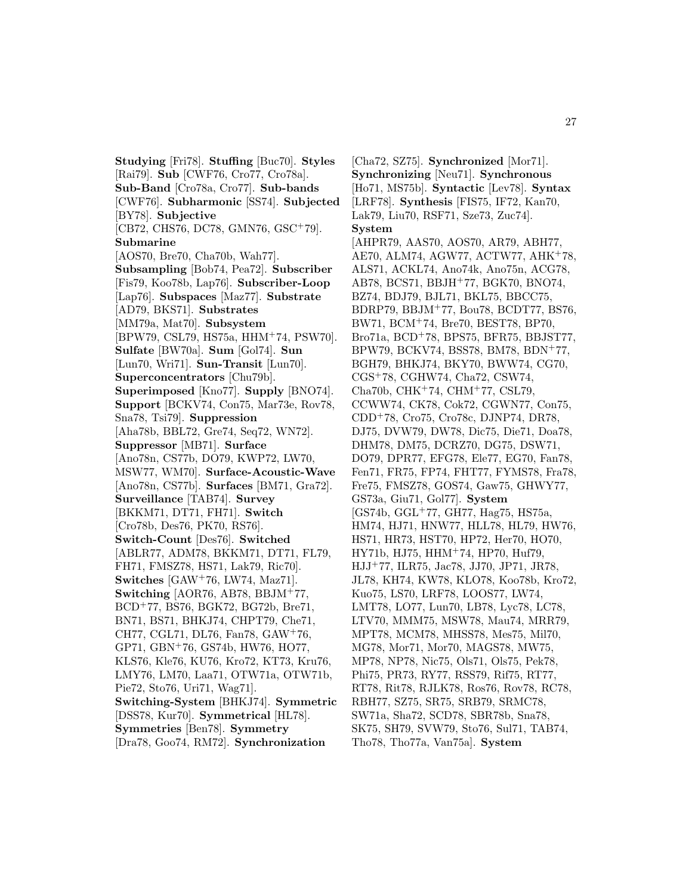**Studying** [Fri78]. **Stuffing** [Buc70]. **Styles** [Rai79]. **Sub** [CWF76, Cro77, Cro78a]. **Sub-Band** [Cro78a, Cro77]. **Sub-bands** [CWF76]. **Subharmonic** [SS74]. **Subjected** [BY78]. **Subjective** [CB72, CHS76, DC78, GMN76, GSC<sup>+</sup>79]. **Submarine** [AOS70, Bre70, Cha70b, Wah77]. **Subsampling** [Bob74, Pea72]. **Subscriber** [Fis79, Koo78b, Lap76]. **Subscriber-Loop** [Lap76]. **Subspaces** [Maz77]. **Substrate** [AD79, BKS71]. **Substrates** [MM79a, Mat70]. **Subsystem** [BPW79, CSL79, HS75a, HHM<sup>+</sup>74, PSW70]. **Sulfate** [BW70a]. **Sum** [Gol74]. **Sun** [Lun70, Wri71]. **Sun-Transit** [Lun70]. **Superconcentrators** [Chu79b]. **Superimposed** [Kno77]. **Supply** [BNO74]. **Support** [BCKV74, Con75, Mar73e, Rov78, Sna78, Tsi79]. **Suppression** [Aha78b, BBL72, Gre74, Seq72, WN72]. **Suppressor** [MB71]. **Surface** [Ano78n, CS77b, DO79, KWP72, LW70, MSW77, WM70]. **Surface-Acoustic-Wave** [Ano78n, CS77b]. **Surfaces** [BM71, Gra72]. **Surveillance** [TAB74]. **Survey** [BKKM71, DT71, FH71]. **Switch** [Cro78b, Des76, PK70, RS76]. **Switch-Count** [Des76]. **Switched** [ABLR77, ADM78, BKKM71, DT71, FL79, FH71, FMSZ78, HS71, Lak79, Ric70]. **Switches** [GAW<sup>+</sup>76, LW74, Maz71]. **Switching** [AOR76, AB78, BBJM<sup>+</sup>77, BCD<sup>+</sup>77, BS76, BGK72, BG72b, Bre71, BN71, BS71, BHKJ74, CHPT79, Che71, CH77, CGL71, DL76, Fan78, GAW<sup>+</sup>76, GP71, GBN<sup>+</sup>76, GS74b, HW76, HO77, KLS76, Kle76, KU76, Kro72, KT73, Kru76, LMY76, LM70, Laa71, OTW71a, OTW71b, Pie72, Sto76, Uri71, Wag71]. **Switching-System** [BHKJ74]. **Symmetric** [DSS78, Kur70]. **Symmetrical** [HL78]. **Symmetries** [Ben78]. **Symmetry** [Dra78, Goo74, RM72]. **Synchronization**

[Cha72, SZ75]. **Synchronized** [Mor71]. **Synchronizing** [Neu71]. **Synchronous** [Ho71, MS75b]. **Syntactic** [Lev78]. **Syntax** [LRF78]. **Synthesis** [FIS75, IF72, Kan70, Lak79, Liu70, RSF71, Sze73, Zuc74]. **System** [AHPR79, AAS70, AOS70, AR79, ABH77, AE70, ALM74, AGW77, ACTW77, AHK<sup>+</sup>78, ALS71, ACKL74, Ano74k, Ano75n, ACG78, AB78, BCS71, BBJH<sup>+</sup>77, BGK70, BNO74, BZ74, BDJ79, BJL71, BKL75, BBCC75, BDRP79, BBJM<sup>+</sup>77, Bou78, BCDT77, BS76, BW71, BCM<sup>+</sup>74, Bre70, BEST78, BP70, Bro71a, BCD<sup>+</sup>78, BPS75, BFR75, BBJST77, BPW79, BCKV74, BSS78, BM78, BDN<sup>+</sup>77, BGH79, BHKJ74, BKY70, BWW74, CG70, CGS<sup>+</sup>78, CGHW74, Cha72, CSW74, Cha70b, CHK<sup>+</sup>74, CHM<sup>+</sup>77, CSL79, CCWW74, CK78, Cok72, CGWN77, Con75, CDD<sup>+</sup>78, Cro75, Cro78c, DJNP74, DR78, DJ75, DVW79, DW78, Dic75, Die71, Doa78, DHM78, DM75, DCRZ70, DG75, DSW71, DO79, DPR77, EFG78, Ele77, EG70, Fan78, Fen71, FR75, FP74, FHT77, FYMS78, Fra78, Fre75, FMSZ78, GOS74, Gaw75, GHWY77, GS73a, Giu71, Gol77]. **System** [GS74b, GGL<sup>+</sup>77, GH77, Hag75, HS75a, HM74, HJ71, HNW77, HLL78, HL79, HW76, HS71, HR73, HST70, HP72, Her70, HO70, HY71b, HJ75, HHM<sup>+</sup>74, HP70, Huf79, HJJ<sup>+</sup>77, ILR75, Jac78, JJ70, JP71, JR78, JL78, KH74, KW78, KLO78, Koo78b, Kro72, Kuo75, LS70, LRF78, LOOS77, LW74, LMT78, LO77, Lun70, LB78, Lyc78, LC78, LTV70, MMM75, MSW78, Mau74, MRR79, MPT78, MCM78, MHSS78, Mes75, Mil70, MG78, Mor71, Mor70, MAGS78, MW75, MP78, NP78, Nic75, Ols71, Ols75, Pek78, Phi75, PR73, RY77, RSS79, Rif75, RT77, RT78, Rit78, RJLK78, Ros76, Rov78, RC78, RBH77, SZ75, SR75, SRB79, SRMC78, SW71a, Sha72, SCD78, SBR78b, Sna78, SK75, SH79, SVW79, Sto76, Sul71, TAB74, Tho78, Tho77a, Van75a]. **System**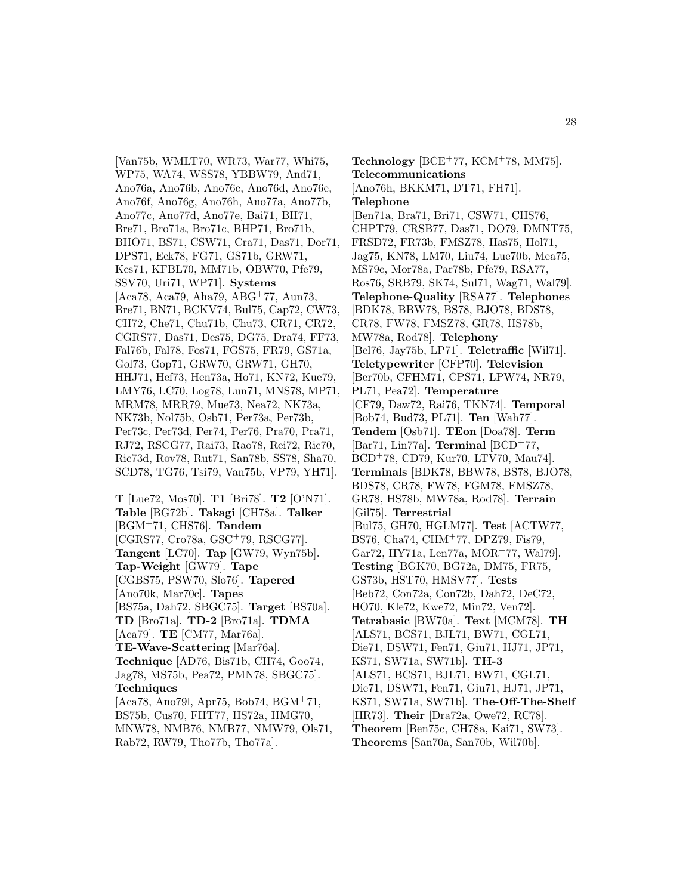[Van75b, WMLT70, WR73, War77, Whi75, WP75, WA74, WSS78, YBBW79, And71, Ano76a, Ano76b, Ano76c, Ano76d, Ano76e, Ano76f, Ano76g, Ano76h, Ano77a, Ano77b, Ano77c, Ano77d, Ano77e, Bai71, BH71, Bre71, Bro71a, Bro71c, BHP71, Bro71b, BHO71, BS71, CSW71, Cra71, Das71, Dor71, DPS71, Eck78, FG71, GS71b, GRW71, Kes71, KFBL70, MM71b, OBW70, Pfe79, SSV70, Uri71, WP71]. **Systems** [Aca78, Aca79, Aha79, ABG<sup>+</sup>77, Aun73, Bre71, BN71, BCKV74, Bul75, Cap72, CW73, CH72, Che71, Chu71b, Chu73, CR71, CR72, CGRS77, Das71, Des75, DG75, Dra74, FF73, Fal76b, Fal78, Fos71, FGS75, FR79, GS71a, Gol73, Gop71, GRW70, GRW71, GH70, HHJ71, Hef73, Hen73a, Ho71, KN72, Kue79, LMY76, LC70, Log78, Lun71, MNS78, MP71, MRM78, MRR79, Mue73, Nea72, NK73a, NK73b, Nol75b, Osb71, Per73a, Per73b, Per73c, Per73d, Per74, Per76, Pra70, Pra71, RJ72, RSCG77, Rai73, Rao78, Rei72, Ric70, Ric73d, Rov78, Rut71, San78b, SS78, Sha70, SCD78, TG76, Tsi79, Van75b, VP79, YH71].

**T** [Lue72, Mos70]. **T1** [Bri78]. **T2** [O'N71]. **Table** [BG72b]. **Takagi** [CH78a]. **Talker** [BGM<sup>+</sup>71, CHS76]. **Tandem** [CGRS77, Cro78a, GSC<sup>+</sup>79, RSCG77]. **Tangent** [LC70]. **Tap** [GW79, Wyn75b]. **Tap-Weight** [GW79]. **Tape** [CGBS75, PSW70, Slo76]. **Tapered** [Ano70k, Mar70c]. **Tapes** [BS75a, Dah72, SBGC75]. **Target** [BS70a]. **TD** [Bro71a]. **TD-2** [Bro71a]. **TDMA** [Aca79]. **TE** [CM77, Mar76a]. **TE-Wave-Scattering** [Mar76a]. **Technique** [AD76, Bis71b, CH74, Goo74, Jag78, MS75b, Pea72, PMN78, SBGC75]. **Techniques** [Aca78, Ano79l, Apr75, Bob74, BGM<sup>+</sup>71, BS75b, Cus70, FHT77, HS72a, HMG70, MNW78, NMB76, NMB77, NMW79, Ols71,

Rab72, RW79, Tho77b, Tho77a].

**Technology** [BCE<sup>+</sup>77, KCM<sup>+</sup>78, MM75]. **Telecommunications** [Ano76h, BKKM71, DT71, FH71]. **Telephone** [Ben71a, Bra71, Bri71, CSW71, CHS76, CHPT79, CRSB77, Das71, DO79, DMNT75, FRSD72, FR73b, FMSZ78, Has75, Hol71, Jag75, KN78, LM70, Liu74, Lue70b, Mea75, MS79c, Mor78a, Par78b, Pfe79, RSA77, Ros76, SRB79, SK74, Sul71, Wag71, Wal79]. **Telephone-Quality** [RSA77]. **Telephones** [BDK78, BBW78, BS78, BJO78, BDS78, CR78, FW78, FMSZ78, GR78, HS78b, MW78a, Rod78]. **Telephony** [Bel76, Jay75b, LP71]. **Teletraffic** [Wil71]. **Teletypewriter** [CFP70]. **Television** [Ber70b, CFHM71, CPS71, LPW74, NR79, PL71, Pea72]. **Temperature** [CF79, Daw72, Rai76, TKN74]. **Temporal** [Bob74, Bud73, PL71]. **Ten** [Wah77]. **Tendem** [Osb71]. **TEon** [Doa78]. **Term** [Bar71, Lin77a]. **Terminal** [BCD<sup>+</sup>77, BCD<sup>+</sup>78, CD79, Kur70, LTV70, Mau74]. **Terminals** [BDK78, BBW78, BS78, BJO78, BDS78, CR78, FW78, FGM78, FMSZ78, GR78, HS78b, MW78a, Rod78]. **Terrain** [Gil75]. **Terrestrial** [Bul75, GH70, HGLM77]. **Test** [ACTW77, BS76, Cha74, CHM<sup>+</sup>77, DPZ79, Fis79, Gar72, HY71a, Len77a, MOR<sup>+</sup>77, Wal79]. **Testing** [BGK70, BG72a, DM75, FR75, GS73b, HST70, HMSV77]. **Tests** [Beb72, Con72a, Con72b, Dah72, DeC72, HO70, Kle72, Kwe72, Min72, Ven72]. **Tetrabasic** [BW70a]. **Text** [MCM78]. **TH** [ALS71, BCS71, BJL71, BW71, CGL71, Die71, DSW71, Fen71, Giu71, HJ71, JP71, KS71, SW71a, SW71b]. **TH-3** [ALS71, BCS71, BJL71, BW71, CGL71, Die71, DSW71, Fen71, Giu71, HJ71, JP71, KS71, SW71a, SW71b]. **The-Off-The-Shelf** [HR73]. **Their** [Dra72a, Owe72, RC78]. **Theorem** [Ben75c, CH78a, Kai71, SW73]. **Theorems** [San70a, San70b, Wil70b].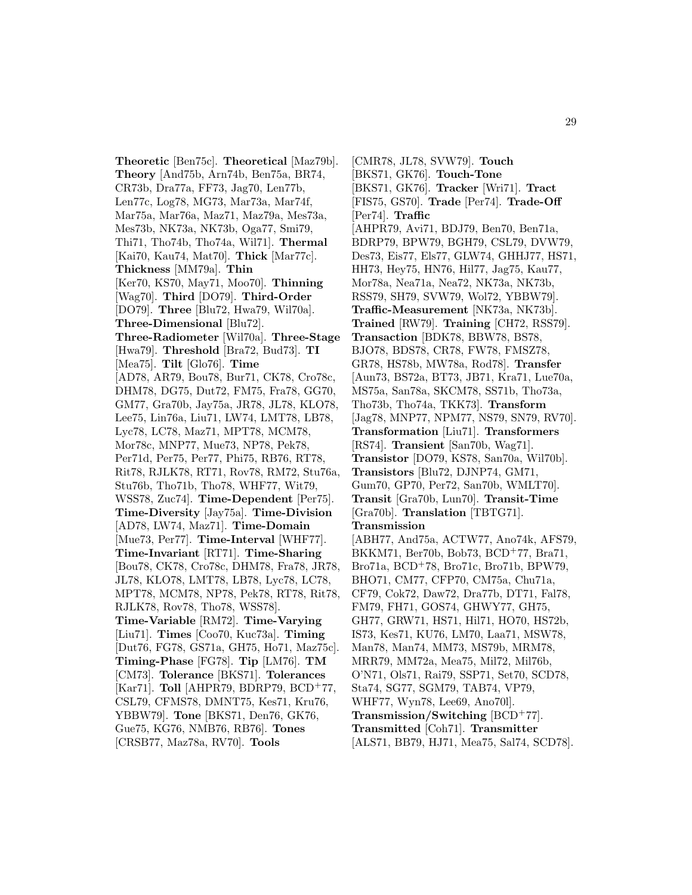**Theoretic** [Ben75c]. **Theoretical** [Maz79b]. **Theory** [And75b, Arn74b, Ben75a, BR74, CR73b, Dra77a, FF73, Jag70, Len77b, Len77c, Log78, MG73, Mar73a, Mar74f, Mar75a, Mar76a, Maz71, Maz79a, Mes73a, Mes73b, NK73a, NK73b, Oga77, Smi79, Thi71, Tho74b, Tho74a, Wil71]. **Thermal** [Kai70, Kau74, Mat70]. **Thick** [Mar77c]. **Thickness** [MM79a]. **Thin** [Ker70, KS70, May71, Moo70]. **Thinning** [Wag70]. **Third** [DO79]. **Third-Order** [DO79]. **Three** [Blu72, Hwa79, Wil70a]. **Three-Dimensional** [Blu72]. **Three-Radiometer** [Wil70a]. **Three-Stage** [Hwa79]. **Threshold** [Bra72, Bud73]. **TI** [Mea75]. **Tilt** [Glo76]. **Time** [AD78, AR79, Bou78, Bur71, CK78, Cro78c, DHM78, DG75, Dut72, FM75, Fra78, GG70, GM77, Gra70b, Jay75a, JR78, JL78, KLO78, Lee75, Lin76a, Liu71, LW74, LMT78, LB78, Lyc78, LC78, Maz71, MPT78, MCM78, Mor78c, MNP77, Mue73, NP78, Pek78, Per71d, Per75, Per77, Phi75, RB76, RT78, Rit78, RJLK78, RT71, Rov78, RM72, Stu76a, Stu76b, Tho71b, Tho78, WHF77, Wit79, WSS78, Zuc74]. **Time-Dependent** [Per75]. **Time-Diversity** [Jay75a]. **Time-Division** [AD78, LW74, Maz71]. **Time-Domain** [Mue73, Per77]. **Time-Interval** [WHF77]. **Time-Invariant** [RT71]. **Time-Sharing** [Bou78, CK78, Cro78c, DHM78, Fra78, JR78, JL78, KLO78, LMT78, LB78, Lyc78, LC78, MPT78, MCM78, NP78, Pek78, RT78, Rit78, RJLK78, Rov78, Tho78, WSS78]. **Time-Variable** [RM72]. **Time-Varying** [Liu71]. **Times** [Coo70, Kuc73a]. **Timing** [Dut76, FG78, GS71a, GH75, Ho71, Maz75c]. **Timing-Phase** [FG78]. **Tip** [LM76]. **TM** [CM73]. **Tolerance** [BKS71]. **Tolerances** [Kar71]. **Toll** [AHPR79, BDRP79, BCD<sup>+</sup>77, CSL79, CFMS78, DMNT75, Kes71, Kru76, YBBW79]. **Tone** [BKS71, Den76, GK76, Gue75, KG76, NMB76, RB76]. **Tones** [CRSB77, Maz78a, RV70]. **Tools**

[CMR78, JL78, SVW79]. **Touch** [BKS71, GK76]. **Touch-Tone** [BKS71, GK76]. **Tracker** [Wri71]. **Tract** [FIS75, GS70]. **Trade** [Per74]. **Trade-Off** [Per74]. **Traffic** [AHPR79, Avi71, BDJ79, Ben70, Ben71a, BDRP79, BPW79, BGH79, CSL79, DVW79, Des73, Eis77, Els77, GLW74, GHHJ77, HS71, HH73, Hey75, HN76, Hil77, Jag75, Kau77, Mor78a, Nea71a, Nea72, NK73a, NK73b, RSS79, SH79, SVW79, Wol72, YBBW79]. **Traffic-Measurement** [NK73a, NK73b]. **Trained** [RW79]. **Training** [CH72, RSS79]. **Transaction** [BDK78, BBW78, BS78, BJO78, BDS78, CR78, FW78, FMSZ78, GR78, HS78b, MW78a, Rod78]. **Transfer** [Aun73, BS72a, BT73, JB71, Kra71, Lue70a, MS75a, San78a, SKCM78, SS71b, Tho73a, Tho73b, Tho74a, TKK73]. **Transform** [Jag78, MNP77, NPM77, NS79, SN79, RV70]. **Transformation** [Liu71]. **Transformers** [RS74]. **Transient** [San70b, Wag71]. **Transistor** [DO79, KS78, San70a, Wil70b]. **Transistors** [Blu72, DJNP74, GM71, Gum70, GP70, Per72, San70b, WMLT70]. **Transit** [Gra70b, Lun70]. **Transit-Time** [Gra70b]. **Translation** [TBTG71]. **Transmission** [ABH77, And75a, ACTW77, Ano74k, AFS79,

BKKM71, Ber70b, Bob73, BCD<sup>+</sup>77, Bra71, Bro71a, BCD<sup>+</sup>78, Bro71c, Bro71b, BPW79, BHO71, CM77, CFP70, CM75a, Chu71a, CF79, Cok72, Daw72, Dra77b, DT71, Fal78, FM79, FH71, GOS74, GHWY77, GH75, GH77, GRW71, HS71, Hil71, HO70, HS72b, IS73, Kes71, KU76, LM70, Laa71, MSW78, Man78, Man74, MM73, MS79b, MRM78, MRR79, MM72a, Mea75, Mil72, Mil76b, O'N71, Ols71, Rai79, SSP71, Set70, SCD78, Sta74, SG77, SGM79, TAB74, VP79, WHF77, Wyn78, Lee69, Ano70l]. **Transmission/Switching** [BCD<sup>+</sup>77]. **Transmitted** [Coh71]. **Transmitter**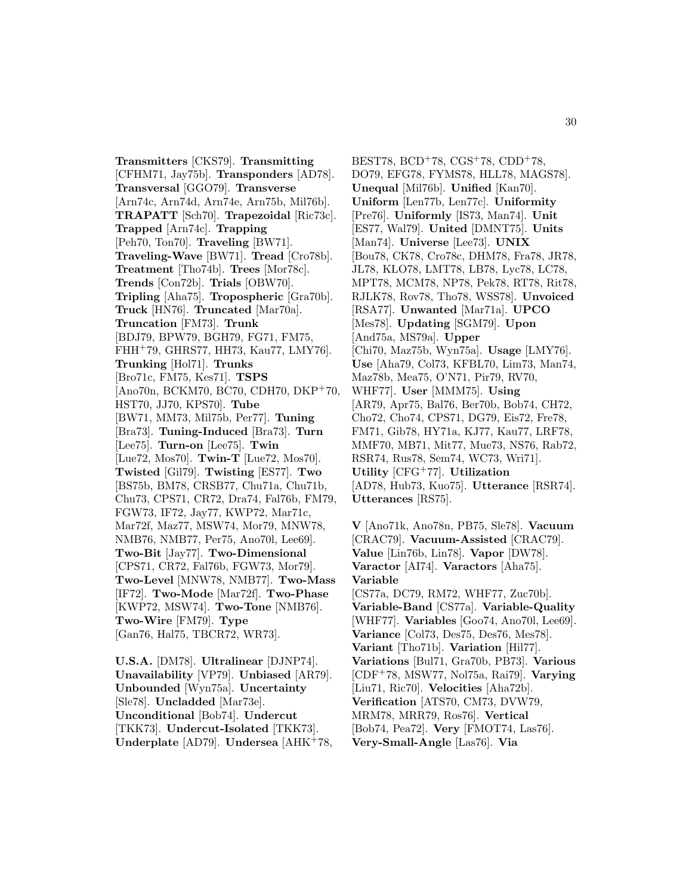**Transmitters** [CKS79]. **Transmitting** [CFHM71, Jay75b]. **Transponders** [AD78]. **Transversal** [GGO79]. **Transverse** [Arn74c, Arn74d, Arn74e, Arn75b, Mil76b]. **TRAPATT** [Sch70]. **Trapezoidal** [Ric73c]. **Trapped** [Arn74c]. **Trapping** [Peh70, Ton70]. **Traveling** [BW71]. **Traveling-Wave** [BW71]. **Tread** [Cro78b]. **Treatment** [Tho74b]. **Trees** [Mor78c]. **Trends** [Con72b]. **Trials** [OBW70]. **Tripling** [Aha75]. **Tropospheric** [Gra70b]. **Truck** [HN76]. **Truncated** [Mar70a]. **Truncation** [FM73]. **Trunk** [BDJ79, BPW79, BGH79, FG71, FM75, FHH<sup>+</sup>79, GHRS77, HH73, Kau77, LMY76]. **Trunking** [Hol71]. **Trunks** [Bro71c, FM75, Kes71]. **TSPS** [Ano70n, BCKM70, BC70, CDH70, DKP<sup>+</sup>70, HST70, JJ70, KPS70]. **Tube** [BW71, MM73, Mil75b, Per77]. **Tuning** [Bra73]. **Tuning-Induced** [Bra73]. **Turn** [Lee75]. **Turn-on** [Lee75]. **Twin** [Lue72, Mos70]. **Twin-T** [Lue72, Mos70]. **Twisted** [Gil79]. **Twisting** [ES77]. **Two** [BS75b, BM78, CRSB77, Chu71a, Chu71b, Chu73, CPS71, CR72, Dra74, Fal76b, FM79, FGW73, IF72, Jay77, KWP72, Mar71c, Mar72f, Maz77, MSW74, Mor79, MNW78, NMB76, NMB77, Per75, Ano70l, Lee69]. **Two-Bit** [Jay77]. **Two-Dimensional** [CPS71, CR72, Fal76b, FGW73, Mor79]. **Two-Level** [MNW78, NMB77]. **Two-Mass** [IF72]. **Two-Mode** [Mar72f]. **Two-Phase** [KWP72, MSW74]. **Two-Tone** [NMB76]. **Two-Wire** [FM79]. **Type** [Gan76, Hal75, TBCR72, WR73].

**U.S.A.** [DM78]. **Ultralinear** [DJNP74]. **Unavailability** [VP79]. **Unbiased** [AR79]. **Unbounded** [Wyn75a]. **Uncertainty** [Sle78]. **Uncladded** [Mar73e]. **Unconditional** [Bob74]. **Undercut** [TKK73]. **Undercut-Isolated** [TKK73]. **Underplate** [AD79]. **Undersea** [AHK<sup>+</sup>78,

BEST78,  $BCD+78$ ,  $CGS+78$ ,  $CDD+78$ , DO79, EFG78, FYMS78, HLL78, MAGS78]. **Unequal** [Mil76b]. **Unified** [Kan70]. **Uniform** [Len77b, Len77c]. **Uniformity** [Pre76]. **Uniformly** [IS73, Man74]. **Unit** [ES77, Wal79]. **United** [DMNT75]. **Units** [Man74]. **Universe** [Lee73]. **UNIX** [Bou78, CK78, Cro78c, DHM78, Fra78, JR78, JL78, KLO78, LMT78, LB78, Lyc78, LC78, MPT78, MCM78, NP78, Pek78, RT78, Rit78, RJLK78, Rov78, Tho78, WSS78]. **Unvoiced** [RSA77]. **Unwanted** [Mar71a]. **UPCO** [Mes78]. **Updating** [SGM79]. **Upon** [And75a, MS79a]. **Upper** [Chi70, Maz75b, Wyn75a]. **Usage** [LMY76]. **Use** [Aha79, Col73, KFBL70, Lim73, Man74, Maz78b, Mea75, O'N71, Pir79, RV70, WHF77]. **User** [MMM75]. **Using** [AR79, Apr75, Bal76, Ber70b, Bob74, CH72, Cho72, Cho74, CPS71, DG79, Eis72, Fre78, FM71, Gib78, HY71a, KJ77, Kau77, LRF78, MMF70, MB71, Mit77, Mue73, NS76, Rab72, RSR74, Rus78, Sem74, WC73, Wri71]. **Utility** [CFG<sup>+</sup>77]. **Utilization** [AD78, Hub73, Kuo75]. **Utterance** [RSR74]. **Utterances** [RS75].

**V** [Ano71k, Ano78n, PB75, Sle78]. **Vacuum** [CRAC79]. **Vacuum-Assisted** [CRAC79]. **Value** [Lin76b, Lin78]. **Vapor** [DW78]. **Varactor** [AI74]. **Varactors** [Aha75]. **Variable** [CS77a, DC79, RM72, WHF77, Zuc70b]. **Variable-Band** [CS77a]. **Variable-Quality** [WHF77]. **Variables** [Goo74, Ano70l, Lee69]. **Variance** [Col73, Des75, Des76, Mes78]. **Variant** [Tho71b]. **Variation** [Hil77]. **Variations** [Bul71, Gra70b, PB73]. **Various** [CDF<sup>+</sup>78, MSW77, Nol75a, Rai79]. **Varying** [Liu71, Ric70]. **Velocities** [Aha72b]. **Verification** [ATS70, CM73, DVW79, MRM78, MRR79, Ros76]. **Vertical** [Bob74, Pea72]. **Very** [FMOT74, Las76]. **Very-Small-Angle** [Las76]. **Via**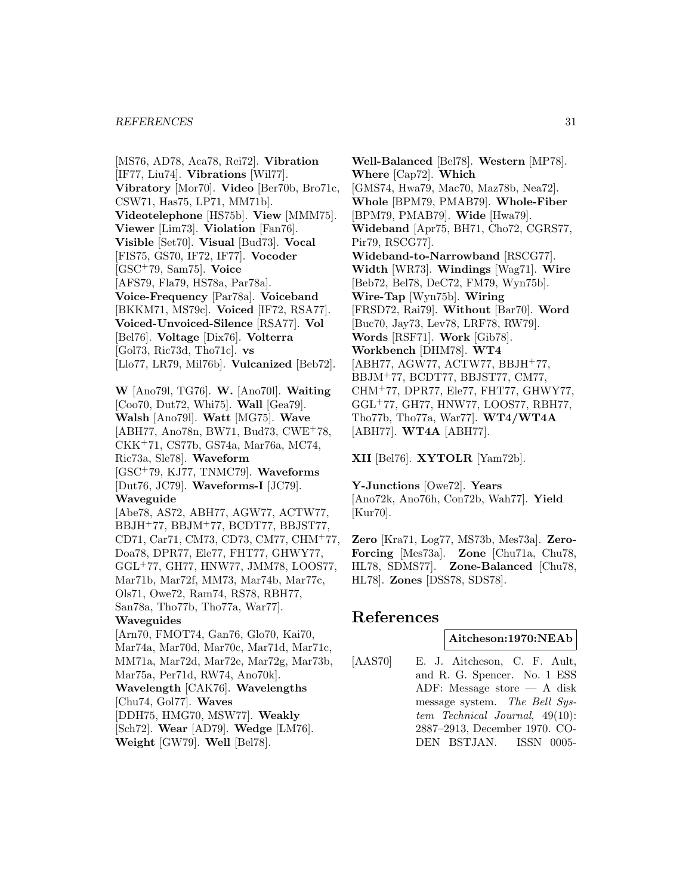[MS76, AD78, Aca78, Rei72]. **Vibration** [IF77, Liu74]. **Vibrations** [Wil77]. **Vibratory** [Mor70]. **Video** [Ber70b, Bro71c, CSW71, Has75, LP71, MM71b]. **Videotelephone** [HS75b]. **View** [MMM75]. **Viewer** [Lim73]. **Violation** [Fan76]. **Visible** [Set70]. **Visual** [Bud73]. **Vocal** [FIS75, GS70, IF72, IF77]. **Vocoder** [GSC<sup>+</sup>79, Sam75]. **Voice** [AFS79, Fla79, HS78a, Par78a]. **Voice-Frequency** [Par78a]. **Voiceband** [BKKM71, MS79c]. **Voiced** [IF72, RSA77]. **Voiced-Unvoiced-Silence** [RSA77]. **Vol** [Bel76]. **Voltage** [Dix76]. **Volterra** [Gol73, Ric73d, Tho71c]. **vs** [Llo77, LR79, Mil76b]. **Vulcanized** [Beb72]. **W** [Ano79l, TG76]. **W.** [Ano70l]. **Waiting** [Coo70, Dut72, Whi75]. **Wall** [Gea79]. **Walsh** [Ano79l]. **Watt** [MG75]. **Wave** [ABH77, Ano78n, BW71, Bud73, CWE<sup>+</sup>78, CKK<sup>+</sup>71, CS77b, GS74a, Mar76a, MC74, Ric73a, Sle78]. **Waveform** [GSC<sup>+</sup>79, KJ77, TNMC79]. **Waveforms** [Dut76, JC79]. **Waveforms-I** [JC79]. **Waveguide** [Abe78, AS72, ABH77, AGW77, ACTW77, BBJH<sup>+</sup>77, BBJM<sup>+</sup>77, BCDT77, BBJST77, CD71, Car71, CM73, CD73, CM77, CHM<sup>+</sup>77, Doa78, DPR77, Ele77, FHT77, GHWY77, GGL<sup>+</sup>77, GH77, HNW77, JMM78, LOOS77, Mar71b, Mar72f, MM73, Mar74b, Mar77c, Ols71, Owe72, Ram74, RS78, RBH77, San78a, Tho77b, Tho77a, War77]. **Waveguides** [Arn70, FMOT74, Gan76, Glo70, Kai70, Mar74a, Mar70d, Mar70c, Mar71d, Mar71c, MM71a, Mar72d, Mar72e, Mar72g, Mar73b, Mar75a, Per71d, RW74, Ano70k]. **Wavelength** [CAK76]. **Wavelengths** [Chu74, Gol77]. **Waves** [DDH75, HMG70, MSW77]. **Weakly** [Sch72]. **Wear** [AD79]. **Wedge** [LM76].

**Weight** [GW79]. **Well** [Bel78].

**Well-Balanced** [Bel78]. **Western** [MP78]. **Where** [Cap72]. **Which** [GMS74, Hwa79, Mac70, Maz78b, Nea72]. **Whole** [BPM79, PMAB79]. **Whole-Fiber** [BPM79, PMAB79]. **Wide** [Hwa79]. **Wideband** [Apr75, BH71, Cho72, CGRS77, Pir79, RSCG77]. **Wideband-to-Narrowband** [RSCG77]. **Width** [WR73]. **Windings** [Wag71]. **Wire** [Beb72, Bel78, DeC72, FM79, Wyn75b]. **Wire-Tap** [Wyn75b]. **Wiring** [FRSD72, Rai79]. **Without** [Bar70]. **Word** [Buc70, Jay73, Lev78, LRF78, RW79]. **Words** [RSF71]. **Work** [Gib78]. **Workbench** [DHM78]. **WT4** [ABH77, AGW77, ACTW77, BBJH<sup>+</sup>77, BBJM<sup>+</sup>77, BCDT77, BBJST77, CM77, CHM<sup>+</sup>77, DPR77, Ele77, FHT77, GHWY77, GGL<sup>+</sup>77, GH77, HNW77, LOOS77, RBH77, Tho77b, Tho77a, War77]. **WT4/WT4A** [ABH77]. **WT4A** [ABH77].

**XII** [Bel76]. **XYTOLR** [Yam72b].

**Y-Junctions** [Owe72]. **Years** [Ano72k, Ano76h, Con72b, Wah77]. **Yield** [Kur70].

**Zero** [Kra71, Log77, MS73b, Mes73a]. **Zero-Forcing** [Mes73a]. **Zone** [Chu71a, Chu78, HL78, SDMS77]. **Zone-Balanced** [Chu78, HL78]. **Zones** [DSS78, SDS78].

# **References**

## **Aitcheson:1970:NEAb**

[AAS70] E. J. Aitcheson, C. F. Ault, and R. G. Spencer. No. 1 ESS ADF: Message store — A disk message system. The Bell System Technical Journal, 49(10): 2887–2913, December 1970. CO-DEN BSTJAN. ISSN 0005-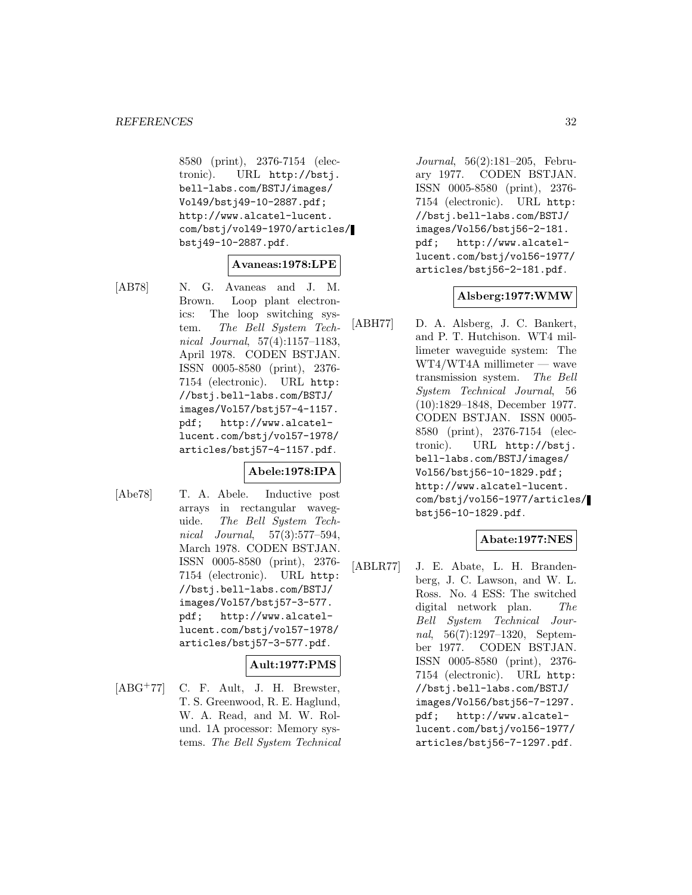8580 (print), 2376-7154 (electronic). URL http://bstj. bell-labs.com/BSTJ/images/ Vol49/bstj49-10-2887.pdf; http://www.alcatel-lucent. com/bstj/vol49-1970/articles/ bstj49-10-2887.pdf.

## **Avaneas:1978:LPE**

[AB78] N. G. Avaneas and J. M. Brown. Loop plant electronics: The loop switching system. The Bell System Technical Journal, 57(4):1157–1183, April 1978. CODEN BSTJAN. ISSN 0005-8580 (print), 2376- 7154 (electronic). URL http: //bstj.bell-labs.com/BSTJ/ images/Vol57/bstj57-4-1157. pdf; http://www.alcatellucent.com/bstj/vol57-1978/ articles/bstj57-4-1157.pdf.

## **Abele:1978:IPA**

[Abe78] T. A. Abele. Inductive post arrays in rectangular waveguide. The Bell System Technical Journal, 57(3):577–594, March 1978. CODEN BSTJAN. ISSN 0005-8580 (print), 2376- 7154 (electronic). URL http: //bstj.bell-labs.com/BSTJ/ images/Vol57/bstj57-3-577. pdf; http://www.alcatellucent.com/bstj/vol57-1978/ articles/bstj57-3-577.pdf.

## **Ault:1977:PMS**

[ABG<sup>+</sup>77] C. F. Ault, J. H. Brewster, T. S. Greenwood, R. E. Haglund, W. A. Read, and M. W. Rolund. 1A processor: Memory systems. The Bell System Technical Journal, 56(2):181–205, February 1977. CODEN BSTJAN. ISSN 0005-8580 (print), 2376- 7154 (electronic). URL http: //bstj.bell-labs.com/BSTJ/ images/Vol56/bstj56-2-181. pdf; http://www.alcatellucent.com/bstj/vol56-1977/ articles/bstj56-2-181.pdf.

## **Alsberg:1977:WMW**

[ABH77] D. A. Alsberg, J. C. Bankert, and P. T. Hutchison. WT4 millimeter waveguide system: The WT4/WT4A millimeter — wave transmission system. The Bell System Technical Journal, 56 (10):1829–1848, December 1977. CODEN BSTJAN. ISSN 0005- 8580 (print), 2376-7154 (electronic). URL http://bstj. bell-labs.com/BSTJ/images/ Vol56/bstj56-10-1829.pdf; http://www.alcatel-lucent. com/bstj/vol56-1977/articles/ bstj56-10-1829.pdf.

## **Abate:1977:NES**

[ABLR77] J. E. Abate, L. H. Brandenberg, J. C. Lawson, and W. L. Ross. No. 4 ESS: The switched digital network plan. The Bell System Technical Journal, 56(7):1297–1320, September 1977. CODEN BSTJAN. ISSN 0005-8580 (print), 2376- 7154 (electronic). URL http: //bstj.bell-labs.com/BSTJ/ images/Vol56/bstj56-7-1297. pdf; http://www.alcatellucent.com/bstj/vol56-1977/ articles/bstj56-7-1297.pdf.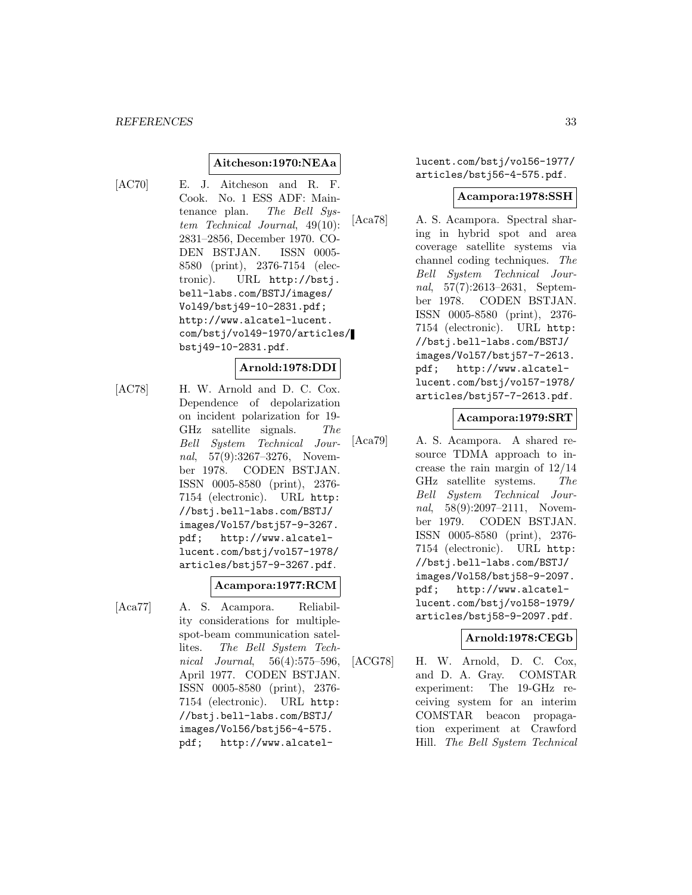## **Aitcheson:1970:NEAa**

[AC70] E. J. Aitcheson and R. F. Cook. No. 1 ESS ADF: Maintenance plan. The Bell System Technical Journal, 49(10): 2831–2856, December 1970. CO-DEN BSTJAN. ISSN 0005- 8580 (print), 2376-7154 (electronic). URL http://bstj. bell-labs.com/BSTJ/images/ Vol49/bstj49-10-2831.pdf; http://www.alcatel-lucent. com/bstj/vol49-1970/articles/ bstj49-10-2831.pdf.

## **Arnold:1978:DDI**

[AC78] H. W. Arnold and D. C. Cox. Dependence of depolarization on incident polarization for 19- GHz satellite signals. The Bell System Technical Journal, 57(9):3267–3276, November 1978. CODEN BSTJAN. ISSN 0005-8580 (print), 2376- 7154 (electronic). URL http: //bstj.bell-labs.com/BSTJ/ images/Vol57/bstj57-9-3267. pdf; http://www.alcatellucent.com/bstj/vol57-1978/ articles/bstj57-9-3267.pdf.

#### **Acampora:1977:RCM**

[Aca77] A. S. Acampora. Reliability considerations for multiplespot-beam communication satellites. The Bell System Technical Journal, 56(4):575–596, April 1977. CODEN BSTJAN. ISSN 0005-8580 (print), 2376- 7154 (electronic). URL http: //bstj.bell-labs.com/BSTJ/ images/Vol56/bstj56-4-575. pdf; http://www.alcatellucent.com/bstj/vol56-1977/ articles/bstj56-4-575.pdf.

#### **Acampora:1978:SSH**

[Aca78] A. S. Acampora. Spectral sharing in hybrid spot and area coverage satellite systems via channel coding techniques. The Bell System Technical Journal, 57(7):2613–2631, September 1978. CODEN BSTJAN. ISSN 0005-8580 (print), 2376- 7154 (electronic). URL http: //bstj.bell-labs.com/BSTJ/ images/Vol57/bstj57-7-2613. pdf; http://www.alcatellucent.com/bstj/vol57-1978/ articles/bstj57-7-2613.pdf.

## **Acampora:1979:SRT**

[Aca79] A. S. Acampora. A shared resource TDMA approach to increase the rain margin of 12/14 GHz satellite systems. The Bell System Technical Journal, 58(9):2097–2111, November 1979. CODEN BSTJAN. ISSN 0005-8580 (print), 2376- 7154 (electronic). URL http: //bstj.bell-labs.com/BSTJ/ images/Vol58/bstj58-9-2097. pdf; http://www.alcatellucent.com/bstj/vol58-1979/ articles/bstj58-9-2097.pdf.

## **Arnold:1978:CEGb**

[ACG78] H. W. Arnold, D. C. Cox, and D. A. Gray. COMSTAR experiment: The 19-GHz receiving system for an interim COMSTAR beacon propagation experiment at Crawford Hill. The Bell System Technical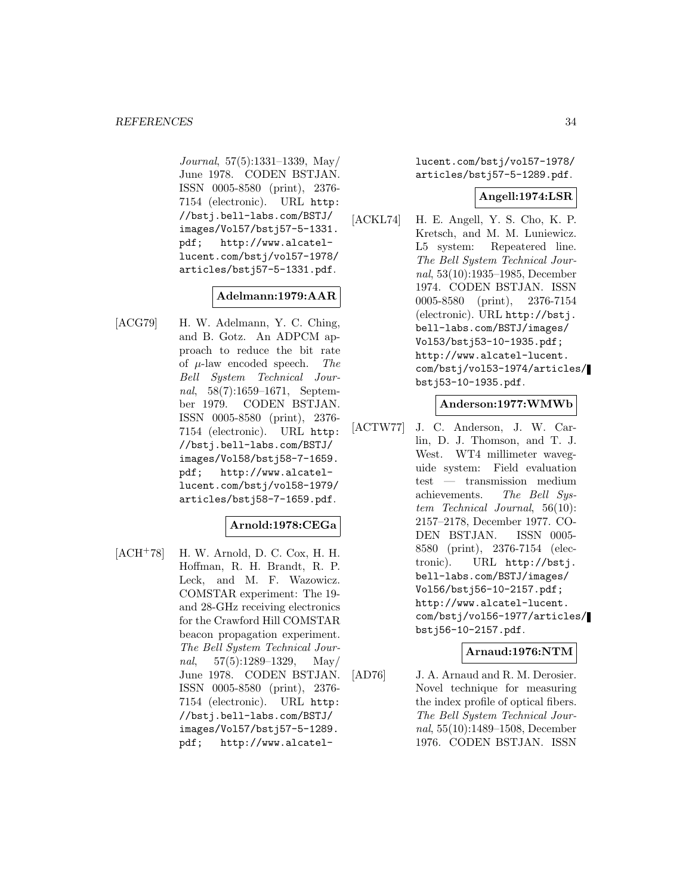Journal, 57(5):1331–1339, May/ June 1978. CODEN BSTJAN. ISSN 0005-8580 (print), 2376- 7154 (electronic). URL http: //bstj.bell-labs.com/BSTJ/ images/Vol57/bstj57-5-1331. pdf; http://www.alcatellucent.com/bstj/vol57-1978/ articles/bstj57-5-1331.pdf.

## **Adelmann:1979:AAR**

[ACG79] H. W. Adelmann, Y. C. Ching, and B. Gotz. An ADPCM approach to reduce the bit rate of  $\mu$ -law encoded speech. The Bell System Technical Journal, 58(7):1659–1671, September 1979. CODEN BSTJAN. ISSN 0005-8580 (print), 2376- 7154 (electronic). URL http: //bstj.bell-labs.com/BSTJ/ images/Vol58/bstj58-7-1659. pdf; http://www.alcatellucent.com/bstj/vol58-1979/ articles/bstj58-7-1659.pdf.

## **Arnold:1978:CEGa**

[ACH<sup>+</sup>78] H. W. Arnold, D. C. Cox, H. H. Hoffman, R. H. Brandt, R. P. Leck, and M. F. Wazowicz. COMSTAR experiment: The 19 and 28-GHz receiving electronics for the Crawford Hill COMSTAR beacon propagation experiment. The Bell System Technical Journal,  $57(5):1289-1329$ , May/ June 1978. CODEN BSTJAN. ISSN 0005-8580 (print), 2376- 7154 (electronic). URL http: //bstj.bell-labs.com/BSTJ/ images/Vol57/bstj57-5-1289. pdf; http://www.alcatellucent.com/bstj/vol57-1978/ articles/bstj57-5-1289.pdf.

#### **Angell:1974:LSR**

[ACKL74] H. E. Angell, Y. S. Cho, K. P. Kretsch, and M. M. Luniewicz. L5 system: Repeatered line. The Bell System Technical Journal, 53(10):1935–1985, December 1974. CODEN BSTJAN. ISSN 0005-8580 (print), 2376-7154 (electronic). URL http://bstj. bell-labs.com/BSTJ/images/ Vol53/bstj53-10-1935.pdf; http://www.alcatel-lucent. com/bstj/vol53-1974/articles/ bstj53-10-1935.pdf.

## **Anderson:1977:WMWb**

[ACTW77] J. C. Anderson, J. W. Carlin, D. J. Thomson, and T. J. West. WT4 millimeter waveguide system: Field evaluation test — transmission medium achievements. The Bell System Technical Journal, 56(10): 2157–2178, December 1977. CO-DEN BSTJAN. ISSN 0005- 8580 (print), 2376-7154 (electronic). URL http://bstj. bell-labs.com/BSTJ/images/ Vol56/bstj56-10-2157.pdf; http://www.alcatel-lucent. com/bstj/vol56-1977/articles/ bstj56-10-2157.pdf.

## **Arnaud:1976:NTM**

[AD76] J. A. Arnaud and R. M. Derosier. Novel technique for measuring the index profile of optical fibers. The Bell System Technical Journal, 55(10):1489–1508, December 1976. CODEN BSTJAN. ISSN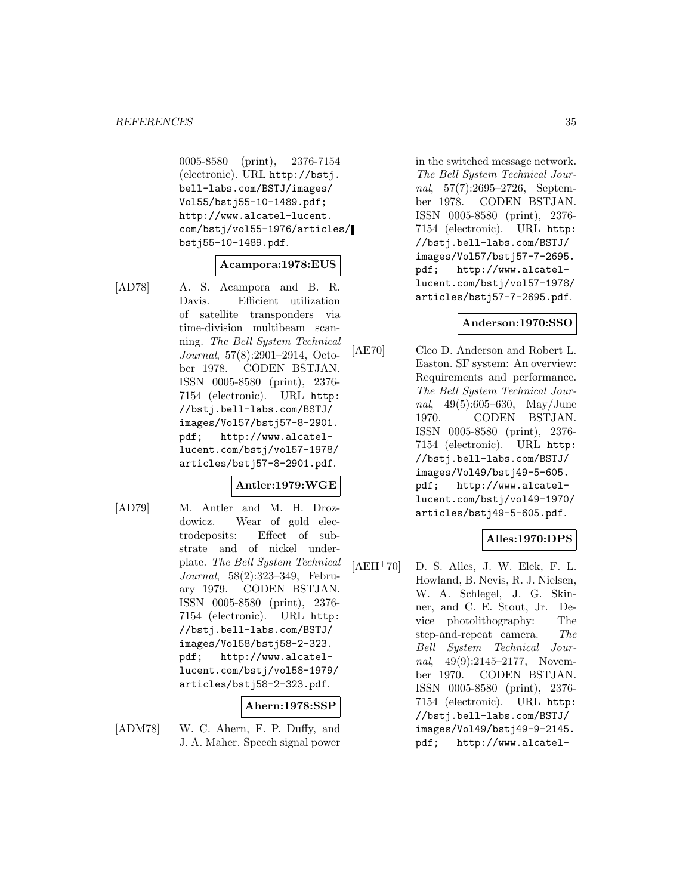0005-8580 (print), 2376-7154 (electronic). URL http://bstj. bell-labs.com/BSTJ/images/ Vol55/bstj55-10-1489.pdf; http://www.alcatel-lucent. com/bstj/vol55-1976/articles/ bstj55-10-1489.pdf.

# **Acampora:1978:EUS**

[AD78] A. S. Acampora and B. R. Davis. Efficient utilization of satellite transponders via time-division multibeam scanning. The Bell System Technical Journal, 57(8):2901–2914, October 1978. CODEN BSTJAN. ISSN 0005-8580 (print), 2376- 7154 (electronic). URL http: //bstj.bell-labs.com/BSTJ/ images/Vol57/bstj57-8-2901. pdf; http://www.alcatellucent.com/bstj/vol57-1978/ articles/bstj57-8-2901.pdf.

## **Antler:1979:WGE**

[AD79] M. Antler and M. H. Drozdowicz. Wear of gold electrodeposits: Effect of substrate and of nickel underplate. The Bell System Technical Journal, 58(2):323–349, February 1979. CODEN BSTJAN. ISSN 0005-8580 (print), 2376- 7154 (electronic). URL http: //bstj.bell-labs.com/BSTJ/ images/Vol58/bstj58-2-323. pdf; http://www.alcatellucent.com/bstj/vol58-1979/ articles/bstj58-2-323.pdf.

## **Ahern:1978:SSP**

[ADM78] W. C. Ahern, F. P. Duffy, and J. A. Maher. Speech signal power in the switched message network. The Bell System Technical Journal, 57(7):2695–2726, September 1978. CODEN BSTJAN. ISSN 0005-8580 (print), 2376- 7154 (electronic). URL http: //bstj.bell-labs.com/BSTJ/ images/Vol57/bstj57-7-2695. pdf; http://www.alcatellucent.com/bstj/vol57-1978/ articles/bstj57-7-2695.pdf.

## **Anderson:1970:SSO**

[AE70] Cleo D. Anderson and Robert L. Easton. SF system: An overview: Requirements and performance. The Bell System Technical Journal, 49(5):605–630, May/June 1970. CODEN BSTJAN. ISSN 0005-8580 (print), 2376- 7154 (electronic). URL http: //bstj.bell-labs.com/BSTJ/ images/Vol49/bstj49-5-605. pdf; http://www.alcatellucent.com/bstj/vol49-1970/ articles/bstj49-5-605.pdf.

## **Alles:1970:DPS**

 $[AEH<sup>+</sup>70]$  D. S. Alles, J. W. Elek, F. L. Howland, B. Nevis, R. J. Nielsen, W. A. Schlegel, J. G. Skinner, and C. E. Stout, Jr. Device photolithography: The step-and-repeat camera. The Bell System Technical Journal, 49(9):2145-2177, November 1970. CODEN BSTJAN. ISSN 0005-8580 (print), 2376- 7154 (electronic). URL http: //bstj.bell-labs.com/BSTJ/ images/Vol49/bstj49-9-2145. pdf; http://www.alcatel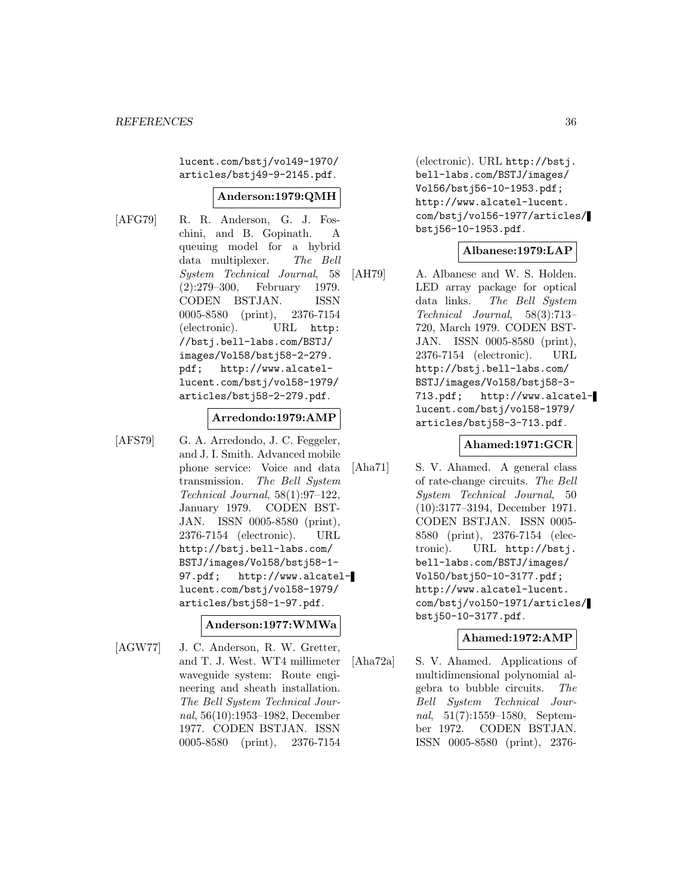lucent.com/bstj/vol49-1970/ articles/bstj49-9-2145.pdf.

## **Anderson:1979:QMH**

[AFG79] R. R. Anderson, G. J. Foschini, and B. Gopinath. A queuing model for a hybrid data multiplexer. The Bell System Technical Journal, 58 (2):279–300, February 1979. CODEN BSTJAN. ISSN 0005-8580 (print), 2376-7154 (electronic). URL http: //bstj.bell-labs.com/BSTJ/ images/Vol58/bstj58-2-279. pdf; http://www.alcatellucent.com/bstj/vol58-1979/ articles/bstj58-2-279.pdf.

## **Arredondo:1979:AMP**

[AFS79] G. A. Arredondo, J. C. Feggeler, and J. I. Smith. Advanced mobile phone service: Voice and data transmission. The Bell System Technical Journal, 58(1):97–122, January 1979. CODEN BST-JAN. ISSN 0005-8580 (print), 2376-7154 (electronic). URL http://bstj.bell-labs.com/ BSTJ/images/Vol58/bstj58-1- 97.pdf; http://www.alcatellucent.com/bstj/vol58-1979/ articles/bstj58-1-97.pdf.

## **Anderson:1977:WMWa**

[AGW77] J. C. Anderson, R. W. Gretter, and T. J. West. WT4 millimeter waveguide system: Route engineering and sheath installation. The Bell System Technical Journal, 56(10):1953–1982, December 1977. CODEN BSTJAN. ISSN 0005-8580 (print), 2376-7154

(electronic). URL http://bstj. bell-labs.com/BSTJ/images/ Vol56/bstj56-10-1953.pdf; http://www.alcatel-lucent. com/bstj/vol56-1977/articles/ bstj56-10-1953.pdf.

#### **Albanese:1979:LAP**

[AH79] A. Albanese and W. S. Holden. LED array package for optical data links. The Bell System Technical Journal, 58(3):713– 720, March 1979. CODEN BST-JAN. ISSN 0005-8580 (print), 2376-7154 (electronic). URL http://bstj.bell-labs.com/ BSTJ/images/Vol58/bstj58-3- 713.pdf; http://www.alcatellucent.com/bstj/vol58-1979/ articles/bstj58-3-713.pdf.

## **Ahamed:1971:GCR**

[Aha71] S. V. Ahamed. A general class of rate-change circuits. The Bell System Technical Journal, 50 (10):3177–3194, December 1971. CODEN BSTJAN. ISSN 0005- 8580 (print), 2376-7154 (electronic). URL http://bstj. bell-labs.com/BSTJ/images/ Vol50/bstj50-10-3177.pdf; http://www.alcatel-lucent. com/bstj/vol50-1971/articles/ bstj50-10-3177.pdf.

## **Ahamed:1972:AMP**

[Aha72a] S. V. Ahamed. Applications of multidimensional polynomial algebra to bubble circuits. The Bell System Technical Journal, 51(7):1559–1580, September 1972. CODEN BSTJAN. ISSN 0005-8580 (print), 2376-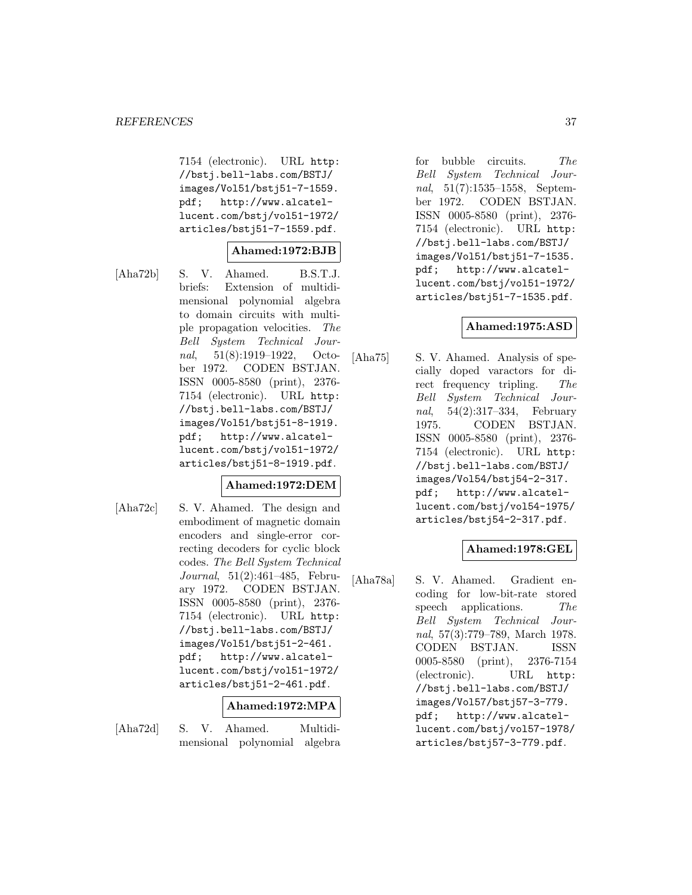7154 (electronic). URL http: //bstj.bell-labs.com/BSTJ/ images/Vol51/bstj51-7-1559. pdf; http://www.alcatellucent.com/bstj/vol51-1972/ articles/bstj51-7-1559.pdf.

### **Ahamed:1972:BJB**

[Aha72b] S. V. Ahamed. B.S.T.J. briefs: Extension of multidimensional polynomial algebra to domain circuits with multiple propagation velocities. The Bell System Technical Journal, 51(8):1919–1922, October 1972. CODEN BSTJAN. ISSN 0005-8580 (print), 2376- 7154 (electronic). URL http: //bstj.bell-labs.com/BSTJ/ images/Vol51/bstj51-8-1919. pdf; http://www.alcatellucent.com/bstj/vol51-1972/ articles/bstj51-8-1919.pdf.

# **Ahamed:1972:DEM**

[Aha72c] S. V. Ahamed. The design and embodiment of magnetic domain encoders and single-error correcting decoders for cyclic block codes. The Bell System Technical Journal, 51(2):461–485, February 1972. CODEN BSTJAN. ISSN 0005-8580 (print), 2376- 7154 (electronic). URL http: //bstj.bell-labs.com/BSTJ/ images/Vol51/bstj51-2-461. pdf; http://www.alcatellucent.com/bstj/vol51-1972/ articles/bstj51-2-461.pdf.

### **Ahamed:1972:MPA**

[Aha72d] S. V. Ahamed. Multidimensional polynomial algebra for bubble circuits. The Bell System Technical Journal, 51(7):1535–1558, September 1972. CODEN BSTJAN. ISSN 0005-8580 (print), 2376- 7154 (electronic). URL http: //bstj.bell-labs.com/BSTJ/ images/Vol51/bstj51-7-1535. pdf; http://www.alcatellucent.com/bstj/vol51-1972/ articles/bstj51-7-1535.pdf.

# **Ahamed:1975:ASD**

[Aha75] S. V. Ahamed. Analysis of specially doped varactors for direct frequency tripling. The Bell System Technical Journal, 54(2):317–334, February 1975. CODEN BSTJAN. ISSN 0005-8580 (print), 2376- 7154 (electronic). URL http: //bstj.bell-labs.com/BSTJ/ images/Vol54/bstj54-2-317. pdf; http://www.alcatellucent.com/bstj/vol54-1975/ articles/bstj54-2-317.pdf.

### **Ahamed:1978:GEL**

[Aha78a] S. V. Ahamed. Gradient encoding for low-bit-rate stored speech applications. The Bell System Technical Journal, 57(3):779–789, March 1978. CODEN BSTJAN. ISSN 0005-8580 (print), 2376-7154 (electronic). URL http: //bstj.bell-labs.com/BSTJ/ images/Vol57/bstj57-3-779. pdf; http://www.alcatellucent.com/bstj/vol57-1978/ articles/bstj57-3-779.pdf.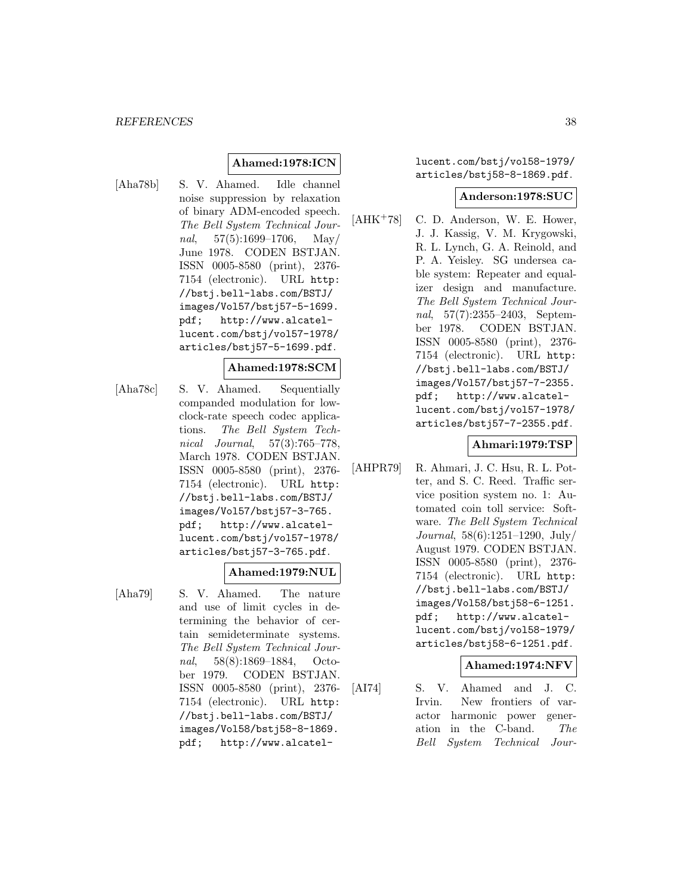#### **Ahamed:1978:ICN**

[Aha78b] S. V. Ahamed. Idle channel noise suppression by relaxation of binary ADM-encoded speech. The Bell System Technical Journal,  $57(5):1699-1706$ , May June 1978. CODEN BSTJAN. ISSN 0005-8580 (print), 2376- 7154 (electronic). URL http: //bstj.bell-labs.com/BSTJ/ images/Vol57/bstj57-5-1699. pdf; http://www.alcatellucent.com/bstj/vol57-1978/ articles/bstj57-5-1699.pdf.

#### **Ahamed:1978:SCM**

[Aha78c] S. V. Ahamed. Sequentially companded modulation for lowclock-rate speech codec applications. The Bell System Technical Journal, 57(3):765–778, March 1978. CODEN BSTJAN. ISSN 0005-8580 (print), 2376- 7154 (electronic). URL http: //bstj.bell-labs.com/BSTJ/ images/Vol57/bstj57-3-765. pdf; http://www.alcatellucent.com/bstj/vol57-1978/ articles/bstj57-3-765.pdf.

### **Ahamed:1979:NUL**

- 
- [Aha79] S. V. Ahamed. The nature and use of limit cycles in determining the behavior of certain semideterminate systems. The Bell System Technical Journal, 58(8):1869–1884, October 1979. CODEN BSTJAN. ISSN 0005-8580 (print), 2376- 7154 (electronic). URL http: //bstj.bell-labs.com/BSTJ/ images/Vol58/bstj58-8-1869. pdf; http://www.alcatel-

lucent.com/bstj/vol58-1979/ articles/bstj58-8-1869.pdf.

#### **Anderson:1978:SUC**

 $[AHK^+78]$  C. D. Anderson, W. E. Hower, J. J. Kassig, V. M. Krygowski, R. L. Lynch, G. A. Reinold, and P. A. Yeisley. SG undersea cable system: Repeater and equalizer design and manufacture. The Bell System Technical Journal, 57(7):2355-2403, September 1978. CODEN BSTJAN. ISSN 0005-8580 (print), 2376- 7154 (electronic). URL http: //bstj.bell-labs.com/BSTJ/ images/Vol57/bstj57-7-2355. pdf; http://www.alcatellucent.com/bstj/vol57-1978/ articles/bstj57-7-2355.pdf.

### **Ahmari:1979:TSP**

[AHPR79] R. Ahmari, J. C. Hsu, R. L. Potter, and S. C. Reed. Traffic service position system no. 1: Automated coin toll service: Software. The Bell System Technical Journal, 58(6):1251–1290, July/ August 1979. CODEN BSTJAN. ISSN 0005-8580 (print), 2376- 7154 (electronic). URL http: //bstj.bell-labs.com/BSTJ/ images/Vol58/bstj58-6-1251. pdf; http://www.alcatellucent.com/bstj/vol58-1979/ articles/bstj58-6-1251.pdf.

### **Ahamed:1974:NFV**

[AI74] S. V. Ahamed and J. C. Irvin. New frontiers of varactor harmonic power generation in the C-band. The Bell System Technical Jour-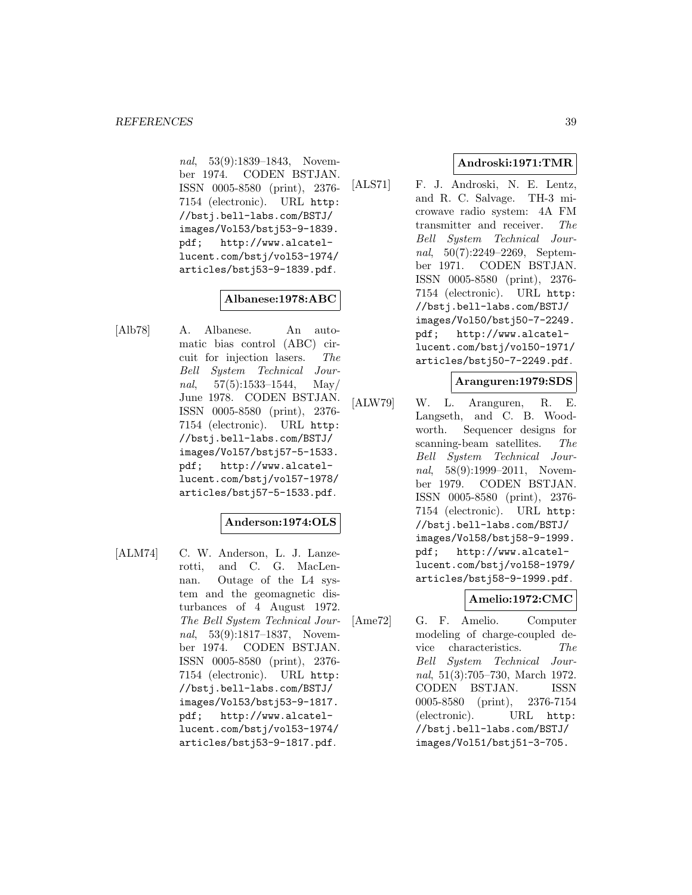nal, 53(9):1839–1843, November 1974. CODEN BSTJAN. ISSN 0005-8580 (print), 2376- 7154 (electronic). URL http: //bstj.bell-labs.com/BSTJ/ images/Vol53/bstj53-9-1839. pdf; http://www.alcatellucent.com/bstj/vol53-1974/ articles/bstj53-9-1839.pdf.

# **Albanese:1978:ABC**

[Alb78] A. Albanese. An automatic bias control (ABC) circuit for injection lasers. The Bell System Technical Journal,  $57(5):1533-1544$ , May/ June 1978. CODEN BSTJAN. ISSN 0005-8580 (print), 2376- 7154 (electronic). URL http: //bstj.bell-labs.com/BSTJ/ images/Vol57/bstj57-5-1533. pdf; http://www.alcatellucent.com/bstj/vol57-1978/ articles/bstj57-5-1533.pdf.

# **Anderson:1974:OLS**

[ALM74] C. W. Anderson, L. J. Lanzerotti, and C. G. MacLennan. Outage of the L4 system and the geomagnetic disturbances of 4 August 1972. The Bell System Technical Journal, 53(9):1817–1837, November 1974. CODEN BSTJAN. ISSN 0005-8580 (print), 2376- 7154 (electronic). URL http: //bstj.bell-labs.com/BSTJ/ images/Vol53/bstj53-9-1817. pdf; http://www.alcatellucent.com/bstj/vol53-1974/ articles/bstj53-9-1817.pdf.

# **Androski:1971:TMR**

[ALS71] F. J. Androski, N. E. Lentz, and R. C. Salvage. TH-3 microwave radio system: 4A FM transmitter and receiver. The Bell System Technical Journal, 50(7):2249–2269, September 1971. CODEN BSTJAN. ISSN 0005-8580 (print), 2376- 7154 (electronic). URL http: //bstj.bell-labs.com/BSTJ/ images/Vol50/bstj50-7-2249. pdf; http://www.alcatellucent.com/bstj/vol50-1971/ articles/bstj50-7-2249.pdf.

### **Aranguren:1979:SDS**

[ALW79] W. L. Aranguren, R. E. Langseth, and C. B. Woodworth. Sequencer designs for scanning-beam satellites. The Bell System Technical Journal, 58(9):1999–2011, November 1979. CODEN BSTJAN. ISSN 0005-8580 (print), 2376- 7154 (electronic). URL http: //bstj.bell-labs.com/BSTJ/ images/Vol58/bstj58-9-1999. pdf; http://www.alcatellucent.com/bstj/vol58-1979/ articles/bstj58-9-1999.pdf.

# **Amelio:1972:CMC**

[Ame72] G. F. Amelio. Computer modeling of charge-coupled device characteristics. The Bell System Technical Journal, 51(3):705–730, March 1972. CODEN BSTJAN. ISSN 0005-8580 (print), 2376-7154 (electronic). URL http: //bstj.bell-labs.com/BSTJ/ images/Vol51/bstj51-3-705.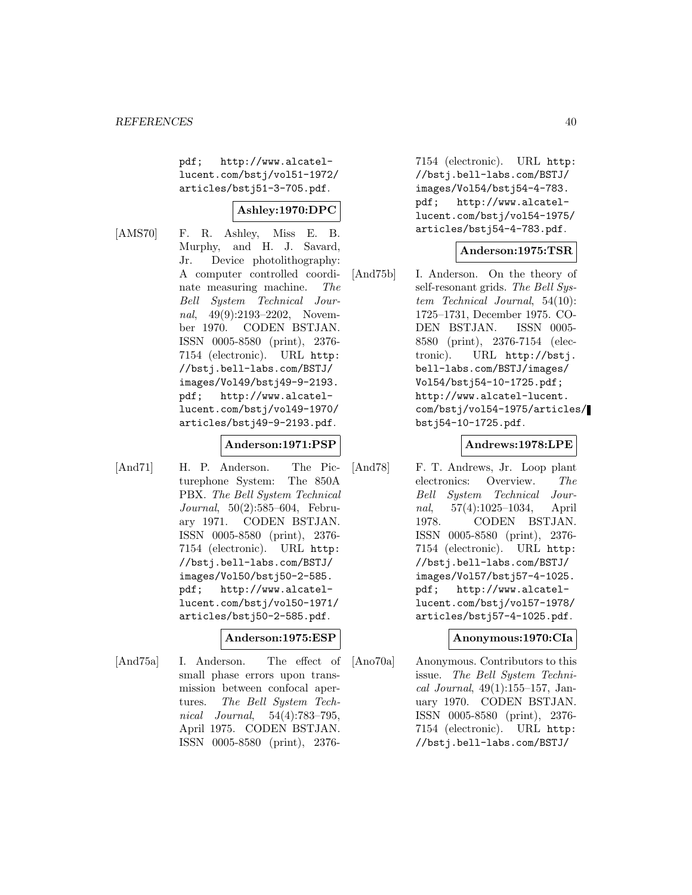pdf; http://www.alcatellucent.com/bstj/vol51-1972/ articles/bstj51-3-705.pdf.

# **Ashley:1970:DPC**

[AMS70] F. R. Ashley, Miss E. B. Murphy, and H. J. Savard, Jr. Device photolithography: A computer controlled coordinate measuring machine. The Bell System Technical Journal, 49(9):2193–2202, November 1970. CODEN BSTJAN. ISSN 0005-8580 (print), 2376- 7154 (electronic). URL http: //bstj.bell-labs.com/BSTJ/ images/Vol49/bstj49-9-2193. pdf; http://www.alcatellucent.com/bstj/vol49-1970/ articles/bstj49-9-2193.pdf.

## **Anderson:1971:PSP**

[And71] H. P. Anderson. The Picturephone System: The 850A PBX. The Bell System Technical Journal, 50(2):585–604, February 1971. CODEN BSTJAN. ISSN 0005-8580 (print), 2376- 7154 (electronic). URL http: //bstj.bell-labs.com/BSTJ/ images/Vol50/bstj50-2-585. pdf; http://www.alcatellucent.com/bstj/vol50-1971/ articles/bstj50-2-585.pdf.

### **Anderson:1975:ESP**

[And75a] I. Anderson. The effect of small phase errors upon transmission between confocal apertures. The Bell System Technical Journal, 54(4):783–795, April 1975. CODEN BSTJAN. ISSN 0005-8580 (print), 23767154 (electronic). URL http: //bstj.bell-labs.com/BSTJ/ images/Vol54/bstj54-4-783. pdf; http://www.alcatellucent.com/bstj/vol54-1975/ articles/bstj54-4-783.pdf.

### **Anderson:1975:TSR**

[And75b] I. Anderson. On the theory of self-resonant grids. The Bell System Technical Journal, 54(10): 1725–1731, December 1975. CO-DEN BSTJAN. ISSN 0005- 8580 (print), 2376-7154 (electronic). URL http://bstj. bell-labs.com/BSTJ/images/ Vol54/bstj54-10-1725.pdf; http://www.alcatel-lucent. com/bstj/vol54-1975/articles/ bstj54-10-1725.pdf.

# **Andrews:1978:LPE**

[And78] F. T. Andrews, Jr. Loop plant electronics: Overview. The Bell System Technical Journal, 57(4):1025–1034, April 1978. CODEN BSTJAN. ISSN 0005-8580 (print), 2376- 7154 (electronic). URL http: //bstj.bell-labs.com/BSTJ/ images/Vol57/bstj57-4-1025. pdf; http://www.alcatellucent.com/bstj/vol57-1978/ articles/bstj57-4-1025.pdf.

### **Anonymous:1970:CIa**

[Ano70a] Anonymous. Contributors to this issue. The Bell System Technical Journal, 49(1):155–157, January 1970. CODEN BSTJAN. ISSN 0005-8580 (print), 2376- 7154 (electronic). URL http: //bstj.bell-labs.com/BSTJ/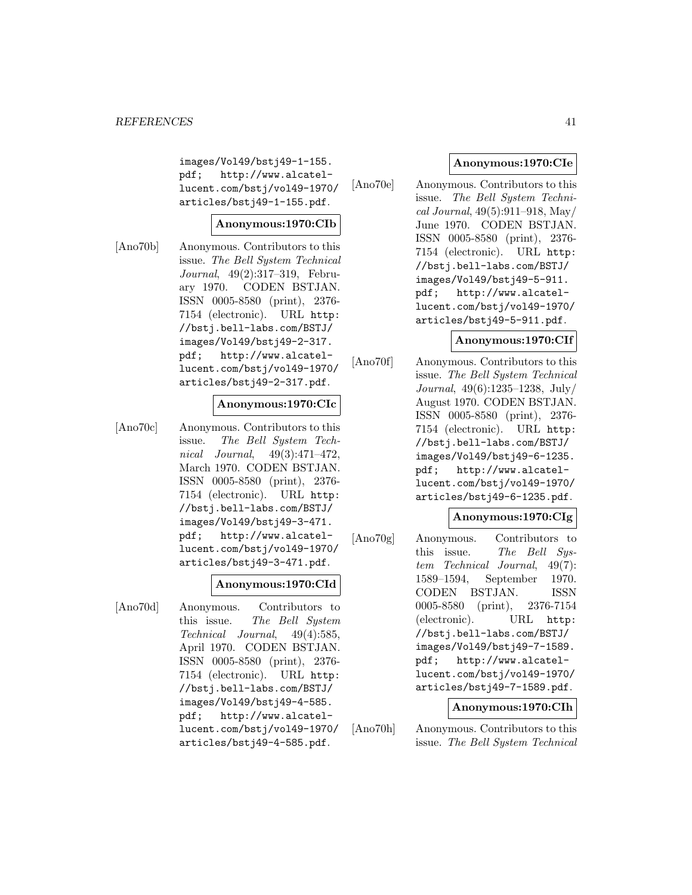images/Vol49/bstj49-1-155. pdf; http://www.alcatellucent.com/bstj/vol49-1970/ articles/bstj49-1-155.pdf.

# **Anonymous:1970:CIb**

[Ano70b] Anonymous. Contributors to this issue. The Bell System Technical Journal, 49(2):317–319, February 1970. CODEN BSTJAN. ISSN 0005-8580 (print), 2376- 7154 (electronic). URL http: //bstj.bell-labs.com/BSTJ/ images/Vol49/bstj49-2-317. pdf; http://www.alcatellucent.com/bstj/vol49-1970/ articles/bstj49-2-317.pdf.

### **Anonymous:1970:CIc**

[Ano70c] Anonymous. Contributors to this issue. The Bell System Technical Journal, 49(3):471–472, March 1970. CODEN BSTJAN. ISSN 0005-8580 (print), 2376- 7154 (electronic). URL http: //bstj.bell-labs.com/BSTJ/ images/Vol49/bstj49-3-471. pdf; http://www.alcatellucent.com/bstj/vol49-1970/ articles/bstj49-3-471.pdf.

### **Anonymous:1970:CId**

[Ano70d] Anonymous. Contributors to this issue. The Bell System Technical Journal, 49(4):585, April 1970. CODEN BSTJAN. ISSN 0005-8580 (print), 2376- 7154 (electronic). URL http: //bstj.bell-labs.com/BSTJ/ images/Vol49/bstj49-4-585. pdf; http://www.alcatellucent.com/bstj/vol49-1970/ articles/bstj49-4-585.pdf.

## **Anonymous:1970:CIe**

[Ano70e] Anonymous. Contributors to this issue. The Bell System Technical Journal, 49(5):911–918, May/ June 1970. CODEN BSTJAN. ISSN 0005-8580 (print), 2376- 7154 (electronic). URL http: //bstj.bell-labs.com/BSTJ/ images/Vol49/bstj49-5-911. pdf; http://www.alcatellucent.com/bstj/vol49-1970/ articles/bstj49-5-911.pdf.

#### **Anonymous:1970:CIf**

[Ano70f] Anonymous. Contributors to this issue. The Bell System Technical Journal, 49(6):1235–1238, July/ August 1970. CODEN BSTJAN. ISSN 0005-8580 (print), 2376- 7154 (electronic). URL http: //bstj.bell-labs.com/BSTJ/ images/Vol49/bstj49-6-1235. pdf; http://www.alcatellucent.com/bstj/vol49-1970/ articles/bstj49-6-1235.pdf.

## **Anonymous:1970:CIg**

[Ano70g] Anonymous. Contributors to this issue. The Bell System Technical Journal, 49(7): 1589–1594, September 1970. CODEN BSTJAN. ISSN 0005-8580 (print), 2376-7154 (electronic). URL http: //bstj.bell-labs.com/BSTJ/ images/Vol49/bstj49-7-1589. pdf; http://www.alcatellucent.com/bstj/vol49-1970/ articles/bstj49-7-1589.pdf.

#### **Anonymous:1970:CIh**

[Ano70h] Anonymous. Contributors to this issue. The Bell System Technical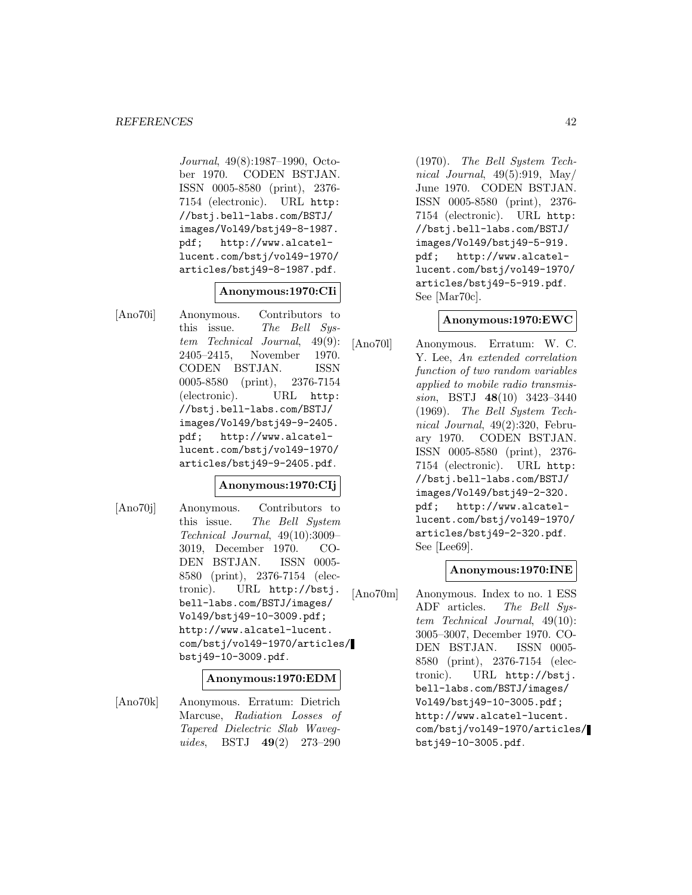#### *REFERENCES* 42

Journal, 49(8):1987–1990, October 1970. CODEN BSTJAN. ISSN 0005-8580 (print), 2376- 7154 (electronic). URL http: //bstj.bell-labs.com/BSTJ/ images/Vol49/bstj49-8-1987. pdf; http://www.alcatellucent.com/bstj/vol49-1970/ articles/bstj49-8-1987.pdf.

### **Anonymous:1970:CIi**

[Ano70i] Anonymous. Contributors to this issue. The Bell System Technical Journal, 49(9): 2405–2415, November 1970. CODEN BSTJAN. ISSN 0005-8580 (print), 2376-7154 (electronic). URL http: //bstj.bell-labs.com/BSTJ/ images/Vol49/bstj49-9-2405. pdf; http://www.alcatellucent.com/bstj/vol49-1970/ articles/bstj49-9-2405.pdf.

### **Anonymous:1970:CIj**

[Ano70j] Anonymous. Contributors to this issue. The Bell System Technical Journal, 49(10):3009– 3019, December 1970. CO-DEN BSTJAN. ISSN 0005- 8580 (print), 2376-7154 (electronic). URL http://bstj. bell-labs.com/BSTJ/images/ Vol49/bstj49-10-3009.pdf; http://www.alcatel-lucent. com/bstj/vol49-1970/articles/ bstj49-10-3009.pdf.

#### **Anonymous:1970:EDM**

[Ano70k] Anonymous. Erratum: Dietrich Marcuse, Radiation Losses of Tapered Dielectric Slab Waveguides, BSTJ **49**(2) 273–290

(1970). The Bell System Technical Journal,  $49(5):919$ , May/ June 1970. CODEN BSTJAN. ISSN 0005-8580 (print), 2376- 7154 (electronic). URL http: //bstj.bell-labs.com/BSTJ/ images/Vol49/bstj49-5-919. pdf; http://www.alcatellucent.com/bstj/vol49-1970/ articles/bstj49-5-919.pdf. See [Mar70c].

#### **Anonymous:1970:EWC**

[Ano70l] Anonymous. Erratum: W. C. Y. Lee, An extended correlation function of two random variables applied to mobile radio transmission, BSTJ **48**(10) 3423–3440 (1969). The Bell System Technical Journal, 49(2):320, February 1970. CODEN BSTJAN. ISSN 0005-8580 (print), 2376- 7154 (electronic). URL http: //bstj.bell-labs.com/BSTJ/ images/Vol49/bstj49-2-320. pdf; http://www.alcatellucent.com/bstj/vol49-1970/ articles/bstj49-2-320.pdf. See [Lee69].

#### **Anonymous:1970:INE**

[Ano70m] Anonymous. Index to no. 1 ESS ADF articles. The Bell System Technical Journal, 49(10): 3005–3007, December 1970. CO-DEN BSTJAN. ISSN 0005- 8580 (print), 2376-7154 (electronic). URL http://bstj. bell-labs.com/BSTJ/images/ Vol49/bstj49-10-3005.pdf; http://www.alcatel-lucent. com/bstj/vol49-1970/articles/ bstj49-10-3005.pdf.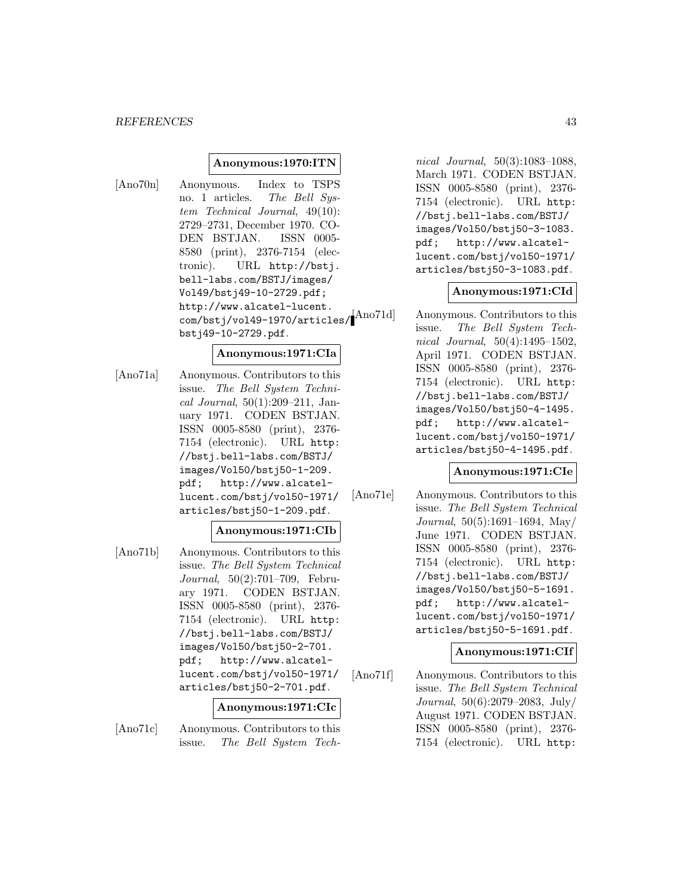#### *REFERENCES* 43

#### **Anonymous:1970:ITN**

[Ano70n] Anonymous. Index to TSPS no. 1 articles. The Bell System Technical Journal, 49(10): 2729–2731, December 1970. CO-DEN BSTJAN. ISSN 0005- 8580 (print), 2376-7154 (electronic). URL http://bstj. bell-labs.com/BSTJ/images/ Vol49/bstj49-10-2729.pdf; http://www.alcatel-lucent. com/bstj/vol49-1970/articles/ bstj49-10-2729.pdf.

#### **Anonymous:1971:CIa**

[Ano71a] Anonymous. Contributors to this issue. The Bell System Technical Journal, 50(1):209–211, January 1971. CODEN BSTJAN. ISSN 0005-8580 (print), 2376- 7154 (electronic). URL http: //bstj.bell-labs.com/BSTJ/ images/Vol50/bstj50-1-209. pdf; http://www.alcatellucent.com/bstj/vol50-1971/ articles/bstj50-1-209.pdf.

#### **Anonymous:1971:CIb**

[Ano71b] Anonymous. Contributors to this issue. The Bell System Technical Journal, 50(2):701–709, February 1971. CODEN BSTJAN. ISSN 0005-8580 (print), 2376- 7154 (electronic). URL http: //bstj.bell-labs.com/BSTJ/ images/Vol50/bstj50-2-701. pdf; http://www.alcatellucent.com/bstj/vol50-1971/ articles/bstj50-2-701.pdf.

### **Anonymous:1971:CIc**

[Ano71c] Anonymous. Contributors to this issue. The Bell System Tech-

nical Journal, 50(3):1083–1088, March 1971. CODEN BSTJAN. ISSN 0005-8580 (print), 2376- 7154 (electronic). URL http: //bstj.bell-labs.com/BSTJ/ images/Vol50/bstj50-3-1083. pdf; http://www.alcatellucent.com/bstj/vol50-1971/ articles/bstj50-3-1083.pdf.

#### **Anonymous:1971:CId**

Ano71d Anonymous. Contributors to this issue. The Bell System Technical Journal, 50(4):1495–1502, April 1971. CODEN BSTJAN. ISSN 0005-8580 (print), 2376- 7154 (electronic). URL http: //bstj.bell-labs.com/BSTJ/ images/Vol50/bstj50-4-1495. pdf; http://www.alcatellucent.com/bstj/vol50-1971/ articles/bstj50-4-1495.pdf.

#### **Anonymous:1971:CIe**

[Ano71e] Anonymous. Contributors to this issue. The Bell System Technical Journal, 50(5):1691–1694, May/ June 1971. CODEN BSTJAN. ISSN 0005-8580 (print), 2376- 7154 (electronic). URL http: //bstj.bell-labs.com/BSTJ/ images/Vol50/bstj50-5-1691. pdf; http://www.alcatellucent.com/bstj/vol50-1971/ articles/bstj50-5-1691.pdf.

#### **Anonymous:1971:CIf**

[Ano71f] Anonymous. Contributors to this issue. The Bell System Technical Journal, 50(6):2079–2083, July/ August 1971. CODEN BSTJAN. ISSN 0005-8580 (print), 2376- 7154 (electronic). URL http: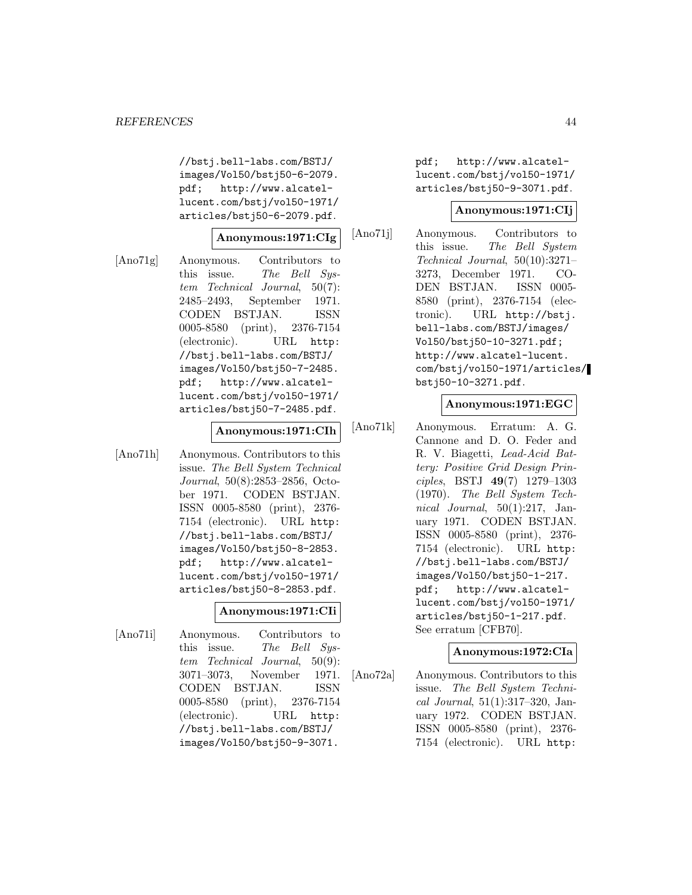//bstj.bell-labs.com/BSTJ/ images/Vol50/bstj50-6-2079. pdf; http://www.alcatellucent.com/bstj/vol50-1971/ articles/bstj50-6-2079.pdf.

## **Anonymous:1971:CIg**

[Ano71g] Anonymous. Contributors to this issue. The Bell System Technical Journal, 50(7): 2485–2493, September 1971. CODEN BSTJAN. ISSN 0005-8580 (print), 2376-7154 (electronic). URL http: //bstj.bell-labs.com/BSTJ/ images/Vol50/bstj50-7-2485. pdf; http://www.alcatellucent.com/bstj/vol50-1971/ articles/bstj50-7-2485.pdf.

#### **Anonymous:1971:CIh**

[Ano71h] Anonymous. Contributors to this issue. The Bell System Technical Journal, 50(8):2853–2856, October 1971. CODEN BSTJAN. ISSN 0005-8580 (print), 2376- 7154 (electronic). URL http: //bstj.bell-labs.com/BSTJ/ images/Vol50/bstj50-8-2853. pdf; http://www.alcatellucent.com/bstj/vol50-1971/ articles/bstj50-8-2853.pdf.

## **Anonymous:1971:CIi**

[Ano71i] Anonymous. Contributors to this issue. The Bell System Technical Journal, 50(9): 3071–3073, November 1971. CODEN BSTJAN. ISSN 0005-8580 (print), 2376-7154 (electronic). URL http: //bstj.bell-labs.com/BSTJ/ images/Vol50/bstj50-9-3071.

pdf; http://www.alcatellucent.com/bstj/vol50-1971/ articles/bstj50-9-3071.pdf.

#### **Anonymous:1971:CIj**

[Ano71j] Anonymous. Contributors to this issue. The Bell System Technical Journal, 50(10):3271– 3273, December 1971. CO-DEN BSTJAN. ISSN 0005- 8580 (print), 2376-7154 (electronic). URL http://bstj. bell-labs.com/BSTJ/images/ Vol50/bstj50-10-3271.pdf; http://www.alcatel-lucent. com/bstj/vol50-1971/articles/ bstj50-10-3271.pdf.

## **Anonymous:1971:EGC**

[Ano71k] Anonymous. Erratum: A. G. Cannone and D. O. Feder and R. V. Biagetti, Lead-Acid Battery: Positive Grid Design Principles, BSTJ **49**(7) 1279–1303 (1970). The Bell System Technical Journal, 50(1):217, January 1971. CODEN BSTJAN. ISSN 0005-8580 (print), 2376- 7154 (electronic). URL http: //bstj.bell-labs.com/BSTJ/ images/Vol50/bstj50-1-217. pdf; http://www.alcatellucent.com/bstj/vol50-1971/ articles/bstj50-1-217.pdf. See erratum [CFB70].

### **Anonymous:1972:CIa**

[Ano72a] Anonymous. Contributors to this issue. The Bell System Technical Journal, 51(1):317–320, January 1972. CODEN BSTJAN. ISSN 0005-8580 (print), 2376- 7154 (electronic). URL http: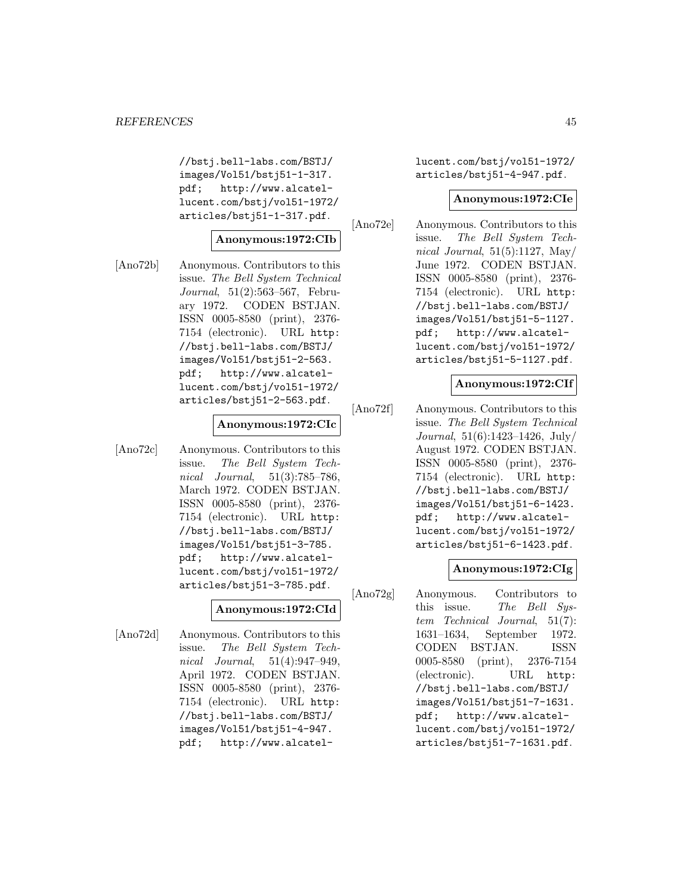//bstj.bell-labs.com/BSTJ/ images/Vol51/bstj51-1-317. pdf; http://www.alcatellucent.com/bstj/vol51-1972/ articles/bstj51-1-317.pdf.

# **Anonymous:1972:CIb**

[Ano72b] Anonymous. Contributors to this issue. The Bell System Technical Journal, 51(2):563–567, February 1972. CODEN BSTJAN. ISSN 0005-8580 (print), 2376- 7154 (electronic). URL http: //bstj.bell-labs.com/BSTJ/ images/Vol51/bstj51-2-563. pdf; http://www.alcatellucent.com/bstj/vol51-1972/ articles/bstj51-2-563.pdf.

## **Anonymous:1972:CIc**

[Ano72c] Anonymous. Contributors to this issue. The Bell System Technical Journal, 51(3):785–786, March 1972. CODEN BSTJAN. ISSN 0005-8580 (print), 2376- 7154 (electronic). URL http: //bstj.bell-labs.com/BSTJ/ images/Vol51/bstj51-3-785. pdf; http://www.alcatellucent.com/bstj/vol51-1972/ articles/bstj51-3-785.pdf.

### **Anonymous:1972:CId**

[Ano72d] Anonymous. Contributors to this issue. The Bell System Technical Journal, 51(4):947–949, April 1972. CODEN BSTJAN. ISSN 0005-8580 (print), 2376- 7154 (electronic). URL http: //bstj.bell-labs.com/BSTJ/ images/Vol51/bstj51-4-947. pdf; http://www.alcatellucent.com/bstj/vol51-1972/ articles/bstj51-4-947.pdf.

#### **Anonymous:1972:CIe**

[Ano72e] Anonymous. Contributors to this issue. The Bell System Technical Journal,  $51(5):1127$ , May/ June 1972. CODEN BSTJAN. ISSN 0005-8580 (print), 2376- 7154 (electronic). URL http: //bstj.bell-labs.com/BSTJ/ images/Vol51/bstj51-5-1127. pdf; http://www.alcatellucent.com/bstj/vol51-1972/ articles/bstj51-5-1127.pdf.

#### **Anonymous:1972:CIf**

[Ano72f] Anonymous. Contributors to this issue. The Bell System Technical Journal, 51(6):1423–1426, July/ August 1972. CODEN BSTJAN. ISSN 0005-8580 (print), 2376- 7154 (electronic). URL http: //bstj.bell-labs.com/BSTJ/ images/Vol51/bstj51-6-1423. pdf; http://www.alcatellucent.com/bstj/vol51-1972/ articles/bstj51-6-1423.pdf.

#### **Anonymous:1972:CIg**

[Ano72g] Anonymous. Contributors to this issue. The Bell System Technical Journal, 51(7): 1631–1634, September 1972. CODEN BSTJAN. ISSN 0005-8580 (print), 2376-7154 (electronic). URL http: //bstj.bell-labs.com/BSTJ/ images/Vol51/bstj51-7-1631. pdf; http://www.alcatellucent.com/bstj/vol51-1972/ articles/bstj51-7-1631.pdf.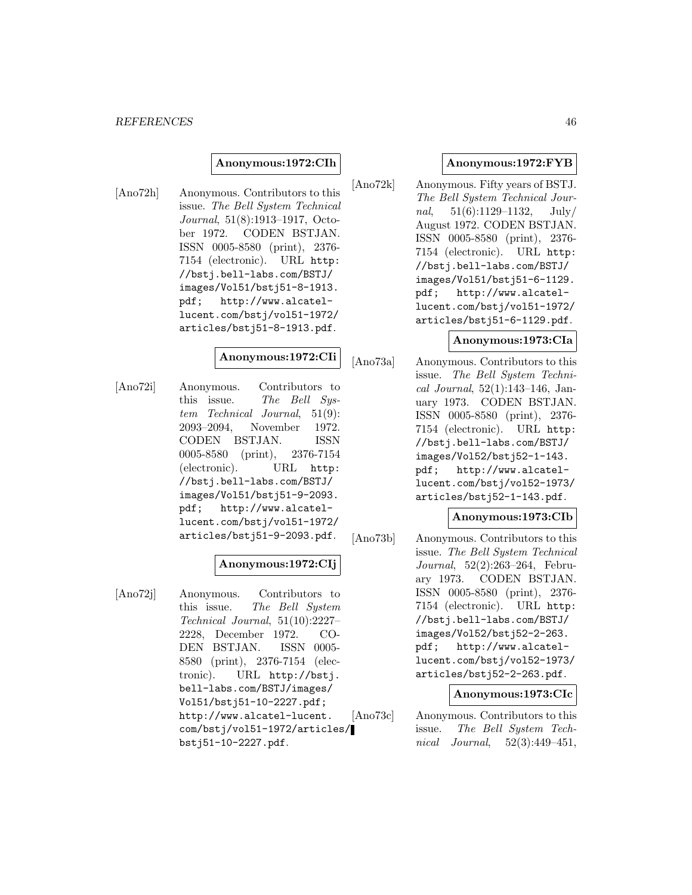#### **Anonymous:1972:CIh**

[Ano72h] Anonymous. Contributors to this issue. The Bell System Technical Journal, 51(8):1913–1917, October 1972. CODEN BSTJAN. ISSN 0005-8580 (print), 2376- 7154 (electronic). URL http: //bstj.bell-labs.com/BSTJ/ images/Vol51/bstj51-8-1913. pdf; http://www.alcatellucent.com/bstj/vol51-1972/ articles/bstj51-8-1913.pdf.

### **Anonymous:1972:CIi**

[Ano72i] Anonymous. Contributors to this issue. The Bell Sustem Technical Journal, 51(9): 2093–2094, November 1972. CODEN BSTJAN. ISSN 0005-8580 (print), 2376-7154 (electronic). URL http: //bstj.bell-labs.com/BSTJ/ images/Vol51/bstj51-9-2093. pdf; http://www.alcatellucent.com/bstj/vol51-1972/ articles/bstj51-9-2093.pdf.

### **Anonymous:1972:CIj**

[Ano72j] Anonymous. Contributors to this issue. The Bell System Technical Journal, 51(10):2227– 2228, December 1972. CO-DEN BSTJAN. ISSN 0005- 8580 (print), 2376-7154 (electronic). URL http://bstj. bell-labs.com/BSTJ/images/ Vol51/bstj51-10-2227.pdf; http://www.alcatel-lucent. com/bstj/vol51-1972/articles/ bstj51-10-2227.pdf.

#### **Anonymous:1972:FYB**

[Ano72k] Anonymous. Fifty years of BSTJ. The Bell System Technical Journal,  $51(6):1129-1132$ ,  $July/$ August 1972. CODEN BSTJAN. ISSN 0005-8580 (print), 2376- 7154 (electronic). URL http: //bstj.bell-labs.com/BSTJ/ images/Vol51/bstj51-6-1129. pdf; http://www.alcatellucent.com/bstj/vol51-1972/ articles/bstj51-6-1129.pdf.

#### **Anonymous:1973:CIa**

[Ano73a] Anonymous. Contributors to this issue. The Bell System Technical Journal, 52(1):143–146, January 1973. CODEN BSTJAN. ISSN 0005-8580 (print), 2376- 7154 (electronic). URL http: //bstj.bell-labs.com/BSTJ/ images/Vol52/bstj52-1-143. pdf; http://www.alcatellucent.com/bstj/vol52-1973/ articles/bstj52-1-143.pdf.

#### **Anonymous:1973:CIb**

[Ano73b] Anonymous. Contributors to this issue. The Bell System Technical Journal, 52(2):263–264, February 1973. CODEN BSTJAN. ISSN 0005-8580 (print), 2376- 7154 (electronic). URL http: //bstj.bell-labs.com/BSTJ/ images/Vol52/bstj52-2-263. pdf; http://www.alcatellucent.com/bstj/vol52-1973/ articles/bstj52-2-263.pdf.

#### **Anonymous:1973:CIc**

[Ano73c] Anonymous. Contributors to this issue. The Bell System Technical Journal, 52(3):449–451,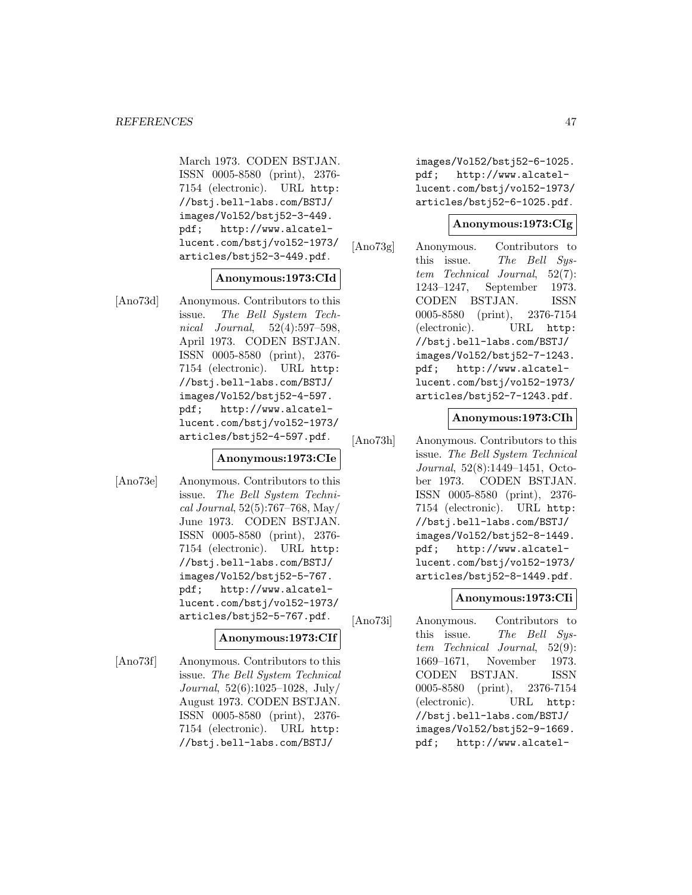March 1973. CODEN BSTJAN. ISSN 0005-8580 (print), 2376- 7154 (electronic). URL http: //bstj.bell-labs.com/BSTJ/ images/Vol52/bstj52-3-449. pdf; http://www.alcatellucent.com/bstj/vol52-1973/ articles/bstj52-3-449.pdf.

## **Anonymous:1973:CId**

[Ano73d] Anonymous. Contributors to this issue. The Bell System Technical Journal, 52(4):597–598, April 1973. CODEN BSTJAN. ISSN 0005-8580 (print), 2376- 7154 (electronic). URL http: //bstj.bell-labs.com/BSTJ/ images/Vol52/bstj52-4-597. pdf; http://www.alcatellucent.com/bstj/vol52-1973/ articles/bstj52-4-597.pdf.

### **Anonymous:1973:CIe**

[Ano73e] Anonymous. Contributors to this issue. The Bell System Technical Journal, 52(5):767–768, May/ June 1973. CODEN BSTJAN. ISSN 0005-8580 (print), 2376- 7154 (electronic). URL http: //bstj.bell-labs.com/BSTJ/ images/Vol52/bstj52-5-767. pdf; http://www.alcatellucent.com/bstj/vol52-1973/ articles/bstj52-5-767.pdf.

### **Anonymous:1973:CIf**

[Ano73f] Anonymous. Contributors to this issue. The Bell System Technical Journal, 52(6):1025–1028, July/ August 1973. CODEN BSTJAN. ISSN 0005-8580 (print), 2376- 7154 (electronic). URL http: //bstj.bell-labs.com/BSTJ/

images/Vol52/bstj52-6-1025. pdf; http://www.alcatellucent.com/bstj/vol52-1973/ articles/bstj52-6-1025.pdf.

## **Anonymous:1973:CIg**

[Ano73g] Anonymous. Contributors to this issue. The Bell System Technical Journal, 52(7): 1243–1247, September 1973. CODEN BSTJAN. ISSN 0005-8580 (print), 2376-7154 (electronic). URL http: //bstj.bell-labs.com/BSTJ/ images/Vol52/bstj52-7-1243. pdf; http://www.alcatellucent.com/bstj/vol52-1973/ articles/bstj52-7-1243.pdf.

### **Anonymous:1973:CIh**

[Ano73h] Anonymous. Contributors to this issue. The Bell System Technical Journal, 52(8):1449–1451, October 1973. CODEN BSTJAN. ISSN 0005-8580 (print), 2376- 7154 (electronic). URL http: //bstj.bell-labs.com/BSTJ/ images/Vol52/bstj52-8-1449. pdf; http://www.alcatellucent.com/bstj/vol52-1973/ articles/bstj52-8-1449.pdf.

# **Anonymous:1973:CIi**

[Ano73i] Anonymous. Contributors to this issue. The Bell System Technical Journal, 52(9): 1669–1671, November 1973. CODEN BSTJAN. ISSN 0005-8580 (print), 2376-7154 (electronic). URL http: //bstj.bell-labs.com/BSTJ/ images/Vol52/bstj52-9-1669. pdf; http://www.alcatel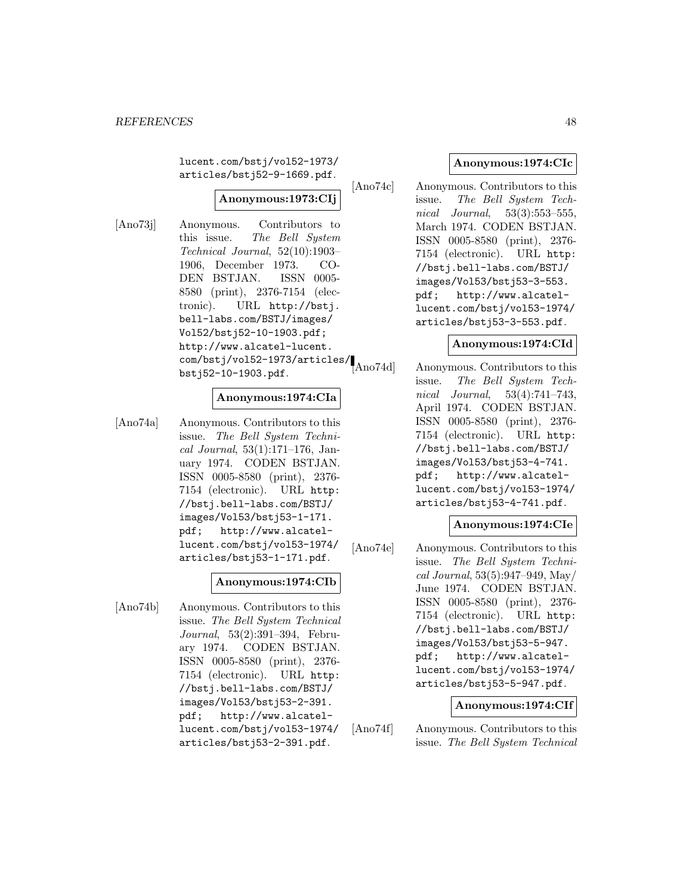lucent.com/bstj/vol52-1973/ articles/bstj52-9-1669.pdf.

# **Anonymous:1973:CIj**

[Ano73j] Anonymous. Contributors to this issue. The Bell System Technical Journal, 52(10):1903– 1906, December 1973. CO-DEN BSTJAN. ISSN 0005- 8580 (print), 2376-7154 (electronic). URL http://bstj. bell-labs.com/BSTJ/images/ Vol52/bstj52-10-1903.pdf; http://www.alcatel-lucent. com/bstj/vol52-1973/articles/ bstj52-10-1903.pdf.

## **Anonymous:1974:CIa**

[Ano74a] Anonymous. Contributors to this issue. The Bell System Techni $cal Journal, 53(1):171-176, Jan$ uary 1974. CODEN BSTJAN. ISSN 0005-8580 (print), 2376- 7154 (electronic). URL http: //bstj.bell-labs.com/BSTJ/ images/Vol53/bstj53-1-171. pdf; http://www.alcatellucent.com/bstj/vol53-1974/ articles/bstj53-1-171.pdf.

### **Anonymous:1974:CIb**

[Ano74b] Anonymous. Contributors to this issue. The Bell System Technical Journal, 53(2):391–394, February 1974. CODEN BSTJAN. ISSN 0005-8580 (print), 2376- 7154 (electronic). URL http: //bstj.bell-labs.com/BSTJ/ images/Vol53/bstj53-2-391. pdf; http://www.alcatellucent.com/bstj/vol53-1974/ articles/bstj53-2-391.pdf.

## **Anonymous:1974:CIc**

[Ano74c] Anonymous. Contributors to this issue. The Bell System Technical Journal, 53(3):553–555, March 1974. CODEN BSTJAN. ISSN 0005-8580 (print), 2376- 7154 (electronic). URL http: //bstj.bell-labs.com/BSTJ/ images/Vol53/bstj53-3-553. pdf; http://www.alcatellucent.com/bstj/vol53-1974/ articles/bstj53-3-553.pdf.

#### **Anonymous:1974:CId**

Ano74d] Anonymous. Contributors to this issue. The Bell System Technical Journal, 53(4):741–743, April 1974. CODEN BSTJAN. ISSN 0005-8580 (print), 2376- 7154 (electronic). URL http: //bstj.bell-labs.com/BSTJ/ images/Vol53/bstj53-4-741. pdf; http://www.alcatellucent.com/bstj/vol53-1974/ articles/bstj53-4-741.pdf.

### **Anonymous:1974:CIe**

[Ano74e] Anonymous. Contributors to this issue. The Bell System Technical Journal, 53(5):947–949, May/ June 1974. CODEN BSTJAN. ISSN 0005-8580 (print), 2376- 7154 (electronic). URL http: //bstj.bell-labs.com/BSTJ/ images/Vol53/bstj53-5-947. pdf; http://www.alcatellucent.com/bstj/vol53-1974/ articles/bstj53-5-947.pdf.

#### **Anonymous:1974:CIf**

[Ano74f] Anonymous. Contributors to this issue. The Bell System Technical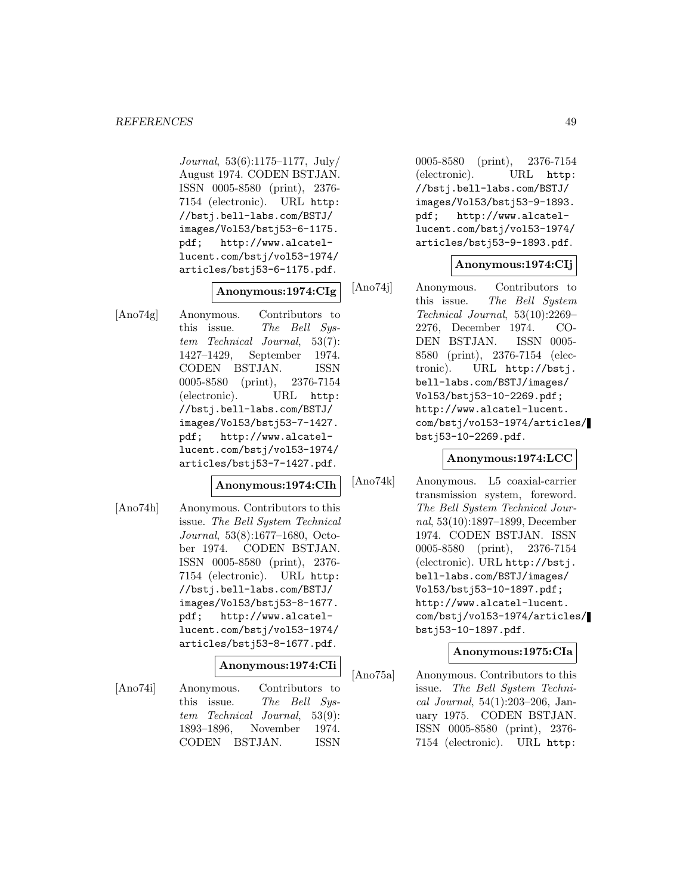Journal, 53(6):1175–1177, July/ August 1974. CODEN BSTJAN. ISSN 0005-8580 (print), 2376- 7154 (electronic). URL http: //bstj.bell-labs.com/BSTJ/ images/Vol53/bstj53-6-1175. pdf; http://www.alcatellucent.com/bstj/vol53-1974/ articles/bstj53-6-1175.pdf.

# **Anonymous:1974:CIg**

[Ano74g] Anonymous. Contributors to this issue. The Bell System Technical Journal, 53(7): 1427–1429, September 1974. CODEN BSTJAN. ISSN 0005-8580 (print), 2376-7154 (electronic). URL http: //bstj.bell-labs.com/BSTJ/ images/Vol53/bstj53-7-1427. pdf; http://www.alcatellucent.com/bstj/vol53-1974/ articles/bstj53-7-1427.pdf.

### **Anonymous:1974:CIh**

[Ano74h] Anonymous. Contributors to this issue. The Bell System Technical Journal, 53(8):1677–1680, October 1974. CODEN BSTJAN. ISSN 0005-8580 (print), 2376- 7154 (electronic). URL http: //bstj.bell-labs.com/BSTJ/ images/Vol53/bstj53-8-1677. pdf; http://www.alcatellucent.com/bstj/vol53-1974/ articles/bstj53-8-1677.pdf.

#### **Anonymous:1974:CIi**

[Ano74i] Anonymous. Contributors to this issue. The Bell System Technical Journal, 53(9): 1893–1896, November 1974. CODEN BSTJAN. ISSN

0005-8580 (print), 2376-7154 (electronic). URL http: //bstj.bell-labs.com/BSTJ/ images/Vol53/bstj53-9-1893. pdf; http://www.alcatellucent.com/bstj/vol53-1974/ articles/bstj53-9-1893.pdf.

## **Anonymous:1974:CIj**

[Ano74j] Anonymous. Contributors to this issue. The Bell System Technical Journal, 53(10):2269– 2276, December 1974. CO-DEN BSTJAN. ISSN 0005- 8580 (print), 2376-7154 (electronic). URL http://bstj. bell-labs.com/BSTJ/images/ Vol53/bstj53-10-2269.pdf; http://www.alcatel-lucent. com/bstj/vol53-1974/articles/ bstj53-10-2269.pdf.

### **Anonymous:1974:LCC**

[Ano74k] Anonymous. L5 coaxial-carrier transmission system, foreword. The Bell System Technical Journal, 53(10):1897–1899, December 1974. CODEN BSTJAN. ISSN 0005-8580 (print), 2376-7154 (electronic). URL http://bstj. bell-labs.com/BSTJ/images/ Vol53/bstj53-10-1897.pdf; http://www.alcatel-lucent. com/bstj/vol53-1974/articles/ bstj53-10-1897.pdf.

### **Anonymous:1975:CIa**

[Ano75a] Anonymous. Contributors to this issue. The Bell System Technical Journal, 54(1):203–206, January 1975. CODEN BSTJAN. ISSN 0005-8580 (print), 2376- 7154 (electronic). URL http: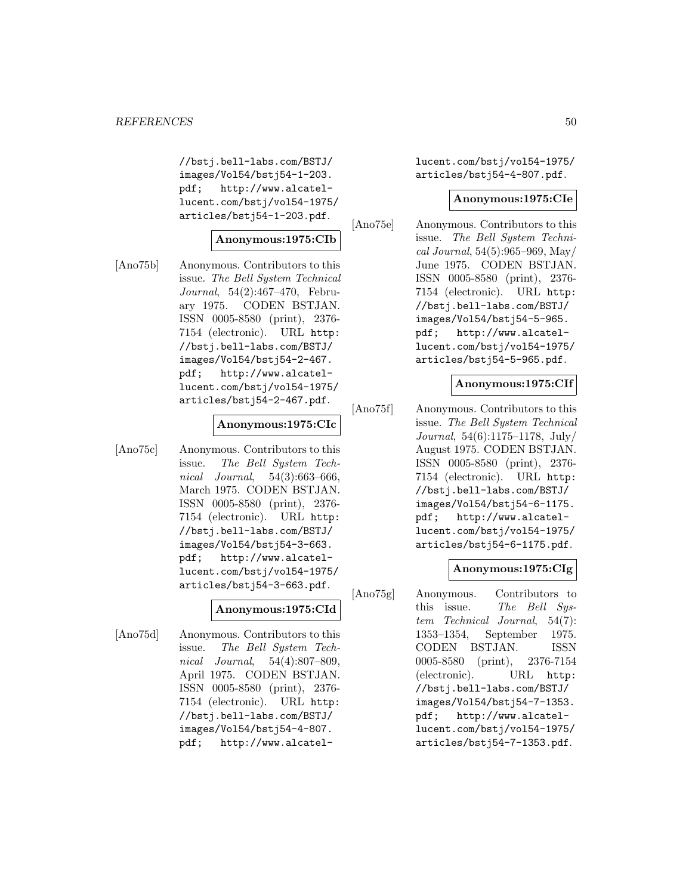//bstj.bell-labs.com/BSTJ/ images/Vol54/bstj54-1-203. pdf; http://www.alcatellucent.com/bstj/vol54-1975/ articles/bstj54-1-203.pdf.

# **Anonymous:1975:CIb**

[Ano75b] Anonymous. Contributors to this issue. The Bell System Technical Journal, 54(2):467–470, February 1975. CODEN BSTJAN. ISSN 0005-8580 (print), 2376- 7154 (electronic). URL http: //bstj.bell-labs.com/BSTJ/ images/Vol54/bstj54-2-467. pdf; http://www.alcatellucent.com/bstj/vol54-1975/ articles/bstj54-2-467.pdf.

## **Anonymous:1975:CIc**

[Ano75c] Anonymous. Contributors to this issue. The Bell System Technical Journal, 54(3):663–666, March 1975. CODEN BSTJAN. ISSN 0005-8580 (print), 2376- 7154 (electronic). URL http: //bstj.bell-labs.com/BSTJ/ images/Vol54/bstj54-3-663. pdf; http://www.alcatellucent.com/bstj/vol54-1975/ articles/bstj54-3-663.pdf.

### **Anonymous:1975:CId**

[Ano75d] Anonymous. Contributors to this issue. The Bell System Technical Journal, 54(4):807–809, April 1975. CODEN BSTJAN. ISSN 0005-8580 (print), 2376- 7154 (electronic). URL http: //bstj.bell-labs.com/BSTJ/ images/Vol54/bstj54-4-807. pdf; http://www.alcatellucent.com/bstj/vol54-1975/ articles/bstj54-4-807.pdf.

## **Anonymous:1975:CIe**

[Ano75e] Anonymous. Contributors to this issue. The Bell System Technical Journal, 54(5):965–969, May/ June 1975. CODEN BSTJAN. ISSN 0005-8580 (print), 2376- 7154 (electronic). URL http: //bstj.bell-labs.com/BSTJ/ images/Vol54/bstj54-5-965. pdf; http://www.alcatellucent.com/bstj/vol54-1975/ articles/bstj54-5-965.pdf.

### **Anonymous:1975:CIf**

[Ano75f] Anonymous. Contributors to this issue. The Bell System Technical Journal, 54(6):1175–1178, July/ August 1975. CODEN BSTJAN. ISSN 0005-8580 (print), 2376- 7154 (electronic). URL http: //bstj.bell-labs.com/BSTJ/ images/Vol54/bstj54-6-1175. pdf; http://www.alcatellucent.com/bstj/vol54-1975/ articles/bstj54-6-1175.pdf.

### **Anonymous:1975:CIg**

[Ano75g] Anonymous. Contributors to this issue. The Bell System Technical Journal, 54(7): 1353–1354, September 1975. CODEN BSTJAN. ISSN 0005-8580 (print), 2376-7154 (electronic). URL http: //bstj.bell-labs.com/BSTJ/ images/Vol54/bstj54-7-1353. pdf; http://www.alcatellucent.com/bstj/vol54-1975/ articles/bstj54-7-1353.pdf.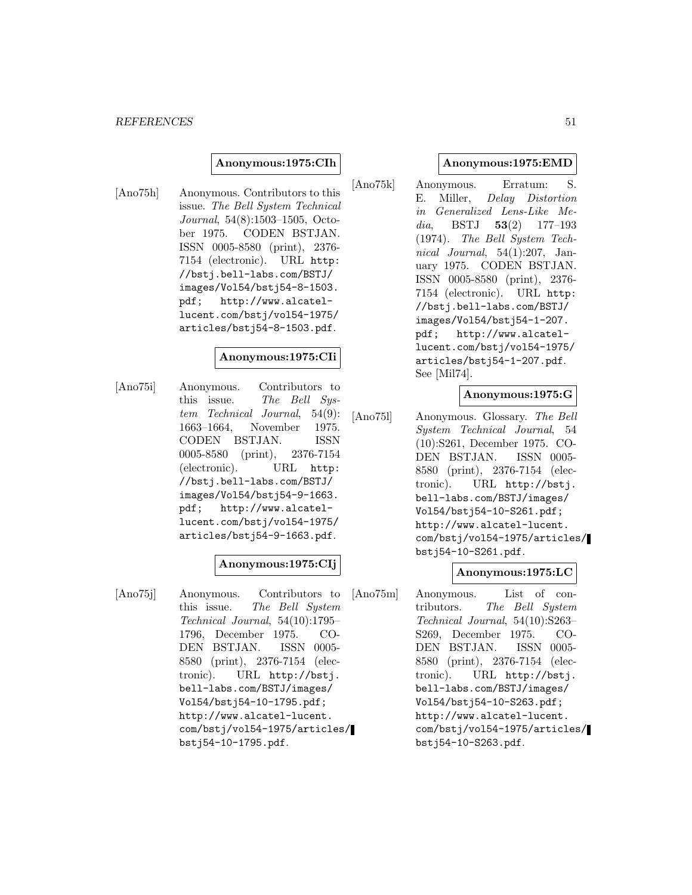#### **Anonymous:1975:CIh**

[Ano75h] Anonymous. Contributors to this issue. The Bell System Technical Journal, 54(8):1503–1505, October 1975. CODEN BSTJAN. ISSN 0005-8580 (print), 2376- 7154 (electronic). URL http: //bstj.bell-labs.com/BSTJ/ images/Vol54/bstj54-8-1503. pdf; http://www.alcatellucent.com/bstj/vol54-1975/ articles/bstj54-8-1503.pdf.

#### **Anonymous:1975:CIi**

[Ano75i] Anonymous. Contributors to this issue. The Bell Sustem Technical Journal, 54(9): 1663–1664, November 1975. CODEN BSTJAN. ISSN 0005-8580 (print), 2376-7154 (electronic). URL http: //bstj.bell-labs.com/BSTJ/ images/Vol54/bstj54-9-1663. pdf; http://www.alcatellucent.com/bstj/vol54-1975/ articles/bstj54-9-1663.pdf.

# **Anonymous:1975:CIj**

[Ano75j] Anonymous. Contributors to this issue. The Bell System Technical Journal, 54(10):1795– 1796, December 1975. CO-DEN BSTJAN. ISSN 0005- 8580 (print), 2376-7154 (electronic). URL http://bstj. bell-labs.com/BSTJ/images/ Vol54/bstj54-10-1795.pdf; http://www.alcatel-lucent. com/bstj/vol54-1975/articles/ bstj54-10-1795.pdf.

#### **Anonymous:1975:EMD**

[Ano75k] Anonymous. Erratum: S. E. Miller, Delay Distortion in Generalized Lens-Like Media, BSTJ **53**(2) 177–193 (1974). The Bell System Technical Journal,  $54(1):207$ , January 1975. CODEN BSTJAN. ISSN 0005-8580 (print), 2376- 7154 (electronic). URL http: //bstj.bell-labs.com/BSTJ/ images/Vol54/bstj54-1-207. pdf; http://www.alcatellucent.com/bstj/vol54-1975/ articles/bstj54-1-207.pdf. See [Mil74].

### **Anonymous:1975:G**

[Ano75l] Anonymous. Glossary. The Bell System Technical Journal, 54 (10):S261, December 1975. CO-DEN BSTJAN. ISSN 0005- 8580 (print), 2376-7154 (electronic). URL http://bstj. bell-labs.com/BSTJ/images/ Vol54/bstj54-10-S261.pdf; http://www.alcatel-lucent. com/bstj/vol54-1975/articles/ bstj54-10-S261.pdf.

# **Anonymous:1975:LC**

[Ano75m] Anonymous. List of contributors. The Bell System Technical Journal, 54(10):S263– S269, December 1975. CO-DEN BSTJAN. ISSN 0005- 8580 (print), 2376-7154 (electronic). URL http://bstj. bell-labs.com/BSTJ/images/ Vol54/bstj54-10-S263.pdf; http://www.alcatel-lucent. com/bstj/vol54-1975/articles/ bstj54-10-S263.pdf.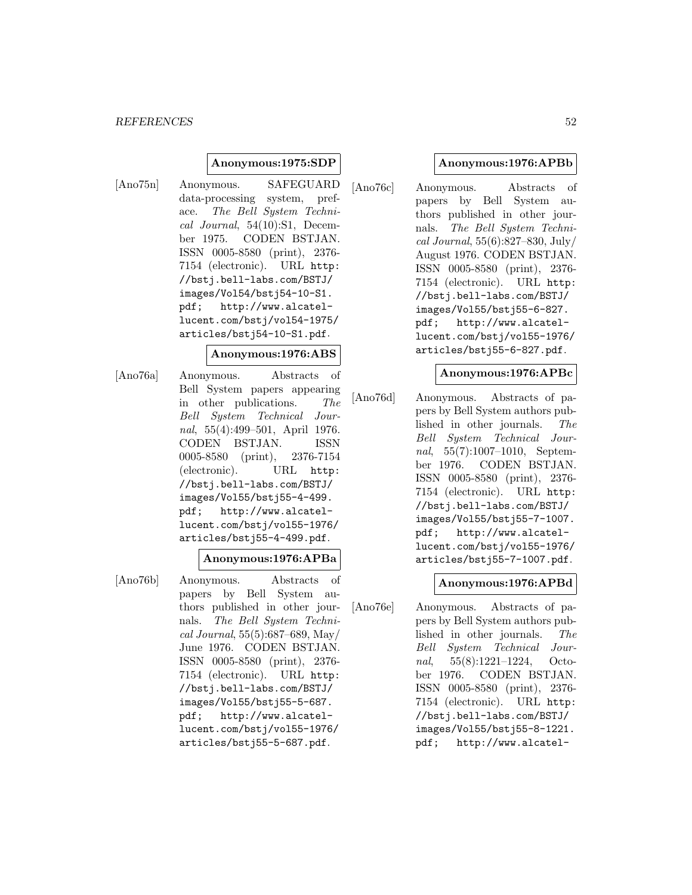### **Anonymous:1975:SDP**

[Ano75n] Anonymous. SAFEGUARD data-processing system, preface. The Bell System Technical Journal, 54(10):S1, December 1975. CODEN BSTJAN. ISSN 0005-8580 (print), 2376- 7154 (electronic). URL http: //bstj.bell-labs.com/BSTJ/ images/Vol54/bstj54-10-S1. pdf; http://www.alcatellucent.com/bstj/vol54-1975/ articles/bstj54-10-S1.pdf.

## **Anonymous:1976:ABS**

[Ano76a] Anonymous. Abstracts of Bell System papers appearing in other publications. The Bell System Technical Journal, 55(4):499–501, April 1976. CODEN BSTJAN. ISSN 0005-8580 (print), 2376-7154 (electronic). URL http: //bstj.bell-labs.com/BSTJ/ images/Vol55/bstj55-4-499. pdf; http://www.alcatellucent.com/bstj/vol55-1976/ articles/bstj55-4-499.pdf.

## **Anonymous:1976:APBa**

[Ano76b] Anonymous. Abstracts of papers by Bell System authors published in other journals. The Bell System Technical Journal, 55(5):687–689, May/ June 1976. CODEN BSTJAN. ISSN 0005-8580 (print), 2376- 7154 (electronic). URL http: //bstj.bell-labs.com/BSTJ/ images/Vol55/bstj55-5-687. pdf; http://www.alcatellucent.com/bstj/vol55-1976/ articles/bstj55-5-687.pdf.

### **Anonymous:1976:APBb**

[Ano76c] Anonymous. Abstracts of papers by Bell System authors published in other journals. The Bell System Technical Journal, 55(6):827–830, July/ August 1976. CODEN BSTJAN. ISSN 0005-8580 (print), 2376- 7154 (electronic). URL http: //bstj.bell-labs.com/BSTJ/ images/Vol55/bstj55-6-827. pdf; http://www.alcatellucent.com/bstj/vol55-1976/ articles/bstj55-6-827.pdf.

#### **Anonymous:1976:APBc**

[Ano76d] Anonymous. Abstracts of papers by Bell System authors published in other journals. The Bell System Technical Journal, 55(7):1007–1010, September 1976. CODEN BSTJAN. ISSN 0005-8580 (print), 2376- 7154 (electronic). URL http: //bstj.bell-labs.com/BSTJ/ images/Vol55/bstj55-7-1007. pdf; http://www.alcatellucent.com/bstj/vol55-1976/ articles/bstj55-7-1007.pdf.

#### **Anonymous:1976:APBd**

[Ano76e] Anonymous. Abstracts of papers by Bell System authors published in other journals. The Bell System Technical Journal, 55(8):1221–1224, October 1976. CODEN BSTJAN. ISSN 0005-8580 (print), 2376- 7154 (electronic). URL http: //bstj.bell-labs.com/BSTJ/ images/Vol55/bstj55-8-1221. pdf; http://www.alcatel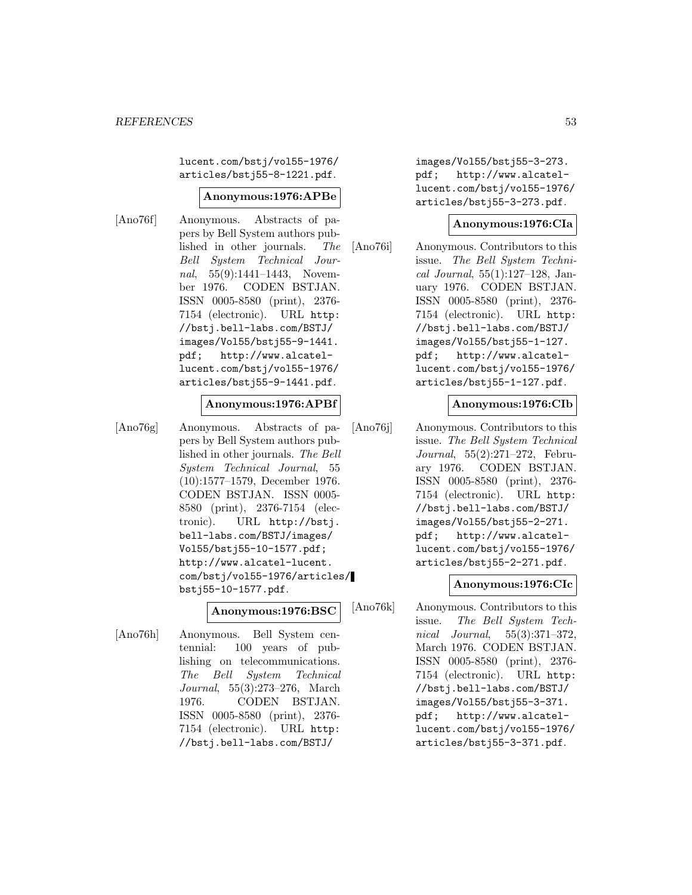lucent.com/bstj/vol55-1976/ articles/bstj55-8-1221.pdf.

#### **Anonymous:1976:APBe**

[Ano76f] Anonymous. Abstracts of papers by Bell System authors published in other journals. The Bell System Technical Journal, 55(9):1441–1443, November 1976. CODEN BSTJAN. ISSN 0005-8580 (print), 2376- 7154 (electronic). URL http: //bstj.bell-labs.com/BSTJ/ images/Vol55/bstj55-9-1441. pdf; http://www.alcatellucent.com/bstj/vol55-1976/ articles/bstj55-9-1441.pdf.

#### **Anonymous:1976:APBf**

[Ano76g] Anonymous. Abstracts of papers by Bell System authors published in other journals. The Bell System Technical Journal, 55 (10):1577–1579, December 1976. CODEN BSTJAN. ISSN 0005- 8580 (print), 2376-7154 (electronic). URL http://bstj. bell-labs.com/BSTJ/images/ Vol55/bstj55-10-1577.pdf; http://www.alcatel-lucent. com/bstj/vol55-1976/articles/ bstj55-10-1577.pdf.

### **Anonymous:1976:BSC**

[Ano76h] Anonymous. Bell System centennial: 100 years of publishing on telecommunications. The Bell System Technical Journal, 55(3):273–276, March 1976. CODEN BSTJAN. ISSN 0005-8580 (print), 2376- 7154 (electronic). URL http: //bstj.bell-labs.com/BSTJ/

images/Vol55/bstj55-3-273. pdf; http://www.alcatellucent.com/bstj/vol55-1976/ articles/bstj55-3-273.pdf.

#### **Anonymous:1976:CIa**

[Ano76i] Anonymous. Contributors to this issue. The Bell System Technical Journal, 55(1):127–128, January 1976. CODEN BSTJAN. ISSN 0005-8580 (print), 2376- 7154 (electronic). URL http: //bstj.bell-labs.com/BSTJ/ images/Vol55/bstj55-1-127. pdf; http://www.alcatellucent.com/bstj/vol55-1976/ articles/bstj55-1-127.pdf.

#### **Anonymous:1976:CIb**

[Ano76j] Anonymous. Contributors to this issue. The Bell System Technical Journal, 55(2):271–272, February 1976. CODEN BSTJAN. ISSN 0005-8580 (print), 2376- 7154 (electronic). URL http: //bstj.bell-labs.com/BSTJ/ images/Vol55/bstj55-2-271. pdf; http://www.alcatellucent.com/bstj/vol55-1976/ articles/bstj55-2-271.pdf.

#### **Anonymous:1976:CIc**

[Ano76k] Anonymous. Contributors to this issue. The Bell System Technical Journal, 55(3):371–372, March 1976. CODEN BSTJAN. ISSN 0005-8580 (print), 2376- 7154 (electronic). URL http: //bstj.bell-labs.com/BSTJ/ images/Vol55/bstj55-3-371. pdf; http://www.alcatellucent.com/bstj/vol55-1976/ articles/bstj55-3-371.pdf.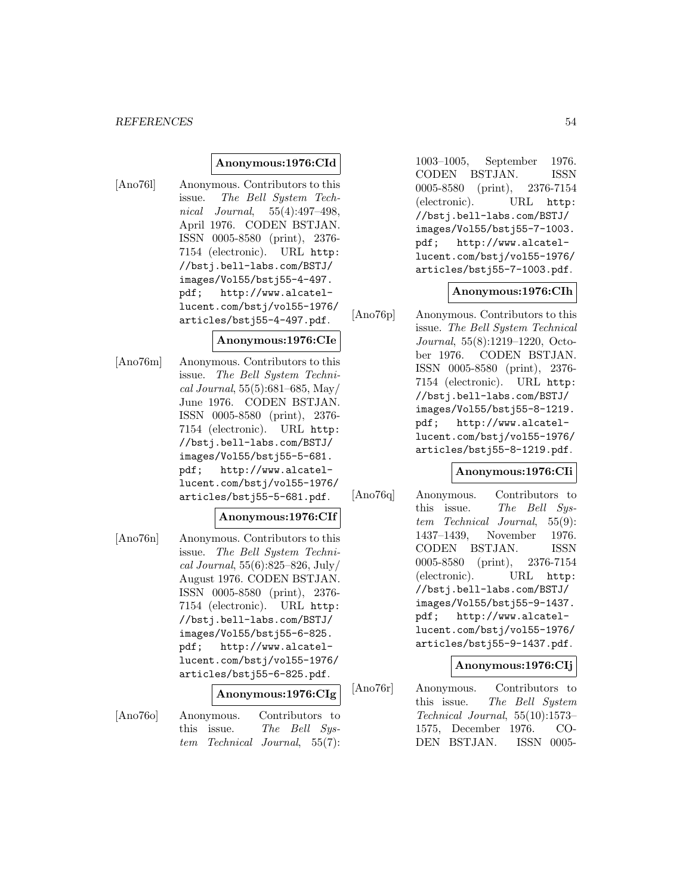### **Anonymous:1976:CId**

[Ano76l] Anonymous. Contributors to this issue. The Bell System Technical Journal, 55(4):497–498, April 1976. CODEN BSTJAN. ISSN 0005-8580 (print), 2376- 7154 (electronic). URL http: //bstj.bell-labs.com/BSTJ/ images/Vol55/bstj55-4-497. pdf; http://www.alcatellucent.com/bstj/vol55-1976/ articles/bstj55-4-497.pdf.

#### **Anonymous:1976:CIe**

[Ano76m] Anonymous. Contributors to this issue. The Bell System Technical Journal, 55(5):681–685, May/ June 1976. CODEN BSTJAN. ISSN 0005-8580 (print), 2376- 7154 (electronic). URL http: //bstj.bell-labs.com/BSTJ/ images/Vol55/bstj55-5-681. pdf; http://www.alcatellucent.com/bstj/vol55-1976/ articles/bstj55-5-681.pdf.

## **Anonymous:1976:CIf**

[Ano76n] Anonymous. Contributors to this issue. The Bell System Technical Journal, 55(6):825–826, July/ August 1976. CODEN BSTJAN. ISSN 0005-8580 (print), 2376- 7154 (electronic). URL http: //bstj.bell-labs.com/BSTJ/ images/Vol55/bstj55-6-825. pdf; http://www.alcatellucent.com/bstj/vol55-1976/ articles/bstj55-6-825.pdf.

#### **Anonymous:1976:CIg**

[Ano76o] Anonymous. Contributors to this issue. The Bell System Technical Journal, 55(7):

1003–1005, September 1976. CODEN BSTJAN. ISSN 0005-8580 (print), 2376-7154 (electronic). URL http: //bstj.bell-labs.com/BSTJ/ images/Vol55/bstj55-7-1003. pdf; http://www.alcatellucent.com/bstj/vol55-1976/ articles/bstj55-7-1003.pdf.

#### **Anonymous:1976:CIh**

[Ano76p] Anonymous. Contributors to this issue. The Bell System Technical Journal, 55(8):1219–1220, October 1976. CODEN BSTJAN. ISSN 0005-8580 (print), 2376- 7154 (electronic). URL http: //bstj.bell-labs.com/BSTJ/ images/Vol55/bstj55-8-1219. pdf; http://www.alcatellucent.com/bstj/vol55-1976/ articles/bstj55-8-1219.pdf.

## **Anonymous:1976:CIi**

[Ano76q] Anonymous. Contributors to this issue. The Bell System Technical Journal, 55(9): 1437–1439, November 1976. CODEN BSTJAN. ISSN 0005-8580 (print), 2376-7154 (electronic). URL http: //bstj.bell-labs.com/BSTJ/ images/Vol55/bstj55-9-1437. pdf; http://www.alcatellucent.com/bstj/vol55-1976/ articles/bstj55-9-1437.pdf.

### **Anonymous:1976:CIj**

[Ano76r] Anonymous. Contributors to this issue. The Bell System Technical Journal, 55(10):1573– 1575, December 1976. CO-DEN BSTJAN. ISSN 0005-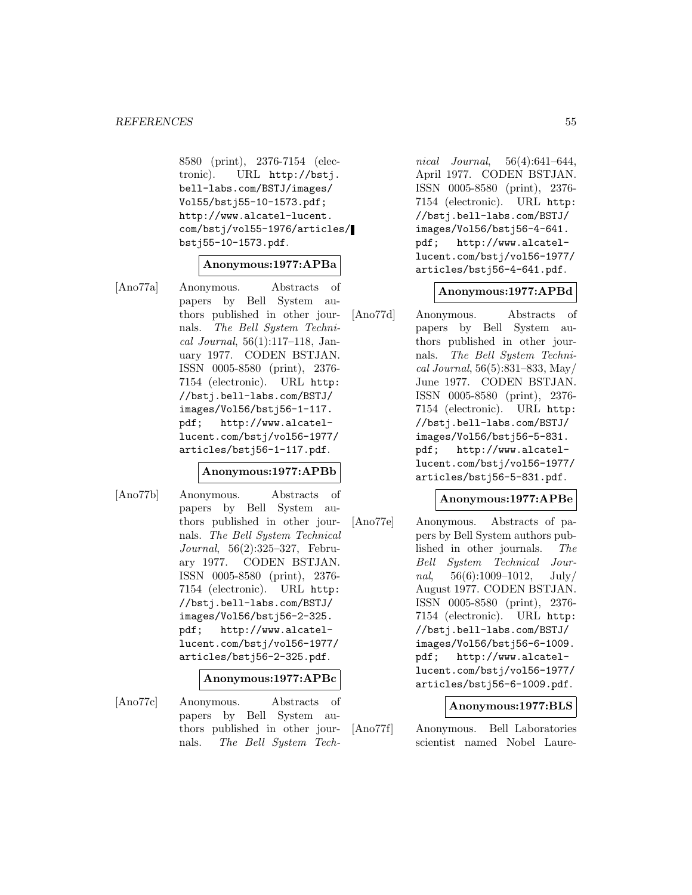8580 (print), 2376-7154 (electronic). URL http://bstj. bell-labs.com/BSTJ/images/ Vol55/bstj55-10-1573.pdf; http://www.alcatel-lucent. com/bstj/vol55-1976/articles/ bstj55-10-1573.pdf.

### **Anonymous:1977:APBa**

[Ano77a] Anonymous. Abstracts of papers by Bell System authors published in other journals. The Bell System Technical Journal, 56(1):117–118, January 1977. CODEN BSTJAN. ISSN 0005-8580 (print), 2376- 7154 (electronic). URL http: //bstj.bell-labs.com/BSTJ/ images/Vol56/bstj56-1-117. pdf; http://www.alcatellucent.com/bstj/vol56-1977/ articles/bstj56-1-117.pdf.

## **Anonymous:1977:APBb**

[Ano77b] Anonymous. Abstracts of papers by Bell System authors published in other journals. The Bell System Technical Journal, 56(2):325–327, February 1977. CODEN BSTJAN. ISSN 0005-8580 (print), 2376- 7154 (electronic). URL http: //bstj.bell-labs.com/BSTJ/ images/Vol56/bstj56-2-325. pdf; http://www.alcatellucent.com/bstj/vol56-1977/ articles/bstj56-2-325.pdf.

**Anonymous:1977:APBc**

[Ano77c] Anonymous. Abstracts of papers by Bell System authors published in other journals. The Bell System Tech-

nical Journal, 56(4):641–644, April 1977. CODEN BSTJAN. ISSN 0005-8580 (print), 2376- 7154 (electronic). URL http: //bstj.bell-labs.com/BSTJ/ images/Vol56/bstj56-4-641. pdf; http://www.alcatellucent.com/bstj/vol56-1977/ articles/bstj56-4-641.pdf.

### **Anonymous:1977:APBd**

[Ano77d] Anonymous. Abstracts of papers by Bell System authors published in other journals. The Bell System Technical Journal, 56(5):831–833, May/ June 1977. CODEN BSTJAN. ISSN 0005-8580 (print), 2376- 7154 (electronic). URL http: //bstj.bell-labs.com/BSTJ/ images/Vol56/bstj56-5-831. pdf; http://www.alcatellucent.com/bstj/vol56-1977/ articles/bstj56-5-831.pdf.

### **Anonymous:1977:APBe**

[Ano77e] Anonymous. Abstracts of papers by Bell System authors published in other journals. The Bell System Technical Journal,  $56(6):1009-1012$ , July/ August 1977. CODEN BSTJAN. ISSN 0005-8580 (print), 2376- 7154 (electronic). URL http: //bstj.bell-labs.com/BSTJ/ images/Vol56/bstj56-6-1009. pdf; http://www.alcatellucent.com/bstj/vol56-1977/ articles/bstj56-6-1009.pdf.

#### **Anonymous:1977:BLS**

[Ano77f] Anonymous. Bell Laboratories scientist named Nobel Laure-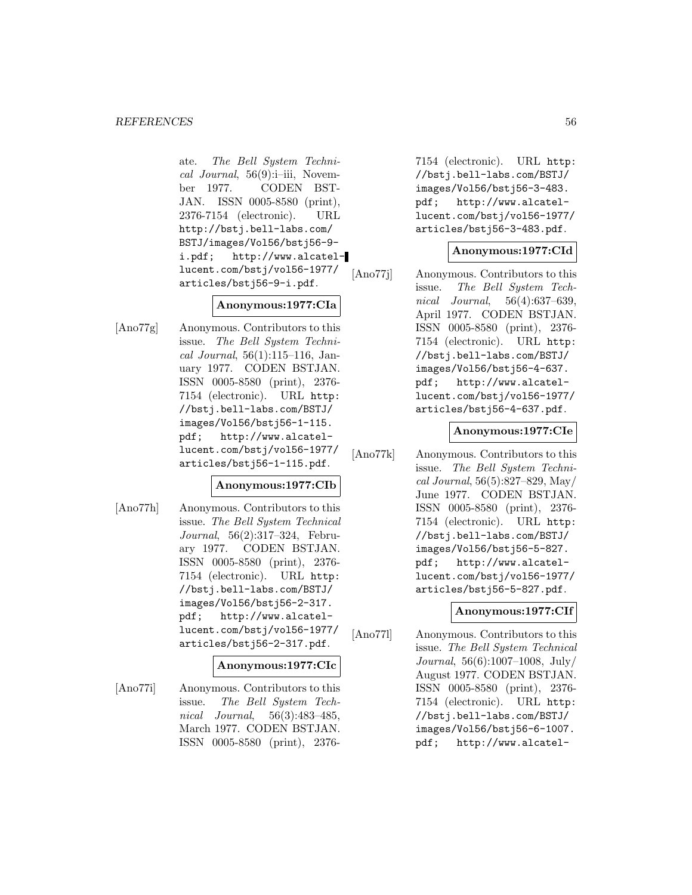ate. The Bell System Technical Journal, 56(9):i–iii, November 1977. CODEN BST-JAN. ISSN 0005-8580 (print), 2376-7154 (electronic). URL http://bstj.bell-labs.com/ BSTJ/images/Vol56/bstj56-9 i.pdf; http://www.alcatellucent.com/bstj/vol56-1977/ articles/bstj56-9-i.pdf.

# **Anonymous:1977:CIa**

[Ano77g] Anonymous. Contributors to this issue. The Bell System Technical Journal, 56(1):115–116, January 1977. CODEN BSTJAN. ISSN 0005-8580 (print), 2376- 7154 (electronic). URL http: //bstj.bell-labs.com/BSTJ/ images/Vol56/bstj56-1-115. pdf; http://www.alcatellucent.com/bstj/vol56-1977/ articles/bstj56-1-115.pdf.

# **Anonymous:1977:CIb**

[Ano77h] Anonymous. Contributors to this issue. The Bell System Technical Journal, 56(2):317–324, February 1977. CODEN BSTJAN. ISSN 0005-8580 (print), 2376- 7154 (electronic). URL http: //bstj.bell-labs.com/BSTJ/ images/Vol56/bstj56-2-317. pdf; http://www.alcatellucent.com/bstj/vol56-1977/ articles/bstj56-2-317.pdf.

### **Anonymous:1977:CIc**

[Ano77i] Anonymous. Contributors to this issue. The Bell System Technical Journal, 56(3):483–485, March 1977. CODEN BSTJAN. ISSN 0005-8580 (print), 23767154 (electronic). URL http: //bstj.bell-labs.com/BSTJ/ images/Vol56/bstj56-3-483. pdf; http://www.alcatellucent.com/bstj/vol56-1977/ articles/bstj56-3-483.pdf.

## **Anonymous:1977:CId**

[Ano77j] Anonymous. Contributors to this issue. The Bell System Technical Journal, 56(4):637–639, April 1977. CODEN BSTJAN. ISSN 0005-8580 (print), 2376- 7154 (electronic). URL http: //bstj.bell-labs.com/BSTJ/ images/Vol56/bstj56-4-637. pdf; http://www.alcatellucent.com/bstj/vol56-1977/ articles/bstj56-4-637.pdf.

## **Anonymous:1977:CIe**

[Ano77k] Anonymous. Contributors to this issue. The Bell System Technical Journal, 56(5):827–829, May/ June 1977. CODEN BSTJAN. ISSN 0005-8580 (print), 2376- 7154 (electronic). URL http: //bstj.bell-labs.com/BSTJ/ images/Vol56/bstj56-5-827. pdf; http://www.alcatellucent.com/bstj/vol56-1977/ articles/bstj56-5-827.pdf.

# **Anonymous:1977:CIf**

[Ano77l] Anonymous. Contributors to this issue. The Bell System Technical Journal, 56(6):1007–1008, July/ August 1977. CODEN BSTJAN. ISSN 0005-8580 (print), 2376- 7154 (electronic). URL http: //bstj.bell-labs.com/BSTJ/ images/Vol56/bstj56-6-1007. pdf; http://www.alcatel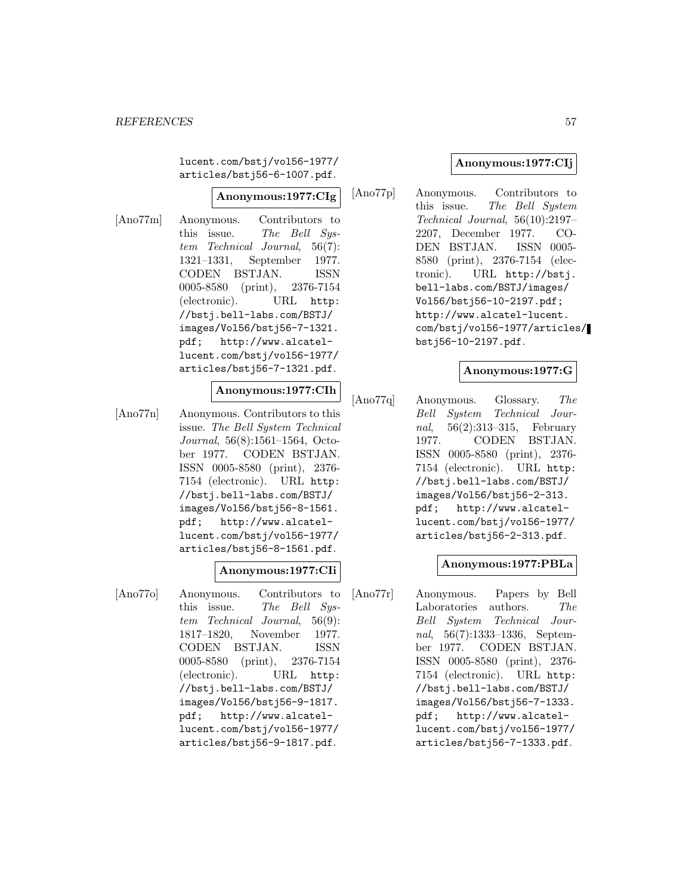lucent.com/bstj/vol56-1977/ articles/bstj56-6-1007.pdf.

#### **Anonymous:1977:CIg**

[Ano77m] Anonymous. Contributors to this issue. The Bell System Technical Journal, 56(7): 1321–1331, September 1977. CODEN BSTJAN. ISSN 0005-8580 (print), 2376-7154 (electronic). URL http: //bstj.bell-labs.com/BSTJ/ images/Vol56/bstj56-7-1321. pdf; http://www.alcatellucent.com/bstj/vol56-1977/ articles/bstj56-7-1321.pdf.

# **Anonymous:1977:CIh**

[Ano77n] Anonymous. Contributors to this issue. The Bell System Technical Journal, 56(8):1561–1564, October 1977. CODEN BSTJAN. ISSN 0005-8580 (print), 2376- 7154 (electronic). URL http: //bstj.bell-labs.com/BSTJ/ images/Vol56/bstj56-8-1561. pdf; http://www.alcatellucent.com/bstj/vol56-1977/ articles/bstj56-8-1561.pdf.

### **Anonymous:1977:CIi**

[Ano77o] Anonymous. Contributors to this issue. The Bell System Technical Journal, 56(9): 1817–1820, November 1977. CODEN BSTJAN. ISSN 0005-8580 (print), 2376-7154 (electronic). URL http: //bstj.bell-labs.com/BSTJ/ images/Vol56/bstj56-9-1817. pdf; http://www.alcatellucent.com/bstj/vol56-1977/ articles/bstj56-9-1817.pdf.

## **Anonymous:1977:CIj**

[Ano77p] Anonymous. Contributors to this issue. The Bell System Technical Journal, 56(10):2197– 2207, December 1977. CO-DEN BSTJAN. ISSN 0005- 8580 (print), 2376-7154 (electronic). URL http://bstj. bell-labs.com/BSTJ/images/ Vol56/bstj56-10-2197.pdf; http://www.alcatel-lucent. com/bstj/vol56-1977/articles/ bstj56-10-2197.pdf.

## **Anonymous:1977:G**

[Ano77q] Anonymous. Glossary. The Bell System Technical Journal, 56(2):313–315, February 1977. CODEN BSTJAN. ISSN 0005-8580 (print), 2376- 7154 (electronic). URL http: //bstj.bell-labs.com/BSTJ/ images/Vol56/bstj56-2-313. pdf; http://www.alcatellucent.com/bstj/vol56-1977/ articles/bstj56-2-313.pdf.

### **Anonymous:1977:PBLa**

[Ano77r] Anonymous. Papers by Bell Laboratories authors. The Bell System Technical Journal, 56(7):1333–1336, September 1977. CODEN BSTJAN. ISSN 0005-8580 (print), 2376- 7154 (electronic). URL http: //bstj.bell-labs.com/BSTJ/ images/Vol56/bstj56-7-1333. pdf; http://www.alcatellucent.com/bstj/vol56-1977/ articles/bstj56-7-1333.pdf.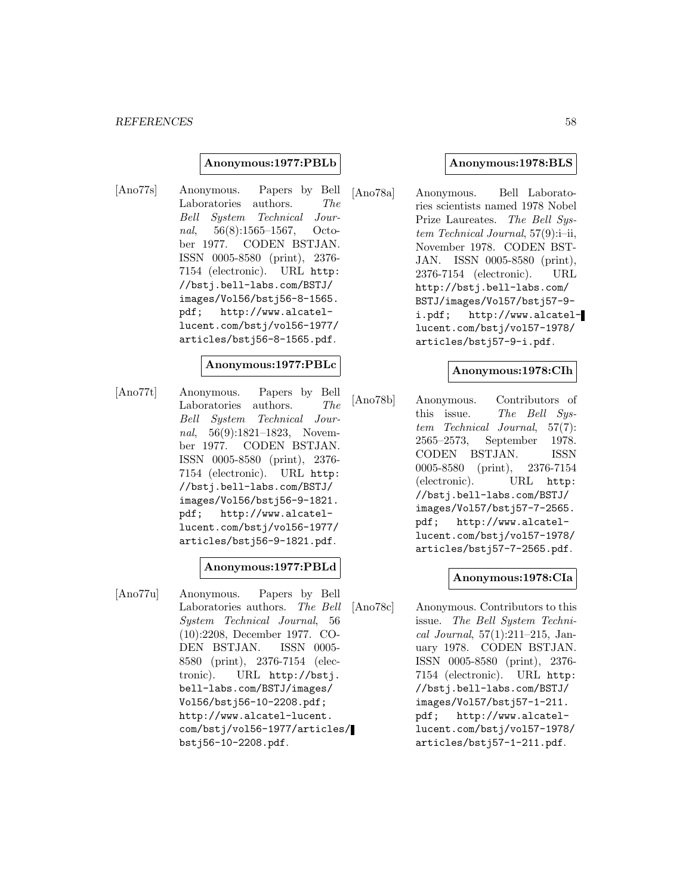#### **Anonymous:1977:PBLb**

[Ano77s] Anonymous. Papers by Bell Laboratories authors. The Bell System Technical Journal, 56(8):1565–1567, October 1977. CODEN BSTJAN. ISSN 0005-8580 (print), 2376- 7154 (electronic). URL http: //bstj.bell-labs.com/BSTJ/ images/Vol56/bstj56-8-1565. pdf; http://www.alcatellucent.com/bstj/vol56-1977/ articles/bstj56-8-1565.pdf.

#### **Anonymous:1977:PBLc**

[Ano77t] Anonymous. Papers by Bell Laboratories authors. The Bell System Technical Journal, 56(9):1821–1823, November 1977. CODEN BSTJAN. ISSN 0005-8580 (print), 2376- 7154 (electronic). URL http: //bstj.bell-labs.com/BSTJ/ images/Vol56/bstj56-9-1821. pdf; http://www.alcatellucent.com/bstj/vol56-1977/ articles/bstj56-9-1821.pdf.

### **Anonymous:1977:PBLd**

[Ano77u] Anonymous. Papers by Bell Laboratories authors. The Bell System Technical Journal, 56 (10):2208, December 1977. CO-DEN BSTJAN. ISSN 0005- 8580 (print), 2376-7154 (electronic). URL http://bstj. bell-labs.com/BSTJ/images/ Vol56/bstj56-10-2208.pdf; http://www.alcatel-lucent. com/bstj/vol56-1977/articles/ bstj56-10-2208.pdf.

#### **Anonymous:1978:BLS**

[Ano78a] Anonymous. Bell Laboratories scientists named 1978 Nobel Prize Laureates. The Bell System Technical Journal, 57(9):i–ii, November 1978. CODEN BST-JAN. ISSN 0005-8580 (print), 2376-7154 (electronic). URL http://bstj.bell-labs.com/ BSTJ/images/Vol57/bstj57-9 i.pdf; http://www.alcatellucent.com/bstj/vol57-1978/ articles/bstj57-9-i.pdf.

### **Anonymous:1978:CIh**

[Ano78b] Anonymous. Contributors of this issue. The Bell System Technical Journal, 57(7): 2565–2573, September 1978. CODEN BSTJAN. ISSN 0005-8580 (print), 2376-7154 (electronic). URL http: //bstj.bell-labs.com/BSTJ/ images/Vol57/bstj57-7-2565. pdf; http://www.alcatellucent.com/bstj/vol57-1978/ articles/bstj57-7-2565.pdf.

### **Anonymous:1978:CIa**

[Ano78c] Anonymous. Contributors to this issue. The Bell System Technical Journal, 57(1):211–215, January 1978. CODEN BSTJAN. ISSN 0005-8580 (print), 2376- 7154 (electronic). URL http: //bstj.bell-labs.com/BSTJ/ images/Vol57/bstj57-1-211. pdf; http://www.alcatellucent.com/bstj/vol57-1978/ articles/bstj57-1-211.pdf.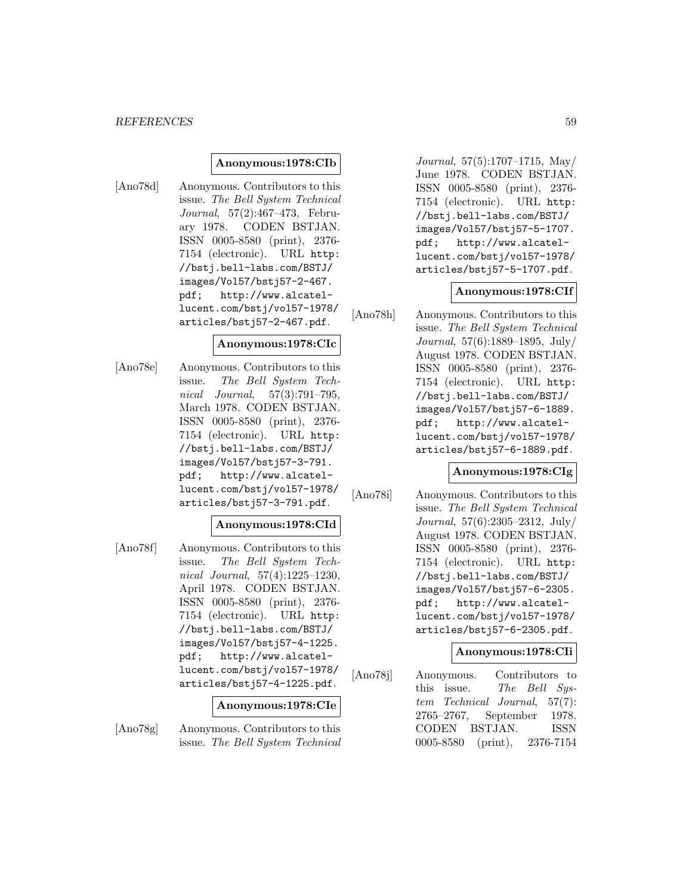### **Anonymous:1978:CIb**

[Ano78d] Anonymous. Contributors to this issue. The Bell System Technical Journal, 57(2):467–473, February 1978. CODEN BSTJAN. ISSN 0005-8580 (print), 2376- 7154 (electronic). URL http: //bstj.bell-labs.com/BSTJ/ images/Vol57/bstj57-2-467. pdf; http://www.alcatellucent.com/bstj/vol57-1978/ articles/bstj57-2-467.pdf.

#### **Anonymous:1978:CIc**

[Ano78e] Anonymous. Contributors to this issue. The Bell System Technical Journal, 57(3):791–795, March 1978. CODEN BSTJAN. ISSN 0005-8580 (print), 2376- 7154 (electronic). URL http: //bstj.bell-labs.com/BSTJ/ images/Vol57/bstj57-3-791. pdf; http://www.alcatellucent.com/bstj/vol57-1978/ articles/bstj57-3-791.pdf.

### **Anonymous:1978:CId**

[Ano78f] Anonymous. Contributors to this issue. The Bell System Technical Journal, 57(4):1225–1230, April 1978. CODEN BSTJAN. ISSN 0005-8580 (print), 2376- 7154 (electronic). URL http: //bstj.bell-labs.com/BSTJ/ images/Vol57/bstj57-4-1225. pdf; http://www.alcatellucent.com/bstj/vol57-1978/ articles/bstj57-4-1225.pdf.

#### **Anonymous:1978:CIe**

[Ano78g] Anonymous. Contributors to this issue. The Bell System Technical Journal, 57(5):1707–1715, May/ June 1978. CODEN BSTJAN. ISSN 0005-8580 (print), 2376- 7154 (electronic). URL http: //bstj.bell-labs.com/BSTJ/ images/Vol57/bstj57-5-1707. pdf; http://www.alcatellucent.com/bstj/vol57-1978/ articles/bstj57-5-1707.pdf.

#### **Anonymous:1978:CIf**

[Ano78h] Anonymous. Contributors to this issue. The Bell System Technical Journal, 57(6):1889–1895, July/ August 1978. CODEN BSTJAN. ISSN 0005-8580 (print), 2376- 7154 (electronic). URL http: //bstj.bell-labs.com/BSTJ/ images/Vol57/bstj57-6-1889. pdf; http://www.alcatellucent.com/bstj/vol57-1978/ articles/bstj57-6-1889.pdf.

#### **Anonymous:1978:CIg**

[Ano78i] Anonymous. Contributors to this issue. The Bell System Technical Journal, 57(6):2305–2312, July/ August 1978. CODEN BSTJAN. ISSN 0005-8580 (print), 2376- 7154 (electronic). URL http: //bstj.bell-labs.com/BSTJ/ images/Vol57/bstj57-6-2305. pdf; http://www.alcatellucent.com/bstj/vol57-1978/ articles/bstj57-6-2305.pdf.

#### **Anonymous:1978:CIi**

[Ano78j] Anonymous. Contributors to this issue. The Bell System Technical Journal, 57(7): 2765–2767, September 1978. CODEN BSTJAN. ISSN 0005-8580 (print), 2376-7154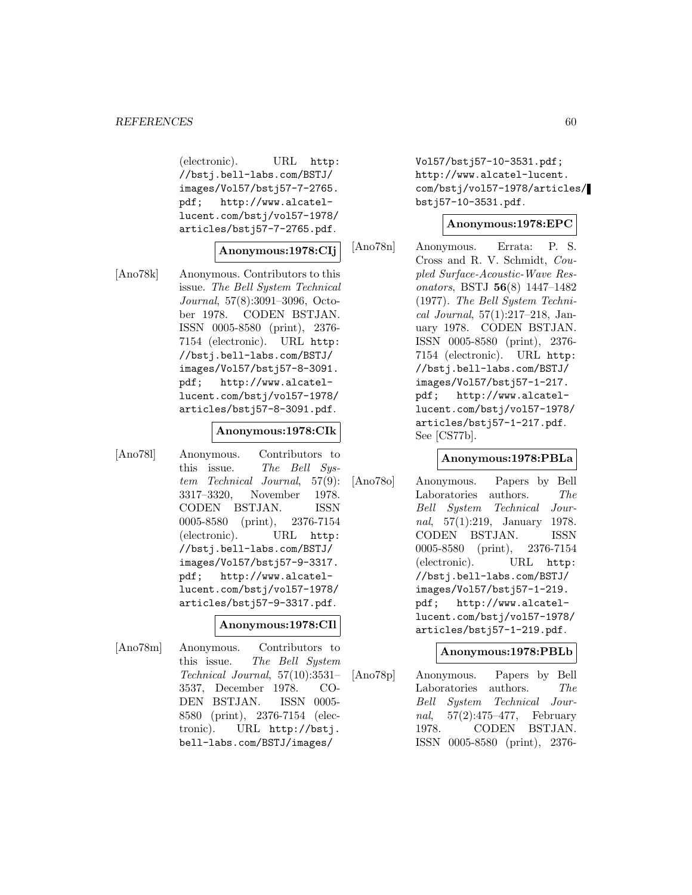(electronic). URL http: //bstj.bell-labs.com/BSTJ/ images/Vol57/bstj57-7-2765. pdf; http://www.alcatellucent.com/bstj/vol57-1978/ articles/bstj57-7-2765.pdf.

#### **Anonymous:1978:CIj**

[Ano78k] Anonymous. Contributors to this issue. The Bell System Technical Journal, 57(8):3091–3096, October 1978. CODEN BSTJAN. ISSN 0005-8580 (print), 2376- 7154 (electronic). URL http: //bstj.bell-labs.com/BSTJ/ images/Vol57/bstj57-8-3091. pdf; http://www.alcatellucent.com/bstj/vol57-1978/ articles/bstj57-8-3091.pdf.

#### **Anonymous:1978:CIk**

[Ano78l] Anonymous. Contributors to this issue. The Bell System Technical Journal, 57(9): 3317–3320, November 1978. CODEN BSTJAN. ISSN 0005-8580 (print), 2376-7154 (electronic). URL http: //bstj.bell-labs.com/BSTJ/ images/Vol57/bstj57-9-3317. pdf; http://www.alcatellucent.com/bstj/vol57-1978/ articles/bstj57-9-3317.pdf.

### **Anonymous:1978:CIl**

[Ano78m] Anonymous. Contributors to this issue. The Bell System Technical Journal, 57(10):3531– 3537, December 1978. CO-DEN BSTJAN. ISSN 0005- 8580 (print), 2376-7154 (electronic). URL http://bstj. bell-labs.com/BSTJ/images/

Vol57/bstj57-10-3531.pdf; http://www.alcatel-lucent. com/bstj/vol57-1978/articles/ bstj57-10-3531.pdf.

#### **Anonymous:1978:EPC**

[Ano78n] Anonymous. Errata: P. S. Cross and R. V. Schmidt, Coupled Surface-Acoustic-Wave Resonators, BSTJ **56**(8) 1447–1482 (1977). The Bell System Technical Journal, 57(1):217–218, January 1978. CODEN BSTJAN. ISSN 0005-8580 (print), 2376- 7154 (electronic). URL http: //bstj.bell-labs.com/BSTJ/ images/Vol57/bstj57-1-217. pdf; http://www.alcatellucent.com/bstj/vol57-1978/ articles/bstj57-1-217.pdf. See [CS77b].

#### **Anonymous:1978:PBLa**

[Ano78o] Anonymous. Papers by Bell Laboratories authors. The Bell System Technical Journal, 57(1):219, January 1978. CODEN BSTJAN. ISSN 0005-8580 (print), 2376-7154 (electronic). URL http: //bstj.bell-labs.com/BSTJ/ images/Vol57/bstj57-1-219. pdf; http://www.alcatellucent.com/bstj/vol57-1978/ articles/bstj57-1-219.pdf.

## **Anonymous:1978:PBLb**

[Ano78p] Anonymous. Papers by Bell Laboratories authors. The Bell System Technical Journal, 57(2):475–477, February 1978. CODEN BSTJAN. ISSN 0005-8580 (print), 2376-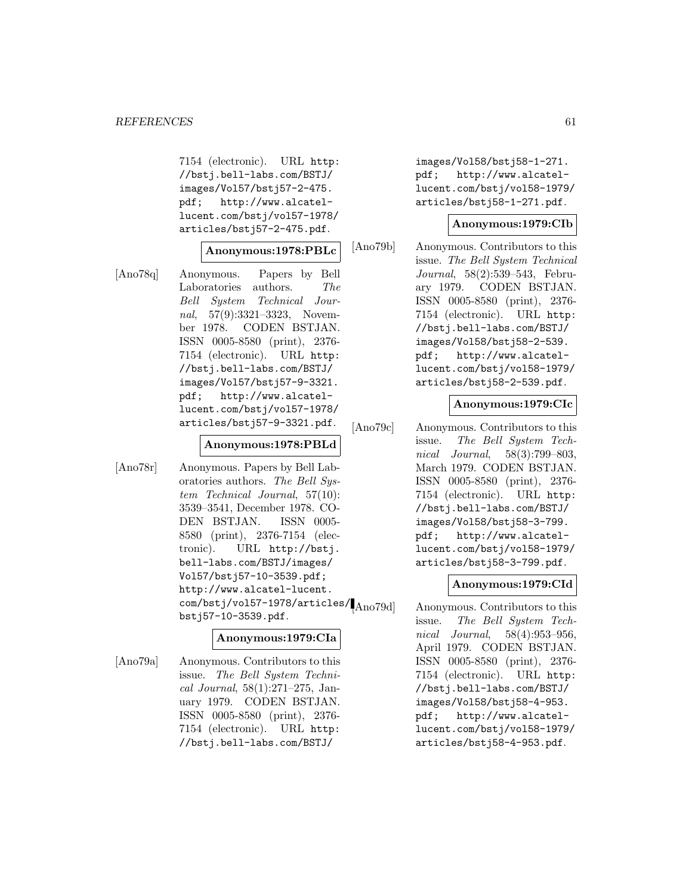7154 (electronic). URL http: //bstj.bell-labs.com/BSTJ/ images/Vol57/bstj57-2-475. pdf; http://www.alcatellucent.com/bstj/vol57-1978/ articles/bstj57-2-475.pdf.

#### **Anonymous:1978:PBLc**

[Ano78q] Anonymous. Papers by Bell Laboratories authors. The Bell System Technical Journal, 57(9):3321–3323, November 1978. CODEN BSTJAN. ISSN 0005-8580 (print), 2376- 7154 (electronic). URL http: //bstj.bell-labs.com/BSTJ/ images/Vol57/bstj57-9-3321. pdf; http://www.alcatellucent.com/bstj/vol57-1978/ articles/bstj57-9-3321.pdf.

### **Anonymous:1978:PBLd**

[Ano78r] Anonymous. Papers by Bell Laboratories authors. The Bell System Technical Journal, 57(10): 3539–3541, December 1978. CO-DEN BSTJAN. ISSN 0005- 8580 (print), 2376-7154 (electronic). URL http://bstj. bell-labs.com/BSTJ/images/ Vol57/bstj57-10-3539.pdf; http://www.alcatel-lucent.  $\frac{1}{\text{com/bstj/vol57-1978/articles/|A_{10079d}|}}$ bstj57-10-3539.pdf.

### **Anonymous:1979:CIa**

[Ano79a] Anonymous. Contributors to this issue. The Bell System Technical Journal, 58(1):271–275, January 1979. CODEN BSTJAN. ISSN 0005-8580 (print), 2376- 7154 (electronic). URL http: //bstj.bell-labs.com/BSTJ/

images/Vol58/bstj58-1-271. pdf; http://www.alcatellucent.com/bstj/vol58-1979/ articles/bstj58-1-271.pdf.

#### **Anonymous:1979:CIb**

[Ano79b] Anonymous. Contributors to this issue. The Bell System Technical Journal, 58(2):539–543, February 1979. CODEN BSTJAN. ISSN 0005-8580 (print), 2376- 7154 (electronic). URL http: //bstj.bell-labs.com/BSTJ/ images/Vol58/bstj58-2-539. pdf; http://www.alcatellucent.com/bstj/vol58-1979/ articles/bstj58-2-539.pdf.

### **Anonymous:1979:CIc**

[Ano79c] Anonymous. Contributors to this issue. The Bell System Technical Journal, 58(3):799–803, March 1979. CODEN BSTJAN. ISSN 0005-8580 (print), 2376- 7154 (electronic). URL http: //bstj.bell-labs.com/BSTJ/ images/Vol58/bstj58-3-799. pdf; http://www.alcatellucent.com/bstj/vol58-1979/ articles/bstj58-3-799.pdf.

#### **Anonymous:1979:CId**

Anonymous. Contributors to this issue. The Bell System Technical Journal, 58(4):953–956, April 1979. CODEN BSTJAN. ISSN 0005-8580 (print), 2376- 7154 (electronic). URL http: //bstj.bell-labs.com/BSTJ/ images/Vol58/bstj58-4-953. pdf; http://www.alcatellucent.com/bstj/vol58-1979/ articles/bstj58-4-953.pdf.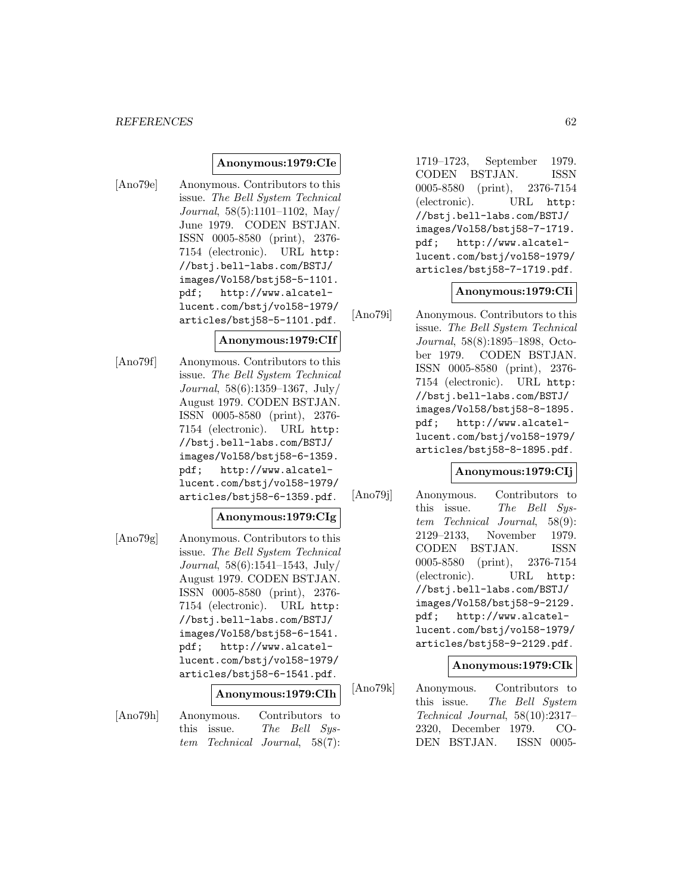#### *REFERENCES* 62

#### **Anonymous:1979:CIe**

[Ano79e] Anonymous. Contributors to this issue. The Bell System Technical Journal, 58(5):1101–1102, May/ June 1979. CODEN BSTJAN. ISSN 0005-8580 (print), 2376- 7154 (electronic). URL http: //bstj.bell-labs.com/BSTJ/ images/Vol58/bstj58-5-1101. pdf; http://www.alcatellucent.com/bstj/vol58-1979/ articles/bstj58-5-1101.pdf.

#### **Anonymous:1979:CIf**

[Ano79f] Anonymous. Contributors to this issue. The Bell System Technical Journal, 58(6):1359–1367, July/ August 1979. CODEN BSTJAN. ISSN 0005-8580 (print), 2376- 7154 (electronic). URL http: //bstj.bell-labs.com/BSTJ/ images/Vol58/bstj58-6-1359. pdf; http://www.alcatellucent.com/bstj/vol58-1979/ articles/bstj58-6-1359.pdf.

# **Anonymous:1979:CIg**

[Ano79g] Anonymous. Contributors to this issue. The Bell System Technical Journal, 58(6):1541–1543, July/ August 1979. CODEN BSTJAN. ISSN 0005-8580 (print), 2376- 7154 (electronic). URL http: //bstj.bell-labs.com/BSTJ/ images/Vol58/bstj58-6-1541. pdf; http://www.alcatellucent.com/bstj/vol58-1979/ articles/bstj58-6-1541.pdf.

# **Anonymous:1979:CIh**

[Ano79h] Anonymous. Contributors to this issue. The Bell System Technical Journal, 58(7):

1719–1723, September 1979. CODEN BSTJAN. ISSN 0005-8580 (print), 2376-7154 (electronic). URL http: //bstj.bell-labs.com/BSTJ/ images/Vol58/bstj58-7-1719. pdf; http://www.alcatellucent.com/bstj/vol58-1979/ articles/bstj58-7-1719.pdf.

#### **Anonymous:1979:CIi**

[Ano79i] Anonymous. Contributors to this issue. The Bell System Technical Journal, 58(8):1895–1898, October 1979. CODEN BSTJAN. ISSN 0005-8580 (print), 2376- 7154 (electronic). URL http: //bstj.bell-labs.com/BSTJ/ images/Vol58/bstj58-8-1895. pdf; http://www.alcatellucent.com/bstj/vol58-1979/ articles/bstj58-8-1895.pdf.

## **Anonymous:1979:CIj**

[Ano79j] Anonymous. Contributors to this issue. The Bell System Technical Journal, 58(9): 2129–2133, November 1979. CODEN BSTJAN. ISSN 0005-8580 (print), 2376-7154 (electronic). URL http: //bstj.bell-labs.com/BSTJ/ images/Vol58/bstj58-9-2129. pdf; http://www.alcatellucent.com/bstj/vol58-1979/ articles/bstj58-9-2129.pdf.

#### **Anonymous:1979:CIk**

[Ano79k] Anonymous. Contributors to this issue. The Bell System Technical Journal, 58(10):2317– 2320, December 1979. CO-DEN BSTJAN. ISSN 0005-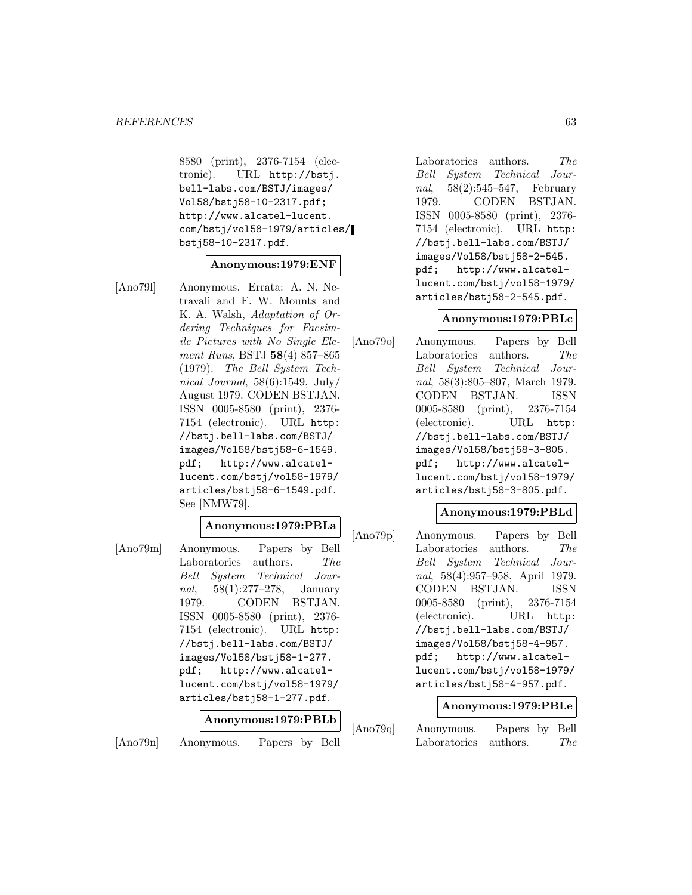8580 (print), 2376-7154 (electronic). URL http://bstj. bell-labs.com/BSTJ/images/ Vol58/bstj58-10-2317.pdf; http://www.alcatel-lucent. com/bstj/vol58-1979/articles/ bstj58-10-2317.pdf.

# **Anonymous:1979:ENF**

[Ano79l] Anonymous. Errata: A. N. Netravali and F. W. Mounts and K. A. Walsh, Adaptation of Ordering Techniques for Facsimile Pictures with No Single Element Runs, BSTJ **58**(4) 857–865 (1979). The Bell System Technical Journal,  $58(6):1549$ , July/ August 1979. CODEN BSTJAN. ISSN 0005-8580 (print), 2376- 7154 (electronic). URL http: //bstj.bell-labs.com/BSTJ/ images/Vol58/bstj58-6-1549. pdf; http://www.alcatellucent.com/bstj/vol58-1979/ articles/bstj58-6-1549.pdf. See [NMW79].

# **Anonymous:1979:PBLa**

[Ano79m] Anonymous. Papers by Bell Laboratories authors. The Bell System Technical Journal, 58(1):277–278, January 1979. CODEN BSTJAN. ISSN 0005-8580 (print), 2376- 7154 (electronic). URL http: //bstj.bell-labs.com/BSTJ/ images/Vol58/bstj58-1-277. pdf; http://www.alcatellucent.com/bstj/vol58-1979/ articles/bstj58-1-277.pdf.

# **Anonymous:1979:PBLb**

[Ano79n] Anonymous. Papers by Bell

Laboratories authors. The Bell System Technical Journal, 58(2):545–547, February 1979. CODEN BSTJAN. ISSN 0005-8580 (print), 2376- 7154 (electronic). URL http: //bstj.bell-labs.com/BSTJ/ images/Vol58/bstj58-2-545. pdf; http://www.alcatellucent.com/bstj/vol58-1979/ articles/bstj58-2-545.pdf.

### **Anonymous:1979:PBLc**

[Ano79o] Anonymous. Papers by Bell Laboratories authors. The Bell System Technical Journal, 58(3):805–807, March 1979. CODEN BSTJAN. ISSN 0005-8580 (print), 2376-7154 (electronic). URL http: //bstj.bell-labs.com/BSTJ/ images/Vol58/bstj58-3-805. pdf; http://www.alcatellucent.com/bstj/vol58-1979/ articles/bstj58-3-805.pdf.

### **Anonymous:1979:PBLd**

[Ano79p] Anonymous. Papers by Bell Laboratories authors. The Bell System Technical Journal, 58(4):957–958, April 1979. CODEN BSTJAN. ISSN 0005-8580 (print), 2376-7154 (electronic). URL http: //bstj.bell-labs.com/BSTJ/ images/Vol58/bstj58-4-957. pdf; http://www.alcatellucent.com/bstj/vol58-1979/ articles/bstj58-4-957.pdf.

### **Anonymous:1979:PBLe**

[Ano79q] Anonymous. Papers by Bell Laboratories authors. The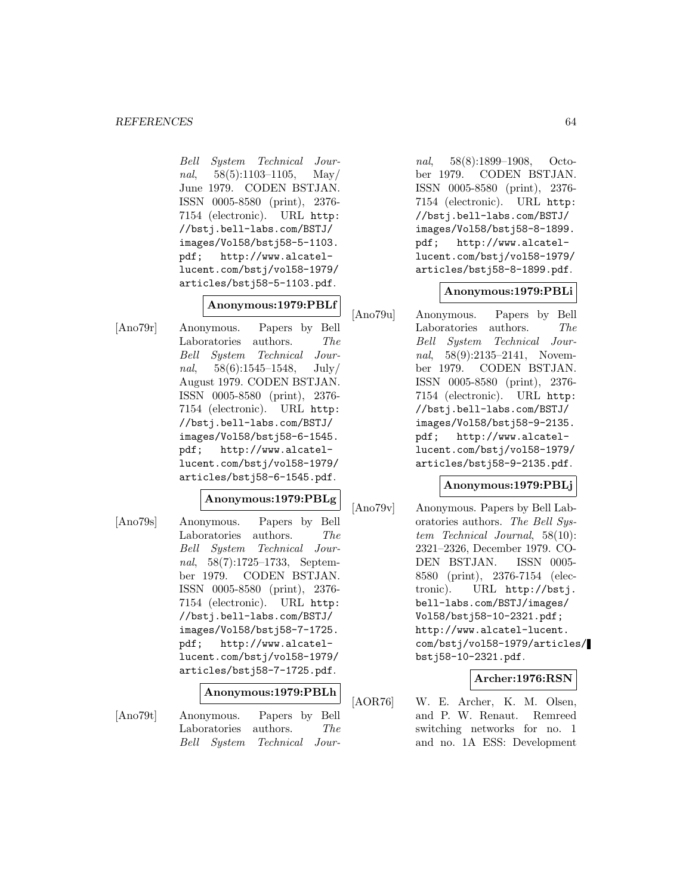Bell System Technical Journal,  $58(5):1103-1105$ , May/ June 1979. CODEN BSTJAN. ISSN 0005-8580 (print), 2376- 7154 (electronic). URL http: //bstj.bell-labs.com/BSTJ/ images/Vol58/bstj58-5-1103. pdf; http://www.alcatellucent.com/bstj/vol58-1979/ articles/bstj58-5-1103.pdf.

# **Anonymous:1979:PBLf**

[Ano79r] Anonymous. Papers by Bell Laboratories authors. The Bell System Technical Journal,  $58(6):1545-1548$ , July/ August 1979. CODEN BSTJAN. ISSN 0005-8580 (print), 2376- 7154 (electronic). URL http: //bstj.bell-labs.com/BSTJ/ images/Vol58/bstj58-6-1545. pdf; http://www.alcatellucent.com/bstj/vol58-1979/ articles/bstj58-6-1545.pdf.

### **Anonymous:1979:PBLg**

[Ano79s] Anonymous. Papers by Bell Laboratories authors. The Bell System Technical Journal, 58(7):1725–1733, September 1979. CODEN BSTJAN. ISSN 0005-8580 (print), 2376- 7154 (electronic). URL http: //bstj.bell-labs.com/BSTJ/ images/Vol58/bstj58-7-1725. pdf; http://www.alcatellucent.com/bstj/vol58-1979/ articles/bstj58-7-1725.pdf.

# **Anonymous:1979:PBLh**

[Ano79t] Anonymous. Papers by Bell Laboratories authors. The Bell System Technical Jour-

nal, 58(8):1899–1908, October 1979. CODEN BSTJAN. ISSN 0005-8580 (print), 2376- 7154 (electronic). URL http: //bstj.bell-labs.com/BSTJ/ images/Vol58/bstj58-8-1899. pdf; http://www.alcatellucent.com/bstj/vol58-1979/ articles/bstj58-8-1899.pdf.

### **Anonymous:1979:PBLi**

[Ano79u] Anonymous. Papers by Bell Laboratories authors. The Bell System Technical Journal, 58(9):2135-2141, November 1979. CODEN BSTJAN. ISSN 0005-8580 (print), 2376- 7154 (electronic). URL http: //bstj.bell-labs.com/BSTJ/ images/Vol58/bstj58-9-2135. pdf; http://www.alcatellucent.com/bstj/vol58-1979/ articles/bstj58-9-2135.pdf.

# **Anonymous:1979:PBLj**

[Ano79v] Anonymous. Papers by Bell Laboratories authors. The Bell System Technical Journal, 58(10): 2321–2326, December 1979. CO-DEN BSTJAN. ISSN 0005- 8580 (print), 2376-7154 (electronic). URL http://bstj. bell-labs.com/BSTJ/images/ Vol58/bstj58-10-2321.pdf; http://www.alcatel-lucent. com/bstj/vol58-1979/articles/ bstj58-10-2321.pdf.

### **Archer:1976:RSN**

[AOR76] W. E. Archer, K. M. Olsen, and P. W. Renaut. Remreed switching networks for no. 1 and no. 1A ESS: Development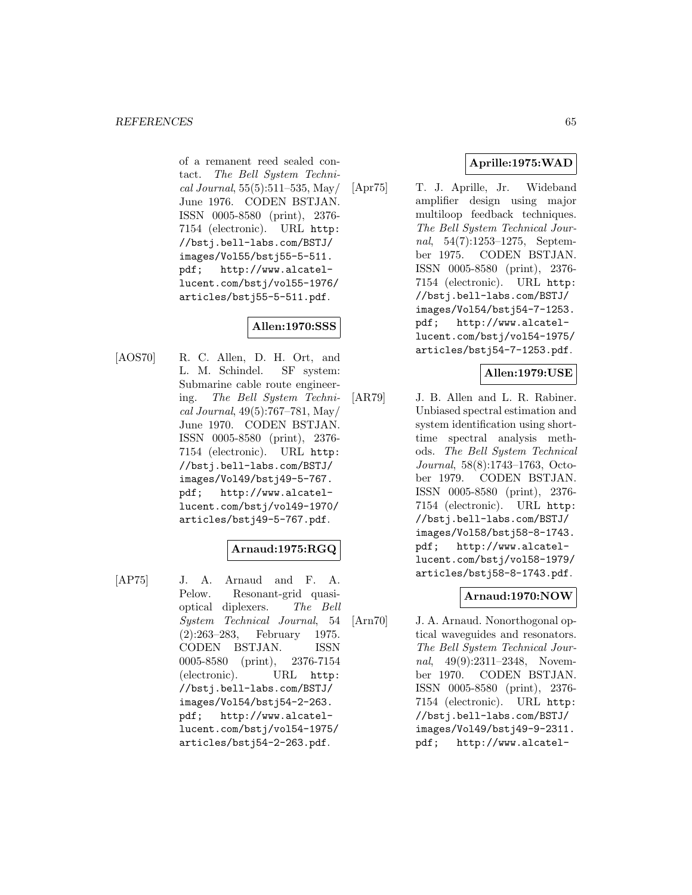of a remanent reed sealed contact. The Bell System Technical Journal, 55(5):511–535, May/ June 1976. CODEN BSTJAN. ISSN 0005-8580 (print), 2376- 7154 (electronic). URL http: //bstj.bell-labs.com/BSTJ/ images/Vol55/bstj55-5-511. pdf; http://www.alcatellucent.com/bstj/vol55-1976/ articles/bstj55-5-511.pdf.

# **Allen:1970:SSS**

[AOS70] R. C. Allen, D. H. Ort, and L. M. Schindel. SF system: Submarine cable route engineering. The Bell System Technical Journal, 49(5):767–781, May/ June 1970. CODEN BSTJAN. ISSN 0005-8580 (print), 2376- 7154 (electronic). URL http: //bstj.bell-labs.com/BSTJ/ images/Vol49/bstj49-5-767. pdf; http://www.alcatellucent.com/bstj/vol49-1970/ articles/bstj49-5-767.pdf.

# **Arnaud:1975:RGQ**

[AP75] J. A. Arnaud and F. A. Pelow. Resonant-grid quasioptical diplexers. The Bell System Technical Journal, 54 (2):263–283, February 1975. CODEN BSTJAN. ISSN 0005-8580 (print), 2376-7154 (electronic). URL http: //bstj.bell-labs.com/BSTJ/ images/Vol54/bstj54-2-263. pdf; http://www.alcatellucent.com/bstj/vol54-1975/ articles/bstj54-2-263.pdf.

# **Aprille:1975:WAD**

[Apr75] T. J. Aprille, Jr. Wideband amplifier design using major multiloop feedback techniques. The Bell System Technical Journal, 54(7):1253–1275, September 1975. CODEN BSTJAN. ISSN 0005-8580 (print), 2376- 7154 (electronic). URL http: //bstj.bell-labs.com/BSTJ/ images/Vol54/bstj54-7-1253. pdf; http://www.alcatellucent.com/bstj/vol54-1975/ articles/bstj54-7-1253.pdf.

# **Allen:1979:USE**

[AR79] J. B. Allen and L. R. Rabiner. Unbiased spectral estimation and system identification using shorttime spectral analysis methods. The Bell System Technical Journal, 58(8):1743–1763, October 1979. CODEN BSTJAN. ISSN 0005-8580 (print), 2376- 7154 (electronic). URL http: //bstj.bell-labs.com/BSTJ/ images/Vol58/bstj58-8-1743. pdf; http://www.alcatellucent.com/bstj/vol58-1979/ articles/bstj58-8-1743.pdf.

# **Arnaud:1970:NOW**

[Arn70] J. A. Arnaud. Nonorthogonal optical waveguides and resonators. The Bell System Technical Journal, 49(9):2311-2348, November 1970. CODEN BSTJAN. ISSN 0005-8580 (print), 2376- 7154 (electronic). URL http: //bstj.bell-labs.com/BSTJ/ images/Vol49/bstj49-9-2311. pdf; http://www.alcatel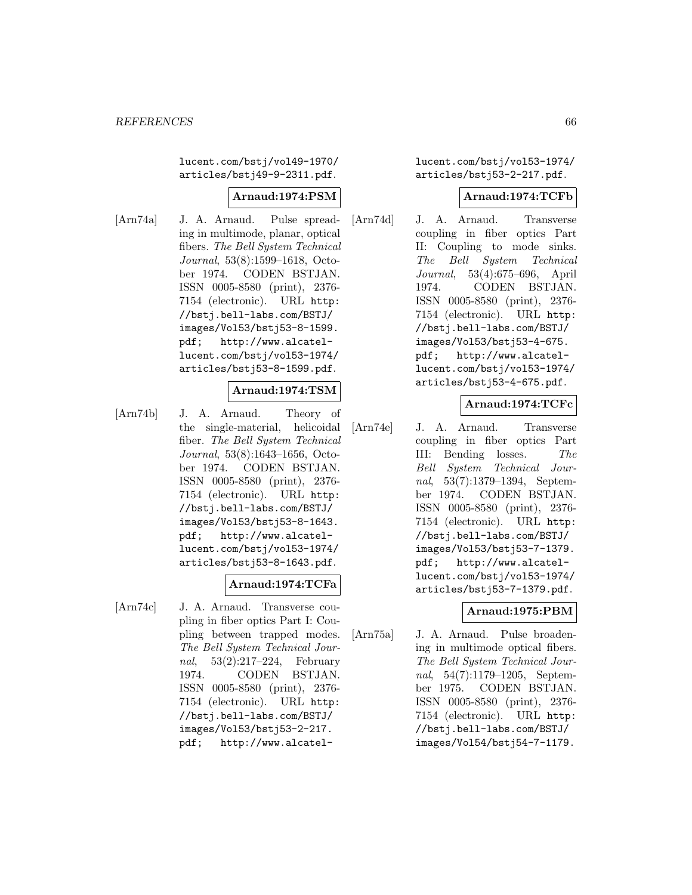lucent.com/bstj/vol49-1970/ articles/bstj49-9-2311.pdf.

## **Arnaud:1974:PSM**

[Arn74a] J. A. Arnaud. Pulse spreading in multimode, planar, optical fibers. The Bell System Technical Journal, 53(8):1599–1618, October 1974. CODEN BSTJAN. ISSN 0005-8580 (print), 2376- 7154 (electronic). URL http: //bstj.bell-labs.com/BSTJ/ images/Vol53/bstj53-8-1599. pdf; http://www.alcatellucent.com/bstj/vol53-1974/ articles/bstj53-8-1599.pdf.

## **Arnaud:1974:TSM**

[Arn74b] J. A. Arnaud. Theory of the single-material, helicoidal fiber. The Bell System Technical Journal, 53(8):1643–1656, October 1974. CODEN BSTJAN. ISSN 0005-8580 (print), 2376- 7154 (electronic). URL http: //bstj.bell-labs.com/BSTJ/ images/Vol53/bstj53-8-1643. pdf; http://www.alcatellucent.com/bstj/vol53-1974/ articles/bstj53-8-1643.pdf.

# **Arnaud:1974:TCFa**

[Arn74c] J. A. Arnaud. Transverse coupling in fiber optics Part I: Coupling between trapped modes. The Bell System Technical Journal, 53(2):217–224, February 1974. CODEN BSTJAN. ISSN 0005-8580 (print), 2376- 7154 (electronic). URL http: //bstj.bell-labs.com/BSTJ/ images/Vol53/bstj53-2-217. pdf; http://www.alcatellucent.com/bstj/vol53-1974/ articles/bstj53-2-217.pdf.

## **Arnaud:1974:TCFb**

[Arn74d] J. A. Arnaud. Transverse coupling in fiber optics Part II: Coupling to mode sinks. The Bell System Technical Journal, 53(4):675–696, April 1974. CODEN BSTJAN. ISSN 0005-8580 (print), 2376- 7154 (electronic). URL http: //bstj.bell-labs.com/BSTJ/ images/Vol53/bstj53-4-675. pdf; http://www.alcatellucent.com/bstj/vol53-1974/ articles/bstj53-4-675.pdf.

### **Arnaud:1974:TCFc**

[Arn74e] J. A. Arnaud. Transverse coupling in fiber optics Part III: Bending losses. The Bell System Technical Journal, 53(7):1379–1394, September 1974. CODEN BSTJAN. ISSN 0005-8580 (print), 2376- 7154 (electronic). URL http: //bstj.bell-labs.com/BSTJ/ images/Vol53/bstj53-7-1379. pdf; http://www.alcatellucent.com/bstj/vol53-1974/ articles/bstj53-7-1379.pdf.

# **Arnaud:1975:PBM**

[Arn75a] J. A. Arnaud. Pulse broadening in multimode optical fibers. The Bell System Technical Journal, 54(7):1179–1205, September 1975. CODEN BSTJAN. ISSN 0005-8580 (print), 2376- 7154 (electronic). URL http: //bstj.bell-labs.com/BSTJ/ images/Vol54/bstj54-7-1179.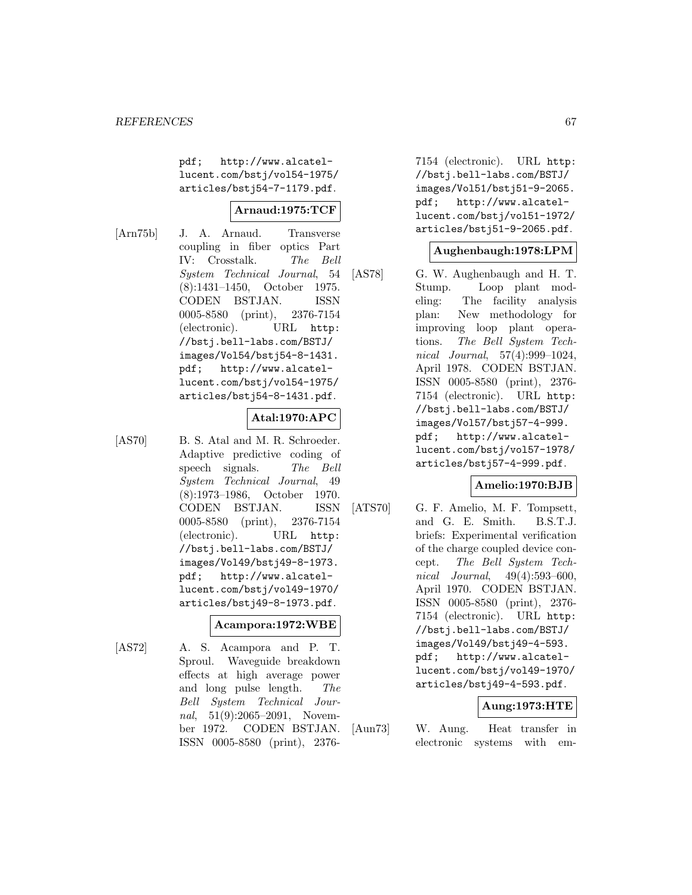pdf; http://www.alcatellucent.com/bstj/vol54-1975/ articles/bstj54-7-1179.pdf.

## **Arnaud:1975:TCF**

[Arn75b] J. A. Arnaud. Transverse coupling in fiber optics Part IV: Crosstalk. The Bell System Technical Journal, 54 (8):1431–1450, October 1975. CODEN BSTJAN. ISSN 0005-8580 (print), 2376-7154 (electronic). URL http: //bstj.bell-labs.com/BSTJ/ images/Vol54/bstj54-8-1431. pdf; http://www.alcatellucent.com/bstj/vol54-1975/ articles/bstj54-8-1431.pdf.

# **Atal:1970:APC**

[AS70] B. S. Atal and M. R. Schroeder. Adaptive predictive coding of speech signals. The Bell System Technical Journal, 49 (8):1973–1986, October 1970. CODEN BSTJAN. ISSN 0005-8580 (print), 2376-7154 (electronic). URL http: //bstj.bell-labs.com/BSTJ/ images/Vol49/bstj49-8-1973. pdf; http://www.alcatellucent.com/bstj/vol49-1970/ articles/bstj49-8-1973.pdf.

### **Acampora:1972:WBE**

[AS72] A. S. Acampora and P. T. Sproul. Waveguide breakdown effects at high average power and long pulse length. The Bell System Technical Journal, 51(9):2065–2091, November 1972. CODEN BSTJAN. ISSN 0005-8580 (print), 23767154 (electronic). URL http: //bstj.bell-labs.com/BSTJ/ images/Vol51/bstj51-9-2065. pdf; http://www.alcatellucent.com/bstj/vol51-1972/ articles/bstj51-9-2065.pdf.

### **Aughenbaugh:1978:LPM**

[AS78] G. W. Aughenbaugh and H. T. Stump. Loop plant modeling: The facility analysis plan: New methodology for improving loop plant operations. The Bell System Technical Journal, 57(4):999–1024, April 1978. CODEN BSTJAN. ISSN 0005-8580 (print), 2376- 7154 (electronic). URL http: //bstj.bell-labs.com/BSTJ/ images/Vol57/bstj57-4-999. pdf; http://www.alcatellucent.com/bstj/vol57-1978/ articles/bstj57-4-999.pdf.

### **Amelio:1970:BJB**

[ATS70] G. F. Amelio, M. F. Tompsett, and G. E. Smith. B.S.T.J. briefs: Experimental verification of the charge coupled device concept. The Bell System Technical Journal, 49(4):593–600, April 1970. CODEN BSTJAN. ISSN 0005-8580 (print), 2376- 7154 (electronic). URL http: //bstj.bell-labs.com/BSTJ/ images/Vol49/bstj49-4-593. pdf; http://www.alcatellucent.com/bstj/vol49-1970/ articles/bstj49-4-593.pdf.

### **Aung:1973:HTE**

[Aun73] W. Aung. Heat transfer in electronic systems with em-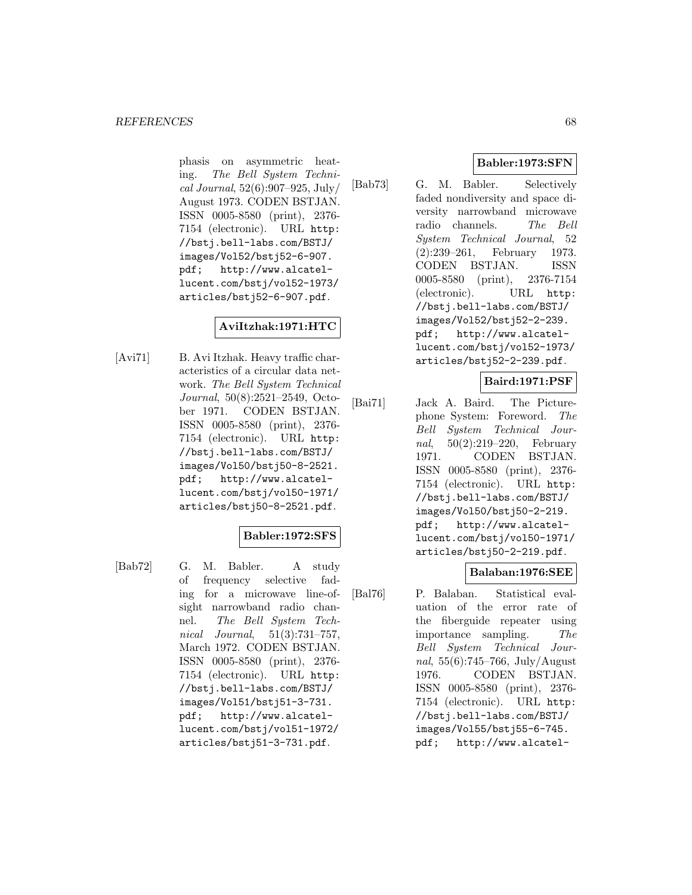phasis on asymmetric heating. The Bell System Technical Journal, 52(6):907–925, July/ August 1973. CODEN BSTJAN. ISSN 0005-8580 (print), 2376- 7154 (electronic). URL http: //bstj.bell-labs.com/BSTJ/ images/Vol52/bstj52-6-907. pdf; http://www.alcatellucent.com/bstj/vol52-1973/ articles/bstj52-6-907.pdf.

# **AviItzhak:1971:HTC**

[Avi71] B. Avi Itzhak. Heavy traffic characteristics of a circular data network. The Bell System Technical Journal, 50(8):2521–2549, October 1971. CODEN BSTJAN. ISSN 0005-8580 (print), 2376- 7154 (electronic). URL http: //bstj.bell-labs.com/BSTJ/ images/Vol50/bstj50-8-2521. pdf; http://www.alcatellucent.com/bstj/vol50-1971/ articles/bstj50-8-2521.pdf.

# **Babler:1972:SFS**

[Bab72] G. M. Babler. A study of frequency selective fading for a microwave line-ofsight narrowband radio channel. The Bell System Technical Journal, 51(3):731–757, March 1972. CODEN BSTJAN. ISSN 0005-8580 (print), 2376- 7154 (electronic). URL http: //bstj.bell-labs.com/BSTJ/ images/Vol51/bstj51-3-731. pdf; http://www.alcatellucent.com/bstj/vol51-1972/ articles/bstj51-3-731.pdf.

# **Babler:1973:SFN**

[Bab73] G. M. Babler. Selectively faded nondiversity and space diversity narrowband microwave radio channels. The Bell System Technical Journal, 52 (2):239–261, February 1973. CODEN BSTJAN. ISSN 0005-8580 (print), 2376-7154 (electronic). URL http: //bstj.bell-labs.com/BSTJ/ images/Vol52/bstj52-2-239. pdf; http://www.alcatellucent.com/bstj/vol52-1973/ articles/bstj52-2-239.pdf.

## **Baird:1971:PSF**

[Bai71] Jack A. Baird. The Picturephone System: Foreword. The Bell System Technical Journal, 50(2):219–220, February 1971. CODEN BSTJAN. ISSN 0005-8580 (print), 2376- 7154 (electronic). URL http: //bstj.bell-labs.com/BSTJ/ images/Vol50/bstj50-2-219. pdf; http://www.alcatellucent.com/bstj/vol50-1971/ articles/bstj50-2-219.pdf.

# **Balaban:1976:SEE**

[Bal76] P. Balaban. Statistical evaluation of the error rate of the fiberguide repeater using importance sampling. The Bell System Technical Journal, 55(6):745–766, July/August 1976. CODEN BSTJAN. ISSN 0005-8580 (print), 2376- 7154 (electronic). URL http: //bstj.bell-labs.com/BSTJ/ images/Vol55/bstj55-6-745. pdf; http://www.alcatel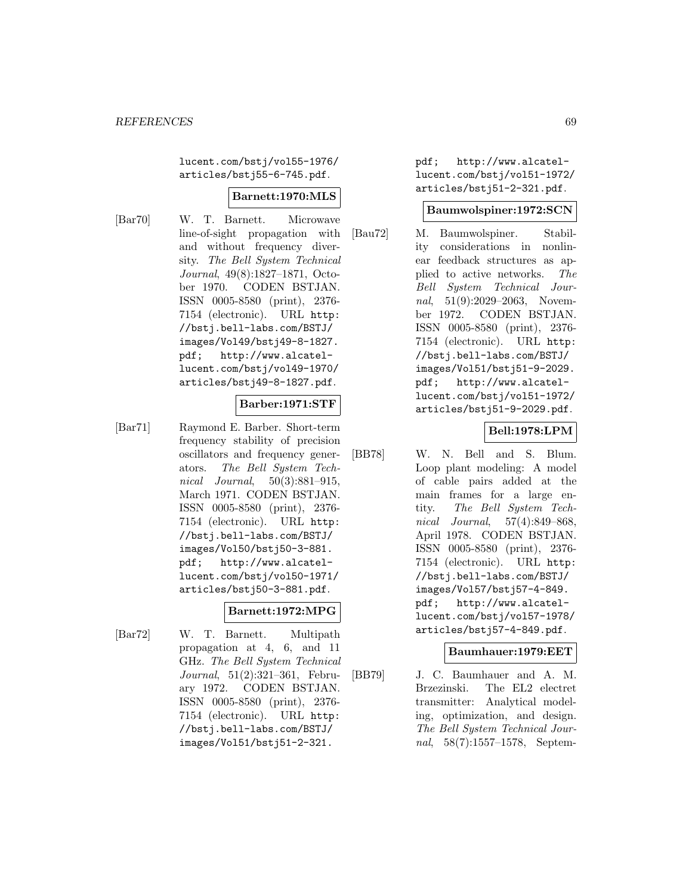lucent.com/bstj/vol55-1976/ articles/bstj55-6-745.pdf.

### **Barnett:1970:MLS**

[Bar70] W. T. Barnett. Microwave line-of-sight propagation with and without frequency diversity. The Bell System Technical Journal, 49(8):1827–1871, October 1970. CODEN BSTJAN. ISSN 0005-8580 (print), 2376- 7154 (electronic). URL http: //bstj.bell-labs.com/BSTJ/ images/Vol49/bstj49-8-1827. pdf; http://www.alcatellucent.com/bstj/vol49-1970/ articles/bstj49-8-1827.pdf.

# **Barber:1971:STF**

[Bar71] Raymond E. Barber. Short-term frequency stability of precision oscillators and frequency generators. The Bell System Technical *Journal*, 50(3):881-915, March 1971. CODEN BSTJAN. ISSN 0005-8580 (print), 2376- 7154 (electronic). URL http: //bstj.bell-labs.com/BSTJ/ images/Vol50/bstj50-3-881. pdf; http://www.alcatellucent.com/bstj/vol50-1971/ articles/bstj50-3-881.pdf.

#### **Barnett:1972:MPG**

[Bar72] W. T. Barnett. Multipath propagation at 4, 6, and 11 GHz. The Bell System Technical Journal, 51(2):321–361, February 1972. CODEN BSTJAN. ISSN 0005-8580 (print), 2376- 7154 (electronic). URL http: //bstj.bell-labs.com/BSTJ/ images/Vol51/bstj51-2-321.

pdf; http://www.alcatellucent.com/bstj/vol51-1972/ articles/bstj51-2-321.pdf.

#### **Baumwolspiner:1972:SCN**

[Bau72] M. Baumwolspiner. Stability considerations in nonlinear feedback structures as applied to active networks. The Bell System Technical Journal, 51(9):2029–2063, November 1972. CODEN BSTJAN. ISSN 0005-8580 (print), 2376- 7154 (electronic). URL http: //bstj.bell-labs.com/BSTJ/ images/Vol51/bstj51-9-2029. pdf; http://www.alcatellucent.com/bstj/vol51-1972/ articles/bstj51-9-2029.pdf.

## **Bell:1978:LPM**

[BB78] W. N. Bell and S. Blum. Loop plant modeling: A model of cable pairs added at the main frames for a large entity. The Bell System Technical Journal, 57(4):849–868, April 1978. CODEN BSTJAN. ISSN 0005-8580 (print), 2376- 7154 (electronic). URL http: //bstj.bell-labs.com/BSTJ/ images/Vol57/bstj57-4-849. pdf; http://www.alcatellucent.com/bstj/vol57-1978/ articles/bstj57-4-849.pdf.

#### **Baumhauer:1979:EET**

[BB79] J. C. Baumhauer and A. M. Brzezinski. The EL2 electret transmitter: Analytical modeling, optimization, and design. The Bell System Technical Journal, 58(7):1557–1578, Septem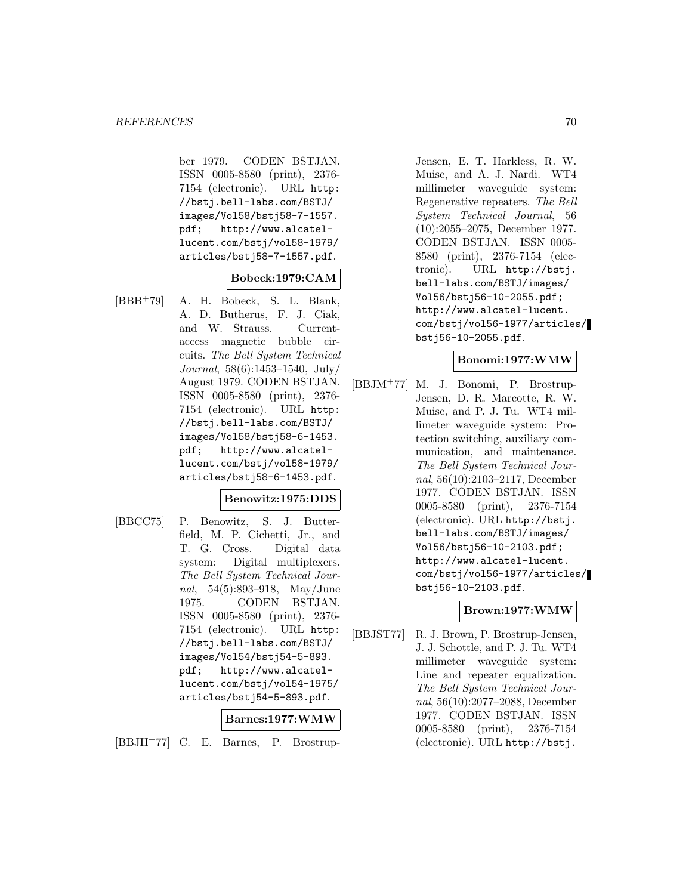ber 1979. CODEN BSTJAN. ISSN 0005-8580 (print), 2376- 7154 (electronic). URL http: //bstj.bell-labs.com/BSTJ/ images/Vol58/bstj58-7-1557. pdf; http://www.alcatellucent.com/bstj/vol58-1979/ articles/bstj58-7-1557.pdf.

## **Bobeck:1979:CAM**

[BBB<sup>+</sup>79] A. H. Bobeck, S. L. Blank, A. D. Butherus, F. J. Ciak, and W. Strauss. Currentaccess magnetic bubble circuits. The Bell System Technical Journal, 58(6):1453–1540, July/ August 1979. CODEN BSTJAN. ISSN 0005-8580 (print), 2376- 7154 (electronic). URL http: //bstj.bell-labs.com/BSTJ/ images/Vol58/bstj58-6-1453. pdf; http://www.alcatellucent.com/bstj/vol58-1979/ articles/bstj58-6-1453.pdf.

### **Benowitz:1975:DDS**

[BBCC75] P. Benowitz, S. J. Butterfield, M. P. Cichetti, Jr., and T. G. Cross. Digital data system: Digital multiplexers. The Bell System Technical Journal, 54(5):893–918, May/June 1975. CODEN BSTJAN. ISSN 0005-8580 (print), 2376- 7154 (electronic). URL http: //bstj.bell-labs.com/BSTJ/ images/Vol54/bstj54-5-893. pdf; http://www.alcatellucent.com/bstj/vol54-1975/ articles/bstj54-5-893.pdf.

### **Barnes:1977:WMW**

[BBJH<sup>+</sup>77] C. E. Barnes, P. Brostrup-

Jensen, E. T. Harkless, R. W. Muise, and A. J. Nardi. WT4 millimeter waveguide system: Regenerative repeaters. The Bell System Technical Journal, 56 (10):2055–2075, December 1977. CODEN BSTJAN. ISSN 0005- 8580 (print), 2376-7154 (electronic). URL http://bstj. bell-labs.com/BSTJ/images/ Vol56/bstj56-10-2055.pdf; http://www.alcatel-lucent. com/bstj/vol56-1977/articles/ bstj56-10-2055.pdf.

### **Bonomi:1977:WMW**

[BBJM<sup>+</sup>77] M. J. Bonomi, P. Brostrup-Jensen, D. R. Marcotte, R. W. Muise, and P. J. Tu. WT4 millimeter waveguide system: Protection switching, auxiliary communication, and maintenance. The Bell System Technical Journal, 56(10):2103–2117, December 1977. CODEN BSTJAN. ISSN 0005-8580 (print), 2376-7154 (electronic). URL http://bstj. bell-labs.com/BSTJ/images/ Vol56/bstj56-10-2103.pdf; http://www.alcatel-lucent. com/bstj/vol56-1977/articles/ bstj56-10-2103.pdf.

### **Brown:1977:WMW**

[BBJST77] R. J. Brown, P. Brostrup-Jensen, J. J. Schottle, and P. J. Tu. WT4 millimeter waveguide system: Line and repeater equalization. The Bell System Technical Journal, 56(10):2077–2088, December 1977. CODEN BSTJAN. ISSN 0005-8580 (print), 2376-7154 (electronic). URL http://bstj.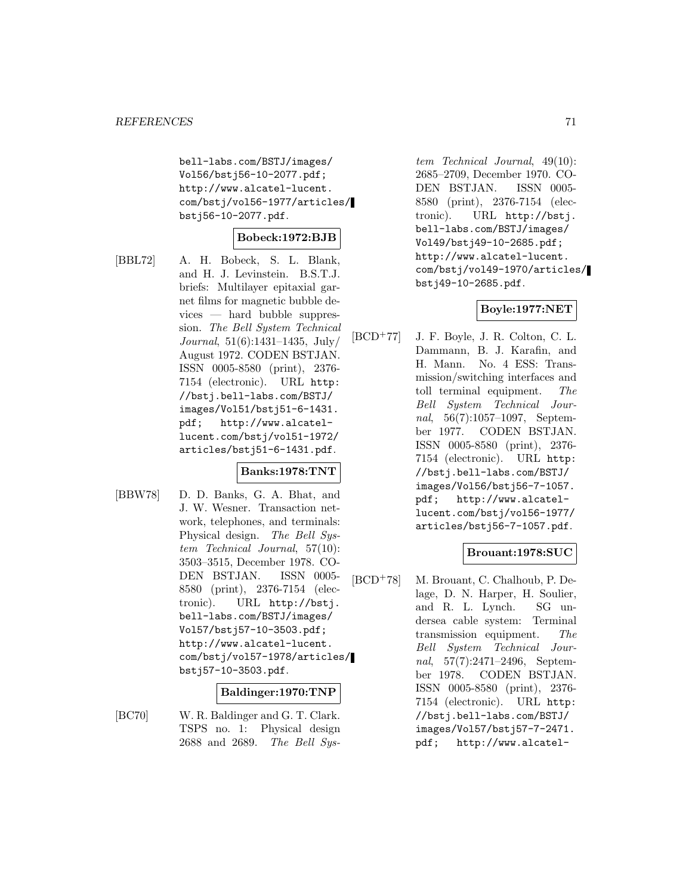bell-labs.com/BSTJ/images/ Vol56/bstj56-10-2077.pdf; http://www.alcatel-lucent. com/bstj/vol56-1977/articles/ bstj56-10-2077.pdf.

## **Bobeck:1972:BJB**

[BBL72] A. H. Bobeck, S. L. Blank, and H. J. Levinstein. B.S.T.J. briefs: Multilayer epitaxial garnet films for magnetic bubble devices — hard bubble suppression. The Bell System Technical Journal, 51(6):1431–1435, July/ August 1972. CODEN BSTJAN. ISSN 0005-8580 (print), 2376- 7154 (electronic). URL http: //bstj.bell-labs.com/BSTJ/ images/Vol51/bstj51-6-1431. pdf; http://www.alcatellucent.com/bstj/vol51-1972/ articles/bstj51-6-1431.pdf.

## **Banks:1978:TNT**

[BBW78] D. D. Banks, G. A. Bhat, and J. W. Wesner. Transaction network, telephones, and terminals: Physical design. The Bell System Technical Journal, 57(10): 3503–3515, December 1978. CO-DEN BSTJAN. ISSN 0005- 8580 (print), 2376-7154 (electronic). URL http://bstj. bell-labs.com/BSTJ/images/ Vol57/bstj57-10-3503.pdf; http://www.alcatel-lucent. com/bstj/vol57-1978/articles/ bstj57-10-3503.pdf.

### **Baldinger:1970:TNP**

[BC70] W. R. Baldinger and G. T. Clark. TSPS no. 1: Physical design 2688 and 2689. The Bell Sys-

tem Technical Journal, 49(10): 2685–2709, December 1970. CO-DEN BSTJAN. ISSN 0005- 8580 (print), 2376-7154 (electronic). URL http://bstj. bell-labs.com/BSTJ/images/ Vol49/bstj49-10-2685.pdf; http://www.alcatel-lucent. com/bstj/vol49-1970/articles/ bstj49-10-2685.pdf.

### **Boyle:1977:NET**

[BCD<sup>+</sup>77] J. F. Boyle, J. R. Colton, C. L. Dammann, B. J. Karafin, and H. Mann. No. 4 ESS: Transmission/switching interfaces and toll terminal equipment. The Bell System Technical Journal, 56(7):1057–1097, September 1977. CODEN BSTJAN. ISSN 0005-8580 (print), 2376- 7154 (electronic). URL http: //bstj.bell-labs.com/BSTJ/ images/Vol56/bstj56-7-1057. pdf; http://www.alcatellucent.com/bstj/vol56-1977/ articles/bstj56-7-1057.pdf.

# **Brouant:1978:SUC**

[BCD<sup>+</sup>78] M. Brouant, C. Chalhoub, P. Delage, D. N. Harper, H. Soulier, and R. L. Lynch. SG undersea cable system: Terminal transmission equipment. The Bell System Technical Journal, 57(7):2471–2496, September 1978. CODEN BSTJAN. ISSN 0005-8580 (print), 2376- 7154 (electronic). URL http: //bstj.bell-labs.com/BSTJ/ images/Vol57/bstj57-7-2471. pdf; http://www.alcatel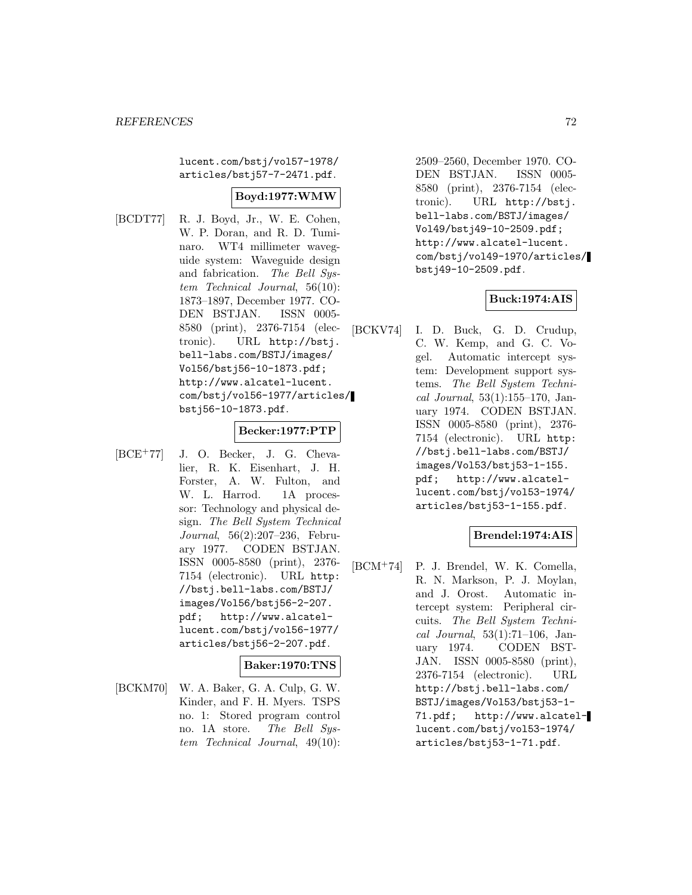lucent.com/bstj/vol57-1978/ articles/bstj57-7-2471.pdf.

## **Boyd:1977:WMW**

[BCDT77] R. J. Boyd, Jr., W. E. Cohen, W. P. Doran, and R. D. Tuminaro. WT4 millimeter waveguide system: Waveguide design and fabrication. The Bell System Technical Journal, 56(10): 1873–1897, December 1977. CO-DEN BSTJAN. ISSN 0005- 8580 (print), 2376-7154 (electronic). URL http://bstj. bell-labs.com/BSTJ/images/ Vol56/bstj56-10-1873.pdf; http://www.alcatel-lucent. com/bstj/vol56-1977/articles/ bstj56-10-1873.pdf.

#### **Becker:1977:PTP**

[BCE<sup>+</sup>77] J. O. Becker, J. G. Chevalier, R. K. Eisenhart, J. H. Forster, A. W. Fulton, and W. L. Harrod. 1A processor: Technology and physical design. The Bell System Technical Journal, 56(2):207–236, February 1977. CODEN BSTJAN. ISSN 0005-8580 (print), 2376- 7154 (electronic). URL http: //bstj.bell-labs.com/BSTJ/ images/Vol56/bstj56-2-207. pdf; http://www.alcatellucent.com/bstj/vol56-1977/ articles/bstj56-2-207.pdf.

### **Baker:1970:TNS**

[BCKM70] W. A. Baker, G. A. Culp, G. W. Kinder, and F. H. Myers. TSPS no. 1: Stored program control no. 1A store. The Bell System Technical Journal, 49(10): 2509–2560, December 1970. CO-DEN BSTJAN. ISSN 0005- 8580 (print), 2376-7154 (electronic). URL http://bstj. bell-labs.com/BSTJ/images/ Vol49/bstj49-10-2509.pdf; http://www.alcatel-lucent. com/bstj/vol49-1970/articles/ bstj49-10-2509.pdf.

# **Buck:1974:AIS**

[BCKV74] I. D. Buck, G. D. Crudup, C. W. Kemp, and G. C. Vogel. Automatic intercept system: Development support systems. The Bell System Technical Journal, 53(1):155–170, January 1974. CODEN BSTJAN. ISSN 0005-8580 (print), 2376- 7154 (electronic). URL http: //bstj.bell-labs.com/BSTJ/ images/Vol53/bstj53-1-155. pdf; http://www.alcatellucent.com/bstj/vol53-1974/ articles/bstj53-1-155.pdf.

### **Brendel:1974:AIS**

[BCM<sup>+</sup>74] P. J. Brendel, W. K. Comella, R. N. Markson, P. J. Moylan, and J. Orost. Automatic intercept system: Peripheral circuits. The Bell System Technical Journal, 53(1):71–106, January 1974. CODEN BST-JAN. ISSN 0005-8580 (print), 2376-7154 (electronic). URL http://bstj.bell-labs.com/ BSTJ/images/Vol53/bstj53-1- 71.pdf; http://www.alcatellucent.com/bstj/vol53-1974/ articles/bstj53-1-71.pdf.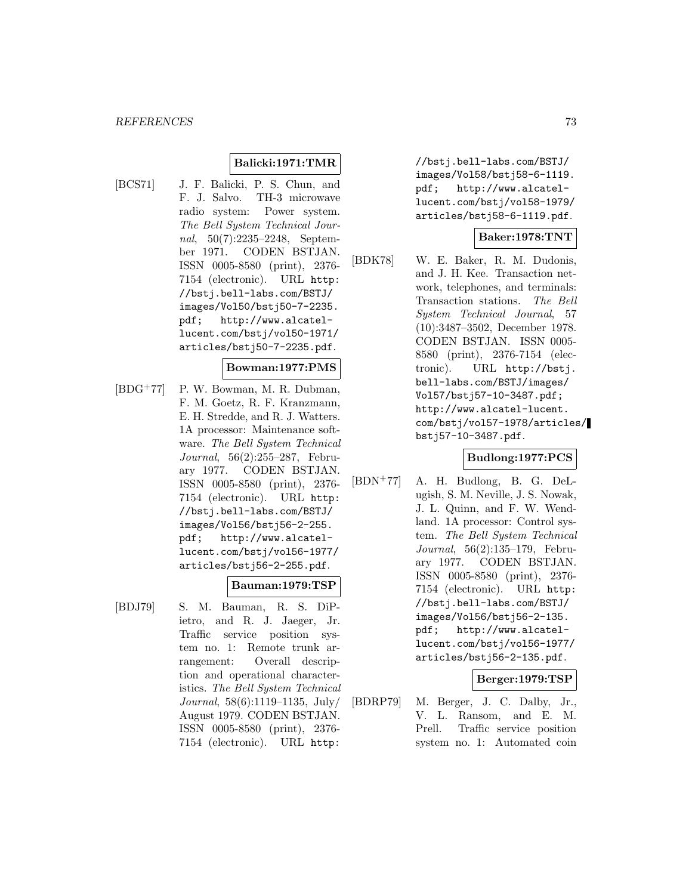#### **Balicki:1971:TMR**

[BCS71] J. F. Balicki, P. S. Chun, and F. J. Salvo. TH-3 microwave radio system: Power system. The Bell System Technical Journal, 50(7):2235–2248, September 1971. CODEN BSTJAN. ISSN 0005-8580 (print), 2376- 7154 (electronic). URL http: //bstj.bell-labs.com/BSTJ/ images/Vol50/bstj50-7-2235. pdf; http://www.alcatellucent.com/bstj/vol50-1971/ articles/bstj50-7-2235.pdf.

#### **Bowman:1977:PMS**

[BDG<sup>+</sup>77] P. W. Bowman, M. R. Dubman, F. M. Goetz, R. F. Kranzmann, E. H. Stredde, and R. J. Watters. 1A processor: Maintenance software. The Bell System Technical Journal, 56(2):255–287, February 1977. CODEN BSTJAN. ISSN 0005-8580 (print), 2376- 7154 (electronic). URL http: //bstj.bell-labs.com/BSTJ/ images/Vol56/bstj56-2-255. pdf; http://www.alcatellucent.com/bstj/vol56-1977/ articles/bstj56-2-255.pdf.

#### **Bauman:1979:TSP**

tion and operational characteristics. The Bell System Technical Journal, 58(6):1119–1135, July/ August 1979. CODEN BSTJAN. ISSN 0005-8580 (print), 2376- 7154 (electronic). URL http:

[BDJ79] S. M. Bauman, R. S. DiPietro, and R. J. Jaeger, Jr. Traffic service position system no. 1: Remote trunk arrangement: Overall descrip//bstj.bell-labs.com/BSTJ/ images/Vol58/bstj58-6-1119. pdf; http://www.alcatellucent.com/bstj/vol58-1979/ articles/bstj58-6-1119.pdf.

#### **Baker:1978:TNT**

[BDK78] W. E. Baker, R. M. Dudonis, and J. H. Kee. Transaction network, telephones, and terminals: Transaction stations. The Bell System Technical Journal, 57 (10):3487–3502, December 1978. CODEN BSTJAN. ISSN 0005- 8580 (print), 2376-7154 (electronic). URL http://bstj. bell-labs.com/BSTJ/images/ Vol57/bstj57-10-3487.pdf; http://www.alcatel-lucent. com/bstj/vol57-1978/articles/ bstj57-10-3487.pdf.

#### **Budlong:1977:PCS**

[BDN<sup>+</sup>77] A. H. Budlong, B. G. DeLugish, S. M. Neville, J. S. Nowak, J. L. Quinn, and F. W. Wendland. 1A processor: Control system. The Bell System Technical Journal, 56(2):135–179, February 1977. CODEN BSTJAN. ISSN 0005-8580 (print), 2376- 7154 (electronic). URL http: //bstj.bell-labs.com/BSTJ/ images/Vol56/bstj56-2-135. pdf; http://www.alcatellucent.com/bstj/vol56-1977/ articles/bstj56-2-135.pdf.

### **Berger:1979:TSP**

[BDRP79] M. Berger, J. C. Dalby, Jr., V. L. Ransom, and E. M. Prell. Traffic service position system no. 1: Automated coin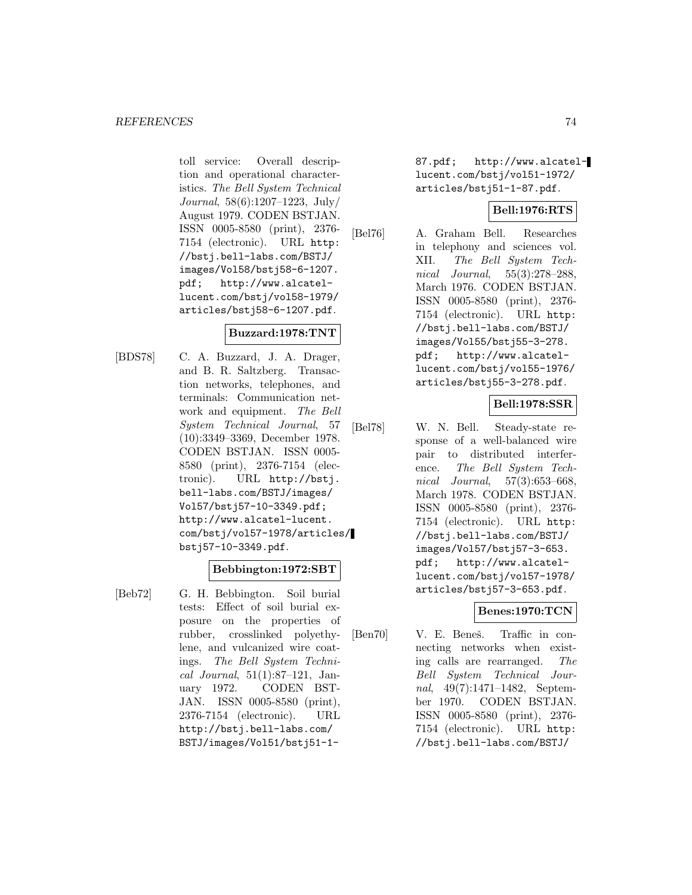toll service: Overall description and operational characteristics. The Bell System Technical Journal, 58(6):1207–1223, July/ August 1979. CODEN BSTJAN. ISSN 0005-8580 (print), 2376- 7154 (electronic). URL http: //bstj.bell-labs.com/BSTJ/ images/Vol58/bstj58-6-1207. pdf; http://www.alcatellucent.com/bstj/vol58-1979/ articles/bstj58-6-1207.pdf.

### **Buzzard:1978:TNT**

[BDS78] C. A. Buzzard, J. A. Drager, and B. R. Saltzberg. Transaction networks, telephones, and terminals: Communication network and equipment. The Bell System Technical Journal, 57 (10):3349–3369, December 1978. CODEN BSTJAN. ISSN 0005- 8580 (print), 2376-7154 (electronic). URL http://bstj. bell-labs.com/BSTJ/images/ Vol57/bstj57-10-3349.pdf; http://www.alcatel-lucent. com/bstj/vol57-1978/articles/ bstj57-10-3349.pdf.

### **Bebbington:1972:SBT**

[Beb72] G. H. Bebbington. Soil burial tests: Effect of soil burial exposure on the properties of rubber, crosslinked polyethylene, and vulcanized wire coatings. The Bell System Technical Journal, 51(1):87–121, January 1972. CODEN BST-JAN. ISSN 0005-8580 (print), 2376-7154 (electronic). URL http://bstj.bell-labs.com/ BSTJ/images/Vol51/bstj51-187.pdf; http://www.alcatellucent.com/bstj/vol51-1972/ articles/bstj51-1-87.pdf.

### **Bell:1976:RTS**

[Bel76] A. Graham Bell. Researches in telephony and sciences vol. XII. The Bell System Technical Journal, 55(3):278–288, March 1976. CODEN BSTJAN. ISSN 0005-8580 (print), 2376- 7154 (electronic). URL http: //bstj.bell-labs.com/BSTJ/ images/Vol55/bstj55-3-278. pdf; http://www.alcatellucent.com/bstj/vol55-1976/ articles/bstj55-3-278.pdf.

### **Bell:1978:SSR**

[Bel78] W. N. Bell. Steady-state response of a well-balanced wire pair to distributed interference. The Bell System Technical Journal, 57(3):653–668, March 1978. CODEN BSTJAN. ISSN 0005-8580 (print), 2376- 7154 (electronic). URL http: //bstj.bell-labs.com/BSTJ/ images/Vol57/bstj57-3-653. pdf; http://www.alcatellucent.com/bstj/vol57-1978/ articles/bstj57-3-653.pdf.

## **Benes:1970:TCN**

[Ben70] V. E. Beneš. Traffic in connecting networks when existing calls are rearranged. The Bell System Technical Journal, 49(7):1471–1482, September 1970. CODEN BSTJAN. ISSN 0005-8580 (print), 2376- 7154 (electronic). URL http: //bstj.bell-labs.com/BSTJ/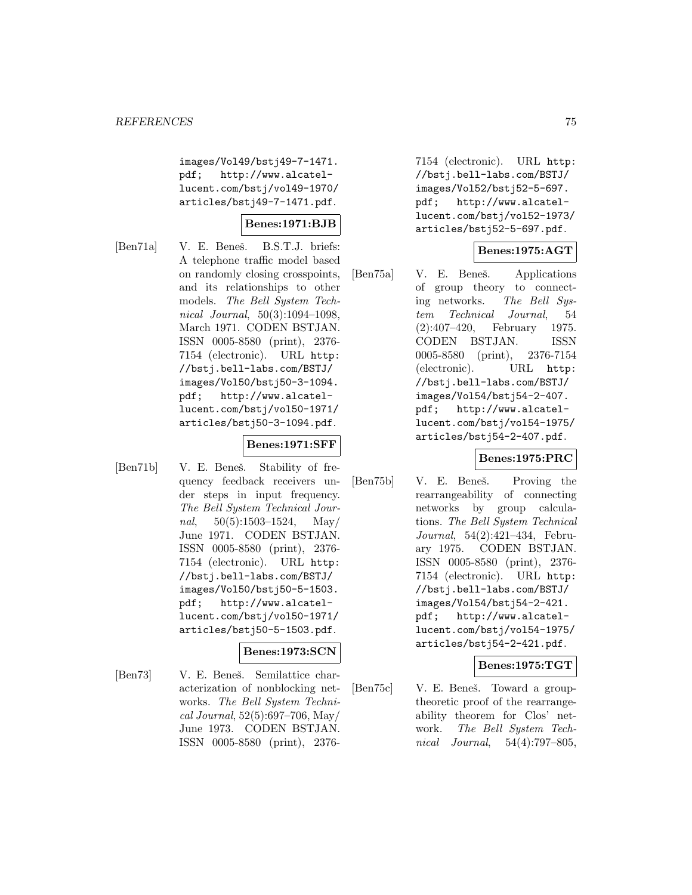images/Vol49/bstj49-7-1471. pdf; http://www.alcatellucent.com/bstj/vol49-1970/ articles/bstj49-7-1471.pdf.

### **Benes:1971:BJB**

[Ben71a] V. E. Beneš. B.S.T.J. briefs: A telephone traffic model based on randomly closing crosspoints, and its relationships to other models. The Bell System Technical Journal, 50(3):1094–1098, March 1971. CODEN BSTJAN. ISSN 0005-8580 (print), 2376- 7154 (electronic). URL http: //bstj.bell-labs.com/BSTJ/ images/Vol50/bstj50-3-1094. pdf; http://www.alcatellucent.com/bstj/vol50-1971/ articles/bstj50-3-1094.pdf.

## **Benes:1971:SFF**

[Ben71b] V. E. Beneš. Stability of frequency feedback receivers under steps in input frequency. The Bell System Technical Journal,  $50(5):1503-1524$ , May/ June 1971. CODEN BSTJAN. ISSN 0005-8580 (print), 2376- 7154 (electronic). URL http: //bstj.bell-labs.com/BSTJ/ images/Vol50/bstj50-5-1503. pdf; http://www.alcatellucent.com/bstj/vol50-1971/ articles/bstj50-5-1503.pdf.

# **Benes:1973:SCN**

[Ben73] V. E. Beneš. Semilattice characterization of nonblocking networks. The Bell System Technical Journal, 52(5):697–706, May/ June 1973. CODEN BSTJAN. ISSN 0005-8580 (print), 23767154 (electronic). URL http: //bstj.bell-labs.com/BSTJ/ images/Vol52/bstj52-5-697. pdf; http://www.alcatellucent.com/bstj/vol52-1973/ articles/bstj52-5-697.pdf.

## **Benes:1975:AGT**

[Ben75a] V. E. Beneš. Applications of group theory to connecting networks. The Bell System Technical Journal, 54 (2):407–420, February 1975. CODEN BSTJAN. ISSN 0005-8580 (print), 2376-7154 (electronic). URL http: //bstj.bell-labs.com/BSTJ/ images/Vol54/bstj54-2-407. pdf; http://www.alcatellucent.com/bstj/vol54-1975/ articles/bstj54-2-407.pdf.

### **Benes:1975:PRC**

[Ben75b] V. E. Beneš. Proving the rearrangeability of connecting networks by group calculations. The Bell System Technical Journal, 54(2):421–434, February 1975. CODEN BSTJAN. ISSN 0005-8580 (print), 2376- 7154 (electronic). URL http: //bstj.bell-labs.com/BSTJ/ images/Vol54/bstj54-2-421. pdf; http://www.alcatellucent.com/bstj/vol54-1975/ articles/bstj54-2-421.pdf.

### **Benes:1975:TGT**

[Ben75c] V. E. Beneš. Toward a grouptheoretic proof of the rearrangeability theorem for Clos' network. The Bell System Technical Journal, 54(4):797–805,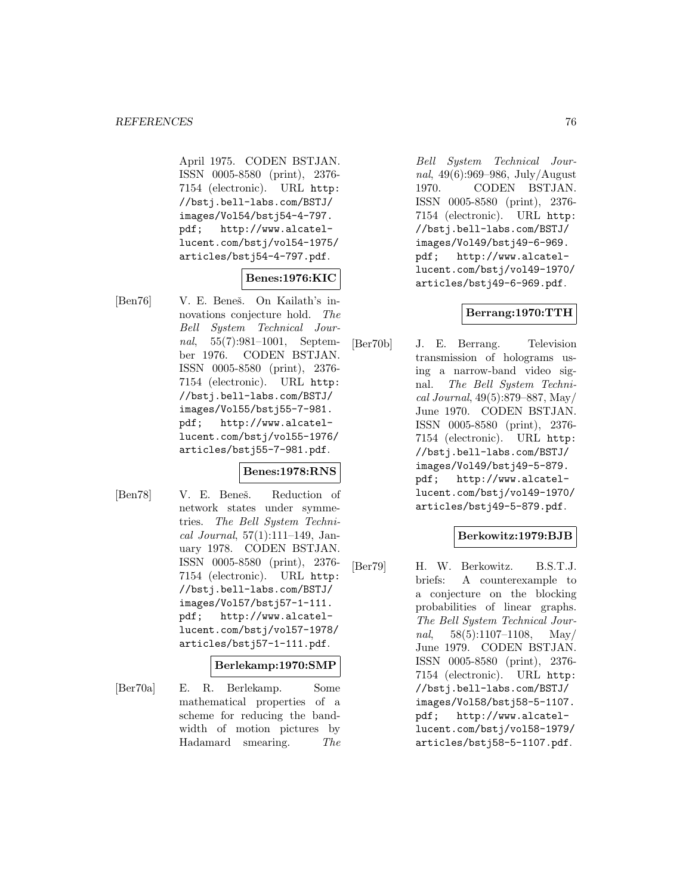April 1975. CODEN BSTJAN. ISSN 0005-8580 (print), 2376- 7154 (electronic). URL http: //bstj.bell-labs.com/BSTJ/ images/Vol54/bstj54-4-797. pdf; http://www.alcatellucent.com/bstj/vol54-1975/ articles/bstj54-4-797.pdf.

### **Benes:1976:KIC**

[Ben76] V. E. Beneš. On Kailath's innovations conjecture hold. The Bell System Technical Journal, 55(7):981–1001, September 1976. CODEN BSTJAN. ISSN 0005-8580 (print), 2376- 7154 (electronic). URL http: //bstj.bell-labs.com/BSTJ/ images/Vol55/bstj55-7-981. pdf; http://www.alcatellucent.com/bstj/vol55-1976/ articles/bstj55-7-981.pdf.

### **Benes:1978:RNS**

- 
- [Ben78] V. E. Beneš. Reduction of network states under symmetries. The Bell System Technical Journal, 57(1):111–149, January 1978. CODEN BSTJAN. ISSN 0005-8580 (print), 2376- 7154 (electronic). URL http: //bstj.bell-labs.com/BSTJ/ images/Vol57/bstj57-1-111. pdf; http://www.alcatellucent.com/bstj/vol57-1978/ articles/bstj57-1-111.pdf.

### **Berlekamp:1970:SMP**

[Ber70a] E. R. Berlekamp. Some mathematical properties of a scheme for reducing the bandwidth of motion pictures by Hadamard smearing. The

Bell System Technical Journal, 49(6):969–986, July/August 1970. CODEN BSTJAN. ISSN 0005-8580 (print), 2376- 7154 (electronic). URL http: //bstj.bell-labs.com/BSTJ/ images/Vol49/bstj49-6-969. pdf; http://www.alcatellucent.com/bstj/vol49-1970/ articles/bstj49-6-969.pdf.

### **Berrang:1970:TTH**

[Ber70b] J. E. Berrang. Television transmission of holograms using a narrow-band video signal. The Bell System Technical Journal, 49(5):879–887, May/ June 1970. CODEN BSTJAN. ISSN 0005-8580 (print), 2376- 7154 (electronic). URL http: //bstj.bell-labs.com/BSTJ/ images/Vol49/bstj49-5-879. pdf; http://www.alcatellucent.com/bstj/vol49-1970/ articles/bstj49-5-879.pdf.

### **Berkowitz:1979:BJB**

[Ber79] H. W. Berkowitz. B.S.T.J. briefs: A counterexample to a conjecture on the blocking probabilities of linear graphs. The Bell System Technical Journal,  $58(5):1107-1108$ , May/ June 1979. CODEN BSTJAN. ISSN 0005-8580 (print), 2376- 7154 (electronic). URL http: //bstj.bell-labs.com/BSTJ/ images/Vol58/bstj58-5-1107. pdf; http://www.alcatellucent.com/bstj/vol58-1979/ articles/bstj58-5-1107.pdf.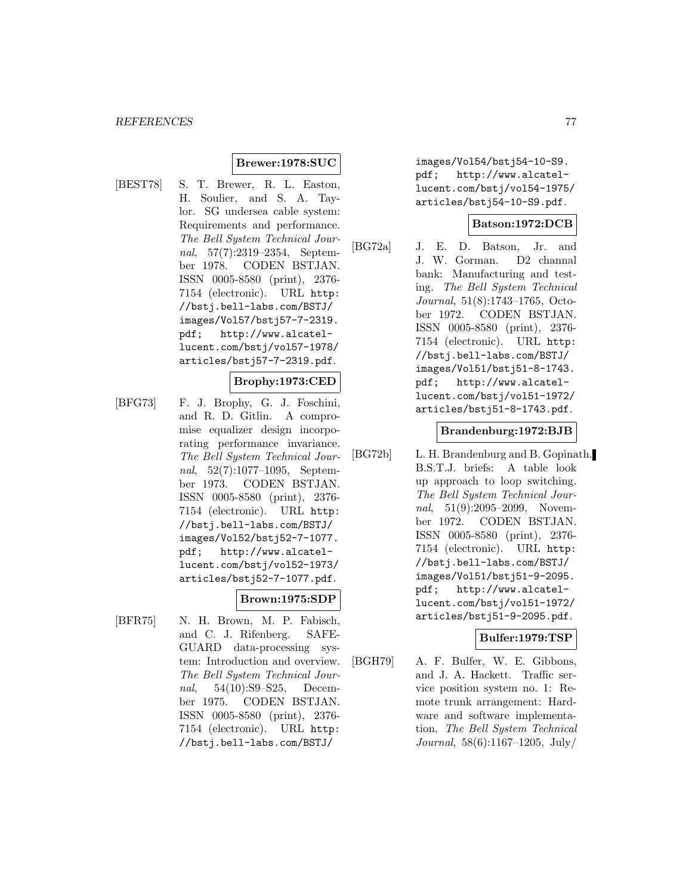### **Brewer:1978:SUC**

[BEST78] S. T. Brewer, R. L. Easton, H. Soulier, and S. A. Taylor. SG undersea cable system: Requirements and performance. The Bell System Technical Journal, 57(7):2319–2354, September 1978. CODEN BSTJAN. ISSN 0005-8580 (print), 2376- 7154 (electronic). URL http: //bstj.bell-labs.com/BSTJ/ images/Vol57/bstj57-7-2319. pdf; http://www.alcatellucent.com/bstj/vol57-1978/ articles/bstj57-7-2319.pdf.

#### **Brophy:1973:CED**

[BFG73] F. J. Brophy, G. J. Foschini, and R. D. Gitlin. A compromise equalizer design incorporating performance invariance. The Bell System Technical Journal, 52(7):1077–1095, September 1973. CODEN BSTJAN. ISSN 0005-8580 (print), 2376- 7154 (electronic). URL http: //bstj.bell-labs.com/BSTJ/ images/Vol52/bstj52-7-1077. pdf; http://www.alcatellucent.com/bstj/vol52-1973/ articles/bstj52-7-1077.pdf.

#### **Brown:1975:SDP**

[BFR75] N. H. Brown, M. P. Fabisch, and C. J. Rifenberg. SAFE-GUARD data-processing system: Introduction and overview. The Bell System Technical Journal, 54(10):S9–S25, December 1975. CODEN BSTJAN. ISSN 0005-8580 (print), 2376- 7154 (electronic). URL http: //bstj.bell-labs.com/BSTJ/

images/Vol54/bstj54-10-S9. pdf; http://www.alcatellucent.com/bstj/vol54-1975/ articles/bstj54-10-S9.pdf.

### **Batson:1972:DCB**

[BG72a] J. E. D. Batson, Jr. and J. W. Gorman. D2 channal bank: Manufacturing and testing. The Bell System Technical Journal, 51(8):1743–1765, October 1972. CODEN BSTJAN. ISSN 0005-8580 (print), 2376- 7154 (electronic). URL http: //bstj.bell-labs.com/BSTJ/ images/Vol51/bstj51-8-1743. pdf; http://www.alcatellucent.com/bstj/vol51-1972/ articles/bstj51-8-1743.pdf.

#### **Brandenburg:1972:BJB**

[BG72b] L. H. Brandenburg and B. Gopinath. B.S.T.J. briefs: A table look up approach to loop switching. The Bell System Technical Journal, 51(9):2095–2099, November 1972. CODEN BSTJAN. ISSN 0005-8580 (print), 2376- 7154 (electronic). URL http: //bstj.bell-labs.com/BSTJ/ images/Vol51/bstj51-9-2095. pdf; http://www.alcatellucent.com/bstj/vol51-1972/ articles/bstj51-9-2095.pdf.

### **Bulfer:1979:TSP**

[BGH79] A. F. Bulfer, W. E. Gibbons, and J. A. Hackett. Traffic service position system no. 1: Remote trunk arrangement: Hardware and software implementation. The Bell System Technical Journal, 58(6):1167–1205, July/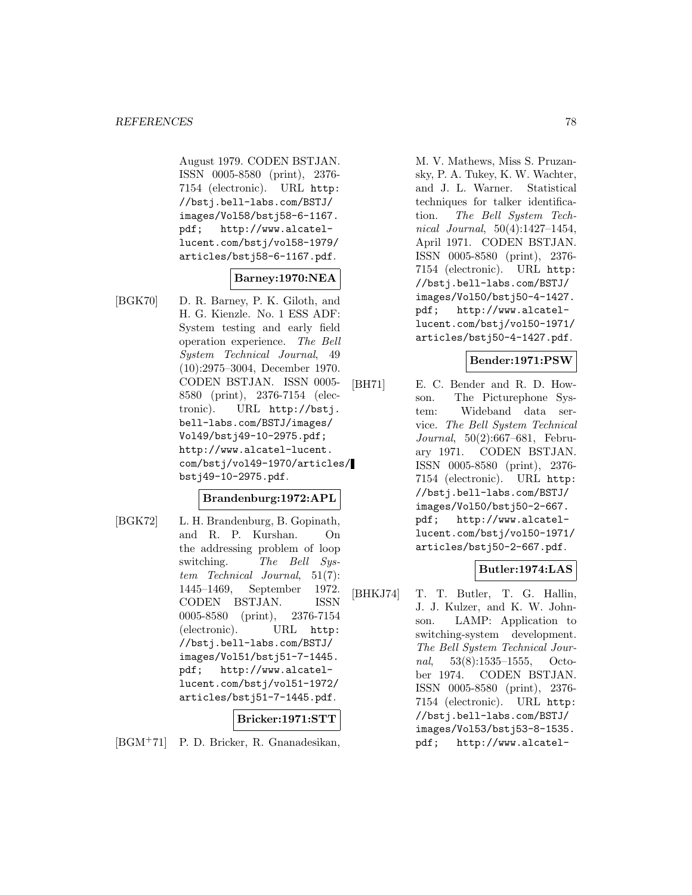August 1979. CODEN BSTJAN. ISSN 0005-8580 (print), 2376- 7154 (electronic). URL http: //bstj.bell-labs.com/BSTJ/ images/Vol58/bstj58-6-1167. pdf; http://www.alcatellucent.com/bstj/vol58-1979/ articles/bstj58-6-1167.pdf.

## **Barney:1970:NEA**

[BGK70] D. R. Barney, P. K. Giloth, and H. G. Kienzle. No. 1 ESS ADF: System testing and early field operation experience. The Bell System Technical Journal, 49 (10):2975–3004, December 1970. CODEN BSTJAN. ISSN 0005- 8580 (print), 2376-7154 (electronic). URL http://bstj. bell-labs.com/BSTJ/images/ Vol49/bstj49-10-2975.pdf; http://www.alcatel-lucent. com/bstj/vol49-1970/articles/ bstj49-10-2975.pdf.

### **Brandenburg:1972:APL**

[BGK72] L. H. Brandenburg, B. Gopinath, and R. P. Kurshan. On the addressing problem of loop switching. The Bell System Technical Journal, 51(7): 1445–1469, September 1972. CODEN BSTJAN. ISSN 0005-8580 (print), 2376-7154 (electronic). URL http: //bstj.bell-labs.com/BSTJ/ images/Vol51/bstj51-7-1445. pdf; http://www.alcatellucent.com/bstj/vol51-1972/ articles/bstj51-7-1445.pdf.

### **Bricker:1971:STT**

[BGM<sup>+</sup>71] P. D. Bricker, R. Gnanadesikan,

M. V. Mathews, Miss S. Pruzansky, P. A. Tukey, K. W. Wachter, and J. L. Warner. Statistical techniques for talker identification. The Bell System Technical Journal, 50(4):1427–1454, April 1971. CODEN BSTJAN. ISSN 0005-8580 (print), 2376- 7154 (electronic). URL http: //bstj.bell-labs.com/BSTJ/ images/Vol50/bstj50-4-1427. pdf; http://www.alcatellucent.com/bstj/vol50-1971/ articles/bstj50-4-1427.pdf.

### **Bender:1971:PSW**

[BH71] E. C. Bender and R. D. Howson. The Picturephone System: Wideband data service. The Bell System Technical Journal, 50(2):667–681, February 1971. CODEN BSTJAN. ISSN 0005-8580 (print), 2376- 7154 (electronic). URL http: //bstj.bell-labs.com/BSTJ/ images/Vol50/bstj50-2-667. pdf; http://www.alcatellucent.com/bstj/vol50-1971/ articles/bstj50-2-667.pdf.

### **Butler:1974:LAS**

[BHKJ74] T. T. Butler, T. G. Hallin, J. J. Kulzer, and K. W. Johnson. LAMP: Application to switching-system development. The Bell System Technical Journal, 53(8):1535–1555, October 1974. CODEN BSTJAN. ISSN 0005-8580 (print), 2376- 7154 (electronic). URL http: //bstj.bell-labs.com/BSTJ/ images/Vol53/bstj53-8-1535. pdf; http://www.alcatel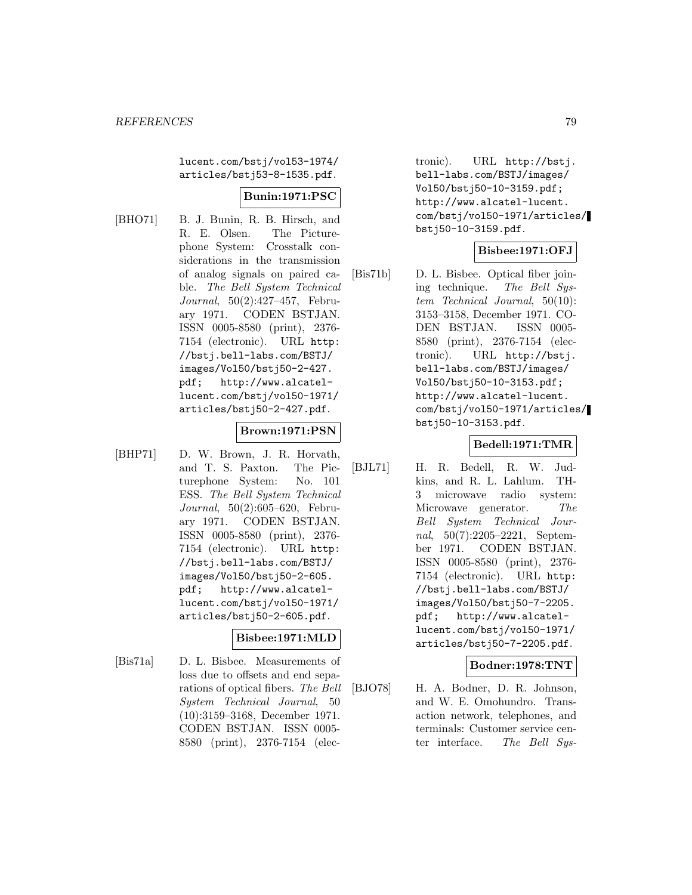lucent.com/bstj/vol53-1974/ articles/bstj53-8-1535.pdf.

### **Bunin:1971:PSC**

[BHO71] B. J. Bunin, R. B. Hirsch, and R. E. Olsen. The Picturephone System: Crosstalk considerations in the transmission of analog signals on paired cable. The Bell System Technical Journal, 50(2):427–457, February 1971. CODEN BSTJAN. ISSN 0005-8580 (print), 2376- 7154 (electronic). URL http: //bstj.bell-labs.com/BSTJ/ images/Vol50/bstj50-2-427.

pdf; http://www.alcatellucent.com/bstj/vol50-1971/ articles/bstj50-2-427.pdf.

### **Brown:1971:PSN**

[BHP71] D. W. Brown, J. R. Horvath, and T. S. Paxton. The Picturephone System: No. 101 ESS. The Bell System Technical Journal, 50(2):605–620, February 1971. CODEN BSTJAN. ISSN 0005-8580 (print), 2376- 7154 (electronic). URL http: //bstj.bell-labs.com/BSTJ/ images/Vol50/bstj50-2-605. pdf; http://www.alcatellucent.com/bstj/vol50-1971/ articles/bstj50-2-605.pdf.

### **Bisbee:1971:MLD**

[Bis71a] D. L. Bisbee. Measurements of loss due to offsets and end separations of optical fibers. The Bell System Technical Journal, 50 (10):3159–3168, December 1971. CODEN BSTJAN. ISSN 0005- 8580 (print), 2376-7154 (electronic). URL http://bstj. bell-labs.com/BSTJ/images/ Vol50/bstj50-10-3159.pdf; http://www.alcatel-lucent. com/bstj/vol50-1971/articles/ bstj50-10-3159.pdf.

### **Bisbee:1971:OFJ**

[Bis71b] D. L. Bisbee. Optical fiber joining technique. The Bell System Technical Journal, 50(10): 3153–3158, December 1971. CO-DEN BSTJAN. ISSN 0005- 8580 (print), 2376-7154 (electronic). URL http://bstj. bell-labs.com/BSTJ/images/ Vol50/bstj50-10-3153.pdf; http://www.alcatel-lucent. com/bstj/vol50-1971/articles/ bstj50-10-3153.pdf.

# **Bedell:1971:TMR**

[BJL71] H. R. Bedell, R. W. Judkins, and R. L. Lahlum. TH-3 microwave radio system: Microwave generator. The Bell System Technical Journal, 50(7):2205–2221, September 1971. CODEN BSTJAN. ISSN 0005-8580 (print), 2376- 7154 (electronic). URL http: //bstj.bell-labs.com/BSTJ/ images/Vol50/bstj50-7-2205. pdf; http://www.alcatellucent.com/bstj/vol50-1971/ articles/bstj50-7-2205.pdf.

### **Bodner:1978:TNT**

[BJO78] H. A. Bodner, D. R. Johnson, and W. E. Omohundro. Transaction network, telephones, and terminals: Customer service center interface. The Bell Sys-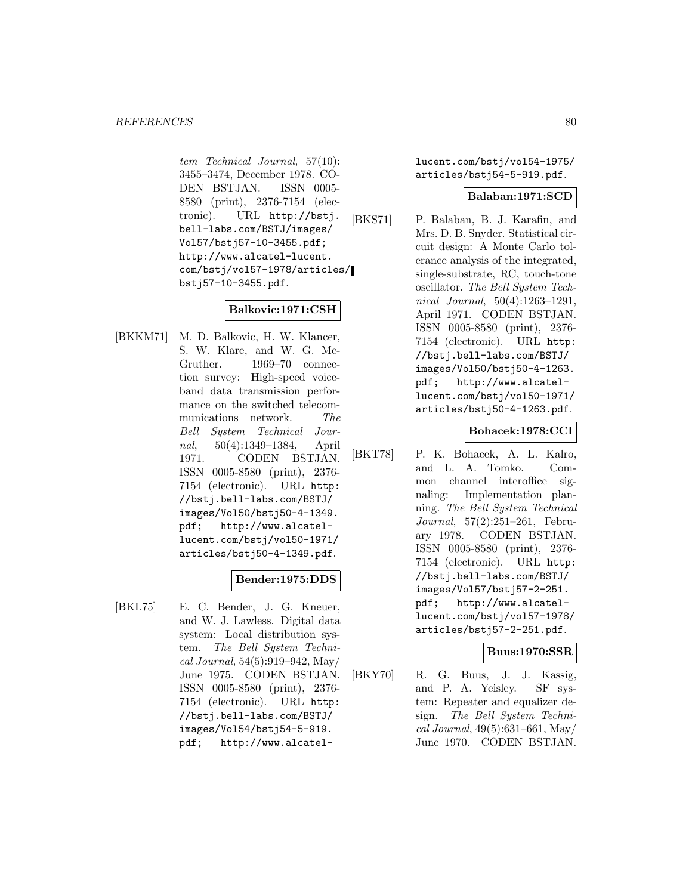tem Technical Journal, 57(10): 3455–3474, December 1978. CO-DEN BSTJAN. ISSN 0005- 8580 (print), 2376-7154 (electronic). URL http://bstj. bell-labs.com/BSTJ/images/ Vol57/bstj57-10-3455.pdf; http://www.alcatel-lucent. com/bstj/vol57-1978/articles/ bstj57-10-3455.pdf.

# **Balkovic:1971:CSH**

[BKKM71] M. D. Balkovic, H. W. Klancer, S. W. Klare, and W. G. Mc-Gruther. 1969–70 connection survey: High-speed voiceband data transmission performance on the switched telecommunications network. The Bell System Technical Journal, 50(4):1349–1384, April 1971. CODEN BSTJAN. ISSN 0005-8580 (print), 2376- 7154 (electronic). URL http: //bstj.bell-labs.com/BSTJ/ images/Vol50/bstj50-4-1349. pdf; http://www.alcatellucent.com/bstj/vol50-1971/ articles/bstj50-4-1349.pdf.

## **Bender:1975:DDS**

[BKL75] E. C. Bender, J. G. Kneuer, and W. J. Lawless. Digital data system: Local distribution system. The Bell System Technical Journal, 54(5):919–942, May/ June 1975. CODEN BSTJAN. ISSN 0005-8580 (print), 2376- 7154 (electronic). URL http: //bstj.bell-labs.com/BSTJ/ images/Vol54/bstj54-5-919. pdf; http://www.alcatellucent.com/bstj/vol54-1975/ articles/bstj54-5-919.pdf.

### **Balaban:1971:SCD**

[BKS71] P. Balaban, B. J. Karafin, and Mrs. D. B. Snyder. Statistical circuit design: A Monte Carlo tolerance analysis of the integrated, single-substrate, RC, touch-tone oscillator. The Bell System Technical Journal, 50(4):1263–1291, April 1971. CODEN BSTJAN. ISSN 0005-8580 (print), 2376- 7154 (electronic). URL http: //bstj.bell-labs.com/BSTJ/ images/Vol50/bstj50-4-1263. pdf; http://www.alcatellucent.com/bstj/vol50-1971/ articles/bstj50-4-1263.pdf.

### **Bohacek:1978:CCI**

[BKT78] P. K. Bohacek, A. L. Kalro, and L. A. Tomko. Common channel interoffice signaling: Implementation planning. The Bell System Technical Journal, 57(2):251–261, February 1978. CODEN BSTJAN. ISSN 0005-8580 (print), 2376- 7154 (electronic). URL http: //bstj.bell-labs.com/BSTJ/ images/Vol57/bstj57-2-251. pdf; http://www.alcatellucent.com/bstj/vol57-1978/ articles/bstj57-2-251.pdf.

### **Buus:1970:SSR**

[BKY70] R. G. Buus, J. J. Kassig, and P. A. Yeisley. SF system: Repeater and equalizer design. The Bell System Technical Journal, 49(5):631–661, May/ June 1970. CODEN BSTJAN.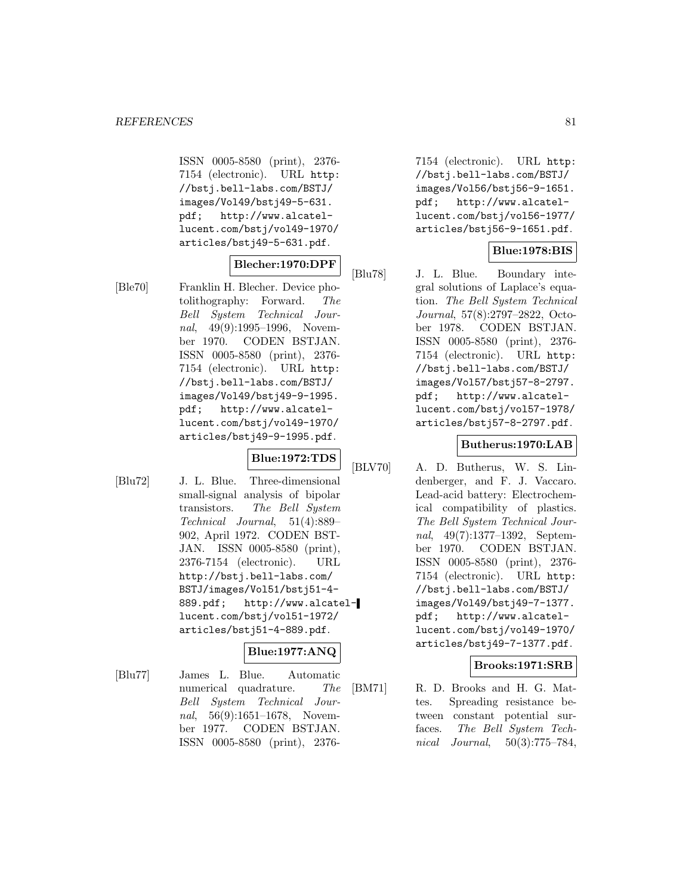ISSN 0005-8580 (print), 2376- 7154 (electronic). URL http: //bstj.bell-labs.com/BSTJ/ images/Vol49/bstj49-5-631. pdf; http://www.alcatellucent.com/bstj/vol49-1970/ articles/bstj49-5-631.pdf.

# **Blecher:1970:DPF**

[Ble70] Franklin H. Blecher. Device photolithography: Forward. The Bell System Technical Journal, 49(9):1995–1996, November 1970. CODEN BSTJAN. ISSN 0005-8580 (print), 2376- 7154 (electronic). URL http: //bstj.bell-labs.com/BSTJ/ images/Vol49/bstj49-9-1995. pdf; http://www.alcatellucent.com/bstj/vol49-1970/ articles/bstj49-9-1995.pdf.

#### **Blue:1972:TDS**

[Blu72] J. L. Blue. Three-dimensional small-signal analysis of bipolar transistors. The Bell System Technical Journal, 51(4):889– 902, April 1972. CODEN BST-JAN. ISSN 0005-8580 (print), 2376-7154 (electronic). URL http://bstj.bell-labs.com/ BSTJ/images/Vol51/bstj51-4- 889.pdf; http://www.alcatellucent.com/bstj/vol51-1972/ articles/bstj51-4-889.pdf.

# **Blue:1977:ANQ**

[Blu77] James L. Blue. Automatic numerical quadrature. The Bell System Technical Journal, 56(9):1651–1678, November 1977. CODEN BSTJAN. ISSN 0005-8580 (print), 23767154 (electronic). URL http: //bstj.bell-labs.com/BSTJ/ images/Vol56/bstj56-9-1651. pdf; http://www.alcatellucent.com/bstj/vol56-1977/ articles/bstj56-9-1651.pdf.

### **Blue:1978:BIS**

[Blu78] J. L. Blue. Boundary integral solutions of Laplace's equation. The Bell System Technical Journal, 57(8):2797–2822, October 1978. CODEN BSTJAN. ISSN 0005-8580 (print), 2376- 7154 (electronic). URL http: //bstj.bell-labs.com/BSTJ/ images/Vol57/bstj57-8-2797. pdf; http://www.alcatellucent.com/bstj/vol57-1978/ articles/bstj57-8-2797.pdf.

### **Butherus:1970:LAB**

[BLV70] A. D. Butherus, W. S. Lindenberger, and F. J. Vaccaro. Lead-acid battery: Electrochemical compatibility of plastics. The Bell System Technical Journal, 49(7):1377–1392, September 1970. CODEN BSTJAN. ISSN 0005-8580 (print), 2376- 7154 (electronic). URL http: //bstj.bell-labs.com/BSTJ/ images/Vol49/bstj49-7-1377. pdf; http://www.alcatellucent.com/bstj/vol49-1970/ articles/bstj49-7-1377.pdf.

### **Brooks:1971:SRB**

[BM71] R. D. Brooks and H. G. Mattes. Spreading resistance between constant potential surfaces. The Bell System Technical Journal, 50(3):775–784,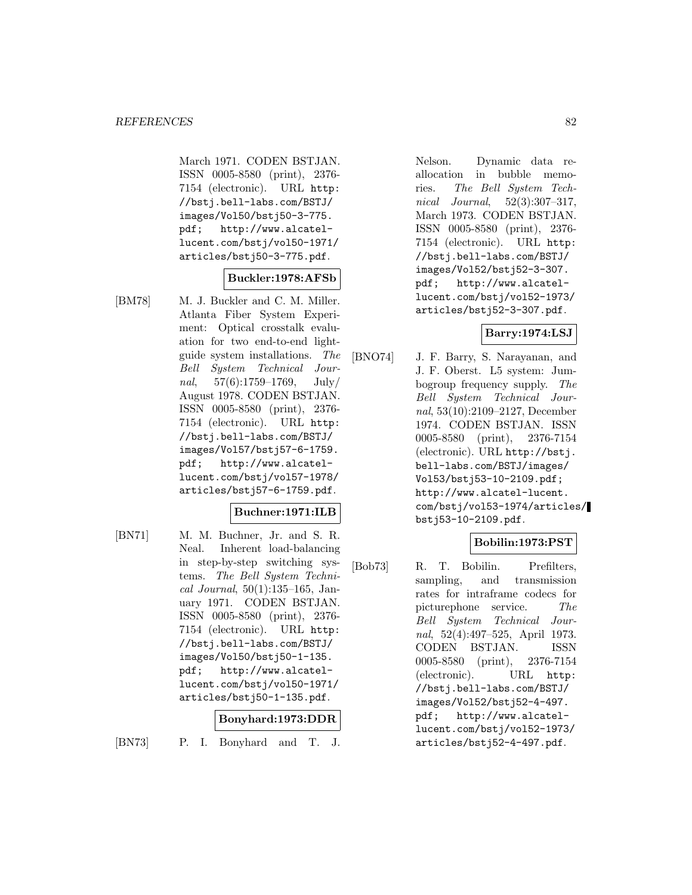March 1971. CODEN BSTJAN. ISSN 0005-8580 (print), 2376- 7154 (electronic). URL http: //bstj.bell-labs.com/BSTJ/ images/Vol50/bstj50-3-775. pdf; http://www.alcatellucent.com/bstj/vol50-1971/ articles/bstj50-3-775.pdf.

### **Buckler:1978:AFSb**

[BM78] M. J. Buckler and C. M. Miller. Atlanta Fiber System Experiment: Optical crosstalk evaluation for two end-to-end lightguide system installations. The Bell System Technical Journal,  $57(6):1759-1769$ , July/ August 1978. CODEN BSTJAN. ISSN 0005-8580 (print), 2376- 7154 (electronic). URL http: //bstj.bell-labs.com/BSTJ/ images/Vol57/bstj57-6-1759. pdf; http://www.alcatellucent.com/bstj/vol57-1978/ articles/bstj57-6-1759.pdf.

#### **Buchner:1971:ILB**

[BN71] M. M. Buchner, Jr. and S. R. Neal. Inherent load-balancing in step-by-step switching systems. The Bell System Technical Journal, 50(1):135–165, January 1971. CODEN BSTJAN. ISSN 0005-8580 (print), 2376- 7154 (electronic). URL http: //bstj.bell-labs.com/BSTJ/ images/Vol50/bstj50-1-135. pdf; http://www.alcatellucent.com/bstj/vol50-1971/ articles/bstj50-1-135.pdf.

## **Bonyhard:1973:DDR**

[BN73] P. I. Bonyhard and T. J.

Nelson. Dynamic data reallocation in bubble memories. The Bell System Technical Journal, 52(3):307–317, March 1973. CODEN BSTJAN. ISSN 0005-8580 (print), 2376- 7154 (electronic). URL http: //bstj.bell-labs.com/BSTJ/ images/Vol52/bstj52-3-307. pdf; http://www.alcatellucent.com/bstj/vol52-1973/ articles/bstj52-3-307.pdf.

### **Barry:1974:LSJ**

[BNO74] J. F. Barry, S. Narayanan, and J. F. Oberst. L5 system: Jumbogroup frequency supply. The Bell System Technical Journal, 53(10):2109–2127, December 1974. CODEN BSTJAN. ISSN 0005-8580 (print), 2376-7154 (electronic). URL http://bstj. bell-labs.com/BSTJ/images/ Vol53/bstj53-10-2109.pdf; http://www.alcatel-lucent. com/bstj/vol53-1974/articles/ bstj53-10-2109.pdf.

## **Bobilin:1973:PST**

[Bob73] R. T. Bobilin. Prefilters, sampling, and transmission rates for intraframe codecs for picturephone service. The Bell System Technical Journal, 52(4):497–525, April 1973. CODEN BSTJAN. ISSN 0005-8580 (print), 2376-7154 (electronic). URL http: //bstj.bell-labs.com/BSTJ/ images/Vol52/bstj52-4-497. pdf; http://www.alcatellucent.com/bstj/vol52-1973/ articles/bstj52-4-497.pdf.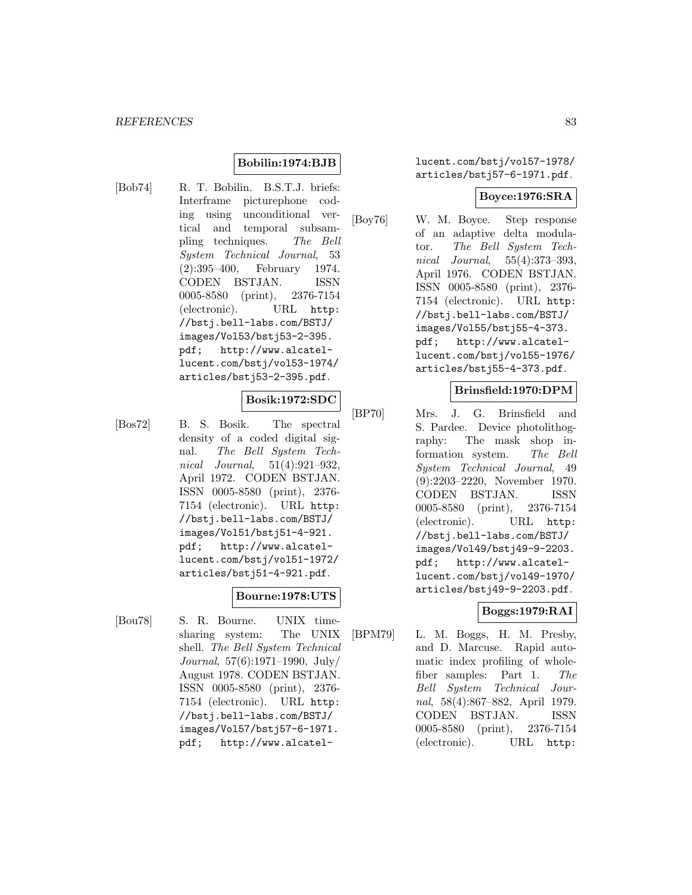## **Bobilin:1974:BJB**

[Bob74] R. T. Bobilin. B.S.T.J. briefs: Interframe picturephone coding using unconditional vertical and temporal subsampling techniques. The Bell System Technical Journal, 53 (2):395–400, February 1974. CODEN BSTJAN. ISSN 0005-8580 (print), 2376-7154 (electronic). URL http: //bstj.bell-labs.com/BSTJ/ images/Vol53/bstj53-2-395. pdf; http://www.alcatellucent.com/bstj/vol53-1974/ articles/bstj53-2-395.pdf.

### **Bosik:1972:SDC**

[Bos72] B. S. Bosik. The spectral density of a coded digital signal. The Bell System Technical Journal, 51(4):921–932, April 1972. CODEN BSTJAN. ISSN 0005-8580 (print), 2376- 7154 (electronic). URL http: //bstj.bell-labs.com/BSTJ/ images/Vol51/bstj51-4-921. pdf; http://www.alcatellucent.com/bstj/vol51-1972/ articles/bstj51-4-921.pdf.

## **Bourne:1978:UTS**

[Bou78] S. R. Bourne. UNIX timesharing system: The UNIX shell. The Bell System Technical Journal, 57(6):1971–1990, July/ August 1978. CODEN BSTJAN. ISSN 0005-8580 (print), 2376- 7154 (electronic). URL http: //bstj.bell-labs.com/BSTJ/ images/Vol57/bstj57-6-1971. pdf; http://www.alcatellucent.com/bstj/vol57-1978/ articles/bstj57-6-1971.pdf.

#### **Boyce:1976:SRA**

[Boy76] W. M. Boyce. Step response of an adaptive delta modulator. The Bell System Technical Journal, 55(4):373–393, April 1976. CODEN BSTJAN. ISSN 0005-8580 (print), 2376- 7154 (electronic). URL http: //bstj.bell-labs.com/BSTJ/ images/Vol55/bstj55-4-373. pdf; http://www.alcatellucent.com/bstj/vol55-1976/ articles/bstj55-4-373.pdf.

### **Brinsfield:1970:DPM**

[BP70] Mrs. J. G. Brinsfield and S. Pardee. Device photolithography: The mask shop information system. The Bell System Technical Journal, 49 (9):2203–2220, November 1970. CODEN BSTJAN. ISSN 0005-8580 (print), 2376-7154 (electronic). URL http: //bstj.bell-labs.com/BSTJ/ images/Vol49/bstj49-9-2203. pdf; http://www.alcatellucent.com/bstj/vol49-1970/ articles/bstj49-9-2203.pdf.

## **Boggs:1979:RAI**

[BPM79] L. M. Boggs, H. M. Presby, and D. Marcuse. Rapid automatic index profiling of wholefiber samples: Part 1. The Bell System Technical Journal, 58(4):867–882, April 1979. CODEN BSTJAN. ISSN 0005-8580 (print), 2376-7154 (electronic). URL http: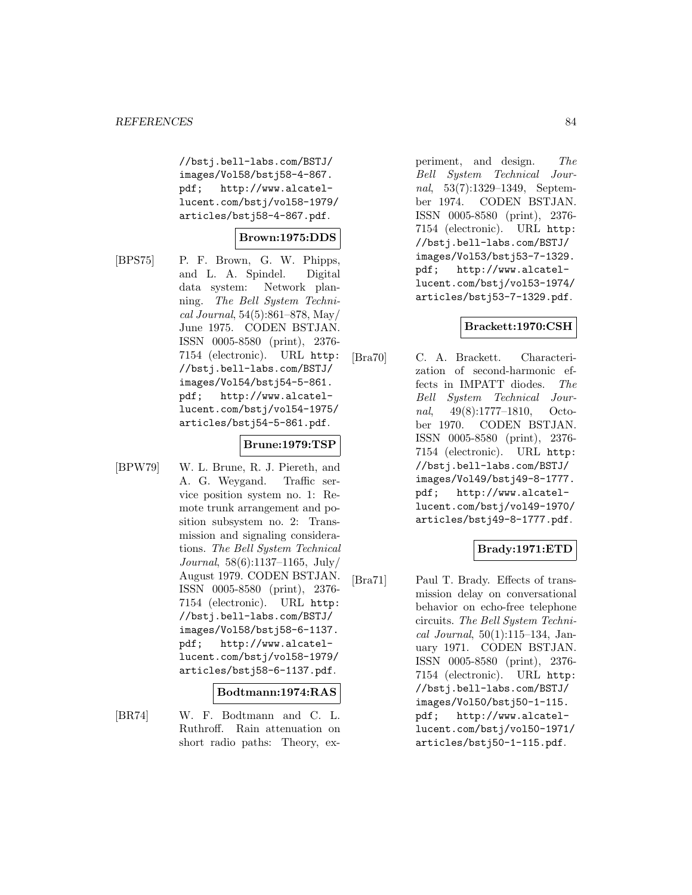//bstj.bell-labs.com/BSTJ/ images/Vol58/bstj58-4-867. pdf; http://www.alcatellucent.com/bstj/vol58-1979/ articles/bstj58-4-867.pdf.

## **Brown:1975:DDS**

[BPS75] P. F. Brown, G. W. Phipps, and L. A. Spindel. Digital data system: Network planning. The Bell System Technical Journal, 54(5):861–878, May/ June 1975. CODEN BSTJAN. ISSN 0005-8580 (print), 2376- 7154 (electronic). URL http: //bstj.bell-labs.com/BSTJ/ images/Vol54/bstj54-5-861. pdf; http://www.alcatellucent.com/bstj/vol54-1975/ articles/bstj54-5-861.pdf.

## **Brune:1979:TSP**

[BPW79] W. L. Brune, R. J. Piereth, and A. G. Weygand. Traffic service position system no. 1: Remote trunk arrangement and position subsystem no. 2: Transmission and signaling considerations. The Bell System Technical Journal, 58(6):1137–1165, July/ August 1979. CODEN BSTJAN. ISSN 0005-8580 (print), 2376- 7154 (electronic). URL http: //bstj.bell-labs.com/BSTJ/ images/Vol58/bstj58-6-1137. pdf; http://www.alcatellucent.com/bstj/vol58-1979/ articles/bstj58-6-1137.pdf.

### **Bodtmann:1974:RAS**

[BR74] W. F. Bodtmann and C. L. Ruthroff. Rain attenuation on short radio paths: Theory, experiment, and design. The Bell System Technical Journal, 53(7):1329–1349, September 1974. CODEN BSTJAN. ISSN 0005-8580 (print), 2376- 7154 (electronic). URL http: //bstj.bell-labs.com/BSTJ/ images/Vol53/bstj53-7-1329. pdf; http://www.alcatellucent.com/bstj/vol53-1974/ articles/bstj53-7-1329.pdf.

### **Brackett:1970:CSH**

[Bra70] C. A. Brackett. Characterization of second-harmonic effects in IMPATT diodes. The Bell System Technical Journal, 49(8):1777–1810, October 1970. CODEN BSTJAN. ISSN 0005-8580 (print), 2376- 7154 (electronic). URL http: //bstj.bell-labs.com/BSTJ/ images/Vol49/bstj49-8-1777. pdf; http://www.alcatellucent.com/bstj/vol49-1970/ articles/bstj49-8-1777.pdf.

### **Brady:1971:ETD**

[Bra71] Paul T. Brady. Effects of transmission delay on conversational behavior on echo-free telephone circuits. The Bell System Technical Journal, 50(1):115–134, January 1971. CODEN BSTJAN. ISSN 0005-8580 (print), 2376- 7154 (electronic). URL http: //bstj.bell-labs.com/BSTJ/ images/Vol50/bstj50-1-115. pdf; http://www.alcatellucent.com/bstj/vol50-1971/ articles/bstj50-1-115.pdf.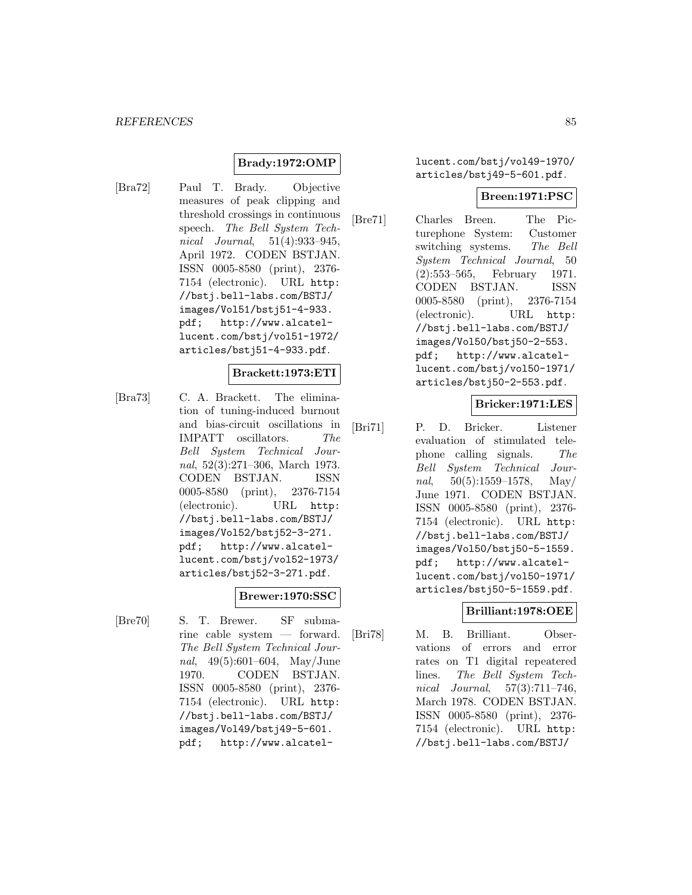# **Brady:1972:OMP**

[Bra72] Paul T. Brady. Objective measures of peak clipping and threshold crossings in continuous speech. The Bell System Technical Journal, 51(4):933–945, April 1972. CODEN BSTJAN. ISSN 0005-8580 (print), 2376- 7154 (electronic). URL http: //bstj.bell-labs.com/BSTJ/ images/Vol51/bstj51-4-933. pdf; http://www.alcatellucent.com/bstj/vol51-1972/ articles/bstj51-4-933.pdf.

#### **Brackett:1973:ETI**

[Bra73] C. A. Brackett. The elimination of tuning-induced burnout and bias-circuit oscillations in IMPATT oscillators. The Bell System Technical Journal, 52(3):271–306, March 1973. CODEN BSTJAN. ISSN 0005-8580 (print), 2376-7154 (electronic). URL http: //bstj.bell-labs.com/BSTJ/ images/Vol52/bstj52-3-271. pdf; http://www.alcatellucent.com/bstj/vol52-1973/ articles/bstj52-3-271.pdf.

## **Brewer:1970:SSC**

[Bre70] S. T. Brewer. SF submarine cable system — forward. The Bell System Technical Journal, 49(5):601–604, May/June 1970. CODEN BSTJAN. ISSN 0005-8580 (print), 2376- 7154 (electronic). URL http: //bstj.bell-labs.com/BSTJ/ images/Vol49/bstj49-5-601. pdf; http://www.alcatellucent.com/bstj/vol49-1970/ articles/bstj49-5-601.pdf.

#### **Breen:1971:PSC**

[Bre71] Charles Breen. The Picturephone System: Customer switching systems. The Bell System Technical Journal, 50 (2):553–565, February 1971. CODEN BSTJAN. ISSN 0005-8580 (print), 2376-7154 (electronic). URL http: //bstj.bell-labs.com/BSTJ/ images/Vol50/bstj50-2-553. pdf; http://www.alcatellucent.com/bstj/vol50-1971/ articles/bstj50-2-553.pdf.

### **Bricker:1971:LES**

[Bri71] P. D. Bricker. Listener evaluation of stimulated telephone calling signals. The Bell System Technical Journal,  $50(5):1559-1578$ , May/ June 1971. CODEN BSTJAN. ISSN 0005-8580 (print), 2376- 7154 (electronic). URL http: //bstj.bell-labs.com/BSTJ/ images/Vol50/bstj50-5-1559. pdf; http://www.alcatellucent.com/bstj/vol50-1971/ articles/bstj50-5-1559.pdf.

## **Brilliant:1978:OEE**

[Bri78] M. B. Brilliant. Observations of errors and error rates on T1 digital repeatered lines. The Bell System Technical Journal, 57(3):711–746, March 1978. CODEN BSTJAN. ISSN 0005-8580 (print), 2376- 7154 (electronic). URL http: //bstj.bell-labs.com/BSTJ/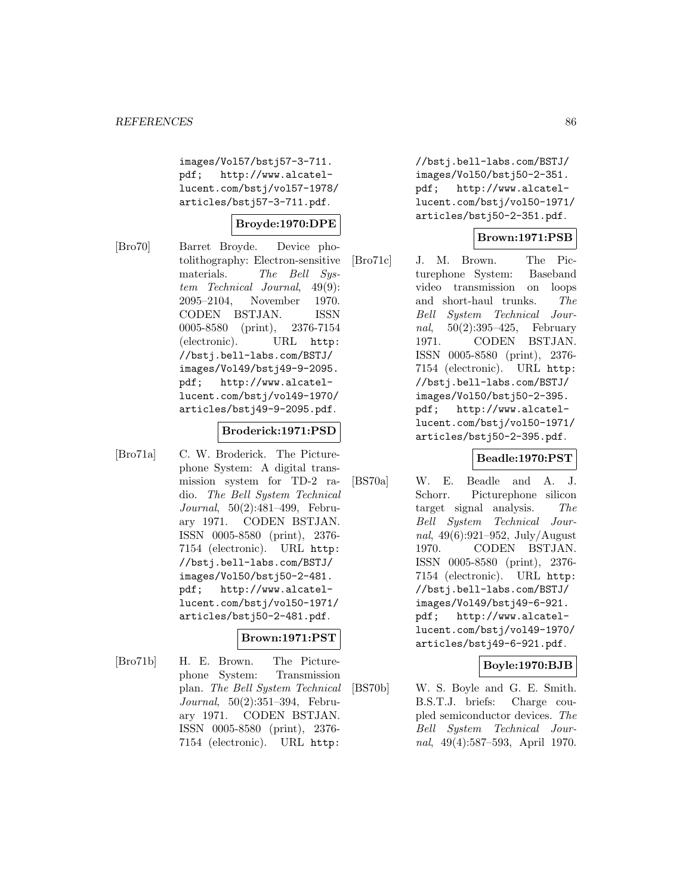images/Vol57/bstj57-3-711. pdf; http://www.alcatellucent.com/bstj/vol57-1978/ articles/bstj57-3-711.pdf.

### **Broyde:1970:DPE**

[Bro70] Barret Broyde. Device photolithography: Electron-sensitive materials. The Bell System Technical Journal, 49(9): 2095–2104, November 1970. CODEN BSTJAN. ISSN 0005-8580 (print), 2376-7154 (electronic). URL http: //bstj.bell-labs.com/BSTJ/ images/Vol49/bstj49-9-2095. pdf; http://www.alcatellucent.com/bstj/vol49-1970/ articles/bstj49-9-2095.pdf.

### **Broderick:1971:PSD**

[Bro71a] C. W. Broderick. The Picturephone System: A digital transmission system for TD-2 radio. The Bell System Technical Journal, 50(2):481–499, February 1971. CODEN BSTJAN. ISSN 0005-8580 (print), 2376- 7154 (electronic). URL http: //bstj.bell-labs.com/BSTJ/ images/Vol50/bstj50-2-481. pdf; http://www.alcatellucent.com/bstj/vol50-1971/ articles/bstj50-2-481.pdf.

### **Brown:1971:PST**

[Bro71b] H. E. Brown. The Picturephone System: Transmission plan. The Bell System Technical Journal, 50(2):351–394, February 1971. CODEN BSTJAN. ISSN 0005-8580 (print), 2376- 7154 (electronic). URL http:

//bstj.bell-labs.com/BSTJ/ images/Vol50/bstj50-2-351. pdf; http://www.alcatellucent.com/bstj/vol50-1971/ articles/bstj50-2-351.pdf.

### **Brown:1971:PSB**

[Bro71c] J. M. Brown. The Picturephone System: Baseband video transmission on loops and short-haul trunks. The Bell System Technical Journal, 50(2):395–425, February 1971. CODEN BSTJAN. ISSN 0005-8580 (print), 2376- 7154 (electronic). URL http: //bstj.bell-labs.com/BSTJ/ images/Vol50/bstj50-2-395. pdf; http://www.alcatellucent.com/bstj/vol50-1971/ articles/bstj50-2-395.pdf.

### **Beadle:1970:PST**

[BS70a] W. E. Beadle and A. J. Schorr. Picturephone silicon target signal analysis. The Bell System Technical Journal, 49(6):921–952, July/August 1970. CODEN BSTJAN. ISSN 0005-8580 (print), 2376- 7154 (electronic). URL http: //bstj.bell-labs.com/BSTJ/ images/Vol49/bstj49-6-921. pdf; http://www.alcatellucent.com/bstj/vol49-1970/ articles/bstj49-6-921.pdf.

### **Boyle:1970:BJB**

[BS70b] W. S. Boyle and G. E. Smith. B.S.T.J. briefs: Charge coupled semiconductor devices. The Bell System Technical Journal, 49(4):587–593, April 1970.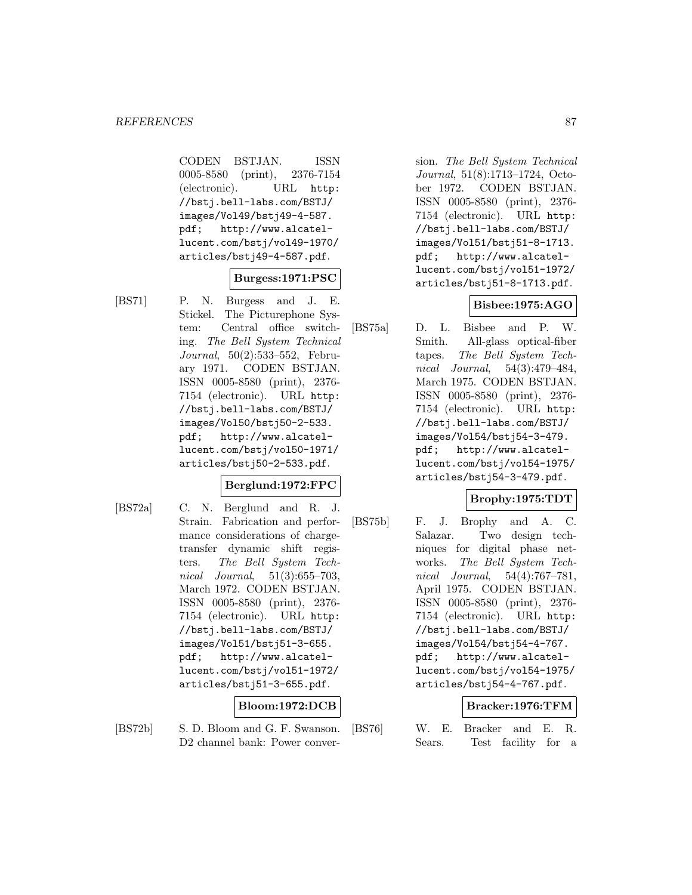CODEN BSTJAN. ISSN 0005-8580 (print), 2376-7154 (electronic). URL http: //bstj.bell-labs.com/BSTJ/ images/Vol49/bstj49-4-587. pdf; http://www.alcatellucent.com/bstj/vol49-1970/ articles/bstj49-4-587.pdf.

### **Burgess:1971:PSC**

[BS71] P. N. Burgess and J. E. Stickel. The Picturephone System: Central office switching. The Bell System Technical Journal, 50(2):533–552, February 1971. CODEN BSTJAN. ISSN 0005-8580 (print), 2376- 7154 (electronic). URL http: //bstj.bell-labs.com/BSTJ/ images/Vol50/bstj50-2-533. pdf; http://www.alcatellucent.com/bstj/vol50-1971/ articles/bstj50-2-533.pdf.

### **Berglund:1972:FPC**

[BS72a] C. N. Berglund and R. J. Strain. Fabrication and performance considerations of chargetransfer dynamic shift registers. The Bell System Technical Journal,  $51(3):655-703$ , March 1972. CODEN BSTJAN. ISSN 0005-8580 (print), 2376- 7154 (electronic). URL http: //bstj.bell-labs.com/BSTJ/ images/Vol51/bstj51-3-655. pdf; http://www.alcatellucent.com/bstj/vol51-1972/ articles/bstj51-3-655.pdf.

## **Bloom:1972:DCB**

[BS72b] S. D. Bloom and G. F. Swanson. D2 channel bank: Power conversion. The Bell System Technical Journal, 51(8):1713–1724, October 1972. CODEN BSTJAN. ISSN 0005-8580 (print), 2376- 7154 (electronic). URL http: //bstj.bell-labs.com/BSTJ/ images/Vol51/bstj51-8-1713. pdf; http://www.alcatellucent.com/bstj/vol51-1972/ articles/bstj51-8-1713.pdf.

## **Bisbee:1975:AGO**

[BS75a] D. L. Bisbee and P. W. Smith. All-glass optical-fiber tapes. The Bell System Technical Journal, 54(3):479–484, March 1975. CODEN BSTJAN. ISSN 0005-8580 (print), 2376- 7154 (electronic). URL http: //bstj.bell-labs.com/BSTJ/ images/Vol54/bstj54-3-479. pdf; http://www.alcatellucent.com/bstj/vol54-1975/ articles/bstj54-3-479.pdf.

## **Brophy:1975:TDT**

[BS75b] F. J. Brophy and A. C. Salazar. Two design techniques for digital phase networks. The Bell System Technical Journal, 54(4):767–781, April 1975. CODEN BSTJAN. ISSN 0005-8580 (print), 2376- 7154 (electronic). URL http: //bstj.bell-labs.com/BSTJ/ images/Vol54/bstj54-4-767. pdf; http://www.alcatellucent.com/bstj/vol54-1975/ articles/bstj54-4-767.pdf.

### **Bracker:1976:TFM**

[BS76] W. E. Bracker and E. R. Sears. Test facility for a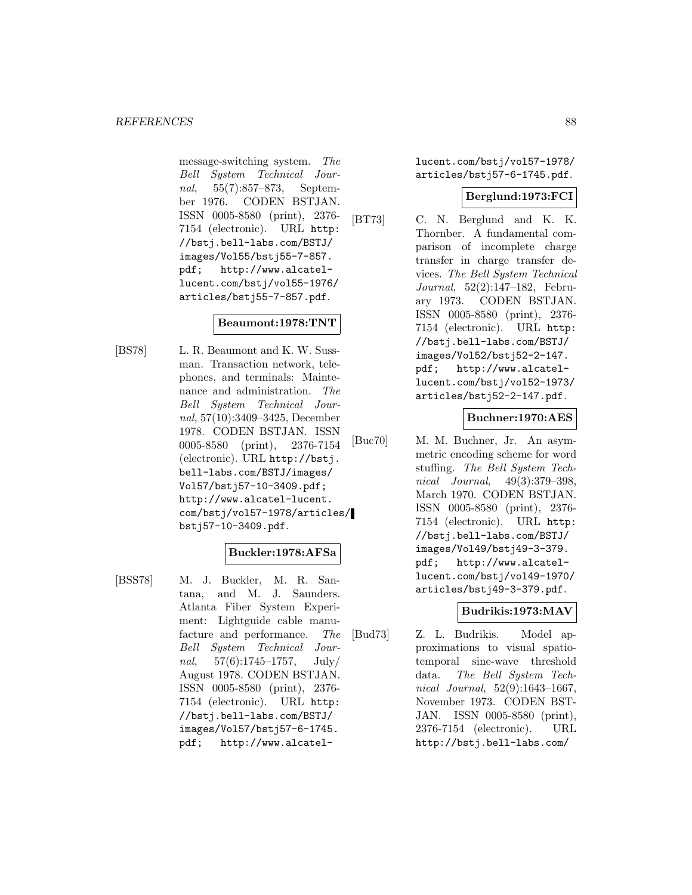message-switching system. The Bell System Technical Journal, 55(7):857–873, September 1976. CODEN BSTJAN. ISSN 0005-8580 (print), 2376- 7154 (electronic). URL http: //bstj.bell-labs.com/BSTJ/ images/Vol55/bstj55-7-857. pdf; http://www.alcatellucent.com/bstj/vol55-1976/ articles/bstj55-7-857.pdf.

## **Beaumont:1978:TNT**

[BS78] L. R. Beaumont and K. W. Sussman. Transaction network, telephones, and terminals: Maintenance and administration. The Bell System Technical Journal, 57(10):3409–3425, December 1978. CODEN BSTJAN. ISSN 0005-8580 (print), 2376-7154 (electronic). URL http://bstj. bell-labs.com/BSTJ/images/ Vol57/bstj57-10-3409.pdf; http://www.alcatel-lucent. com/bstj/vol57-1978/articles/ bstj57-10-3409.pdf.

### **Buckler:1978:AFSa**

[BSS78] M. J. Buckler, M. R. Santana, and M. J. Saunders. Atlanta Fiber System Experiment: Lightguide cable manufacture and performance. The Bell System Technical Journal,  $57(6):1745-1757$ , July/ August 1978. CODEN BSTJAN. ISSN 0005-8580 (print), 2376- 7154 (electronic). URL http: //bstj.bell-labs.com/BSTJ/ images/Vol57/bstj57-6-1745. pdf; http://www.alcatellucent.com/bstj/vol57-1978/ articles/bstj57-6-1745.pdf.

### **Berglund:1973:FCI**

[BT73] C. N. Berglund and K. K. Thornber. A fundamental comparison of incomplete charge transfer in charge transfer devices. The Bell System Technical Journal, 52(2):147–182, February 1973. CODEN BSTJAN. ISSN 0005-8580 (print), 2376- 7154 (electronic). URL http: //bstj.bell-labs.com/BSTJ/ images/Vol52/bstj52-2-147. pdf; http://www.alcatellucent.com/bstj/vol52-1973/ articles/bstj52-2-147.pdf.

**Buchner:1970:AES**

[Buc70] M. M. Buchner, Jr. An asymmetric encoding scheme for word stuffing. The Bell System Technical Journal, 49(3):379–398, March 1970. CODEN BSTJAN. ISSN 0005-8580 (print), 2376- 7154 (electronic). URL http: //bstj.bell-labs.com/BSTJ/ images/Vol49/bstj49-3-379. pdf; http://www.alcatellucent.com/bstj/vol49-1970/ articles/bstj49-3-379.pdf.

### **Budrikis:1973:MAV**

[Bud73] Z. L. Budrikis. Model approximations to visual spatiotemporal sine-wave threshold data. The Bell System Technical Journal, 52(9):1643–1667, November 1973. CODEN BST-JAN. ISSN 0005-8580 (print), 2376-7154 (electronic). URL http://bstj.bell-labs.com/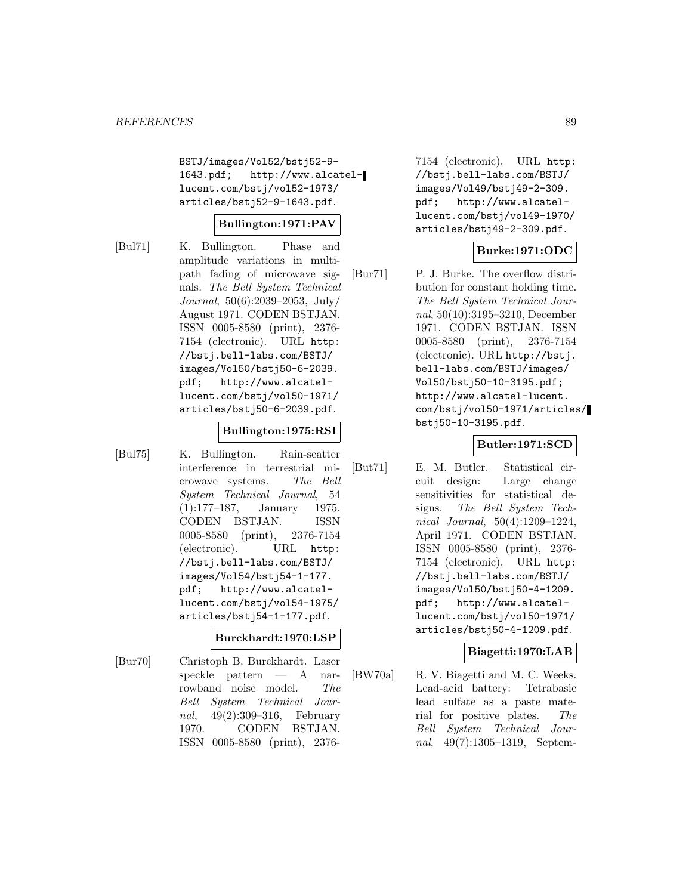BSTJ/images/Vol52/bstj52-9- 1643.pdf; http://www.alcatellucent.com/bstj/vol52-1973/ articles/bstj52-9-1643.pdf.

### **Bullington:1971:PAV**

[Bul71] K. Bullington. Phase and amplitude variations in multipath fading of microwave signals. The Bell System Technical Journal, 50(6):2039–2053, July/ August 1971. CODEN BSTJAN. ISSN 0005-8580 (print), 2376- 7154 (electronic). URL http: //bstj.bell-labs.com/BSTJ/ images/Vol50/bstj50-6-2039. pdf; http://www.alcatellucent.com/bstj/vol50-1971/ articles/bstj50-6-2039.pdf.

### **Bullington:1975:RSI**

[Bul75] K. Bullington. Rain-scatter interference in terrestrial microwave systems. The Bell System Technical Journal, 54 (1):177–187, January 1975. CODEN BSTJAN. ISSN 0005-8580 (print), 2376-7154 (electronic). URL http: //bstj.bell-labs.com/BSTJ/ images/Vol54/bstj54-1-177. pdf; http://www.alcatellucent.com/bstj/vol54-1975/ articles/bstj54-1-177.pdf.

### **Burckhardt:1970:LSP**

[Bur70] Christoph B. Burckhardt. Laser speckle pattern — A narrowband noise model. The Bell System Technical Journal, 49(2):309–316, February 1970. CODEN BSTJAN. ISSN 0005-8580 (print), 23767154 (electronic). URL http: //bstj.bell-labs.com/BSTJ/ images/Vol49/bstj49-2-309. pdf; http://www.alcatellucent.com/bstj/vol49-1970/ articles/bstj49-2-309.pdf.

## **Burke:1971:ODC**

[Bur71] P. J. Burke. The overflow distribution for constant holding time. The Bell System Technical Journal, 50(10):3195–3210, December 1971. CODEN BSTJAN. ISSN 0005-8580 (print), 2376-7154 (electronic). URL http://bstj. bell-labs.com/BSTJ/images/ Vol50/bstj50-10-3195.pdf; http://www.alcatel-lucent. com/bstj/vol50-1971/articles/ bstj50-10-3195.pdf.

## **Butler:1971:SCD**

[But71] E. M. Butler. Statistical circuit design: Large change sensitivities for statistical designs. The Bell System Technical Journal, 50(4):1209–1224, April 1971. CODEN BSTJAN. ISSN 0005-8580 (print), 2376- 7154 (electronic). URL http: //bstj.bell-labs.com/BSTJ/ images/Vol50/bstj50-4-1209. pdf; http://www.alcatellucent.com/bstj/vol50-1971/ articles/bstj50-4-1209.pdf.

## **Biagetti:1970:LAB**

[BW70a] R. V. Biagetti and M. C. Weeks. Lead-acid battery: Tetrabasic lead sulfate as a paste material for positive plates. The Bell System Technical Journal, 49(7):1305–1319, Septem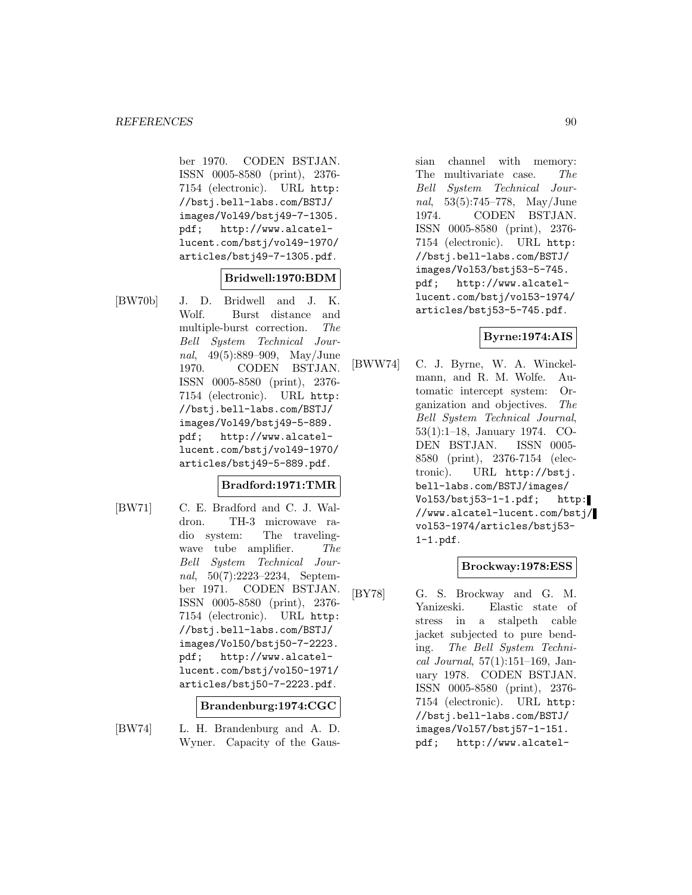ber 1970. CODEN BSTJAN. ISSN 0005-8580 (print), 2376- 7154 (electronic). URL http: //bstj.bell-labs.com/BSTJ/ images/Vol49/bstj49-7-1305. pdf; http://www.alcatellucent.com/bstj/vol49-1970/ articles/bstj49-7-1305.pdf.

### **Bridwell:1970:BDM**

[BW70b] J. D. Bridwell and J. K. Wolf. Burst distance and multiple-burst correction. The Bell System Technical Journal, 49(5):889–909, May/June 1970. CODEN BSTJAN. ISSN 0005-8580 (print), 2376- 7154 (electronic). URL http: //bstj.bell-labs.com/BSTJ/ images/Vol49/bstj49-5-889. pdf; http://www.alcatellucent.com/bstj/vol49-1970/ articles/bstj49-5-889.pdf.

## **Bradford:1971:TMR**

[BW71] C. E. Bradford and C. J. Waldron. TH-3 microwave radio system: The travelingwave tube amplifier. The Bell System Technical Journal, 50(7):2223–2234, September 1971. CODEN BSTJAN. ISSN 0005-8580 (print), 2376- 7154 (electronic). URL http: //bstj.bell-labs.com/BSTJ/ images/Vol50/bstj50-7-2223. pdf; http://www.alcatellucent.com/bstj/vol50-1971/ articles/bstj50-7-2223.pdf.

### **Brandenburg:1974:CGC**

[BW74] L. H. Brandenburg and A. D. Wyner. Capacity of the Gaussian channel with memory: The multivariate case. The Bell System Technical Journal, 53(5):745–778, May/June 1974. CODEN BSTJAN. ISSN 0005-8580 (print), 2376- 7154 (electronic). URL http: //bstj.bell-labs.com/BSTJ/ images/Vol53/bstj53-5-745. pdf; http://www.alcatellucent.com/bstj/vol53-1974/ articles/bstj53-5-745.pdf.

## **Byrne:1974:AIS**

[BWW74] C. J. Byrne, W. A. Winckelmann, and R. M. Wolfe. Automatic intercept system: Organization and objectives. The Bell System Technical Journal, 53(1):1–18, January 1974. CO-DEN BSTJAN. ISSN 0005- 8580 (print), 2376-7154 (electronic). URL http://bstj. bell-labs.com/BSTJ/images/ Vol53/bstj53-1-1.pdf; http: //www.alcatel-lucent.com/bstj/ vol53-1974/articles/bstj53- 1-1.pdf.

### **Brockway:1978:ESS**

[BY78] G. S. Brockway and G. M. Yanizeski. Elastic state of stress in a stalpeth cable jacket subjected to pure bending. The Bell System Technical Journal,  $57(1):151-169$ , January 1978. CODEN BSTJAN. ISSN 0005-8580 (print), 2376- 7154 (electronic). URL http: //bstj.bell-labs.com/BSTJ/ images/Vol57/bstj57-1-151. pdf; http://www.alcatel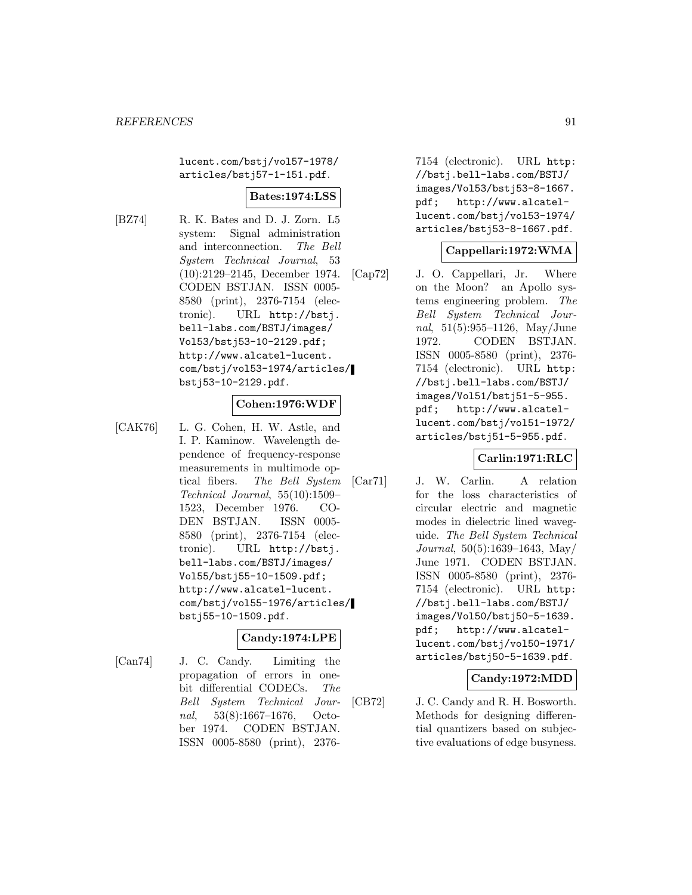lucent.com/bstj/vol57-1978/ articles/bstj57-1-151.pdf.

## **Bates:1974:LSS**

[BZ74] R. K. Bates and D. J. Zorn. L5 system: Signal administration and interconnection. The Bell System Technical Journal, 53 (10):2129–2145, December 1974. CODEN BSTJAN. ISSN 0005- 8580 (print), 2376-7154 (electronic). URL http://bstj. bell-labs.com/BSTJ/images/ Vol53/bstj53-10-2129.pdf; http://www.alcatel-lucent. com/bstj/vol53-1974/articles/ bstj53-10-2129.pdf.

### **Cohen:1976:WDF**

[CAK76] L. G. Cohen, H. W. Astle, and I. P. Kaminow. Wavelength dependence of frequency-response measurements in multimode optical fibers. The Bell System Technical Journal, 55(10):1509– 1523, December 1976. CO-DEN BSTJAN. ISSN 0005- 8580 (print), 2376-7154 (electronic). URL http://bstj. bell-labs.com/BSTJ/images/ Vol55/bstj55-10-1509.pdf; http://www.alcatel-lucent. com/bstj/vol55-1976/articles/ bstj55-10-1509.pdf.

### **Candy:1974:LPE**

[Can74] J. C. Candy. Limiting the propagation of errors in onebit differential CODECs. The Bell System Technical Journal, 53(8):1667–1676, October 1974. CODEN BSTJAN. ISSN 0005-8580 (print), 23767154 (electronic). URL http: //bstj.bell-labs.com/BSTJ/ images/Vol53/bstj53-8-1667. pdf; http://www.alcatellucent.com/bstj/vol53-1974/ articles/bstj53-8-1667.pdf.

### **Cappellari:1972:WMA**

[Cap72] J. O. Cappellari, Jr. Where on the Moon? an Apollo systems engineering problem. The Bell System Technical Journal, 51(5):955–1126, May/June 1972. CODEN BSTJAN. ISSN 0005-8580 (print), 2376- 7154 (electronic). URL http: //bstj.bell-labs.com/BSTJ/ images/Vol51/bstj51-5-955. pdf; http://www.alcatellucent.com/bstj/vol51-1972/ articles/bstj51-5-955.pdf.

### **Carlin:1971:RLC**

[Car71] J. W. Carlin. A relation for the loss characteristics of circular electric and magnetic modes in dielectric lined waveguide. The Bell System Technical Journal, 50(5):1639–1643, May/ June 1971. CODEN BSTJAN. ISSN 0005-8580 (print), 2376- 7154 (electronic). URL http: //bstj.bell-labs.com/BSTJ/ images/Vol50/bstj50-5-1639. pdf; http://www.alcatellucent.com/bstj/vol50-1971/ articles/bstj50-5-1639.pdf.

### **Candy:1972:MDD**

[CB72] J. C. Candy and R. H. Bosworth. Methods for designing differential quantizers based on subjective evaluations of edge busyness.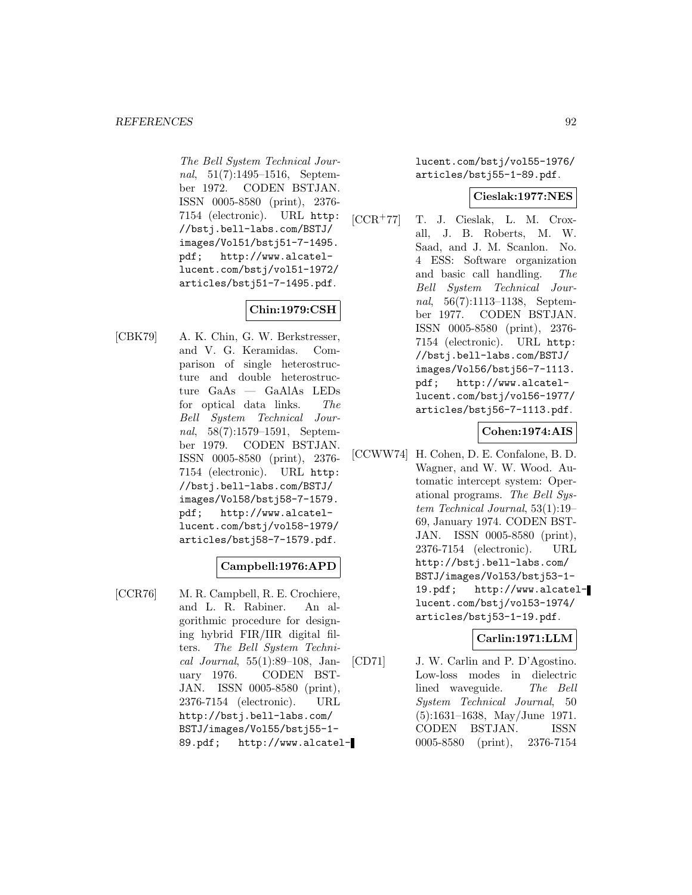The Bell System Technical Journal, 51(7):1495–1516, September 1972. CODEN BSTJAN. ISSN 0005-8580 (print), 2376- 7154 (electronic). URL http: //bstj.bell-labs.com/BSTJ/ images/Vol51/bstj51-7-1495. pdf; http://www.alcatellucent.com/bstj/vol51-1972/ articles/bstj51-7-1495.pdf.

# **Chin:1979:CSH**

[CBK79] A. K. Chin, G. W. Berkstresser, and V. G. Keramidas. Comparison of single heterostructure and double heterostructure GaAs — GaAlAs LEDs for optical data links. The Bell System Technical Journal, 58(7):1579–1591, September 1979. CODEN BSTJAN. ISSN 0005-8580 (print), 2376- 7154 (electronic). URL http: //bstj.bell-labs.com/BSTJ/ images/Vol58/bstj58-7-1579. pdf; http://www.alcatellucent.com/bstj/vol58-1979/ articles/bstj58-7-1579.pdf.

# **Campbell:1976:APD**

[CCR76] M. R. Campbell, R. E. Crochiere, and L. R. Rabiner. An algorithmic procedure for designing hybrid FIR/IIR digital filters. The Bell System Technical Journal, 55(1):89–108, January 1976. CODEN BST-JAN. ISSN 0005-8580 (print), 2376-7154 (electronic). URL http://bstj.bell-labs.com/ BSTJ/images/Vol55/bstj55-1- 89.pdf; http://www.alcatellucent.com/bstj/vol55-1976/ articles/bstj55-1-89.pdf.

### **Cieslak:1977:NES**

[CCR<sup>+</sup>77] T. J. Cieslak, L. M. Croxall, J. B. Roberts, M. W. Saad, and J. M. Scanlon. No. 4 ESS: Software organization and basic call handling. The Bell System Technical Journal, 56(7):1113–1138, September 1977. CODEN BSTJAN. ISSN 0005-8580 (print), 2376- 7154 (electronic). URL http: //bstj.bell-labs.com/BSTJ/ images/Vol56/bstj56-7-1113. pdf; http://www.alcatellucent.com/bstj/vol56-1977/ articles/bstj56-7-1113.pdf.

### **Cohen:1974:AIS**

[CCWW74] H. Cohen, D. E. Confalone, B. D. Wagner, and W. W. Wood. Automatic intercept system: Operational programs. The Bell System Technical Journal, 53(1):19– 69, January 1974. CODEN BST-JAN. ISSN 0005-8580 (print), 2376-7154 (electronic). URL http://bstj.bell-labs.com/ BSTJ/images/Vol53/bstj53-1- 19.pdf; http://www.alcatellucent.com/bstj/vol53-1974/ articles/bstj53-1-19.pdf.

### **Carlin:1971:LLM**

[CD71] J. W. Carlin and P. D'Agostino. Low-loss modes in dielectric lined waveguide. The Bell System Technical Journal, 50 (5):1631–1638, May/June 1971. CODEN BSTJAN. ISSN 0005-8580 (print), 2376-7154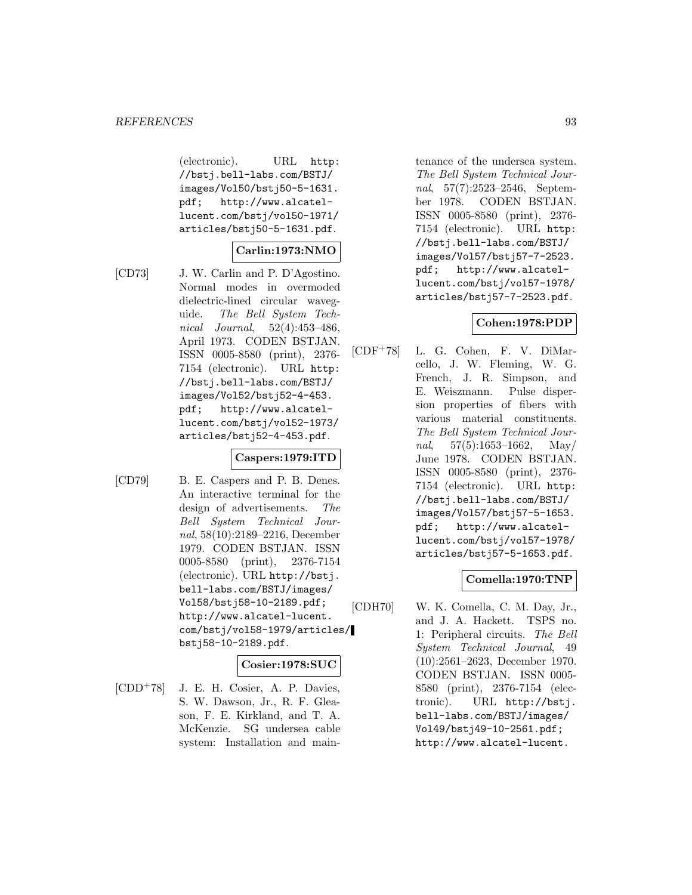(electronic). URL http: //bstj.bell-labs.com/BSTJ/ images/Vol50/bstj50-5-1631. pdf; http://www.alcatellucent.com/bstj/vol50-1971/ articles/bstj50-5-1631.pdf.

### **Carlin:1973:NMO**

- 
- [CD73] J. W. Carlin and P. D'Agostino. Normal modes in overmoded dielectric-lined circular waveguide. The Bell System Technical Journal, 52(4):453–486, April 1973. CODEN BSTJAN. ISSN 0005-8580 (print), 2376- 7154 (electronic). URL http: //bstj.bell-labs.com/BSTJ/ images/Vol52/bstj52-4-453. pdf; http://www.alcatellucent.com/bstj/vol52-1973/ articles/bstj52-4-453.pdf.

### **Caspers:1979:ITD**

[CD79] B. E. Caspers and P. B. Denes. An interactive terminal for the design of advertisements. The Bell System Technical Journal, 58(10):2189–2216, December 1979. CODEN BSTJAN. ISSN 0005-8580 (print), 2376-7154 (electronic). URL http://bstj. bell-labs.com/BSTJ/images/ Vol58/bstj58-10-2189.pdf; http://www.alcatel-lucent. com/bstj/vol58-1979/articles/ bstj58-10-2189.pdf.

### **Cosier:1978:SUC**

 $[CDD<sup>+</sup>78]$  J. E. H. Cosier, A. P. Davies, S. W. Dawson, Jr., R. F. Gleason, F. E. Kirkland, and T. A. McKenzie. SG undersea cable system: Installation and maintenance of the undersea system. The Bell System Technical Journal, 57(7):2523–2546, September 1978. CODEN BSTJAN. ISSN 0005-8580 (print), 2376- 7154 (electronic). URL http: //bstj.bell-labs.com/BSTJ/ images/Vol57/bstj57-7-2523. pdf; http://www.alcatellucent.com/bstj/vol57-1978/ articles/bstj57-7-2523.pdf.

## **Cohen:1978:PDP**

[CDF<sup>+</sup>78] L. G. Cohen, F. V. DiMarcello, J. W. Fleming, W. G. French, J. R. Simpson, and E. Weiszmann. Pulse dispersion properties of fibers with various material constituents. The Bell System Technical Journal,  $57(5):1653-1662$ , May/ June 1978. CODEN BSTJAN. ISSN 0005-8580 (print), 2376- 7154 (electronic). URL http: //bstj.bell-labs.com/BSTJ/ images/Vol57/bstj57-5-1653. pdf; http://www.alcatellucent.com/bstj/vol57-1978/ articles/bstj57-5-1653.pdf.

## **Comella:1970:TNP**

[CDH70] W. K. Comella, C. M. Day, Jr., and J. A. Hackett. TSPS no. 1: Peripheral circuits. The Bell System Technical Journal, 49 (10):2561–2623, December 1970. CODEN BSTJAN. ISSN 0005- 8580 (print), 2376-7154 (electronic). URL http://bstj. bell-labs.com/BSTJ/images/ Vol49/bstj49-10-2561.pdf; http://www.alcatel-lucent.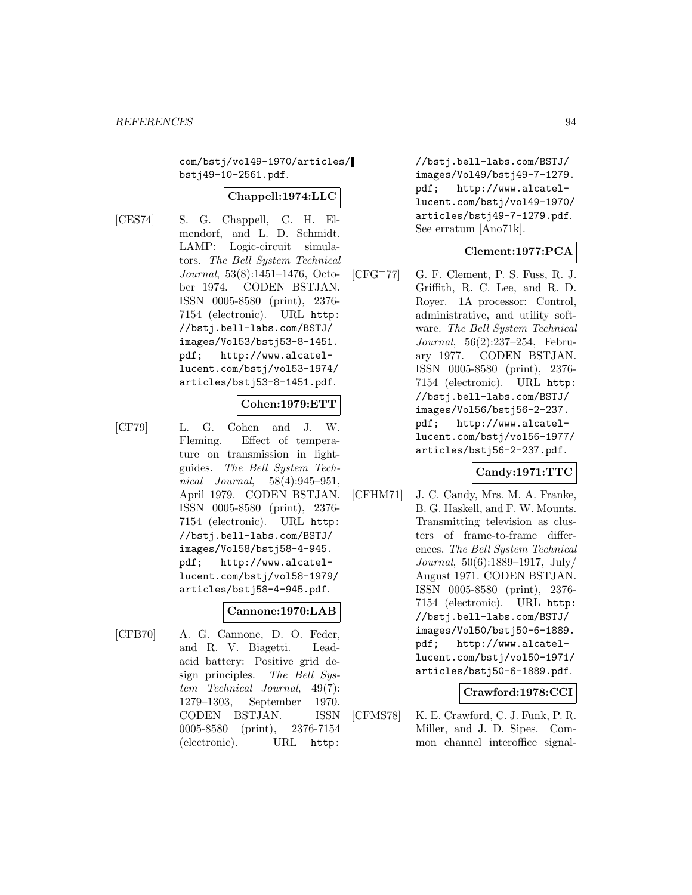com/bstj/vol49-1970/articles/ bstj49-10-2561.pdf.

### **Chappell:1974:LLC**

[CES74] S. G. Chappell, C. H. Elmendorf, and L. D. Schmidt. LAMP: Logic-circuit simulators. The Bell System Technical Journal, 53(8):1451–1476, October 1974. CODEN BSTJAN. ISSN 0005-8580 (print), 2376- 7154 (electronic). URL http: //bstj.bell-labs.com/BSTJ/ images/Vol53/bstj53-8-1451. pdf; http://www.alcatellucent.com/bstj/vol53-1974/ articles/bstj53-8-1451.pdf.

### **Cohen:1979:ETT**

- 
- [CF79] L. G. Cohen and J. W. Fleming. Effect of temperature on transmission in lightguides. The Bell System Technical Journal, 58(4):945–951, April 1979. CODEN BSTJAN. ISSN 0005-8580 (print), 2376- 7154 (electronic). URL http: //bstj.bell-labs.com/BSTJ/ images/Vol58/bstj58-4-945. pdf; http://www.alcatellucent.com/bstj/vol58-1979/ articles/bstj58-4-945.pdf.

#### **Cannone:1970:LAB**

[CFB70] A. G. Cannone, D. O. Feder, and R. V. Biagetti. Leadacid battery: Positive grid design principles. The Bell System Technical Journal, 49(7): 1279–1303, September 1970. CODEN BSTJAN. ISSN 0005-8580 (print), 2376-7154 (electronic). URL http:

//bstj.bell-labs.com/BSTJ/ images/Vol49/bstj49-7-1279. pdf; http://www.alcatellucent.com/bstj/vol49-1970/ articles/bstj49-7-1279.pdf. See erratum [Ano71k].

# **Clement:1977:PCA**

 $[CFG+77]$  G. F. Clement, P. S. Fuss, R. J. Griffith, R. C. Lee, and R. D. Royer. 1A processor: Control, administrative, and utility software. The Bell System Technical Journal, 56(2):237–254, February 1977. CODEN BSTJAN. ISSN 0005-8580 (print), 2376- 7154 (electronic). URL http: //bstj.bell-labs.com/BSTJ/ images/Vol56/bstj56-2-237. pdf; http://www.alcatellucent.com/bstj/vol56-1977/ articles/bstj56-2-237.pdf.

# **Candy:1971:TTC**

[CFHM71] J. C. Candy, Mrs. M. A. Franke, B. G. Haskell, and F. W. Mounts. Transmitting television as clusters of frame-to-frame differences. The Bell System Technical Journal, 50(6):1889–1917, July/ August 1971. CODEN BSTJAN. ISSN 0005-8580 (print), 2376- 7154 (electronic). URL http: //bstj.bell-labs.com/BSTJ/ images/Vol50/bstj50-6-1889. pdf; http://www.alcatellucent.com/bstj/vol50-1971/ articles/bstj50-6-1889.pdf.

# **Crawford:1978:CCI**

[CFMS78] K. E. Crawford, C. J. Funk, P. R. Miller, and J. D. Sipes. Common channel interoffice signal-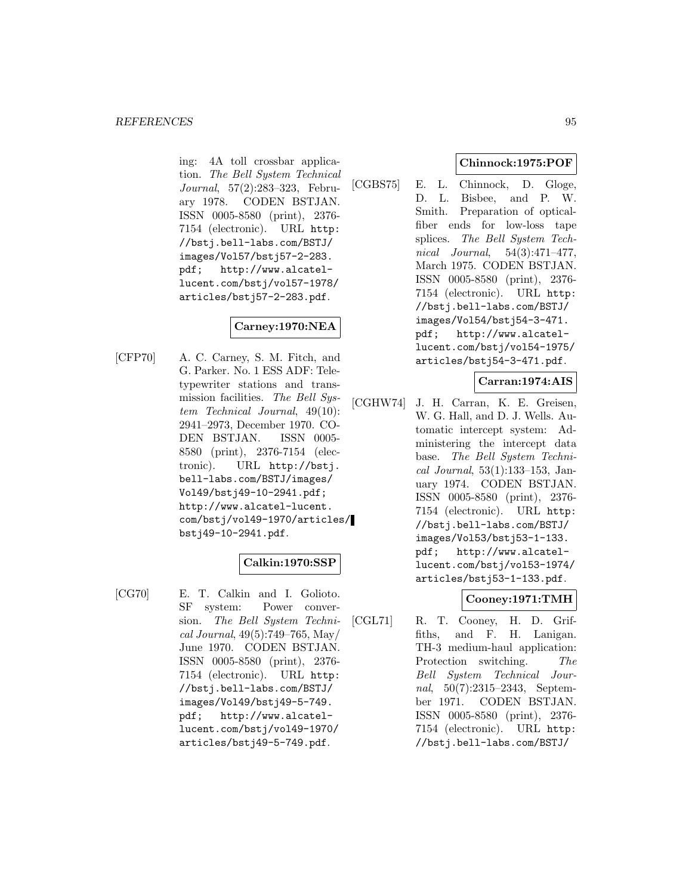ing: 4A toll crossbar application. The Bell System Technical Journal, 57(2):283–323, February 1978. CODEN BSTJAN. ISSN 0005-8580 (print), 2376- 7154 (electronic). URL http: //bstj.bell-labs.com/BSTJ/ images/Vol57/bstj57-2-283. pdf; http://www.alcatellucent.com/bstj/vol57-1978/ articles/bstj57-2-283.pdf.

## **Carney:1970:NEA**

[CFP70] A. C. Carney, S. M. Fitch, and G. Parker. No. 1 ESS ADF: Teletypewriter stations and transmission facilities. The Bell System Technical Journal, 49(10): 2941–2973, December 1970. CO-DEN BSTJAN. ISSN 0005- 8580 (print), 2376-7154 (electronic). URL http://bstj. bell-labs.com/BSTJ/images/ Vol49/bstj49-10-2941.pdf; http://www.alcatel-lucent. com/bstj/vol49-1970/articles/ bstj49-10-2941.pdf.

# **Calkin:1970:SSP**

[CG70] E. T. Calkin and I. Golioto. SF system: Power conversion. The Bell System Technical Journal, 49(5):749–765, May/ June 1970. CODEN BSTJAN. ISSN 0005-8580 (print), 2376- 7154 (electronic). URL http: //bstj.bell-labs.com/BSTJ/ images/Vol49/bstj49-5-749. pdf; http://www.alcatellucent.com/bstj/vol49-1970/ articles/bstj49-5-749.pdf.

## **Chinnock:1975:POF**

[CGBS75] E. L. Chinnock, D. Gloge, D. L. Bisbee, and P. W. Smith. Preparation of opticalfiber ends for low-loss tape splices. The Bell System Technical Journal, 54(3):471–477, March 1975. CODEN BSTJAN. ISSN 0005-8580 (print), 2376- 7154 (electronic). URL http: //bstj.bell-labs.com/BSTJ/ images/Vol54/bstj54-3-471. pdf; http://www.alcatellucent.com/bstj/vol54-1975/ articles/bstj54-3-471.pdf.

### **Carran:1974:AIS**

[CGHW74] J. H. Carran, K. E. Greisen, W. G. Hall, and D. J. Wells. Automatic intercept system: Administering the intercept data base. The Bell System Technical Journal, 53(1):133–153, January 1974. CODEN BSTJAN. ISSN 0005-8580 (print), 2376- 7154 (electronic). URL http: //bstj.bell-labs.com/BSTJ/ images/Vol53/bstj53-1-133. pdf; http://www.alcatellucent.com/bstj/vol53-1974/ articles/bstj53-1-133.pdf.

## **Cooney:1971:TMH**

[CGL71] R. T. Cooney, H. D. Griffiths, and F. H. Lanigan. TH-3 medium-haul application: Protection switching. The Bell System Technical Journal, 50(7):2315–2343, September 1971. CODEN BSTJAN. ISSN 0005-8580 (print), 2376- 7154 (electronic). URL http: //bstj.bell-labs.com/BSTJ/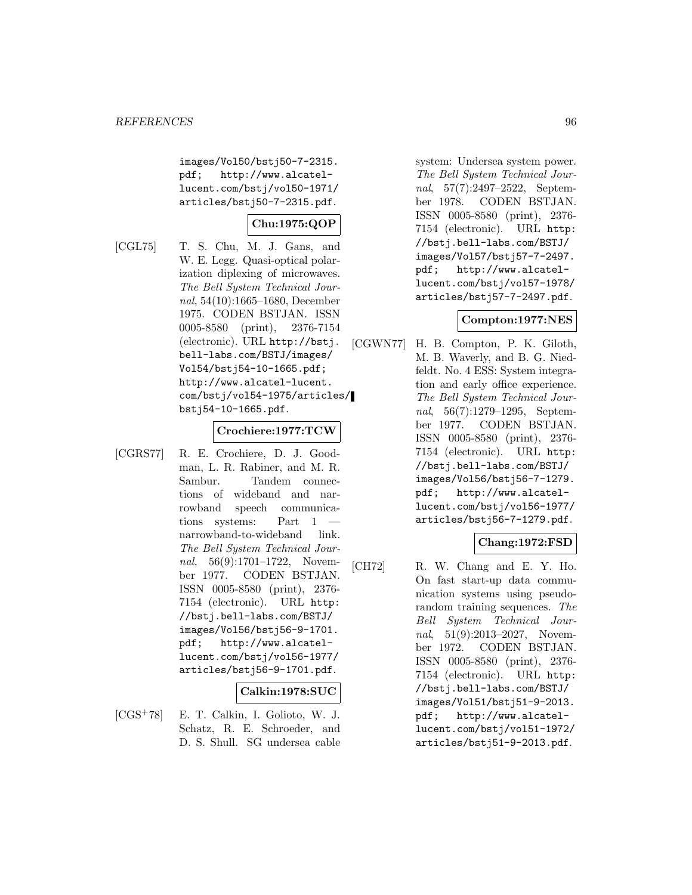images/Vol50/bstj50-7-2315. pdf; http://www.alcatellucent.com/bstj/vol50-1971/ articles/bstj50-7-2315.pdf.

# **Chu:1975:QOP**

[CGL75] T. S. Chu, M. J. Gans, and W. E. Legg. Quasi-optical polarization diplexing of microwaves. The Bell System Technical Journal, 54(10):1665–1680, December 1975. CODEN BSTJAN. ISSN 0005-8580 (print), 2376-7154 (electronic). URL http://bstj. bell-labs.com/BSTJ/images/ Vol54/bstj54-10-1665.pdf; http://www.alcatel-lucent. com/bstj/vol54-1975/articles/ bstj54-10-1665.pdf.

#### **Crochiere:1977:TCW**

[CGRS77] R. E. Crochiere, D. J. Goodman, L. R. Rabiner, and M. R. Sambur. Tandem connections of wideband and narrowband speech communications systems: Part 1 narrowband-to-wideband link. The Bell System Technical Journal, 56(9):1701–1722, November 1977. CODEN BSTJAN. ISSN 0005-8580 (print), 2376- 7154 (electronic). URL http: //bstj.bell-labs.com/BSTJ/ images/Vol56/bstj56-9-1701. pdf; http://www.alcatellucent.com/bstj/vol56-1977/ articles/bstj56-9-1701.pdf.

### **Calkin:1978:SUC**

[CGS<sup>+</sup>78] E. T. Calkin, I. Golioto, W. J. Schatz, R. E. Schroeder, and D. S. Shull. SG undersea cable system: Undersea system power. The Bell System Technical Journal, 57(7):2497–2522, September 1978. CODEN BSTJAN. ISSN 0005-8580 (print), 2376- 7154 (electronic). URL http: //bstj.bell-labs.com/BSTJ/ images/Vol57/bstj57-7-2497. pdf; http://www.alcatellucent.com/bstj/vol57-1978/ articles/bstj57-7-2497.pdf.

### **Compton:1977:NES**

[CGWN77] H. B. Compton, P. K. Giloth, M. B. Waverly, and B. G. Niedfeldt. No. 4 ESS: System integration and early office experience. The Bell System Technical Journal, 56(7):1279–1295, September 1977. CODEN BSTJAN. ISSN 0005-8580 (print), 2376- 7154 (electronic). URL http: //bstj.bell-labs.com/BSTJ/ images/Vol56/bstj56-7-1279. pdf; http://www.alcatellucent.com/bstj/vol56-1977/ articles/bstj56-7-1279.pdf.

## **Chang:1972:FSD**

[CH72] R. W. Chang and E. Y. Ho. On fast start-up data communication systems using pseudorandom training sequences. The Bell System Technical Journal, 51(9):2013–2027, November 1972. CODEN BSTJAN. ISSN 0005-8580 (print), 2376- 7154 (electronic). URL http: //bstj.bell-labs.com/BSTJ/ images/Vol51/bstj51-9-2013. pdf; http://www.alcatellucent.com/bstj/vol51-1972/ articles/bstj51-9-2013.pdf.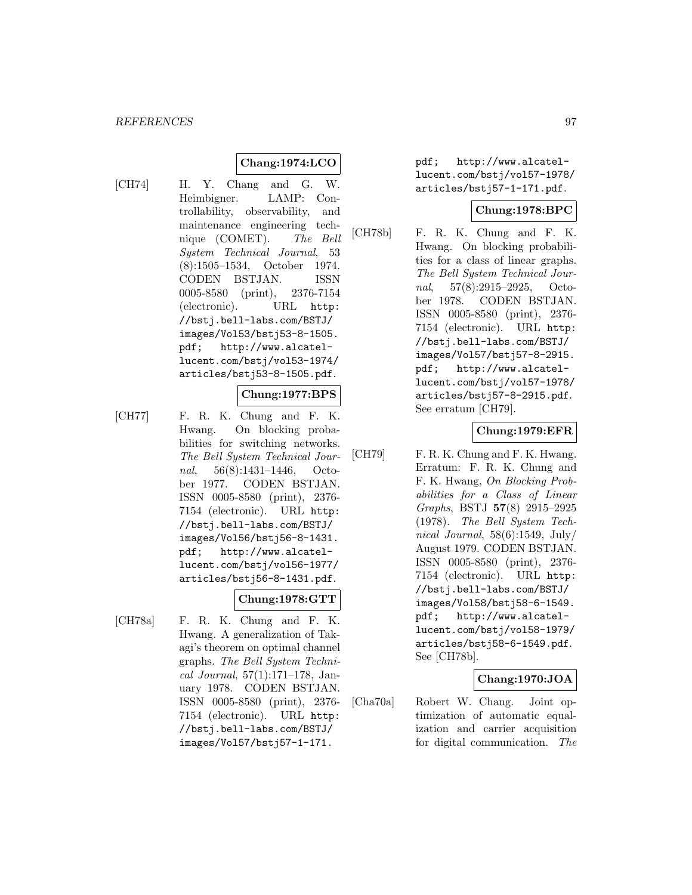# **Chang:1974:LCO**

[CH74] H. Y. Chang and G. W. Heimbigner. LAMP: Controllability, observability, and maintenance engineering technique (COMET). The Bell System Technical Journal, 53 (8):1505–1534, October 1974. CODEN BSTJAN. ISSN 0005-8580 (print), 2376-7154 (electronic). URL http: //bstj.bell-labs.com/BSTJ/ images/Vol53/bstj53-8-1505. pdf; http://www.alcatellucent.com/bstj/vol53-1974/ articles/bstj53-8-1505.pdf.

### **Chung:1977:BPS**

[CH77] F. R. K. Chung and F. K. Hwang. On blocking probabilities for switching networks. The Bell System Technical Journal, 56(8):1431–1446, October 1977. CODEN BSTJAN. ISSN 0005-8580 (print), 2376- 7154 (electronic). URL http: //bstj.bell-labs.com/BSTJ/ images/Vol56/bstj56-8-1431. pdf; http://www.alcatellucent.com/bstj/vol56-1977/ articles/bstj56-8-1431.pdf.

## **Chung:1978:GTT**

[CH78a] F. R. K. Chung and F. K. Hwang. A generalization of Takagi's theorem on optimal channel graphs. The Bell System Technical Journal, 57(1):171–178, January 1978. CODEN BSTJAN. ISSN 0005-8580 (print), 2376- 7154 (electronic). URL http: //bstj.bell-labs.com/BSTJ/ images/Vol57/bstj57-1-171.

pdf; http://www.alcatellucent.com/bstj/vol57-1978/ articles/bstj57-1-171.pdf.

### **Chung:1978:BPC**

[CH78b] F. R. K. Chung and F. K. Hwang. On blocking probabilities for a class of linear graphs. The Bell System Technical Journal, 57(8):2915–2925, October 1978. CODEN BSTJAN. ISSN 0005-8580 (print), 2376- 7154 (electronic). URL http: //bstj.bell-labs.com/BSTJ/ images/Vol57/bstj57-8-2915. pdf; http://www.alcatellucent.com/bstj/vol57-1978/ articles/bstj57-8-2915.pdf. See erratum [CH79].

### **Chung:1979:EFR**

[CH79] F. R. K. Chung and F. K. Hwang. Erratum: F. R. K. Chung and F. K. Hwang, On Blocking Probabilities for a Class of Linear Graphs, BSTJ **57**(8) 2915–2925 (1978). The Bell System Technical Journal,  $58(6)$ :1549, July/ August 1979. CODEN BSTJAN. ISSN 0005-8580 (print), 2376- 7154 (electronic). URL http: //bstj.bell-labs.com/BSTJ/ images/Vol58/bstj58-6-1549. pdf; http://www.alcatellucent.com/bstj/vol58-1979/ articles/bstj58-6-1549.pdf. See [CH78b].

# **Chang:1970:JOA**

[Cha70a] Robert W. Chang. Joint optimization of automatic equalization and carrier acquisition for digital communication. The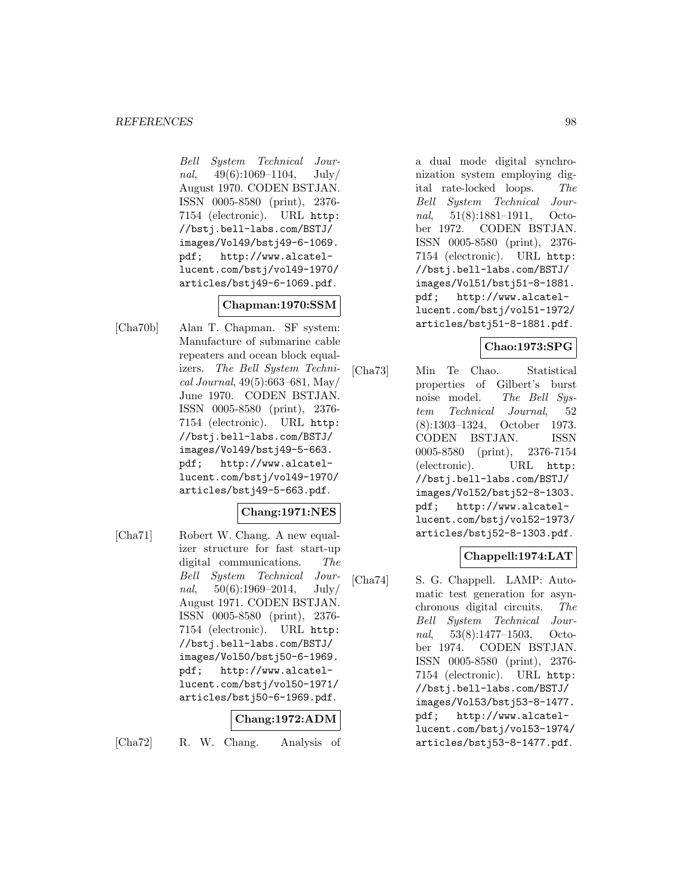Bell System Technical Journal,  $49(6):1069-1104$ , July/ August 1970. CODEN BSTJAN. ISSN 0005-8580 (print), 2376- 7154 (electronic). URL http: //bstj.bell-labs.com/BSTJ/ images/Vol49/bstj49-6-1069. pdf; http://www.alcatellucent.com/bstj/vol49-1970/ articles/bstj49-6-1069.pdf.

# **Chapman:1970:SSM**

[Cha70b] Alan T. Chapman. SF system: Manufacture of submarine cable repeaters and ocean block equalizers. The Bell System Technical Journal, 49(5):663–681, May/ June 1970. CODEN BSTJAN. ISSN 0005-8580 (print), 2376- 7154 (electronic). URL http: //bstj.bell-labs.com/BSTJ/ images/Vol49/bstj49-5-663. pdf; http://www.alcatellucent.com/bstj/vol49-1970/ articles/bstj49-5-663.pdf.

## **Chang:1971:NES**

[Cha71] Robert W. Chang. A new equalizer structure for fast start-up digital communications. The Bell System Technical Jour $nal, 50(6):1969-2014, July/$ August 1971. CODEN BSTJAN. ISSN 0005-8580 (print), 2376- 7154 (electronic). URL http: //bstj.bell-labs.com/BSTJ/ images/Vol50/bstj50-6-1969. pdf; http://www.alcatellucent.com/bstj/vol50-1971/ articles/bstj50-6-1969.pdf.

### **Chang:1972:ADM**

[Cha72] R. W. Chang. Analysis of

a dual mode digital synchronization system employing digital rate-locked loops. The Bell System Technical Journal, 51(8):1881–1911, October 1972. CODEN BSTJAN. ISSN 0005-8580 (print), 2376- 7154 (electronic). URL http: //bstj.bell-labs.com/BSTJ/ images/Vol51/bstj51-8-1881. pdf; http://www.alcatellucent.com/bstj/vol51-1972/ articles/bstj51-8-1881.pdf.

### **Chao:1973:SPG**

[Cha73] Min Te Chao. Statistical properties of Gilbert's burst noise model. The Bell System Technical Journal, 52 (8):1303–1324, October 1973. CODEN BSTJAN. ISSN 0005-8580 (print), 2376-7154 (electronic). URL http: //bstj.bell-labs.com/BSTJ/ images/Vol52/bstj52-8-1303. pdf; http://www.alcatellucent.com/bstj/vol52-1973/ articles/bstj52-8-1303.pdf.

## **Chappell:1974:LAT**

[Cha74] S. G. Chappell. LAMP: Automatic test generation for asynchronous digital circuits. The Bell System Technical Journal, 53(8):1477–1503, October 1974. CODEN BSTJAN. ISSN 0005-8580 (print), 2376- 7154 (electronic). URL http: //bstj.bell-labs.com/BSTJ/ images/Vol53/bstj53-8-1477. pdf; http://www.alcatellucent.com/bstj/vol53-1974/ articles/bstj53-8-1477.pdf.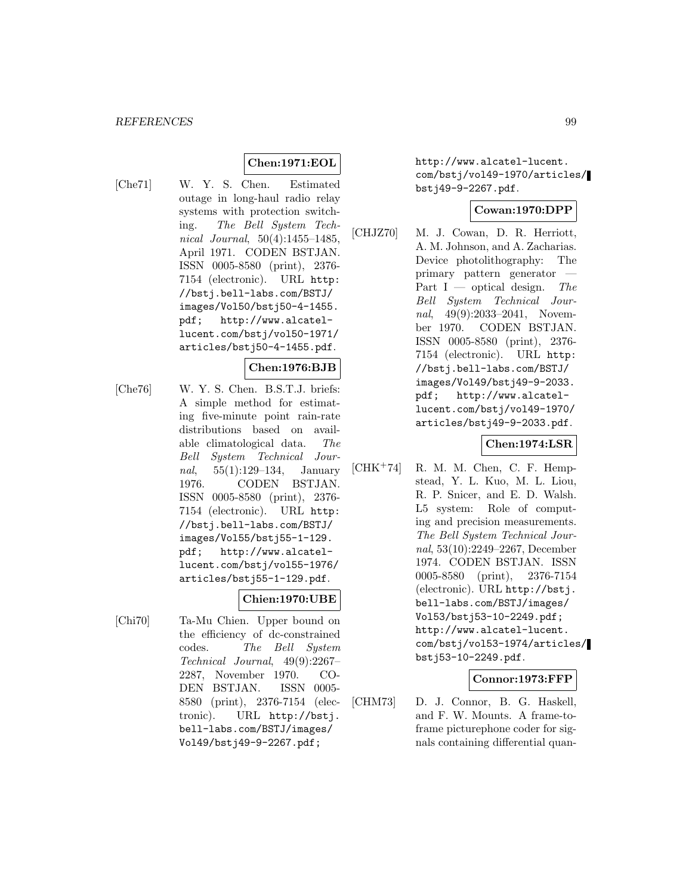### **Chen:1971:EOL**

[Che71] W. Y. S. Chen. Estimated outage in long-haul radio relay systems with protection switching. The Bell System Technical Journal, 50(4):1455–1485, April 1971. CODEN BSTJAN. ISSN 0005-8580 (print), 2376- 7154 (electronic). URL http: //bstj.bell-labs.com/BSTJ/ images/Vol50/bstj50-4-1455. pdf; http://www.alcatellucent.com/bstj/vol50-1971/ articles/bstj50-4-1455.pdf.

#### **Chen:1976:BJB**

[Che76] W. Y. S. Chen. B.S.T.J. briefs: A simple method for estimating five-minute point rain-rate distributions based on available climatological data. The Bell System Technical Journal, 55(1):129–134, January 1976. CODEN BSTJAN. ISSN 0005-8580 (print), 2376- 7154 (electronic). URL http: //bstj.bell-labs.com/BSTJ/ images/Vol55/bstj55-1-129. pdf; http://www.alcatellucent.com/bstj/vol55-1976/ articles/bstj55-1-129.pdf.

### **Chien:1970:UBE**

[Chi70] Ta-Mu Chien. Upper bound on the efficiency of dc-constrained codes. The Bell System Technical Journal, 49(9):2267– 2287, November 1970. CO-DEN BSTJAN. ISSN 0005- 8580 (print), 2376-7154 (electronic). URL http://bstj. bell-labs.com/BSTJ/images/ Vol49/bstj49-9-2267.pdf;

http://www.alcatel-lucent. com/bstj/vol49-1970/articles/ bstj49-9-2267.pdf.

### **Cowan:1970:DPP**

[CHJZ70] M. J. Cowan, D. R. Herriott, A. M. Johnson, and A. Zacharias. Device photolithography: The primary pattern generator — Part I — optical design. The Bell System Technical Journal, 49(9):2033-2041, November 1970. CODEN BSTJAN. ISSN 0005-8580 (print), 2376- 7154 (electronic). URL http: //bstj.bell-labs.com/BSTJ/ images/Vol49/bstj49-9-2033. pdf; http://www.alcatellucent.com/bstj/vol49-1970/ articles/bstj49-9-2033.pdf.

#### **Chen:1974:LSR**

[CHK<sup>+</sup>74] R. M. M. Chen, C. F. Hempstead, Y. L. Kuo, M. L. Liou, R. P. Snicer, and E. D. Walsh. L5 system: Role of computing and precision measurements. The Bell System Technical Journal, 53(10):2249–2267, December 1974. CODEN BSTJAN. ISSN 0005-8580 (print), 2376-7154 (electronic). URL http://bstj. bell-labs.com/BSTJ/images/ Vol53/bstj53-10-2249.pdf; http://www.alcatel-lucent. com/bstj/vol53-1974/articles/ bstj53-10-2249.pdf.

## **Connor:1973:FFP**

[CHM73] D. J. Connor, B. G. Haskell, and F. W. Mounts. A frame-toframe picturephone coder for signals containing differential quan-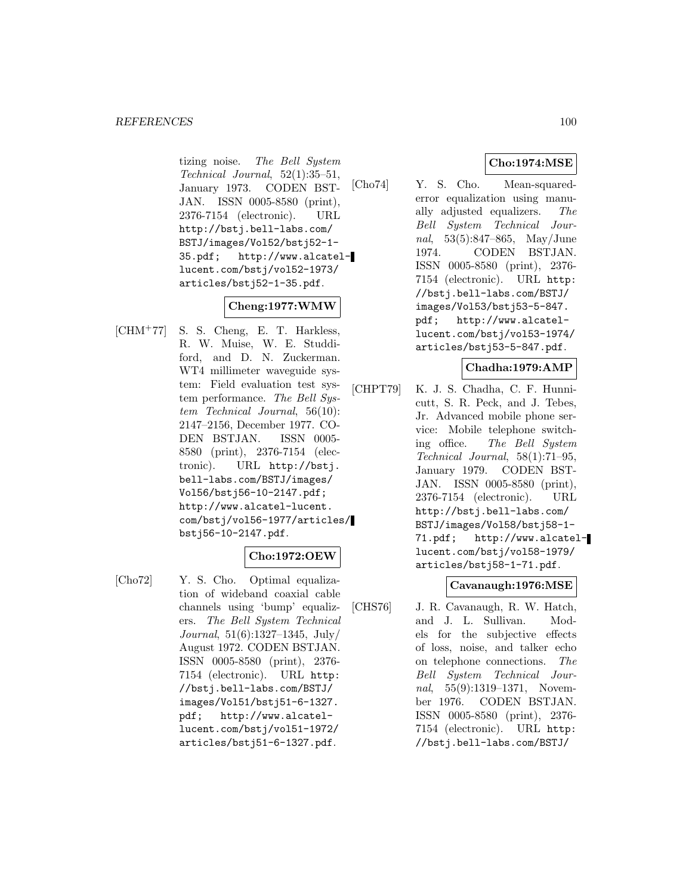tizing noise. The Bell System Technical Journal, 52(1):35–51, January 1973. CODEN BST-JAN. ISSN 0005-8580 (print), 2376-7154 (electronic). URL http://bstj.bell-labs.com/ BSTJ/images/Vol52/bstj52-1- 35.pdf; http://www.alcatellucent.com/bstj/vol52-1973/ articles/bstj52-1-35.pdf.

## **Cheng:1977:WMW**

[CHM<sup>+</sup>77] S. S. Cheng, E. T. Harkless, R. W. Muise, W. E. Studdiford, and D. N. Zuckerman. WT4 millimeter waveguide system: Field evaluation test system performance. The Bell System Technical Journal, 56(10): 2147–2156, December 1977. CO-DEN BSTJAN. ISSN 0005- 8580 (print), 2376-7154 (electronic). URL http://bstj. bell-labs.com/BSTJ/images/ Vol56/bstj56-10-2147.pdf; http://www.alcatel-lucent. com/bstj/vol56-1977/articles/ bstj56-10-2147.pdf.

## **Cho:1972:OEW**

[Cho72] Y. S. Cho. Optimal equalization of wideband coaxial cable channels using 'bump' equalizers. The Bell System Technical Journal, 51(6):1327–1345, July/ August 1972. CODEN BSTJAN. ISSN 0005-8580 (print), 2376- 7154 (electronic). URL http: //bstj.bell-labs.com/BSTJ/ images/Vol51/bstj51-6-1327. pdf; http://www.alcatellucent.com/bstj/vol51-1972/ articles/bstj51-6-1327.pdf.

# **Cho:1974:MSE**

[Cho74] Y. S. Cho. Mean-squarederror equalization using manually adjusted equalizers. The Bell System Technical Journal, 53(5):847–865, May/June 1974. CODEN BSTJAN. ISSN 0005-8580 (print), 2376- 7154 (electronic). URL http: //bstj.bell-labs.com/BSTJ/ images/Vol53/bstj53-5-847. pdf; http://www.alcatellucent.com/bstj/vol53-1974/ articles/bstj53-5-847.pdf.

### **Chadha:1979:AMP**

[CHPT79] K. J. S. Chadha, C. F. Hunnicutt, S. R. Peck, and J. Tebes, Jr. Advanced mobile phone service: Mobile telephone switching office. The Bell System Technical Journal, 58(1):71–95, January 1979. CODEN BST-JAN. ISSN 0005-8580 (print), 2376-7154 (electronic). URL http://bstj.bell-labs.com/ BSTJ/images/Vol58/bstj58-1- 71.pdf; http://www.alcatellucent.com/bstj/vol58-1979/ articles/bstj58-1-71.pdf.

### **Cavanaugh:1976:MSE**

[CHS76] J. R. Cavanaugh, R. W. Hatch, and J. L. Sullivan. Models for the subjective effects of loss, noise, and talker echo on telephone connections. The Bell System Technical Journal, 55(9):1319–1371, November 1976. CODEN BSTJAN. ISSN 0005-8580 (print), 2376- 7154 (electronic). URL http: //bstj.bell-labs.com/BSTJ/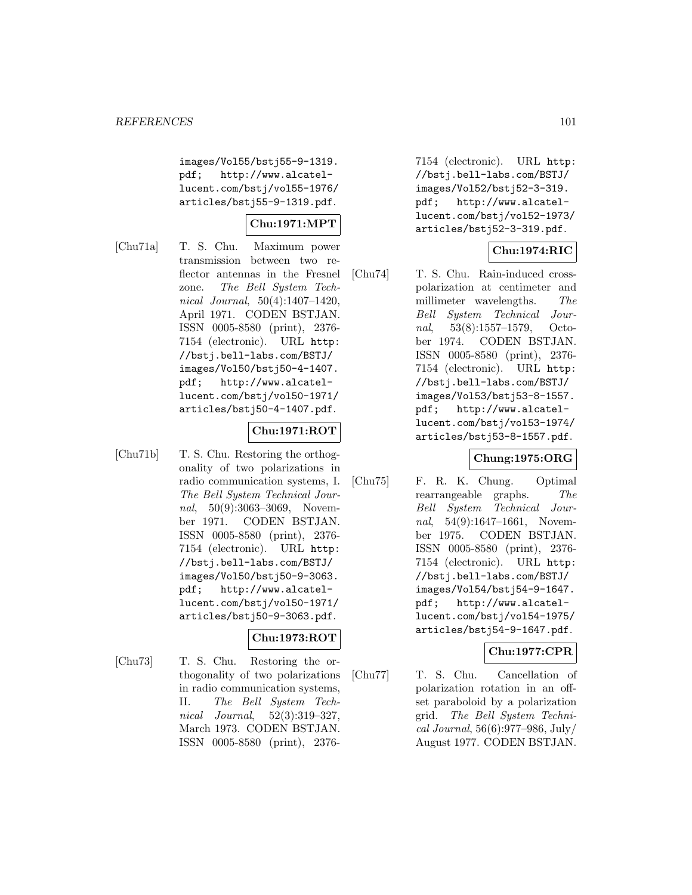images/Vol55/bstj55-9-1319. pdf; http://www.alcatellucent.com/bstj/vol55-1976/ articles/bstj55-9-1319.pdf.

# **Chu:1971:MPT**

[Chu71a] T. S. Chu. Maximum power transmission between two reflector antennas in the Fresnel zone. The Bell System Technical Journal, 50(4):1407–1420, April 1971. CODEN BSTJAN. ISSN 0005-8580 (print), 2376- 7154 (electronic). URL http: //bstj.bell-labs.com/BSTJ/ images/Vol50/bstj50-4-1407. pdf; http://www.alcatellucent.com/bstj/vol50-1971/ articles/bstj50-4-1407.pdf.

## **Chu:1971:ROT**

[Chu71b] T. S. Chu. Restoring the orthogonality of two polarizations in radio communication systems, I. The Bell System Technical Journal, 50(9):3063-3069, November 1971. CODEN BSTJAN. ISSN 0005-8580 (print), 2376- 7154 (electronic). URL http: //bstj.bell-labs.com/BSTJ/ images/Vol50/bstj50-9-3063. pdf; http://www.alcatellucent.com/bstj/vol50-1971/ articles/bstj50-9-3063.pdf.

## **Chu:1973:ROT**

[Chu73] T. S. Chu. Restoring the orthogonality of two polarizations in radio communication systems, II. The Bell System Technical Journal, 52(3):319–327, March 1973. CODEN BSTJAN. ISSN 0005-8580 (print), 23767154 (electronic). URL http: //bstj.bell-labs.com/BSTJ/ images/Vol52/bstj52-3-319. pdf; http://www.alcatellucent.com/bstj/vol52-1973/ articles/bstj52-3-319.pdf.

## **Chu:1974:RIC**

[Chu74] T. S. Chu. Rain-induced crosspolarization at centimeter and millimeter wavelengths. The Bell System Technical Journal, 53(8):1557–1579, October 1974. CODEN BSTJAN. ISSN 0005-8580 (print), 2376- 7154 (electronic). URL http: //bstj.bell-labs.com/BSTJ/ images/Vol53/bstj53-8-1557. pdf; http://www.alcatellucent.com/bstj/vol53-1974/ articles/bstj53-8-1557.pdf.

## **Chung:1975:ORG**

[Chu75] F. R. K. Chung. Optimal rearrangeable graphs. The Bell System Technical Journal, 54(9):1647-1661, November 1975. CODEN BSTJAN. ISSN 0005-8580 (print), 2376- 7154 (electronic). URL http: //bstj.bell-labs.com/BSTJ/ images/Vol54/bstj54-9-1647. pdf; http://www.alcatellucent.com/bstj/vol54-1975/ articles/bstj54-9-1647.pdf.

## **Chu:1977:CPR**

[Chu77] T. S. Chu. Cancellation of polarization rotation in an offset paraboloid by a polarization grid. The Bell System Technical Journal, 56(6):977–986, July/ August 1977. CODEN BSTJAN.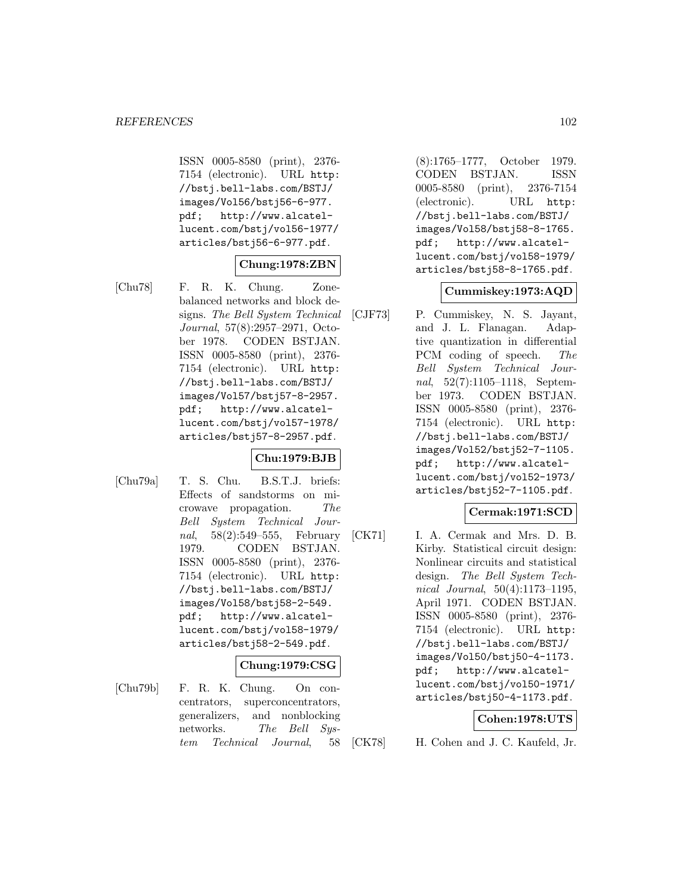ISSN 0005-8580 (print), 2376- 7154 (electronic). URL http: //bstj.bell-labs.com/BSTJ/ images/Vol56/bstj56-6-977. pdf; http://www.alcatellucent.com/bstj/vol56-1977/ articles/bstj56-6-977.pdf.

## **Chung:1978:ZBN**

[Chu78] F. R. K. Chung. Zonebalanced networks and block designs. The Bell System Technical Journal, 57(8):2957–2971, October 1978. CODEN BSTJAN. ISSN 0005-8580 (print), 2376- 7154 (electronic). URL http: //bstj.bell-labs.com/BSTJ/ images/Vol57/bstj57-8-2957. pdf; http://www.alcatellucent.com/bstj/vol57-1978/ articles/bstj57-8-2957.pdf.

## **Chu:1979:BJB**

[Chu79a] T. S. Chu. B.S.T.J. briefs: Effects of sandstorms on microwave propagation. The Bell System Technical Journal, 58(2):549–555, February 1979. CODEN BSTJAN. ISSN 0005-8580 (print), 2376- 7154 (electronic). URL http: //bstj.bell-labs.com/BSTJ/ images/Vol58/bstj58-2-549. pdf; http://www.alcatellucent.com/bstj/vol58-1979/ articles/bstj58-2-549.pdf.

### **Chung:1979:CSG**

[Chu79b] F. R. K. Chung. On concentrators, superconcentrators, generalizers, and nonblocking networks. The Bell System Technical Journal, 58

(8):1765–1777, October 1979. CODEN BSTJAN. ISSN 0005-8580 (print), 2376-7154 (electronic). URL http: //bstj.bell-labs.com/BSTJ/ images/Vol58/bstj58-8-1765. pdf; http://www.alcatellucent.com/bstj/vol58-1979/ articles/bstj58-8-1765.pdf.

### **Cummiskey:1973:AQD**

[CJF73] P. Cummiskey, N. S. Jayant, and J. L. Flanagan. Adaptive quantization in differential PCM coding of speech. The Bell System Technical Journal, 52(7):1105–1118, September 1973. CODEN BSTJAN. ISSN 0005-8580 (print), 2376- 7154 (electronic). URL http: //bstj.bell-labs.com/BSTJ/ images/Vol52/bstj52-7-1105. pdf; http://www.alcatellucent.com/bstj/vol52-1973/ articles/bstj52-7-1105.pdf.

## **Cermak:1971:SCD**

[CK71] I. A. Cermak and Mrs. D. B. Kirby. Statistical circuit design: Nonlinear circuits and statistical design. The Bell System Technical Journal, 50(4):1173–1195, April 1971. CODEN BSTJAN. ISSN 0005-8580 (print), 2376- 7154 (electronic). URL http: //bstj.bell-labs.com/BSTJ/ images/Vol50/bstj50-4-1173. pdf; http://www.alcatellucent.com/bstj/vol50-1971/ articles/bstj50-4-1173.pdf.

### **Cohen:1978:UTS**

[CK78] H. Cohen and J. C. Kaufeld, Jr.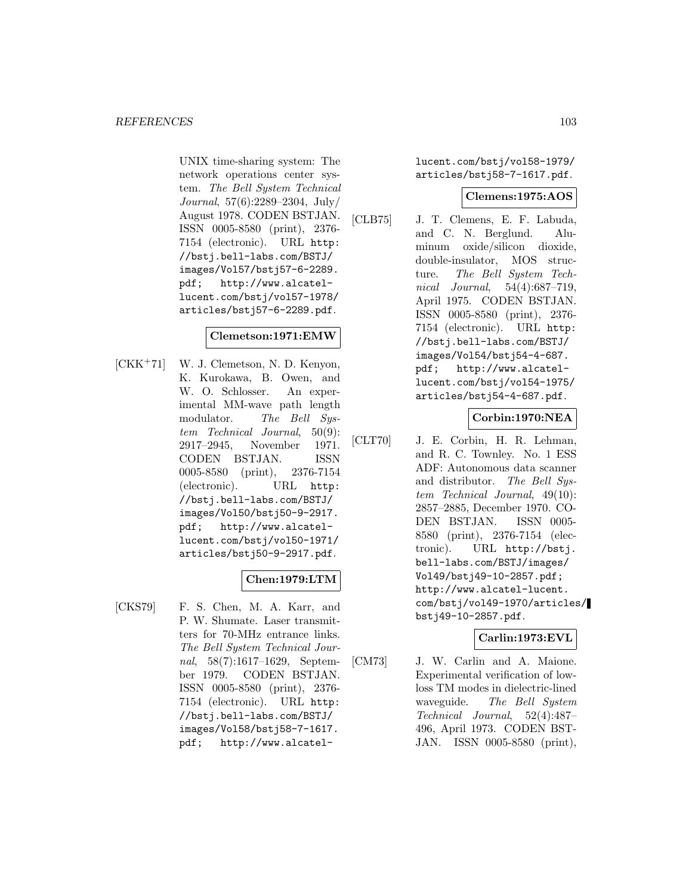UNIX time-sharing system: The network operations center system. The Bell System Technical Journal, 57(6):2289–2304, July/ August 1978. CODEN BSTJAN. ISSN 0005-8580 (print), 2376- 7154 (electronic). URL http: //bstj.bell-labs.com/BSTJ/ images/Vol57/bstj57-6-2289. pdf; http://www.alcatellucent.com/bstj/vol57-1978/ articles/bstj57-6-2289.pdf.

### **Clemetson:1971:EMW**

[CKK<sup>+</sup>71] W. J. Clemetson, N. D. Kenyon, K. Kurokawa, B. Owen, and W. O. Schlosser. An experimental MM-wave path length modulator. The Bell System Technical Journal, 50(9): 2917–2945, November 1971. CODEN BSTJAN. ISSN 0005-8580 (print), 2376-7154 (electronic). URL http: //bstj.bell-labs.com/BSTJ/ images/Vol50/bstj50-9-2917. pdf; http://www.alcatellucent.com/bstj/vol50-1971/ articles/bstj50-9-2917.pdf.

## **Chen:1979:LTM**

[CKS79] F. S. Chen, M. A. Karr, and P. W. Shumate. Laser transmitters for 70-MHz entrance links. The Bell System Technical Journal, 58(7):1617–1629, September 1979. CODEN BSTJAN. ISSN 0005-8580 (print), 2376- 7154 (electronic). URL http: //bstj.bell-labs.com/BSTJ/ images/Vol58/bstj58-7-1617. pdf; http://www.alcatellucent.com/bstj/vol58-1979/ articles/bstj58-7-1617.pdf.

### **Clemens:1975:AOS**

[CLB75] J. T. Clemens, E. F. Labuda, and C. N. Berglund. Aluminum oxide/silicon dioxide, double-insulator, MOS structure. The Bell System Technical Journal, 54(4):687–719, April 1975. CODEN BSTJAN. ISSN 0005-8580 (print), 2376- 7154 (electronic). URL http: //bstj.bell-labs.com/BSTJ/ images/Vol54/bstj54-4-687. pdf; http://www.alcatellucent.com/bstj/vol54-1975/ articles/bstj54-4-687.pdf.

**Corbin:1970:NEA**

[CLT70] J. E. Corbin, H. R. Lehman, and R. C. Townley. No. 1 ESS ADF: Autonomous data scanner and distributor. The Bell System Technical Journal, 49(10): 2857–2885, December 1970. CO-DEN BSTJAN. ISSN 0005- 8580 (print), 2376-7154 (electronic). URL http://bstj. bell-labs.com/BSTJ/images/ Vol49/bstj49-10-2857.pdf; http://www.alcatel-lucent. com/bstj/vol49-1970/articles/ bstj49-10-2857.pdf.

### **Carlin:1973:EVL**

[CM73] J. W. Carlin and A. Maione. Experimental verification of lowloss TM modes in dielectric-lined waveguide. The Bell System Technical Journal, 52(4):487– 496, April 1973. CODEN BST-JAN. ISSN 0005-8580 (print),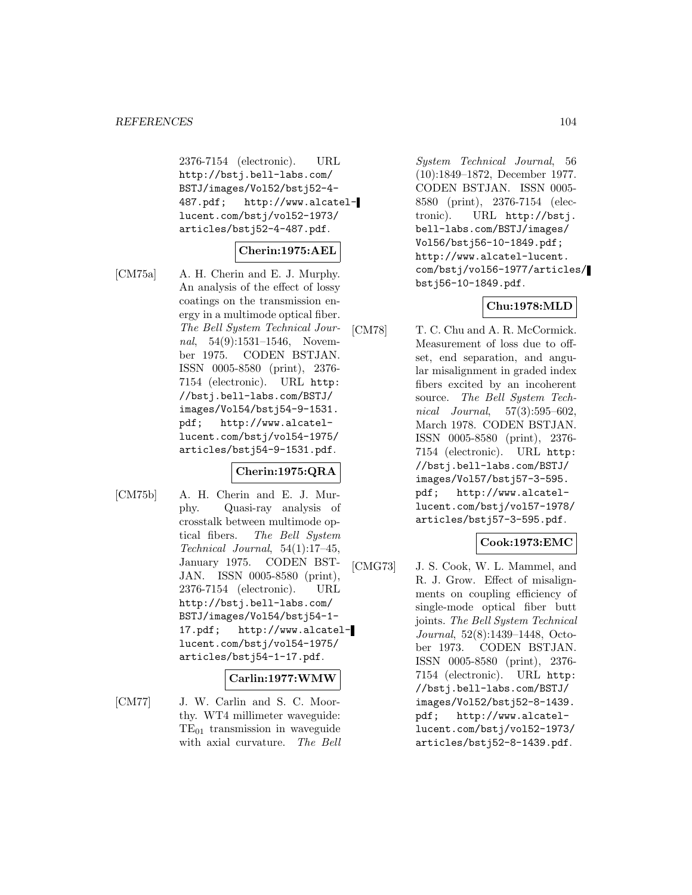2376-7154 (electronic). URL http://bstj.bell-labs.com/ BSTJ/images/Vol52/bstj52-4- 487.pdf; http://www.alcatellucent.com/bstj/vol52-1973/ articles/bstj52-4-487.pdf.

### **Cherin:1975:AEL**

[CM75a] A. H. Cherin and E. J. Murphy. An analysis of the effect of lossy coatings on the transmission energy in a multimode optical fiber. The Bell System Technical Journal, 54(9):1531–1546, November 1975. CODEN BSTJAN. ISSN 0005-8580 (print), 2376- 7154 (electronic). URL http: //bstj.bell-labs.com/BSTJ/ images/Vol54/bstj54-9-1531. pdf; http://www.alcatellucent.com/bstj/vol54-1975/ articles/bstj54-9-1531.pdf.

### **Cherin:1975:QRA**

[CM75b] A. H. Cherin and E. J. Murphy. Quasi-ray analysis of crosstalk between multimode optical fibers. The Bell System Technical Journal, 54(1):17–45, January 1975. CODEN BST-JAN. ISSN 0005-8580 (print), 2376-7154 (electronic). URL http://bstj.bell-labs.com/ BSTJ/images/Vol54/bstj54-1- 17.pdf; http://www.alcatellucent.com/bstj/vol54-1975/ articles/bstj54-1-17.pdf.

### **Carlin:1977:WMW**

[CM77] J. W. Carlin and S. C. Moorthy. WT4 millimeter waveguide:  $TE_{01}$  transmission in waveguide with axial curvature. The Bell

System Technical Journal, 56 (10):1849–1872, December 1977. CODEN BSTJAN. ISSN 0005- 8580 (print), 2376-7154 (electronic). URL http://bstj. bell-labs.com/BSTJ/images/ Vol56/bstj56-10-1849.pdf; http://www.alcatel-lucent. com/bstj/vol56-1977/articles/ bstj56-10-1849.pdf.

### **Chu:1978:MLD**

[CM78] T. C. Chu and A. R. McCormick. Measurement of loss due to offset, end separation, and angular misalignment in graded index fibers excited by an incoherent source. The Bell System Technical Journal, 57(3):595–602, March 1978. CODEN BSTJAN. ISSN 0005-8580 (print), 2376- 7154 (electronic). URL http: //bstj.bell-labs.com/BSTJ/ images/Vol57/bstj57-3-595. pdf; http://www.alcatellucent.com/bstj/vol57-1978/ articles/bstj57-3-595.pdf.

### **Cook:1973:EMC**

[CMG73] J. S. Cook, W. L. Mammel, and R. J. Grow. Effect of misalignments on coupling efficiency of single-mode optical fiber butt joints. The Bell System Technical Journal, 52(8):1439–1448, October 1973. CODEN BSTJAN. ISSN 0005-8580 (print), 2376- 7154 (electronic). URL http: //bstj.bell-labs.com/BSTJ/ images/Vol52/bstj52-8-1439. pdf; http://www.alcatellucent.com/bstj/vol52-1973/ articles/bstj52-8-1439.pdf.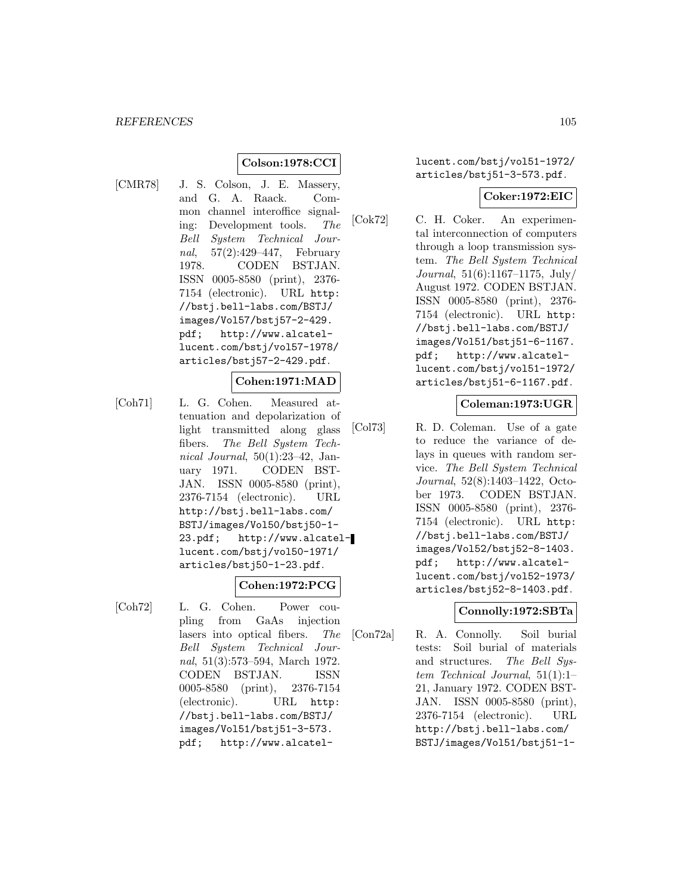## **Colson:1978:CCI**

[CMR78] J. S. Colson, J. E. Massery, and G. A. Raack. Common channel interoffice signaling: Development tools. The Bell System Technical Journal, 57(2):429–447, February 1978. CODEN BSTJAN. ISSN 0005-8580 (print), 2376- 7154 (electronic). URL http: //bstj.bell-labs.com/BSTJ/ images/Vol57/bstj57-2-429. pdf; http://www.alcatellucent.com/bstj/vol57-1978/ articles/bstj57-2-429.pdf.

#### **Cohen:1971:MAD**

[Coh71] L. G. Cohen. Measured attenuation and depolarization of light transmitted along glass fibers. The Bell System Technical Journal, 50(1):23–42, January 1971. CODEN BST-JAN. ISSN 0005-8580 (print), 2376-7154 (electronic). URL http://bstj.bell-labs.com/ BSTJ/images/Vol50/bstj50-1- 23.pdf; http://www.alcatellucent.com/bstj/vol50-1971/ articles/bstj50-1-23.pdf.

### **Cohen:1972:PCG**

[Coh72] L. G. Cohen. Power coupling from GaAs injection lasers into optical fibers. The Bell System Technical Journal, 51(3):573–594, March 1972. CODEN BSTJAN. ISSN 0005-8580 (print), 2376-7154 (electronic). URL http: //bstj.bell-labs.com/BSTJ/ images/Vol51/bstj51-3-573. pdf; http://www.alcatellucent.com/bstj/vol51-1972/ articles/bstj51-3-573.pdf.

#### **Coker:1972:EIC**

[Cok72] C. H. Coker. An experimental interconnection of computers through a loop transmission system. The Bell System Technical Journal, 51(6):1167–1175, July/ August 1972. CODEN BSTJAN. ISSN 0005-8580 (print), 2376- 7154 (electronic). URL http: //bstj.bell-labs.com/BSTJ/ images/Vol51/bstj51-6-1167. pdf; http://www.alcatellucent.com/bstj/vol51-1972/ articles/bstj51-6-1167.pdf.

### **Coleman:1973:UGR**

[Col73] R. D. Coleman. Use of a gate to reduce the variance of delays in queues with random service. The Bell System Technical Journal, 52(8):1403–1422, October 1973. CODEN BSTJAN. ISSN 0005-8580 (print), 2376- 7154 (electronic). URL http: //bstj.bell-labs.com/BSTJ/ images/Vol52/bstj52-8-1403. pdf; http://www.alcatellucent.com/bstj/vol52-1973/ articles/bstj52-8-1403.pdf.

### **Connolly:1972:SBTa**

[Con72a] R. A. Connolly. Soil burial tests: Soil burial of materials and structures. The Bell System Technical Journal, 51(1):1– 21, January 1972. CODEN BST-JAN. ISSN 0005-8580 (print), 2376-7154 (electronic). URL http://bstj.bell-labs.com/ BSTJ/images/Vol51/bstj51-1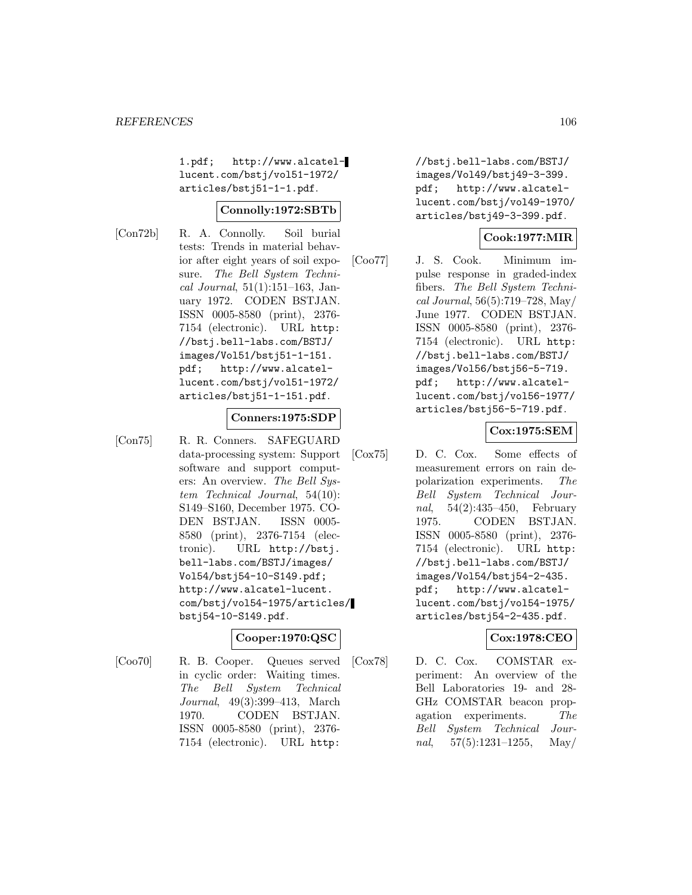1.pdf; http://www.alcatellucent.com/bstj/vol51-1972/ articles/bstj51-1-1.pdf.

### **Connolly:1972:SBTb**

[Con72b] R. A. Connolly. Soil burial tests: Trends in material behavior after eight years of soil exposure. The Bell System Technical Journal,  $51(1):151-163$ , January 1972. CODEN BSTJAN. ISSN 0005-8580 (print), 2376- 7154 (electronic). URL http: //bstj.bell-labs.com/BSTJ/ images/Vol51/bstj51-1-151. pdf; http://www.alcatellucent.com/bstj/vol51-1972/ articles/bstj51-1-151.pdf.

### **Conners:1975:SDP**

[Con75] R. R. Conners. SAFEGUARD data-processing system: Support software and support computers: An overview. The Bell System Technical Journal, 54(10): S149–S160, December 1975. CO-DEN BSTJAN. ISSN 0005- 8580 (print), 2376-7154 (electronic). URL http://bstj. bell-labs.com/BSTJ/images/ Vol54/bstj54-10-S149.pdf; http://www.alcatel-lucent. com/bstj/vol54-1975/articles/ bstj54-10-S149.pdf.

### **Cooper:1970:QSC**

[Coo70] R. B. Cooper. Queues served in cyclic order: Waiting times. The Bell System Technical Journal, 49(3):399–413, March 1970. CODEN BSTJAN. ISSN 0005-8580 (print), 2376- 7154 (electronic). URL http:

//bstj.bell-labs.com/BSTJ/ images/Vol49/bstj49-3-399. pdf; http://www.alcatellucent.com/bstj/vol49-1970/ articles/bstj49-3-399.pdf.

## **Cook:1977:MIR**

[Coo77] J. S. Cook. Minimum impulse response in graded-index fibers. The Bell System Technical Journal, 56(5):719–728, May/ June 1977. CODEN BSTJAN. ISSN 0005-8580 (print), 2376- 7154 (electronic). URL http: //bstj.bell-labs.com/BSTJ/ images/Vol56/bstj56-5-719. pdf; http://www.alcatellucent.com/bstj/vol56-1977/ articles/bstj56-5-719.pdf.

### **Cox:1975:SEM**

[Cox75] D. C. Cox. Some effects of measurement errors on rain depolarization experiments. The Bell System Technical Journal, 54(2):435–450, February 1975. CODEN BSTJAN. ISSN 0005-8580 (print), 2376- 7154 (electronic). URL http: //bstj.bell-labs.com/BSTJ/ images/Vol54/bstj54-2-435. pdf; http://www.alcatellucent.com/bstj/vol54-1975/ articles/bstj54-2-435.pdf.

### **Cox:1978:CEO**

[Cox78] D. C. Cox. COMSTAR experiment: An overview of the Bell Laboratories 19- and 28- GHz COMSTAR beacon propagation experiments. The Bell System Technical Journal,  $57(5):1231-1255$ , May/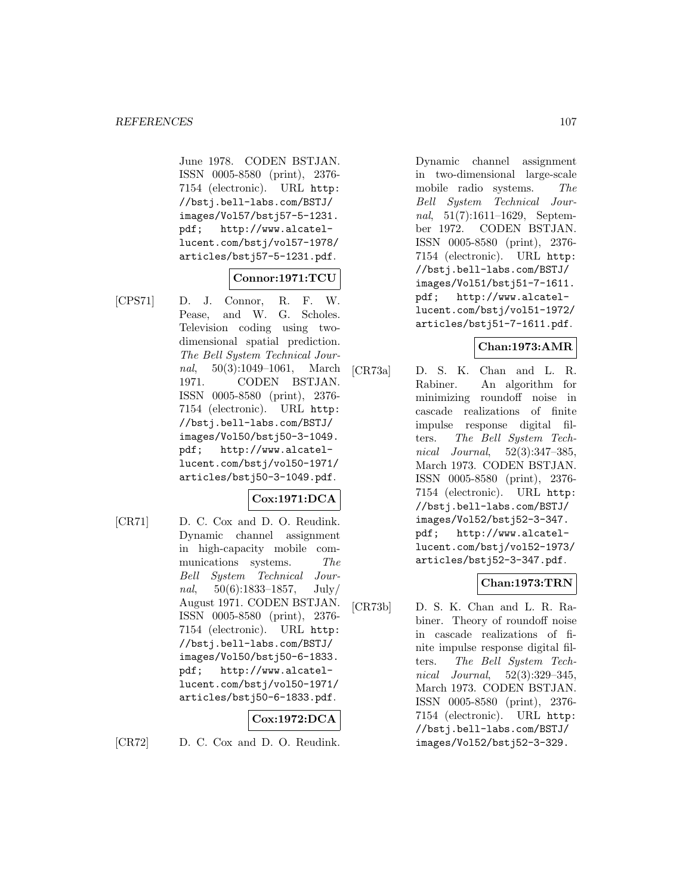June 1978. CODEN BSTJAN. ISSN 0005-8580 (print), 2376- 7154 (electronic). URL http: //bstj.bell-labs.com/BSTJ/ images/Vol57/bstj57-5-1231. pdf; http://www.alcatellucent.com/bstj/vol57-1978/ articles/bstj57-5-1231.pdf.

### **Connor:1971:TCU**

[CPS71] D. J. Connor, R. F. W. Pease, and W. G. Scholes. Television coding using twodimensional spatial prediction. The Bell System Technical Journal, 50(3):1049–1061, March 1971. CODEN BSTJAN. ISSN 0005-8580 (print), 2376- 7154 (electronic). URL http: //bstj.bell-labs.com/BSTJ/ images/Vol50/bstj50-3-1049. pdf; http://www.alcatellucent.com/bstj/vol50-1971/ articles/bstj50-3-1049.pdf.

# **Cox:1971:DCA**

[CR71] D. C. Cox and D. O. Reudink. Dynamic channel assignment in high-capacity mobile communications systems. The Bell System Technical Journal,  $50(6):1833-1857$ , July/ August 1971. CODEN BSTJAN. ISSN 0005-8580 (print), 2376- 7154 (electronic). URL http: //bstj.bell-labs.com/BSTJ/ images/Vol50/bstj50-6-1833. pdf; http://www.alcatellucent.com/bstj/vol50-1971/ articles/bstj50-6-1833.pdf.

## **Cox:1972:DCA**

[CR72] D. C. Cox and D. O. Reudink.

Dynamic channel assignment in two-dimensional large-scale mobile radio systems. The Bell System Technical Journal, 51(7):1611–1629, September 1972. CODEN BSTJAN. ISSN 0005-8580 (print), 2376- 7154 (electronic). URL http: //bstj.bell-labs.com/BSTJ/ images/Vol51/bstj51-7-1611. pdf; http://www.alcatellucent.com/bstj/vol51-1972/ articles/bstj51-7-1611.pdf.

### **Chan:1973:AMR**

[CR73a] D. S. K. Chan and L. R. Rabiner. An algorithm for minimizing roundoff noise in cascade realizations of finite impulse response digital filters. The Bell System Technical Journal, 52(3):347–385, March 1973. CODEN BSTJAN. ISSN 0005-8580 (print), 2376- 7154 (electronic). URL http: //bstj.bell-labs.com/BSTJ/ images/Vol52/bstj52-3-347. pdf; http://www.alcatellucent.com/bstj/vol52-1973/ articles/bstj52-3-347.pdf.

### **Chan:1973:TRN**

[CR73b] D. S. K. Chan and L. R. Rabiner. Theory of roundoff noise in cascade realizations of finite impulse response digital filters. The Bell System Technical Journal, 52(3):329–345, March 1973. CODEN BSTJAN. ISSN 0005-8580 (print), 2376- 7154 (electronic). URL http: //bstj.bell-labs.com/BSTJ/ images/Vol52/bstj52-3-329.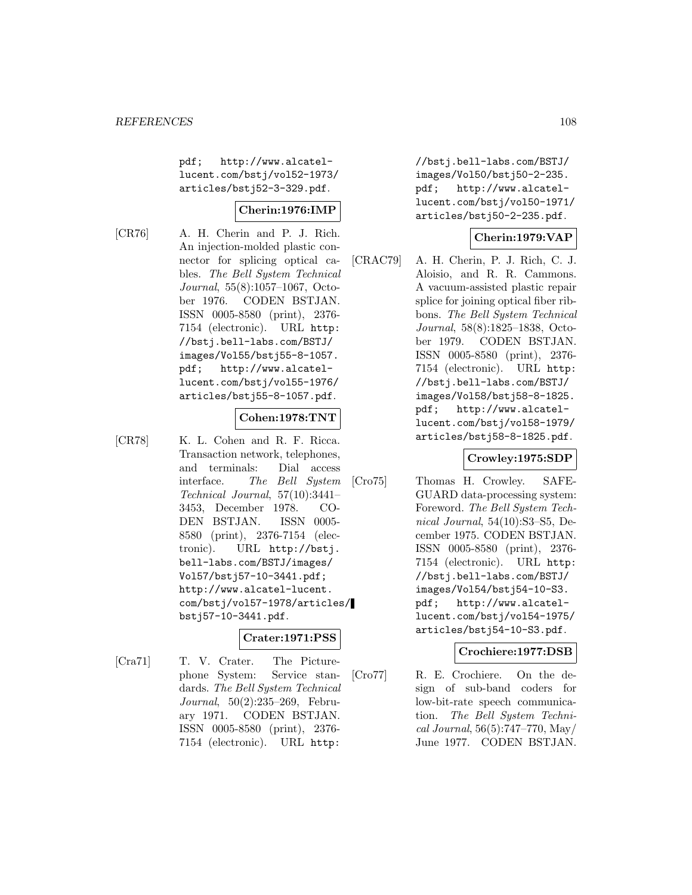pdf; http://www.alcatellucent.com/bstj/vol52-1973/ articles/bstj52-3-329.pdf.

### **Cherin:1976:IMP**

[CR76] A. H. Cherin and P. J. Rich. An injection-molded plastic connector for splicing optical cables. The Bell System Technical Journal, 55(8):1057–1067, October 1976. CODEN BSTJAN. ISSN 0005-8580 (print), 2376- 7154 (electronic). URL http: //bstj.bell-labs.com/BSTJ/ images/Vol55/bstj55-8-1057. pdf; http://www.alcatellucent.com/bstj/vol55-1976/ articles/bstj55-8-1057.pdf.

### **Cohen:1978:TNT**

[CR78] K. L. Cohen and R. F. Ricca. Transaction network, telephones, and terminals: Dial access interface. The Bell System Technical Journal, 57(10):3441– 3453, December 1978. CO-DEN BSTJAN. ISSN 0005- 8580 (print), 2376-7154 (electronic). URL http://bstj. bell-labs.com/BSTJ/images/ Vol57/bstj57-10-3441.pdf; http://www.alcatel-lucent. com/bstj/vol57-1978/articles/ bstj57-10-3441.pdf.

### **Crater:1971:PSS**

[Cra71] T. V. Crater. The Picturephone System: Service standards. The Bell System Technical Journal, 50(2):235–269, February 1971. CODEN BSTJAN. ISSN 0005-8580 (print), 2376- 7154 (electronic). URL http:

//bstj.bell-labs.com/BSTJ/ images/Vol50/bstj50-2-235. pdf; http://www.alcatellucent.com/bstj/vol50-1971/ articles/bstj50-2-235.pdf.

## **Cherin:1979:VAP**

[CRAC79] A. H. Cherin, P. J. Rich, C. J. Aloisio, and R. R. Cammons. A vacuum-assisted plastic repair splice for joining optical fiber ribbons. The Bell System Technical Journal, 58(8):1825–1838, October 1979. CODEN BSTJAN. ISSN 0005-8580 (print), 2376- 7154 (electronic). URL http: //bstj.bell-labs.com/BSTJ/ images/Vol58/bstj58-8-1825. pdf; http://www.alcatellucent.com/bstj/vol58-1979/ articles/bstj58-8-1825.pdf.

## **Crowley:1975:SDP**

[Cro75] Thomas H. Crowley. SAFE-GUARD data-processing system: Foreword. The Bell System Technical Journal, 54(10):S3–S5, December 1975. CODEN BSTJAN. ISSN 0005-8580 (print), 2376- 7154 (electronic). URL http: //bstj.bell-labs.com/BSTJ/ images/Vol54/bstj54-10-S3. pdf; http://www.alcatellucent.com/bstj/vol54-1975/ articles/bstj54-10-S3.pdf.

### **Crochiere:1977:DSB**

[Cro77] R. E. Crochiere. On the design of sub-band coders for low-bit-rate speech communication. The Bell System Technical Journal, 56(5):747–770, May/ June 1977. CODEN BSTJAN.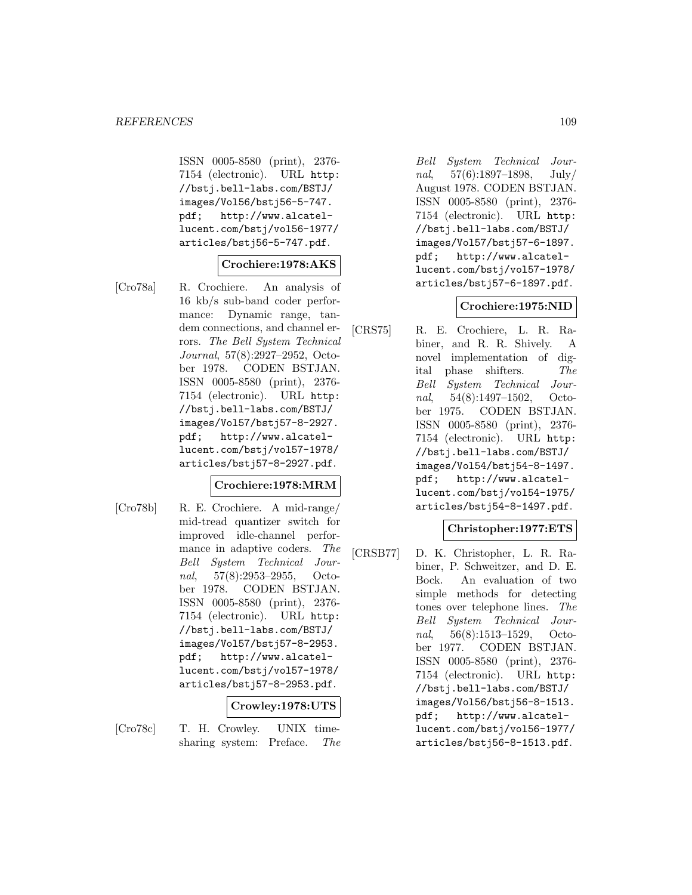ISSN 0005-8580 (print), 2376- 7154 (electronic). URL http: //bstj.bell-labs.com/BSTJ/ images/Vol56/bstj56-5-747. pdf; http://www.alcatellucent.com/bstj/vol56-1977/ articles/bstj56-5-747.pdf.

# **Crochiere:1978:AKS**

[Cro78a] R. Crochiere. An analysis of 16 kb/s sub-band coder performance: Dynamic range, tandem connections, and channel errors. The Bell System Technical Journal, 57(8):2927–2952, October 1978. CODEN BSTJAN. ISSN 0005-8580 (print), 2376- 7154 (electronic). URL http: //bstj.bell-labs.com/BSTJ/ images/Vol57/bstj57-8-2927. pdf; http://www.alcatellucent.com/bstj/vol57-1978/ articles/bstj57-8-2927.pdf.

## **Crochiere:1978:MRM**

[Cro78b] R. E. Crochiere. A mid-range/ mid-tread quantizer switch for improved idle-channel performance in adaptive coders. The Bell System Technical Journal, 57(8):2953–2955, October 1978. CODEN BSTJAN. ISSN 0005-8580 (print), 2376- 7154 (electronic). URL http: //bstj.bell-labs.com/BSTJ/ images/Vol57/bstj57-8-2953. pdf; http://www.alcatellucent.com/bstj/vol57-1978/ articles/bstj57-8-2953.pdf.

## **Crowley:1978:UTS**

[Cro78c] T. H. Crowley. UNIX timesharing system: Preface. The

Bell System Technical Journal, 57(6):1897–1898, July/ August 1978. CODEN BSTJAN. ISSN 0005-8580 (print), 2376- 7154 (electronic). URL http: //bstj.bell-labs.com/BSTJ/ images/Vol57/bstj57-6-1897. pdf; http://www.alcatellucent.com/bstj/vol57-1978/ articles/bstj57-6-1897.pdf.

### **Crochiere:1975:NID**

[CRS75] R. E. Crochiere, L. R. Rabiner, and R. R. Shively. A novel implementation of digital phase shifters. The Bell System Technical Journal, 54(8):1497–1502, October 1975. CODEN BSTJAN. ISSN 0005-8580 (print), 2376- 7154 (electronic). URL http: //bstj.bell-labs.com/BSTJ/ images/Vol54/bstj54-8-1497. pdf; http://www.alcatellucent.com/bstj/vol54-1975/ articles/bstj54-8-1497.pdf.

## **Christopher:1977:ETS**

[CRSB77] D. K. Christopher, L. R. Rabiner, P. Schweitzer, and D. E. Bock. An evaluation of two simple methods for detecting tones over telephone lines. The Bell System Technical Journal, 56(8):1513–1529, October 1977. CODEN BSTJAN. ISSN 0005-8580 (print), 2376- 7154 (electronic). URL http: //bstj.bell-labs.com/BSTJ/ images/Vol56/bstj56-8-1513. pdf; http://www.alcatellucent.com/bstj/vol56-1977/ articles/bstj56-8-1513.pdf.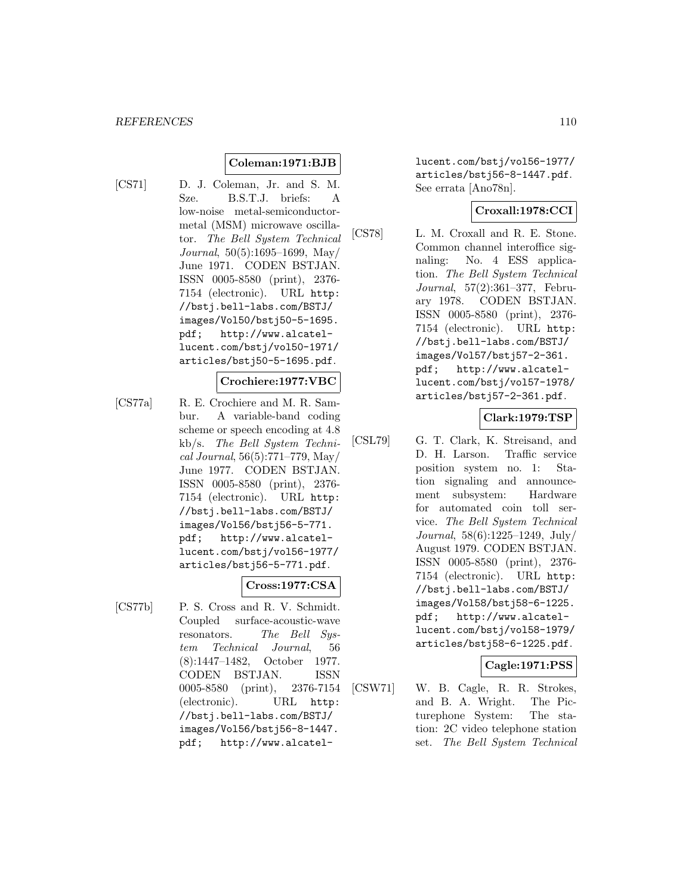### **Coleman:1971:BJB**

[CS71] D. J. Coleman, Jr. and S. M. Sze. B.S.T.J. briefs: A low-noise metal-semiconductormetal (MSM) microwave oscillator. The Bell System Technical Journal, 50(5):1695–1699, May/ June 1971. CODEN BSTJAN. ISSN 0005-8580 (print), 2376- 7154 (electronic). URL http: //bstj.bell-labs.com/BSTJ/ images/Vol50/bstj50-5-1695. pdf; http://www.alcatellucent.com/bstj/vol50-1971/ articles/bstj50-5-1695.pdf.

### **Crochiere:1977:VBC**

[CS77a] R. E. Crochiere and M. R. Sambur. A variable-band coding scheme or speech encoding at 4.8 kb/s. The Bell System Technical Journal, 56(5):771–779, May/ June 1977. CODEN BSTJAN. ISSN 0005-8580 (print), 2376- 7154 (electronic). URL http: //bstj.bell-labs.com/BSTJ/ images/Vol56/bstj56-5-771. pdf; http://www.alcatellucent.com/bstj/vol56-1977/ articles/bstj56-5-771.pdf.

#### **Cross:1977:CSA**

[CS77b] P. S. Cross and R. V. Schmidt. Coupled surface-acoustic-wave resonators. The Bell System Technical Journal, 56 (8):1447–1482, October 1977. CODEN BSTJAN. ISSN 0005-8580 (print), 2376-7154 (electronic). URL http: //bstj.bell-labs.com/BSTJ/ images/Vol56/bstj56-8-1447. pdf; http://www.alcatellucent.com/bstj/vol56-1977/ articles/bstj56-8-1447.pdf. See errata [Ano78n].

### **Croxall:1978:CCI**

[CS78] L. M. Croxall and R. E. Stone. Common channel interoffice signaling: No. 4 ESS application. The Bell System Technical Journal, 57(2):361–377, February 1978. CODEN BSTJAN. ISSN 0005-8580 (print), 2376- 7154 (electronic). URL http: //bstj.bell-labs.com/BSTJ/ images/Vol57/bstj57-2-361. pdf; http://www.alcatellucent.com/bstj/vol57-1978/ articles/bstj57-2-361.pdf.

**Clark:1979:TSP**

[CSL79] G. T. Clark, K. Streisand, and D. H. Larson. Traffic service position system no. 1: Station signaling and announcement subsystem: Hardware for automated coin toll service. The Bell System Technical Journal, 58(6):1225–1249, July/ August 1979. CODEN BSTJAN. ISSN 0005-8580 (print), 2376- 7154 (electronic). URL http: //bstj.bell-labs.com/BSTJ/ images/Vol58/bstj58-6-1225. pdf; http://www.alcatellucent.com/bstj/vol58-1979/ articles/bstj58-6-1225.pdf.

### **Cagle:1971:PSS**

[CSW71] W. B. Cagle, R. R. Strokes, and B. A. Wright. The Picturephone System: The station: 2C video telephone station set. The Bell System Technical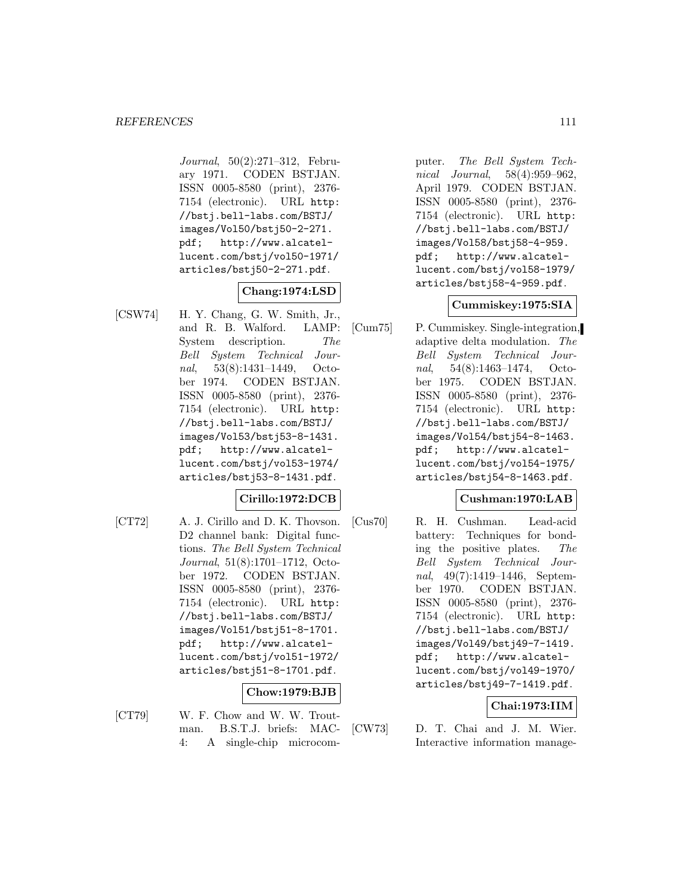Journal, 50(2):271–312, February 1971. CODEN BSTJAN. ISSN 0005-8580 (print), 2376- 7154 (electronic). URL http: //bstj.bell-labs.com/BSTJ/ images/Vol50/bstj50-2-271. pdf; http://www.alcatellucent.com/bstj/vol50-1971/ articles/bstj50-2-271.pdf.

# **Chang:1974:LSD**

[CSW74] H. Y. Chang, G. W. Smith, Jr., and R. B. Walford. LAMP: System description. The Bell System Technical Journal, 53(8):1431–1449, October 1974. CODEN BSTJAN. ISSN 0005-8580 (print), 2376- 7154 (electronic). URL http: //bstj.bell-labs.com/BSTJ/ images/Vol53/bstj53-8-1431. pdf; http://www.alcatellucent.com/bstj/vol53-1974/ articles/bstj53-8-1431.pdf.

## **Cirillo:1972:DCB**

[CT72] A. J. Cirillo and D. K. Thovson. D2 channel bank: Digital functions. The Bell System Technical Journal, 51(8):1701–1712, October 1972. CODEN BSTJAN. ISSN 0005-8580 (print), 2376- 7154 (electronic). URL http: //bstj.bell-labs.com/BSTJ/ images/Vol51/bstj51-8-1701. pdf; http://www.alcatellucent.com/bstj/vol51-1972/ articles/bstj51-8-1701.pdf.

### **Chow:1979:BJB**

- 
- [CT79] W. F. Chow and W. W. Troutman. B.S.T.J. briefs: MAC-4: A single-chip microcom-

puter. The Bell System Technical Journal, 58(4):959–962, April 1979. CODEN BSTJAN. ISSN 0005-8580 (print), 2376- 7154 (electronic). URL http: //bstj.bell-labs.com/BSTJ/ images/Vol58/bstj58-4-959. pdf; http://www.alcatellucent.com/bstj/vol58-1979/ articles/bstj58-4-959.pdf.

### **Cummiskey:1975:SIA**

[Cum75] P. Cummiskey. Single-integration, adaptive delta modulation. The Bell System Technical Journal, 54(8):1463–1474, October 1975. CODEN BSTJAN. ISSN 0005-8580 (print), 2376- 7154 (electronic). URL http: //bstj.bell-labs.com/BSTJ/ images/Vol54/bstj54-8-1463. pdf; http://www.alcatellucent.com/bstj/vol54-1975/ articles/bstj54-8-1463.pdf.

### **Cushman:1970:LAB**

[Cus70] R. H. Cushman. Lead-acid battery: Techniques for bonding the positive plates. The Bell System Technical Journal, 49(7):1419–1446, September 1970. CODEN BSTJAN. ISSN 0005-8580 (print), 2376- 7154 (electronic). URL http: //bstj.bell-labs.com/BSTJ/ images/Vol49/bstj49-7-1419. pdf; http://www.alcatellucent.com/bstj/vol49-1970/ articles/bstj49-7-1419.pdf.

## **Chai:1973:IIM**

[CW73] D. T. Chai and J. M. Wier. Interactive information manage-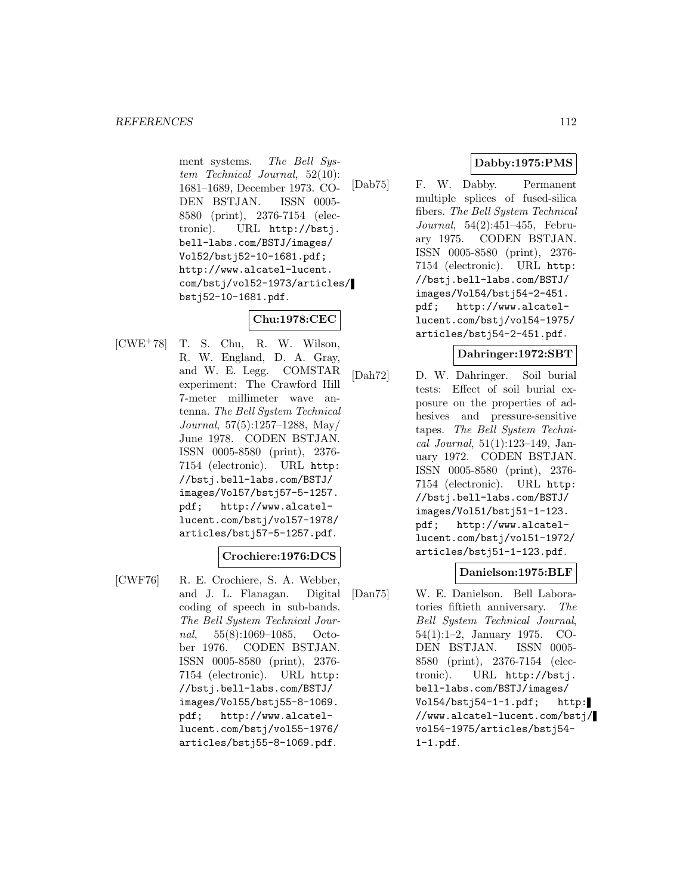ment systems. The Bell System Technical Journal, 52(10): 1681–1689, December 1973. CO-DEN BSTJAN. ISSN 0005- 8580 (print), 2376-7154 (electronic). URL http://bstj. bell-labs.com/BSTJ/images/ Vol52/bstj52-10-1681.pdf; http://www.alcatel-lucent. com/bstj/vol52-1973/articles/ bstj52-10-1681.pdf.

## **Chu:1978:CEC**

[CWE<sup>+</sup>78] T. S. Chu, R. W. Wilson, R. W. England, D. A. Gray, and W. E. Legg. COMSTAR experiment: The Crawford Hill 7-meter millimeter wave antenna. The Bell System Technical Journal, 57(5):1257–1288, May/ June 1978. CODEN BSTJAN. ISSN 0005-8580 (print), 2376- 7154 (electronic). URL http: //bstj.bell-labs.com/BSTJ/ images/Vol57/bstj57-5-1257. pdf; http://www.alcatellucent.com/bstj/vol57-1978/ articles/bstj57-5-1257.pdf.

### **Crochiere:1976:DCS**

[CWF76] R. E. Crochiere, S. A. Webber, and J. L. Flanagan. Digital coding of speech in sub-bands. The Bell System Technical Journal, 55(8):1069–1085, October 1976. CODEN BSTJAN. ISSN 0005-8580 (print), 2376- 7154 (electronic). URL http: //bstj.bell-labs.com/BSTJ/ images/Vol55/bstj55-8-1069. pdf; http://www.alcatellucent.com/bstj/vol55-1976/ articles/bstj55-8-1069.pdf.

# **Dabby:1975:PMS**

[Dab75] F. W. Dabby. Permanent multiple splices of fused-silica fibers. The Bell System Technical Journal, 54(2):451–455, February 1975. CODEN BSTJAN. ISSN 0005-8580 (print), 2376- 7154 (electronic). URL http: //bstj.bell-labs.com/BSTJ/ images/Vol54/bstj54-2-451. pdf; http://www.alcatellucent.com/bstj/vol54-1975/ articles/bstj54-2-451.pdf.

### **Dahringer:1972:SBT**

[Dah72] D. W. Dahringer. Soil burial tests: Effect of soil burial exposure on the properties of adhesives and pressure-sensitive tapes. The Bell System Technical Journal, 51(1):123–149, January 1972. CODEN BSTJAN. ISSN 0005-8580 (print), 2376- 7154 (electronic). URL http: //bstj.bell-labs.com/BSTJ/ images/Vol51/bstj51-1-123. pdf; http://www.alcatellucent.com/bstj/vol51-1972/ articles/bstj51-1-123.pdf.

## **Danielson:1975:BLF**

[Dan75] W. E. Danielson. Bell Laboratories fiftieth anniversary. The Bell System Technical Journal, 54(1):1–2, January 1975. CO-DEN BSTJAN. ISSN 0005- 8580 (print), 2376-7154 (electronic). URL http://bstj. bell-labs.com/BSTJ/images/ Vol54/bstj54-1-1.pdf; http: //www.alcatel-lucent.com/bstj/ vol54-1975/articles/bstj54- 1-1.pdf.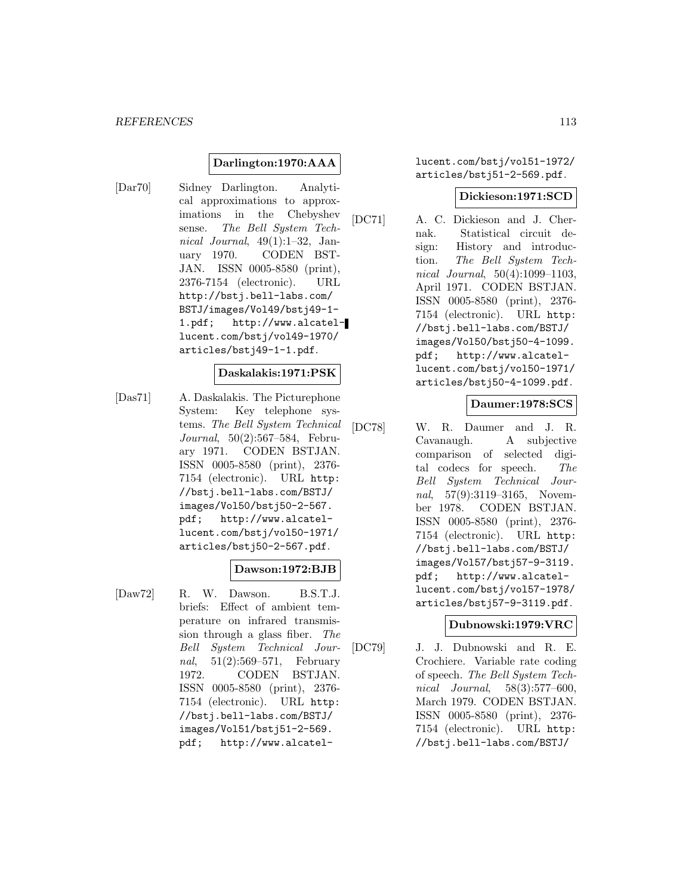### **Darlington:1970:AAA**

[Dar70] Sidney Darlington. Analytical approximations to approximations in the Chebyshev sense. The Bell System Technical Journal, 49(1):1–32, January 1970. CODEN BST-JAN. ISSN 0005-8580 (print), 2376-7154 (electronic). URL http://bstj.bell-labs.com/ BSTJ/images/Vol49/bstj49-1- 1.pdf; http://www.alcatellucent.com/bstj/vol49-1970/ articles/bstj49-1-1.pdf.

### **Daskalakis:1971:PSK**

[Das71] A. Daskalakis. The Picturephone System: Key telephone systems. The Bell System Technical Journal, 50(2):567–584, February 1971. CODEN BSTJAN. ISSN 0005-8580 (print), 2376- 7154 (electronic). URL http: //bstj.bell-labs.com/BSTJ/ images/Vol50/bstj50-2-567. pdf; http://www.alcatellucent.com/bstj/vol50-1971/ articles/bstj50-2-567.pdf.

### **Dawson:1972:BJB**

[Daw72] R. W. Dawson. B.S.T.J. briefs: Effect of ambient temperature on infrared transmission through a glass fiber. The Bell System Technical Journal, 51(2):569–571, February 1972. CODEN BSTJAN. ISSN 0005-8580 (print), 2376- 7154 (electronic). URL http: //bstj.bell-labs.com/BSTJ/ images/Vol51/bstj51-2-569. pdf; http://www.alcatellucent.com/bstj/vol51-1972/ articles/bstj51-2-569.pdf.

### **Dickieson:1971:SCD**

[DC71] A. C. Dickieson and J. Chernak. Statistical circuit design: History and introduction. The Bell System Technical Journal, 50(4):1099–1103, April 1971. CODEN BSTJAN. ISSN 0005-8580 (print), 2376- 7154 (electronic). URL http: //bstj.bell-labs.com/BSTJ/ images/Vol50/bstj50-4-1099. pdf; http://www.alcatellucent.com/bstj/vol50-1971/ articles/bstj50-4-1099.pdf.

### **Daumer:1978:SCS**

[DC78] W. R. Daumer and J. R. Cavanaugh. A subjective comparison of selected digital codecs for speech. The Bell System Technical Journal, 57(9):3119–3165, November 1978. CODEN BSTJAN. ISSN 0005-8580 (print), 2376- 7154 (electronic). URL http: //bstj.bell-labs.com/BSTJ/ images/Vol57/bstj57-9-3119. pdf; http://www.alcatellucent.com/bstj/vol57-1978/ articles/bstj57-9-3119.pdf.

### **Dubnowski:1979:VRC**

[DC79] J. J. Dubnowski and R. E. Crochiere. Variable rate coding of speech. The Bell System Technical Journal, 58(3):577–600, March 1979. CODEN BSTJAN. ISSN 0005-8580 (print), 2376- 7154 (electronic). URL http: //bstj.bell-labs.com/BSTJ/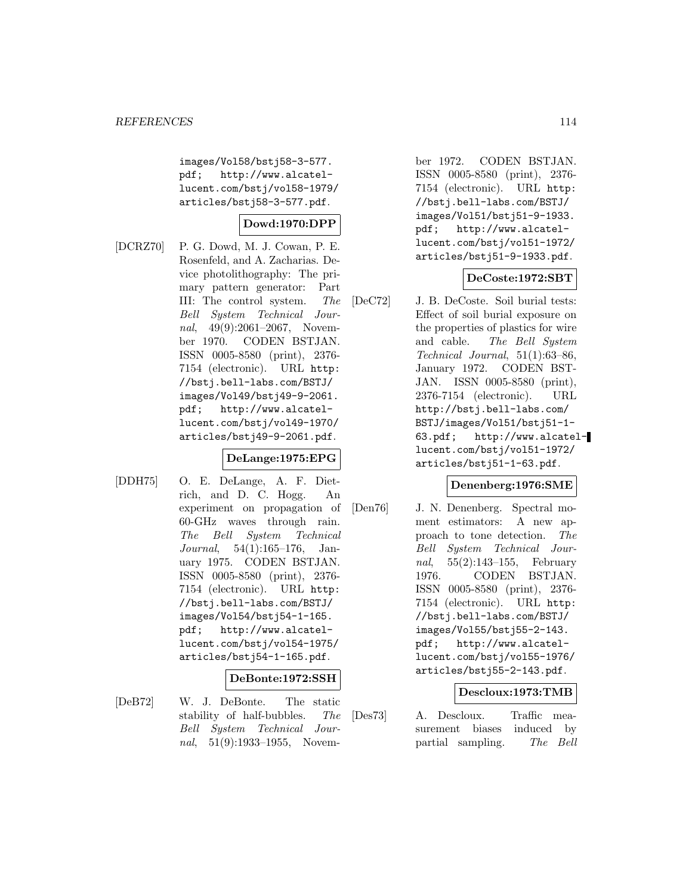images/Vol58/bstj58-3-577. pdf; http://www.alcatellucent.com/bstj/vol58-1979/ articles/bstj58-3-577.pdf.

# **Dowd:1970:DPP**

[DCRZ70] P. G. Dowd, M. J. Cowan, P. E. Rosenfeld, and A. Zacharias. Device photolithography: The primary pattern generator: Part III: The control system. The Bell System Technical Journal, 49(9):2061-2067, November 1970. CODEN BSTJAN. ISSN 0005-8580 (print), 2376- 7154 (electronic). URL http: //bstj.bell-labs.com/BSTJ/ images/Vol49/bstj49-9-2061. pdf; http://www.alcatellucent.com/bstj/vol49-1970/ articles/bstj49-9-2061.pdf.

## **DeLange:1975:EPG**

[DDH75] O. E. DeLange, A. F. Dietrich, and D. C. Hogg. An experiment on propagation of 60-GHz waves through rain. The Bell System Technical Journal, 54(1):165–176, January 1975. CODEN BSTJAN. ISSN 0005-8580 (print), 2376- 7154 (electronic). URL http: //bstj.bell-labs.com/BSTJ/ images/Vol54/bstj54-1-165. pdf; http://www.alcatellucent.com/bstj/vol54-1975/ articles/bstj54-1-165.pdf.

### **DeBonte:1972:SSH**

[DeB72] W. J. DeBonte. The static stability of half-bubbles. The Bell System Technical Journal, 51(9):1933–1955, November 1972. CODEN BSTJAN. ISSN 0005-8580 (print), 2376- 7154 (electronic). URL http: //bstj.bell-labs.com/BSTJ/ images/Vol51/bstj51-9-1933. pdf; http://www.alcatellucent.com/bstj/vol51-1972/ articles/bstj51-9-1933.pdf.

## **DeCoste:1972:SBT**

[DeC72] J. B. DeCoste. Soil burial tests: Effect of soil burial exposure on the properties of plastics for wire and cable. The Bell System Technical Journal, 51(1):63–86, January 1972. CODEN BST-JAN. ISSN 0005-8580 (print), 2376-7154 (electronic). URL http://bstj.bell-labs.com/ BSTJ/images/Vol51/bstj51-1- 63.pdf; http://www.alcatellucent.com/bstj/vol51-1972/ articles/bstj51-1-63.pdf.

### **Denenberg:1976:SME**

[Den76] J. N. Denenberg. Spectral moment estimators: A new approach to tone detection. The Bell System Technical Journal, 55(2):143–155, February 1976. CODEN BSTJAN. ISSN 0005-8580 (print), 2376- 7154 (electronic). URL http: //bstj.bell-labs.com/BSTJ/ images/Vol55/bstj55-2-143. pdf; http://www.alcatellucent.com/bstj/vol55-1976/ articles/bstj55-2-143.pdf.

### **Descloux:1973:TMB**

[Des73] A. Descloux. Traffic measurement biases induced by partial sampling. The Bell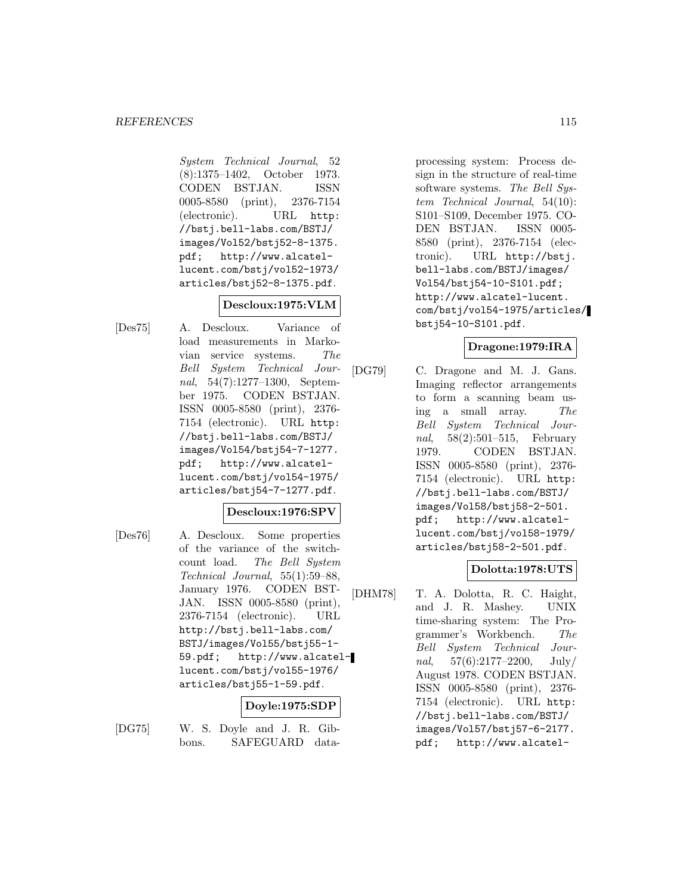System Technical Journal, 52 (8):1375–1402, October 1973. CODEN BSTJAN. ISSN 0005-8580 (print), 2376-7154 (electronic). URL http: //bstj.bell-labs.com/BSTJ/ images/Vol52/bstj52-8-1375. pdf; http://www.alcatellucent.com/bstj/vol52-1973/ articles/bstj52-8-1375.pdf.

# **Descloux:1975:VLM**

[Des75] A. Descloux. Variance of load measurements in Markovian service systems. The Bell System Technical Journal, 54(7):1277–1300, September 1975. CODEN BSTJAN. ISSN 0005-8580 (print), 2376- 7154 (electronic). URL http: //bstj.bell-labs.com/BSTJ/ images/Vol54/bstj54-7-1277. pdf; http://www.alcatellucent.com/bstj/vol54-1975/ articles/bstj54-7-1277.pdf.

### **Descloux:1976:SPV**

[Des76] A. Descloux. Some properties of the variance of the switchcount load. The Bell System Technical Journal, 55(1):59–88, January 1976. CODEN BST-JAN. ISSN 0005-8580 (print), 2376-7154 (electronic). URL http://bstj.bell-labs.com/ BSTJ/images/Vol55/bstj55-1- 59.pdf; http://www.alcatellucent.com/bstj/vol55-1976/ articles/bstj55-1-59.pdf.

## **Doyle:1975:SDP**

[DG75] W. S. Doyle and J. R. Gibbons. SAFEGUARD dataprocessing system: Process design in the structure of real-time software systems. The Bell System Technical Journal, 54(10): S101–S109, December 1975. CO-DEN BSTJAN. ISSN 0005- 8580 (print), 2376-7154 (electronic). URL http://bstj. bell-labs.com/BSTJ/images/ Vol54/bstj54-10-S101.pdf; http://www.alcatel-lucent. com/bstj/vol54-1975/articles/ bstj54-10-S101.pdf.

### **Dragone:1979:IRA**

[DG79] C. Dragone and M. J. Gans. Imaging reflector arrangements to form a scanning beam using a small array. The Bell System Technical Journal, 58(2):501–515, February 1979. CODEN BSTJAN. ISSN 0005-8580 (print), 2376- 7154 (electronic). URL http: //bstj.bell-labs.com/BSTJ/ images/Vol58/bstj58-2-501. pdf; http://www.alcatellucent.com/bstj/vol58-1979/ articles/bstj58-2-501.pdf.

## **Dolotta:1978:UTS**

[DHM78] T. A. Dolotta, R. C. Haight, and J. R. Mashey. UNIX time-sharing system: The Programmer's Workbench. The Bell System Technical Journal,  $57(6):2177-2200$ , July/ August 1978. CODEN BSTJAN. ISSN 0005-8580 (print), 2376- 7154 (electronic). URL http: //bstj.bell-labs.com/BSTJ/ images/Vol57/bstj57-6-2177. pdf; http://www.alcatel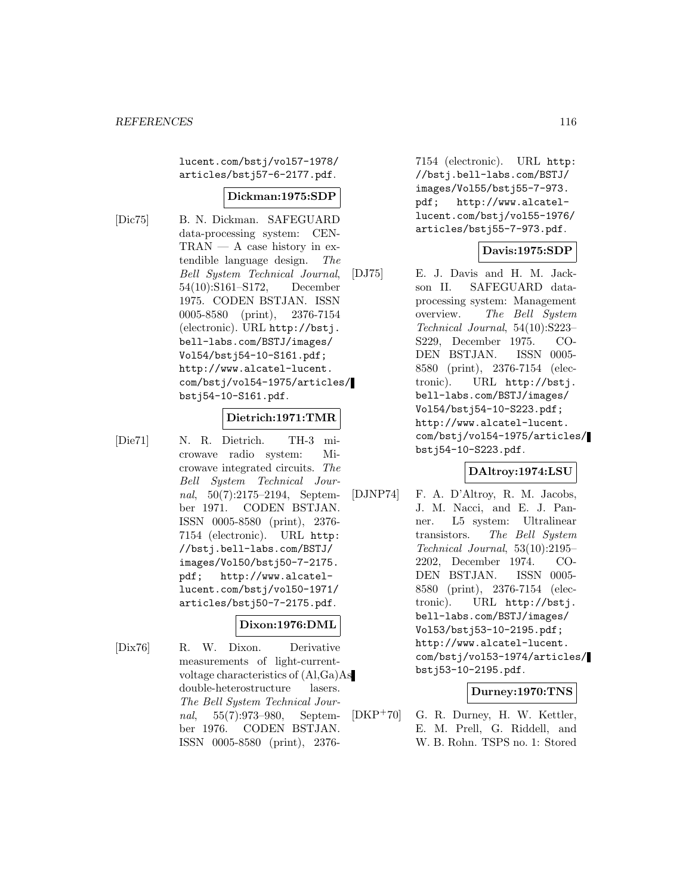lucent.com/bstj/vol57-1978/ articles/bstj57-6-2177.pdf.

#### **Dickman:1975:SDP**

[Dic75] B. N. Dickman. SAFEGUARD data-processing system: CEN- $TRAN - A case history in ex$ tendible language design. The Bell System Technical Journal, 54(10):S161–S172, December 1975. CODEN BSTJAN. ISSN 0005-8580 (print), 2376-7154 (electronic). URL http://bstj. bell-labs.com/BSTJ/images/ Vol54/bstj54-10-S161.pdf; http://www.alcatel-lucent. com/bstj/vol54-1975/articles/ bstj54-10-S161.pdf.

#### **Dietrich:1971:TMR**

[Die71] N. R. Dietrich. TH-3 microwave radio system: Microwave integrated circuits. The Bell System Technical Journal, 50(7):2175–2194, September 1971. CODEN BSTJAN. ISSN 0005-8580 (print), 2376- 7154 (electronic). URL http: //bstj.bell-labs.com/BSTJ/ images/Vol50/bstj50-7-2175. pdf; http://www.alcatellucent.com/bstj/vol50-1971/ articles/bstj50-7-2175.pdf.

## **Dixon:1976:DML**

[Dix76] R. W. Dixon. Derivative measurements of light-currentvoltage characteristics of (Al,Ga)As double-heterostructure lasers. The Bell System Technical Journal, 55(7):973–980, September 1976. CODEN BSTJAN. ISSN 0005-8580 (print), 23767154 (electronic). URL http: //bstj.bell-labs.com/BSTJ/ images/Vol55/bstj55-7-973. pdf; http://www.alcatellucent.com/bstj/vol55-1976/ articles/bstj55-7-973.pdf.

### **Davis:1975:SDP**

[DJ75] E. J. Davis and H. M. Jackson II. SAFEGUARD dataprocessing system: Management overview. The Bell System Technical Journal, 54(10):S223– S229, December 1975. CO-DEN BSTJAN. ISSN 0005- 8580 (print), 2376-7154 (electronic). URL http://bstj. bell-labs.com/BSTJ/images/ Vol54/bstj54-10-S223.pdf; http://www.alcatel-lucent. com/bstj/vol54-1975/articles/ bstj54-10-S223.pdf.

### **DAltroy:1974:LSU**

[DJNP74] F. A. D'Altroy, R. M. Jacobs, J. M. Nacci, and E. J. Panner. L5 system: Ultralinear transistors. The Bell System Technical Journal, 53(10):2195– 2202, December 1974. CO-DEN BSTJAN. ISSN 0005- 8580 (print), 2376-7154 (electronic). URL http://bstj. bell-labs.com/BSTJ/images/ Vol53/bstj53-10-2195.pdf; http://www.alcatel-lucent. com/bstj/vol53-1974/articles/ bstj53-10-2195.pdf.

### **Durney:1970:TNS**

[DKP<sup>+</sup>70] G. R. Durney, H. W. Kettler, E. M. Prell, G. Riddell, and W. B. Rohn. TSPS no. 1: Stored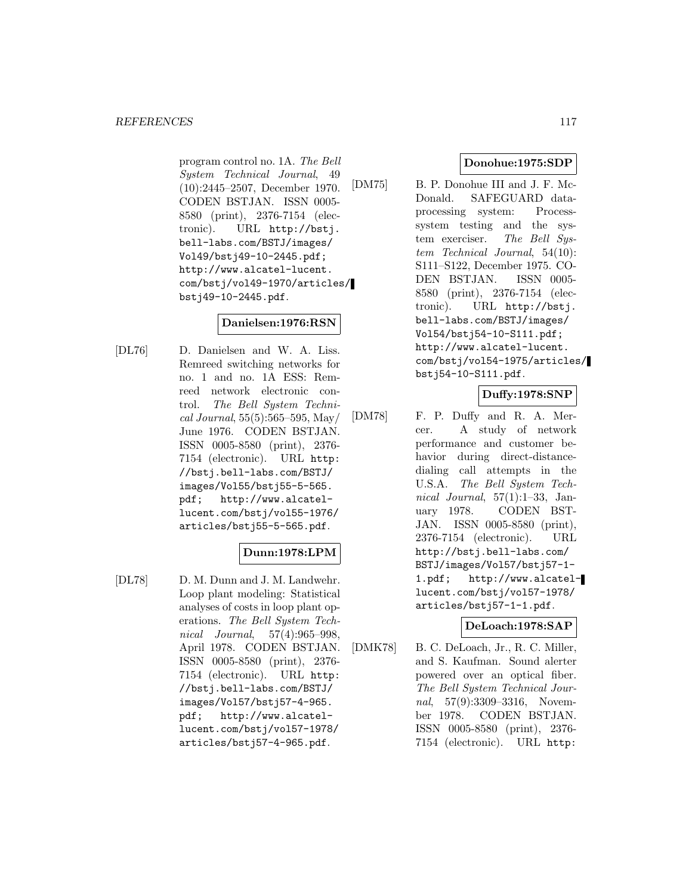program control no. 1A. The Bell System Technical Journal, 49 (10):2445–2507, December 1970. CODEN BSTJAN. ISSN 0005- 8580 (print), 2376-7154 (electronic). URL http://bstj. bell-labs.com/BSTJ/images/ Vol49/bstj49-10-2445.pdf; http://www.alcatel-lucent. com/bstj/vol49-1970/articles/ bstj49-10-2445.pdf.

## **Danielsen:1976:RSN**

[DL76] D. Danielsen and W. A. Liss. Remreed switching networks for no. 1 and no. 1A ESS: Remreed network electronic control. The Bell System Technical Journal, 55(5):565–595, May/ June 1976. CODEN BSTJAN. ISSN 0005-8580 (print), 2376- 7154 (electronic). URL http: //bstj.bell-labs.com/BSTJ/ images/Vol55/bstj55-5-565. pdf; http://www.alcatellucent.com/bstj/vol55-1976/ articles/bstj55-5-565.pdf.

## **Dunn:1978:LPM**

[DL78] D. M. Dunn and J. M. Landwehr. Loop plant modeling: Statistical analyses of costs in loop plant operations. The Bell System Technical Journal, 57(4):965–998, April 1978. CODEN BSTJAN. ISSN 0005-8580 (print), 2376- 7154 (electronic). URL http: //bstj.bell-labs.com/BSTJ/ images/Vol57/bstj57-4-965. pdf; http://www.alcatellucent.com/bstj/vol57-1978/ articles/bstj57-4-965.pdf.

### **Donohue:1975:SDP**

[DM75] B. P. Donohue III and J. F. Mc-Donald. SAFEGUARD dataprocessing system: Processsystem testing and the system exerciser. The Bell Sustem Technical Journal, 54(10): S111–S122, December 1975. CO-DEN BSTJAN. ISSN 0005- 8580 (print), 2376-7154 (electronic). URL http://bstj. bell-labs.com/BSTJ/images/ Vol54/bstj54-10-S111.pdf; http://www.alcatel-lucent. com/bstj/vol54-1975/articles/ bstj54-10-S111.pdf.

# **Duffy:1978:SNP**

[DM78] F. P. Duffy and R. A. Mercer. A study of network performance and customer behavior during direct-distancedialing call attempts in the U.S.A. The Bell System Technical Journal,  $57(1):1-33$ , January 1978. CODEN BST-JAN. ISSN 0005-8580 (print), 2376-7154 (electronic). URL http://bstj.bell-labs.com/ BSTJ/images/Vol57/bstj57-1- 1.pdf; http://www.alcatellucent.com/bstj/vol57-1978/ articles/bstj57-1-1.pdf.

## **DeLoach:1978:SAP**

[DMK78] B. C. DeLoach, Jr., R. C. Miller, and S. Kaufman. Sound alerter powered over an optical fiber. The Bell System Technical Journal, 57(9):3309–3316, November 1978. CODEN BSTJAN. ISSN 0005-8580 (print), 2376- 7154 (electronic). URL http: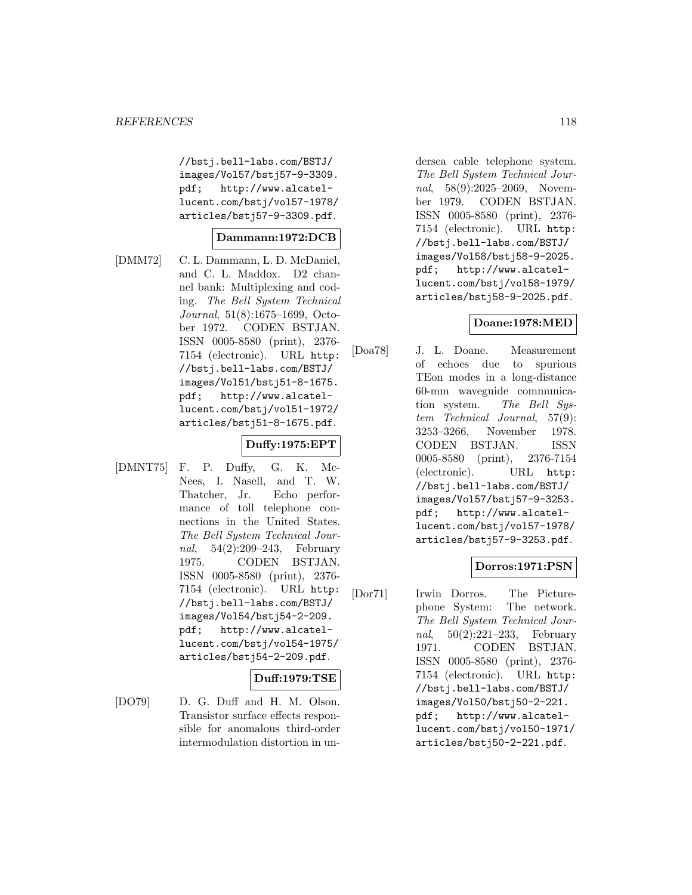//bstj.bell-labs.com/BSTJ/ images/Vol57/bstj57-9-3309. pdf; http://www.alcatellucent.com/bstj/vol57-1978/ articles/bstj57-9-3309.pdf.

### **Dammann:1972:DCB**

[DMM72] C. L. Dammann, L. D. McDaniel, and C. L. Maddox. D2 channel bank: Multiplexing and coding. The Bell System Technical Journal, 51(8):1675–1699, October 1972. CODEN BSTJAN. ISSN 0005-8580 (print), 2376- 7154 (electronic). URL http: //bstj.bell-labs.com/BSTJ/ images/Vol51/bstj51-8-1675. pdf; http://www.alcatellucent.com/bstj/vol51-1972/ articles/bstj51-8-1675.pdf.

# **Duffy:1975:EPT**

[DMNT75] F. P. Duffy, G. K. Mc-Nees, I. Nasell, and T. W. Thatcher, Jr. Echo performance of toll telephone connections in the United States. The Bell System Technical Journal, 54(2):209–243, February 1975. CODEN BSTJAN. ISSN 0005-8580 (print), 2376- 7154 (electronic). URL http: //bstj.bell-labs.com/BSTJ/ images/Vol54/bstj54-2-209. pdf; http://www.alcatellucent.com/bstj/vol54-1975/ articles/bstj54-2-209.pdf.

### **Duff:1979:TSE**

[DO79] D. G. Duff and H. M. Olson. Transistor surface effects responsible for anomalous third-order intermodulation distortion in undersea cable telephone system. The Bell System Technical Journal, 58(9):2025–2069, November 1979. CODEN BSTJAN. ISSN 0005-8580 (print), 2376- 7154 (electronic). URL http: //bstj.bell-labs.com/BSTJ/ images/Vol58/bstj58-9-2025. pdf; http://www.alcatellucent.com/bstj/vol58-1979/ articles/bstj58-9-2025.pdf.

# **Doane:1978:MED**

[Doa78] J. L. Doane. Measurement of echoes due to spurious TEon modes in a long-distance 60-mm waveguide communication system. The Bell System Technical Journal, 57(9): 3253–3266, November 1978. CODEN BSTJAN. ISSN 0005-8580 (print), 2376-7154 (electronic). URL http: //bstj.bell-labs.com/BSTJ/ images/Vol57/bstj57-9-3253. pdf; http://www.alcatellucent.com/bstj/vol57-1978/ articles/bstj57-9-3253.pdf.

## **Dorros:1971:PSN**

[Dor71] Irwin Dorros. The Picturephone System: The network. The Bell System Technical Journal, 50(2):221–233, February 1971. CODEN BSTJAN. ISSN 0005-8580 (print), 2376- 7154 (electronic). URL http: //bstj.bell-labs.com/BSTJ/ images/Vol50/bstj50-2-221. pdf; http://www.alcatellucent.com/bstj/vol50-1971/ articles/bstj50-2-221.pdf.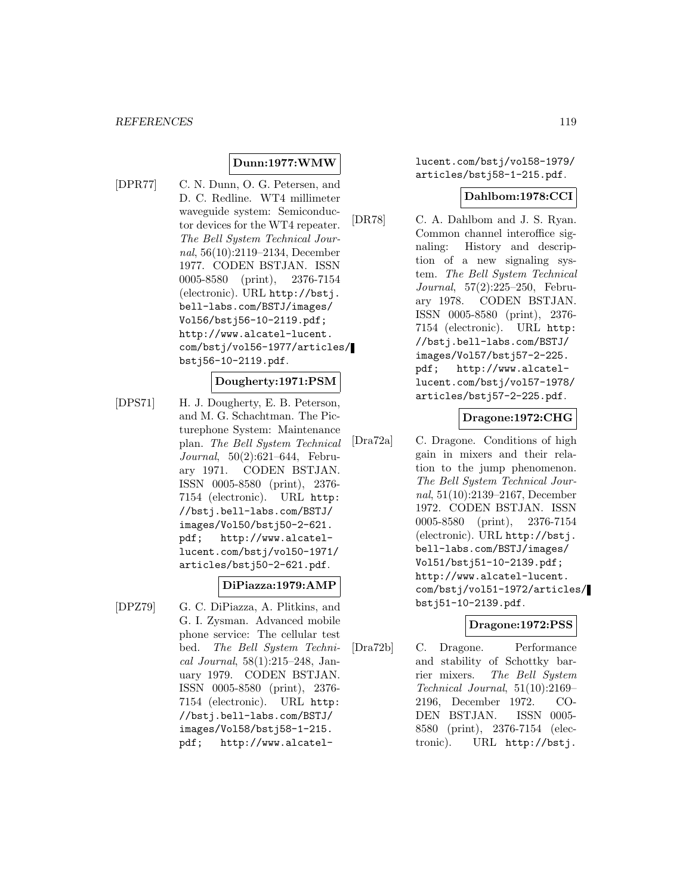#### **Dunn:1977:WMW**

[DPR77] C. N. Dunn, O. G. Petersen, and D. C. Redline. WT4 millimeter waveguide system: Semiconductor devices for the WT4 repeater. The Bell System Technical Journal, 56(10):2119–2134, December 1977. CODEN BSTJAN. ISSN 0005-8580 (print), 2376-7154 (electronic). URL http://bstj. bell-labs.com/BSTJ/images/ Vol56/bstj56-10-2119.pdf; http://www.alcatel-lucent. com/bstj/vol56-1977/articles/ bstj56-10-2119.pdf.

#### **Dougherty:1971:PSM**

[DPS71] H. J. Dougherty, E. B. Peterson, and M. G. Schachtman. The Picturephone System: Maintenance plan. The Bell System Technical Journal, 50(2):621–644, February 1971. CODEN BSTJAN. ISSN 0005-8580 (print), 2376- 7154 (electronic). URL http: //bstj.bell-labs.com/BSTJ/ images/Vol50/bstj50-2-621. pdf; http://www.alcatellucent.com/bstj/vol50-1971/ articles/bstj50-2-621.pdf.

#### **DiPiazza:1979:AMP**

[DPZ79] G. C. DiPiazza, A. Plitkins, and G. I. Zysman. Advanced mobile phone service: The cellular test bed. The Bell System Technical Journal, 58(1):215–248, January 1979. CODEN BSTJAN. ISSN 0005-8580 (print), 2376- 7154 (electronic). URL http: //bstj.bell-labs.com/BSTJ/ images/Vol58/bstj58-1-215. pdf; http://www.alcatellucent.com/bstj/vol58-1979/ articles/bstj58-1-215.pdf.

#### **Dahlbom:1978:CCI**

[DR78] C. A. Dahlbom and J. S. Ryan. Common channel interoffice signaling: History and description of a new signaling system. The Bell System Technical Journal, 57(2):225–250, February 1978. CODEN BSTJAN. ISSN 0005-8580 (print), 2376- 7154 (electronic). URL http: //bstj.bell-labs.com/BSTJ/ images/Vol57/bstj57-2-225. pdf; http://www.alcatellucent.com/bstj/vol57-1978/ articles/bstj57-2-225.pdf.

### **Dragone:1972:CHG**

[Dra72a] C. Dragone. Conditions of high gain in mixers and their relation to the jump phenomenon. The Bell System Technical Journal, 51(10):2139–2167, December 1972. CODEN BSTJAN. ISSN 0005-8580 (print), 2376-7154 (electronic). URL http://bstj. bell-labs.com/BSTJ/images/ Vol51/bstj51-10-2139.pdf; http://www.alcatel-lucent. com/bstj/vol51-1972/articles/ bstj51-10-2139.pdf.

### **Dragone:1972:PSS**

[Dra72b] C. Dragone. Performance and stability of Schottky barrier mixers. The Bell System Technical Journal, 51(10):2169– 2196, December 1972. CO-DEN BSTJAN. ISSN 0005- 8580 (print), 2376-7154 (electronic). URL http://bstj.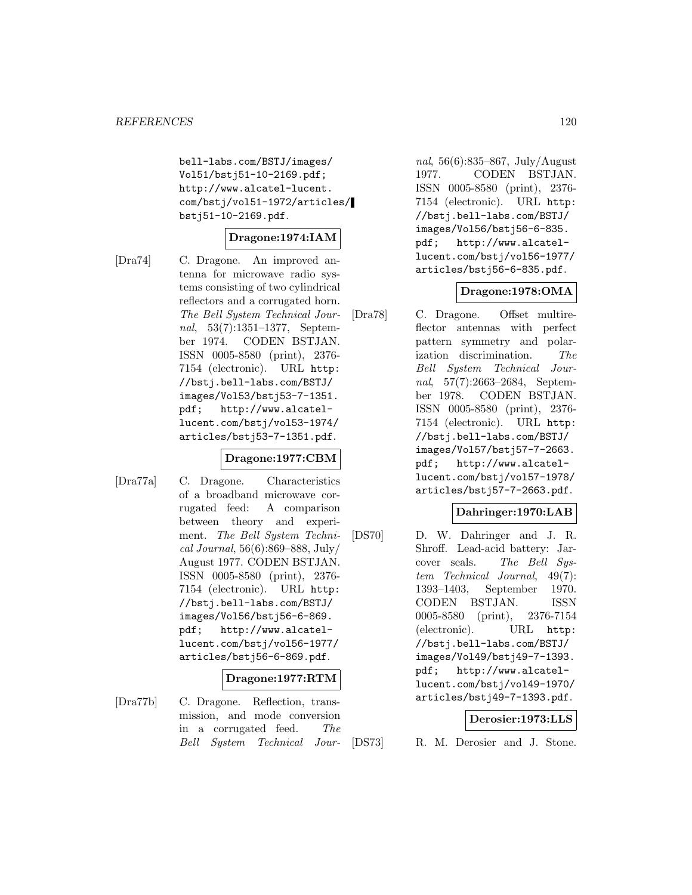bell-labs.com/BSTJ/images/ Vol51/bstj51-10-2169.pdf; http://www.alcatel-lucent. com/bstj/vol51-1972/articles/ bstj51-10-2169.pdf.

### **Dragone:1974:IAM**

[Dra74] C. Dragone. An improved antenna for microwave radio systems consisting of two cylindrical reflectors and a corrugated horn. The Bell System Technical Journal, 53(7):1351–1377, September 1974. CODEN BSTJAN. ISSN 0005-8580 (print), 2376- 7154 (electronic). URL http: //bstj.bell-labs.com/BSTJ/ images/Vol53/bstj53-7-1351. pdf; http://www.alcatellucent.com/bstj/vol53-1974/ articles/bstj53-7-1351.pdf.

## **Dragone:1977:CBM**

[Dra77a] C. Dragone. Characteristics of a broadband microwave corrugated feed: A comparison between theory and experiment. The Bell System Technical Journal, 56(6):869–888, July/ August 1977. CODEN BSTJAN. ISSN 0005-8580 (print), 2376- 7154 (electronic). URL http: //bstj.bell-labs.com/BSTJ/ images/Vol56/bstj56-6-869. pdf; http://www.alcatellucent.com/bstj/vol56-1977/ articles/bstj56-6-869.pdf.

### **Dragone:1977:RTM**

[Dra77b] C. Dragone. Reflection, transmission, and mode conversion in a corrugated feed. The Bell System Technical Jour-

nal, 56(6):835–867, July/August 1977. CODEN BSTJAN. ISSN 0005-8580 (print), 2376- 7154 (electronic). URL http: //bstj.bell-labs.com/BSTJ/ images/Vol56/bstj56-6-835. pdf; http://www.alcatellucent.com/bstj/vol56-1977/ articles/bstj56-6-835.pdf.

### **Dragone:1978:OMA**

[Dra78] C. Dragone. Offset multireflector antennas with perfect pattern symmetry and polarization discrimination. The Bell System Technical Journal, 57(7):2663–2684, September 1978. CODEN BSTJAN. ISSN 0005-8580 (print), 2376- 7154 (electronic). URL http: //bstj.bell-labs.com/BSTJ/ images/Vol57/bstj57-7-2663. pdf; http://www.alcatellucent.com/bstj/vol57-1978/ articles/bstj57-7-2663.pdf.

### **Dahringer:1970:LAB**

[DS70] D. W. Dahringer and J. R. Shroff. Lead-acid battery: Jarcover seals. The Bell System Technical Journal, 49(7): 1393–1403, September 1970. CODEN BSTJAN. ISSN 0005-8580 (print), 2376-7154 (electronic). URL http: //bstj.bell-labs.com/BSTJ/ images/Vol49/bstj49-7-1393. pdf; http://www.alcatellucent.com/bstj/vol49-1970/ articles/bstj49-7-1393.pdf.

### **Derosier:1973:LLS**

[DS73] R. M. Derosier and J. Stone.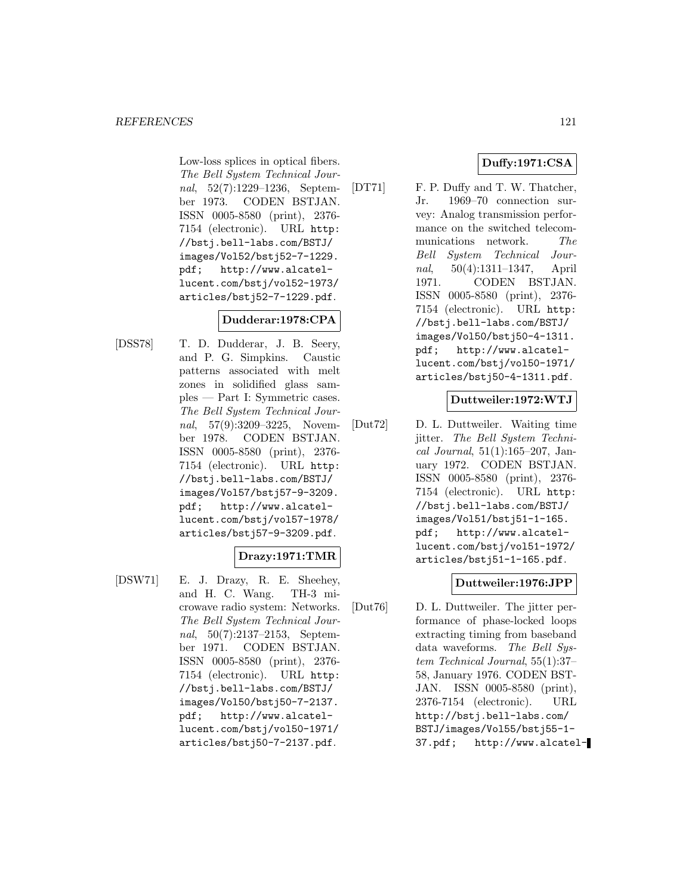Low-loss splices in optical fibers. The Bell System Technical Journal, 52(7):1229–1236, September 1973. CODEN BSTJAN. ISSN 0005-8580 (print), 2376- 7154 (electronic). URL http: //bstj.bell-labs.com/BSTJ/ images/Vol52/bstj52-7-1229. pdf; http://www.alcatellucent.com/bstj/vol52-1973/ articles/bstj52-7-1229.pdf.

## **Dudderar:1978:CPA**

[DSS78] T. D. Dudderar, J. B. Seery, and P. G. Simpkins. Caustic patterns associated with melt zones in solidified glass samples — Part I: Symmetric cases. The Bell System Technical Journal, 57(9):3209–3225, November 1978. CODEN BSTJAN. ISSN 0005-8580 (print), 2376- 7154 (electronic). URL http: //bstj.bell-labs.com/BSTJ/ images/Vol57/bstj57-9-3209. pdf; http://www.alcatellucent.com/bstj/vol57-1978/ articles/bstj57-9-3209.pdf.

## **Drazy:1971:TMR**

[DSW71] E. J. Drazy, R. E. Sheehey, and H. C. Wang. TH-3 microwave radio system: Networks. The Bell System Technical Journal, 50(7):2137–2153, September 1971. CODEN BSTJAN. ISSN 0005-8580 (print), 2376- 7154 (electronic). URL http: //bstj.bell-labs.com/BSTJ/ images/Vol50/bstj50-7-2137. pdf; http://www.alcatellucent.com/bstj/vol50-1971/ articles/bstj50-7-2137.pdf.

[DT71] F. P. Duffy and T. W. Thatcher, Jr. 1969–70 connection survey: Analog transmission performance on the switched telecommunications network. The Bell System Technical Journal, 50(4):1311–1347, April 1971. CODEN BSTJAN. ISSN 0005-8580 (print), 2376- 7154 (electronic). URL http: //bstj.bell-labs.com/BSTJ/ images/Vol50/bstj50-4-1311. pdf; http://www.alcatellucent.com/bstj/vol50-1971/ articles/bstj50-4-1311.pdf.

### **Duttweiler:1972:WTJ**

[Dut72] D. L. Duttweiler. Waiting time jitter. The Bell System Technical Journal, 51(1):165–207, January 1972. CODEN BSTJAN. ISSN 0005-8580 (print), 2376- 7154 (electronic). URL http: //bstj.bell-labs.com/BSTJ/ images/Vol51/bstj51-1-165. pdf; http://www.alcatellucent.com/bstj/vol51-1972/ articles/bstj51-1-165.pdf.

## **Duttweiler:1976:JPP**

[Dut76] D. L. Duttweiler. The jitter performance of phase-locked loops extracting timing from baseband data waveforms. The Bell System Technical Journal, 55(1):37– 58, January 1976. CODEN BST-JAN. ISSN 0005-8580 (print), 2376-7154 (electronic). URL http://bstj.bell-labs.com/ BSTJ/images/Vol55/bstj55-1- 37.pdf; http://www.alcatel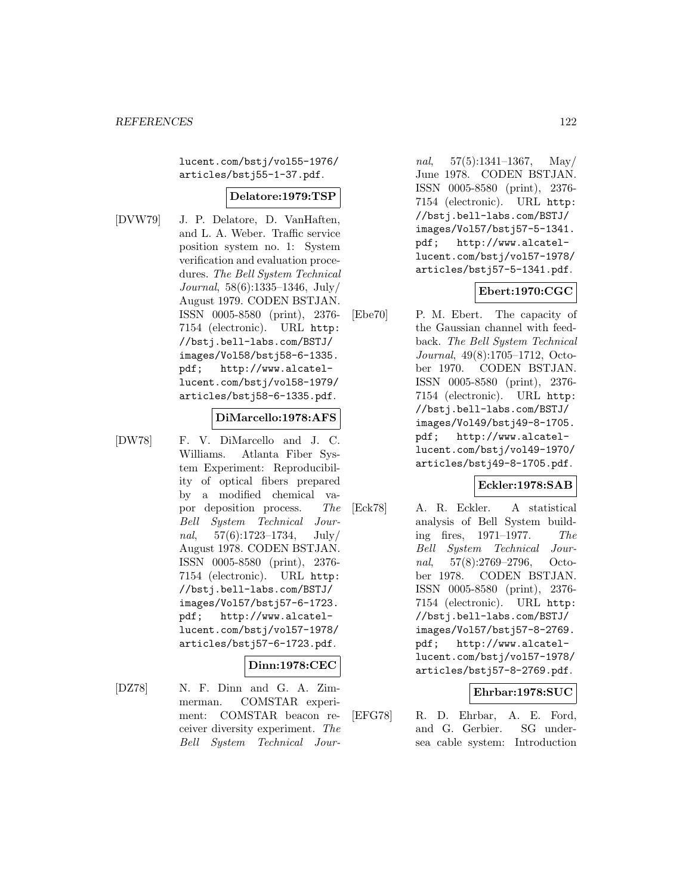lucent.com/bstj/vol55-1976/ articles/bstj55-1-37.pdf.

### **Delatore:1979:TSP**

[DVW79] J. P. Delatore, D. VanHaften, and L. A. Weber. Traffic service position system no. 1: System verification and evaluation procedures. The Bell System Technical Journal, 58(6):1335–1346, July/ August 1979. CODEN BSTJAN. ISSN 0005-8580 (print), 2376- 7154 (electronic). URL http: //bstj.bell-labs.com/BSTJ/ images/Vol58/bstj58-6-1335. pdf; http://www.alcatellucent.com/bstj/vol58-1979/ articles/bstj58-6-1335.pdf.

#### **DiMarcello:1978:AFS**

[DW78] F. V. DiMarcello and J. C. Williams. Atlanta Fiber System Experiment: Reproducibility of optical fibers prepared by a modified chemical vapor deposition process. The Bell System Technical Journal,  $57(6):1723-1734$ , July/ August 1978. CODEN BSTJAN. ISSN 0005-8580 (print), 2376- 7154 (electronic). URL http: //bstj.bell-labs.com/BSTJ/ images/Vol57/bstj57-6-1723. pdf; http://www.alcatellucent.com/bstj/vol57-1978/ articles/bstj57-6-1723.pdf.

#### **Dinn:1978:CEC**

[DZ78] N. F. Dinn and G. A. Zimmerman. COMSTAR experiment: COMSTAR beacon receiver diversity experiment. The Bell System Technical Jour-

nal,  $57(5):1341-1367$ , May/ June 1978. CODEN BSTJAN. ISSN 0005-8580 (print), 2376- 7154 (electronic). URL http: //bstj.bell-labs.com/BSTJ/ images/Vol57/bstj57-5-1341. pdf; http://www.alcatellucent.com/bstj/vol57-1978/ articles/bstj57-5-1341.pdf.

#### **Ebert:1970:CGC**

[Ebe70] P. M. Ebert. The capacity of the Gaussian channel with feedback. The Bell System Technical Journal, 49(8):1705–1712, October 1970. CODEN BSTJAN. ISSN 0005-8580 (print), 2376- 7154 (electronic). URL http: //bstj.bell-labs.com/BSTJ/ images/Vol49/bstj49-8-1705. pdf; http://www.alcatellucent.com/bstj/vol49-1970/ articles/bstj49-8-1705.pdf.

### **Eckler:1978:SAB**

[Eck78] A. R. Eckler. A statistical analysis of Bell System building fires, 1971–1977. The Bell System Technical Journal, 57(8):2769–2796, October 1978. CODEN BSTJAN. ISSN 0005-8580 (print), 2376- 7154 (electronic). URL http: //bstj.bell-labs.com/BSTJ/ images/Vol57/bstj57-8-2769. pdf; http://www.alcatellucent.com/bstj/vol57-1978/ articles/bstj57-8-2769.pdf.

### **Ehrbar:1978:SUC**

[EFG78] R. D. Ehrbar, A. E. Ford, and G. Gerbier. SG undersea cable system: Introduction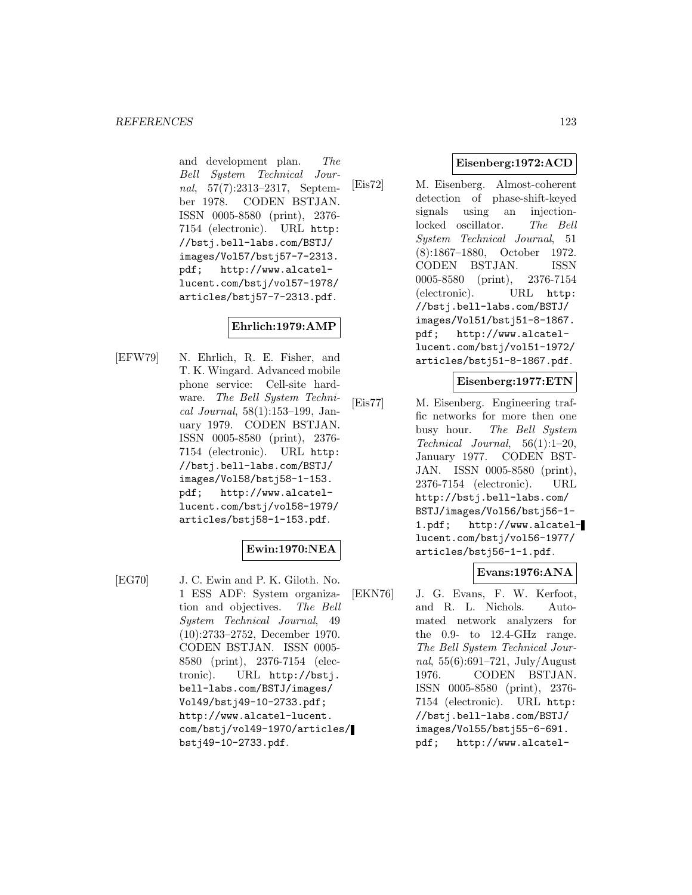and development plan. The Bell System Technical Journal, 57(7):2313–2317, September 1978. CODEN BSTJAN. ISSN 0005-8580 (print), 2376- 7154 (electronic). URL http: //bstj.bell-labs.com/BSTJ/ images/Vol57/bstj57-7-2313. pdf; http://www.alcatellucent.com/bstj/vol57-1978/ articles/bstj57-7-2313.pdf.

# **Ehrlich:1979:AMP**

[EFW79] N. Ehrlich, R. E. Fisher, and T. K. Wingard. Advanced mobile phone service: Cell-site hardware. The Bell System Technical Journal, 58(1):153–199, January 1979. CODEN BSTJAN. ISSN 0005-8580 (print), 2376- 7154 (electronic). URL http: //bstj.bell-labs.com/BSTJ/ images/Vol58/bstj58-1-153. pdf; http://www.alcatellucent.com/bstj/vol58-1979/ articles/bstj58-1-153.pdf.

### **Ewin:1970:NEA**

[EG70] J. C. Ewin and P. K. Giloth. No. 1 ESS ADF: System organization and objectives. The Bell System Technical Journal, 49 (10):2733–2752, December 1970. CODEN BSTJAN. ISSN 0005- 8580 (print), 2376-7154 (electronic). URL http://bstj. bell-labs.com/BSTJ/images/ Vol49/bstj49-10-2733.pdf; http://www.alcatel-lucent. com/bstj/vol49-1970/articles/ bstj49-10-2733.pdf.

## **Eisenberg:1972:ACD**

[Eis72] M. Eisenberg. Almost-coherent detection of phase-shift-keyed signals using an injectionlocked oscillator. The Bell System Technical Journal, 51 (8):1867–1880, October 1972. CODEN BSTJAN. ISSN 0005-8580 (print), 2376-7154 (electronic). URL http: //bstj.bell-labs.com/BSTJ/ images/Vol51/bstj51-8-1867. pdf; http://www.alcatellucent.com/bstj/vol51-1972/ articles/bstj51-8-1867.pdf.

### **Eisenberg:1977:ETN**

[Eis77] M. Eisenberg. Engineering traffic networks for more then one busy hour. The Bell System Technical Journal, 56(1):1–20, January 1977. CODEN BST-JAN. ISSN 0005-8580 (print), 2376-7154 (electronic). URL http://bstj.bell-labs.com/ BSTJ/images/Vol56/bstj56-1- 1.pdf; http://www.alcatellucent.com/bstj/vol56-1977/ articles/bstj56-1-1.pdf.

### **Evans:1976:ANA**

[EKN76] J. G. Evans, F. W. Kerfoot, and R. L. Nichols. Automated network analyzers for the 0.9- to 12.4-GHz range. The Bell System Technical Journal,  $55(6):691-721$ , July/August 1976. CODEN BSTJAN. ISSN 0005-8580 (print), 2376- 7154 (electronic). URL http: //bstj.bell-labs.com/BSTJ/ images/Vol55/bstj55-6-691. pdf; http://www.alcatel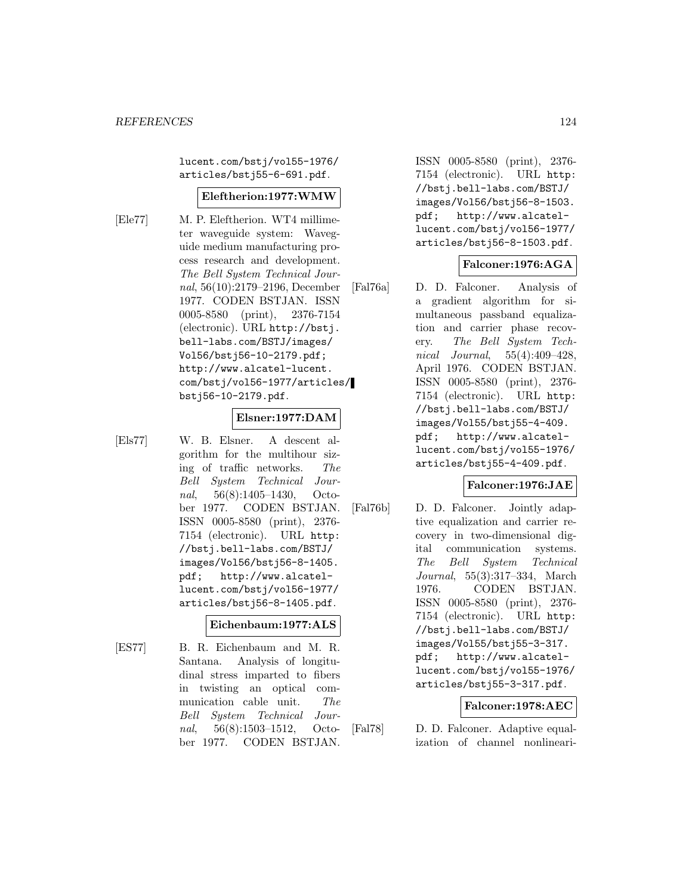lucent.com/bstj/vol55-1976/ articles/bstj55-6-691.pdf.

### **Eleftherion:1977:WMW**

- 
- [Ele77] M. P. Eleftherion. WT4 millimeter waveguide system: Waveguide medium manufacturing process research and development. The Bell System Technical Journal, 56(10):2179–2196, December 1977. CODEN BSTJAN. ISSN 0005-8580 (print), 2376-7154 (electronic). URL http://bstj. bell-labs.com/BSTJ/images/ Vol56/bstj56-10-2179.pdf; http://www.alcatel-lucent. com/bstj/vol56-1977/articles/ bstj56-10-2179.pdf.

#### **Elsner:1977:DAM**

[Els77] W. B. Elsner. A descent algorithm for the multihour sizing of traffic networks. The Bell System Technical Journal, 56(8):1405–1430, October 1977. CODEN BSTJAN. ISSN 0005-8580 (print), 2376- 7154 (electronic). URL http: //bstj.bell-labs.com/BSTJ/ images/Vol56/bstj56-8-1405. pdf; http://www.alcatellucent.com/bstj/vol56-1977/ articles/bstj56-8-1405.pdf.

### **Eichenbaum:1977:ALS**

[ES77] B. R. Eichenbaum and M. R. Santana. Analysis of longitudinal stress imparted to fibers in twisting an optical communication cable unit. The Bell System Technical Journal, 56(8):1503–1512, October 1977. CODEN BSTJAN.

ISSN 0005-8580 (print), 2376- 7154 (electronic). URL http: //bstj.bell-labs.com/BSTJ/ images/Vol56/bstj56-8-1503. pdf; http://www.alcatellucent.com/bstj/vol56-1977/ articles/bstj56-8-1503.pdf.

### **Falconer:1976:AGA**

[Fal76a] D. D. Falconer. Analysis of a gradient algorithm for simultaneous passband equalization and carrier phase recovery. The Bell System Technical Journal, 55(4):409–428, April 1976. CODEN BSTJAN. ISSN 0005-8580 (print), 2376- 7154 (electronic). URL http: //bstj.bell-labs.com/BSTJ/ images/Vol55/bstj55-4-409. pdf; http://www.alcatellucent.com/bstj/vol55-1976/ articles/bstj55-4-409.pdf.

### **Falconer:1976:JAE**

[Fal76b] D. D. Falconer. Jointly adaptive equalization and carrier recovery in two-dimensional digital communication systems. The Bell System Technical Journal, 55(3):317–334, March 1976. CODEN BSTJAN. ISSN 0005-8580 (print), 2376- 7154 (electronic). URL http: //bstj.bell-labs.com/BSTJ/ images/Vol55/bstj55-3-317. pdf; http://www.alcatellucent.com/bstj/vol55-1976/ articles/bstj55-3-317.pdf.

### **Falconer:1978:AEC**

[Fal78] D. D. Falconer. Adaptive equalization of channel nonlineari-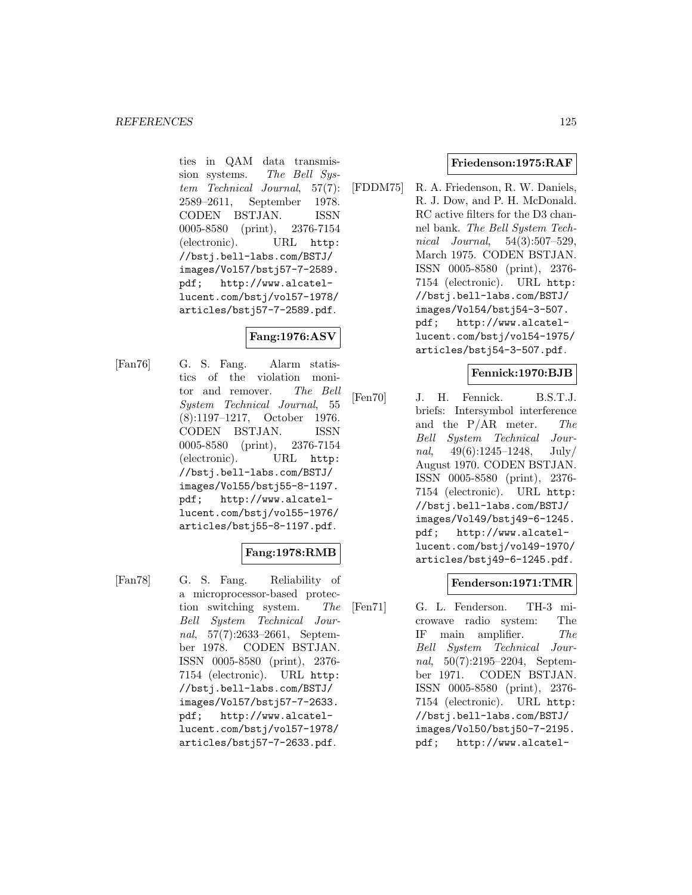ties in QAM data transmission systems. The Bell System Technical Journal, 57(7): 2589–2611, September 1978. CODEN BSTJAN. ISSN 0005-8580 (print), 2376-7154 (electronic). URL http: //bstj.bell-labs.com/BSTJ/ images/Vol57/bstj57-7-2589. pdf; http://www.alcatellucent.com/bstj/vol57-1978/ articles/bstj57-7-2589.pdf.

# **Fang:1976:ASV**

[Fan76] G. S. Fang. Alarm statistics of the violation monitor and remover. The Bell System Technical Journal, 55 (8):1197–1217, October 1976. CODEN BSTJAN. ISSN 0005-8580 (print), 2376-7154 (electronic). URL http: //bstj.bell-labs.com/BSTJ/ images/Vol55/bstj55-8-1197. pdf; http://www.alcatellucent.com/bstj/vol55-1976/ articles/bstj55-8-1197.pdf.

## **Fang:1978:RMB**

[Fan78] G. S. Fang. Reliability of a microprocessor-based protection switching system. The Bell System Technical Journal, 57(7):2633–2661, September 1978. CODEN BSTJAN. ISSN 0005-8580 (print), 2376- 7154 (electronic). URL http: //bstj.bell-labs.com/BSTJ/ images/Vol57/bstj57-7-2633. pdf; http://www.alcatellucent.com/bstj/vol57-1978/ articles/bstj57-7-2633.pdf.

### **Friedenson:1975:RAF**

[FDDM75] R. A. Friedenson, R. W. Daniels, R. J. Dow, and P. H. McDonald. RC active filters for the D3 channel bank. The Bell System Technical Journal, 54(3):507–529, March 1975. CODEN BSTJAN. ISSN 0005-8580 (print), 2376- 7154 (electronic). URL http: //bstj.bell-labs.com/BSTJ/ images/Vol54/bstj54-3-507. pdf; http://www.alcatellucent.com/bstj/vol54-1975/ articles/bstj54-3-507.pdf.

## **Fennick:1970:BJB**

[Fen70] J. H. Fennick. B.S.T.J. briefs: Intersymbol interference and the  $P/AR$  meter. The Bell System Technical Journal,  $49(6):1245-1248$ , July/ August 1970. CODEN BSTJAN. ISSN 0005-8580 (print), 2376- 7154 (electronic). URL http: //bstj.bell-labs.com/BSTJ/ images/Vol49/bstj49-6-1245. pdf; http://www.alcatellucent.com/bstj/vol49-1970/ articles/bstj49-6-1245.pdf.

### **Fenderson:1971:TMR**

[Fen71] G. L. Fenderson. TH-3 microwave radio system: The IF main amplifier. The Bell System Technical Journal, 50(7):2195–2204, September 1971. CODEN BSTJAN. ISSN 0005-8580 (print), 2376- 7154 (electronic). URL http: //bstj.bell-labs.com/BSTJ/ images/Vol50/bstj50-7-2195. pdf; http://www.alcatel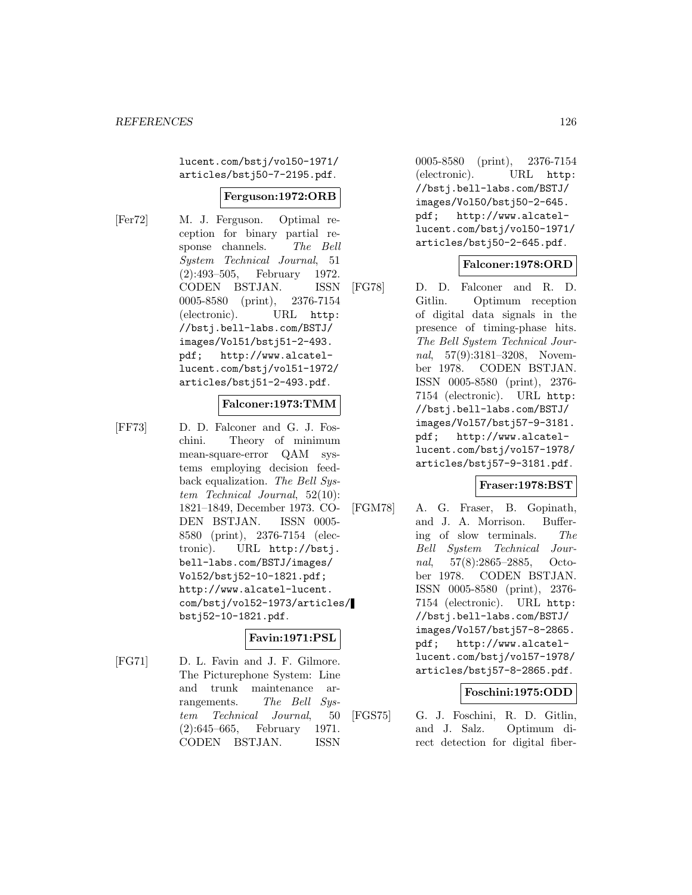lucent.com/bstj/vol50-1971/ articles/bstj50-7-2195.pdf.

#### **Ferguson:1972:ORB**

[Fer72] M. J. Ferguson. Optimal reception for binary partial response channels. The Bell System Technical Journal, 51 (2):493–505, February 1972. CODEN BSTJAN. ISSN 0005-8580 (print), 2376-7154 (electronic). URL http: //bstj.bell-labs.com/BSTJ/ images/Vol51/bstj51-2-493. pdf; http://www.alcatellucent.com/bstj/vol51-1972/ articles/bstj51-2-493.pdf.

#### **Falconer:1973:TMM**

[FF73] D. D. Falconer and G. J. Foschini. Theory of minimum mean-square-error QAM systems employing decision feedback equalization. The Bell System Technical Journal, 52(10): 1821–1849, December 1973. CO-DEN BSTJAN. ISSN 0005- 8580 (print), 2376-7154 (electronic). URL http://bstj. bell-labs.com/BSTJ/images/ Vol52/bstj52-10-1821.pdf; http://www.alcatel-lucent. com/bstj/vol52-1973/articles/ bstj52-10-1821.pdf.

### **Favin:1971:PSL**

[FG71] D. L. Favin and J. F. Gilmore. The Picturephone System: Line and trunk maintenance arrangements. The Bell System Technical Journal, 50 (2):645–665, February 1971. CODEN BSTJAN. ISSN

0005-8580 (print), 2376-7154 (electronic). URL http: //bstj.bell-labs.com/BSTJ/ images/Vol50/bstj50-2-645. pdf; http://www.alcatellucent.com/bstj/vol50-1971/ articles/bstj50-2-645.pdf.

### **Falconer:1978:ORD**

[FG78] D. D. Falconer and R. D. Gitlin. Optimum reception of digital data signals in the presence of timing-phase hits. The Bell System Technical Journal, 57(9):3181-3208, November 1978. CODEN BSTJAN. ISSN 0005-8580 (print), 2376- 7154 (electronic). URL http: //bstj.bell-labs.com/BSTJ/ images/Vol57/bstj57-9-3181. pdf; http://www.alcatellucent.com/bstj/vol57-1978/ articles/bstj57-9-3181.pdf.

### **Fraser:1978:BST**

[FGM78] A. G. Fraser, B. Gopinath, and J. A. Morrison. Buffering of slow terminals. The Bell System Technical Journal, 57(8):2865–2885, October 1978. CODEN BSTJAN. ISSN 0005-8580 (print), 2376- 7154 (electronic). URL http: //bstj.bell-labs.com/BSTJ/ images/Vol57/bstj57-8-2865. pdf; http://www.alcatellucent.com/bstj/vol57-1978/ articles/bstj57-8-2865.pdf.

### **Foschini:1975:ODD**

[FGS75] G. J. Foschini, R. D. Gitlin, and J. Salz. Optimum direct detection for digital fiber-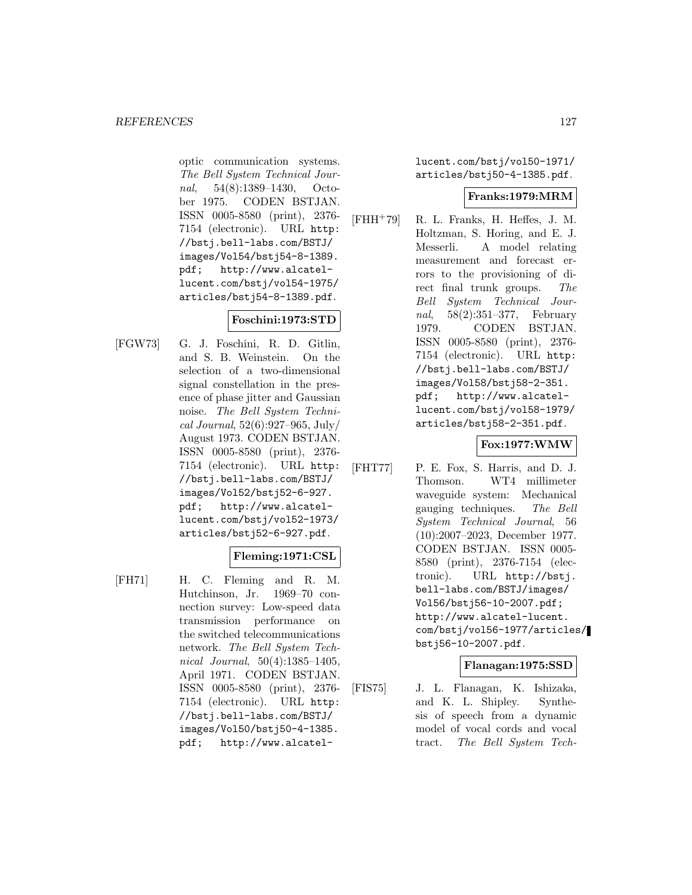optic communication systems. The Bell System Technical Journal, 54(8):1389–1430, October 1975. CODEN BSTJAN. ISSN 0005-8580 (print), 2376- 7154 (electronic). URL http: //bstj.bell-labs.com/BSTJ/ images/Vol54/bstj54-8-1389. pdf; http://www.alcatellucent.com/bstj/vol54-1975/ articles/bstj54-8-1389.pdf.

## **Foschini:1973:STD**

[FGW73] G. J. Foschini, R. D. Gitlin, and S. B. Weinstein. On the selection of a two-dimensional signal constellation in the presence of phase jitter and Gaussian noise. The Bell System Technical Journal, 52(6):927–965, July/ August 1973. CODEN BSTJAN. ISSN 0005-8580 (print), 2376- 7154 (electronic). URL http: //bstj.bell-labs.com/BSTJ/ images/Vol52/bstj52-6-927. pdf; http://www.alcatellucent.com/bstj/vol52-1973/ articles/bstj52-6-927.pdf.

### **Fleming:1971:CSL**

[FH71] H. C. Fleming and R. M. Hutchinson, Jr. 1969–70 connection survey: Low-speed data transmission performance on the switched telecommunications network. The Bell System Technical Journal, 50(4):1385–1405, April 1971. CODEN BSTJAN. ISSN 0005-8580 (print), 2376- 7154 (electronic). URL http: //bstj.bell-labs.com/BSTJ/ images/Vol50/bstj50-4-1385. pdf; http://www.alcatellucent.com/bstj/vol50-1971/ articles/bstj50-4-1385.pdf.

### **Franks:1979:MRM**

[FHH<sup>+</sup>79] R. L. Franks, H. Heffes, J. M. Holtzman, S. Horing, and E. J. Messerli. A model relating measurement and forecast errors to the provisioning of direct final trunk groups. The Bell System Technical Journal, 58(2):351–377, February 1979. CODEN BSTJAN. ISSN 0005-8580 (print), 2376- 7154 (electronic). URL http: //bstj.bell-labs.com/BSTJ/ images/Vol58/bstj58-2-351. pdf; http://www.alcatellucent.com/bstj/vol58-1979/ articles/bstj58-2-351.pdf.

### **Fox:1977:WMW**

[FHT77] P. E. Fox, S. Harris, and D. J. Thomson. WT4 millimeter waveguide system: Mechanical gauging techniques. The Bell System Technical Journal, 56 (10):2007–2023, December 1977. CODEN BSTJAN. ISSN 0005- 8580 (print), 2376-7154 (electronic). URL http://bstj. bell-labs.com/BSTJ/images/ Vol56/bstj56-10-2007.pdf; http://www.alcatel-lucent. com/bstj/vol56-1977/articles/ bstj56-10-2007.pdf.

### **Flanagan:1975:SSD**

[FIS75] J. L. Flanagan, K. Ishizaka, and K. L. Shipley. Synthesis of speech from a dynamic model of vocal cords and vocal tract. The Bell System Tech-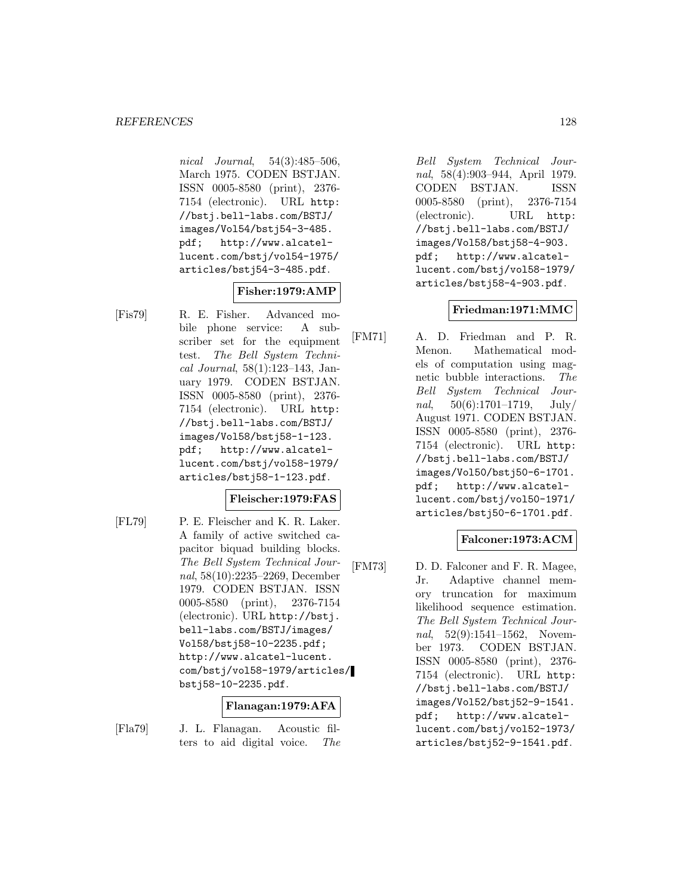nical Journal, 54(3):485–506, March 1975. CODEN BSTJAN. ISSN 0005-8580 (print), 2376- 7154 (electronic). URL http: //bstj.bell-labs.com/BSTJ/ images/Vol54/bstj54-3-485. pdf; http://www.alcatellucent.com/bstj/vol54-1975/ articles/bstj54-3-485.pdf.

# **Fisher:1979:AMP**

[Fis79] R. E. Fisher. Advanced mobile phone service: A subscriber set for the equipment test. The Bell System Technical Journal, 58(1):123–143, January 1979. CODEN BSTJAN. ISSN 0005-8580 (print), 2376- 7154 (electronic). URL http: //bstj.bell-labs.com/BSTJ/ images/Vol58/bstj58-1-123. pdf; http://www.alcatellucent.com/bstj/vol58-1979/ articles/bstj58-1-123.pdf.

## **Fleischer:1979:FAS**

[FL79] P. E. Fleischer and K. R. Laker. A family of active switched capacitor biquad building blocks. The Bell System Technical Journal, 58(10):2235–2269, December 1979. CODEN BSTJAN. ISSN 0005-8580 (print), 2376-7154 (electronic). URL http://bstj. bell-labs.com/BSTJ/images/ Vol58/bstj58-10-2235.pdf; http://www.alcatel-lucent. com/bstj/vol58-1979/articles/ bstj58-10-2235.pdf.

### **Flanagan:1979:AFA**

[Fla79] J. L. Flanagan. Acoustic filters to aid digital voice. The

Bell System Technical Journal, 58(4):903–944, April 1979. CODEN BSTJAN. ISSN 0005-8580 (print), 2376-7154 (electronic). URL http: //bstj.bell-labs.com/BSTJ/ images/Vol58/bstj58-4-903. pdf; http://www.alcatellucent.com/bstj/vol58-1979/ articles/bstj58-4-903.pdf.

### **Friedman:1971:MMC**

[FM71] A. D. Friedman and P. R. Menon. Mathematical models of computation using magnetic bubble interactions. The Bell System Technical Journal,  $50(6):1701-1719$ , July/ August 1971. CODEN BSTJAN. ISSN 0005-8580 (print), 2376- 7154 (electronic). URL http: //bstj.bell-labs.com/BSTJ/ images/Vol50/bstj50-6-1701. pdf; http://www.alcatellucent.com/bstj/vol50-1971/ articles/bstj50-6-1701.pdf.

## **Falconer:1973:ACM**

[FM73] D. D. Falconer and F. R. Magee, Jr. Adaptive channel memory truncation for maximum likelihood sequence estimation. The Bell System Technical Journal, 52(9):1541-1562, November 1973. CODEN BSTJAN. ISSN 0005-8580 (print), 2376- 7154 (electronic). URL http: //bstj.bell-labs.com/BSTJ/ images/Vol52/bstj52-9-1541. pdf; http://www.alcatellucent.com/bstj/vol52-1973/ articles/bstj52-9-1541.pdf.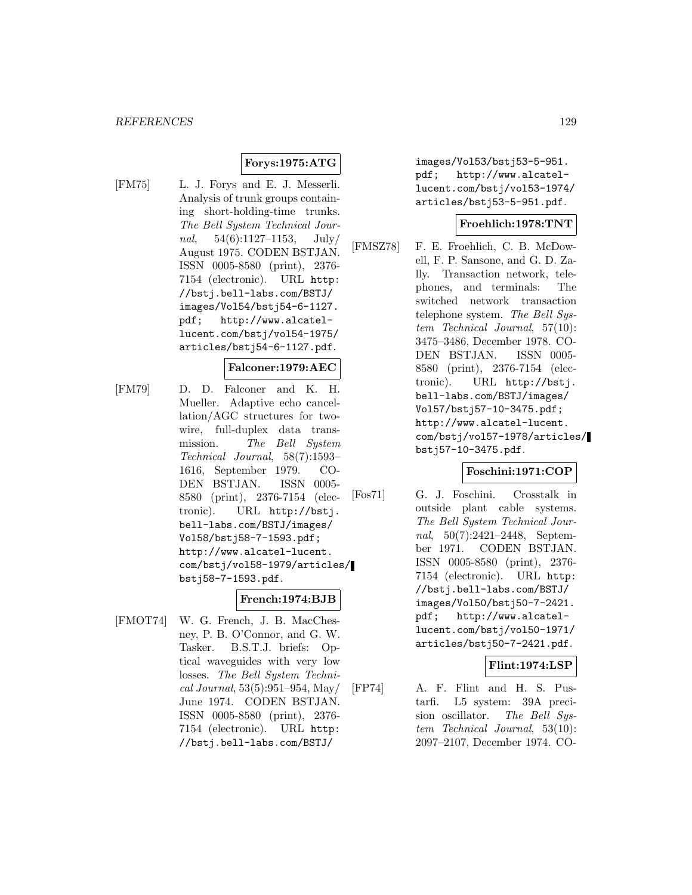## **Forys:1975:ATG**

[FM75] L. J. Forys and E. J. Messerli. Analysis of trunk groups containing short-holding-time trunks. The Bell System Technical Journal,  $54(6):1127-1153$ ,  $\text{July}/$ August 1975. CODEN BSTJAN. ISSN 0005-8580 (print), 2376- 7154 (electronic). URL http: //bstj.bell-labs.com/BSTJ/ images/Vol54/bstj54-6-1127. pdf; http://www.alcatellucent.com/bstj/vol54-1975/ articles/bstj54-6-1127.pdf.

### **Falconer:1979:AEC**

[FM79] D. D. Falconer and K. H. Mueller. Adaptive echo cancellation/AGC structures for twowire, full-duplex data transmission. The Bell System Technical Journal, 58(7):1593– 1616, September 1979. CO-DEN BSTJAN. ISSN 0005- 8580 (print), 2376-7154 (electronic). URL http://bstj. bell-labs.com/BSTJ/images/ Vol58/bstj58-7-1593.pdf; http://www.alcatel-lucent. com/bstj/vol58-1979/articles/ bstj58-7-1593.pdf.

#### **French:1974:BJB**

[FMOT74] W. G. French, J. B. MacChesney, P. B. O'Connor, and G. W. Tasker. B.S.T.J. briefs: Optical waveguides with very low losses. The Bell System Technical Journal, 53(5):951–954, May/ June 1974. CODEN BSTJAN. ISSN 0005-8580 (print), 2376- 7154 (electronic). URL http: //bstj.bell-labs.com/BSTJ/

images/Vol53/bstj53-5-951. pdf; http://www.alcatellucent.com/bstj/vol53-1974/ articles/bstj53-5-951.pdf.

### **Froehlich:1978:TNT**

[FMSZ78] F. E. Froehlich, C. B. McDowell, F. P. Sansone, and G. D. Zally. Transaction network, telephones, and terminals: The switched network transaction telephone system. The Bell System Technical Journal, 57(10): 3475–3486, December 1978. CO-DEN BSTJAN. ISSN 0005- 8580 (print), 2376-7154 (electronic). URL http://bstj. bell-labs.com/BSTJ/images/ Vol57/bstj57-10-3475.pdf; http://www.alcatel-lucent. com/bstj/vol57-1978/articles/ bstj57-10-3475.pdf.

### **Foschini:1971:COP**

[Fos71] G. J. Foschini. Crosstalk in outside plant cable systems. The Bell System Technical Journal, 50(7):2421–2448, September 1971. CODEN BSTJAN. ISSN 0005-8580 (print), 2376- 7154 (electronic). URL http: //bstj.bell-labs.com/BSTJ/ images/Vol50/bstj50-7-2421. pdf; http://www.alcatellucent.com/bstj/vol50-1971/ articles/bstj50-7-2421.pdf.

### **Flint:1974:LSP**

[FP74] A. F. Flint and H. S. Pustarfi. L5 system: 39A precision oscillator. The Bell System Technical Journal, 53(10): 2097–2107, December 1974. CO-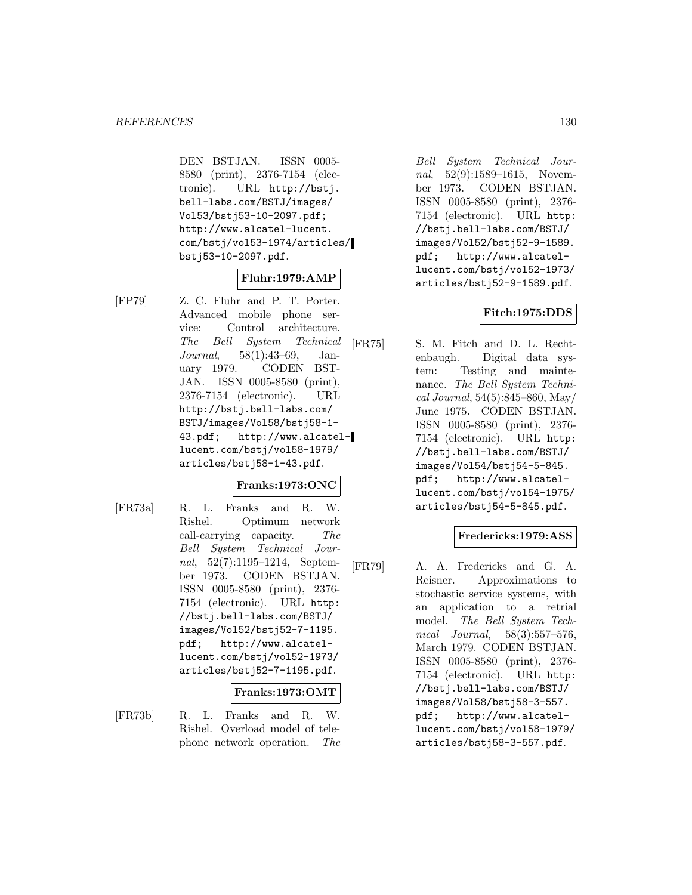DEN BSTJAN. ISSN 0005- 8580 (print), 2376-7154 (electronic). URL http://bstj. bell-labs.com/BSTJ/images/ Vol53/bstj53-10-2097.pdf; http://www.alcatel-lucent. com/bstj/vol53-1974/articles/ bstj53-10-2097.pdf.

## **Fluhr:1979:AMP**

[FP79] Z. C. Fluhr and P. T. Porter. Advanced mobile phone service: Control architecture. The Bell System Technical Journal, 58(1):43–69, January 1979. CODEN BST-JAN. ISSN 0005-8580 (print), 2376-7154 (electronic). URL http://bstj.bell-labs.com/ BSTJ/images/Vol58/bstj58-1- 43.pdf; http://www.alcatellucent.com/bstj/vol58-1979/ articles/bstj58-1-43.pdf.

### **Franks:1973:ONC**

[FR73a] R. L. Franks and R. W. Rishel. Optimum network call-carrying capacity. The Bell System Technical Journal, 52(7):1195–1214, September 1973. CODEN BSTJAN. ISSN 0005-8580 (print), 2376- 7154 (electronic). URL http: //bstj.bell-labs.com/BSTJ/ images/Vol52/bstj52-7-1195. pdf; http://www.alcatellucent.com/bstj/vol52-1973/ articles/bstj52-7-1195.pdf.

### **Franks:1973:OMT**

[FR73b] R. L. Franks and R. W. Rishel. Overload model of telephone network operation. The

Bell System Technical Journal, 52(9):1589–1615, November 1973. CODEN BSTJAN. ISSN 0005-8580 (print), 2376- 7154 (electronic). URL http: //bstj.bell-labs.com/BSTJ/ images/Vol52/bstj52-9-1589. pdf; http://www.alcatellucent.com/bstj/vol52-1973/ articles/bstj52-9-1589.pdf.

### **Fitch:1975:DDS**

[FR75] S. M. Fitch and D. L. Rechtenbaugh. Digital data system: Testing and maintenance. The Bell System Technical Journal, 54(5):845–860, May/ June 1975. CODEN BSTJAN. ISSN 0005-8580 (print), 2376- 7154 (electronic). URL http: //bstj.bell-labs.com/BSTJ/ images/Vol54/bstj54-5-845. pdf; http://www.alcatellucent.com/bstj/vol54-1975/ articles/bstj54-5-845.pdf.

### **Fredericks:1979:ASS**

[FR79] A. A. Fredericks and G. A. Reisner. Approximations to stochastic service systems, with an application to a retrial model. The Bell System Technical Journal, 58(3):557–576, March 1979. CODEN BSTJAN. ISSN 0005-8580 (print), 2376- 7154 (electronic). URL http: //bstj.bell-labs.com/BSTJ/ images/Vol58/bstj58-3-557. pdf; http://www.alcatellucent.com/bstj/vol58-1979/ articles/bstj58-3-557.pdf.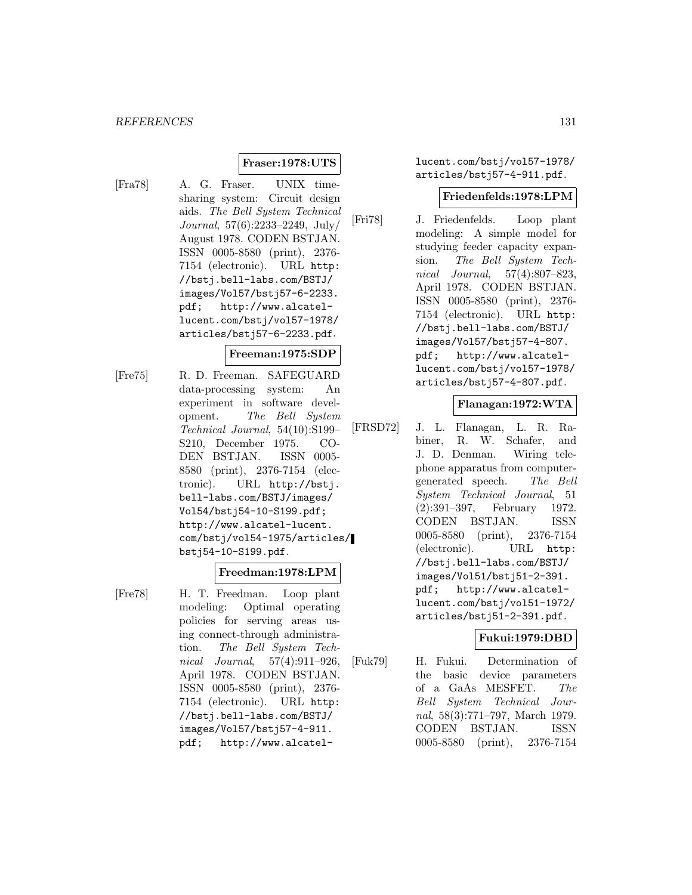## **Fraser:1978:UTS**

[Fra78] A. G. Fraser. UNIX timesharing system: Circuit design aids. The Bell System Technical Journal, 57(6):2233–2249, July/ August 1978. CODEN BSTJAN. ISSN 0005-8580 (print), 2376- 7154 (electronic). URL http: //bstj.bell-labs.com/BSTJ/ images/Vol57/bstj57-6-2233. pdf; http://www.alcatellucent.com/bstj/vol57-1978/ articles/bstj57-6-2233.pdf.

### **Freeman:1975:SDP**

[Fre75] R. D. Freeman. SAFEGUARD data-processing system: An experiment in software development. The Bell System Technical Journal, 54(10):S199– S210, December 1975. CO-DEN BSTJAN. ISSN 0005- 8580 (print), 2376-7154 (electronic). URL http://bstj. bell-labs.com/BSTJ/images/ Vol54/bstj54-10-S199.pdf; http://www.alcatel-lucent. com/bstj/vol54-1975/articles/ bstj54-10-S199.pdf.

### **Freedman:1978:LPM**

[Fre78] H. T. Freedman. Loop plant modeling: Optimal operating policies for serving areas using connect-through administration. The Bell System Technical Journal, 57(4):911–926, April 1978. CODEN BSTJAN. ISSN 0005-8580 (print), 2376- 7154 (electronic). URL http: //bstj.bell-labs.com/BSTJ/ images/Vol57/bstj57-4-911. pdf; http://www.alcatellucent.com/bstj/vol57-1978/ articles/bstj57-4-911.pdf.

#### **Friedenfelds:1978:LPM**

[Fri78] J. Friedenfelds. Loop plant modeling: A simple model for studying feeder capacity expansion. The Bell System Technical Journal, 57(4):807–823, April 1978. CODEN BSTJAN. ISSN 0005-8580 (print), 2376- 7154 (electronic). URL http: //bstj.bell-labs.com/BSTJ/ images/Vol57/bstj57-4-807. pdf; http://www.alcatellucent.com/bstj/vol57-1978/ articles/bstj57-4-807.pdf.

### **Flanagan:1972:WTA**

[FRSD72] J. L. Flanagan, L. R. Rabiner, R. W. Schafer, and J. D. Denman. Wiring telephone apparatus from computergenerated speech. The Bell System Technical Journal, 51 (2):391–397, February 1972. CODEN BSTJAN. ISSN 0005-8580 (print), 2376-7154 (electronic). URL http: //bstj.bell-labs.com/BSTJ/ images/Vol51/bstj51-2-391. pdf; http://www.alcatellucent.com/bstj/vol51-1972/ articles/bstj51-2-391.pdf.

#### **Fukui:1979:DBD**

[Fuk79] H. Fukui. Determination of the basic device parameters of a GaAs MESFET. The Bell System Technical Journal, 58(3):771–797, March 1979. CODEN BSTJAN. ISSN 0005-8580 (print), 2376-7154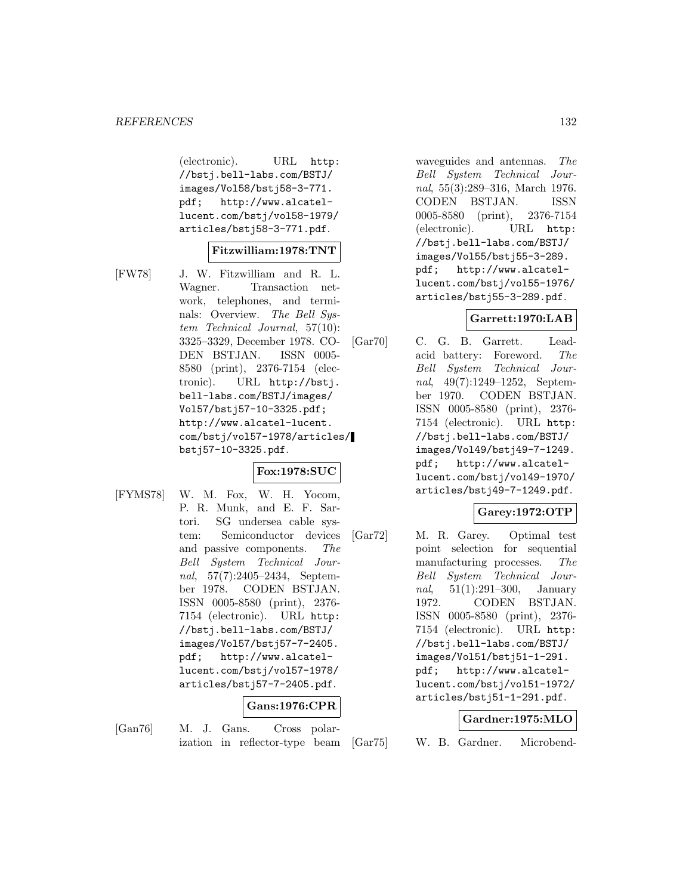(electronic). URL http: //bstj.bell-labs.com/BSTJ/ images/Vol58/bstj58-3-771. pdf; http://www.alcatellucent.com/bstj/vol58-1979/ articles/bstj58-3-771.pdf.

### **Fitzwilliam:1978:TNT**

[FW78] J. W. Fitzwilliam and R. L. Wagner. Transaction network, telephones, and terminals: Overview. The Bell System Technical Journal, 57(10): 3325–3329, December 1978. CO-DEN BSTJAN. ISSN 0005- 8580 (print), 2376-7154 (electronic). URL http://bstj. bell-labs.com/BSTJ/images/ Vol57/bstj57-10-3325.pdf; http://www.alcatel-lucent. com/bstj/vol57-1978/articles/ bstj57-10-3325.pdf.

### **Fox:1978:SUC**

[FYMS78] W. M. Fox, W. H. Yocom, P. R. Munk, and E. F. Sartori. SG undersea cable system: Semiconductor devices and passive components. The Bell System Technical Journal, 57(7):2405–2434, September 1978. CODEN BSTJAN. ISSN 0005-8580 (print), 2376- 7154 (electronic). URL http: //bstj.bell-labs.com/BSTJ/ images/Vol57/bstj57-7-2405. pdf; http://www.alcatellucent.com/bstj/vol57-1978/ articles/bstj57-7-2405.pdf.

### **Gans:1976:CPR**

[Gan76] M. J. Gans. Cross polarization in reflector-type beam waveguides and antennas. The Bell System Technical Journal, 55(3):289–316, March 1976. CODEN BSTJAN. ISSN 0005-8580 (print), 2376-7154 (electronic). URL http: //bstj.bell-labs.com/BSTJ/ images/Vol55/bstj55-3-289. pdf; http://www.alcatellucent.com/bstj/vol55-1976/ articles/bstj55-3-289.pdf.

## **Garrett:1970:LAB**

[Gar70] C. G. B. Garrett. Leadacid battery: Foreword. The Bell System Technical Journal, 49(7):1249–1252, September 1970. CODEN BSTJAN. ISSN 0005-8580 (print), 2376- 7154 (electronic). URL http: //bstj.bell-labs.com/BSTJ/ images/Vol49/bstj49-7-1249. pdf; http://www.alcatellucent.com/bstj/vol49-1970/ articles/bstj49-7-1249.pdf.

### **Garey:1972:OTP**

[Gar72] M. R. Garey. Optimal test point selection for sequential manufacturing processes. The Bell System Technical Journal, 51(1):291–300, January 1972. CODEN BSTJAN. ISSN 0005-8580 (print), 2376- 7154 (electronic). URL http: //bstj.bell-labs.com/BSTJ/ images/Vol51/bstj51-1-291. pdf; http://www.alcatellucent.com/bstj/vol51-1972/ articles/bstj51-1-291.pdf.

### **Gardner:1975:MLO**

[Gar75] W. B. Gardner. Microbend-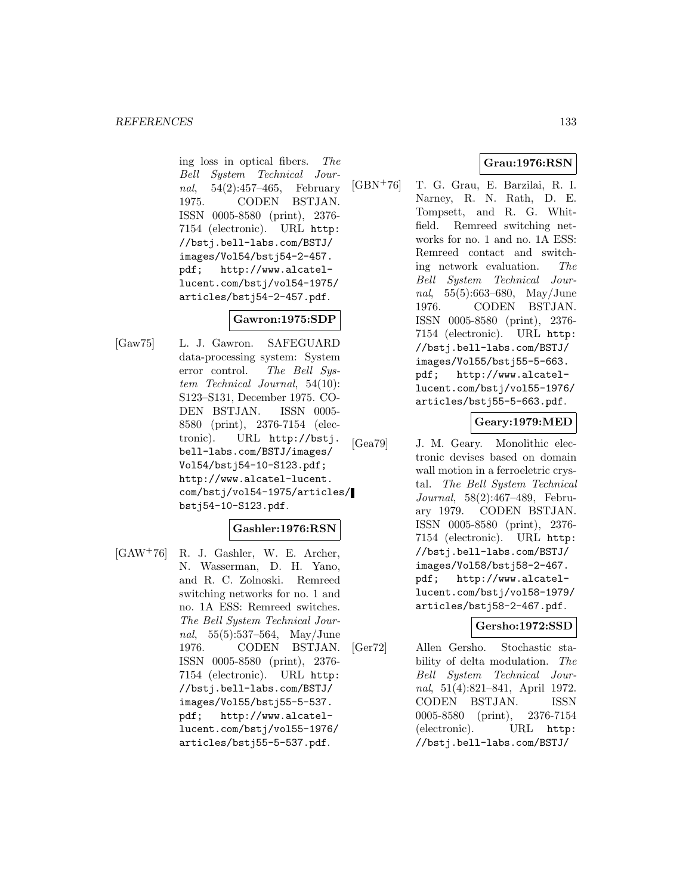ing loss in optical fibers. The Bell System Technical Journal, 54(2):457–465, February 1975. CODEN BSTJAN. ISSN 0005-8580 (print), 2376- 7154 (electronic). URL http: //bstj.bell-labs.com/BSTJ/ images/Vol54/bstj54-2-457. pdf; http://www.alcatellucent.com/bstj/vol54-1975/ articles/bstj54-2-457.pdf.

### **Gawron:1975:SDP**

[Gaw75] L. J. Gawron. SAFEGUARD data-processing system: System error control. The Bell System Technical Journal, 54(10): S123–S131, December 1975. CO-DEN BSTJAN. ISSN 0005- 8580 (print), 2376-7154 (electronic). URL http://bstj. bell-labs.com/BSTJ/images/ Vol54/bstj54-10-S123.pdf; http://www.alcatel-lucent. com/bstj/vol54-1975/articles/ bstj54-10-S123.pdf.

### **Gashler:1976:RSN**

[GAW<sup>+</sup>76] R. J. Gashler, W. E. Archer, N. Wasserman, D. H. Yano, and R. C. Zolnoski. Remreed switching networks for no. 1 and no. 1A ESS: Remreed switches. The Bell System Technical Journal, 55(5):537–564, May/June 1976. CODEN BSTJAN. ISSN 0005-8580 (print), 2376- 7154 (electronic). URL http: //bstj.bell-labs.com/BSTJ/ images/Vol55/bstj55-5-537. pdf; http://www.alcatellucent.com/bstj/vol55-1976/ articles/bstj55-5-537.pdf.

### **Grau:1976:RSN**

[GBN<sup>+</sup>76] T. G. Grau, E. Barzilai, R. I. Narney, R. N. Rath, D. E. Tompsett, and R. G. Whitfield. Remreed switching networks for no. 1 and no. 1A ESS: Remreed contact and switching network evaluation. The Bell System Technical Journal, 55(5):663–680, May/June 1976. CODEN BSTJAN. ISSN 0005-8580 (print), 2376- 7154 (electronic). URL http: //bstj.bell-labs.com/BSTJ/ images/Vol55/bstj55-5-663. pdf; http://www.alcatellucent.com/bstj/vol55-1976/ articles/bstj55-5-663.pdf.

### **Geary:1979:MED**

[Gea79] J. M. Geary. Monolithic electronic devises based on domain wall motion in a ferroeletric crystal. The Bell System Technical Journal, 58(2):467–489, February 1979. CODEN BSTJAN. ISSN 0005-8580 (print), 2376- 7154 (electronic). URL http: //bstj.bell-labs.com/BSTJ/ images/Vol58/bstj58-2-467. pdf; http://www.alcatellucent.com/bstj/vol58-1979/ articles/bstj58-2-467.pdf.

### **Gersho:1972:SSD**

[Ger72] Allen Gersho. Stochastic stability of delta modulation. The Bell System Technical Journal, 51(4):821–841, April 1972. CODEN BSTJAN. ISSN 0005-8580 (print), 2376-7154 (electronic). URL http: //bstj.bell-labs.com/BSTJ/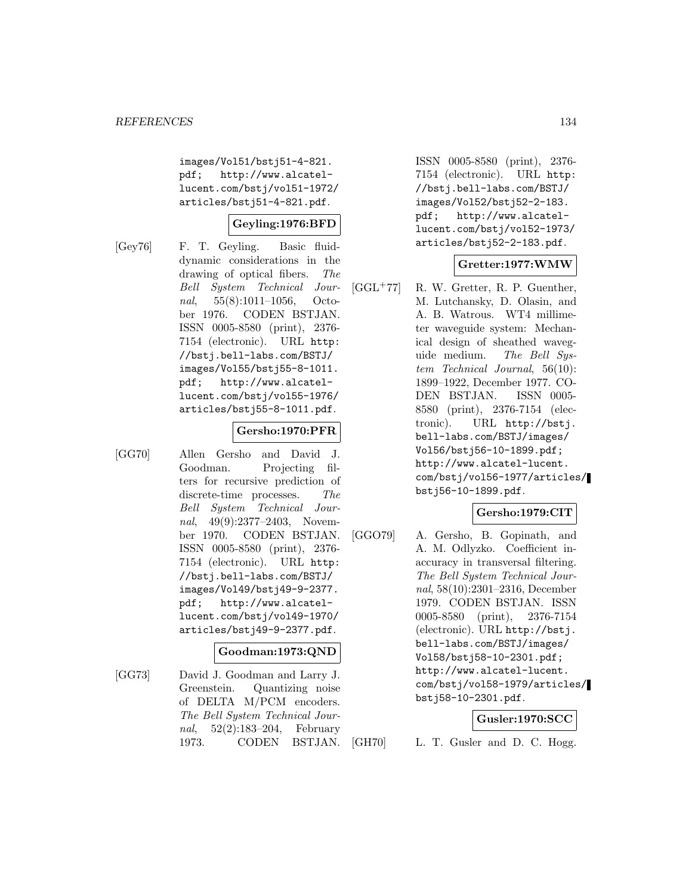images/Vol51/bstj51-4-821. pdf; http://www.alcatellucent.com/bstj/vol51-1972/ articles/bstj51-4-821.pdf.

### **Geyling:1976:BFD**

[Gey76] F. T. Geyling. Basic fluiddynamic considerations in the drawing of optical fibers. The Bell System Technical Journal, 55(8):1011–1056, October 1976. CODEN BSTJAN. ISSN 0005-8580 (print), 2376- 7154 (electronic). URL http: //bstj.bell-labs.com/BSTJ/ images/Vol55/bstj55-8-1011. pdf; http://www.alcatellucent.com/bstj/vol55-1976/ articles/bstj55-8-1011.pdf.

### **Gersho:1970:PFR**

[GG70] Allen Gersho and David J. Goodman. Projecting filters for recursive prediction of discrete-time processes. The Bell System Technical Journal, 49(9):2377–2403, November 1970. CODEN BSTJAN. ISSN 0005-8580 (print), 2376- 7154 (electronic). URL http: //bstj.bell-labs.com/BSTJ/ images/Vol49/bstj49-9-2377. pdf; http://www.alcatellucent.com/bstj/vol49-1970/ articles/bstj49-9-2377.pdf.

## **Goodman:1973:QND**

[GG73] David J. Goodman and Larry J. Greenstein. Quantizing noise of DELTA M/PCM encoders. The Bell System Technical Journal, 52(2):183–204, February 1973. CODEN BSTJAN. ISSN 0005-8580 (print), 2376- 7154 (electronic). URL http: //bstj.bell-labs.com/BSTJ/ images/Vol52/bstj52-2-183. pdf; http://www.alcatellucent.com/bstj/vol52-1973/ articles/bstj52-2-183.pdf.

### **Gretter:1977:WMW**

[GGL<sup>+</sup>77] R. W. Gretter, R. P. Guenther, M. Lutchansky, D. Olasin, and A. B. Watrous. WT4 millimeter waveguide system: Mechanical design of sheathed waveguide medium. The Bell System Technical Journal, 56(10): 1899–1922, December 1977. CO-DEN BSTJAN. ISSN 0005- 8580 (print), 2376-7154 (electronic). URL http://bstj. bell-labs.com/BSTJ/images/ Vol56/bstj56-10-1899.pdf; http://www.alcatel-lucent. com/bstj/vol56-1977/articles/ bstj56-10-1899.pdf.

### **Gersho:1979:CIT**

[GGO79] A. Gersho, B. Gopinath, and A. M. Odlyzko. Coefficient inaccuracy in transversal filtering. The Bell System Technical Journal, 58(10):2301–2316, December 1979. CODEN BSTJAN. ISSN 0005-8580 (print), 2376-7154 (electronic). URL http://bstj. bell-labs.com/BSTJ/images/ Vol58/bstj58-10-2301.pdf; http://www.alcatel-lucent. com/bstj/vol58-1979/articles/ bstj58-10-2301.pdf.

### **Gusler:1970:SCC**

[GH70] L. T. Gusler and D. C. Hogg.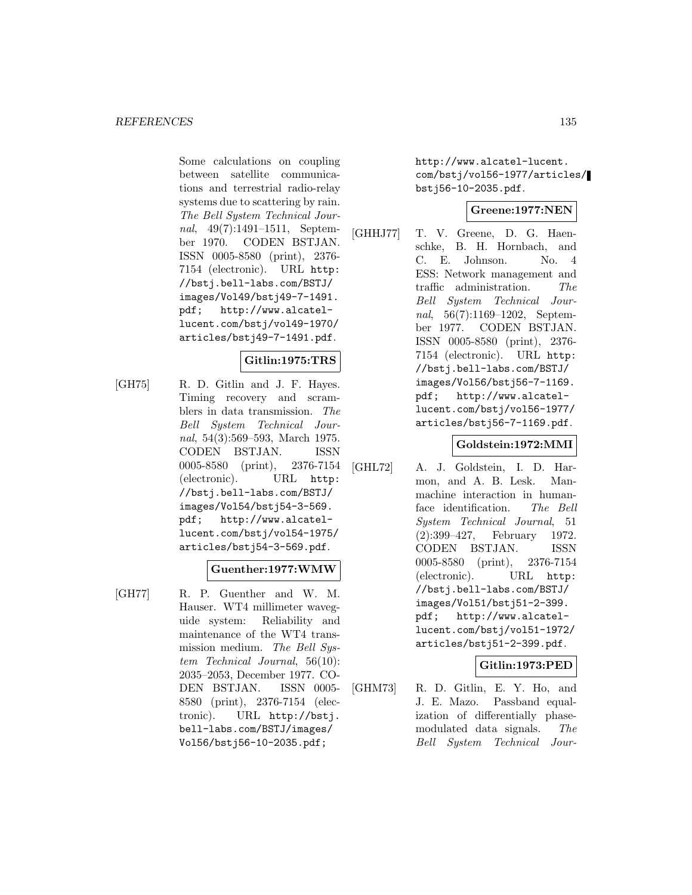Some calculations on coupling between satellite communications and terrestrial radio-relay systems due to scattering by rain. The Bell System Technical Journal, 49(7):1491–1511, September 1970. CODEN BSTJAN. ISSN 0005-8580 (print), 2376- 7154 (electronic). URL http: //bstj.bell-labs.com/BSTJ/ images/Vol49/bstj49-7-1491. pdf; http://www.alcatellucent.com/bstj/vol49-1970/ articles/bstj49-7-1491.pdf.

## **Gitlin:1975:TRS**

[GH75] R. D. Gitlin and J. F. Hayes. Timing recovery and scramblers in data transmission. The Bell System Technical Journal, 54(3):569–593, March 1975. CODEN BSTJAN. ISSN 0005-8580 (print), 2376-7154 (electronic). URL http: //bstj.bell-labs.com/BSTJ/ images/Vol54/bstj54-3-569. pdf; http://www.alcatellucent.com/bstj/vol54-1975/ articles/bstj54-3-569.pdf.

## **Guenther:1977:WMW**

[GH77] R. P. Guenther and W. M. Hauser. WT4 millimeter waveguide system: Reliability and maintenance of the WT4 transmission medium. The Bell System Technical Journal, 56(10): 2035–2053, December 1977. CO-DEN BSTJAN. ISSN 0005- 8580 (print), 2376-7154 (electronic). URL http://bstj. bell-labs.com/BSTJ/images/ Vol56/bstj56-10-2035.pdf;

http://www.alcatel-lucent. com/bstj/vol56-1977/articles/ bstj56-10-2035.pdf.

### **Greene:1977:NEN**

[GHHJ77] T. V. Greene, D. G. Haenschke, B. H. Hornbach, and C. E. Johnson. No. 4 ESS: Network management and traffic administration. The Bell System Technical Journal, 56(7):1169–1202, September 1977. CODEN BSTJAN. ISSN 0005-8580 (print), 2376- 7154 (electronic). URL http: //bstj.bell-labs.com/BSTJ/ images/Vol56/bstj56-7-1169. pdf; http://www.alcatellucent.com/bstj/vol56-1977/ articles/bstj56-7-1169.pdf.

### **Goldstein:1972:MMI**

[GHL72] A. J. Goldstein, I. D. Harmon, and A. B. Lesk. Manmachine interaction in humanface identification. The Bell System Technical Journal, 51 (2):399–427, February 1972. CODEN BSTJAN. ISSN 0005-8580 (print), 2376-7154 (electronic). URL http: //bstj.bell-labs.com/BSTJ/ images/Vol51/bstj51-2-399. pdf; http://www.alcatellucent.com/bstj/vol51-1972/ articles/bstj51-2-399.pdf.

## **Gitlin:1973:PED**

[GHM73] R. D. Gitlin, E. Y. Ho, and J. E. Mazo. Passband equalization of differentially phasemodulated data signals. The Bell System Technical Jour-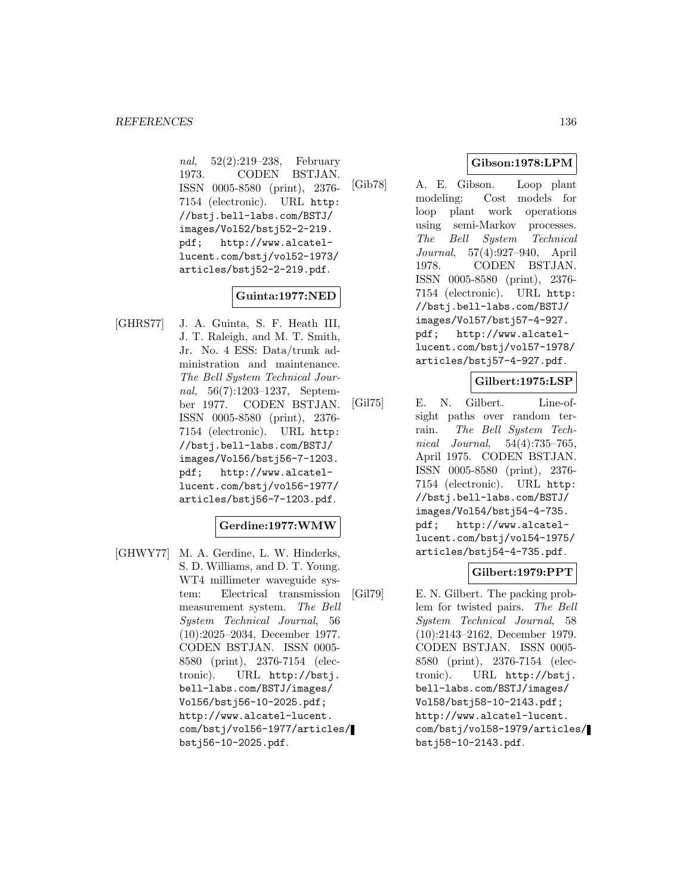nal, 52(2):219–238, February 1973. CODEN BSTJAN. ISSN 0005-8580 (print), 2376- 7154 (electronic). URL http: //bstj.bell-labs.com/BSTJ/ images/Vol52/bstj52-2-219. pdf; http://www.alcatellucent.com/bstj/vol52-1973/ articles/bstj52-2-219.pdf.

### **Guinta:1977:NED**

[GHRS77] J. A. Guinta, S. F. Heath III, J. T. Raleigh, and M. T. Smith, Jr. No. 4 ESS: Data/trunk administration and maintenance. The Bell System Technical Journal, 56(7):1203–1237, September 1977. CODEN BSTJAN. ISSN 0005-8580 (print), 2376- 7154 (electronic). URL http: //bstj.bell-labs.com/BSTJ/ images/Vol56/bstj56-7-1203. pdf; http://www.alcatellucent.com/bstj/vol56-1977/ articles/bstj56-7-1203.pdf.

## **Gerdine:1977:WMW**

[GHWY77] M. A. Gerdine, L. W. Hinderks, S. D. Williams, and D. T. Young. WT4 millimeter waveguide system: Electrical transmission measurement system. The Bell System Technical Journal, 56 (10):2025–2034, December 1977. CODEN BSTJAN. ISSN 0005- 8580 (print), 2376-7154 (electronic). URL http://bstj. bell-labs.com/BSTJ/images/ Vol56/bstj56-10-2025.pdf; http://www.alcatel-lucent. com/bstj/vol56-1977/articles/ bstj56-10-2025.pdf.

## **Gibson:1978:LPM**

[Gib78] A. E. Gibson. Loop plant modeling: Cost models for loop plant work operations using semi-Markov processes. The Bell System Technical Journal, 57(4):927–940, April 1978. CODEN BSTJAN. ISSN 0005-8580 (print), 2376- 7154 (electronic). URL http: //bstj.bell-labs.com/BSTJ/ images/Vol57/bstj57-4-927. pdf; http://www.alcatellucent.com/bstj/vol57-1978/ articles/bstj57-4-927.pdf.

### **Gilbert:1975:LSP**

[Gil75] E. N. Gilbert. Line-ofsight paths over random terrain. The Bell System Technical Journal, 54(4):735–765, April 1975. CODEN BSTJAN. ISSN 0005-8580 (print), 2376- 7154 (electronic). URL http: //bstj.bell-labs.com/BSTJ/ images/Vol54/bstj54-4-735. pdf; http://www.alcatellucent.com/bstj/vol54-1975/ articles/bstj54-4-735.pdf.

## **Gilbert:1979:PPT**

[Gil79] E. N. Gilbert. The packing problem for twisted pairs. The Bell System Technical Journal, 58 (10):2143–2162, December 1979. CODEN BSTJAN. ISSN 0005- 8580 (print), 2376-7154 (electronic). URL http://bstj. bell-labs.com/BSTJ/images/ Vol58/bstj58-10-2143.pdf; http://www.alcatel-lucent. com/bstj/vol58-1979/articles/ bstj58-10-2143.pdf.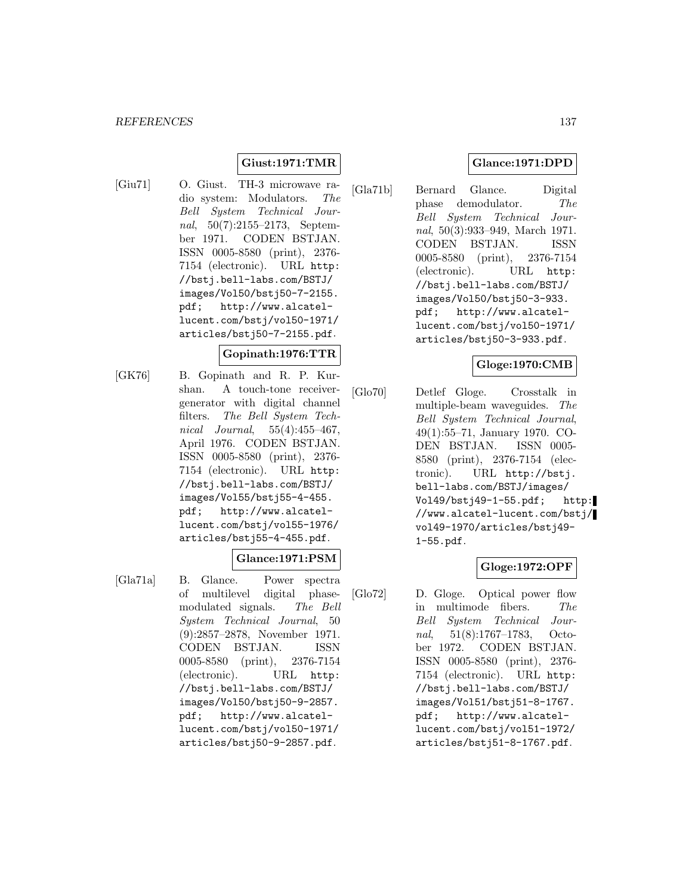# **Giust:1971:TMR**

[Giu71] O. Giust. TH-3 microwave radio system: Modulators. The Bell System Technical Journal, 50(7):2155–2173, September 1971. CODEN BSTJAN. ISSN 0005-8580 (print), 2376- 7154 (electronic). URL http: //bstj.bell-labs.com/BSTJ/ images/Vol50/bstj50-7-2155. pdf; http://www.alcatellucent.com/bstj/vol50-1971/ articles/bstj50-7-2155.pdf.

### **Gopinath:1976:TTR**

[GK76] B. Gopinath and R. P. Kurshan. A touch-tone receivergenerator with digital channel filters. The Bell System Technical Journal, 55(4):455-467, April 1976. CODEN BSTJAN. ISSN 0005-8580 (print), 2376- 7154 (electronic). URL http: //bstj.bell-labs.com/BSTJ/ images/Vol55/bstj55-4-455. pdf; http://www.alcatellucent.com/bstj/vol55-1976/ articles/bstj55-4-455.pdf.

## **Glance:1971:PSM**

[Gla71a] B. Glance. Power spectra of multilevel digital phasemodulated signals. The Bell System Technical Journal, 50 (9):2857–2878, November 1971. CODEN BSTJAN. ISSN 0005-8580 (print), 2376-7154 (electronic). URL http: //bstj.bell-labs.com/BSTJ/ images/Vol50/bstj50-9-2857. pdf; http://www.alcatellucent.com/bstj/vol50-1971/ articles/bstj50-9-2857.pdf.

# **Glance:1971:DPD**

[Gla71b] Bernard Glance. Digital phase demodulator. The Bell System Technical Journal, 50(3):933–949, March 1971. CODEN BSTJAN. ISSN 0005-8580 (print), 2376-7154 (electronic). URL http: //bstj.bell-labs.com/BSTJ/ images/Vol50/bstj50-3-933. pdf; http://www.alcatellucent.com/bstj/vol50-1971/ articles/bstj50-3-933.pdf.

### **Gloge:1970:CMB**

[Glo70] Detlef Gloge. Crosstalk in multiple-beam waveguides. The Bell System Technical Journal, 49(1):55–71, January 1970. CO-DEN BSTJAN. ISSN 0005- 8580 (print), 2376-7154 (electronic). URL http://bstj. bell-labs.com/BSTJ/images/ Vol49/bstj49-1-55.pdf; http: //www.alcatel-lucent.com/bstj/ vol49-1970/articles/bstj49- 1-55.pdf.

## **Gloge:1972:OPF**

[Glo72] D. Gloge. Optical power flow in multimode fibers. The Bell System Technical Journal, 51(8):1767–1783, October 1972. CODEN BSTJAN. ISSN 0005-8580 (print), 2376- 7154 (electronic). URL http: //bstj.bell-labs.com/BSTJ/ images/Vol51/bstj51-8-1767. pdf; http://www.alcatellucent.com/bstj/vol51-1972/ articles/bstj51-8-1767.pdf.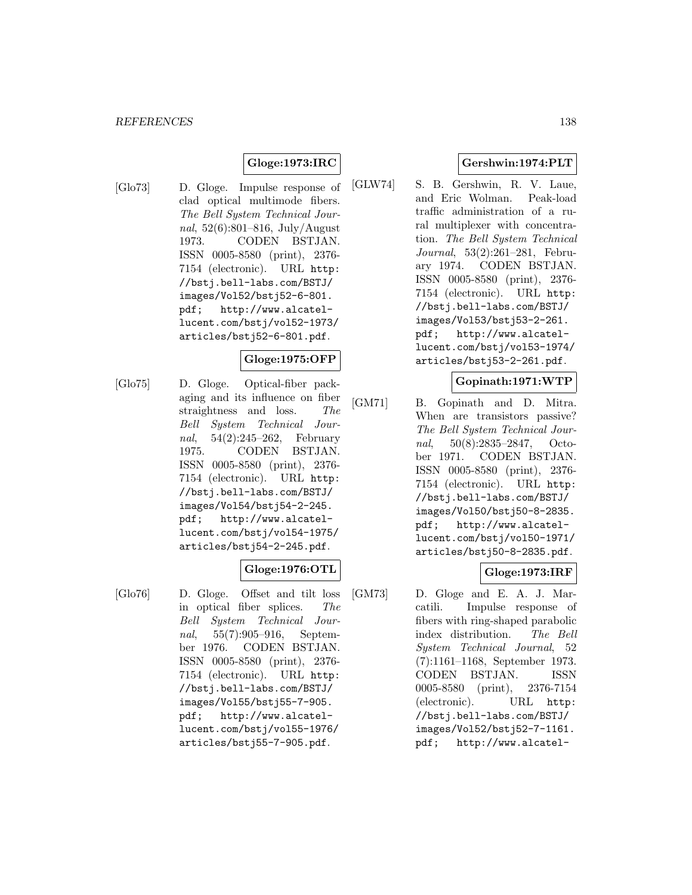## **Gloge:1973:IRC**

[Glo73] D. Gloge. Impulse response of clad optical multimode fibers. The Bell System Technical Journal, 52(6):801–816, July/August 1973. CODEN BSTJAN. ISSN 0005-8580 (print), 2376- 7154 (electronic). URL http: //bstj.bell-labs.com/BSTJ/ images/Vol52/bstj52-6-801. pdf; http://www.alcatellucent.com/bstj/vol52-1973/ articles/bstj52-6-801.pdf.

### **Gloge:1975:OFP**

[Glo75] D. Gloge. Optical-fiber packaging and its influence on fiber straightness and loss. The Bell System Technical Journal, 54(2):245–262, February 1975. CODEN BSTJAN. ISSN 0005-8580 (print), 2376- 7154 (electronic). URL http: //bstj.bell-labs.com/BSTJ/ images/Vol54/bstj54-2-245. pdf; http://www.alcatellucent.com/bstj/vol54-1975/ articles/bstj54-2-245.pdf.

## **Gloge:1976:OTL**

[Glo76] D. Gloge. Offset and tilt loss in optical fiber splices. The Bell System Technical Journal, 55(7):905–916, September 1976. CODEN BSTJAN. ISSN 0005-8580 (print), 2376- 7154 (electronic). URL http: //bstj.bell-labs.com/BSTJ/ images/Vol55/bstj55-7-905. pdf; http://www.alcatellucent.com/bstj/vol55-1976/ articles/bstj55-7-905.pdf.

# **Gershwin:1974:PLT**

[GLW74] S. B. Gershwin, R. V. Laue, and Eric Wolman. Peak-load traffic administration of a rural multiplexer with concentration. The Bell System Technical Journal, 53(2):261–281, February 1974. CODEN BSTJAN. ISSN 0005-8580 (print), 2376- 7154 (electronic). URL http: //bstj.bell-labs.com/BSTJ/ images/Vol53/bstj53-2-261. pdf; http://www.alcatellucent.com/bstj/vol53-1974/ articles/bstj53-2-261.pdf.

### **Gopinath:1971:WTP**

[GM71] B. Gopinath and D. Mitra. When are transistors passive? The Bell System Technical Journal, 50(8):2835–2847, October 1971. CODEN BSTJAN. ISSN 0005-8580 (print), 2376- 7154 (electronic). URL http: //bstj.bell-labs.com/BSTJ/ images/Vol50/bstj50-8-2835. pdf; http://www.alcatellucent.com/bstj/vol50-1971/ articles/bstj50-8-2835.pdf.

## **Gloge:1973:IRF**

[GM73] D. Gloge and E. A. J. Marcatili. Impulse response of fibers with ring-shaped parabolic index distribution. The Bell System Technical Journal, 52 (7):1161–1168, September 1973. CODEN BSTJAN. ISSN 0005-8580 (print), 2376-7154 (electronic). URL http: //bstj.bell-labs.com/BSTJ/ images/Vol52/bstj52-7-1161. pdf; http://www.alcatel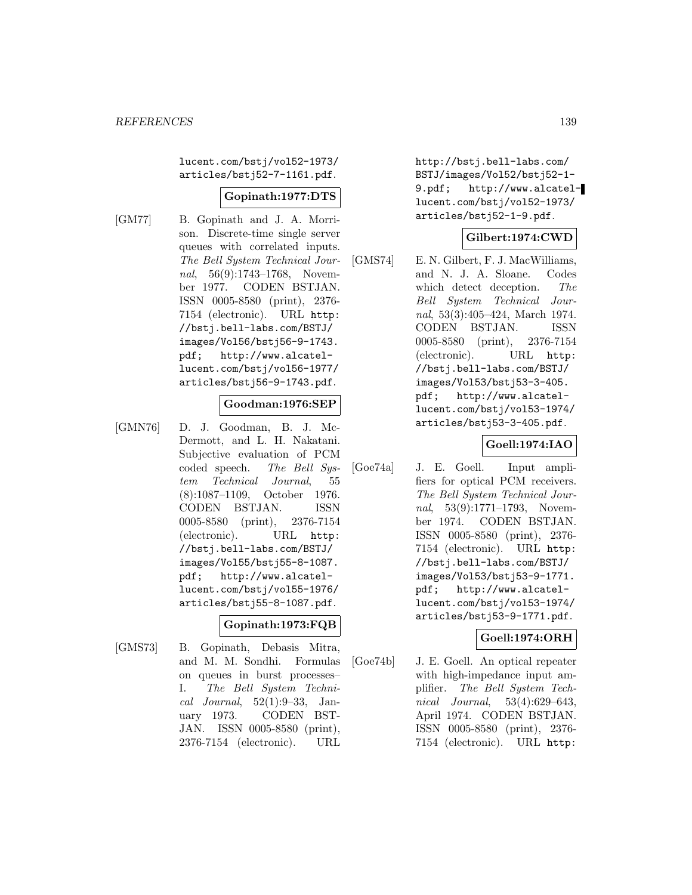lucent.com/bstj/vol52-1973/ articles/bstj52-7-1161.pdf.

### **Gopinath:1977:DTS**

[GM77] B. Gopinath and J. A. Morrison. Discrete-time single server queues with correlated inputs. The Bell System Technical Journal, 56(9):1743–1768, November 1977. CODEN BSTJAN. ISSN 0005-8580 (print), 2376- 7154 (electronic). URL http: //bstj.bell-labs.com/BSTJ/ images/Vol56/bstj56-9-1743. pdf; http://www.alcatellucent.com/bstj/vol56-1977/ articles/bstj56-9-1743.pdf.

### **Goodman:1976:SEP**

[GMN76] D. J. Goodman, B. J. Mc-Dermott, and L. H. Nakatani. Subjective evaluation of PCM coded speech. The Bell System Technical Journal, 55 (8):1087–1109, October 1976. CODEN BSTJAN. ISSN 0005-8580 (print), 2376-7154 (electronic). URL http: //bstj.bell-labs.com/BSTJ/ images/Vol55/bstj55-8-1087. pdf; http://www.alcatellucent.com/bstj/vol55-1976/ articles/bstj55-8-1087.pdf.

## **Gopinath:1973:FQB**

[GMS73] B. Gopinath, Debasis Mitra, and M. M. Sondhi. Formulas on queues in burst processes– I. The Bell System Technical Journal, 52(1):9–33, January 1973. CODEN BST-JAN. ISSN 0005-8580 (print), 2376-7154 (electronic). URL

http://bstj.bell-labs.com/ BSTJ/images/Vol52/bstj52-1- 9.pdf; http://www.alcatellucent.com/bstj/vol52-1973/ articles/bstj52-1-9.pdf.

### **Gilbert:1974:CWD**

[GMS74] E. N. Gilbert, F. J. MacWilliams, and N. J. A. Sloane. Codes which detect deception. The Bell System Technical Journal, 53(3):405–424, March 1974. CODEN BSTJAN. ISSN 0005-8580 (print), 2376-7154 (electronic). URL http: //bstj.bell-labs.com/BSTJ/ images/Vol53/bstj53-3-405. pdf; http://www.alcatellucent.com/bstj/vol53-1974/ articles/bstj53-3-405.pdf.

### **Goell:1974:IAO**

[Goe74a] J. E. Goell. Input amplifiers for optical PCM receivers. The Bell System Technical Journal, 53(9):1771–1793, November 1974. CODEN BSTJAN. ISSN 0005-8580 (print), 2376- 7154 (electronic). URL http: //bstj.bell-labs.com/BSTJ/ images/Vol53/bstj53-9-1771. pdf; http://www.alcatellucent.com/bstj/vol53-1974/ articles/bstj53-9-1771.pdf.

### **Goell:1974:ORH**

[Goe74b] J. E. Goell. An optical repeater with high-impedance input amplifier. The Bell System Technical Journal, 53(4):629–643, April 1974. CODEN BSTJAN. ISSN 0005-8580 (print), 2376- 7154 (electronic). URL http: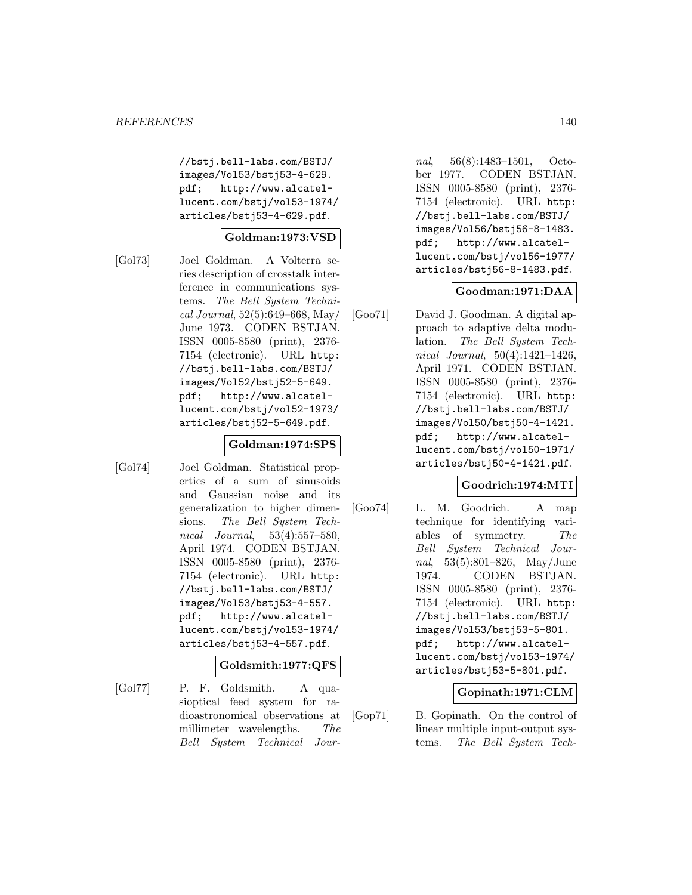//bstj.bell-labs.com/BSTJ/ images/Vol53/bstj53-4-629. pdf; http://www.alcatellucent.com/bstj/vol53-1974/ articles/bstj53-4-629.pdf.

### **Goldman:1973:VSD**

[Gol73] Joel Goldman. A Volterra series description of crosstalk interference in communications systems. The Bell System Technical Journal, 52(5):649–668, May/ June 1973. CODEN BSTJAN. ISSN 0005-8580 (print), 2376- 7154 (electronic). URL http: //bstj.bell-labs.com/BSTJ/ images/Vol52/bstj52-5-649. pdf; http://www.alcatellucent.com/bstj/vol52-1973/ articles/bstj52-5-649.pdf.

### **Goldman:1974:SPS**

[Gol74] Joel Goldman. Statistical properties of a sum of sinusoids and Gaussian noise and its generalization to higher dimensions. The Bell System Technical Journal, 53(4):557–580, April 1974. CODEN BSTJAN. ISSN 0005-8580 (print), 2376- 7154 (electronic). URL http: //bstj.bell-labs.com/BSTJ/ images/Vol53/bstj53-4-557. pdf; http://www.alcatellucent.com/bstj/vol53-1974/ articles/bstj53-4-557.pdf.

#### **Goldsmith:1977:QFS**

[Gol77] P. F. Goldsmith. A quasioptical feed system for radioastronomical observations at millimeter wavelengths. The Bell System Technical Jour-

nal, 56(8):1483–1501, October 1977. CODEN BSTJAN. ISSN 0005-8580 (print), 2376- 7154 (electronic). URL http: //bstj.bell-labs.com/BSTJ/ images/Vol56/bstj56-8-1483. pdf; http://www.alcatellucent.com/bstj/vol56-1977/ articles/bstj56-8-1483.pdf.

### **Goodman:1971:DAA**

[Goo71] David J. Goodman. A digital approach to adaptive delta modulation. The Bell System Technical Journal, 50(4):1421–1426, April 1971. CODEN BSTJAN. ISSN 0005-8580 (print), 2376- 7154 (electronic). URL http: //bstj.bell-labs.com/BSTJ/ images/Vol50/bstj50-4-1421. pdf; http://www.alcatellucent.com/bstj/vol50-1971/ articles/bstj50-4-1421.pdf.

### **Goodrich:1974:MTI**

[Goo74] L. M. Goodrich. A map technique for identifying variables of symmetry. The Bell System Technical Journal, 53(5):801–826, May/June 1974. CODEN BSTJAN. ISSN 0005-8580 (print), 2376- 7154 (electronic). URL http: //bstj.bell-labs.com/BSTJ/ images/Vol53/bstj53-5-801. pdf; http://www.alcatellucent.com/bstj/vol53-1974/ articles/bstj53-5-801.pdf.

### **Gopinath:1971:CLM**

[Gop71] B. Gopinath. On the control of linear multiple input-output systems. The Bell System Tech-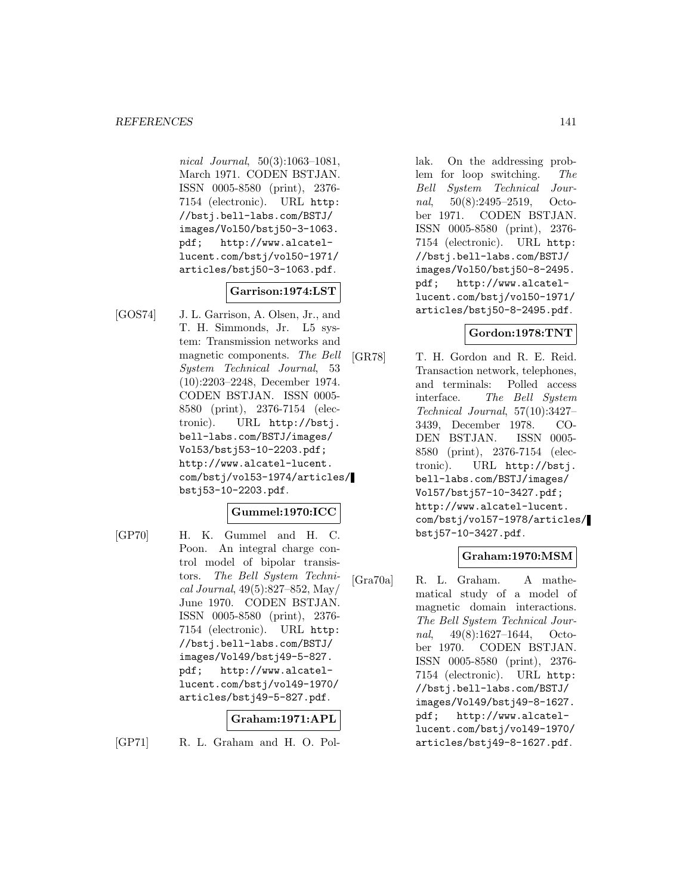nical Journal, 50(3):1063–1081, March 1971. CODEN BSTJAN. ISSN 0005-8580 (print), 2376- 7154 (electronic). URL http: //bstj.bell-labs.com/BSTJ/ images/Vol50/bstj50-3-1063. pdf; http://www.alcatellucent.com/bstj/vol50-1971/ articles/bstj50-3-1063.pdf.

### **Garrison:1974:LST**

[GOS74] J. L. Garrison, A. Olsen, Jr., and T. H. Simmonds, Jr. L5 system: Transmission networks and magnetic components. The Bell System Technical Journal, 53 (10):2203–2248, December 1974. CODEN BSTJAN. ISSN 0005- 8580 (print), 2376-7154 (electronic). URL http://bstj. bell-labs.com/BSTJ/images/ Vol53/bstj53-10-2203.pdf; http://www.alcatel-lucent. com/bstj/vol53-1974/articles/ bstj53-10-2203.pdf.

### **Gummel:1970:ICC**

[GP70] H. K. Gummel and H. C. Poon. An integral charge control model of bipolar transistors. The Bell System Technical Journal, 49(5):827–852, May/ June 1970. CODEN BSTJAN. ISSN 0005-8580 (print), 2376- 7154 (electronic). URL http: //bstj.bell-labs.com/BSTJ/ images/Vol49/bstj49-5-827. pdf; http://www.alcatellucent.com/bstj/vol49-1970/ articles/bstj49-5-827.pdf.

### **Graham:1971:APL**

[GP71] R. L. Graham and H. O. Pol-

lak. On the addressing problem for loop switching. The Bell System Technical Journal, 50(8):2495–2519, October 1971. CODEN BSTJAN. ISSN 0005-8580 (print), 2376- 7154 (electronic). URL http: //bstj.bell-labs.com/BSTJ/ images/Vol50/bstj50-8-2495. pdf; http://www.alcatellucent.com/bstj/vol50-1971/ articles/bstj50-8-2495.pdf.

### **Gordon:1978:TNT**

[GR78] T. H. Gordon and R. E. Reid. Transaction network, telephones, and terminals: Polled access interface. The Bell System Technical Journal, 57(10):3427– 3439, December 1978. CO-DEN BSTJAN. ISSN 0005- 8580 (print), 2376-7154 (electronic). URL http://bstj. bell-labs.com/BSTJ/images/ Vol57/bstj57-10-3427.pdf; http://www.alcatel-lucent. com/bstj/vol57-1978/articles/ bstj57-10-3427.pdf.

### **Graham:1970:MSM**

[Gra70a] R. L. Graham. A mathematical study of a model of magnetic domain interactions. The Bell System Technical Journal, 49(8):1627–1644, October 1970. CODEN BSTJAN. ISSN 0005-8580 (print), 2376- 7154 (electronic). URL http: //bstj.bell-labs.com/BSTJ/ images/Vol49/bstj49-8-1627. pdf; http://www.alcatellucent.com/bstj/vol49-1970/ articles/bstj49-8-1627.pdf.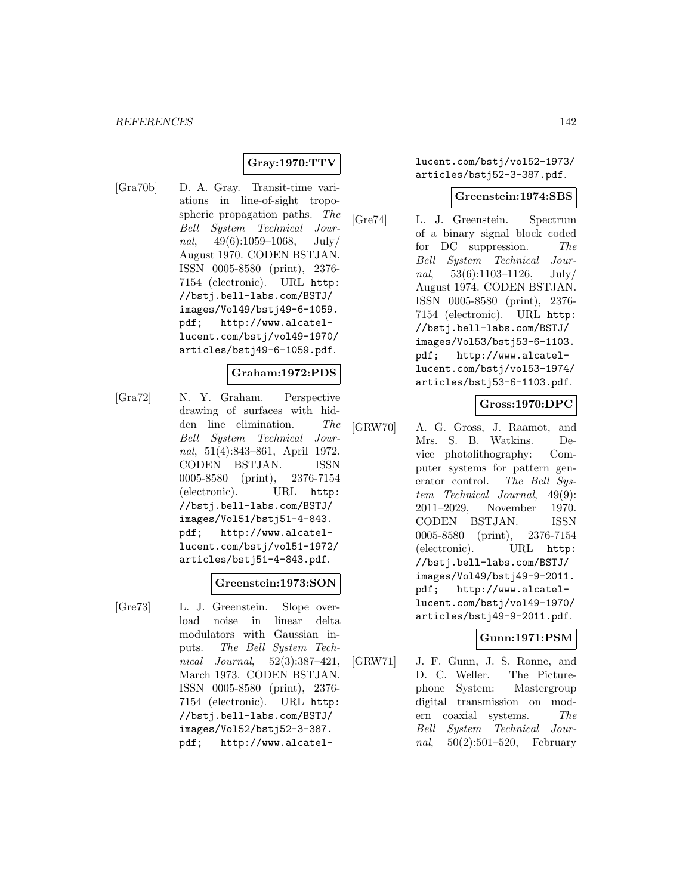### **Gray:1970:TTV**

[Gra70b] D. A. Gray. Transit-time variations in line-of-sight tropospheric propagation paths. The Bell System Technical Journal, 49(6):1059–1068, July/ August 1970. CODEN BSTJAN. ISSN 0005-8580 (print), 2376- 7154 (electronic). URL http: //bstj.bell-labs.com/BSTJ/ images/Vol49/bstj49-6-1059. pdf; http://www.alcatellucent.com/bstj/vol49-1970/ articles/bstj49-6-1059.pdf.

### **Graham:1972:PDS**

[Gra72] N. Y. Graham. Perspective drawing of surfaces with hidden line elimination. The Bell System Technical Journal, 51(4):843–861, April 1972. CODEN BSTJAN. ISSN 0005-8580 (print), 2376-7154 (electronic). URL http: //bstj.bell-labs.com/BSTJ/ images/Vol51/bstj51-4-843. pdf; http://www.alcatellucent.com/bstj/vol51-1972/ articles/bstj51-4-843.pdf.

#### **Greenstein:1973:SON**

[Gre73] L. J. Greenstein. Slope overload noise in linear delta modulators with Gaussian inputs. The Bell System Technical Journal, 52(3):387–421, March 1973. CODEN BSTJAN. ISSN 0005-8580 (print), 2376- 7154 (electronic). URL http: //bstj.bell-labs.com/BSTJ/ images/Vol52/bstj52-3-387. pdf; http://www.alcatellucent.com/bstj/vol52-1973/ articles/bstj52-3-387.pdf.

#### **Greenstein:1974:SBS**

[Gre74] L. J. Greenstein. Spectrum of a binary signal block coded for DC suppression. The Bell System Technical Journal,  $53(6):1103-1126$ , July/ August 1974. CODEN BSTJAN. ISSN 0005-8580 (print), 2376- 7154 (electronic). URL http: //bstj.bell-labs.com/BSTJ/ images/Vol53/bstj53-6-1103. pdf; http://www.alcatellucent.com/bstj/vol53-1974/ articles/bstj53-6-1103.pdf.

### **Gross:1970:DPC**

[GRW70] A. G. Gross, J. Raamot, and Mrs. S. B. Watkins. Device photolithography: Computer systems for pattern generator control. The Bell System Technical Journal, 49(9): 2011–2029, November 1970. CODEN BSTJAN. ISSN 0005-8580 (print), 2376-7154 (electronic). URL http: //bstj.bell-labs.com/BSTJ/ images/Vol49/bstj49-9-2011. pdf; http://www.alcatellucent.com/bstj/vol49-1970/ articles/bstj49-9-2011.pdf.

#### **Gunn:1971:PSM**

[GRW71] J. F. Gunn, J. S. Ronne, and D. C. Weller. The Picturephone System: Mastergroup digital transmission on modern coaxial systems. The Bell System Technical Journal, 50(2):501–520, February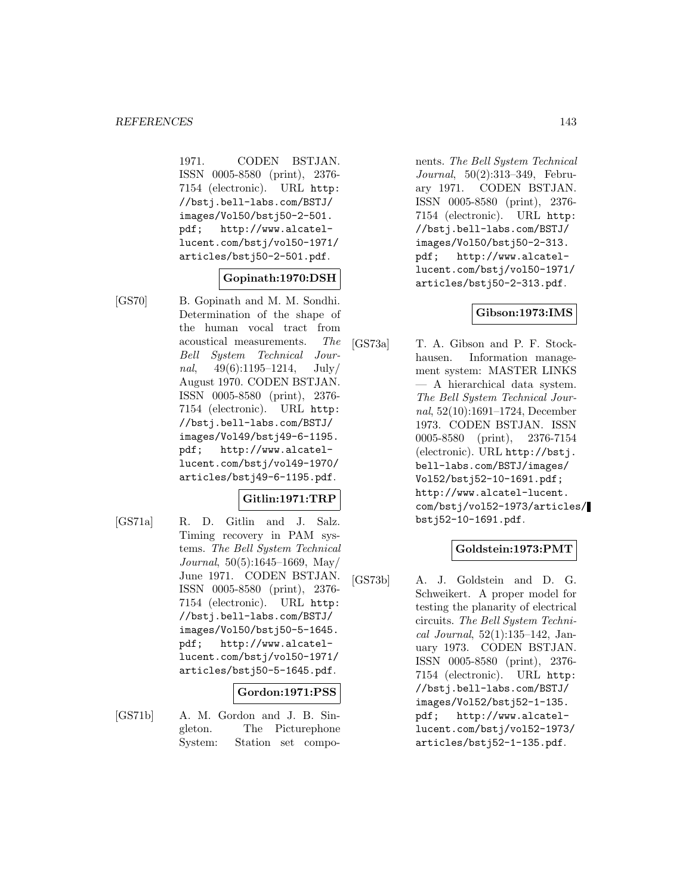1971. CODEN BSTJAN. ISSN 0005-8580 (print), 2376- 7154 (electronic). URL http: //bstj.bell-labs.com/BSTJ/ images/Vol50/bstj50-2-501. pdf; http://www.alcatellucent.com/bstj/vol50-1971/ articles/bstj50-2-501.pdf.

### **Gopinath:1970:DSH**

[GS70] B. Gopinath and M. M. Sondhi. Determination of the shape of the human vocal tract from acoustical measurements. The Bell System Technical Journal,  $49(6):1195-1214$ , July/ August 1970. CODEN BSTJAN. ISSN 0005-8580 (print), 2376- 7154 (electronic). URL http: //bstj.bell-labs.com/BSTJ/ images/Vol49/bstj49-6-1195. pdf; http://www.alcatellucent.com/bstj/vol49-1970/ articles/bstj49-6-1195.pdf.

## **Gitlin:1971:TRP**

[GS71a] R. D. Gitlin and J. Salz. Timing recovery in PAM systems. The Bell System Technical Journal, 50(5):1645–1669, May/ June 1971. CODEN BSTJAN. ISSN 0005-8580 (print), 2376- 7154 (electronic). URL http: //bstj.bell-labs.com/BSTJ/ images/Vol50/bstj50-5-1645. pdf; http://www.alcatellucent.com/bstj/vol50-1971/ articles/bstj50-5-1645.pdf.

## **Gordon:1971:PSS**

[GS71b] A. M. Gordon and J. B. Singleton. The Picturephone System: Station set components. The Bell System Technical Journal, 50(2):313–349, February 1971. CODEN BSTJAN. ISSN 0005-8580 (print), 2376- 7154 (electronic). URL http: //bstj.bell-labs.com/BSTJ/ images/Vol50/bstj50-2-313. pdf; http://www.alcatellucent.com/bstj/vol50-1971/ articles/bstj50-2-313.pdf.

### **Gibson:1973:IMS**

[GS73a] T. A. Gibson and P. F. Stockhausen. Information management system: MASTER LINKS — A hierarchical data system. The Bell System Technical Journal, 52(10):1691–1724, December 1973. CODEN BSTJAN. ISSN 0005-8580 (print), 2376-7154 (electronic). URL http://bstj. bell-labs.com/BSTJ/images/ Vol52/bstj52-10-1691.pdf; http://www.alcatel-lucent. com/bstj/vol52-1973/articles/ bstj52-10-1691.pdf.

### **Goldstein:1973:PMT**

[GS73b] A. J. Goldstein and D. G. Schweikert. A proper model for testing the planarity of electrical circuits. The Bell System Technical Journal, 52(1):135–142, January 1973. CODEN BSTJAN. ISSN 0005-8580 (print), 2376- 7154 (electronic). URL http: //bstj.bell-labs.com/BSTJ/ images/Vol52/bstj52-1-135. pdf; http://www.alcatellucent.com/bstj/vol52-1973/ articles/bstj52-1-135.pdf.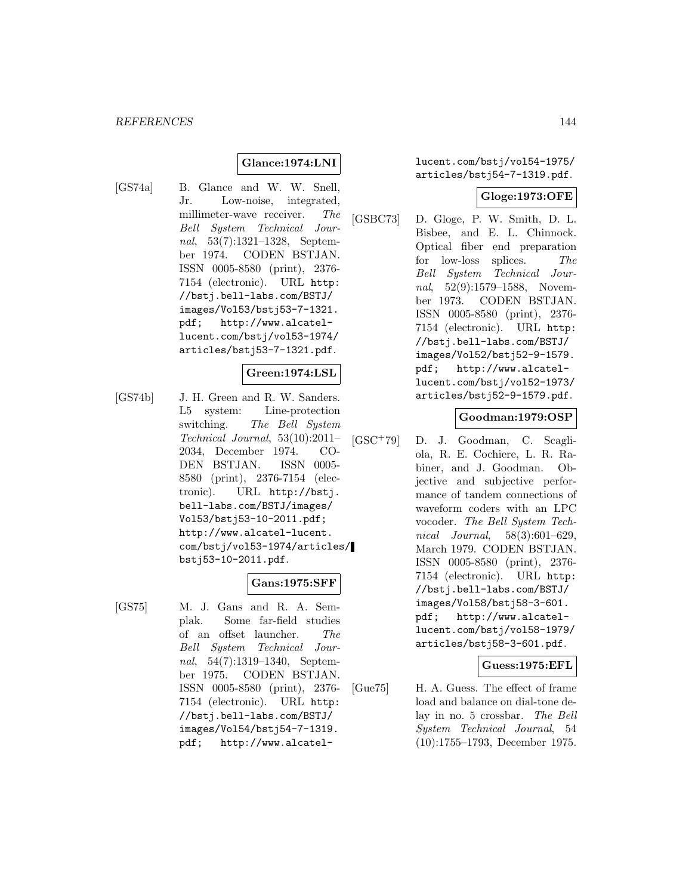# **Glance:1974:LNI**

[GS74a] B. Glance and W. W. Snell, Jr. Low-noise, integrated, millimeter-wave receiver. The Bell System Technical Journal, 53(7):1321–1328, September 1974. CODEN BSTJAN. ISSN 0005-8580 (print), 2376- 7154 (electronic). URL http: //bstj.bell-labs.com/BSTJ/ images/Vol53/bstj53-7-1321. pdf; http://www.alcatellucent.com/bstj/vol53-1974/ articles/bstj53-7-1321.pdf.

#### **Green:1974:LSL**

[GS74b] J. H. Green and R. W. Sanders. L5 system: Line-protection switching. The Bell System Technical Journal, 53(10):2011– 2034, December 1974. CO-DEN BSTJAN. ISSN 0005- 8580 (print), 2376-7154 (electronic). URL http://bstj. bell-labs.com/BSTJ/images/ Vol53/bstj53-10-2011.pdf; http://www.alcatel-lucent. com/bstj/vol53-1974/articles/ bstj53-10-2011.pdf.

# **Gans:1975:SFF**

[GS75] M. J. Gans and R. A. Semplak. Some far-field studies of an offset launcher. The Bell System Technical Journal, 54(7):1319–1340, September 1975. CODEN BSTJAN. ISSN 0005-8580 (print), 2376- 7154 (electronic). URL http: //bstj.bell-labs.com/BSTJ/ images/Vol54/bstj54-7-1319. pdf; http://www.alcatellucent.com/bstj/vol54-1975/ articles/bstj54-7-1319.pdf.

### **Gloge:1973:OFE**

[GSBC73] D. Gloge, P. W. Smith, D. L. Bisbee, and E. L. Chinnock. Optical fiber end preparation for low-loss splices. The Bell System Technical Journal, 52(9):1579–1588, November 1973. CODEN BSTJAN. ISSN 0005-8580 (print), 2376- 7154 (electronic). URL http: //bstj.bell-labs.com/BSTJ/ images/Vol52/bstj52-9-1579. pdf; http://www.alcatellucent.com/bstj/vol52-1973/ articles/bstj52-9-1579.pdf.

### **Goodman:1979:OSP**

[GSC<sup>+</sup>79] D. J. Goodman, C. Scagliola, R. E. Cochiere, L. R. Rabiner, and J. Goodman. Objective and subjective performance of tandem connections of waveform coders with an LPC vocoder. The Bell System Technical Journal, 58(3):601–629, March 1979. CODEN BSTJAN. ISSN 0005-8580 (print), 2376- 7154 (electronic). URL http: //bstj.bell-labs.com/BSTJ/ images/Vol58/bstj58-3-601. pdf; http://www.alcatellucent.com/bstj/vol58-1979/ articles/bstj58-3-601.pdf.

### **Guess:1975:EFL**

[Gue75] H. A. Guess. The effect of frame load and balance on dial-tone delay in no. 5 crossbar. The Bell System Technical Journal, 54 (10):1755–1793, December 1975.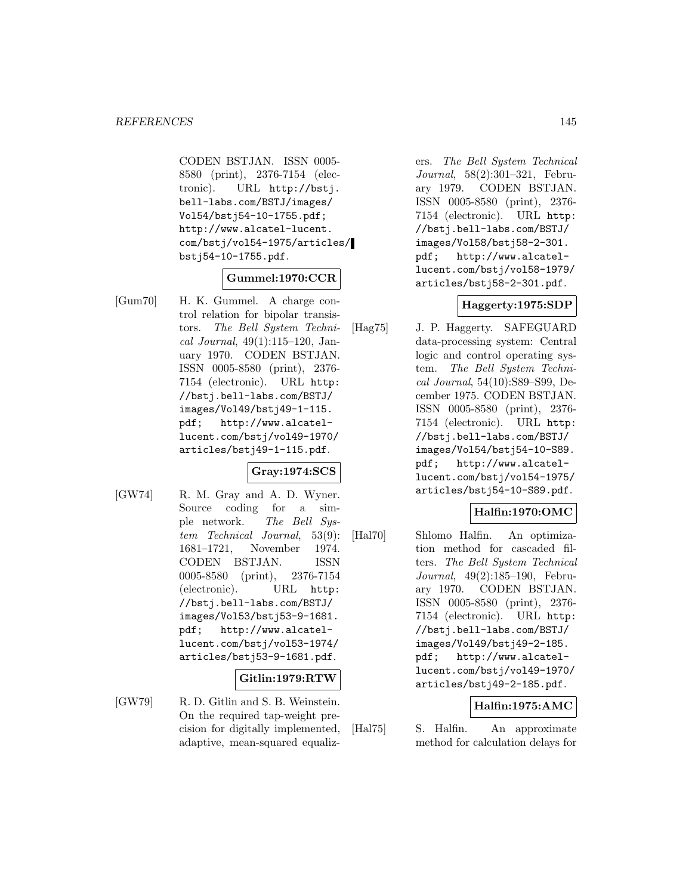CODEN BSTJAN. ISSN 0005- 8580 (print), 2376-7154 (electronic). URL http://bstj. bell-labs.com/BSTJ/images/ Vol54/bstj54-10-1755.pdf; http://www.alcatel-lucent. com/bstj/vol54-1975/articles/ bstj54-10-1755.pdf.

#### **Gummel:1970:CCR**

[Gum70] H. K. Gummel. A charge control relation for bipolar transistors. The Bell System Technical Journal, 49(1):115–120, January 1970. CODEN BSTJAN. ISSN 0005-8580 (print), 2376- 7154 (electronic). URL http: //bstj.bell-labs.com/BSTJ/ images/Vol49/bstj49-1-115. pdf; http://www.alcatellucent.com/bstj/vol49-1970/ articles/bstj49-1-115.pdf.

#### **Gray:1974:SCS**

[GW74] R. M. Gray and A. D. Wyner. Source coding for a simple network. The Bell System Technical Journal, 53(9): 1681–1721, November 1974. CODEN BSTJAN. ISSN 0005-8580 (print), 2376-7154 (electronic). URL http: //bstj.bell-labs.com/BSTJ/ images/Vol53/bstj53-9-1681. pdf; http://www.alcatellucent.com/bstj/vol53-1974/ articles/bstj53-9-1681.pdf.

#### **Gitlin:1979:RTW**

[GW79] R. D. Gitlin and S. B. Weinstein. On the required tap-weight precision for digitally implemented, adaptive, mean-squared equalizers. The Bell System Technical Journal, 58(2):301–321, February 1979. CODEN BSTJAN. ISSN 0005-8580 (print), 2376- 7154 (electronic). URL http: //bstj.bell-labs.com/BSTJ/ images/Vol58/bstj58-2-301. pdf; http://www.alcatellucent.com/bstj/vol58-1979/ articles/bstj58-2-301.pdf.

#### **Haggerty:1975:SDP**

[Hag75] J. P. Haggerty. SAFEGUARD data-processing system: Central logic and control operating system. The Bell System Technical Journal, 54(10):S89–S99, December 1975. CODEN BSTJAN. ISSN 0005-8580 (print), 2376- 7154 (electronic). URL http: //bstj.bell-labs.com/BSTJ/ images/Vol54/bstj54-10-S89. pdf; http://www.alcatellucent.com/bstj/vol54-1975/ articles/bstj54-10-S89.pdf.

# **Halfin:1970:OMC**

[Hal70] Shlomo Halfin. An optimization method for cascaded filters. The Bell System Technical Journal, 49(2):185–190, February 1970. CODEN BSTJAN. ISSN 0005-8580 (print), 2376- 7154 (electronic). URL http: //bstj.bell-labs.com/BSTJ/ images/Vol49/bstj49-2-185. pdf; http://www.alcatellucent.com/bstj/vol49-1970/ articles/bstj49-2-185.pdf.

#### **Halfin:1975:AMC**

[Hal75] S. Halfin. An approximate method for calculation delays for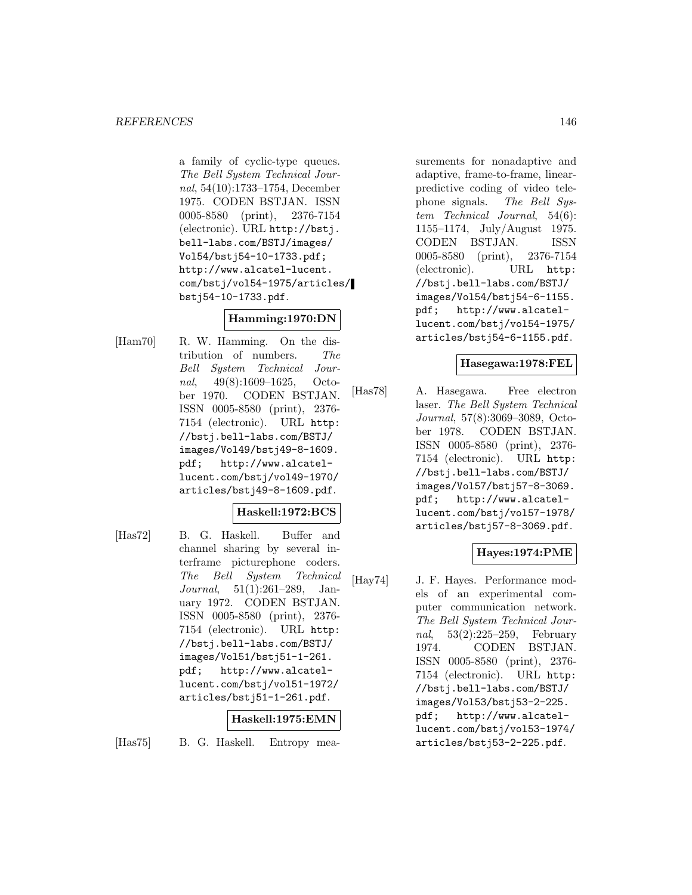a family of cyclic-type queues. The Bell System Technical Journal, 54(10):1733–1754, December 1975. CODEN BSTJAN. ISSN 0005-8580 (print), 2376-7154 (electronic). URL http://bstj. bell-labs.com/BSTJ/images/ Vol54/bstj54-10-1733.pdf; http://www.alcatel-lucent. com/bstj/vol54-1975/articles/ bstj54-10-1733.pdf.

# **Hamming:1970:DN**

[Ham70] R. W. Hamming. On the distribution of numbers. The Bell System Technical Journal, 49(8):1609–1625, October 1970. CODEN BSTJAN. ISSN 0005-8580 (print), 2376- 7154 (electronic). URL http: //bstj.bell-labs.com/BSTJ/ images/Vol49/bstj49-8-1609. pdf; http://www.alcatellucent.com/bstj/vol49-1970/ articles/bstj49-8-1609.pdf.

# **Haskell:1972:BCS**

[Has72] B. G. Haskell. Buffer and channel sharing by several interframe picturephone coders. The Bell System Technical Journal, 51(1):261–289, January 1972. CODEN BSTJAN. ISSN 0005-8580 (print), 2376- 7154 (electronic). URL http: //bstj.bell-labs.com/BSTJ/ images/Vol51/bstj51-1-261. pdf; http://www.alcatellucent.com/bstj/vol51-1972/ articles/bstj51-1-261.pdf.

#### **Haskell:1975:EMN**

[Has75] B. G. Haskell. Entropy mea-

surements for nonadaptive and adaptive, frame-to-frame, linearpredictive coding of video telephone signals. The Bell System Technical Journal, 54(6): 1155–1174, July/August 1975. CODEN BSTJAN. ISSN 0005-8580 (print), 2376-7154 (electronic). URL http: //bstj.bell-labs.com/BSTJ/ images/Vol54/bstj54-6-1155. pdf; http://www.alcatellucent.com/bstj/vol54-1975/ articles/bstj54-6-1155.pdf.

#### **Hasegawa:1978:FEL**

[Has78] A. Hasegawa. Free electron laser. The Bell System Technical Journal, 57(8):3069–3089, October 1978. CODEN BSTJAN. ISSN 0005-8580 (print), 2376- 7154 (electronic). URL http: //bstj.bell-labs.com/BSTJ/ images/Vol57/bstj57-8-3069. pdf; http://www.alcatellucent.com/bstj/vol57-1978/ articles/bstj57-8-3069.pdf.

# **Hayes:1974:PME**

[Hay74] J. F. Hayes. Performance models of an experimental computer communication network. The Bell System Technical Journal, 53(2):225–259, February 1974. CODEN BSTJAN. ISSN 0005-8580 (print), 2376- 7154 (electronic). URL http: //bstj.bell-labs.com/BSTJ/ images/Vol53/bstj53-2-225. pdf; http://www.alcatellucent.com/bstj/vol53-1974/ articles/bstj53-2-225.pdf.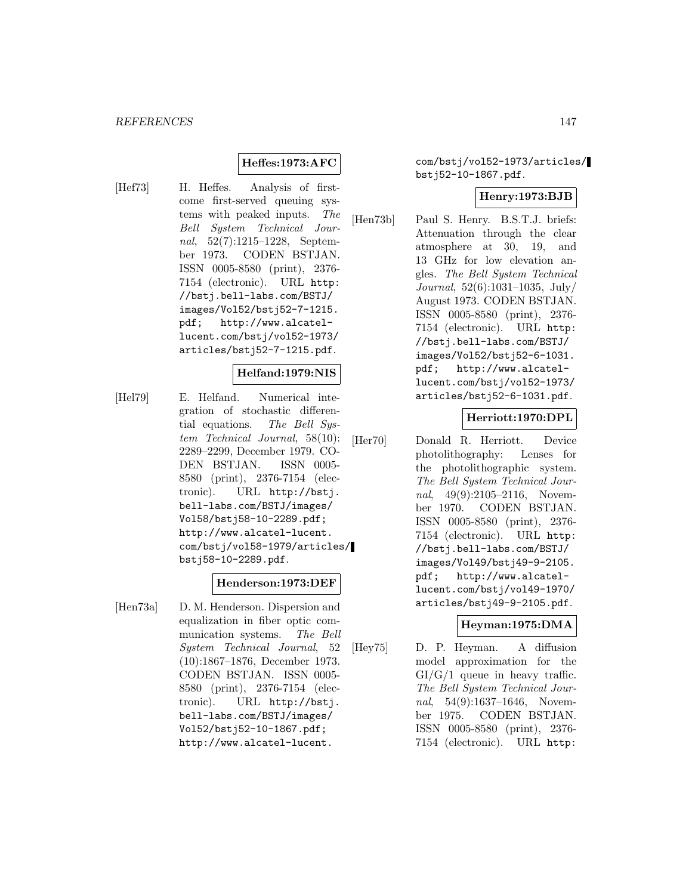# **Heffes:1973:AFC**

[Hef73] H. Heffes. Analysis of firstcome first-served queuing systems with peaked inputs. The Bell System Technical Journal, 52(7):1215–1228, September 1973. CODEN BSTJAN. ISSN 0005-8580 (print), 2376- 7154 (electronic). URL http: //bstj.bell-labs.com/BSTJ/ images/Vol52/bstj52-7-1215. pdf; http://www.alcatellucent.com/bstj/vol52-1973/ articles/bstj52-7-1215.pdf.

#### **Helfand:1979:NIS**

[Hel79] E. Helfand. Numerical integration of stochastic differential equations. The Bell System Technical Journal, 58(10): 2289–2299, December 1979. CO-DEN BSTJAN. ISSN 0005- 8580 (print), 2376-7154 (electronic). URL http://bstj. bell-labs.com/BSTJ/images/ Vol58/bstj58-10-2289.pdf; http://www.alcatel-lucent. com/bstj/vol58-1979/articles/ bstj58-10-2289.pdf.

#### **Henderson:1973:DEF**

[Hen73a] D. M. Henderson. Dispersion and equalization in fiber optic communication systems. The Bell System Technical Journal, 52 (10):1867–1876, December 1973. CODEN BSTJAN. ISSN 0005- 8580 (print), 2376-7154 (electronic). URL http://bstj. bell-labs.com/BSTJ/images/ Vol52/bstj52-10-1867.pdf; http://www.alcatel-lucent.

com/bstj/vol52-1973/articles/ bstj52-10-1867.pdf.

#### **Henry:1973:BJB**

[Hen73b] Paul S. Henry. B.S.T.J. briefs: Attenuation through the clear atmosphere at 30, 19, and 13 GHz for low elevation angles. The Bell System Technical Journal, 52(6):1031–1035, July/ August 1973. CODEN BSTJAN. ISSN 0005-8580 (print), 2376- 7154 (electronic). URL http: //bstj.bell-labs.com/BSTJ/ images/Vol52/bstj52-6-1031. pdf; http://www.alcatellucent.com/bstj/vol52-1973/ articles/bstj52-6-1031.pdf.

#### **Herriott:1970:DPL**

[Her70] Donald R. Herriott. Device photolithography: Lenses for the photolithographic system. The Bell System Technical Journal, 49(9):2105-2116, November 1970. CODEN BSTJAN. ISSN 0005-8580 (print), 2376- 7154 (electronic). URL http: //bstj.bell-labs.com/BSTJ/ images/Vol49/bstj49-9-2105. pdf; http://www.alcatellucent.com/bstj/vol49-1970/ articles/bstj49-9-2105.pdf.

#### **Heyman:1975:DMA**

[Hey75] D. P. Heyman. A diffusion model approximation for the  $GI/G/1$  queue in heavy traffic. The Bell System Technical Journal, 54(9):1637-1646, November 1975. CODEN BSTJAN. ISSN 0005-8580 (print), 2376- 7154 (electronic). URL http: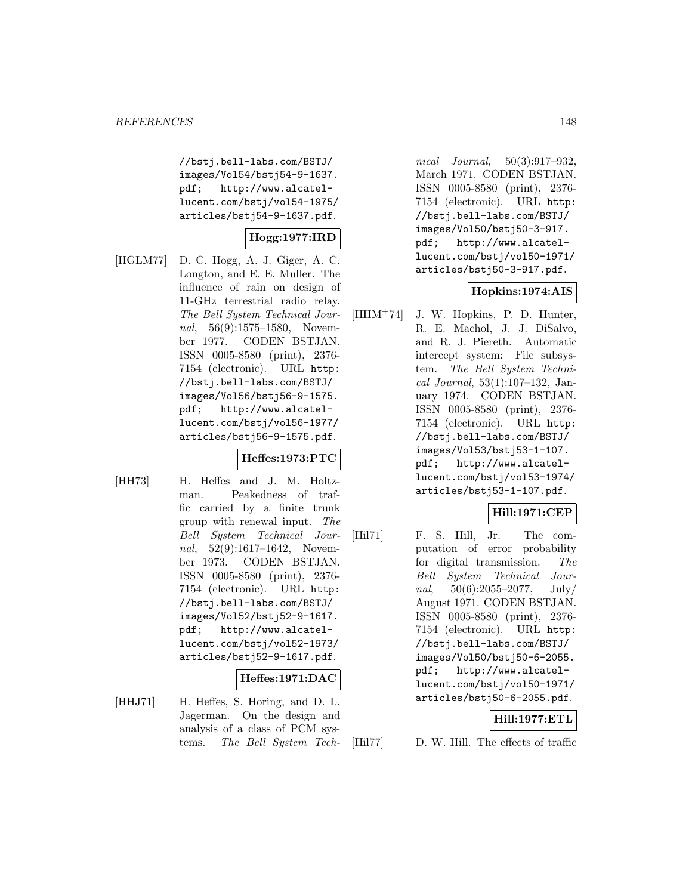//bstj.bell-labs.com/BSTJ/ images/Vol54/bstj54-9-1637. pdf; http://www.alcatellucent.com/bstj/vol54-1975/ articles/bstj54-9-1637.pdf.

# **Hogg:1977:IRD**

[HGLM77] D. C. Hogg, A. J. Giger, A. C. Longton, and E. E. Muller. The influence of rain on design of 11-GHz terrestrial radio relay. The Bell System Technical Journal, 56(9):1575–1580, November 1977. CODEN BSTJAN. ISSN 0005-8580 (print), 2376- 7154 (electronic). URL http: //bstj.bell-labs.com/BSTJ/ images/Vol56/bstj56-9-1575. pdf; http://www.alcatellucent.com/bstj/vol56-1977/ articles/bstj56-9-1575.pdf.

# **Heffes:1973:PTC**

[HH73] H. Heffes and J. M. Holtzman. Peakedness of traffic carried by a finite trunk group with renewal input. The Bell System Technical Journal, 52(9):1617–1642, November 1973. CODEN BSTJAN. ISSN 0005-8580 (print), 2376- 7154 (electronic). URL http: //bstj.bell-labs.com/BSTJ/ images/Vol52/bstj52-9-1617. pdf; http://www.alcatellucent.com/bstj/vol52-1973/ articles/bstj52-9-1617.pdf.

#### **Heffes:1971:DAC**

[HHJ71] H. Heffes, S. Horing, and D. L. Jagerman. On the design and analysis of a class of PCM systems. The Bell System Tech-

nical Journal, 50(3):917–932, March 1971. CODEN BSTJAN. ISSN 0005-8580 (print), 2376- 7154 (electronic). URL http: //bstj.bell-labs.com/BSTJ/ images/Vol50/bstj50-3-917. pdf; http://www.alcatellucent.com/bstj/vol50-1971/ articles/bstj50-3-917.pdf.

#### **Hopkins:1974:AIS**

[HHM<sup>+</sup>74] J. W. Hopkins, P. D. Hunter, R. E. Machol, J. J. DiSalvo, and R. J. Piereth. Automatic intercept system: File subsystem. The Bell System Technical Journal, 53(1):107–132, January 1974. CODEN BSTJAN. ISSN 0005-8580 (print), 2376- 7154 (electronic). URL http: //bstj.bell-labs.com/BSTJ/ images/Vol53/bstj53-1-107. pdf; http://www.alcatellucent.com/bstj/vol53-1974/ articles/bstj53-1-107.pdf.

#### **Hill:1971:CEP**

[Hil71] F. S. Hill, Jr. The computation of error probability for digital transmission. The Bell System Technical Journal,  $50(6):2055-2077$ , July/ August 1971. CODEN BSTJAN. ISSN 0005-8580 (print), 2376- 7154 (electronic). URL http: //bstj.bell-labs.com/BSTJ/ images/Vol50/bstj50-6-2055. pdf; http://www.alcatellucent.com/bstj/vol50-1971/ articles/bstj50-6-2055.pdf.

# **Hill:1977:ETL**

[Hil77] D. W. Hill. The effects of traffic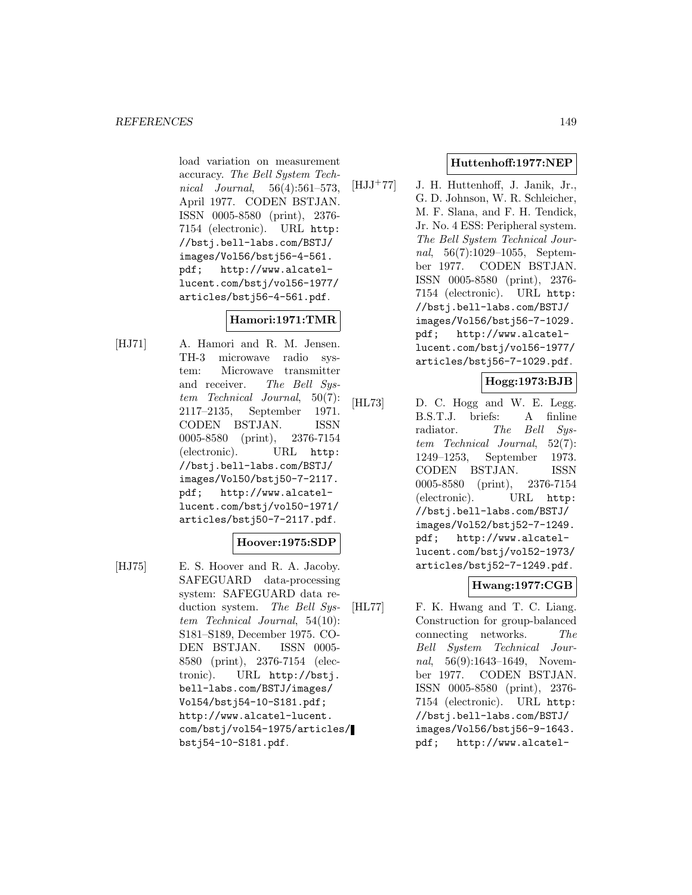load variation on measurement accuracy. The Bell System Technical Journal, 56(4):561–573, April 1977. CODEN BSTJAN. ISSN 0005-8580 (print), 2376- 7154 (electronic). URL http: //bstj.bell-labs.com/BSTJ/ images/Vol56/bstj56-4-561. pdf; http://www.alcatellucent.com/bstj/vol56-1977/ articles/bstj56-4-561.pdf.

# **Hamori:1971:TMR**

[HJ71] A. Hamori and R. M. Jensen. TH-3 microwave radio system: Microwave transmitter and receiver. The Bell System Technical Journal, 50(7): 2117–2135, September 1971. CODEN BSTJAN. ISSN 0005-8580 (print), 2376-7154 (electronic). URL http: //bstj.bell-labs.com/BSTJ/ images/Vol50/bstj50-7-2117. pdf; http://www.alcatellucent.com/bstj/vol50-1971/ articles/bstj50-7-2117.pdf.

# **Hoover:1975:SDP**

- 
- [HJ75] E. S. Hoover and R. A. Jacoby. SAFEGUARD data-processing system: SAFEGUARD data reduction system. The Bell System Technical Journal, 54(10): S181–S189, December 1975. CO-DEN BSTJAN. ISSN 0005- 8580 (print), 2376-7154 (electronic). URL http://bstj. bell-labs.com/BSTJ/images/ Vol54/bstj54-10-S181.pdf; http://www.alcatel-lucent. com/bstj/vol54-1975/articles/ bstj54-10-S181.pdf.

#### **Huttenhoff:1977:NEP**

[HJJ<sup>+</sup>77] J. H. Huttenhoff, J. Janik, Jr., G. D. Johnson, W. R. Schleicher, M. F. Slana, and F. H. Tendick, Jr. No. 4 ESS: Peripheral system. The Bell System Technical Journal, 56(7):1029–1055, September 1977. CODEN BSTJAN. ISSN 0005-8580 (print), 2376- 7154 (electronic). URL http: //bstj.bell-labs.com/BSTJ/ images/Vol56/bstj56-7-1029. pdf; http://www.alcatellucent.com/bstj/vol56-1977/ articles/bstj56-7-1029.pdf.

# **Hogg:1973:BJB**

[HL73] D. C. Hogg and W. E. Legg. B.S.T.J. briefs: A finline radiator. The Bell System Technical Journal, 52(7): 1249–1253, September 1973. CODEN BSTJAN. ISSN 0005-8580 (print), 2376-7154 (electronic). URL http: //bstj.bell-labs.com/BSTJ/ images/Vol52/bstj52-7-1249. pdf; http://www.alcatellucent.com/bstj/vol52-1973/ articles/bstj52-7-1249.pdf.

# **Hwang:1977:CGB**

[HL77] F. K. Hwang and T. C. Liang. Construction for group-balanced connecting networks. The Bell System Technical Journal, 56(9):1643–1649, November 1977. CODEN BSTJAN. ISSN 0005-8580 (print), 2376- 7154 (electronic). URL http: //bstj.bell-labs.com/BSTJ/ images/Vol56/bstj56-9-1643. pdf; http://www.alcatel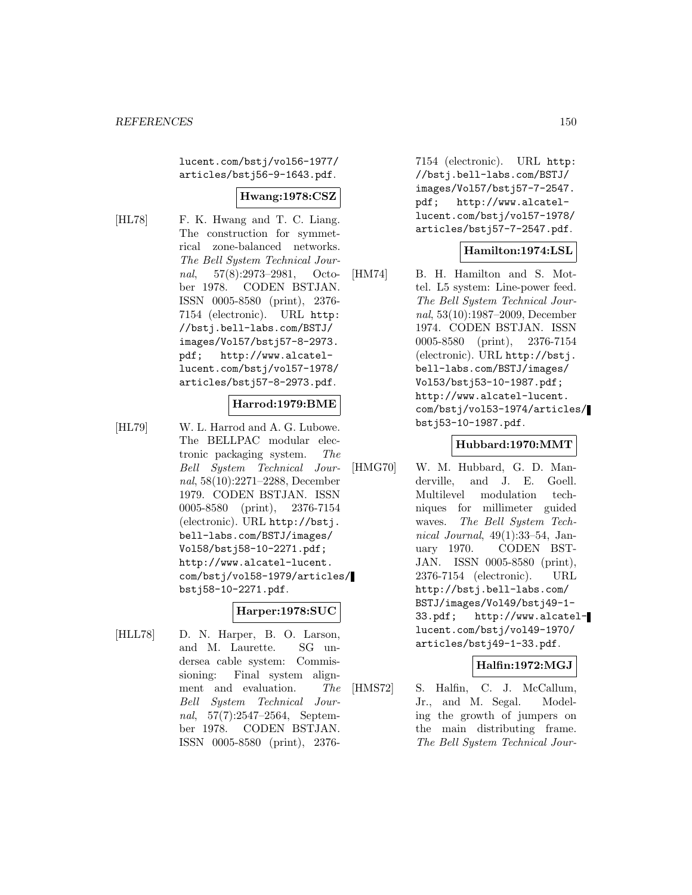lucent.com/bstj/vol56-1977/ articles/bstj56-9-1643.pdf.

#### **Hwang:1978:CSZ**

[HL78] F. K. Hwang and T. C. Liang. The construction for symmetrical zone-balanced networks. The Bell System Technical Journal, 57(8):2973–2981, October 1978. CODEN BSTJAN. ISSN 0005-8580 (print), 2376- 7154 (electronic). URL http: //bstj.bell-labs.com/BSTJ/ images/Vol57/bstj57-8-2973. pdf; http://www.alcatellucent.com/bstj/vol57-1978/ articles/bstj57-8-2973.pdf.

#### **Harrod:1979:BME**

[HL79] W. L. Harrod and A. G. Lubowe. The BELLPAC modular electronic packaging system. The Bell System Technical Journal, 58(10):2271–2288, December 1979. CODEN BSTJAN. ISSN 0005-8580 (print), 2376-7154 (electronic). URL http://bstj. bell-labs.com/BSTJ/images/ Vol58/bstj58-10-2271.pdf; http://www.alcatel-lucent. com/bstj/vol58-1979/articles/ bstj58-10-2271.pdf.

# **Harper:1978:SUC**

[HLL78] D. N. Harper, B. O. Larson, and M. Laurette. SG undersea cable system: Commissioning: Final system alignment and evaluation. The Bell System Technical Journal, 57(7):2547–2564, September 1978. CODEN BSTJAN. ISSN 0005-8580 (print), 23767154 (electronic). URL http: //bstj.bell-labs.com/BSTJ/ images/Vol57/bstj57-7-2547. pdf; http://www.alcatellucent.com/bstj/vol57-1978/ articles/bstj57-7-2547.pdf.

#### **Hamilton:1974:LSL**

[HM74] B. H. Hamilton and S. Mottel. L5 system: Line-power feed. The Bell System Technical Journal, 53(10):1987–2009, December 1974. CODEN BSTJAN. ISSN 0005-8580 (print), 2376-7154 (electronic). URL http://bstj. bell-labs.com/BSTJ/images/ Vol53/bstj53-10-1987.pdf; http://www.alcatel-lucent. com/bstj/vol53-1974/articles/ bstj53-10-1987.pdf.

# **Hubbard:1970:MMT**

[HMG70] W. M. Hubbard, G. D. Manderville, and J. E. Goell. Multilevel modulation techniques for millimeter guided waves. The Bell System Technical Journal,  $49(1):33-54$ , January 1970. CODEN BST-JAN. ISSN 0005-8580 (print), 2376-7154 (electronic). URL http://bstj.bell-labs.com/ BSTJ/images/Vol49/bstj49-1- 33.pdf; http://www.alcatellucent.com/bstj/vol49-1970/ articles/bstj49-1-33.pdf.

#### **Halfin:1972:MGJ**

[HMS72] S. Halfin, C. J. McCallum, Jr., and M. Segal. Modeling the growth of jumpers on the main distributing frame. The Bell System Technical Jour-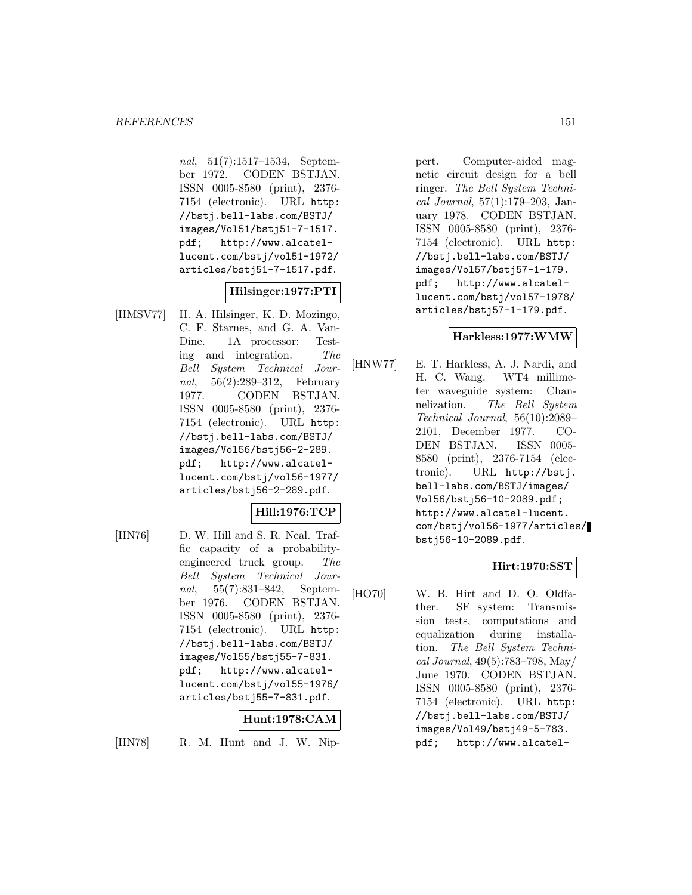nal, 51(7):1517–1534, September 1972. CODEN BSTJAN. ISSN 0005-8580 (print), 2376- 7154 (electronic). URL http: //bstj.bell-labs.com/BSTJ/ images/Vol51/bstj51-7-1517. pdf; http://www.alcatellucent.com/bstj/vol51-1972/ articles/bstj51-7-1517.pdf.

#### **Hilsinger:1977:PTI**

[HMSV77] H. A. Hilsinger, K. D. Mozingo, C. F. Starnes, and G. A. Van-Dine. 1A processor: Testing and integration. The Bell System Technical Journal, 56(2):289–312, February 1977. CODEN BSTJAN. ISSN 0005-8580 (print), 2376- 7154 (electronic). URL http: //bstj.bell-labs.com/BSTJ/ images/Vol56/bstj56-2-289. pdf; http://www.alcatellucent.com/bstj/vol56-1977/ articles/bstj56-2-289.pdf.

# **Hill:1976:TCP**

[HN76] D. W. Hill and S. R. Neal. Traffic capacity of a probabilityengineered truck group. The Bell System Technical Journal, 55(7):831–842, September 1976. CODEN BSTJAN. ISSN 0005-8580 (print), 2376- 7154 (electronic). URL http: //bstj.bell-labs.com/BSTJ/ images/Vol55/bstj55-7-831. pdf; http://www.alcatellucent.com/bstj/vol55-1976/ articles/bstj55-7-831.pdf.

# **Hunt:1978:CAM**

[HN78] R. M. Hunt and J. W. Nip-

pert. Computer-aided magnetic circuit design for a bell ringer. The Bell System Technical Journal, 57(1):179–203, January 1978. CODEN BSTJAN. ISSN 0005-8580 (print), 2376- 7154 (electronic). URL http: //bstj.bell-labs.com/BSTJ/ images/Vol57/bstj57-1-179. pdf; http://www.alcatellucent.com/bstj/vol57-1978/ articles/bstj57-1-179.pdf.

#### **Harkless:1977:WMW**

[HNW77] E. T. Harkless, A. J. Nardi, and H. C. Wang. WT4 millimeter waveguide system: Channelization. The Bell System Technical Journal, 56(10):2089– 2101, December 1977. CO-DEN BSTJAN. ISSN 0005- 8580 (print), 2376-7154 (electronic). URL http://bstj. bell-labs.com/BSTJ/images/ Vol56/bstj56-10-2089.pdf; http://www.alcatel-lucent. com/bstj/vol56-1977/articles/ bstj56-10-2089.pdf.

#### **Hirt:1970:SST**

[HO70] W. B. Hirt and D. O. Oldfather. SF system: Transmission tests, computations and equalization during installation. The Bell System Technical Journal, 49(5):783–798, May/ June 1970. CODEN BSTJAN. ISSN 0005-8580 (print), 2376- 7154 (electronic). URL http: //bstj.bell-labs.com/BSTJ/ images/Vol49/bstj49-5-783. pdf; http://www.alcatel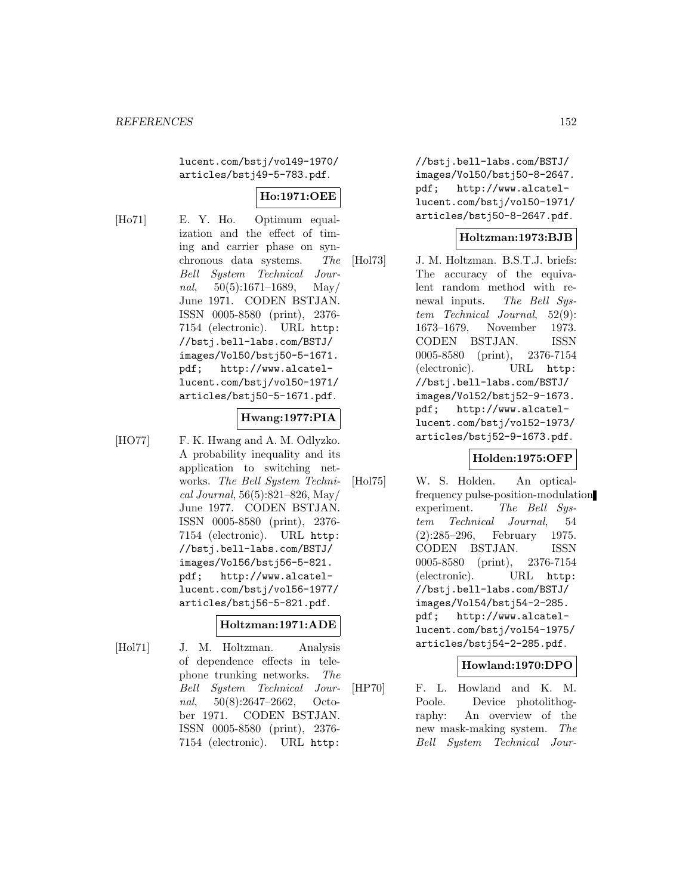lucent.com/bstj/vol49-1970/ articles/bstj49-5-783.pdf.

# **Ho:1971:OEE**

[Ho71] E. Y. Ho. Optimum equalization and the effect of timing and carrier phase on synchronous data systems. The Bell System Technical Journal,  $50(5):1671-1689$ , May/ June 1971. CODEN BSTJAN. ISSN 0005-8580 (print), 2376- 7154 (electronic). URL http: //bstj.bell-labs.com/BSTJ/ images/Vol50/bstj50-5-1671. pdf; http://www.alcatellucent.com/bstj/vol50-1971/ articles/bstj50-5-1671.pdf.

#### **Hwang:1977:PIA**

[HO77] F. K. Hwang and A. M. Odlyzko. A probability inequality and its application to switching networks. The Bell System Technical Journal, 56(5):821–826, May/ June 1977. CODEN BSTJAN. ISSN 0005-8580 (print), 2376- 7154 (electronic). URL http: //bstj.bell-labs.com/BSTJ/ images/Vol56/bstj56-5-821. pdf; http://www.alcatellucent.com/bstj/vol56-1977/ articles/bstj56-5-821.pdf.

# **Holtzman:1971:ADE**

[Hol71] J. M. Holtzman. Analysis of dependence effects in telephone trunking networks. The Bell System Technical Journal, 50(8):2647–2662, October 1971. CODEN BSTJAN. ISSN 0005-8580 (print), 2376- 7154 (electronic). URL http:

//bstj.bell-labs.com/BSTJ/ images/Vol50/bstj50-8-2647. pdf; http://www.alcatellucent.com/bstj/vol50-1971/ articles/bstj50-8-2647.pdf.

# **Holtzman:1973:BJB**

[Hol73] J. M. Holtzman. B.S.T.J. briefs: The accuracy of the equivalent random method with renewal inputs. The Bell System Technical Journal, 52(9): 1673–1679, November 1973. CODEN BSTJAN. ISSN 0005-8580 (print), 2376-7154 (electronic). URL http: //bstj.bell-labs.com/BSTJ/ images/Vol52/bstj52-9-1673. pdf; http://www.alcatellucent.com/bstj/vol52-1973/ articles/bstj52-9-1673.pdf.

# **Holden:1975:OFP**

[Hol75] W. S. Holden. An opticalfrequency pulse-position-modulation experiment. The Bell System Technical Journal, 54 (2):285–296, February 1975. CODEN BSTJAN. ISSN 0005-8580 (print), 2376-7154 (electronic). URL http: //bstj.bell-labs.com/BSTJ/ images/Vol54/bstj54-2-285. pdf; http://www.alcatellucent.com/bstj/vol54-1975/ articles/bstj54-2-285.pdf.

#### **Howland:1970:DPO**

[HP70] F. L. Howland and K. M. Poole. Device photolithography: An overview of the new mask-making system. The Bell System Technical Jour-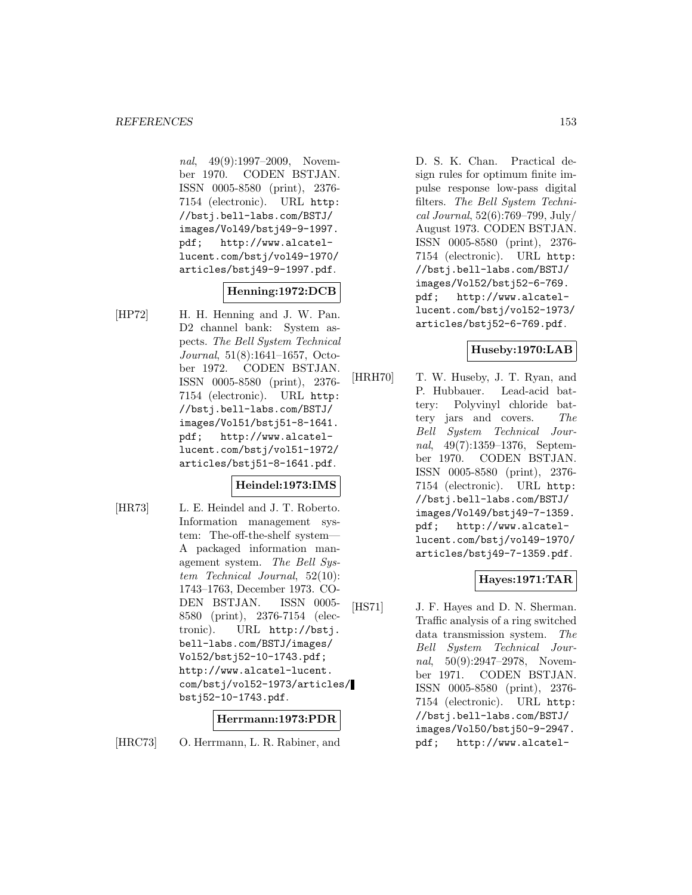nal, 49(9):1997–2009, November 1970. CODEN BSTJAN. ISSN 0005-8580 (print), 2376- 7154 (electronic). URL http: //bstj.bell-labs.com/BSTJ/ images/Vol49/bstj49-9-1997. pdf; http://www.alcatellucent.com/bstj/vol49-1970/ articles/bstj49-9-1997.pdf.

# **Henning:1972:DCB**

[HP72] H. H. Henning and J. W. Pan. D2 channel bank: System aspects. The Bell System Technical Journal, 51(8):1641–1657, October 1972. CODEN BSTJAN. ISSN 0005-8580 (print), 2376- 7154 (electronic). URL http: //bstj.bell-labs.com/BSTJ/ images/Vol51/bstj51-8-1641. pdf; http://www.alcatellucent.com/bstj/vol51-1972/ articles/bstj51-8-1641.pdf.

# **Heindel:1973:IMS**

[HR73] L. E. Heindel and J. T. Roberto. Information management system: The-off-the-shelf system— A packaged information management system. The Bell System Technical Journal, 52(10): 1743–1763, December 1973. CO-DEN BSTJAN. ISSN 0005- 8580 (print), 2376-7154 (electronic). URL http://bstj. bell-labs.com/BSTJ/images/ Vol52/bstj52-10-1743.pdf; http://www.alcatel-lucent. com/bstj/vol52-1973/articles/ bstj52-10-1743.pdf.

# **Herrmann:1973:PDR**

[HRC73] O. Herrmann, L. R. Rabiner, and

D. S. K. Chan. Practical design rules for optimum finite impulse response low-pass digital filters. The Bell System Technical Journal, 52(6):769–799, July/ August 1973. CODEN BSTJAN. ISSN 0005-8580 (print), 2376- 7154 (electronic). URL http: //bstj.bell-labs.com/BSTJ/ images/Vol52/bstj52-6-769. pdf; http://www.alcatellucent.com/bstj/vol52-1973/ articles/bstj52-6-769.pdf.

#### **Huseby:1970:LAB**

[HRH70] T. W. Huseby, J. T. Ryan, and P. Hubbauer. Lead-acid battery: Polyvinyl chloride battery jars and covers. The Bell System Technical Journal, 49(7):1359–1376, September 1970. CODEN BSTJAN. ISSN 0005-8580 (print), 2376- 7154 (electronic). URL http: //bstj.bell-labs.com/BSTJ/ images/Vol49/bstj49-7-1359. pdf; http://www.alcatellucent.com/bstj/vol49-1970/ articles/bstj49-7-1359.pdf.

#### **Hayes:1971:TAR**

[HS71] J. F. Hayes and D. N. Sherman. Traffic analysis of a ring switched data transmission system. The Bell System Technical Journal, 50(9):2947–2978, November 1971. CODEN BSTJAN. ISSN 0005-8580 (print), 2376- 7154 (electronic). URL http: //bstj.bell-labs.com/BSTJ/ images/Vol50/bstj50-9-2947. pdf; http://www.alcatel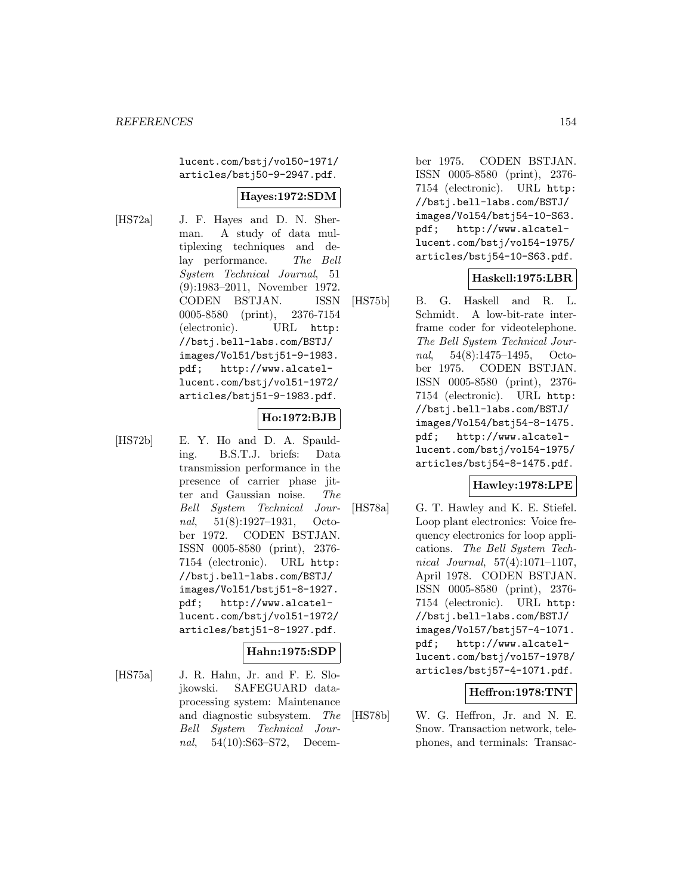lucent.com/bstj/vol50-1971/ articles/bstj50-9-2947.pdf.

# **Hayes:1972:SDM**

[HS72a] J. F. Hayes and D. N. Sherman. A study of data multiplexing techniques and delay performance. The Bell System Technical Journal, 51 (9):1983–2011, November 1972. CODEN BSTJAN. ISSN 0005-8580 (print), 2376-7154 (electronic). URL http: //bstj.bell-labs.com/BSTJ/ images/Vol51/bstj51-9-1983. pdf; http://www.alcatellucent.com/bstj/vol51-1972/ articles/bstj51-9-1983.pdf.

#### **Ho:1972:BJB**

[HS72b] E. Y. Ho and D. A. Spaulding. B.S.T.J. briefs: Data transmission performance in the presence of carrier phase jitter and Gaussian noise. The Bell System Technical Journal, 51(8):1927–1931, October 1972. CODEN BSTJAN. ISSN 0005-8580 (print), 2376- 7154 (electronic). URL http: //bstj.bell-labs.com/BSTJ/ images/Vol51/bstj51-8-1927. pdf; http://www.alcatellucent.com/bstj/vol51-1972/ articles/bstj51-8-1927.pdf.

# **Hahn:1975:SDP**

[HS75a] J. R. Hahn, Jr. and F. E. Slojkowski. SAFEGUARD dataprocessing system: Maintenance and diagnostic subsystem. The Bell System Technical Journal, 54(10):S63–S72, December 1975. CODEN BSTJAN. ISSN 0005-8580 (print), 2376- 7154 (electronic). URL http: //bstj.bell-labs.com/BSTJ/ images/Vol54/bstj54-10-S63. pdf; http://www.alcatellucent.com/bstj/vol54-1975/ articles/bstj54-10-S63.pdf.

# **Haskell:1975:LBR**

[HS75b] B. G. Haskell and R. L. Schmidt. A low-bit-rate interframe coder for videotelephone. The Bell System Technical Journal, 54(8):1475–1495, October 1975. CODEN BSTJAN. ISSN 0005-8580 (print), 2376- 7154 (electronic). URL http: //bstj.bell-labs.com/BSTJ/ images/Vol54/bstj54-8-1475. pdf; http://www.alcatellucent.com/bstj/vol54-1975/ articles/bstj54-8-1475.pdf.

# **Hawley:1978:LPE**

[HS78a] G. T. Hawley and K. E. Stiefel. Loop plant electronics: Voice frequency electronics for loop applications. The Bell System Technical Journal, 57(4):1071–1107, April 1978. CODEN BSTJAN. ISSN 0005-8580 (print), 2376- 7154 (electronic). URL http: //bstj.bell-labs.com/BSTJ/ images/Vol57/bstj57-4-1071. pdf; http://www.alcatellucent.com/bstj/vol57-1978/ articles/bstj57-4-1071.pdf.

# **Heffron:1978:TNT**

[HS78b] W. G. Heffron, Jr. and N. E. Snow. Transaction network, telephones, and terminals: Transac-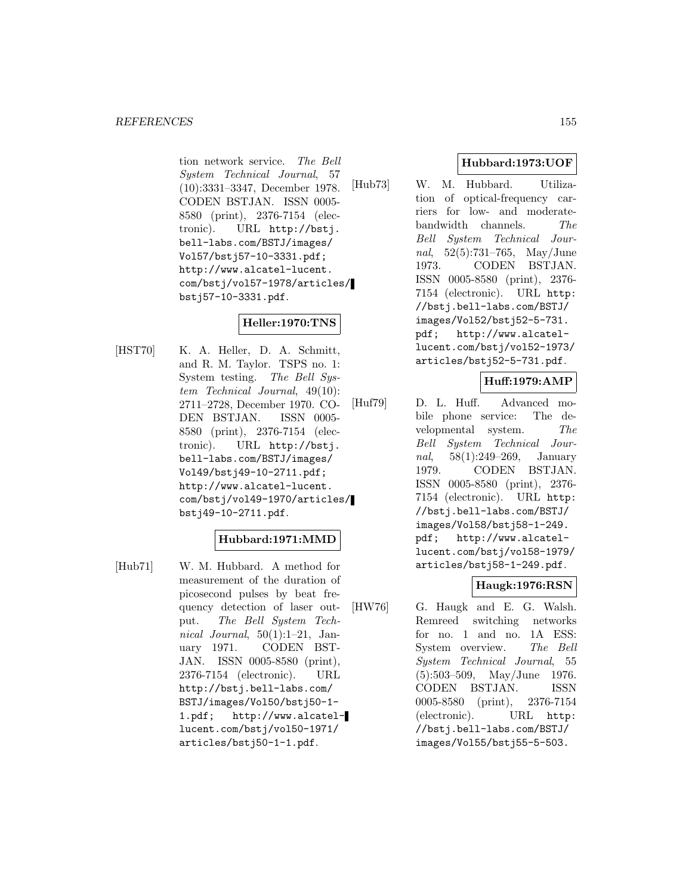#### *REFERENCES* 155

tion network service. The Bell System Technical Journal, 57 (10):3331–3347, December 1978. CODEN BSTJAN. ISSN 0005- 8580 (print), 2376-7154 (electronic). URL http://bstj. bell-labs.com/BSTJ/images/ Vol57/bstj57-10-3331.pdf; http://www.alcatel-lucent. com/bstj/vol57-1978/articles/ bstj57-10-3331.pdf.

# **Heller:1970:TNS**

[HST70] K. A. Heller, D. A. Schmitt, and R. M. Taylor. TSPS no. 1: System testing. The Bell System Technical Journal, 49(10): 2711–2728, December 1970. CO-DEN BSTJAN. ISSN 0005- 8580 (print), 2376-7154 (electronic). URL http://bstj. bell-labs.com/BSTJ/images/ Vol49/bstj49-10-2711.pdf; http://www.alcatel-lucent. com/bstj/vol49-1970/articles/ bstj49-10-2711.pdf.

# **Hubbard:1971:MMD**

[Hub71] W. M. Hubbard. A method for measurement of the duration of picosecond pulses by beat frequency detection of laser output. The Bell System Technical Journal,  $50(1):1-21$ , January 1971. CODEN BST-JAN. ISSN 0005-8580 (print), 2376-7154 (electronic). URL http://bstj.bell-labs.com/ BSTJ/images/Vol50/bstj50-1- 1.pdf; http://www.alcatellucent.com/bstj/vol50-1971/ articles/bstj50-1-1.pdf.

# **Hubbard:1973:UOF**

[Hub73] W. M. Hubbard. Utilization of optical-frequency carriers for low- and moderatebandwidth channels. The Bell System Technical Journal, 52(5):731–765, May/June 1973. CODEN BSTJAN. ISSN 0005-8580 (print), 2376- 7154 (electronic). URL http: //bstj.bell-labs.com/BSTJ/ images/Vol52/bstj52-5-731. pdf; http://www.alcatellucent.com/bstj/vol52-1973/ articles/bstj52-5-731.pdf.

#### **Huff:1979:AMP**

[Huf79] D. L. Huff. Advanced mobile phone service: The developmental system. The Bell System Technical Journal, 58(1):249–269, January 1979. CODEN BSTJAN. ISSN 0005-8580 (print), 2376- 7154 (electronic). URL http: //bstj.bell-labs.com/BSTJ/ images/Vol58/bstj58-1-249. pdf; http://www.alcatellucent.com/bstj/vol58-1979/ articles/bstj58-1-249.pdf.

#### **Haugk:1976:RSN**

[HW76] G. Haugk and E. G. Walsh. Remreed switching networks for no. 1 and no. 1A ESS: System overview. The Bell System Technical Journal, 55 (5):503–509, May/June 1976. CODEN BSTJAN. ISSN 0005-8580 (print), 2376-7154 (electronic). URL http: //bstj.bell-labs.com/BSTJ/ images/Vol55/bstj55-5-503.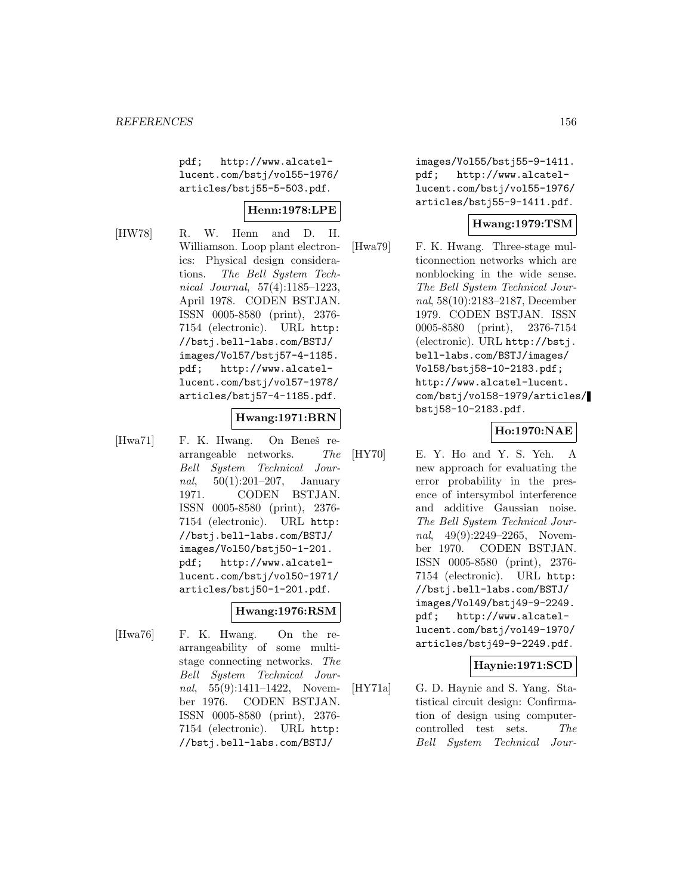pdf; http://www.alcatellucent.com/bstj/vol55-1976/ articles/bstj55-5-503.pdf.

#### **Henn:1978:LPE**

[HW78] R. W. Henn and D. H. Williamson. Loop plant electronics: Physical design considerations. The Bell System Technical Journal, 57(4):1185–1223, April 1978. CODEN BSTJAN. ISSN 0005-8580 (print), 2376- 7154 (electronic). URL http: //bstj.bell-labs.com/BSTJ/ images/Vol57/bstj57-4-1185. pdf; http://www.alcatellucent.com/bstj/vol57-1978/ articles/bstj57-4-1185.pdf.

#### **Hwang:1971:BRN**

[Hwa71] F. K. Hwang. On Beneš rearrangeable networks. The Bell System Technical Journal, 50(1):201–207, January 1971. CODEN BSTJAN. ISSN 0005-8580 (print), 2376- 7154 (electronic). URL http: //bstj.bell-labs.com/BSTJ/ images/Vol50/bstj50-1-201. pdf; http://www.alcatellucent.com/bstj/vol50-1971/ articles/bstj50-1-201.pdf.

#### **Hwang:1976:RSM**

[Hwa76] F. K. Hwang. On the rearrangeability of some multistage connecting networks. The Bell System Technical Journal, 55(9):1411–1422, November 1976. CODEN BSTJAN. ISSN 0005-8580 (print), 2376- 7154 (electronic). URL http: //bstj.bell-labs.com/BSTJ/

images/Vol55/bstj55-9-1411. pdf; http://www.alcatellucent.com/bstj/vol55-1976/ articles/bstj55-9-1411.pdf.

#### **Hwang:1979:TSM**

[Hwa79] F. K. Hwang. Three-stage multiconnection networks which are nonblocking in the wide sense. The Bell System Technical Journal, 58(10):2183–2187, December 1979. CODEN BSTJAN. ISSN 0005-8580 (print), 2376-7154 (electronic). URL http://bstj. bell-labs.com/BSTJ/images/ Vol58/bstj58-10-2183.pdf; http://www.alcatel-lucent. com/bstj/vol58-1979/articles/ bstj58-10-2183.pdf.

# **Ho:1970:NAE**

[HY70] E. Y. Ho and Y. S. Yeh. A new approach for evaluating the error probability in the presence of intersymbol interference and additive Gaussian noise. The Bell System Technical Journal, 49(9):2249–2265, November 1970. CODEN BSTJAN. ISSN 0005-8580 (print), 2376- 7154 (electronic). URL http: //bstj.bell-labs.com/BSTJ/ images/Vol49/bstj49-9-2249. pdf; http://www.alcatellucent.com/bstj/vol49-1970/ articles/bstj49-9-2249.pdf.

# **Haynie:1971:SCD**

[HY71a] G. D. Haynie and S. Yang. Statistical circuit design: Confirmation of design using computercontrolled test sets. The Bell System Technical Jour-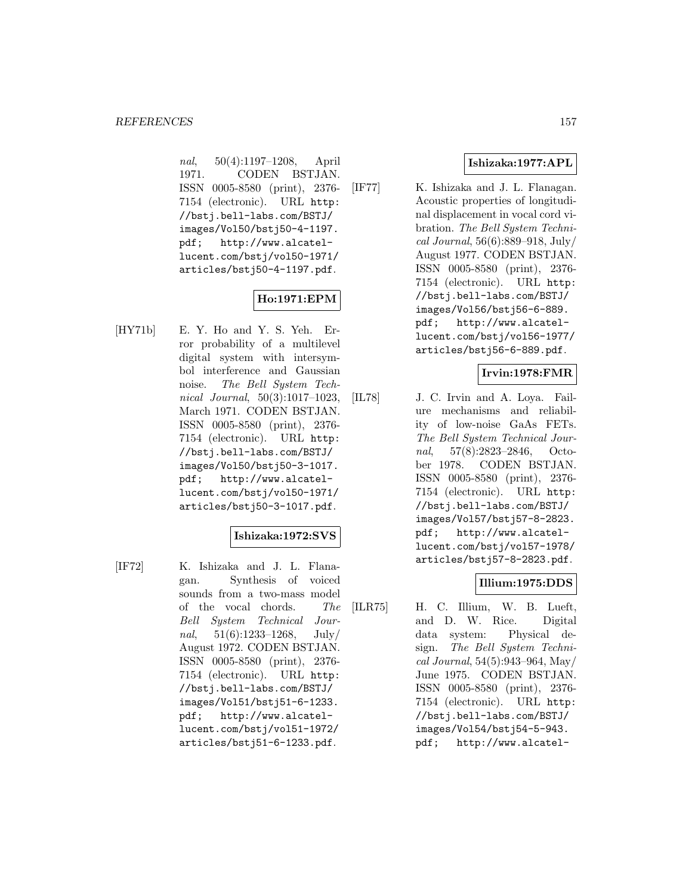nal, 50(4):1197–1208, April 1971. CODEN BSTJAN. ISSN 0005-8580 (print), 2376- 7154 (electronic). URL http: //bstj.bell-labs.com/BSTJ/ images/Vol50/bstj50-4-1197. pdf; http://www.alcatellucent.com/bstj/vol50-1971/ articles/bstj50-4-1197.pdf.

# **Ho:1971:EPM**

[HY71b] E. Y. Ho and Y. S. Yeh. Error probability of a multilevel digital system with intersymbol interference and Gaussian noise. The Bell System Technical Journal, 50(3):1017–1023, March 1971. CODEN BSTJAN. ISSN 0005-8580 (print), 2376- 7154 (electronic). URL http: //bstj.bell-labs.com/BSTJ/ images/Vol50/bstj50-3-1017. pdf; http://www.alcatellucent.com/bstj/vol50-1971/ articles/bstj50-3-1017.pdf.

#### **Ishizaka:1972:SVS**

[IF72] K. Ishizaka and J. L. Flanagan. Synthesis of voiced sounds from a two-mass model of the vocal chords. The Bell System Technical Journal,  $51(6):1233-1268$ , July/ August 1972. CODEN BSTJAN. ISSN 0005-8580 (print), 2376- 7154 (electronic). URL http: //bstj.bell-labs.com/BSTJ/ images/Vol51/bstj51-6-1233. pdf; http://www.alcatellucent.com/bstj/vol51-1972/ articles/bstj51-6-1233.pdf.

# **Ishizaka:1977:APL**

[IF77] K. Ishizaka and J. L. Flanagan. Acoustic properties of longitudinal displacement in vocal cord vibration. The Bell System Technical Journal, 56(6):889–918, July/ August 1977. CODEN BSTJAN. ISSN 0005-8580 (print), 2376- 7154 (electronic). URL http: //bstj.bell-labs.com/BSTJ/ images/Vol56/bstj56-6-889. pdf; http://www.alcatellucent.com/bstj/vol56-1977/ articles/bstj56-6-889.pdf.

# **Irvin:1978:FMR**

[IL78] J. C. Irvin and A. Loya. Failure mechanisms and reliability of low-noise GaAs FETs. The Bell System Technical Journal, 57(8):2823–2846, October 1978. CODEN BSTJAN. ISSN 0005-8580 (print), 2376- 7154 (electronic). URL http: //bstj.bell-labs.com/BSTJ/ images/Vol57/bstj57-8-2823. pdf; http://www.alcatellucent.com/bstj/vol57-1978/ articles/bstj57-8-2823.pdf.

#### **Illium:1975:DDS**

[ILR75] H. C. Illium, W. B. Lueft, and D. W. Rice. Digital data system: Physical design. The Bell System Technical Journal, 54(5):943–964, May/ June 1975. CODEN BSTJAN. ISSN 0005-8580 (print), 2376- 7154 (electronic). URL http: //bstj.bell-labs.com/BSTJ/ images/Vol54/bstj54-5-943. pdf; http://www.alcatel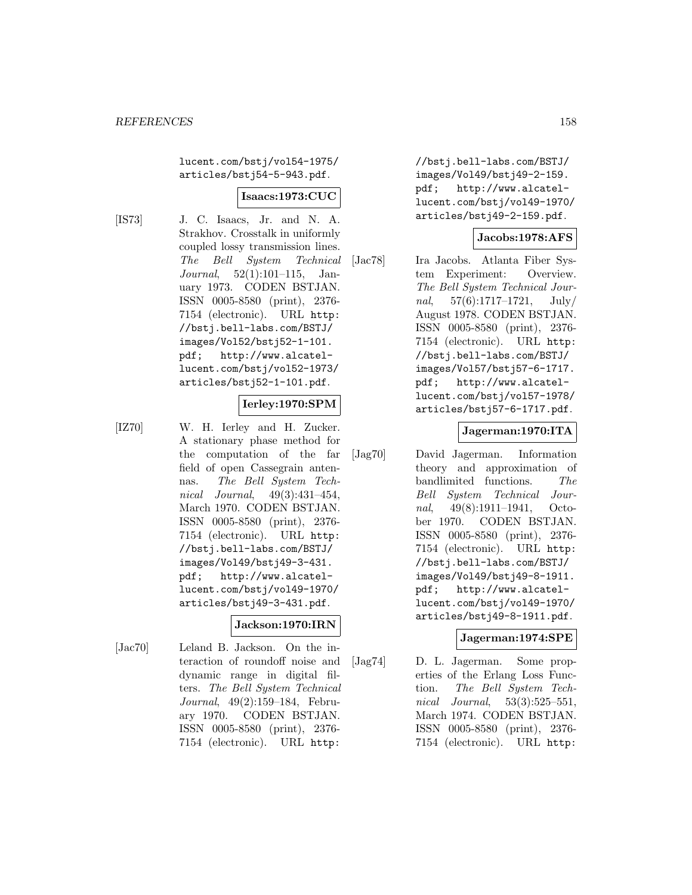lucent.com/bstj/vol54-1975/ articles/bstj54-5-943.pdf.

#### **Isaacs:1973:CUC**

[IS73] J. C. Isaacs, Jr. and N. A. Strakhov. Crosstalk in uniformly coupled lossy transmission lines. The Bell System Technical Journal, 52(1):101–115, January 1973. CODEN BSTJAN. ISSN 0005-8580 (print), 2376- 7154 (electronic). URL http: //bstj.bell-labs.com/BSTJ/ images/Vol52/bstj52-1-101. pdf; http://www.alcatellucent.com/bstj/vol52-1973/ articles/bstj52-1-101.pdf.

# **Ierley:1970:SPM**

[IZ70] W. H. Ierley and H. Zucker. A stationary phase method for the computation of the far field of open Cassegrain antennas. The Bell System Technical Journal, 49(3):431–454, March 1970. CODEN BSTJAN. ISSN 0005-8580 (print), 2376- 7154 (electronic). URL http: //bstj.bell-labs.com/BSTJ/ images/Vol49/bstj49-3-431. pdf; http://www.alcatellucent.com/bstj/vol49-1970/ articles/bstj49-3-431.pdf.

# **Jackson:1970:IRN**

[Jac70] Leland B. Jackson. On the interaction of roundoff noise and dynamic range in digital filters. The Bell System Technical Journal, 49(2):159–184, February 1970. CODEN BSTJAN. ISSN 0005-8580 (print), 2376- 7154 (electronic). URL http:

//bstj.bell-labs.com/BSTJ/ images/Vol49/bstj49-2-159. pdf; http://www.alcatellucent.com/bstj/vol49-1970/ articles/bstj49-2-159.pdf.

#### **Jacobs:1978:AFS**

[Jac78] Ira Jacobs. Atlanta Fiber System Experiment: Overview. The Bell System Technical Journal,  $57(6):1717-1721$ ,  $\text{July}/$ August 1978. CODEN BSTJAN. ISSN 0005-8580 (print), 2376- 7154 (electronic). URL http: //bstj.bell-labs.com/BSTJ/ images/Vol57/bstj57-6-1717. pdf; http://www.alcatellucent.com/bstj/vol57-1978/ articles/bstj57-6-1717.pdf.

#### **Jagerman:1970:ITA**

[Jag70] David Jagerman. Information theory and approximation of bandlimited functions. The Bell System Technical Journal, 49(8):1911–1941, October 1970. CODEN BSTJAN. ISSN 0005-8580 (print), 2376- 7154 (electronic). URL http: //bstj.bell-labs.com/BSTJ/ images/Vol49/bstj49-8-1911. pdf; http://www.alcatellucent.com/bstj/vol49-1970/ articles/bstj49-8-1911.pdf.

#### **Jagerman:1974:SPE**

[Jag74] D. L. Jagerman. Some properties of the Erlang Loss Function. The Bell System Technical Journal, 53(3):525–551, March 1974. CODEN BSTJAN. ISSN 0005-8580 (print), 2376- 7154 (electronic). URL http: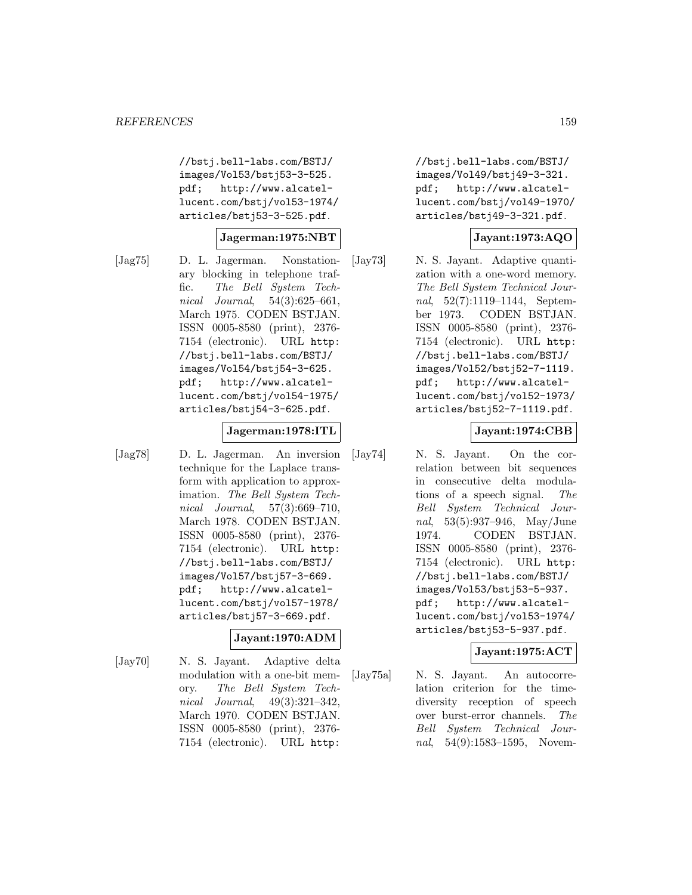//bstj.bell-labs.com/BSTJ/ images/Vol53/bstj53-3-525. pdf; http://www.alcatellucent.com/bstj/vol53-1974/ articles/bstj53-3-525.pdf.

#### **Jagerman:1975:NBT**

[Jag75] D. L. Jagerman. Nonstationary blocking in telephone traffic. The Bell System Technical Journal, 54(3):625–661, March 1975. CODEN BSTJAN. ISSN 0005-8580 (print), 2376- 7154 (electronic). URL http: //bstj.bell-labs.com/BSTJ/ images/Vol54/bstj54-3-625. pdf; http://www.alcatellucent.com/bstj/vol54-1975/ articles/bstj54-3-625.pdf.

#### **Jagerman:1978:ITL**

[Jag78] D. L. Jagerman. An inversion technique for the Laplace transform with application to approximation. The Bell System Technical Journal, 57(3):669–710, March 1978. CODEN BSTJAN. ISSN 0005-8580 (print), 2376- 7154 (electronic). URL http: //bstj.bell-labs.com/BSTJ/ images/Vol57/bstj57-3-669. pdf; http://www.alcatellucent.com/bstj/vol57-1978/ articles/bstj57-3-669.pdf.

#### **Jayant:1970:ADM**

[Jay70] N. S. Jayant. Adaptive delta modulation with a one-bit memory. The Bell System Technical Journal, 49(3):321–342, March 1970. CODEN BSTJAN. ISSN 0005-8580 (print), 2376- 7154 (electronic). URL http:

//bstj.bell-labs.com/BSTJ/ images/Vol49/bstj49-3-321. pdf; http://www.alcatellucent.com/bstj/vol49-1970/ articles/bstj49-3-321.pdf.

#### **Jayant:1973:AQO**

[Jay73] N. S. Jayant. Adaptive quantization with a one-word memory. The Bell System Technical Journal, 52(7):1119–1144, September 1973. CODEN BSTJAN. ISSN 0005-8580 (print), 2376- 7154 (electronic). URL http: //bstj.bell-labs.com/BSTJ/ images/Vol52/bstj52-7-1119. pdf; http://www.alcatellucent.com/bstj/vol52-1973/ articles/bstj52-7-1119.pdf.

#### **Jayant:1974:CBB**

[Jay74] N. S. Jayant. On the correlation between bit sequences in consecutive delta modulations of a speech signal. The Bell System Technical Journal, 53(5):937–946, May/June 1974. CODEN BSTJAN. ISSN 0005-8580 (print), 2376- 7154 (electronic). URL http: //bstj.bell-labs.com/BSTJ/ images/Vol53/bstj53-5-937. pdf; http://www.alcatellucent.com/bstj/vol53-1974/ articles/bstj53-5-937.pdf.

#### **Jayant:1975:ACT**

[Jay75a] N. S. Jayant. An autocorrelation criterion for the timediversity reception of speech over burst-error channels. The Bell System Technical Journal, 54(9):1583–1595, Novem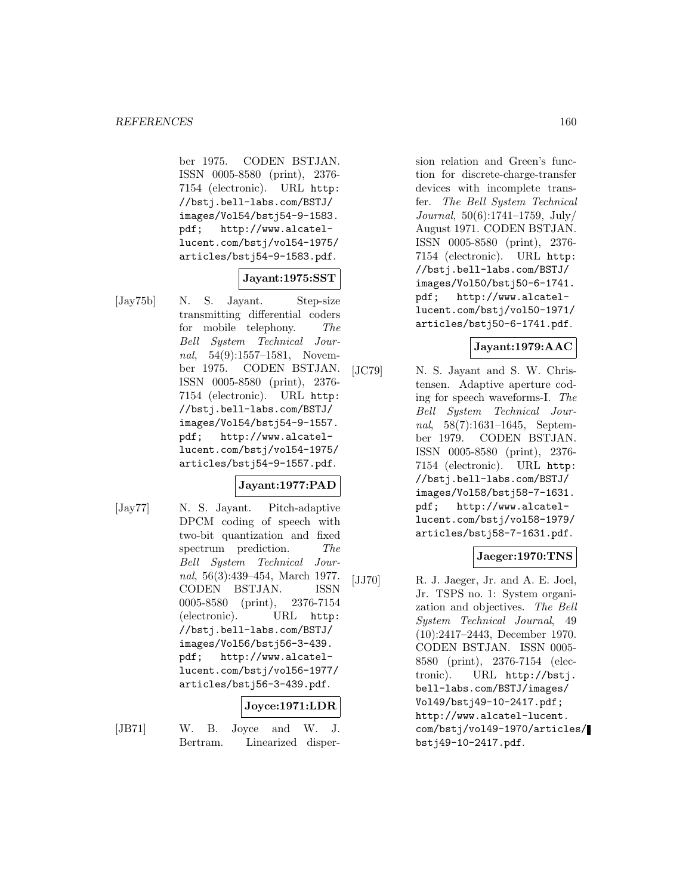ber 1975. CODEN BSTJAN. ISSN 0005-8580 (print), 2376- 7154 (electronic). URL http: //bstj.bell-labs.com/BSTJ/ images/Vol54/bstj54-9-1583. pdf; http://www.alcatellucent.com/bstj/vol54-1975/ articles/bstj54-9-1583.pdf.

# **Jayant:1975:SST**

[Jay75b] N. S. Jayant. Step-size transmitting differential coders for mobile telephony. The Bell System Technical Journal, 54(9):1557–1581, November 1975. CODEN BSTJAN. ISSN 0005-8580 (print), 2376- 7154 (electronic). URL http: //bstj.bell-labs.com/BSTJ/ images/Vol54/bstj54-9-1557. pdf; http://www.alcatellucent.com/bstj/vol54-1975/ articles/bstj54-9-1557.pdf.

# **Jayant:1977:PAD**

[Jay77] N. S. Jayant. Pitch-adaptive DPCM coding of speech with two-bit quantization and fixed spectrum prediction. The Bell System Technical Journal, 56(3):439–454, March 1977. CODEN BSTJAN. ISSN 0005-8580 (print), 2376-7154 (electronic). URL http: //bstj.bell-labs.com/BSTJ/ images/Vol56/bstj56-3-439. pdf; http://www.alcatellucent.com/bstj/vol56-1977/ articles/bstj56-3-439.pdf.

# **Joyce:1971:LDR**

[JB71] W. B. Joyce and W. J. Bertram. Linearized dispersion relation and Green's function for discrete-charge-transfer devices with incomplete transfer. The Bell System Technical Journal, 50(6):1741–1759, July/ August 1971. CODEN BSTJAN. ISSN 0005-8580 (print), 2376- 7154 (electronic). URL http: //bstj.bell-labs.com/BSTJ/ images/Vol50/bstj50-6-1741. pdf; http://www.alcatellucent.com/bstj/vol50-1971/ articles/bstj50-6-1741.pdf.

# **Jayant:1979:AAC**

[JC79] N. S. Jayant and S. W. Christensen. Adaptive aperture coding for speech waveforms-I. The Bell System Technical Journal, 58(7):1631–1645, September 1979. CODEN BSTJAN. ISSN 0005-8580 (print), 2376- 7154 (electronic). URL http: //bstj.bell-labs.com/BSTJ/ images/Vol58/bstj58-7-1631. pdf; http://www.alcatellucent.com/bstj/vol58-1979/ articles/bstj58-7-1631.pdf.

#### **Jaeger:1970:TNS**

[JJ70] R. J. Jaeger, Jr. and A. E. Joel, Jr. TSPS no. 1: System organization and objectives. The Bell System Technical Journal, 49 (10):2417–2443, December 1970. CODEN BSTJAN. ISSN 0005- 8580 (print), 2376-7154 (electronic). URL http://bstj. bell-labs.com/BSTJ/images/ Vol49/bstj49-10-2417.pdf; http://www.alcatel-lucent. com/bstj/vol49-1970/articles/ bstj49-10-2417.pdf.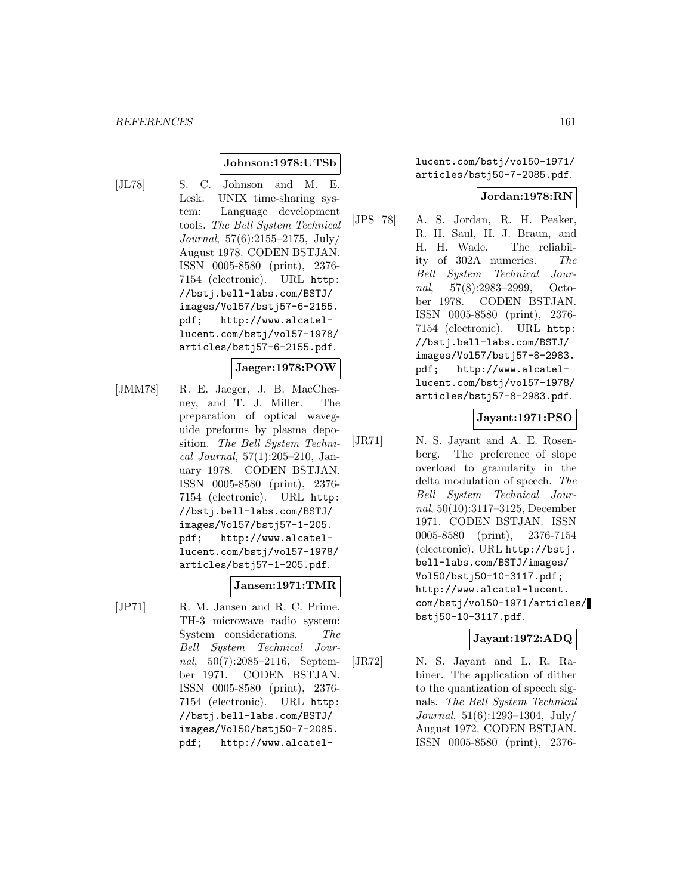#### **Johnson:1978:UTSb**

[JL78] S. C. Johnson and M. E. Lesk. UNIX time-sharing system: Language development tools. The Bell System Technical Journal, 57(6):2155–2175, July/ August 1978. CODEN BSTJAN. ISSN 0005-8580 (print), 2376- 7154 (electronic). URL http: //bstj.bell-labs.com/BSTJ/ images/Vol57/bstj57-6-2155. pdf; http://www.alcatellucent.com/bstj/vol57-1978/ articles/bstj57-6-2155.pdf.

#### **Jaeger:1978:POW**

[JMM78] R. E. Jaeger, J. B. MacChesney, and T. J. Miller. The preparation of optical waveguide preforms by plasma deposition. The Bell System Technical Journal, 57(1):205–210, January 1978. CODEN BSTJAN. ISSN 0005-8580 (print), 2376- 7154 (electronic). URL http: //bstj.bell-labs.com/BSTJ/ images/Vol57/bstj57-1-205. pdf; http://www.alcatellucent.com/bstj/vol57-1978/ articles/bstj57-1-205.pdf.

#### **Jansen:1971:TMR**

[JP71] R. M. Jansen and R. C. Prime. TH-3 microwave radio system: System considerations. The Bell System Technical Journal, 50(7):2085–2116, September 1971. CODEN BSTJAN. ISSN 0005-8580 (print), 2376- 7154 (electronic). URL http: //bstj.bell-labs.com/BSTJ/ images/Vol50/bstj50-7-2085. pdf; http://www.alcatellucent.com/bstj/vol50-1971/ articles/bstj50-7-2085.pdf.

#### **Jordan:1978:RN**

 $[JPS<sup>+</sup>78]$  A. S. Jordan, R. H. Peaker, R. H. Saul, H. J. Braun, and H. H. Wade. The reliability of 302A numerics. The Bell System Technical Journal, 57(8):2983–2999, October 1978. CODEN BSTJAN. ISSN 0005-8580 (print), 2376- 7154 (electronic). URL http: //bstj.bell-labs.com/BSTJ/ images/Vol57/bstj57-8-2983. pdf; http://www.alcatellucent.com/bstj/vol57-1978/ articles/bstj57-8-2983.pdf.

**Jayant:1971:PSO**

[JR71] N. S. Jayant and A. E. Rosenberg. The preference of slope overload to granularity in the delta modulation of speech. The Bell System Technical Journal, 50(10):3117–3125, December 1971. CODEN BSTJAN. ISSN 0005-8580 (print), 2376-7154 (electronic). URL http://bstj. bell-labs.com/BSTJ/images/ Vol50/bstj50-10-3117.pdf; http://www.alcatel-lucent. com/bstj/vol50-1971/articles/ bstj50-10-3117.pdf.

#### **Jayant:1972:ADQ**

[JR72] N. S. Jayant and L. R. Rabiner. The application of dither to the quantization of speech signals. The Bell System Technical Journal, 51(6):1293–1304, July/ August 1972. CODEN BSTJAN. ISSN 0005-8580 (print), 2376-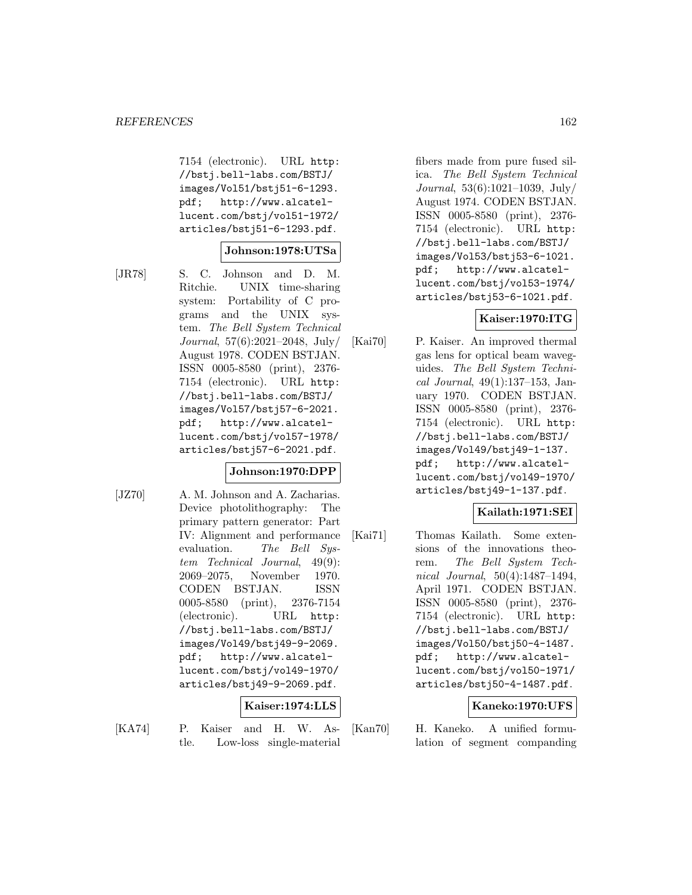7154 (electronic). URL http: //bstj.bell-labs.com/BSTJ/ images/Vol51/bstj51-6-1293. pdf; http://www.alcatellucent.com/bstj/vol51-1972/ articles/bstj51-6-1293.pdf.

#### **Johnson:1978:UTSa**

[JR78] S. C. Johnson and D. M. Ritchie. UNIX time-sharing system: Portability of C programs and the UNIX system. The Bell System Technical Journal, 57(6):2021–2048, July/ August 1978. CODEN BSTJAN. ISSN 0005-8580 (print), 2376- 7154 (electronic). URL http: //bstj.bell-labs.com/BSTJ/ images/Vol57/bstj57-6-2021. pdf; http://www.alcatellucent.com/bstj/vol57-1978/ articles/bstj57-6-2021.pdf.

# **Johnson:1970:DPP**

[JZ70] A. M. Johnson and A. Zacharias. Device photolithography: The primary pattern generator: Part IV: Alignment and performance evaluation. The Bell System Technical Journal, 49(9): 2069–2075, November 1970. CODEN BSTJAN. ISSN 0005-8580 (print), 2376-7154 (electronic). URL http: //bstj.bell-labs.com/BSTJ/ images/Vol49/bstj49-9-2069. pdf; http://www.alcatellucent.com/bstj/vol49-1970/ articles/bstj49-9-2069.pdf.

# **Kaiser:1974:LLS**

[KA74] P. Kaiser and H. W. Astle. Low-loss single-material

fibers made from pure fused silica. The Bell System Technical Journal, 53(6):1021–1039, July/ August 1974. CODEN BSTJAN. ISSN 0005-8580 (print), 2376- 7154 (electronic). URL http: //bstj.bell-labs.com/BSTJ/ images/Vol53/bstj53-6-1021. pdf; http://www.alcatellucent.com/bstj/vol53-1974/ articles/bstj53-6-1021.pdf.

# **Kaiser:1970:ITG**

[Kai70] P. Kaiser. An improved thermal gas lens for optical beam waveguides. The Bell System Technical Journal, 49(1):137–153, January 1970. CODEN BSTJAN. ISSN 0005-8580 (print), 2376- 7154 (electronic). URL http: //bstj.bell-labs.com/BSTJ/ images/Vol49/bstj49-1-137. pdf; http://www.alcatellucent.com/bstj/vol49-1970/ articles/bstj49-1-137.pdf.

# **Kailath:1971:SEI**

[Kai71] Thomas Kailath. Some extensions of the innovations theorem. The Bell System Technical Journal, 50(4):1487–1494, April 1971. CODEN BSTJAN. ISSN 0005-8580 (print), 2376- 7154 (electronic). URL http: //bstj.bell-labs.com/BSTJ/ images/Vol50/bstj50-4-1487. pdf; http://www.alcatellucent.com/bstj/vol50-1971/ articles/bstj50-4-1487.pdf.

# **Kaneko:1970:UFS**

[Kan70] H. Kaneko. A unified formulation of segment companding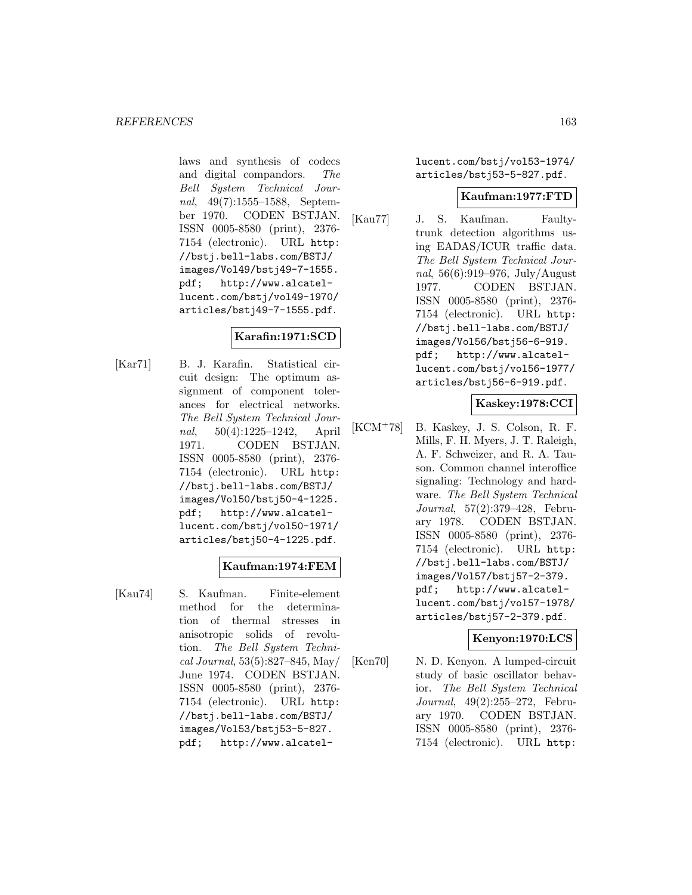laws and synthesis of codecs and digital compandors. The Bell System Technical Journal, 49(7):1555–1588, September 1970. CODEN BSTJAN. ISSN 0005-8580 (print), 2376- 7154 (electronic). URL http: //bstj.bell-labs.com/BSTJ/ images/Vol49/bstj49-7-1555. pdf; http://www.alcatellucent.com/bstj/vol49-1970/ articles/bstj49-7-1555.pdf.

# **Karafin:1971:SCD**

[Kar71] B. J. Karafin. Statistical circuit design: The optimum assignment of component tolerances for electrical networks. The Bell System Technical Journal, 50(4):1225–1242, April 1971. CODEN BSTJAN. ISSN 0005-8580 (print), 2376- 7154 (electronic). URL http: //bstj.bell-labs.com/BSTJ/ images/Vol50/bstj50-4-1225. pdf; http://www.alcatellucent.com/bstj/vol50-1971/ articles/bstj50-4-1225.pdf.

# **Kaufman:1974:FEM**

[Kau74] S. Kaufman. Finite-element method for the determination of thermal stresses in anisotropic solids of revolution. The Bell System Technical Journal, 53(5):827–845, May/ June 1974. CODEN BSTJAN. ISSN 0005-8580 (print), 2376- 7154 (electronic). URL http: //bstj.bell-labs.com/BSTJ/ images/Vol53/bstj53-5-827. pdf; http://www.alcatellucent.com/bstj/vol53-1974/ articles/bstj53-5-827.pdf.

#### **Kaufman:1977:FTD**

[Kau77] J. S. Kaufman. Faultytrunk detection algorithms using EADAS/ICUR traffic data. The Bell System Technical Journal, 56(6):919–976, July/August 1977. CODEN BSTJAN. ISSN 0005-8580 (print), 2376- 7154 (electronic). URL http: //bstj.bell-labs.com/BSTJ/ images/Vol56/bstj56-6-919. pdf; http://www.alcatellucent.com/bstj/vol56-1977/ articles/bstj56-6-919.pdf.

#### **Kaskey:1978:CCI**

[KCM<sup>+</sup>78] B. Kaskey, J. S. Colson, R. F. Mills, F. H. Myers, J. T. Raleigh, A. F. Schweizer, and R. A. Tauson. Common channel interoffice signaling: Technology and hardware. The Bell System Technical Journal, 57(2):379–428, February 1978. CODEN BSTJAN. ISSN 0005-8580 (print), 2376- 7154 (electronic). URL http: //bstj.bell-labs.com/BSTJ/ images/Vol57/bstj57-2-379. pdf; http://www.alcatellucent.com/bstj/vol57-1978/ articles/bstj57-2-379.pdf.

# **Kenyon:1970:LCS**

[Ken70] N. D. Kenyon. A lumped-circuit study of basic oscillator behavior. The Bell System Technical Journal, 49(2):255–272, February 1970. CODEN BSTJAN. ISSN 0005-8580 (print), 2376- 7154 (electronic). URL http: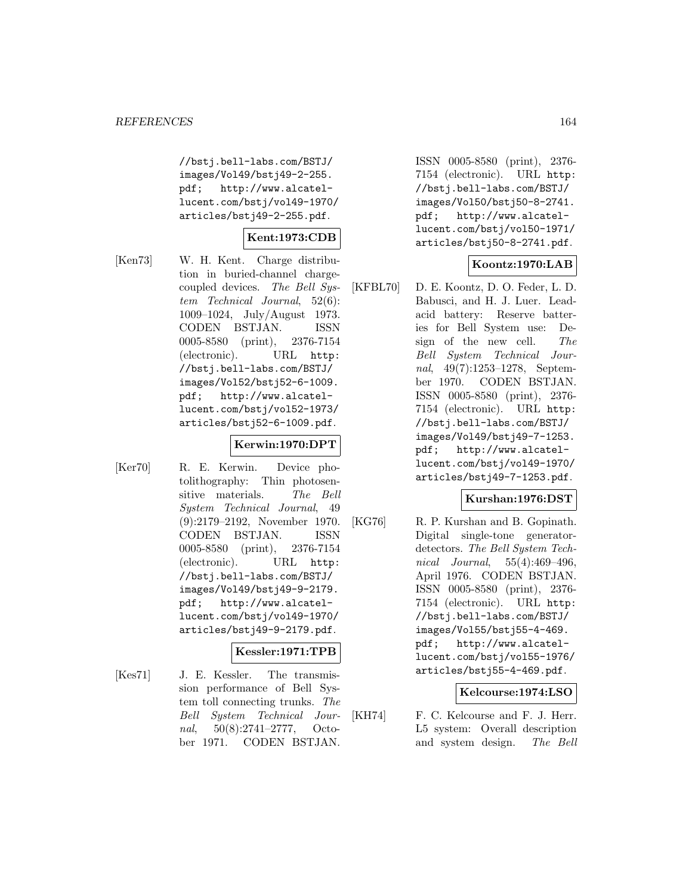//bstj.bell-labs.com/BSTJ/ images/Vol49/bstj49-2-255. pdf; http://www.alcatellucent.com/bstj/vol49-1970/ articles/bstj49-2-255.pdf.

# **Kent:1973:CDB**

[Ken73] W. H. Kent. Charge distribution in buried-channel chargecoupled devices. The Bell System Technical Journal, 52(6): 1009–1024, July/August 1973. CODEN BSTJAN. ISSN 0005-8580 (print), 2376-7154 (electronic). URL http: //bstj.bell-labs.com/BSTJ/ images/Vol52/bstj52-6-1009. pdf; http://www.alcatellucent.com/bstj/vol52-1973/ articles/bstj52-6-1009.pdf.

#### **Kerwin:1970:DPT**

[Ker70] R. E. Kerwin. Device photolithography: Thin photosensitive materials. The Bell System Technical Journal, 49 (9):2179–2192, November 1970. CODEN BSTJAN. ISSN 0005-8580 (print), 2376-7154 (electronic). URL http: //bstj.bell-labs.com/BSTJ/ images/Vol49/bstj49-9-2179. pdf; http://www.alcatellucent.com/bstj/vol49-1970/ articles/bstj49-9-2179.pdf.

# **Kessler:1971:TPB**

[Kes71] J. E. Kessler. The transmission performance of Bell System toll connecting trunks. The Bell System Technical Journal, 50(8):2741–2777, October 1971. CODEN BSTJAN.

ISSN 0005-8580 (print), 2376- 7154 (electronic). URL http: //bstj.bell-labs.com/BSTJ/ images/Vol50/bstj50-8-2741. pdf; http://www.alcatellucent.com/bstj/vol50-1971/ articles/bstj50-8-2741.pdf.

# **Koontz:1970:LAB**

[KFBL70] D. E. Koontz, D. O. Feder, L. D. Babusci, and H. J. Luer. Leadacid battery: Reserve batteries for Bell System use: Design of the new cell. The Bell System Technical Journal, 49(7):1253–1278, September 1970. CODEN BSTJAN. ISSN 0005-8580 (print), 2376- 7154 (electronic). URL http: //bstj.bell-labs.com/BSTJ/ images/Vol49/bstj49-7-1253. pdf; http://www.alcatellucent.com/bstj/vol49-1970/ articles/bstj49-7-1253.pdf.

# **Kurshan:1976:DST**

[KG76] R. P. Kurshan and B. Gopinath. Digital single-tone generatordetectors. The Bell System Technical Journal, 55(4):469–496, April 1976. CODEN BSTJAN. ISSN 0005-8580 (print), 2376- 7154 (electronic). URL http: //bstj.bell-labs.com/BSTJ/ images/Vol55/bstj55-4-469. pdf; http://www.alcatellucent.com/bstj/vol55-1976/ articles/bstj55-4-469.pdf.

#### **Kelcourse:1974:LSO**

[KH74] F. C. Kelcourse and F. J. Herr. L5 system: Overall description and system design. The Bell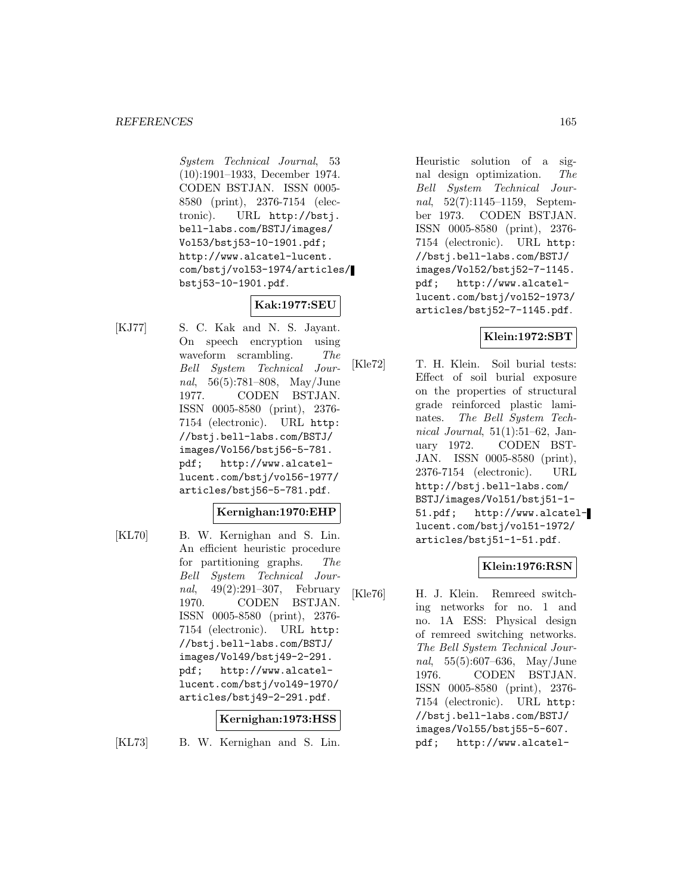System Technical Journal, 53 (10):1901–1933, December 1974. CODEN BSTJAN. ISSN 0005- 8580 (print), 2376-7154 (electronic). URL http://bstj. bell-labs.com/BSTJ/images/ Vol53/bstj53-10-1901.pdf; http://www.alcatel-lucent. com/bstj/vol53-1974/articles/ bstj53-10-1901.pdf.

# **Kak:1977:SEU**

[KJ77] S. C. Kak and N. S. Jayant. On speech encryption using waveform scrambling. The Bell System Technical Journal, 56(5):781–808, May/June 1977. CODEN BSTJAN. ISSN 0005-8580 (print), 2376- 7154 (electronic). URL http: //bstj.bell-labs.com/BSTJ/ images/Vol56/bstj56-5-781. pdf; http://www.alcatellucent.com/bstj/vol56-1977/ articles/bstj56-5-781.pdf.

#### **Kernighan:1970:EHP**

[KL70] B. W. Kernighan and S. Lin. An efficient heuristic procedure for partitioning graphs. The Bell System Technical Journal, 49(2):291–307, February 1970. CODEN BSTJAN. ISSN 0005-8580 (print), 2376- 7154 (electronic). URL http: //bstj.bell-labs.com/BSTJ/ images/Vol49/bstj49-2-291. pdf; http://www.alcatellucent.com/bstj/vol49-1970/ articles/bstj49-2-291.pdf.

#### **Kernighan:1973:HSS**

[KL73] B. W. Kernighan and S. Lin.

Heuristic solution of a signal design optimization. The Bell System Technical Journal, 52(7):1145–1159, September 1973. CODEN BSTJAN. ISSN 0005-8580 (print), 2376- 7154 (electronic). URL http: //bstj.bell-labs.com/BSTJ/ images/Vol52/bstj52-7-1145. pdf; http://www.alcatellucent.com/bstj/vol52-1973/ articles/bstj52-7-1145.pdf.

# **Klein:1972:SBT**

[Kle72] T. H. Klein. Soil burial tests: Effect of soil burial exposure on the properties of structural grade reinforced plastic laminates. The Bell System Technical Journal,  $51(1):51-62$ , January 1972. CODEN BST-JAN. ISSN 0005-8580 (print), 2376-7154 (electronic). URL http://bstj.bell-labs.com/ BSTJ/images/Vol51/bstj51-1- 51.pdf; http://www.alcatellucent.com/bstj/vol51-1972/ articles/bstj51-1-51.pdf.

# **Klein:1976:RSN**

[Kle76] H. J. Klein. Remreed switching networks for no. 1 and no. 1A ESS: Physical design of remreed switching networks. The Bell System Technical Journal, 55(5):607–636, May/June 1976. CODEN BSTJAN. ISSN 0005-8580 (print), 2376- 7154 (electronic). URL http: //bstj.bell-labs.com/BSTJ/ images/Vol55/bstj55-5-607. pdf; http://www.alcatel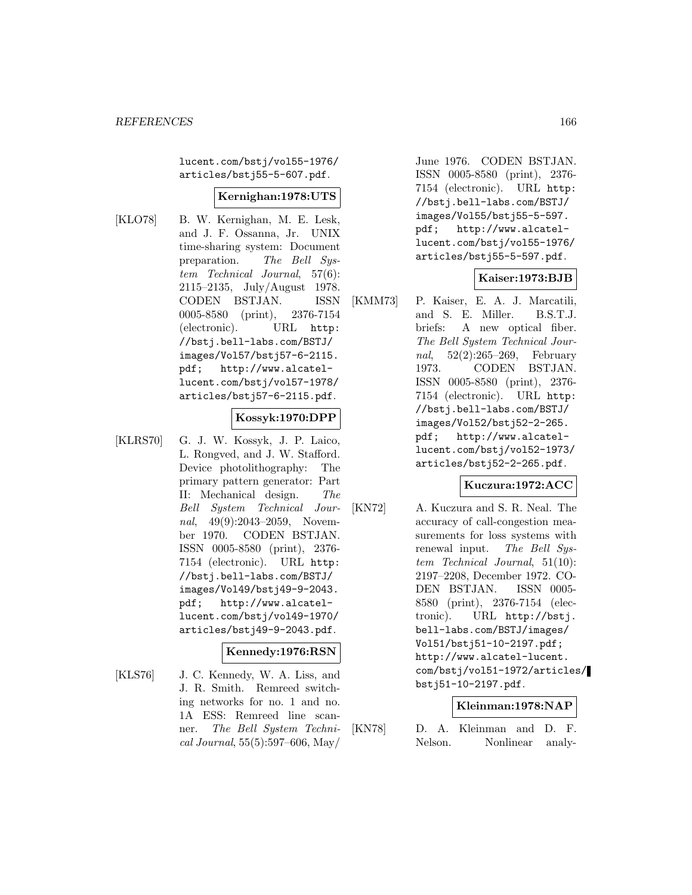lucent.com/bstj/vol55-1976/ articles/bstj55-5-607.pdf.

#### **Kernighan:1978:UTS**

- 
- [KLO78] B. W. Kernighan, M. E. Lesk, and J. F. Ossanna, Jr. UNIX time-sharing system: Document preparation. The Bell System Technical Journal, 57(6): 2115–2135, July/August 1978. CODEN BSTJAN. ISSN 0005-8580 (print), 2376-7154 (electronic). URL http: //bstj.bell-labs.com/BSTJ/ images/Vol57/bstj57-6-2115. pdf; http://www.alcatellucent.com/bstj/vol57-1978/ articles/bstj57-6-2115.pdf.

#### **Kossyk:1970:DPP**

[KLRS70] G. J. W. Kossyk, J. P. Laico, L. Rongved, and J. W. Stafford. Device photolithography: The primary pattern generator: Part II: Mechanical design. The Bell System Technical Journal, 49(9):2043–2059, November 1970. CODEN BSTJAN. ISSN 0005-8580 (print), 2376- 7154 (electronic). URL http: //bstj.bell-labs.com/BSTJ/ images/Vol49/bstj49-9-2043. pdf; http://www.alcatellucent.com/bstj/vol49-1970/ articles/bstj49-9-2043.pdf.

# **Kennedy:1976:RSN**

[KLS76] J. C. Kennedy, W. A. Liss, and J. R. Smith. Remreed switching networks for no. 1 and no. 1A ESS: Remreed line scanner. The Bell System Technical Journal, 55(5):597–606, May/

June 1976. CODEN BSTJAN. ISSN 0005-8580 (print), 2376- 7154 (electronic). URL http: //bstj.bell-labs.com/BSTJ/ images/Vol55/bstj55-5-597. pdf; http://www.alcatellucent.com/bstj/vol55-1976/ articles/bstj55-5-597.pdf.

#### **Kaiser:1973:BJB**

[KMM73] P. Kaiser, E. A. J. Marcatili, and S. E. Miller. B.S.T.J. briefs: A new optical fiber. The Bell System Technical Journal, 52(2):265–269, February 1973. CODEN BSTJAN. ISSN 0005-8580 (print), 2376- 7154 (electronic). URL http: //bstj.bell-labs.com/BSTJ/ images/Vol52/bstj52-2-265. pdf; http://www.alcatellucent.com/bstj/vol52-1973/ articles/bstj52-2-265.pdf.

#### **Kuczura:1972:ACC**

[KN72] A. Kuczura and S. R. Neal. The accuracy of call-congestion measurements for loss systems with renewal input. The Bell System Technical Journal, 51(10): 2197–2208, December 1972. CO-DEN BSTJAN. ISSN 0005- 8580 (print), 2376-7154 (electronic). URL http://bstj. bell-labs.com/BSTJ/images/ Vol51/bstj51-10-2197.pdf; http://www.alcatel-lucent. com/bstj/vol51-1972/articles/ bstj51-10-2197.pdf.

# **Kleinman:1978:NAP**

[KN78] D. A. Kleinman and D. F. Nelson. Nonlinear analy-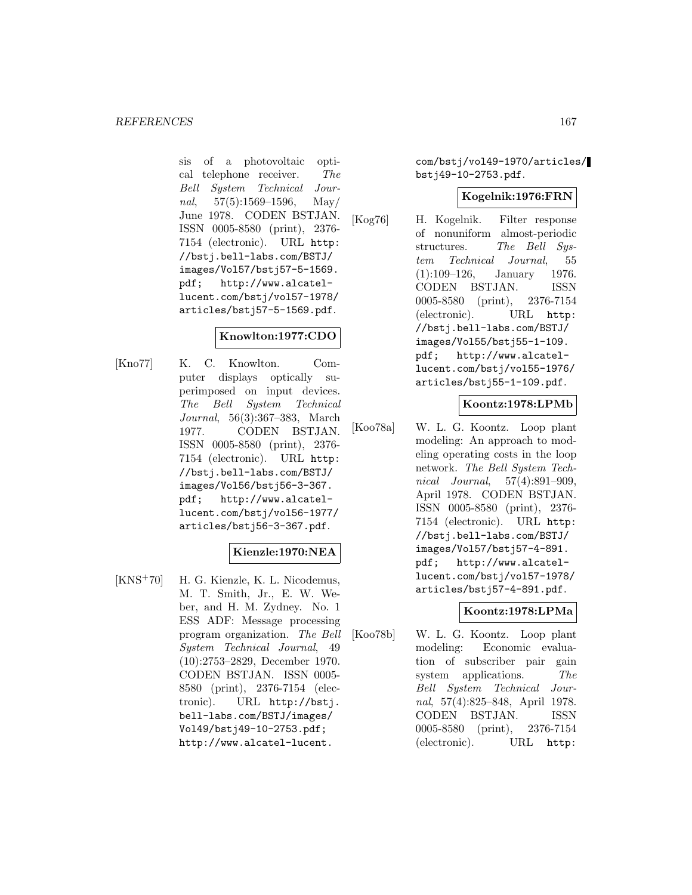sis of a photovoltaic optical telephone receiver. The Bell System Technical Journal,  $57(5):1569-1596$ , May/ June 1978. CODEN BSTJAN. ISSN 0005-8580 (print), 2376- 7154 (electronic). URL http: //bstj.bell-labs.com/BSTJ/ images/Vol57/bstj57-5-1569. pdf; http://www.alcatellucent.com/bstj/vol57-1978/ articles/bstj57-5-1569.pdf.

#### **Knowlton:1977:CDO**

[Kno77] K. C. Knowlton. Computer displays optically superimposed on input devices. The Bell System Technical Journal, 56(3):367–383, March 1977. CODEN BSTJAN. ISSN 0005-8580 (print), 2376- 7154 (electronic). URL http: //bstj.bell-labs.com/BSTJ/ images/Vol56/bstj56-3-367. pdf; http://www.alcatellucent.com/bstj/vol56-1977/ articles/bstj56-3-367.pdf.

#### **Kienzle:1970:NEA**

[KNS<sup>+</sup>70] H. G. Kienzle, K. L. Nicodemus, M. T. Smith, Jr., E. W. Weber, and H. M. Zydney. No. 1 ESS ADF: Message processing program organization. The Bell System Technical Journal, 49 (10):2753–2829, December 1970. CODEN BSTJAN. ISSN 0005- 8580 (print), 2376-7154 (electronic). URL http://bstj. bell-labs.com/BSTJ/images/ Vol49/bstj49-10-2753.pdf; http://www.alcatel-lucent.

com/bstj/vol49-1970/articles/ bstj49-10-2753.pdf.

#### **Kogelnik:1976:FRN**

[Kog76] H. Kogelnik. Filter response of nonuniform almost-periodic structures. The Bell System Technical Journal, 55 (1):109–126, January 1976. CODEN BSTJAN. ISSN 0005-8580 (print), 2376-7154 (electronic). URL http: //bstj.bell-labs.com/BSTJ/ images/Vol55/bstj55-1-109. pdf; http://www.alcatellucent.com/bstj/vol55-1976/ articles/bstj55-1-109.pdf.

#### **Koontz:1978:LPMb**

[Koo78a] W. L. G. Koontz. Loop plant modeling: An approach to modeling operating costs in the loop network. The Bell System Technical Journal, 57(4):891–909, April 1978. CODEN BSTJAN. ISSN 0005-8580 (print), 2376- 7154 (electronic). URL http: //bstj.bell-labs.com/BSTJ/ images/Vol57/bstj57-4-891. pdf; http://www.alcatellucent.com/bstj/vol57-1978/ articles/bstj57-4-891.pdf.

# **Koontz:1978:LPMa**

[Koo78b] W. L. G. Koontz. Loop plant modeling: Economic evaluation of subscriber pair gain system applications. The Bell System Technical Journal, 57(4):825–848, April 1978. CODEN BSTJAN. ISSN 0005-8580 (print), 2376-7154 (electronic). URL http: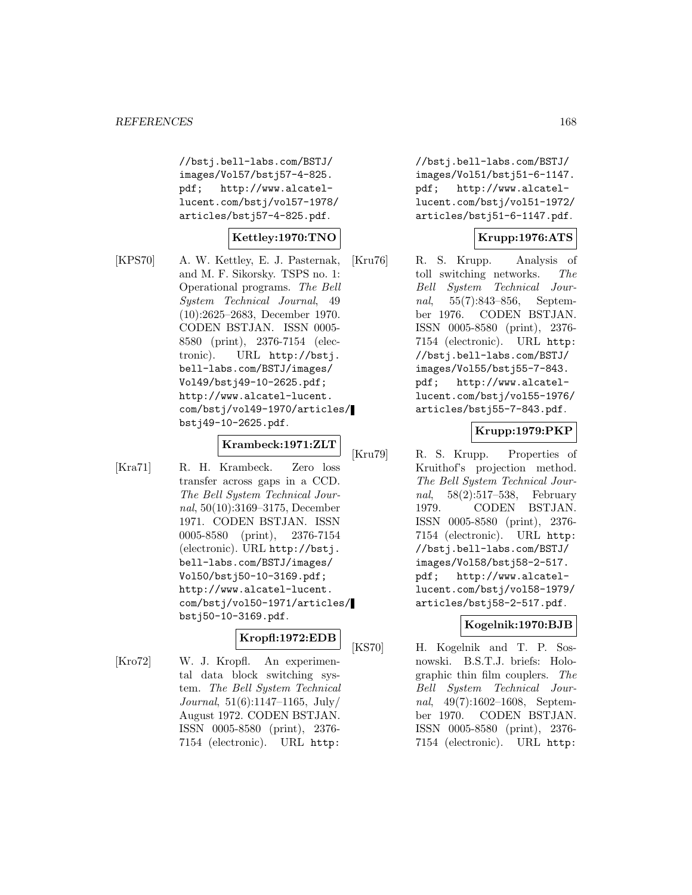//bstj.bell-labs.com/BSTJ/ images/Vol57/bstj57-4-825. pdf; http://www.alcatellucent.com/bstj/vol57-1978/ articles/bstj57-4-825.pdf.

#### **Kettley:1970:TNO**

[KPS70] A. W. Kettley, E. J. Pasternak, and M. F. Sikorsky. TSPS no. 1: Operational programs. The Bell System Technical Journal, 49 (10):2625–2683, December 1970. CODEN BSTJAN. ISSN 0005- 8580 (print), 2376-7154 (electronic). URL http://bstj. bell-labs.com/BSTJ/images/ Vol49/bstj49-10-2625.pdf; http://www.alcatel-lucent. com/bstj/vol49-1970/articles/ bstj49-10-2625.pdf.

# **Krambeck:1971:ZLT**

[Kra71] R. H. Krambeck. Zero loss transfer across gaps in a CCD. The Bell System Technical Journal, 50(10):3169–3175, December 1971. CODEN BSTJAN. ISSN 0005-8580 (print), 2376-7154 (electronic). URL http://bstj. bell-labs.com/BSTJ/images/ Vol50/bstj50-10-3169.pdf; http://www.alcatel-lucent. com/bstj/vol50-1971/articles/ bstj50-10-3169.pdf.

#### **Kropfl:1972:EDB**

[Kro72] W. J. Kropfl. An experimental data block switching system. The Bell System Technical Journal, 51(6):1147–1165, July/ August 1972. CODEN BSTJAN. ISSN 0005-8580 (print), 2376- 7154 (electronic). URL http:

//bstj.bell-labs.com/BSTJ/ images/Vol51/bstj51-6-1147. pdf; http://www.alcatellucent.com/bstj/vol51-1972/ articles/bstj51-6-1147.pdf.

#### **Krupp:1976:ATS**

[Kru76] R. S. Krupp. Analysis of toll switching networks. The Bell System Technical Journal, 55(7):843–856, September 1976. CODEN BSTJAN. ISSN 0005-8580 (print), 2376- 7154 (electronic). URL http: //bstj.bell-labs.com/BSTJ/ images/Vol55/bstj55-7-843. pdf; http://www.alcatellucent.com/bstj/vol55-1976/ articles/bstj55-7-843.pdf.

#### **Krupp:1979:PKP**

[Kru79] R. S. Krupp. Properties of Kruithof's projection method. The Bell System Technical Journal, 58(2):517–538, February 1979. CODEN BSTJAN. ISSN 0005-8580 (print), 2376- 7154 (electronic). URL http: //bstj.bell-labs.com/BSTJ/ images/Vol58/bstj58-2-517. pdf; http://www.alcatellucent.com/bstj/vol58-1979/ articles/bstj58-2-517.pdf.

#### **Kogelnik:1970:BJB**

[KS70] H. Kogelnik and T. P. Sosnowski. B.S.T.J. briefs: Holographic thin film couplers. The Bell System Technical Journal, 49(7):1602–1608, September 1970. CODEN BSTJAN. ISSN 0005-8580 (print), 2376- 7154 (electronic). URL http: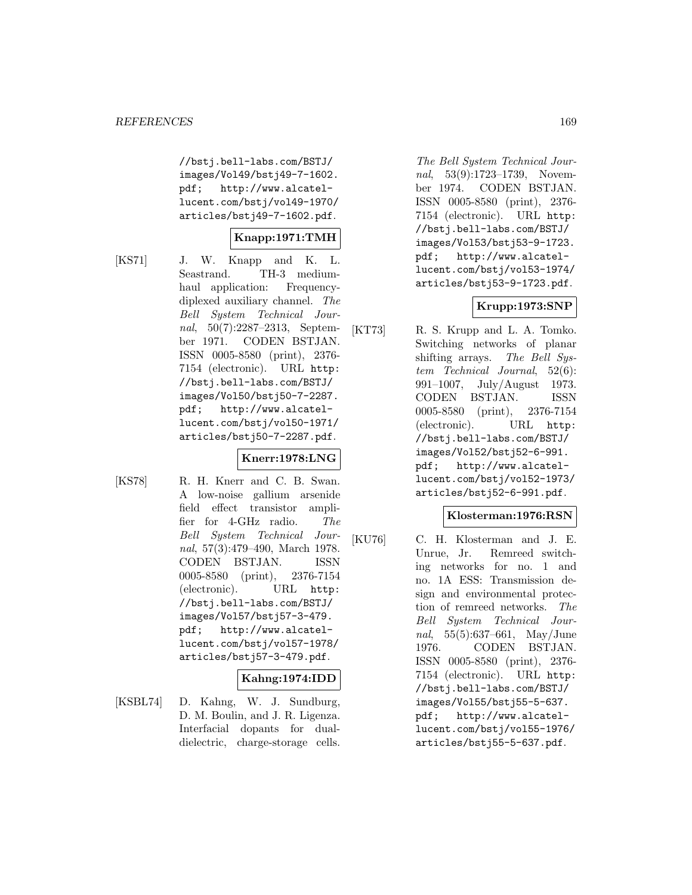//bstj.bell-labs.com/BSTJ/ images/Vol49/bstj49-7-1602. pdf; http://www.alcatellucent.com/bstj/vol49-1970/ articles/bstj49-7-1602.pdf.

#### **Knapp:1971:TMH**

[KS71] J. W. Knapp and K. L. Seastrand. TH-3 mediumhaul application: Frequencydiplexed auxiliary channel. The Bell System Technical Journal, 50(7):2287–2313, September 1971. CODEN BSTJAN. ISSN 0005-8580 (print), 2376- 7154 (electronic). URL http: //bstj.bell-labs.com/BSTJ/ images/Vol50/bstj50-7-2287. pdf; http://www.alcatellucent.com/bstj/vol50-1971/ articles/bstj50-7-2287.pdf.

# **Knerr:1978:LNG**

[KS78] R. H. Knerr and C. B. Swan. A low-noise gallium arsenide field effect transistor amplifier for 4-GHz radio. The Bell System Technical Journal, 57(3):479–490, March 1978. CODEN BSTJAN. ISSN 0005-8580 (print), 2376-7154 (electronic). URL http: //bstj.bell-labs.com/BSTJ/ images/Vol57/bstj57-3-479. pdf; http://www.alcatellucent.com/bstj/vol57-1978/ articles/bstj57-3-479.pdf. **Kahng:1974:IDD**

#### [KSBL74] D. Kahng, W. J. Sundburg, D. M. Boulin, and J. R. Ligenza. Interfacial dopants for dualdielectric, charge-storage cells.

The Bell System Technical Journal, 53(9):1723–1739, November 1974. CODEN BSTJAN. ISSN 0005-8580 (print), 2376- 7154 (electronic). URL http: //bstj.bell-labs.com/BSTJ/ images/Vol53/bstj53-9-1723. pdf; http://www.alcatellucent.com/bstj/vol53-1974/ articles/bstj53-9-1723.pdf.

#### **Krupp:1973:SNP**

[KT73] R. S. Krupp and L. A. Tomko. Switching networks of planar shifting arrays. The Bell System Technical Journal, 52(6): 991–1007, July/August 1973. CODEN BSTJAN. ISSN 0005-8580 (print), 2376-7154 (electronic). URL http: //bstj.bell-labs.com/BSTJ/ images/Vol52/bstj52-6-991. pdf; http://www.alcatellucent.com/bstj/vol52-1973/ articles/bstj52-6-991.pdf.

#### **Klosterman:1976:RSN**

[KU76] C. H. Klosterman and J. E. Unrue, Jr. Remreed switching networks for no. 1 and no. 1A ESS: Transmission design and environmental protection of remreed networks. The Bell System Technical Journal, 55(5):637–661, May/June 1976. CODEN BSTJAN. ISSN 0005-8580 (print), 2376- 7154 (electronic). URL http: //bstj.bell-labs.com/BSTJ/ images/Vol55/bstj55-5-637. pdf; http://www.alcatellucent.com/bstj/vol55-1976/ articles/bstj55-5-637.pdf.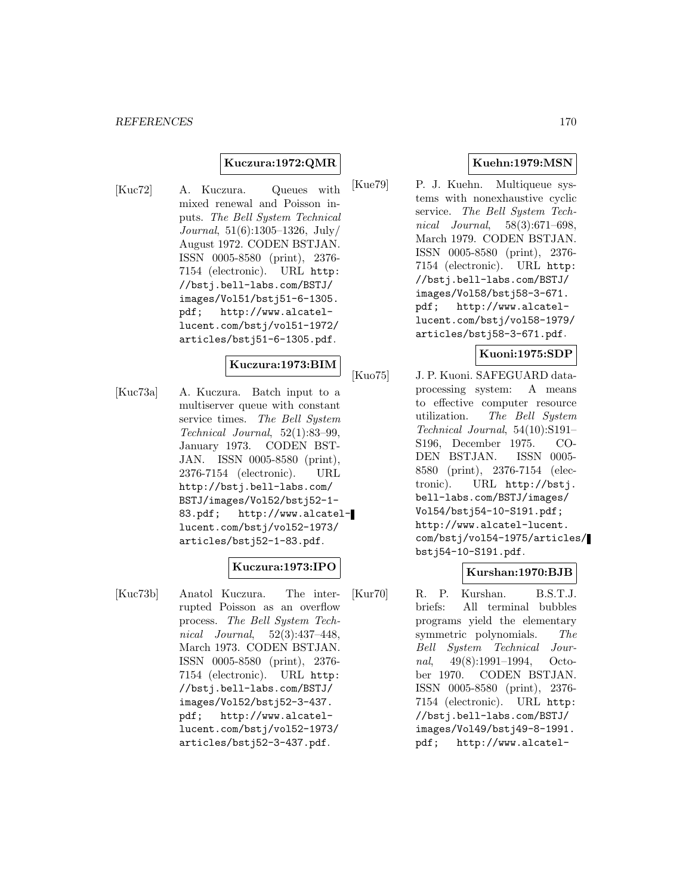#### **Kuczura:1972:QMR**

[Kuc72] A. Kuczura. Queues with mixed renewal and Poisson inputs. The Bell System Technical Journal, 51(6):1305–1326, July/ August 1972. CODEN BSTJAN. ISSN 0005-8580 (print), 2376- 7154 (electronic). URL http: //bstj.bell-labs.com/BSTJ/ images/Vol51/bstj51-6-1305. pdf; http://www.alcatellucent.com/bstj/vol51-1972/ articles/bstj51-6-1305.pdf.

#### **Kuczura:1973:BIM**

[Kuc73a] A. Kuczura. Batch input to a multiserver queue with constant service times. The Bell System Technical Journal, 52(1):83–99, January 1973. CODEN BST-JAN. ISSN 0005-8580 (print), 2376-7154 (electronic). URL http://bstj.bell-labs.com/ BSTJ/images/Vol52/bstj52-1- 83.pdf; http://www.alcatellucent.com/bstj/vol52-1973/ articles/bstj52-1-83.pdf.

# **Kuczura:1973:IPO**

[Kuc73b] Anatol Kuczura. The interrupted Poisson as an overflow process. The Bell System Technical Journal, 52(3):437–448, March 1973. CODEN BSTJAN. ISSN 0005-8580 (print), 2376- 7154 (electronic). URL http: //bstj.bell-labs.com/BSTJ/ images/Vol52/bstj52-3-437. pdf; http://www.alcatellucent.com/bstj/vol52-1973/ articles/bstj52-3-437.pdf.

# **Kuehn:1979:MSN**

[Kue79] P. J. Kuehn. Multiqueue systems with nonexhaustive cyclic service. The Bell System Technical Journal, 58(3):671–698, March 1979. CODEN BSTJAN. ISSN 0005-8580 (print), 2376- 7154 (electronic). URL http: //bstj.bell-labs.com/BSTJ/ images/Vol58/bstj58-3-671. pdf; http://www.alcatellucent.com/bstj/vol58-1979/ articles/bstj58-3-671.pdf.

# **Kuoni:1975:SDP**

[Kuo75] J. P. Kuoni. SAFEGUARD dataprocessing system: A means to effective computer resource utilization. The Bell System Technical Journal, 54(10):S191– S196, December 1975. CO-DEN BSTJAN. ISSN 0005- 8580 (print), 2376-7154 (electronic). URL http://bstj. bell-labs.com/BSTJ/images/ Vol54/bstj54-10-S191.pdf; http://www.alcatel-lucent. com/bstj/vol54-1975/articles/ bstj54-10-S191.pdf.

# **Kurshan:1970:BJB**

[Kur70] R. P. Kurshan. B.S.T.J. briefs: All terminal bubbles programs yield the elementary symmetric polynomials. The Bell System Technical Journal, 49(8):1991–1994, October 1970. CODEN BSTJAN. ISSN 0005-8580 (print), 2376- 7154 (electronic). URL http: //bstj.bell-labs.com/BSTJ/ images/Vol49/bstj49-8-1991. pdf; http://www.alcatel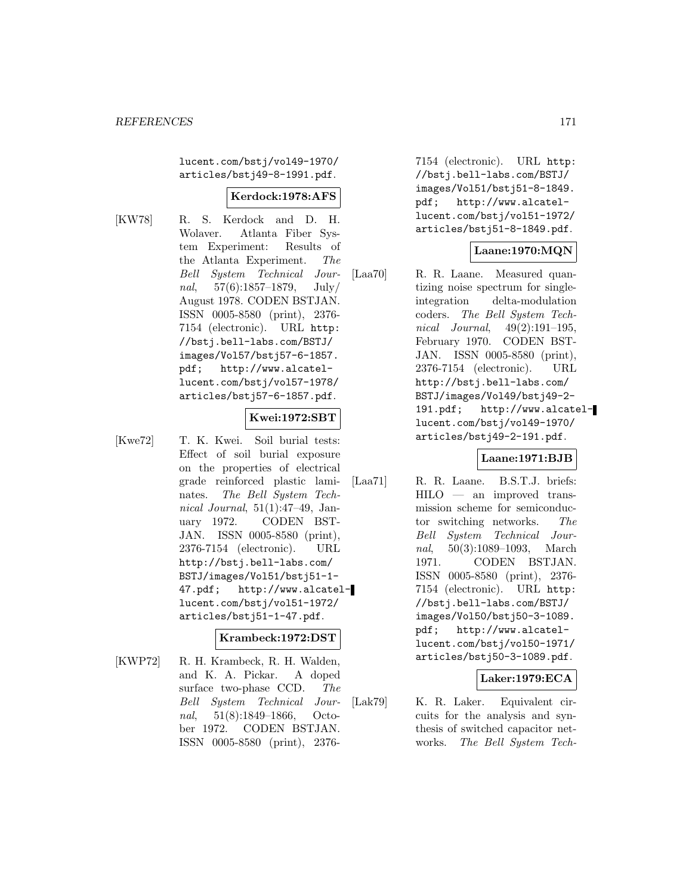lucent.com/bstj/vol49-1970/ articles/bstj49-8-1991.pdf.

#### **Kerdock:1978:AFS**

[KW78] R. S. Kerdock and D. H. Wolaver. Atlanta Fiber System Experiment: Results of the Atlanta Experiment. The Bell System Technical Journal,  $57(6):1857-1879$ , July/ August 1978. CODEN BSTJAN. ISSN 0005-8580 (print), 2376- 7154 (electronic). URL http: //bstj.bell-labs.com/BSTJ/ images/Vol57/bstj57-6-1857. pdf; http://www.alcatellucent.com/bstj/vol57-1978/ articles/bstj57-6-1857.pdf.

# **Kwei:1972:SBT**

[Kwe72] T. K. Kwei. Soil burial tests: Effect of soil burial exposure on the properties of electrical grade reinforced plastic laminates. The Bell System Technical Journal, 51(1):47–49, January 1972. CODEN BST-JAN. ISSN 0005-8580 (print), 2376-7154 (electronic). URL http://bstj.bell-labs.com/ BSTJ/images/Vol51/bstj51-1- 47.pdf; http://www.alcatellucent.com/bstj/vol51-1972/ articles/bstj51-1-47.pdf.

#### **Krambeck:1972:DST**

[KWP72] R. H. Krambeck, R. H. Walden, and K. A. Pickar. A doped surface two-phase CCD. The Bell System Technical Journal, 51(8):1849–1866, October 1972. CODEN BSTJAN. ISSN 0005-8580 (print), 23767154 (electronic). URL http: //bstj.bell-labs.com/BSTJ/ images/Vol51/bstj51-8-1849. pdf; http://www.alcatellucent.com/bstj/vol51-1972/ articles/bstj51-8-1849.pdf.

# **Laane:1970:MQN**

[Laa70] R. R. Laane. Measured quantizing noise spectrum for singleintegration delta-modulation coders. The Bell System Technical Journal, 49(2):191–195, February 1970. CODEN BST-JAN. ISSN 0005-8580 (print), 2376-7154 (electronic). URL http://bstj.bell-labs.com/ BSTJ/images/Vol49/bstj49-2- 191.pdf; http://www.alcatellucent.com/bstj/vol49-1970/ articles/bstj49-2-191.pdf.

#### **Laane:1971:BJB**

[Laa71] R. R. Laane. B.S.T.J. briefs: HILO — an improved transmission scheme for semiconductor switching networks. The Bell System Technical Journal, 50(3):1089–1093, March 1971. CODEN BSTJAN. ISSN 0005-8580 (print), 2376- 7154 (electronic). URL http: //bstj.bell-labs.com/BSTJ/ images/Vol50/bstj50-3-1089. pdf; http://www.alcatellucent.com/bstj/vol50-1971/ articles/bstj50-3-1089.pdf.

#### **Laker:1979:ECA**

[Lak79] K. R. Laker. Equivalent circuits for the analysis and synthesis of switched capacitor networks. The Bell System Tech-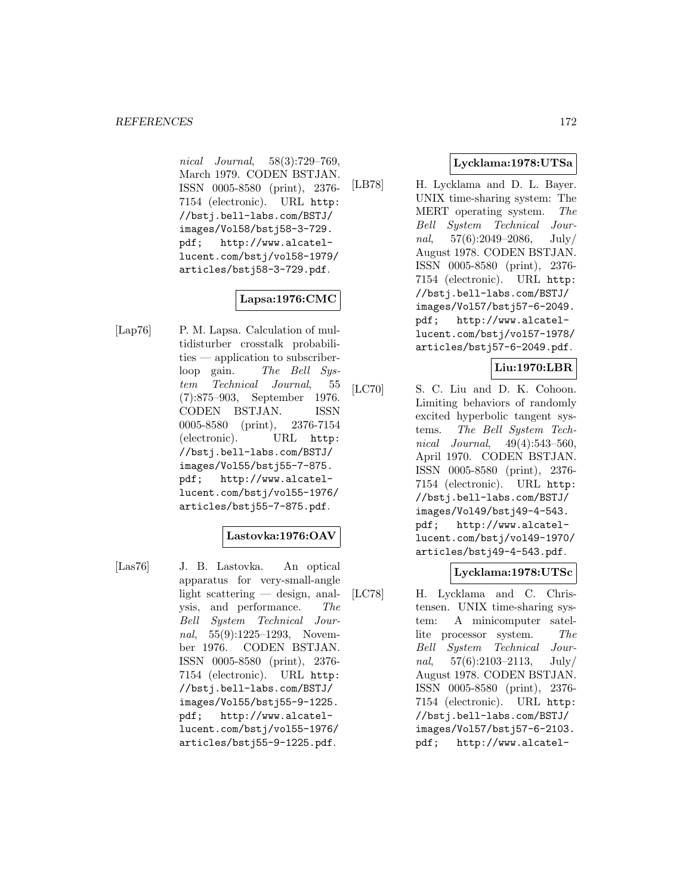nical Journal, 58(3):729–769, March 1979. CODEN BSTJAN. ISSN 0005-8580 (print), 2376- 7154 (electronic). URL http: //bstj.bell-labs.com/BSTJ/ images/Vol58/bstj58-3-729. pdf; http://www.alcatellucent.com/bstj/vol58-1979/ articles/bstj58-3-729.pdf.

# **Lapsa:1976:CMC**

[Lap76] P. M. Lapsa. Calculation of multidisturber crosstalk probabilities — application to subscriberloop gain. The Bell System Technical Journal, 55 (7):875–903, September 1976. CODEN BSTJAN. ISSN 0005-8580 (print), 2376-7154 (electronic). URL http: //bstj.bell-labs.com/BSTJ/ images/Vol55/bstj55-7-875. pdf; http://www.alcatellucent.com/bstj/vol55-1976/ articles/bstj55-7-875.pdf.

# **Lastovka:1976:OAV**

[Las76] J. B. Lastovka. An optical apparatus for very-small-angle light scattering — design, analysis, and performance. The Bell System Technical Journal, 55(9):1225–1293, November 1976. CODEN BSTJAN. ISSN 0005-8580 (print), 2376- 7154 (electronic). URL http: //bstj.bell-labs.com/BSTJ/ images/Vol55/bstj55-9-1225. pdf; http://www.alcatellucent.com/bstj/vol55-1976/ articles/bstj55-9-1225.pdf.

# **Lycklama:1978:UTSa**

[LB78] H. Lycklama and D. L. Bayer. UNIX time-sharing system: The MERT operating system. The Bell System Technical Journal,  $57(6):2049-2086$ , July/ August 1978. CODEN BSTJAN. ISSN 0005-8580 (print), 2376- 7154 (electronic). URL http: //bstj.bell-labs.com/BSTJ/ images/Vol57/bstj57-6-2049. pdf; http://www.alcatellucent.com/bstj/vol57-1978/ articles/bstj57-6-2049.pdf.

# **Liu:1970:LBR**

[LC70] S. C. Liu and D. K. Cohoon. Limiting behaviors of randomly excited hyperbolic tangent systems. The Bell System Technical Journal, 49(4):543–560, April 1970. CODEN BSTJAN. ISSN 0005-8580 (print), 2376- 7154 (electronic). URL http: //bstj.bell-labs.com/BSTJ/ images/Vol49/bstj49-4-543. pdf; http://www.alcatellucent.com/bstj/vol49-1970/ articles/bstj49-4-543.pdf.

# **Lycklama:1978:UTSc**

[LC78] H. Lycklama and C. Christensen. UNIX time-sharing system: A minicomputer satellite processor system. The Bell System Technical Journal,  $57(6):2103-2113$ , July/ August 1978. CODEN BSTJAN. ISSN 0005-8580 (print), 2376- 7154 (electronic). URL http: //bstj.bell-labs.com/BSTJ/ images/Vol57/bstj57-6-2103. pdf; http://www.alcatel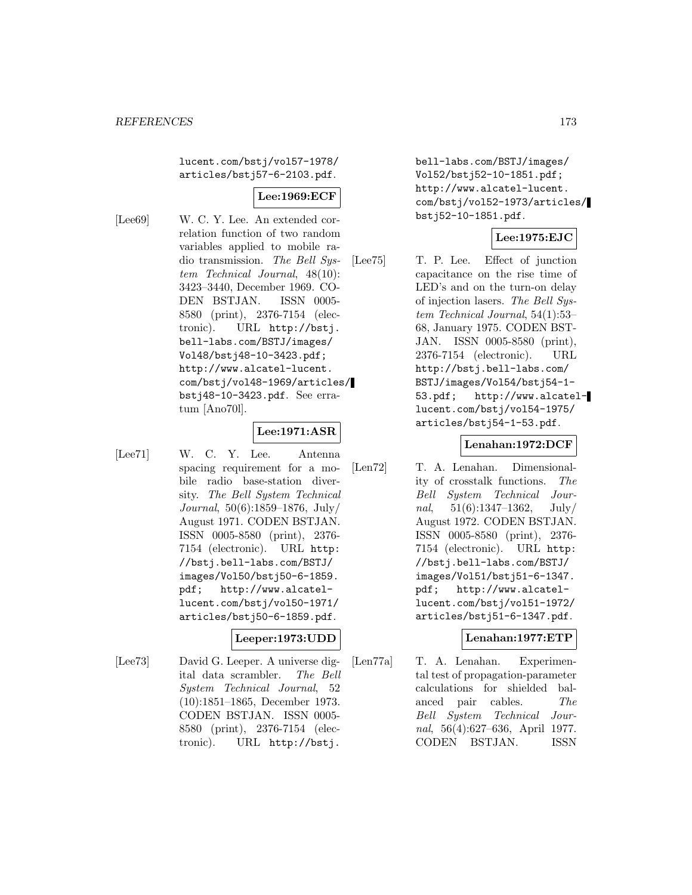lucent.com/bstj/vol57-1978/ articles/bstj57-6-2103.pdf.

# **Lee:1969:ECF**

[Lee69] W. C. Y. Lee. An extended correlation function of two random variables applied to mobile radio transmission. The Bell System Technical Journal, 48(10): 3423–3440, December 1969. CO-DEN BSTJAN. ISSN 0005- 8580 (print), 2376-7154 (electronic). URL http://bstj. bell-labs.com/BSTJ/images/ Vol48/bstj48-10-3423.pdf; http://www.alcatel-lucent. com/bstj/vol48-1969/articles/ bstj48-10-3423.pdf. See erratum [Ano70l].

#### **Lee:1971:ASR**

[Lee71] W. C. Y. Lee. Antenna spacing requirement for a mobile radio base-station diversity. The Bell System Technical Journal, 50(6):1859–1876, July/ August 1971. CODEN BSTJAN. ISSN 0005-8580 (print), 2376- 7154 (electronic). URL http: //bstj.bell-labs.com/BSTJ/ images/Vol50/bstj50-6-1859. pdf; http://www.alcatellucent.com/bstj/vol50-1971/ articles/bstj50-6-1859.pdf.

#### **Leeper:1973:UDD**

[Lee73] David G. Leeper. A universe digital data scrambler. The Bell System Technical Journal, 52 (10):1851–1865, December 1973. CODEN BSTJAN. ISSN 0005- 8580 (print), 2376-7154 (electronic). URL http://bstj.

bell-labs.com/BSTJ/images/ Vol52/bstj52-10-1851.pdf; http://www.alcatel-lucent. com/bstj/vol52-1973/articles/ bstj52-10-1851.pdf.

#### **Lee:1975:EJC**

[Lee75] T. P. Lee. Effect of junction capacitance on the rise time of LED's and on the turn-on delay of injection lasers. The Bell System Technical Journal, 54(1):53– 68, January 1975. CODEN BST-JAN. ISSN 0005-8580 (print), 2376-7154 (electronic). URL http://bstj.bell-labs.com/ BSTJ/images/Vol54/bstj54-1- 53.pdf; http://www.alcatellucent.com/bstj/vol54-1975/ articles/bstj54-1-53.pdf.

#### **Lenahan:1972:DCF**

[Len72] T. A. Lenahan. Dimensionality of crosstalk functions. The Bell System Technical Journal,  $51(6):1347-1362$ ,  $July/$ August 1972. CODEN BSTJAN. ISSN 0005-8580 (print), 2376- 7154 (electronic). URL http: //bstj.bell-labs.com/BSTJ/ images/Vol51/bstj51-6-1347. pdf; http://www.alcatellucent.com/bstj/vol51-1972/ articles/bstj51-6-1347.pdf.

#### **Lenahan:1977:ETP**

[Len77a] T. A. Lenahan. Experimental test of propagation-parameter calculations for shielded balanced pair cables. The Bell System Technical Journal, 56(4):627–636, April 1977. CODEN BSTJAN. ISSN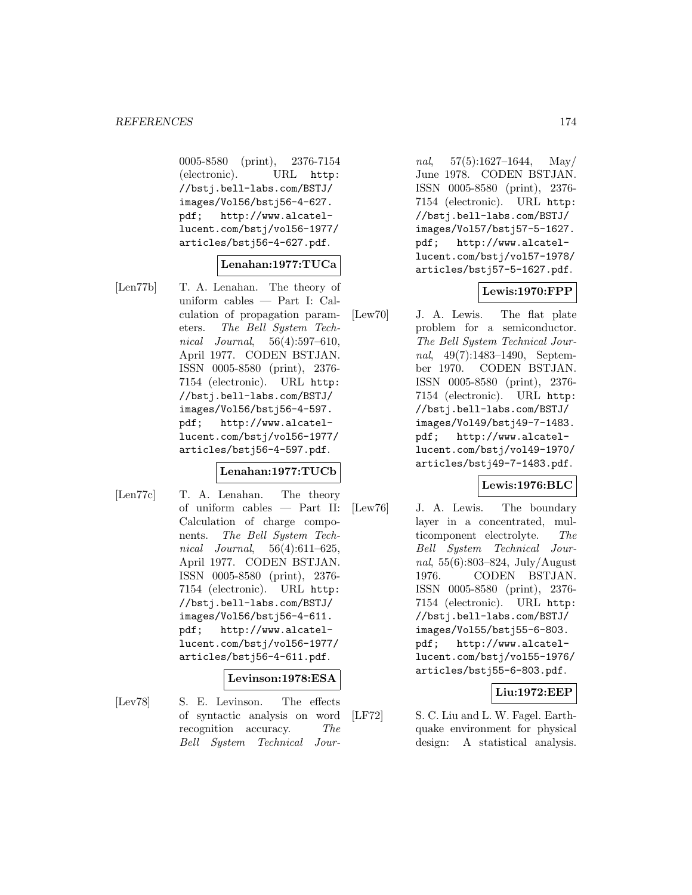0005-8580 (print), 2376-7154 (electronic). URL http: //bstj.bell-labs.com/BSTJ/ images/Vol56/bstj56-4-627. pdf; http://www.alcatellucent.com/bstj/vol56-1977/ articles/bstj56-4-627.pdf.

#### **Lenahan:1977:TUCa**

[Len77b] T. A. Lenahan. The theory of uniform cables — Part I: Calculation of propagation parameters. The Bell System Technical Journal, 56(4):597–610, April 1977. CODEN BSTJAN. ISSN 0005-8580 (print), 2376- 7154 (electronic). URL http: //bstj.bell-labs.com/BSTJ/ images/Vol56/bstj56-4-597. pdf; http://www.alcatellucent.com/bstj/vol56-1977/ articles/bstj56-4-597.pdf.

#### **Lenahan:1977:TUCb**

[Len77c] T. A. Lenahan. The theory of uniform cables — Part II: Calculation of charge components. The Bell System Technical Journal, 56(4):611–625, April 1977. CODEN BSTJAN. ISSN 0005-8580 (print), 2376- 7154 (electronic). URL http: //bstj.bell-labs.com/BSTJ/ images/Vol56/bstj56-4-611. pdf; http://www.alcatellucent.com/bstj/vol56-1977/ articles/bstj56-4-611.pdf.

#### **Levinson:1978:ESA**

[Lev78] S. E. Levinson. The effects of syntactic analysis on word recognition accuracy. The Bell System Technical Jour-

nal, 57(5):1627–1644, May/ June 1978. CODEN BSTJAN. ISSN 0005-8580 (print), 2376- 7154 (electronic). URL http: //bstj.bell-labs.com/BSTJ/ images/Vol57/bstj57-5-1627. pdf; http://www.alcatellucent.com/bstj/vol57-1978/ articles/bstj57-5-1627.pdf.

#### **Lewis:1970:FPP**

[Lew70] J. A. Lewis. The flat plate problem for a semiconductor. The Bell System Technical Journal, 49(7):1483–1490, September 1970. CODEN BSTJAN. ISSN 0005-8580 (print), 2376- 7154 (electronic). URL http: //bstj.bell-labs.com/BSTJ/ images/Vol49/bstj49-7-1483. pdf; http://www.alcatellucent.com/bstj/vol49-1970/ articles/bstj49-7-1483.pdf.

#### **Lewis:1976:BLC**

[Lew76] J. A. Lewis. The boundary layer in a concentrated, multicomponent electrolyte. The Bell System Technical Journal, 55(6):803–824, July/August 1976. CODEN BSTJAN. ISSN 0005-8580 (print), 2376- 7154 (electronic). URL http: //bstj.bell-labs.com/BSTJ/ images/Vol55/bstj55-6-803. pdf; http://www.alcatellucent.com/bstj/vol55-1976/ articles/bstj55-6-803.pdf.

#### **Liu:1972:EEP**

[LF72] S. C. Liu and L. W. Fagel. Earthquake environment for physical design: A statistical analysis.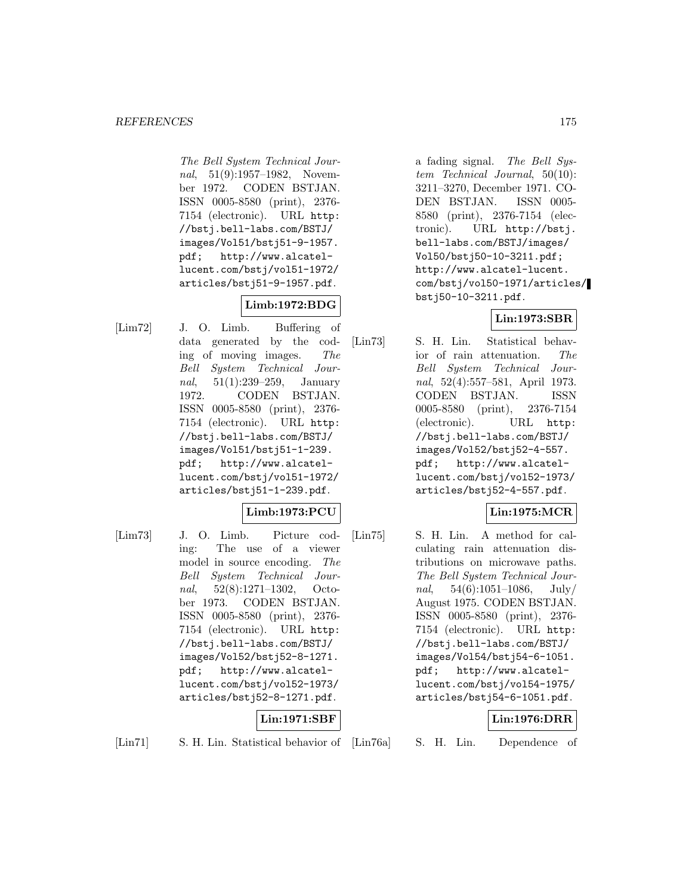The Bell System Technical Journal, 51(9):1957–1982, November 1972. CODEN BSTJAN. ISSN 0005-8580 (print), 2376- 7154 (electronic). URL http: //bstj.bell-labs.com/BSTJ/ images/Vol51/bstj51-9-1957. pdf; http://www.alcatellucent.com/bstj/vol51-1972/ articles/bstj51-9-1957.pdf.

# **Limb:1972:BDG**

[Lim72] J. O. Limb. Buffering of data generated by the coding of moving images. The Bell System Technical Journal, 51(1):239–259, January 1972. CODEN BSTJAN. ISSN 0005-8580 (print), 2376- 7154 (electronic). URL http: //bstj.bell-labs.com/BSTJ/ images/Vol51/bstj51-1-239. pdf; http://www.alcatellucent.com/bstj/vol51-1972/ articles/bstj51-1-239.pdf.

# **Limb:1973:PCU**

[Lim73] J. O. Limb. Picture coding: The use of a viewer model in source encoding. The Bell System Technical Journal, 52(8):1271–1302, October 1973. CODEN BSTJAN. ISSN 0005-8580 (print), 2376- 7154 (electronic). URL http: //bstj.bell-labs.com/BSTJ/ images/Vol52/bstj52-8-1271. pdf; http://www.alcatellucent.com/bstj/vol52-1973/ articles/bstj52-8-1271.pdf.

# **Lin:1971:SBF**

[Lin71] S. H. Lin. Statistical behavior of [Lin76a]

S. H. Lin. Dependence of

**Lin:1976:DRR**

[Lin73] S. H. Lin. Statistical behavior of rain attenuation. The Bell System Technical Journal, 52(4):557–581, April 1973. CODEN BSTJAN. ISSN 0005-8580 (print), 2376-7154 (electronic). URL http: //bstj.bell-labs.com/BSTJ/ images/Vol52/bstj52-4-557. pdf; http://www.alcatellucent.com/bstj/vol52-1973/ articles/bstj52-4-557.pdf.

# **Lin:1975:MCR**

[Lin75] S. H. Lin. A method for calculating rain attenuation distributions on microwave paths. The Bell System Technical Journal,  $54(6):1051-1086$ , July/ August 1975. CODEN BSTJAN. ISSN 0005-8580 (print), 2376- 7154 (electronic). URL http: //bstj.bell-labs.com/BSTJ/ images/Vol54/bstj54-6-1051. pdf; http://www.alcatellucent.com/bstj/vol54-1975/ articles/bstj54-6-1051.pdf.

# a fading signal. The Bell Sys-

tem Technical Journal, 50(10): 3211–3270, December 1971. CO-DEN BSTJAN. ISSN 0005- 8580 (print), 2376-7154 (electronic). URL http://bstj. bell-labs.com/BSTJ/images/ Vol50/bstj50-10-3211.pdf; http://www.alcatel-lucent. com/bstj/vol50-1971/articles/ bstj50-10-3211.pdf.

# **Lin:1973:SBR**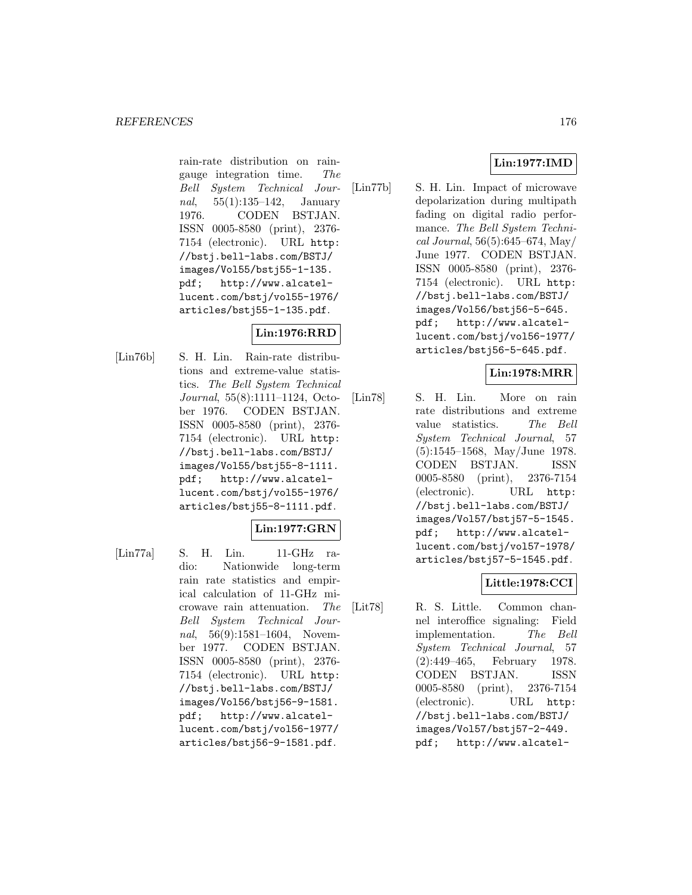rain-rate distribution on raingauge integration time. The Bell System Technical Journal, 55(1):135–142, January 1976. CODEN BSTJAN. ISSN 0005-8580 (print), 2376- 7154 (electronic). URL http: //bstj.bell-labs.com/BSTJ/ images/Vol55/bstj55-1-135. pdf; http://www.alcatellucent.com/bstj/vol55-1976/ articles/bstj55-1-135.pdf.

# **Lin:1976:RRD**

[Lin76b] S. H. Lin. Rain-rate distributions and extreme-value statistics. The Bell System Technical Journal, 55(8):1111–1124, October 1976. CODEN BSTJAN. ISSN 0005-8580 (print), 2376- 7154 (electronic). URL http: //bstj.bell-labs.com/BSTJ/ images/Vol55/bstj55-8-1111. pdf; http://www.alcatellucent.com/bstj/vol55-1976/ articles/bstj55-8-1111.pdf.

# **Lin:1977:GRN**

- 
- [Lin77a] S. H. Lin. 11-GHz radio: Nationwide long-term rain rate statistics and empirical calculation of 11-GHz microwave rain attenuation. The Bell System Technical Journal, 56(9):1581-1604, November 1977. CODEN BSTJAN. ISSN 0005-8580 (print), 2376- 7154 (electronic). URL http: //bstj.bell-labs.com/BSTJ/ images/Vol56/bstj56-9-1581. pdf; http://www.alcatellucent.com/bstj/vol56-1977/ articles/bstj56-9-1581.pdf.

[Lin77b] S. H. Lin. Impact of microwave depolarization during multipath fading on digital radio performance. The Bell System Technical Journal, 56(5):645–674, May/ June 1977. CODEN BSTJAN. ISSN 0005-8580 (print), 2376- 7154 (electronic). URL http: //bstj.bell-labs.com/BSTJ/ images/Vol56/bstj56-5-645. pdf; http://www.alcatellucent.com/bstj/vol56-1977/ articles/bstj56-5-645.pdf.

# **Lin:1978:MRR**

[Lin78] S. H. Lin. More on rain rate distributions and extreme value statistics. The Bell System Technical Journal, 57 (5):1545–1568, May/June 1978. CODEN BSTJAN. ISSN 0005-8580 (print), 2376-7154 (electronic). URL http: //bstj.bell-labs.com/BSTJ/ images/Vol57/bstj57-5-1545. pdf; http://www.alcatellucent.com/bstj/vol57-1978/ articles/bstj57-5-1545.pdf.

# **Little:1978:CCI**

[Lit78] R. S. Little. Common channel interoffice signaling: Field implementation. The Bell System Technical Journal, 57 (2):449–465, February 1978. CODEN BSTJAN. ISSN 0005-8580 (print), 2376-7154 (electronic). URL http: //bstj.bell-labs.com/BSTJ/ images/Vol57/bstj57-2-449. pdf; http://www.alcatel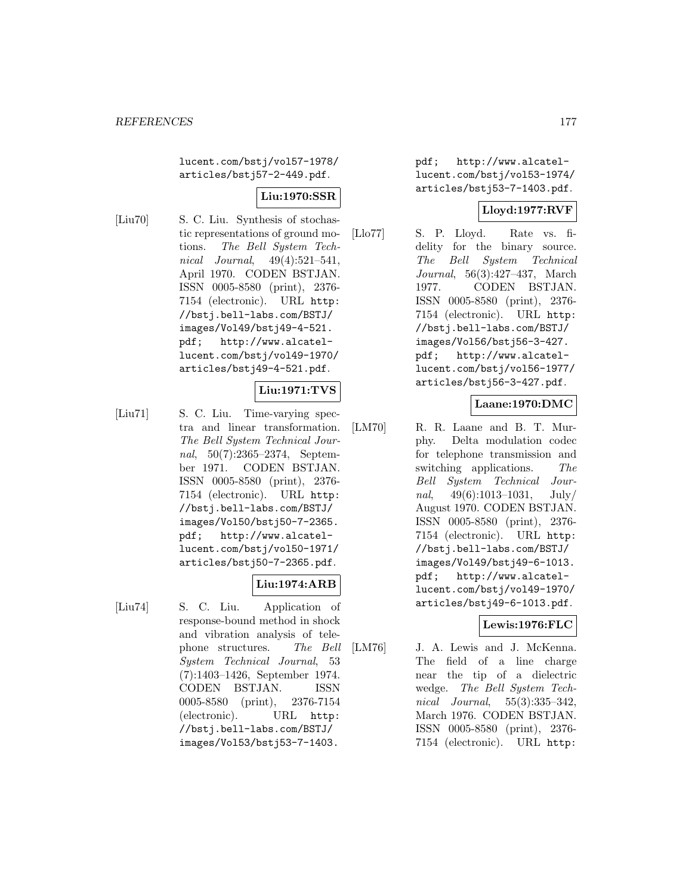lucent.com/bstj/vol57-1978/ articles/bstj57-2-449.pdf.

# **Liu:1970:SSR**

[Liu70] S. C. Liu. Synthesis of stochastic representations of ground motions. The Bell System Technical Journal, 49(4):521–541, April 1970. CODEN BSTJAN. ISSN 0005-8580 (print), 2376- 7154 (electronic). URL http: //bstj.bell-labs.com/BSTJ/ images/Vol49/bstj49-4-521. pdf; http://www.alcatellucent.com/bstj/vol49-1970/ articles/bstj49-4-521.pdf.

# **Liu:1971:TVS**

[Liu71] S. C. Liu. Time-varying spectra and linear transformation. The Bell System Technical Journal, 50(7):2365–2374, September 1971. CODEN BSTJAN. ISSN 0005-8580 (print), 2376- 7154 (electronic). URL http: //bstj.bell-labs.com/BSTJ/ images/Vol50/bstj50-7-2365. pdf; http://www.alcatellucent.com/bstj/vol50-1971/ articles/bstj50-7-2365.pdf.

# **Liu:1974:ARB**

[Liu74] S. C. Liu. Application of response-bound method in shock and vibration analysis of telephone structures. The Bell System Technical Journal, 53 (7):1403–1426, September 1974. CODEN BSTJAN. ISSN 0005-8580 (print), 2376-7154 (electronic). URL http: //bstj.bell-labs.com/BSTJ/ images/Vol53/bstj53-7-1403.

pdf; http://www.alcatellucent.com/bstj/vol53-1974/ articles/bstj53-7-1403.pdf.

# **Lloyd:1977:RVF**

[Llo77] S. P. Lloyd. Rate vs. fidelity for the binary source. The Bell System Technical Journal, 56(3):427–437, March 1977. CODEN BSTJAN. ISSN 0005-8580 (print), 2376- 7154 (electronic). URL http: //bstj.bell-labs.com/BSTJ/ images/Vol56/bstj56-3-427. pdf; http://www.alcatellucent.com/bstj/vol56-1977/ articles/bstj56-3-427.pdf.

# **Laane:1970:DMC**

[LM70] R. R. Laane and B. T. Murphy. Delta modulation codec for telephone transmission and switching applications. The Bell System Technical Journal,  $49(6):1013-1031$ , July/ August 1970. CODEN BSTJAN. ISSN 0005-8580 (print), 2376- 7154 (electronic). URL http: //bstj.bell-labs.com/BSTJ/ images/Vol49/bstj49-6-1013. pdf; http://www.alcatellucent.com/bstj/vol49-1970/ articles/bstj49-6-1013.pdf.

# **Lewis:1976:FLC**

[LM76] J. A. Lewis and J. McKenna. The field of a line charge near the tip of a dielectric wedge. The Bell System Technical Journal, 55(3):335–342, March 1976. CODEN BSTJAN. ISSN 0005-8580 (print), 2376- 7154 (electronic). URL http: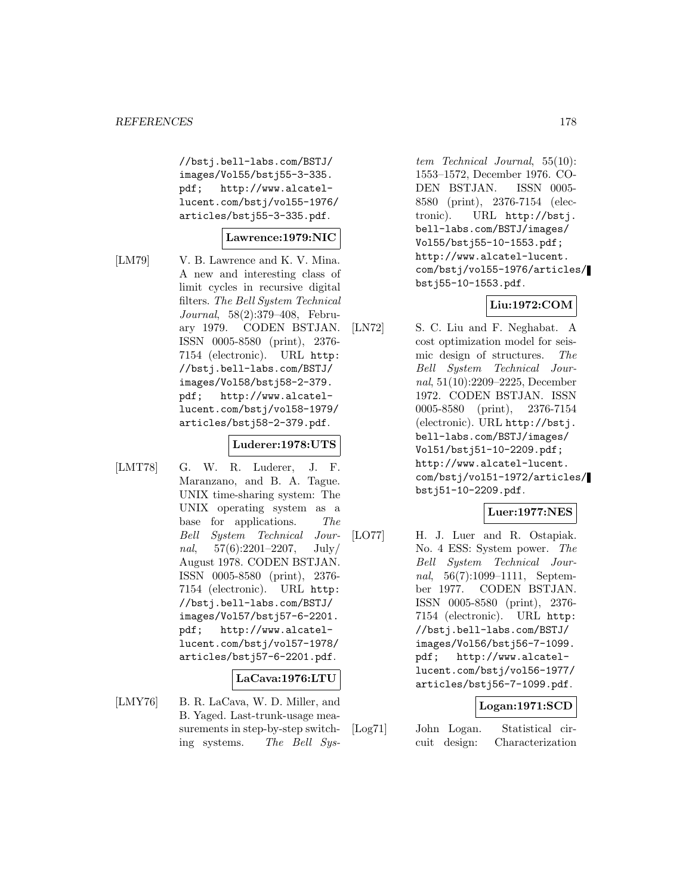//bstj.bell-labs.com/BSTJ/ images/Vol55/bstj55-3-335. pdf; http://www.alcatellucent.com/bstj/vol55-1976/ articles/bstj55-3-335.pdf.

#### **Lawrence:1979:NIC**

[LM79] V. B. Lawrence and K. V. Mina. A new and interesting class of limit cycles in recursive digital filters. The Bell System Technical Journal, 58(2):379–408, February 1979. CODEN BSTJAN. ISSN 0005-8580 (print), 2376- 7154 (electronic). URL http: //bstj.bell-labs.com/BSTJ/ images/Vol58/bstj58-2-379. pdf; http://www.alcatellucent.com/bstj/vol58-1979/ articles/bstj58-2-379.pdf.

#### **Luderer:1978:UTS**

[LMT78] G. W. R. Luderer, J. F. Maranzano, and B. A. Tague. UNIX time-sharing system: The UNIX operating system as a base for applications. The Bell System Technical Journal,  $57(6):2201-2207$ , July/ August 1978. CODEN BSTJAN. ISSN 0005-8580 (print), 2376- 7154 (electronic). URL http: //bstj.bell-labs.com/BSTJ/ images/Vol57/bstj57-6-2201. pdf; http://www.alcatellucent.com/bstj/vol57-1978/ articles/bstj57-6-2201.pdf.

#### **LaCava:1976:LTU**

[LMY76] B. R. LaCava, W. D. Miller, and B. Yaged. Last-trunk-usage measurements in step-by-step switching systems. The Bell Sys-

tem Technical Journal, 55(10): 1553–1572, December 1976. CO-DEN BSTJAN. ISSN 0005- 8580 (print), 2376-7154 (electronic). URL http://bstj. bell-labs.com/BSTJ/images/ Vol55/bstj55-10-1553.pdf; http://www.alcatel-lucent. com/bstj/vol55-1976/articles/ bstj55-10-1553.pdf.

# **Liu:1972:COM**

[LN72] S. C. Liu and F. Neghabat. A cost optimization model for seismic design of structures. The Bell System Technical Journal, 51(10):2209–2225, December 1972. CODEN BSTJAN. ISSN 0005-8580 (print), 2376-7154 (electronic). URL http://bstj. bell-labs.com/BSTJ/images/ Vol51/bstj51-10-2209.pdf; http://www.alcatel-lucent. com/bstj/vol51-1972/articles/ bstj51-10-2209.pdf.

#### **Luer:1977:NES**

[LO77] H. J. Luer and R. Ostapiak. No. 4 ESS: System power. The Bell System Technical Journal, 56(7):1099–1111, September 1977. CODEN BSTJAN. ISSN 0005-8580 (print), 2376- 7154 (electronic). URL http: //bstj.bell-labs.com/BSTJ/ images/Vol56/bstj56-7-1099. pdf; http://www.alcatellucent.com/bstj/vol56-1977/ articles/bstj56-7-1099.pdf.

#### **Logan:1971:SCD**

[Log71] John Logan. Statistical circuit design: Characterization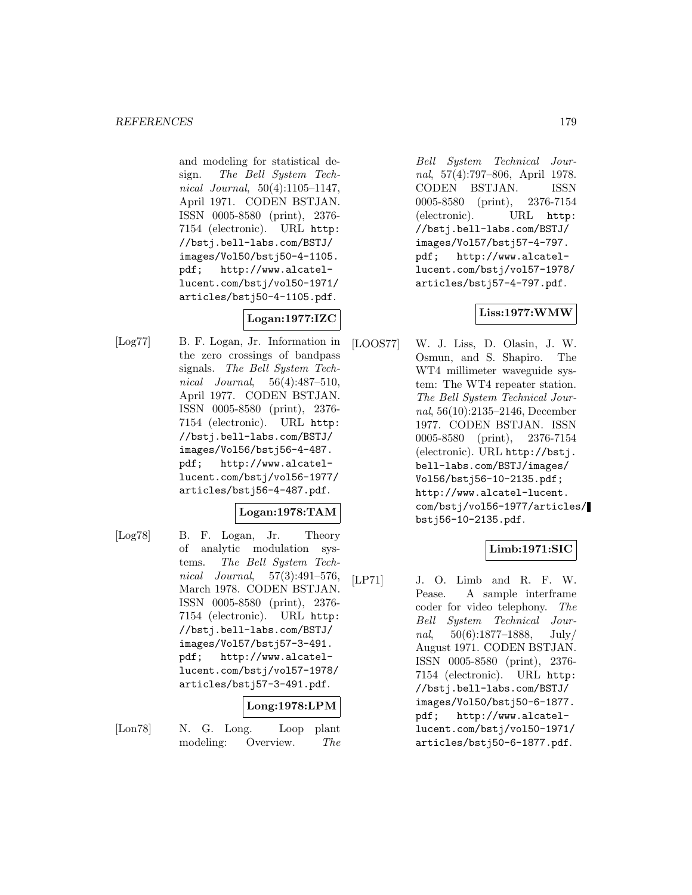and modeling for statistical design. The Bell System Technical Journal, 50(4):1105–1147, April 1971. CODEN BSTJAN. ISSN 0005-8580 (print), 2376- 7154 (electronic). URL http: //bstj.bell-labs.com/BSTJ/ images/Vol50/bstj50-4-1105. pdf; http://www.alcatellucent.com/bstj/vol50-1971/ articles/bstj50-4-1105.pdf.

# **Logan:1977:IZC**

[Log77] B. F. Logan, Jr. Information in the zero crossings of bandpass signals. The Bell System Technical Journal, 56(4):487–510, April 1977. CODEN BSTJAN. ISSN 0005-8580 (print), 2376- 7154 (electronic). URL http: //bstj.bell-labs.com/BSTJ/ images/Vol56/bstj56-4-487. pdf; http://www.alcatellucent.com/bstj/vol56-1977/ articles/bstj56-4-487.pdf.

# **Logan:1978:TAM**

[Log78] B. F. Logan, Jr. Theory of analytic modulation systems. The Bell System Technical Journal, 57(3):491–576, March 1978. CODEN BSTJAN. ISSN 0005-8580 (print), 2376- 7154 (electronic). URL http: //bstj.bell-labs.com/BSTJ/ images/Vol57/bstj57-3-491. pdf; http://www.alcatellucent.com/bstj/vol57-1978/ articles/bstj57-3-491.pdf.

# **Long:1978:LPM**

- 
- [Lon78] N. G. Long. Loop plant modeling: Overview. The

Bell System Technical Journal, 57(4):797–806, April 1978. CODEN BSTJAN. ISSN 0005-8580 (print), 2376-7154 (electronic). URL http: //bstj.bell-labs.com/BSTJ/ images/Vol57/bstj57-4-797. pdf; http://www.alcatellucent.com/bstj/vol57-1978/ articles/bstj57-4-797.pdf.

# **Liss:1977:WMW**

[LOOS77] W. J. Liss, D. Olasin, J. W. Osmun, and S. Shapiro. The WT4 millimeter waveguide system: The WT4 repeater station. The Bell System Technical Journal, 56(10):2135–2146, December 1977. CODEN BSTJAN. ISSN 0005-8580 (print), 2376-7154 (electronic). URL http://bstj. bell-labs.com/BSTJ/images/ Vol56/bstj56-10-2135.pdf; http://www.alcatel-lucent. com/bstj/vol56-1977/articles/ bstj56-10-2135.pdf.

# **Limb:1971:SIC**

[LP71] J. O. Limb and R. F. W. Pease. A sample interframe coder for video telephony. The Bell System Technical Journal,  $50(6):1877-1888$ , July/ August 1971. CODEN BSTJAN. ISSN 0005-8580 (print), 2376- 7154 (electronic). URL http: //bstj.bell-labs.com/BSTJ/ images/Vol50/bstj50-6-1877. pdf; http://www.alcatellucent.com/bstj/vol50-1971/ articles/bstj50-6-1877.pdf.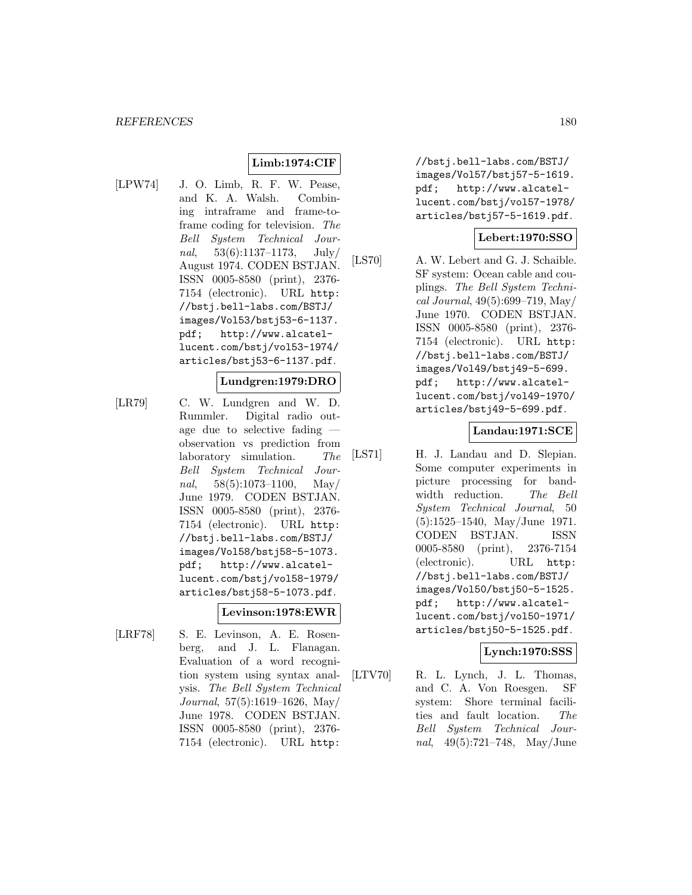# **Limb:1974:CIF**

[LPW74] J. O. Limb, R. F. W. Pease, and K. A. Walsh. Combining intraframe and frame-toframe coding for television. The Bell System Technical Journal,  $53(6):1137-1173$ , July/ August 1974. CODEN BSTJAN. ISSN 0005-8580 (print), 2376- 7154 (electronic). URL http: //bstj.bell-labs.com/BSTJ/ images/Vol53/bstj53-6-1137. pdf; http://www.alcatellucent.com/bstj/vol53-1974/ articles/bstj53-6-1137.pdf.

#### **Lundgren:1979:DRO**

[LR79] C. W. Lundgren and W. D. Rummler. Digital radio outage due to selective fading observation vs prediction from laboratory simulation. The Bell System Technical Journal,  $58(5):1073-1100$ , May June 1979. CODEN BSTJAN. ISSN 0005-8580 (print), 2376- 7154 (electronic). URL http: //bstj.bell-labs.com/BSTJ/ images/Vol58/bstj58-5-1073. pdf; http://www.alcatellucent.com/bstj/vol58-1979/ articles/bstj58-5-1073.pdf.

#### **Levinson:1978:EWR**

[LRF78] S. E. Levinson, A. E. Rosenberg, and J. L. Flanagan. Evaluation of a word recognition system using syntax analysis. The Bell System Technical Journal, 57(5):1619–1626, May/ June 1978. CODEN BSTJAN. ISSN 0005-8580 (print), 2376- 7154 (electronic). URL http:

//bstj.bell-labs.com/BSTJ/ images/Vol57/bstj57-5-1619. pdf; http://www.alcatellucent.com/bstj/vol57-1978/ articles/bstj57-5-1619.pdf.

#### **Lebert:1970:SSO**

[LS70] A. W. Lebert and G. J. Schaible. SF system: Ocean cable and couplings. The Bell System Technical Journal, 49(5):699–719, May/ June 1970. CODEN BSTJAN. ISSN 0005-8580 (print), 2376- 7154 (electronic). URL http: //bstj.bell-labs.com/BSTJ/ images/Vol49/bstj49-5-699. pdf; http://www.alcatellucent.com/bstj/vol49-1970/ articles/bstj49-5-699.pdf.

#### **Landau:1971:SCE**

[LS71] H. J. Landau and D. Slepian. Some computer experiments in picture processing for bandwidth reduction. The Bell System Technical Journal, 50 (5):1525–1540, May/June 1971. CODEN BSTJAN. ISSN 0005-8580 (print), 2376-7154 (electronic). URL http: //bstj.bell-labs.com/BSTJ/ images/Vol50/bstj50-5-1525. pdf; http://www.alcatellucent.com/bstj/vol50-1971/ articles/bstj50-5-1525.pdf.

# **Lynch:1970:SSS**

[LTV70] R. L. Lynch, J. L. Thomas, and C. A. Von Roesgen. SF system: Shore terminal facilities and fault location. The Bell System Technical Journal, 49(5):721–748, May/June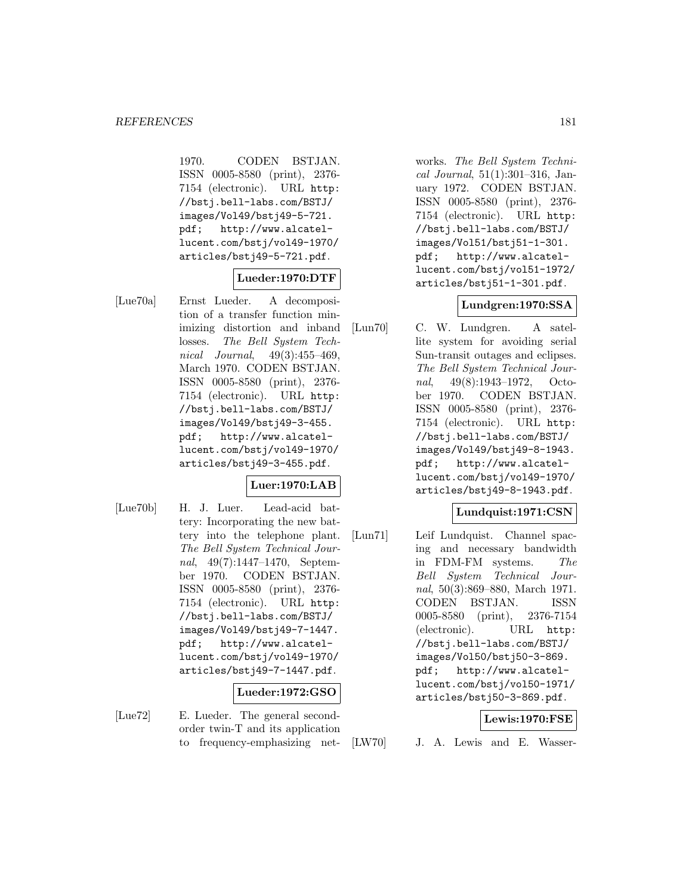1970. CODEN BSTJAN. ISSN 0005-8580 (print), 2376- 7154 (electronic). URL http: //bstj.bell-labs.com/BSTJ/ images/Vol49/bstj49-5-721. pdf; http://www.alcatellucent.com/bstj/vol49-1970/ articles/bstj49-5-721.pdf.

# **Lueder:1970:DTF**

[Lue70a] Ernst Lueder. A decomposition of a transfer function minimizing distortion and inband losses. The Bell System Technical Journal, 49(3):455–469, March 1970. CODEN BSTJAN. ISSN 0005-8580 (print), 2376- 7154 (electronic). URL http: //bstj.bell-labs.com/BSTJ/ images/Vol49/bstj49-3-455. pdf; http://www.alcatellucent.com/bstj/vol49-1970/ articles/bstj49-3-455.pdf.

# **Luer:1970:LAB**

[Lue70b] H. J. Luer. Lead-acid battery: Incorporating the new battery into the telephone plant. The Bell System Technical Journal, 49(7):1447–1470, September 1970. CODEN BSTJAN. ISSN 0005-8580 (print), 2376- 7154 (electronic). URL http: //bstj.bell-labs.com/BSTJ/ images/Vol49/bstj49-7-1447. pdf; http://www.alcatellucent.com/bstj/vol49-1970/ articles/bstj49-7-1447.pdf.

#### **Lueder:1972:GSO**

[Lue72] E. Lueder. The general secondorder twin-T and its application to frequency-emphasizing networks. The Bell System Technical Journal, 51(1):301–316, January 1972. CODEN BSTJAN. ISSN 0005-8580 (print), 2376- 7154 (electronic). URL http: //bstj.bell-labs.com/BSTJ/ images/Vol51/bstj51-1-301. pdf; http://www.alcatellucent.com/bstj/vol51-1972/ articles/bstj51-1-301.pdf.

#### **Lundgren:1970:SSA**

[Lun70] C. W. Lundgren. A satellite system for avoiding serial Sun-transit outages and eclipses. The Bell System Technical Journal, 49(8):1943–1972, October 1970. CODEN BSTJAN. ISSN 0005-8580 (print), 2376- 7154 (electronic). URL http: //bstj.bell-labs.com/BSTJ/ images/Vol49/bstj49-8-1943. pdf; http://www.alcatellucent.com/bstj/vol49-1970/ articles/bstj49-8-1943.pdf.

# **Lundquist:1971:CSN**

[Lun71] Leif Lundquist. Channel spacing and necessary bandwidth in FDM-FM systems. The Bell System Technical Journal, 50(3):869–880, March 1971. CODEN BSTJAN. ISSN 0005-8580 (print), 2376-7154 (electronic). URL http: //bstj.bell-labs.com/BSTJ/ images/Vol50/bstj50-3-869. pdf; http://www.alcatellucent.com/bstj/vol50-1971/ articles/bstj50-3-869.pdf.

#### **Lewis:1970:FSE**

[LW70] J. A. Lewis and E. Wasser-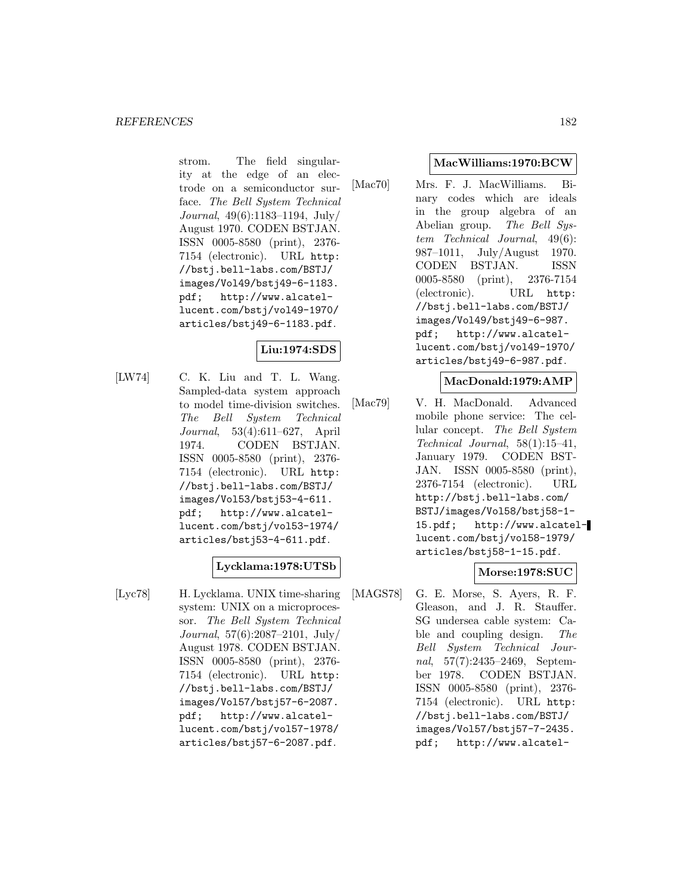strom. The field singularity at the edge of an electrode on a semiconductor surface. The Bell System Technical Journal, 49(6):1183–1194, July/ August 1970. CODEN BSTJAN. ISSN 0005-8580 (print), 2376- 7154 (electronic). URL http: //bstj.bell-labs.com/BSTJ/ images/Vol49/bstj49-6-1183. pdf; http://www.alcatellucent.com/bstj/vol49-1970/ articles/bstj49-6-1183.pdf.

# **Liu:1974:SDS**

[LW74] C. K. Liu and T. L. Wang. Sampled-data system approach to model time-division switches. The Bell System Technical Journal, 53(4):611–627, April 1974. CODEN BSTJAN. ISSN 0005-8580 (print), 2376- 7154 (electronic). URL http: //bstj.bell-labs.com/BSTJ/ images/Vol53/bstj53-4-611. pdf; http://www.alcatellucent.com/bstj/vol53-1974/ articles/bstj53-4-611.pdf.

# **Lycklama:1978:UTSb**

[Lyc78] H. Lycklama. UNIX time-sharing system: UNIX on a microprocessor. The Bell System Technical Journal, 57(6):2087–2101, July/ August 1978. CODEN BSTJAN. ISSN 0005-8580 (print), 2376- 7154 (electronic). URL http: //bstj.bell-labs.com/BSTJ/ images/Vol57/bstj57-6-2087. pdf; http://www.alcatellucent.com/bstj/vol57-1978/ articles/bstj57-6-2087.pdf.

### **MacWilliams:1970:BCW**

[Mac70] Mrs. F. J. MacWilliams. Binary codes which are ideals in the group algebra of an Abelian group. The Bell System Technical Journal, 49(6): 987–1011, July/August 1970. CODEN BSTJAN. ISSN 0005-8580 (print), 2376-7154 (electronic). URL http: //bstj.bell-labs.com/BSTJ/ images/Vol49/bstj49-6-987. pdf; http://www.alcatellucent.com/bstj/vol49-1970/ articles/bstj49-6-987.pdf.

### **MacDonald:1979:AMP**

[Mac79] V. H. MacDonald. Advanced mobile phone service: The cellular concept. The Bell System Technical Journal, 58(1):15–41, January 1979. CODEN BST-JAN. ISSN 0005-8580 (print), 2376-7154 (electronic). URL http://bstj.bell-labs.com/ BSTJ/images/Vol58/bstj58-1- 15.pdf; http://www.alcatellucent.com/bstj/vol58-1979/ articles/bstj58-1-15.pdf.

# **Morse:1978:SUC**

[MAGS78] G. E. Morse, S. Ayers, R. F. Gleason, and J. R. Stauffer. SG undersea cable system: Cable and coupling design. The Bell System Technical Journal, 57(7):2435–2469, September 1978. CODEN BSTJAN. ISSN 0005-8580 (print), 2376- 7154 (electronic). URL http: //bstj.bell-labs.com/BSTJ/ images/Vol57/bstj57-7-2435. pdf; http://www.alcatel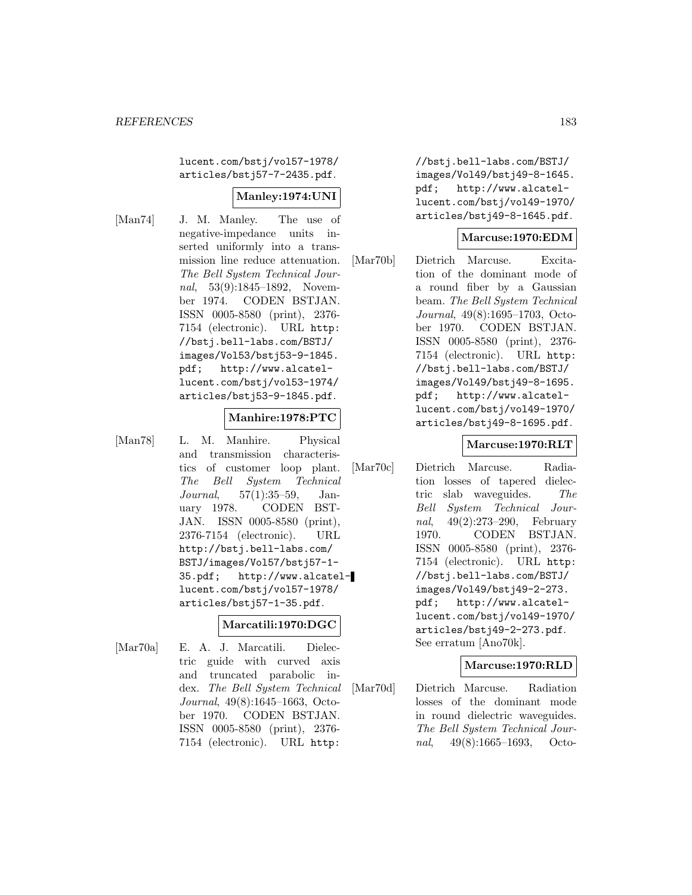lucent.com/bstj/vol57-1978/ articles/bstj57-7-2435.pdf.

# **Manley:1974:UNI**

[Man74] J. M. Manley. The use of negative-impedance units inserted uniformly into a transmission line reduce attenuation. The Bell System Technical Journal, 53(9):1845–1892, November 1974. CODEN BSTJAN. ISSN 0005-8580 (print), 2376- 7154 (electronic). URL http: //bstj.bell-labs.com/BSTJ/ images/Vol53/bstj53-9-1845. pdf; http://www.alcatellucent.com/bstj/vol53-1974/ articles/bstj53-9-1845.pdf.

#### **Manhire:1978:PTC**

[Man78] L. M. Manhire. Physical and transmission characteristics of customer loop plant. The Bell System Technical Journal, 57(1):35–59, January 1978. CODEN BST-JAN. ISSN 0005-8580 (print), 2376-7154 (electronic). URL http://bstj.bell-labs.com/ BSTJ/images/Vol57/bstj57-1- 35.pdf; http://www.alcatellucent.com/bstj/vol57-1978/ articles/bstj57-1-35.pdf.

# **Marcatili:1970:DGC**

[Mar70a] E. A. J. Marcatili. Dielectric guide with curved axis and truncated parabolic index. The Bell System Technical Journal, 49(8):1645–1663, October 1970. CODEN BSTJAN. ISSN 0005-8580 (print), 2376- 7154 (electronic). URL http:

//bstj.bell-labs.com/BSTJ/ images/Vol49/bstj49-8-1645. pdf; http://www.alcatellucent.com/bstj/vol49-1970/ articles/bstj49-8-1645.pdf.

### **Marcuse:1970:EDM**

[Mar70b] Dietrich Marcuse. Excitation of the dominant mode of a round fiber by a Gaussian beam. The Bell System Technical Journal, 49(8):1695–1703, October 1970. CODEN BSTJAN. ISSN 0005-8580 (print), 2376- 7154 (electronic). URL http: //bstj.bell-labs.com/BSTJ/ images/Vol49/bstj49-8-1695. pdf; http://www.alcatellucent.com/bstj/vol49-1970/ articles/bstj49-8-1695.pdf.

#### **Marcuse:1970:RLT**

[Mar70c] Dietrich Marcuse. Radiation losses of tapered dielectric slab waveguides. The Bell System Technical Journal, 49(2):273–290, February 1970. CODEN BSTJAN. ISSN 0005-8580 (print), 2376- 7154 (electronic). URL http: //bstj.bell-labs.com/BSTJ/ images/Vol49/bstj49-2-273. pdf; http://www.alcatellucent.com/bstj/vol49-1970/ articles/bstj49-2-273.pdf. See erratum [Ano70k].

#### **Marcuse:1970:RLD**

[Mar70d] Dietrich Marcuse. Radiation losses of the dominant mode in round dielectric waveguides. The Bell System Technical Journal, 49(8):1665–1693, Octo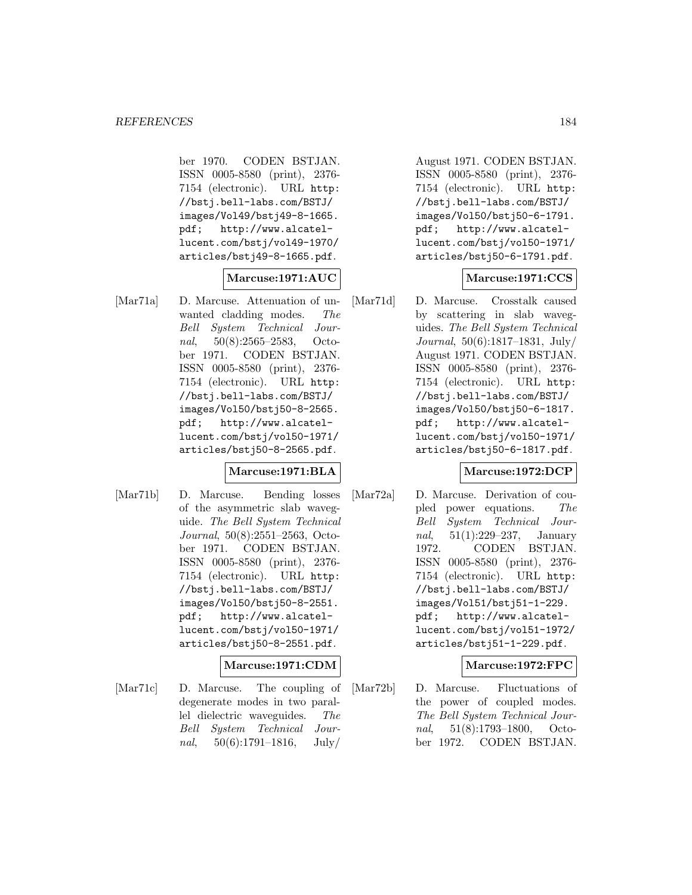ber 1970. CODEN BSTJAN. ISSN 0005-8580 (print), 2376- 7154 (electronic). URL http: //bstj.bell-labs.com/BSTJ/ images/Vol49/bstj49-8-1665. pdf; http://www.alcatellucent.com/bstj/vol49-1970/ articles/bstj49-8-1665.pdf.

### **Marcuse:1971:AUC**

[Mar71a] D. Marcuse. Attenuation of unwanted cladding modes. The Bell System Technical Journal, 50(8):2565–2583, October 1971. CODEN BSTJAN. ISSN 0005-8580 (print), 2376- 7154 (electronic). URL http: //bstj.bell-labs.com/BSTJ/ images/Vol50/bstj50-8-2565. pdf; http://www.alcatellucent.com/bstj/vol50-1971/ articles/bstj50-8-2565.pdf.

#### **Marcuse:1971:BLA**

[Mar71b] D. Marcuse. Bending losses of the asymmetric slab waveguide. The Bell System Technical Journal, 50(8):2551–2563, October 1971. CODEN BSTJAN. ISSN 0005-8580 (print), 2376- 7154 (electronic). URL http: //bstj.bell-labs.com/BSTJ/ images/Vol50/bstj50-8-2551. pdf; http://www.alcatellucent.com/bstj/vol50-1971/ articles/bstj50-8-2551.pdf.

#### **Marcuse:1971:CDM**

[Mar71c] D. Marcuse. The coupling of degenerate modes in two parallel dielectric waveguides. The Bell System Technical Journal,  $50(6):1791-1816$ , July/

August 1971. CODEN BSTJAN. ISSN 0005-8580 (print), 2376- 7154 (electronic). URL http: //bstj.bell-labs.com/BSTJ/ images/Vol50/bstj50-6-1791. pdf; http://www.alcatellucent.com/bstj/vol50-1971/ articles/bstj50-6-1791.pdf.

### **Marcuse:1971:CCS**

[Mar71d] D. Marcuse. Crosstalk caused by scattering in slab waveguides. The Bell System Technical Journal, 50(6):1817–1831, July/ August 1971. CODEN BSTJAN. ISSN 0005-8580 (print), 2376- 7154 (electronic). URL http: //bstj.bell-labs.com/BSTJ/ images/Vol50/bstj50-6-1817. pdf; http://www.alcatellucent.com/bstj/vol50-1971/ articles/bstj50-6-1817.pdf.

#### **Marcuse:1972:DCP**

[Mar72a] D. Marcuse. Derivation of coupled power equations. The Bell System Technical Journal, 51(1):229–237, January 1972. CODEN BSTJAN. ISSN 0005-8580 (print), 2376- 7154 (electronic). URL http: //bstj.bell-labs.com/BSTJ/ images/Vol51/bstj51-1-229. pdf; http://www.alcatellucent.com/bstj/vol51-1972/ articles/bstj51-1-229.pdf.

#### **Marcuse:1972:FPC**

[Mar72b] D. Marcuse. Fluctuations of the power of coupled modes. The Bell System Technical Journal, 51(8):1793–1800, October 1972. CODEN BSTJAN.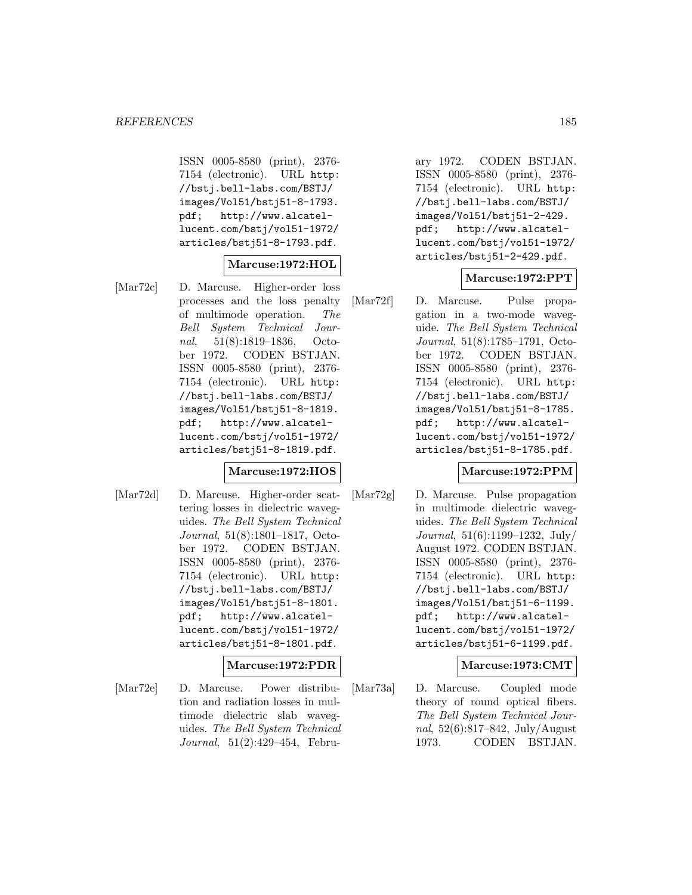ISSN 0005-8580 (print), 2376- 7154 (electronic). URL http: //bstj.bell-labs.com/BSTJ/ images/Vol51/bstj51-8-1793. pdf; http://www.alcatellucent.com/bstj/vol51-1972/ articles/bstj51-8-1793.pdf.

# **Marcuse:1972:HOL**

[Mar72c] D. Marcuse. Higher-order loss processes and the loss penalty of multimode operation. The Bell System Technical Journal, 51(8):1819–1836, October 1972. CODEN BSTJAN. ISSN 0005-8580 (print), 2376- 7154 (electronic). URL http: //bstj.bell-labs.com/BSTJ/ images/Vol51/bstj51-8-1819. pdf; http://www.alcatellucent.com/bstj/vol51-1972/ articles/bstj51-8-1819.pdf.

#### **Marcuse:1972:HOS**

[Mar72d] D. Marcuse. Higher-order scattering losses in dielectric waveguides. The Bell System Technical Journal, 51(8):1801–1817, October 1972. CODEN BSTJAN. ISSN 0005-8580 (print), 2376- 7154 (electronic). URL http: //bstj.bell-labs.com/BSTJ/ images/Vol51/bstj51-8-1801. pdf; http://www.alcatellucent.com/bstj/vol51-1972/ articles/bstj51-8-1801.pdf.

# **Marcuse:1972:PDR**

[Mar72e] D. Marcuse. Power distribution and radiation losses in multimode dielectric slab waveguides. The Bell System Technical Journal, 51(2):429–454, February 1972. CODEN BSTJAN. ISSN 0005-8580 (print), 2376- 7154 (electronic). URL http: //bstj.bell-labs.com/BSTJ/ images/Vol51/bstj51-2-429. pdf; http://www.alcatellucent.com/bstj/vol51-1972/ articles/bstj51-2-429.pdf.

### **Marcuse:1972:PPT**

[Mar72f] D. Marcuse. Pulse propagation in a two-mode waveguide. The Bell System Technical Journal, 51(8):1785–1791, October 1972. CODEN BSTJAN. ISSN 0005-8580 (print), 2376- 7154 (electronic). URL http: //bstj.bell-labs.com/BSTJ/ images/Vol51/bstj51-8-1785. pdf; http://www.alcatellucent.com/bstj/vol51-1972/ articles/bstj51-8-1785.pdf.

#### **Marcuse:1972:PPM**

[Mar72g] D. Marcuse. Pulse propagation in multimode dielectric waveguides. The Bell System Technical Journal, 51(6):1199–1232, July/ August 1972. CODEN BSTJAN. ISSN 0005-8580 (print), 2376- 7154 (electronic). URL http: //bstj.bell-labs.com/BSTJ/ images/Vol51/bstj51-6-1199. pdf; http://www.alcatellucent.com/bstj/vol51-1972/ articles/bstj51-6-1199.pdf.

#### **Marcuse:1973:CMT**

[Mar73a] D. Marcuse. Coupled mode theory of round optical fibers. The Bell System Technical Journal, 52(6):817–842, July/August 1973. CODEN BSTJAN.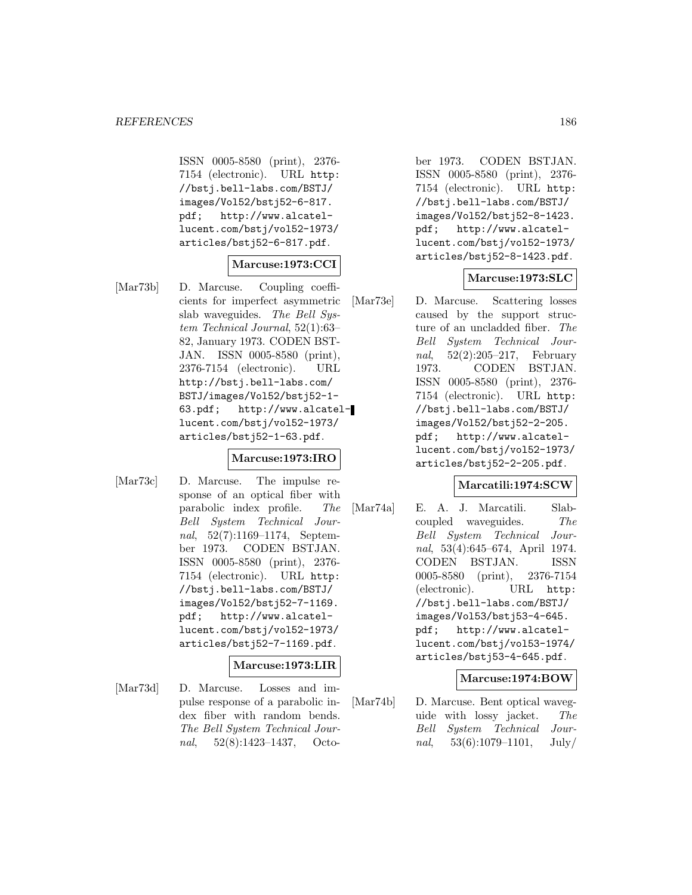ISSN 0005-8580 (print), 2376- 7154 (electronic). URL http: //bstj.bell-labs.com/BSTJ/ images/Vol52/bstj52-6-817. pdf; http://www.alcatellucent.com/bstj/vol52-1973/ articles/bstj52-6-817.pdf.

# **Marcuse:1973:CCI**

[Mar73b] D. Marcuse. Coupling coefficients for imperfect asymmetric slab waveguides. The Bell System Technical Journal, 52(1):63– 82, January 1973. CODEN BST-JAN. ISSN 0005-8580 (print), 2376-7154 (electronic). URL http://bstj.bell-labs.com/ BSTJ/images/Vol52/bstj52-1- 63.pdf; http://www.alcatellucent.com/bstj/vol52-1973/ articles/bstj52-1-63.pdf.

#### **Marcuse:1973:IRO**

[Mar73c] D. Marcuse. The impulse response of an optical fiber with parabolic index profile. The Bell System Technical Journal, 52(7):1169–1174, September 1973. CODEN BSTJAN. ISSN 0005-8580 (print), 2376- 7154 (electronic). URL http: //bstj.bell-labs.com/BSTJ/ images/Vol52/bstj52-7-1169. pdf; http://www.alcatellucent.com/bstj/vol52-1973/ articles/bstj52-7-1169.pdf.

#### **Marcuse:1973:LIR**

[Mar73d] D. Marcuse. Losses and impulse response of a parabolic index fiber with random bends. The Bell System Technical Journal, 52(8):1423–1437, October 1973. CODEN BSTJAN. ISSN 0005-8580 (print), 2376- 7154 (electronic). URL http: //bstj.bell-labs.com/BSTJ/ images/Vol52/bstj52-8-1423. pdf; http://www.alcatellucent.com/bstj/vol52-1973/ articles/bstj52-8-1423.pdf.

#### **Marcuse:1973:SLC**

[Mar73e] D. Marcuse. Scattering losses caused by the support structure of an uncladded fiber. The Bell System Technical Journal, 52(2):205–217, February 1973. CODEN BSTJAN. ISSN 0005-8580 (print), 2376- 7154 (electronic). URL http: //bstj.bell-labs.com/BSTJ/ images/Vol52/bstj52-2-205. pdf; http://www.alcatellucent.com/bstj/vol52-1973/ articles/bstj52-2-205.pdf.

#### **Marcatili:1974:SCW**

[Mar74a] E. A. J. Marcatili. Slabcoupled waveguides. The Bell System Technical Journal, 53(4):645–674, April 1974. CODEN BSTJAN. ISSN 0005-8580 (print), 2376-7154 (electronic). URL http: //bstj.bell-labs.com/BSTJ/ images/Vol53/bstj53-4-645. pdf; http://www.alcatellucent.com/bstj/vol53-1974/ articles/bstj53-4-645.pdf.

#### **Marcuse:1974:BOW**

[Mar74b] D. Marcuse. Bent optical waveguide with lossy jacket. The Bell System Technical Journal,  $53(6):1079-1101$ , July/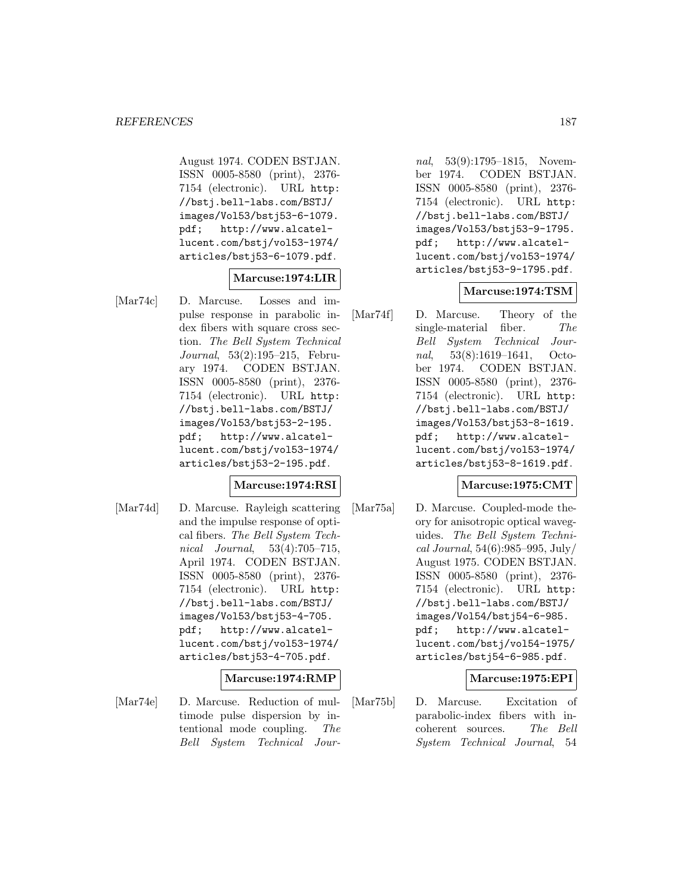August 1974. CODEN BSTJAN. ISSN 0005-8580 (print), 2376- 7154 (electronic). URL http: //bstj.bell-labs.com/BSTJ/ images/Vol53/bstj53-6-1079. pdf; http://www.alcatellucent.com/bstj/vol53-1974/ articles/bstj53-6-1079.pdf.

### **Marcuse:1974:LIR**

[Mar74c] D. Marcuse. Losses and impulse response in parabolic index fibers with square cross section. The Bell System Technical Journal, 53(2):195–215, February 1974. CODEN BSTJAN. ISSN 0005-8580 (print), 2376- 7154 (electronic). URL http: //bstj.bell-labs.com/BSTJ/ images/Vol53/bstj53-2-195. pdf; http://www.alcatellucent.com/bstj/vol53-1974/ articles/bstj53-2-195.pdf.

#### **Marcuse:1974:RSI**

[Mar74d] D. Marcuse. Rayleigh scattering and the impulse response of optical fibers. The Bell System Technical Journal, 53(4):705–715, April 1974. CODEN BSTJAN. ISSN 0005-8580 (print), 2376- 7154 (electronic). URL http: //bstj.bell-labs.com/BSTJ/ images/Vol53/bstj53-4-705. pdf; http://www.alcatellucent.com/bstj/vol53-1974/ articles/bstj53-4-705.pdf.

#### **Marcuse:1974:RMP**

[Mar74e] D. Marcuse. Reduction of multimode pulse dispersion by intentional mode coupling. The Bell System Technical Journal, 53(9):1795–1815, November 1974. CODEN BSTJAN. ISSN 0005-8580 (print), 2376- 7154 (electronic). URL http: //bstj.bell-labs.com/BSTJ/ images/Vol53/bstj53-9-1795. pdf; http://www.alcatellucent.com/bstj/vol53-1974/ articles/bstj53-9-1795.pdf.

#### **Marcuse:1974:TSM**

[Mar74f] D. Marcuse. Theory of the single-material fiber. The Bell System Technical Journal, 53(8):1619–1641, October 1974. CODEN BSTJAN. ISSN 0005-8580 (print), 2376- 7154 (electronic). URL http: //bstj.bell-labs.com/BSTJ/ images/Vol53/bstj53-8-1619. pdf; http://www.alcatellucent.com/bstj/vol53-1974/ articles/bstj53-8-1619.pdf.

#### **Marcuse:1975:CMT**

[Mar75a] D. Marcuse. Coupled-mode theory for anisotropic optical waveguides. The Bell System Techni $cal Journal, 54(6):985–995, July/$ August 1975. CODEN BSTJAN. ISSN 0005-8580 (print), 2376- 7154 (electronic). URL http: //bstj.bell-labs.com/BSTJ/ images/Vol54/bstj54-6-985. pdf; http://www.alcatellucent.com/bstj/vol54-1975/ articles/bstj54-6-985.pdf.

#### **Marcuse:1975:EPI**

[Mar75b] D. Marcuse. Excitation of parabolic-index fibers with incoherent sources. The Bell System Technical Journal, 54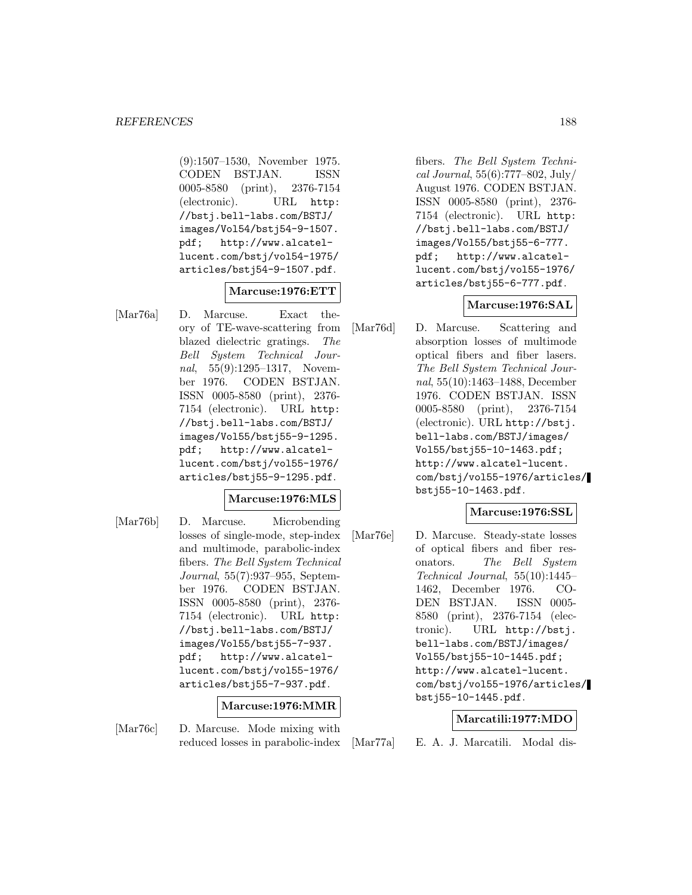(9):1507–1530, November 1975. CODEN BSTJAN. ISSN 0005-8580 (print), 2376-7154 (electronic). URL http: //bstj.bell-labs.com/BSTJ/ images/Vol54/bstj54-9-1507. pdf; http://www.alcatellucent.com/bstj/vol54-1975/ articles/bstj54-9-1507.pdf.

### **Marcuse:1976:ETT**

[Mar76a] D. Marcuse. Exact theory of TE-wave-scattering from blazed dielectric gratings. The Bell System Technical Journal, 55(9):1295–1317, November 1976. CODEN BSTJAN. ISSN 0005-8580 (print), 2376- 7154 (electronic). URL http: //bstj.bell-labs.com/BSTJ/ images/Vol55/bstj55-9-1295. pdf; http://www.alcatellucent.com/bstj/vol55-1976/ articles/bstj55-9-1295.pdf.

#### **Marcuse:1976:MLS**

[Mar76b] D. Marcuse. Microbending losses of single-mode, step-index and multimode, parabolic-index fibers. The Bell System Technical Journal, 55(7):937–955, September 1976. CODEN BSTJAN. ISSN 0005-8580 (print), 2376- 7154 (electronic). URL http: //bstj.bell-labs.com/BSTJ/ images/Vol55/bstj55-7-937. pdf; http://www.alcatellucent.com/bstj/vol55-1976/ articles/bstj55-7-937.pdf.

#### **Marcuse:1976:MMR**

[Mar76c] D. Marcuse. Mode mixing with reduced losses in parabolic-index fibers. The Bell System Technical Journal, 55(6):777–802, July/ August 1976. CODEN BSTJAN. ISSN 0005-8580 (print), 2376- 7154 (electronic). URL http: //bstj.bell-labs.com/BSTJ/ images/Vol55/bstj55-6-777. pdf; http://www.alcatellucent.com/bstj/vol55-1976/ articles/bstj55-6-777.pdf.

### **Marcuse:1976:SAL**

[Mar76d] D. Marcuse. Scattering and absorption losses of multimode optical fibers and fiber lasers. The Bell System Technical Journal, 55(10):1463–1488, December 1976. CODEN BSTJAN. ISSN 0005-8580 (print), 2376-7154 (electronic). URL http://bstj. bell-labs.com/BSTJ/images/ Vol55/bstj55-10-1463.pdf; http://www.alcatel-lucent. com/bstj/vol55-1976/articles/ bstj55-10-1463.pdf.

#### **Marcuse:1976:SSL**

[Mar76e] D. Marcuse. Steady-state losses of optical fibers and fiber resonators. The Bell System Technical Journal, 55(10):1445– 1462, December 1976. CO-DEN BSTJAN. ISSN 0005- 8580 (print), 2376-7154 (electronic). URL http://bstj. bell-labs.com/BSTJ/images/ Vol55/bstj55-10-1445.pdf; http://www.alcatel-lucent. com/bstj/vol55-1976/articles/ bstj55-10-1445.pdf.

#### **Marcatili:1977:MDO**

[Mar77a] E. A. J. Marcatili. Modal dis-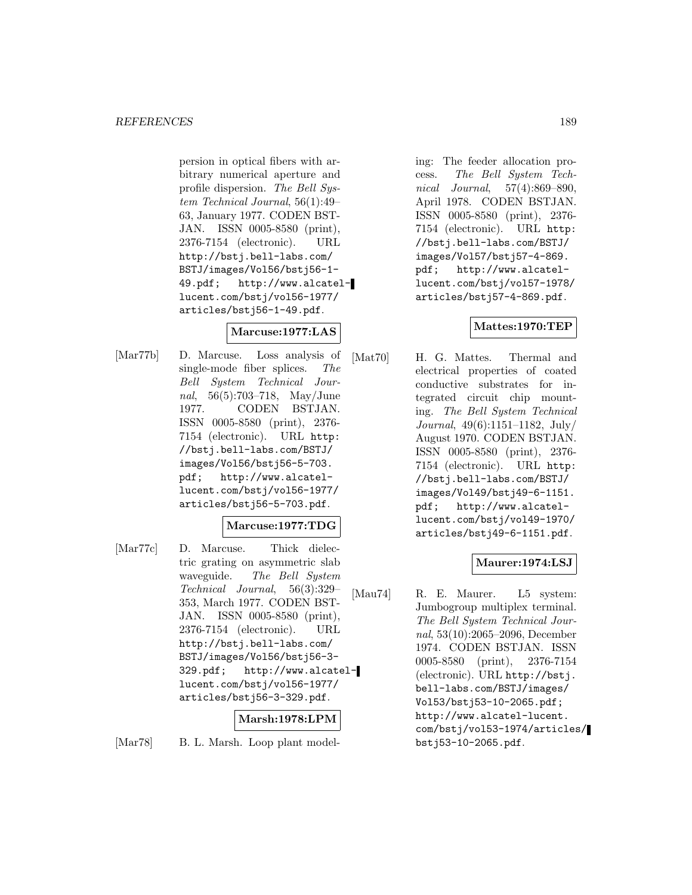persion in optical fibers with arbitrary numerical aperture and profile dispersion. The Bell System Technical Journal, 56(1):49– 63, January 1977. CODEN BST-JAN. ISSN 0005-8580 (print), 2376-7154 (electronic). URL http://bstj.bell-labs.com/ BSTJ/images/Vol56/bstj56-1- 49.pdf; http://www.alcatellucent.com/bstj/vol56-1977/ articles/bstj56-1-49.pdf.

# **Marcuse:1977:LAS**

[Mar77b] D. Marcuse. Loss analysis of single-mode fiber splices. The Bell System Technical Journal, 56(5):703–718, May/June 1977. CODEN BSTJAN. ISSN 0005-8580 (print), 2376- 7154 (electronic). URL http: //bstj.bell-labs.com/BSTJ/ images/Vol56/bstj56-5-703. pdf; http://www.alcatellucent.com/bstj/vol56-1977/ articles/bstj56-5-703.pdf.

# **Marcuse:1977:TDG**

[Mar77c] D. Marcuse. Thick dielectric grating on asymmetric slab waveguide. The Bell System Technical Journal, 56(3):329– 353, March 1977. CODEN BST-JAN. ISSN 0005-8580 (print), 2376-7154 (electronic). URL http://bstj.bell-labs.com/ BSTJ/images/Vol56/bstj56-3- 329.pdf; http://www.alcatellucent.com/bstj/vol56-1977/ articles/bstj56-3-329.pdf.

# **Marsh:1978:LPM**

[Mar78] B. L. Marsh. Loop plant model-

ing: The feeder allocation process. The Bell System Technical Journal, 57(4):869–890, April 1978. CODEN BSTJAN. ISSN 0005-8580 (print), 2376- 7154 (electronic). URL http: //bstj.bell-labs.com/BSTJ/ images/Vol57/bstj57-4-869. pdf; http://www.alcatellucent.com/bstj/vol57-1978/ articles/bstj57-4-869.pdf.

# **Mattes:1970:TEP**

[Mat70] H. G. Mattes. Thermal and electrical properties of coated conductive substrates for integrated circuit chip mounting. The Bell System Technical Journal, 49(6):1151–1182, July/ August 1970. CODEN BSTJAN. ISSN 0005-8580 (print), 2376- 7154 (electronic). URL http: //bstj.bell-labs.com/BSTJ/ images/Vol49/bstj49-6-1151. pdf; http://www.alcatellucent.com/bstj/vol49-1970/ articles/bstj49-6-1151.pdf.

# **Maurer:1974:LSJ**

[Mau74] R. E. Maurer. L5 system: Jumbogroup multiplex terminal. The Bell System Technical Journal, 53(10):2065–2096, December 1974. CODEN BSTJAN. ISSN 0005-8580 (print), 2376-7154 (electronic). URL http://bstj. bell-labs.com/BSTJ/images/ Vol53/bstj53-10-2065.pdf; http://www.alcatel-lucent. com/bstj/vol53-1974/articles/ bstj53-10-2065.pdf.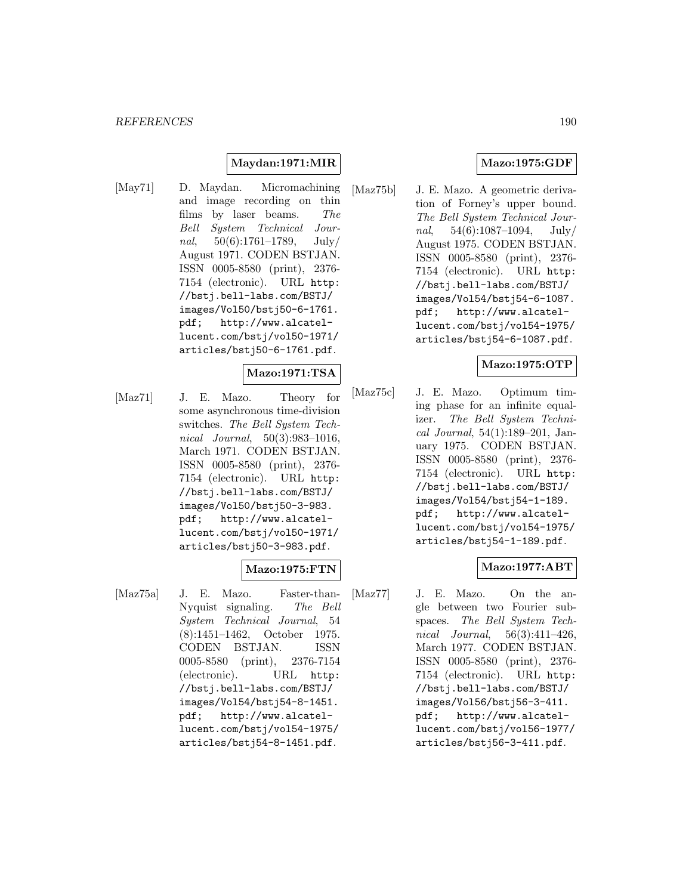### **Maydan:1971:MIR**

[May71] D. Maydan. Micromachining and image recording on thin films by laser beams. The Bell System Technical Journal,  $50(6):1761-1789$ , July/ August 1971. CODEN BSTJAN. ISSN 0005-8580 (print), 2376- 7154 (electronic). URL http: //bstj.bell-labs.com/BSTJ/ images/Vol50/bstj50-6-1761. pdf; http://www.alcatellucent.com/bstj/vol50-1971/ articles/bstj50-6-1761.pdf.

#### **Mazo:1971:TSA**

[Maz71] J. E. Mazo. Theory for some asynchronous time-division switches. The Bell System Technical Journal, 50(3):983–1016, March 1971. CODEN BSTJAN. ISSN 0005-8580 (print), 2376- 7154 (electronic). URL http: //bstj.bell-labs.com/BSTJ/ images/Vol50/bstj50-3-983. pdf; http://www.alcatellucent.com/bstj/vol50-1971/ articles/bstj50-3-983.pdf.

#### **Mazo:1975:FTN**

[Maz75a] J. E. Mazo. Faster-than-Nyquist signaling. The Bell System Technical Journal, 54 (8):1451–1462, October 1975. CODEN BSTJAN. ISSN 0005-8580 (print), 2376-7154 (electronic). URL http: //bstj.bell-labs.com/BSTJ/ images/Vol54/bstj54-8-1451. pdf; http://www.alcatellucent.com/bstj/vol54-1975/ articles/bstj54-8-1451.pdf.

# **Mazo:1975:GDF**

[Maz75b] J. E. Mazo. A geometric derivation of Forney's upper bound. The Bell System Technical Journal,  $54(6):1087-1094$ , July/ August 1975. CODEN BSTJAN. ISSN 0005-8580 (print), 2376- 7154 (electronic). URL http: //bstj.bell-labs.com/BSTJ/ images/Vol54/bstj54-6-1087. pdf; http://www.alcatellucent.com/bstj/vol54-1975/ articles/bstj54-6-1087.pdf.

### **Mazo:1975:OTP**

[Maz75c] J. E. Mazo. Optimum timing phase for an infinite equalizer. The Bell System Technical Journal, 54(1):189–201, January 1975. CODEN BSTJAN. ISSN 0005-8580 (print), 2376- 7154 (electronic). URL http: //bstj.bell-labs.com/BSTJ/ images/Vol54/bstj54-1-189. pdf; http://www.alcatellucent.com/bstj/vol54-1975/ articles/bstj54-1-189.pdf.

# **Mazo:1977:ABT**

[Maz77] J. E. Mazo. On the angle between two Fourier subspaces. The Bell System Technical Journal, 56(3):411–426, March 1977. CODEN BSTJAN. ISSN 0005-8580 (print), 2376- 7154 (electronic). URL http: //bstj.bell-labs.com/BSTJ/ images/Vol56/bstj56-3-411. pdf; http://www.alcatellucent.com/bstj/vol56-1977/ articles/bstj56-3-411.pdf.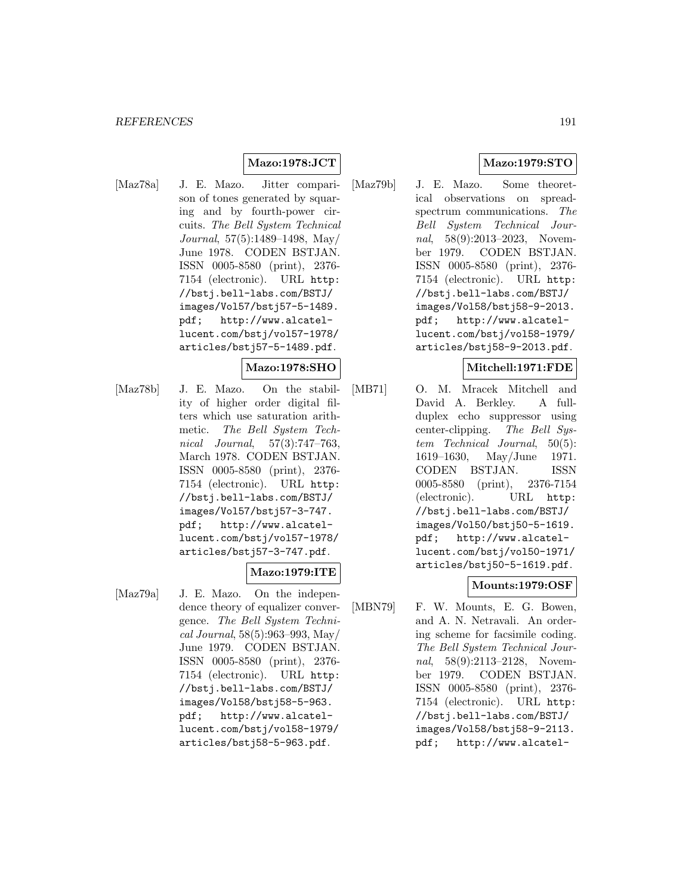### **Mazo:1978:JCT**

[Maz78a] J. E. Mazo. Jitter comparison of tones generated by squaring and by fourth-power circuits. The Bell System Technical Journal, 57(5):1489–1498, May/ June 1978. CODEN BSTJAN. ISSN 0005-8580 (print), 2376- 7154 (electronic). URL http: //bstj.bell-labs.com/BSTJ/ images/Vol57/bstj57-5-1489. pdf; http://www.alcatellucent.com/bstj/vol57-1978/ articles/bstj57-5-1489.pdf.

#### **Mazo:1978:SHO**

[Maz78b] J. E. Mazo. On the stability of higher order digital filters which use saturation arithmetic. The Bell System Technical Journal, 57(3):747–763, March 1978. CODEN BSTJAN. ISSN 0005-8580 (print), 2376- 7154 (electronic). URL http: //bstj.bell-labs.com/BSTJ/ images/Vol57/bstj57-3-747. pdf; http://www.alcatellucent.com/bstj/vol57-1978/ articles/bstj57-3-747.pdf.

# **Mazo:1979:ITE**

[Maz79a] J. E. Mazo. On the independence theory of equalizer convergence. The Bell System Technical Journal, 58(5):963–993, May/ June 1979. CODEN BSTJAN. ISSN 0005-8580 (print), 2376- 7154 (electronic). URL http: //bstj.bell-labs.com/BSTJ/ images/Vol58/bstj58-5-963. pdf; http://www.alcatellucent.com/bstj/vol58-1979/ articles/bstj58-5-963.pdf.

# **Mazo:1979:STO**

[Maz79b] J. E. Mazo. Some theoretical observations on spreadspectrum communications. The Bell System Technical Journal, 58(9):2013–2023, November 1979. CODEN BSTJAN. ISSN 0005-8580 (print), 2376- 7154 (electronic). URL http: //bstj.bell-labs.com/BSTJ/ images/Vol58/bstj58-9-2013. pdf; http://www.alcatellucent.com/bstj/vol58-1979/ articles/bstj58-9-2013.pdf.

### **Mitchell:1971:FDE**

[MB71] O. M. Mracek Mitchell and David A. Berkley. A fullduplex echo suppressor using center-clipping. The Bell System Technical Journal, 50(5): 1619–1630, May/June 1971. CODEN BSTJAN. ISSN 0005-8580 (print), 2376-7154 (electronic). URL http: //bstj.bell-labs.com/BSTJ/ images/Vol50/bstj50-5-1619. pdf; http://www.alcatellucent.com/bstj/vol50-1971/ articles/bstj50-5-1619.pdf.

#### **Mounts:1979:OSF**

[MBN79] F. W. Mounts, E. G. Bowen, and A. N. Netravali. An ordering scheme for facsimile coding. The Bell System Technical Journal, 58(9):2113-2128, November 1979. CODEN BSTJAN. ISSN 0005-8580 (print), 2376- 7154 (electronic). URL http: //bstj.bell-labs.com/BSTJ/ images/Vol58/bstj58-9-2113. pdf; http://www.alcatel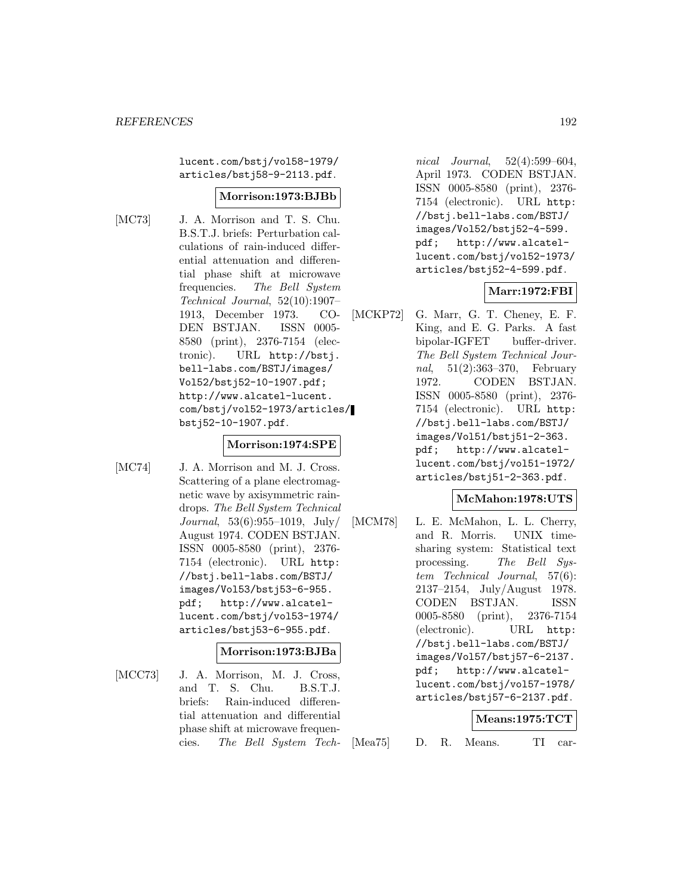lucent.com/bstj/vol58-1979/ articles/bstj58-9-2113.pdf.

#### **Morrison:1973:BJBb**

[MC73] J. A. Morrison and T. S. Chu. B.S.T.J. briefs: Perturbation calculations of rain-induced differential attenuation and differential phase shift at microwave frequencies. The Bell System Technical Journal, 52(10):1907– 1913, December 1973. CO-DEN BSTJAN. ISSN 0005- 8580 (print), 2376-7154 (electronic). URL http://bstj. bell-labs.com/BSTJ/images/ Vol52/bstj52-10-1907.pdf; http://www.alcatel-lucent. com/bstj/vol52-1973/articles/ bstj52-10-1907.pdf.

#### **Morrison:1974:SPE**

[MC74] J. A. Morrison and M. J. Cross. Scattering of a plane electromagnetic wave by axisymmetric raindrops. The Bell System Technical Journal,  $53(6):955-1019$ , July/ August 1974. CODEN BSTJAN. ISSN 0005-8580 (print), 2376- 7154 (electronic). URL http: //bstj.bell-labs.com/BSTJ/ images/Vol53/bstj53-6-955. pdf; http://www.alcatellucent.com/bstj/vol53-1974/ articles/bstj53-6-955.pdf.

#### **Morrison:1973:BJBa**

[MCC73] J. A. Morrison, M. J. Cross, and T. S. Chu. B.S.T.J. briefs: Rain-induced differential attenuation and differential phase shift at microwave frequencies. The Bell System Tech-

nical Journal, 52(4):599–604, April 1973. CODEN BSTJAN. ISSN 0005-8580 (print), 2376- 7154 (electronic). URL http: //bstj.bell-labs.com/BSTJ/ images/Vol52/bstj52-4-599. pdf; http://www.alcatellucent.com/bstj/vol52-1973/ articles/bstj52-4-599.pdf.

#### **Marr:1972:FBI**

[MCKP72] G. Marr, G. T. Cheney, E. F. King, and E. G. Parks. A fast bipolar-IGFET buffer-driver. The Bell System Technical Journal, 51(2):363–370, February 1972. CODEN BSTJAN. ISSN 0005-8580 (print), 2376- 7154 (electronic). URL http: //bstj.bell-labs.com/BSTJ/ images/Vol51/bstj51-2-363. pdf; http://www.alcatellucent.com/bstj/vol51-1972/ articles/bstj51-2-363.pdf.

#### **McMahon:1978:UTS**

[MCM78] L. E. McMahon, L. L. Cherry, and R. Morris. UNIX timesharing system: Statistical text processing. The Bell System Technical Journal, 57(6): 2137–2154, July/August 1978. CODEN BSTJAN. ISSN 0005-8580 (print), 2376-7154 (electronic). URL http: //bstj.bell-labs.com/BSTJ/ images/Vol57/bstj57-6-2137. pdf; http://www.alcatellucent.com/bstj/vol57-1978/ articles/bstj57-6-2137.pdf.

# **Means:1975:TCT** [Mea75] D. R. Means. TI car-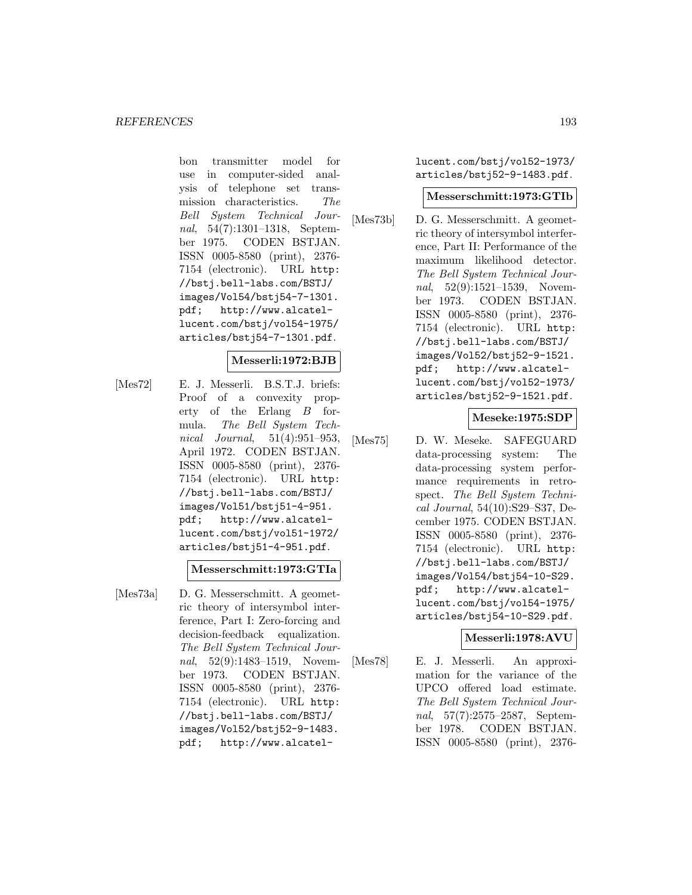bon transmitter model for use in computer-sided analysis of telephone set transmission characteristics. The Bell System Technical Journal, 54(7):1301–1318, September 1975. CODEN BSTJAN. ISSN 0005-8580 (print), 2376- 7154 (electronic). URL http: //bstj.bell-labs.com/BSTJ/ images/Vol54/bstj54-7-1301. pdf; http://www.alcatellucent.com/bstj/vol54-1975/ articles/bstj54-7-1301.pdf.

#### **Messerli:1972:BJB**

[Mes72] E. J. Messerli. B.S.T.J. briefs: Proof of a convexity property of the Erlang B formula. The Bell System Technical Journal, 51(4):951–953, April 1972. CODEN BSTJAN. ISSN 0005-8580 (print), 2376- 7154 (electronic). URL http: //bstj.bell-labs.com/BSTJ/ images/Vol51/bstj51-4-951. pdf; http://www.alcatellucent.com/bstj/vol51-1972/ articles/bstj51-4-951.pdf.

#### **Messerschmitt:1973:GTIa**

[Mes73a] D. G. Messerschmitt. A geometric theory of intersymbol interference, Part I: Zero-forcing and decision-feedback equalization. The Bell System Technical Journal, 52(9):1483-1519, November 1973. CODEN BSTJAN. ISSN 0005-8580 (print), 2376- 7154 (electronic). URL http: //bstj.bell-labs.com/BSTJ/ images/Vol52/bstj52-9-1483. pdf; http://www.alcatellucent.com/bstj/vol52-1973/ articles/bstj52-9-1483.pdf.

#### **Messerschmitt:1973:GTIb**

[Mes73b] D. G. Messerschmitt. A geometric theory of intersymbol interference, Part II: Performance of the maximum likelihood detector. The Bell System Technical Journal, 52(9):1521-1539, November 1973. CODEN BSTJAN. ISSN 0005-8580 (print), 2376- 7154 (electronic). URL http: //bstj.bell-labs.com/BSTJ/ images/Vol52/bstj52-9-1521. pdf; http://www.alcatellucent.com/bstj/vol52-1973/ articles/bstj52-9-1521.pdf.

#### **Meseke:1975:SDP**

[Mes75] D. W. Meseke. SAFEGUARD data-processing system: The data-processing system performance requirements in retrospect. The Bell System Technical Journal, 54(10):S29–S37, December 1975. CODEN BSTJAN. ISSN 0005-8580 (print), 2376- 7154 (electronic). URL http: //bstj.bell-labs.com/BSTJ/ images/Vol54/bstj54-10-S29. pdf; http://www.alcatellucent.com/bstj/vol54-1975/ articles/bstj54-10-S29.pdf.

#### **Messerli:1978:AVU**

[Mes78] E. J. Messerli. An approximation for the variance of the UPCO offered load estimate. The Bell System Technical Journal, 57(7):2575–2587, September 1978. CODEN BSTJAN. ISSN 0005-8580 (print), 2376-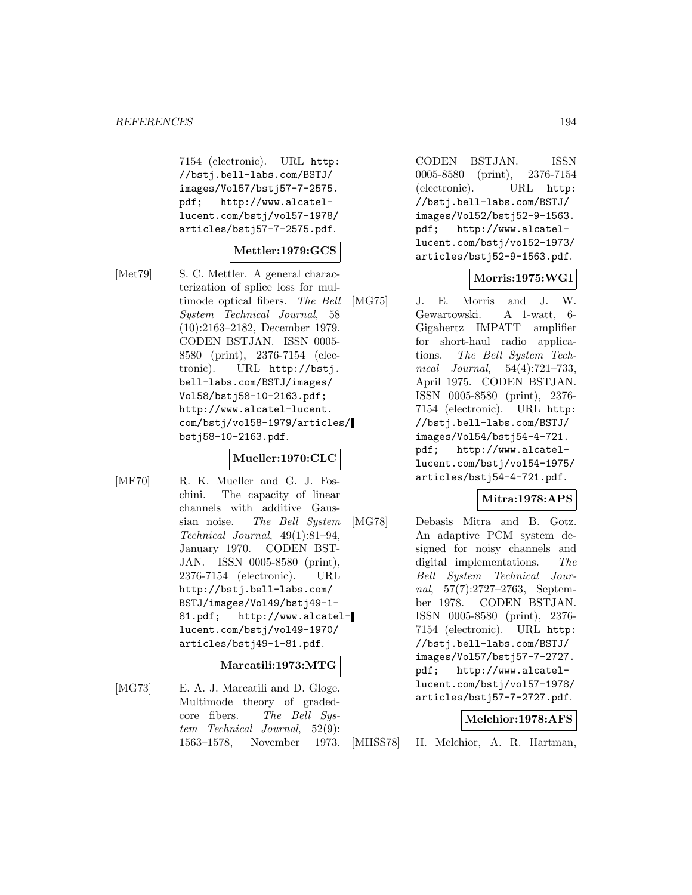7154 (electronic). URL http: //bstj.bell-labs.com/BSTJ/ images/Vol57/bstj57-7-2575. pdf; http://www.alcatellucent.com/bstj/vol57-1978/ articles/bstj57-7-2575.pdf.

#### **Mettler:1979:GCS**

[Met79] S. C. Mettler. A general characterization of splice loss for multimode optical fibers. The Bell System Technical Journal, 58 (10):2163–2182, December 1979. CODEN BSTJAN. ISSN 0005- 8580 (print), 2376-7154 (electronic). URL http://bstj. bell-labs.com/BSTJ/images/ Vol58/bstj58-10-2163.pdf; http://www.alcatel-lucent. com/bstj/vol58-1979/articles/ bstj58-10-2163.pdf.

#### **Mueller:1970:CLC**

[MF70] R. K. Mueller and G. J. Foschini. The capacity of linear channels with additive Gaussian noise. The Bell System Technical Journal, 49(1):81–94, January 1970. CODEN BST-JAN. ISSN 0005-8580 (print), 2376-7154 (electronic). URL http://bstj.bell-labs.com/ BSTJ/images/Vol49/bstj49-1- 81.pdf; http://www.alcatellucent.com/bstj/vol49-1970/ articles/bstj49-1-81.pdf.

#### **Marcatili:1973:MTG**

[MG73] E. A. J. Marcatili and D. Gloge. Multimode theory of gradedcore fibers. The Bell System Technical Journal, 52(9): 1563–1578, November 1973. CODEN BSTJAN. ISSN 0005-8580 (print), 2376-7154 (electronic). URL http: //bstj.bell-labs.com/BSTJ/ images/Vol52/bstj52-9-1563. pdf; http://www.alcatellucent.com/bstj/vol52-1973/ articles/bstj52-9-1563.pdf.

# **Morris:1975:WGI**

[MG75] J. E. Morris and J. W. Gewartowski. A 1-watt, 6- Gigahertz IMPATT amplifier for short-haul radio applications. The Bell System Technical Journal, 54(4):721–733, April 1975. CODEN BSTJAN. ISSN 0005-8580 (print), 2376- 7154 (electronic). URL http: //bstj.bell-labs.com/BSTJ/ images/Vol54/bstj54-4-721. pdf; http://www.alcatellucent.com/bstj/vol54-1975/ articles/bstj54-4-721.pdf.

#### **Mitra:1978:APS**

[MG78] Debasis Mitra and B. Gotz. An adaptive PCM system designed for noisy channels and digital implementations. The Bell System Technical Journal, 57(7):2727–2763, September 1978. CODEN BSTJAN. ISSN 0005-8580 (print), 2376- 7154 (electronic). URL http: //bstj.bell-labs.com/BSTJ/ images/Vol57/bstj57-7-2727. pdf; http://www.alcatellucent.com/bstj/vol57-1978/ articles/bstj57-7-2727.pdf.

#### **Melchior:1978:AFS**

[MHSS78] H. Melchior, A. R. Hartman,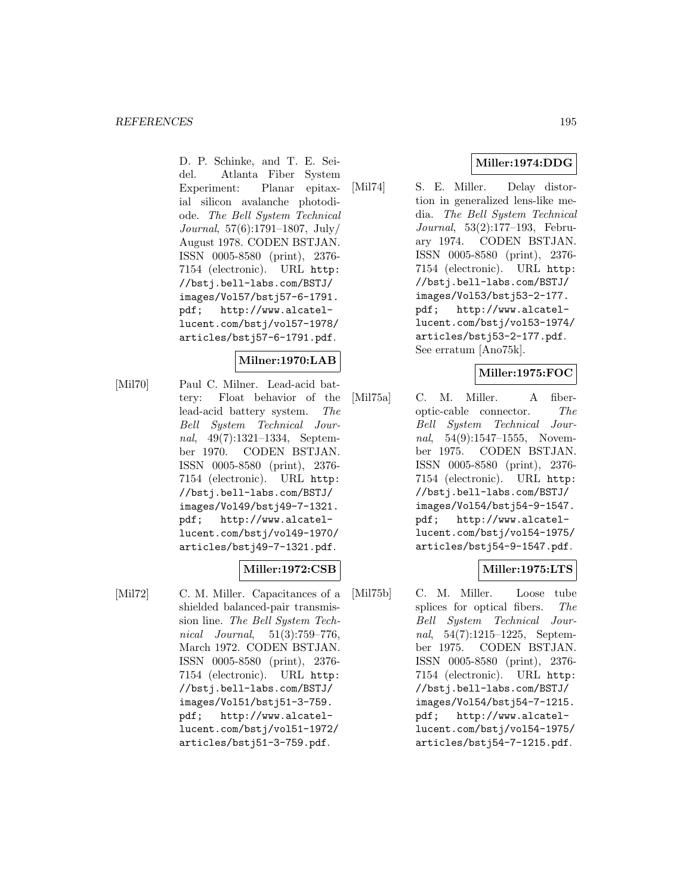D. P. Schinke, and T. E. Seidel. Atlanta Fiber System Experiment: Planar epitaxial silicon avalanche photodiode. The Bell System Technical Journal, 57(6):1791–1807, July/ August 1978. CODEN BSTJAN. ISSN 0005-8580 (print), 2376- 7154 (electronic). URL http: //bstj.bell-labs.com/BSTJ/ images/Vol57/bstj57-6-1791. pdf; http://www.alcatellucent.com/bstj/vol57-1978/ articles/bstj57-6-1791.pdf.

### **Milner:1970:LAB**

[Mil70] Paul C. Milner. Lead-acid battery: Float behavior of the lead-acid battery system. The Bell System Technical Journal, 49(7):1321–1334, September 1970. CODEN BSTJAN. ISSN 0005-8580 (print), 2376- 7154 (electronic). URL http: //bstj.bell-labs.com/BSTJ/ images/Vol49/bstj49-7-1321. pdf; http://www.alcatellucent.com/bstj/vol49-1970/ articles/bstj49-7-1321.pdf.

# **Miller:1972:CSB**

[Mil72] C. M. Miller. Capacitances of a shielded balanced-pair transmission line. The Bell System Technical Journal, 51(3):759–776, March 1972. CODEN BSTJAN. ISSN 0005-8580 (print), 2376- 7154 (electronic). URL http: //bstj.bell-labs.com/BSTJ/ images/Vol51/bstj51-3-759. pdf; http://www.alcatellucent.com/bstj/vol51-1972/ articles/bstj51-3-759.pdf.

# **Miller:1974:DDG**

[Mil74] S. E. Miller. Delay distortion in generalized lens-like media. The Bell System Technical Journal, 53(2):177–193, February 1974. CODEN BSTJAN. ISSN 0005-8580 (print), 2376- 7154 (electronic). URL http: //bstj.bell-labs.com/BSTJ/ images/Vol53/bstj53-2-177. pdf; http://www.alcatellucent.com/bstj/vol53-1974/ articles/bstj53-2-177.pdf. See erratum [Ano75k].

# **Miller:1975:FOC**

[Mil75a] C. M. Miller. A fiberoptic-cable connector. The Bell System Technical Journal, 54(9):1547–1555, November 1975. CODEN BSTJAN. ISSN 0005-8580 (print), 2376- 7154 (electronic). URL http: //bstj.bell-labs.com/BSTJ/ images/Vol54/bstj54-9-1547. pdf; http://www.alcatellucent.com/bstj/vol54-1975/ articles/bstj54-9-1547.pdf.

# **Miller:1975:LTS**

[Mil75b] C. M. Miller. Loose tube splices for optical fibers. The Bell System Technical Journal, 54(7):1215–1225, September 1975. CODEN BSTJAN. ISSN 0005-8580 (print), 2376- 7154 (electronic). URL http: //bstj.bell-labs.com/BSTJ/ images/Vol54/bstj54-7-1215. pdf; http://www.alcatellucent.com/bstj/vol54-1975/ articles/bstj54-7-1215.pdf.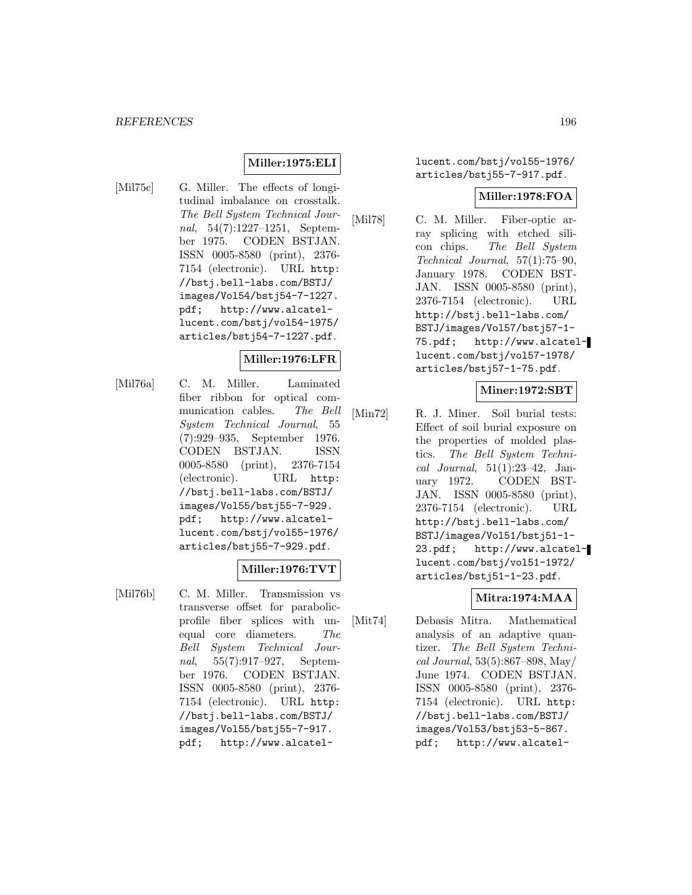#### **Miller:1975:ELI**

[Mil75c] G. Miller. The effects of longitudinal imbalance on crosstalk. The Bell System Technical Journal, 54(7):1227–1251, September 1975. CODEN BSTJAN. ISSN 0005-8580 (print), 2376- 7154 (electronic). URL http: //bstj.bell-labs.com/BSTJ/ images/Vol54/bstj54-7-1227. pdf; http://www.alcatellucent.com/bstj/vol54-1975/ articles/bstj54-7-1227.pdf.

#### **Miller:1976:LFR**

[Mil76a] C. M. Miller. Laminated fiber ribbon for optical communication cables. The Bell System Technical Journal, 55 (7):929–935, September 1976. CODEN BSTJAN. ISSN 0005-8580 (print), 2376-7154 (electronic). URL http: //bstj.bell-labs.com/BSTJ/ images/Vol55/bstj55-7-929. pdf; http://www.alcatellucent.com/bstj/vol55-1976/ articles/bstj55-7-929.pdf.

# **Miller:1976:TVT**

[Mil76b] C. M. Miller. Transmission vs transverse offset for parabolicprofile fiber splices with unequal core diameters. The Bell System Technical Journal, 55(7):917–927, September 1976. CODEN BSTJAN. ISSN 0005-8580 (print), 2376- 7154 (electronic). URL http: //bstj.bell-labs.com/BSTJ/ images/Vol55/bstj55-7-917. pdf; http://www.alcatellucent.com/bstj/vol55-1976/ articles/bstj55-7-917.pdf.

#### **Miller:1978:FOA**

[Mil78] C. M. Miller. Fiber-optic array splicing with etched silicon chips. The Bell System Technical Journal, 57(1):75–90, January 1978. CODEN BST-JAN. ISSN 0005-8580 (print), 2376-7154 (electronic). URL http://bstj.bell-labs.com/ BSTJ/images/Vol57/bstj57-1- 75.pdf; http://www.alcatellucent.com/bstj/vol57-1978/ articles/bstj57-1-75.pdf.

#### **Miner:1972:SBT**

[Min72] R. J. Miner. Soil burial tests: Effect of soil burial exposure on the properties of molded plastics. The Bell System Technical Journal, 51(1):23–42, January 1972. CODEN BST-JAN. ISSN 0005-8580 (print), 2376-7154 (electronic). URL http://bstj.bell-labs.com/ BSTJ/images/Vol51/bstj51-1- 23.pdf; http://www.alcatellucent.com/bstj/vol51-1972/ articles/bstj51-1-23.pdf.

#### **Mitra:1974:MAA**

[Mit74] Debasis Mitra. Mathematical analysis of an adaptive quantizer. The Bell System Technical Journal, 53(5):867–898, May/ June 1974. CODEN BSTJAN. ISSN 0005-8580 (print), 2376- 7154 (electronic). URL http: //bstj.bell-labs.com/BSTJ/ images/Vol53/bstj53-5-867. pdf; http://www.alcatel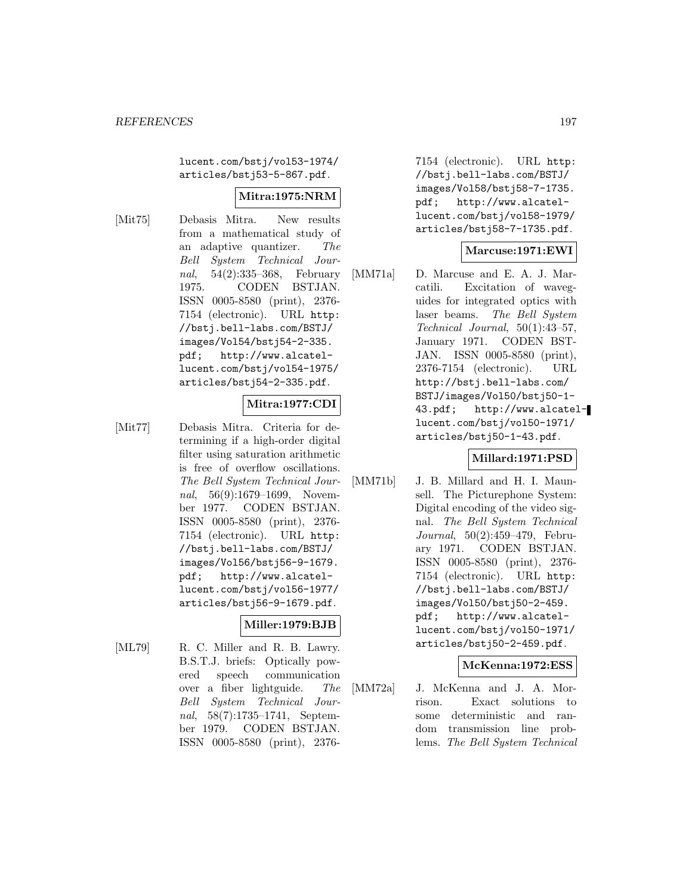lucent.com/bstj/vol53-1974/ articles/bstj53-5-867.pdf.

### **Mitra:1975:NRM**

[Mit75] Debasis Mitra. New results from a mathematical study of an adaptive quantizer. The Bell System Technical Journal, 54(2):335–368, February 1975. CODEN BSTJAN. ISSN 0005-8580 (print), 2376- 7154 (electronic). URL http: //bstj.bell-labs.com/BSTJ/ images/Vol54/bstj54-2-335. pdf; http://www.alcatellucent.com/bstj/vol54-1975/ articles/bstj54-2-335.pdf.

# **Mitra:1977:CDI**

[Mit77] Debasis Mitra. Criteria for determining if a high-order digital filter using saturation arithmetic is free of overflow oscillations. The Bell System Technical Journal, 56(9):1679–1699, November 1977. CODEN BSTJAN. ISSN 0005-8580 (print), 2376- 7154 (electronic). URL http: //bstj.bell-labs.com/BSTJ/ images/Vol56/bstj56-9-1679. pdf; http://www.alcatellucent.com/bstj/vol56-1977/ articles/bstj56-9-1679.pdf.

# **Miller:1979:BJB**

[ML79] R. C. Miller and R. B. Lawry. B.S.T.J. briefs: Optically powered speech communication over a fiber lightguide. The Bell System Technical Journal, 58(7):1735–1741, September 1979. CODEN BSTJAN. ISSN 0005-8580 (print), 23767154 (electronic). URL http: //bstj.bell-labs.com/BSTJ/ images/Vol58/bstj58-7-1735. pdf; http://www.alcatellucent.com/bstj/vol58-1979/ articles/bstj58-7-1735.pdf.

### **Marcuse:1971:EWI**

[MM71a] D. Marcuse and E. A. J. Marcatili. Excitation of waveguides for integrated optics with laser beams. The Bell System Technical Journal, 50(1):43–57, January 1971. CODEN BST-JAN. ISSN 0005-8580 (print), 2376-7154 (electronic). URL http://bstj.bell-labs.com/ BSTJ/images/Vol50/bstj50-1- 43.pdf; http://www.alcatellucent.com/bstj/vol50-1971/ articles/bstj50-1-43.pdf.

#### **Millard:1971:PSD**

[MM71b] J. B. Millard and H. I. Maunsell. The Picturephone System: Digital encoding of the video signal. The Bell System Technical Journal, 50(2):459–479, February 1971. CODEN BSTJAN. ISSN 0005-8580 (print), 2376- 7154 (electronic). URL http: //bstj.bell-labs.com/BSTJ/ images/Vol50/bstj50-2-459. pdf; http://www.alcatellucent.com/bstj/vol50-1971/ articles/bstj50-2-459.pdf.

#### **McKenna:1972:ESS**

[MM72a] J. McKenna and J. A. Morrison. Exact solutions to some deterministic and random transmission line problems. The Bell System Technical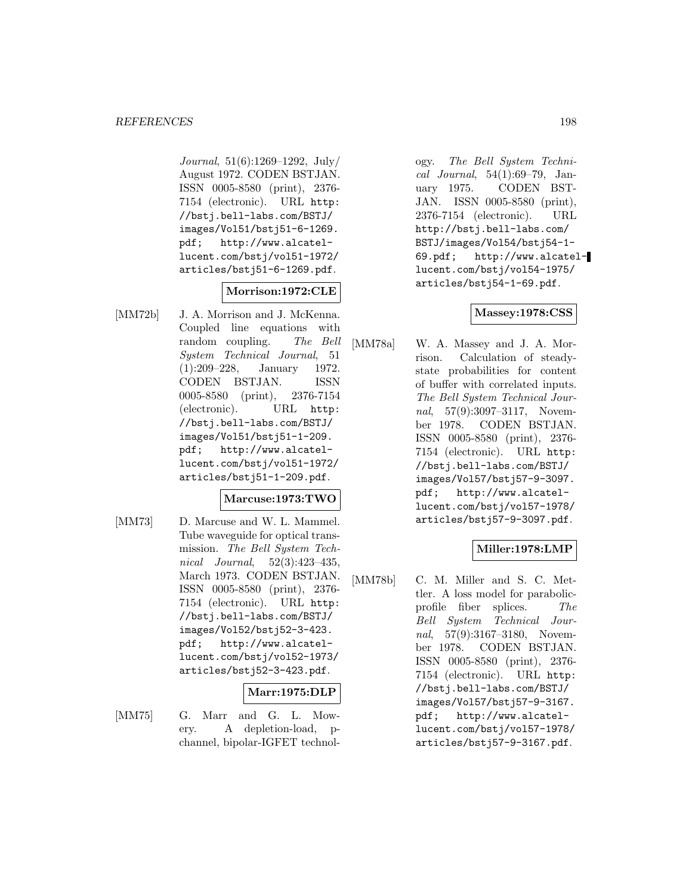Journal, 51(6):1269–1292, July/ August 1972. CODEN BSTJAN. ISSN 0005-8580 (print), 2376- 7154 (electronic). URL http: //bstj.bell-labs.com/BSTJ/ images/Vol51/bstj51-6-1269. pdf; http://www.alcatellucent.com/bstj/vol51-1972/ articles/bstj51-6-1269.pdf.

#### **Morrison:1972:CLE**

[MM72b] J. A. Morrison and J. McKenna. Coupled line equations with random coupling. The Bell System Technical Journal, 51 (1):209–228, January 1972. CODEN BSTJAN. ISSN 0005-8580 (print), 2376-7154 (electronic). URL http: //bstj.bell-labs.com/BSTJ/ images/Vol51/bstj51-1-209. pdf; http://www.alcatellucent.com/bstj/vol51-1972/ articles/bstj51-1-209.pdf.

#### **Marcuse:1973:TWO**

[MM73] D. Marcuse and W. L. Mammel. Tube waveguide for optical transmission. The Bell System Technical Journal, 52(3):423–435, March 1973. CODEN BSTJAN. ISSN 0005-8580 (print), 2376- 7154 (electronic). URL http: //bstj.bell-labs.com/BSTJ/ images/Vol52/bstj52-3-423. pdf; http://www.alcatellucent.com/bstj/vol52-1973/ articles/bstj52-3-423.pdf.

#### **Marr:1975:DLP**

- 
- [MM75] G. Marr and G. L. Mowery. A depletion-load, pchannel, bipolar-IGFET technol-

ogy. The Bell System Technical Journal, 54(1):69–79, January 1975. CODEN BST-JAN. ISSN 0005-8580 (print), 2376-7154 (electronic). URL http://bstj.bell-labs.com/ BSTJ/images/Vol54/bstj54-1- 69.pdf; http://www.alcatellucent.com/bstj/vol54-1975/ articles/bstj54-1-69.pdf.

### **Massey:1978:CSS**

[MM78a] W. A. Massey and J. A. Morrison. Calculation of steadystate probabilities for content of buffer with correlated inputs. The Bell System Technical Journal, 57(9):3097-3117, November 1978. CODEN BSTJAN. ISSN 0005-8580 (print), 2376- 7154 (electronic). URL http: //bstj.bell-labs.com/BSTJ/ images/Vol57/bstj57-9-3097. pdf; http://www.alcatellucent.com/bstj/vol57-1978/ articles/bstj57-9-3097.pdf.

### **Miller:1978:LMP**

[MM78b] C. M. Miller and S. C. Mettler. A loss model for parabolicprofile fiber splices. The Bell System Technical Journal, 57(9):3167-3180, November 1978. CODEN BSTJAN. ISSN 0005-8580 (print), 2376- 7154 (electronic). URL http: //bstj.bell-labs.com/BSTJ/ images/Vol57/bstj57-9-3167. pdf; http://www.alcatellucent.com/bstj/vol57-1978/ articles/bstj57-9-3167.pdf.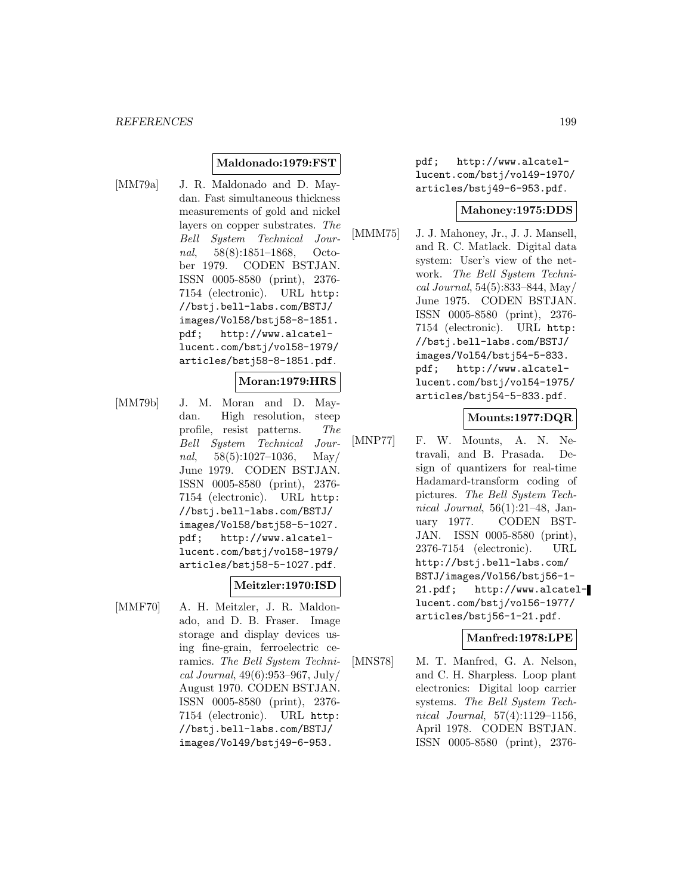#### **Maldonado:1979:FST**

[MM79a] J. R. Maldonado and D. Maydan. Fast simultaneous thickness measurements of gold and nickel layers on copper substrates. The Bell System Technical Journal, 58(8):1851–1868, October 1979. CODEN BSTJAN. ISSN 0005-8580 (print), 2376- 7154 (electronic). URL http: //bstj.bell-labs.com/BSTJ/ images/Vol58/bstj58-8-1851. pdf; http://www.alcatellucent.com/bstj/vol58-1979/ articles/bstj58-8-1851.pdf.

**Moran:1979:HRS**

[MM79b] J. M. Moran and D. Maydan. High resolution, steep profile, resist patterns. The Bell System Technical Journal,  $58(5):1027-1036$ , May/ June 1979. CODEN BSTJAN. ISSN 0005-8580 (print), 2376- 7154 (electronic). URL http: //bstj.bell-labs.com/BSTJ/ images/Vol58/bstj58-5-1027. pdf; http://www.alcatellucent.com/bstj/vol58-1979/ articles/bstj58-5-1027.pdf.

#### **Meitzler:1970:ISD**

[MMF70] A. H. Meitzler, J. R. Maldonado, and D. B. Fraser. Image storage and display devices using fine-grain, ferroelectric ceramics. The Bell System Technical Journal, 49(6):953–967, July/ August 1970. CODEN BSTJAN. ISSN 0005-8580 (print), 2376- 7154 (electronic). URL http: //bstj.bell-labs.com/BSTJ/ images/Vol49/bstj49-6-953.

pdf; http://www.alcatellucent.com/bstj/vol49-1970/ articles/bstj49-6-953.pdf.

#### **Mahoney:1975:DDS**

[MMM75] J. J. Mahoney, Jr., J. J. Mansell, and R. C. Matlack. Digital data system: User's view of the network. The Bell System Technical Journal, 54(5):833–844, May/ June 1975. CODEN BSTJAN. ISSN 0005-8580 (print), 2376- 7154 (electronic). URL http: //bstj.bell-labs.com/BSTJ/ images/Vol54/bstj54-5-833. pdf; http://www.alcatellucent.com/bstj/vol54-1975/ articles/bstj54-5-833.pdf.

### **Mounts:1977:DQR**

[MNP77] F. W. Mounts, A. N. Netravali, and B. Prasada. Design of quantizers for real-time Hadamard-transform coding of pictures. The Bell System Technical Journal,  $56(1):21-48$ , January 1977. CODEN BST-JAN. ISSN 0005-8580 (print), 2376-7154 (electronic). URL http://bstj.bell-labs.com/ BSTJ/images/Vol56/bstj56-1- 21.pdf; http://www.alcatellucent.com/bstj/vol56-1977/ articles/bstj56-1-21.pdf.

#### **Manfred:1978:LPE**

[MNS78] M. T. Manfred, G. A. Nelson, and C. H. Sharpless. Loop plant electronics: Digital loop carrier systems. The Bell System Technical Journal, 57(4):1129–1156, April 1978. CODEN BSTJAN. ISSN 0005-8580 (print), 2376-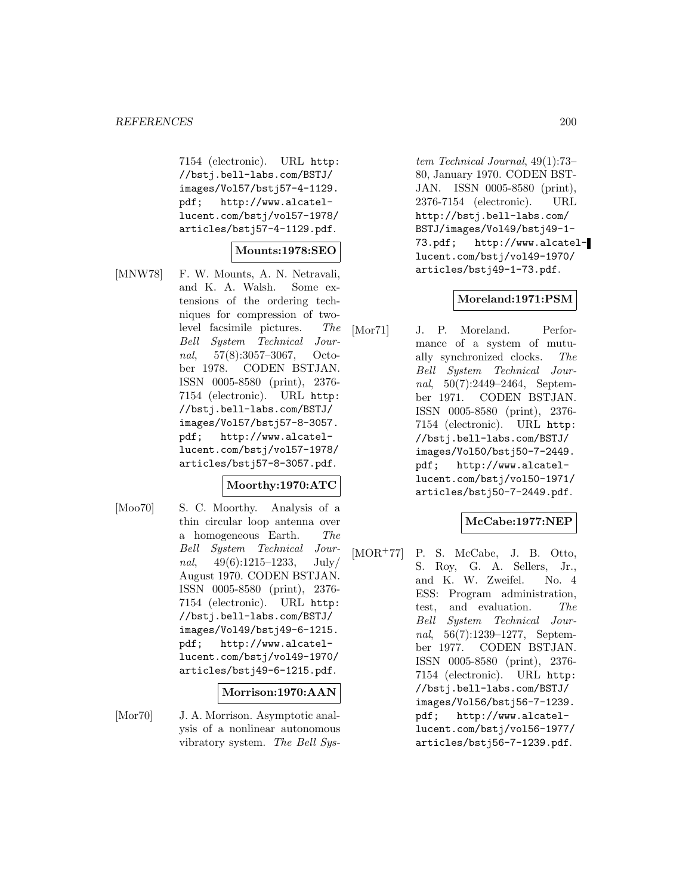7154 (electronic). URL http: //bstj.bell-labs.com/BSTJ/ images/Vol57/bstj57-4-1129. pdf; http://www.alcatellucent.com/bstj/vol57-1978/ articles/bstj57-4-1129.pdf.

#### **Mounts:1978:SEO**

[MNW78] F. W. Mounts, A. N. Netravali, and K. A. Walsh. Some extensions of the ordering techniques for compression of twolevel facsimile pictures. The Bell System Technical Journal, 57(8):3057–3067, October 1978. CODEN BSTJAN. ISSN 0005-8580 (print), 2376- 7154 (electronic). URL http: //bstj.bell-labs.com/BSTJ/ images/Vol57/bstj57-8-3057. pdf; http://www.alcatellucent.com/bstj/vol57-1978/ articles/bstj57-8-3057.pdf.

#### **Moorthy:1970:ATC**

[Moo70] S. C. Moorthy. Analysis of a thin circular loop antenna over a homogeneous Earth. The Bell System Technical Journal,  $49(6):1215-1233$ , July/ August 1970. CODEN BSTJAN. ISSN 0005-8580 (print), 2376- 7154 (electronic). URL http: //bstj.bell-labs.com/BSTJ/ images/Vol49/bstj49-6-1215. pdf; http://www.alcatellucent.com/bstj/vol49-1970/ articles/bstj49-6-1215.pdf.

#### **Morrison:1970:AAN**

[Mor70] J. A. Morrison. Asymptotic analysis of a nonlinear autonomous vibratory system. The Bell Sys-

tem Technical Journal, 49(1):73– 80, January 1970. CODEN BST-JAN. ISSN 0005-8580 (print), 2376-7154 (electronic). URL http://bstj.bell-labs.com/ BSTJ/images/Vol49/bstj49-1- 73.pdf; http://www.alcatellucent.com/bstj/vol49-1970/ articles/bstj49-1-73.pdf.

#### **Moreland:1971:PSM**

[Mor71] J. P. Moreland. Performance of a system of mutually synchronized clocks. The Bell System Technical Journal, 50(7):2449–2464, September 1971. CODEN BSTJAN. ISSN 0005-8580 (print), 2376- 7154 (electronic). URL http: //bstj.bell-labs.com/BSTJ/ images/Vol50/bstj50-7-2449. pdf; http://www.alcatellucent.com/bstj/vol50-1971/ articles/bstj50-7-2449.pdf.

# **McCabe:1977:NEP**

[MOR<sup>+</sup>77] P. S. McCabe, J. B. Otto, S. Roy, G. A. Sellers, Jr., and K. W. Zweifel. No. 4 ESS: Program administration, test, and evaluation. The Bell System Technical Journal, 56(7):1239–1277, September 1977. CODEN BSTJAN. ISSN 0005-8580 (print), 2376- 7154 (electronic). URL http: //bstj.bell-labs.com/BSTJ/ images/Vol56/bstj56-7-1239. pdf; http://www.alcatellucent.com/bstj/vol56-1977/ articles/bstj56-7-1239.pdf.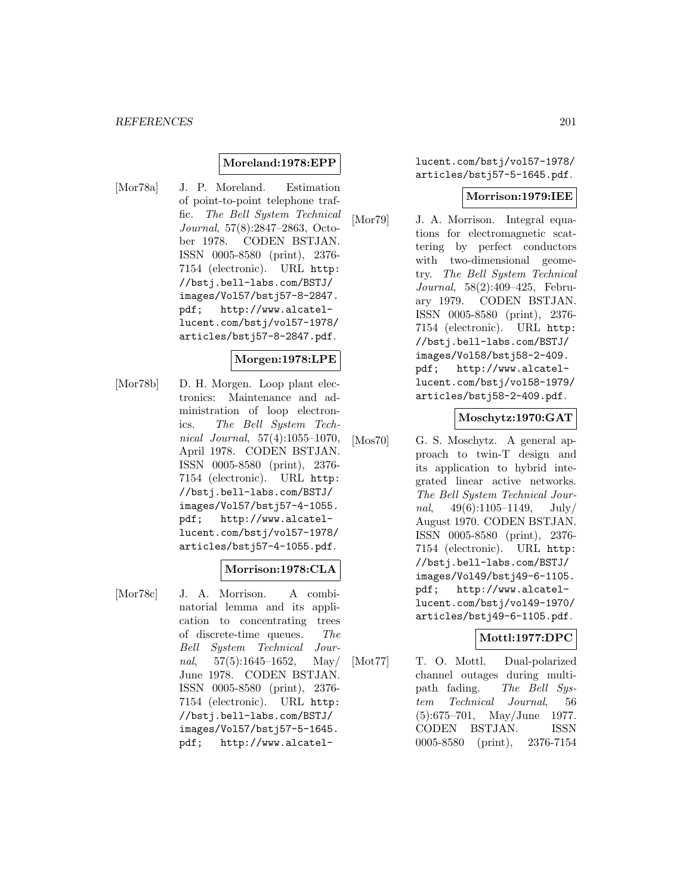#### **Moreland:1978:EPP**

[Mor78a] J. P. Moreland. Estimation of point-to-point telephone traffic. The Bell System Technical Journal, 57(8):2847–2863, October 1978. CODEN BSTJAN. ISSN 0005-8580 (print), 2376- 7154 (electronic). URL http: //bstj.bell-labs.com/BSTJ/ images/Vol57/bstj57-8-2847. pdf; http://www.alcatellucent.com/bstj/vol57-1978/ articles/bstj57-8-2847.pdf.

### **Morgen:1978:LPE**

[Mor78b] D. H. Morgen. Loop plant electronics: Maintenance and administration of loop electronics. The Bell System Technical Journal, 57(4):1055–1070, April 1978. CODEN BSTJAN. ISSN 0005-8580 (print), 2376- 7154 (electronic). URL http: //bstj.bell-labs.com/BSTJ/ images/Vol57/bstj57-4-1055. pdf; http://www.alcatellucent.com/bstj/vol57-1978/ articles/bstj57-4-1055.pdf.

#### **Morrison:1978:CLA**

[Mor78c] J. A. Morrison. A combinatorial lemma and its application to concentrating trees of discrete-time queues. The Bell System Technical Journal,  $57(5):1645-1652$ , May/ June 1978. CODEN BSTJAN. ISSN 0005-8580 (print), 2376- 7154 (electronic). URL http: //bstj.bell-labs.com/BSTJ/ images/Vol57/bstj57-5-1645. pdf; http://www.alcatellucent.com/bstj/vol57-1978/ articles/bstj57-5-1645.pdf.

#### **Morrison:1979:IEE**

[Mor79] J. A. Morrison. Integral equations for electromagnetic scattering by perfect conductors with two-dimensional geometry. The Bell System Technical Journal, 58(2):409–425, February 1979. CODEN BSTJAN. ISSN 0005-8580 (print), 2376- 7154 (electronic). URL http: //bstj.bell-labs.com/BSTJ/ images/Vol58/bstj58-2-409. pdf; http://www.alcatellucent.com/bstj/vol58-1979/ articles/bstj58-2-409.pdf.

#### **Moschytz:1970:GAT**

[Mos70] G. S. Moschytz. A general approach to twin-T design and its application to hybrid integrated linear active networks. The Bell System Technical Journal,  $49(6):1105-1149$ , July/ August 1970. CODEN BSTJAN. ISSN 0005-8580 (print), 2376- 7154 (electronic). URL http: //bstj.bell-labs.com/BSTJ/ images/Vol49/bstj49-6-1105. pdf; http://www.alcatellucent.com/bstj/vol49-1970/ articles/bstj49-6-1105.pdf.

#### **Mottl:1977:DPC**

[Mot77] T. O. Mottl. Dual-polarized channel outages during multipath fading. The Bell System Technical Journal, 56 (5):675–701, May/June 1977. CODEN BSTJAN. ISSN 0005-8580 (print), 2376-7154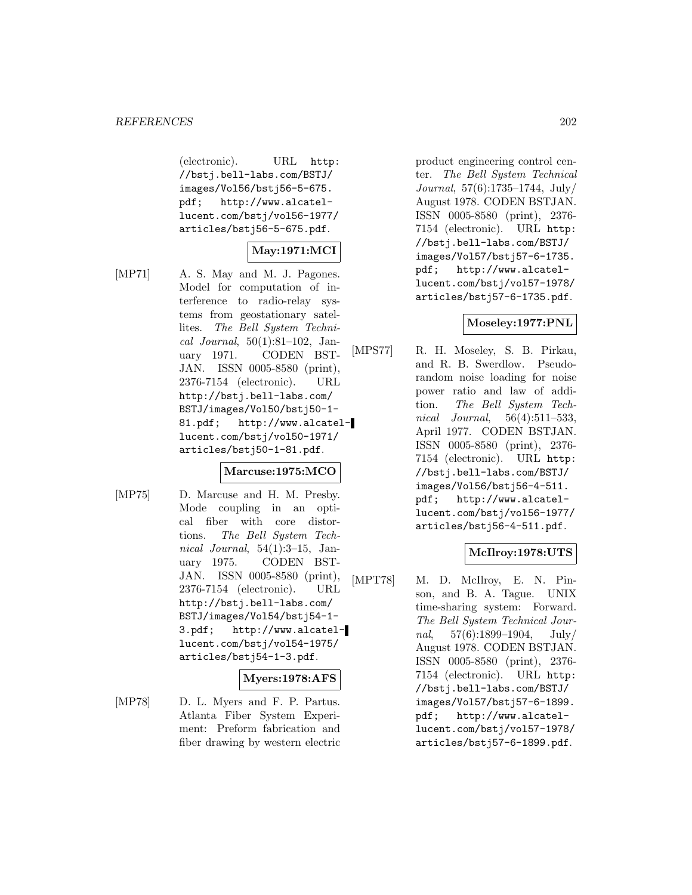(electronic). URL http: //bstj.bell-labs.com/BSTJ/ images/Vol56/bstj56-5-675. pdf; http://www.alcatellucent.com/bstj/vol56-1977/ articles/bstj56-5-675.pdf.

# **May:1971:MCI**

[MP71] A. S. May and M. J. Pagones. Model for computation of interference to radio-relay systems from geostationary satellites. The Bell System Technical Journal, 50(1):81–102, January 1971. CODEN BST-JAN. ISSN 0005-8580 (print), 2376-7154 (electronic). URL http://bstj.bell-labs.com/ BSTJ/images/Vol50/bstj50-1- 81.pdf; http://www.alcatellucent.com/bstj/vol50-1971/ articles/bstj50-1-81.pdf.

#### **Marcuse:1975:MCO**

[MP75] D. Marcuse and H. M. Presby. Mode coupling in an optical fiber with core distortions. The Bell System Technical Journal, 54(1):3–15, January 1975. CODEN BST-JAN. ISSN 0005-8580 (print), 2376-7154 (electronic). URL http://bstj.bell-labs.com/ BSTJ/images/Vol54/bstj54-1- 3.pdf; http://www.alcatellucent.com/bstj/vol54-1975/ articles/bstj54-1-3.pdf.

#### **Myers:1978:AFS**

[MP78] D. L. Myers and F. P. Partus. Atlanta Fiber System Experiment: Preform fabrication and fiber drawing by western electric product engineering control center. The Bell System Technical Journal, 57(6):1735–1744, July/ August 1978. CODEN BSTJAN. ISSN 0005-8580 (print), 2376- 7154 (electronic). URL http: //bstj.bell-labs.com/BSTJ/ images/Vol57/bstj57-6-1735. pdf; http://www.alcatellucent.com/bstj/vol57-1978/ articles/bstj57-6-1735.pdf.

# **Moseley:1977:PNL**

[MPS77] R. H. Moseley, S. B. Pirkau, and R. B. Swerdlow. Pseudorandom noise loading for noise power ratio and law of addition. The Bell System Technical Journal, 56(4):511–533, April 1977. CODEN BSTJAN. ISSN 0005-8580 (print), 2376- 7154 (electronic). URL http: //bstj.bell-labs.com/BSTJ/ images/Vol56/bstj56-4-511. pdf; http://www.alcatellucent.com/bstj/vol56-1977/ articles/bstj56-4-511.pdf.

# **McIlroy:1978:UTS**

[MPT78] M. D. McIlroy, E. N. Pinson, and B. A. Tague. UNIX time-sharing system: Forward. The Bell System Technical Journal,  $57(6):1899-1904$ , July/ August 1978. CODEN BSTJAN. ISSN 0005-8580 (print), 2376- 7154 (electronic). URL http: //bstj.bell-labs.com/BSTJ/ images/Vol57/bstj57-6-1899. pdf; http://www.alcatellucent.com/bstj/vol57-1978/ articles/bstj57-6-1899.pdf.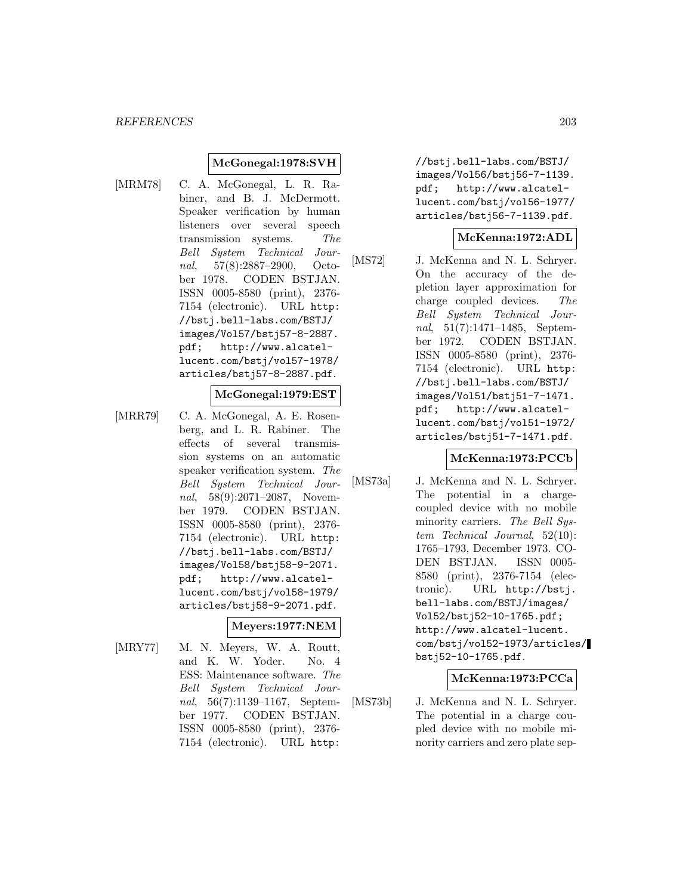### **McGonegal:1978:SVH**

[MRM78] C. A. McGonegal, L. R. Rabiner, and B. J. McDermott. Speaker verification by human listeners over several speech transmission systems. The Bell System Technical Journal, 57(8):2887–2900, October 1978. CODEN BSTJAN. ISSN 0005-8580 (print), 2376- 7154 (electronic). URL http: //bstj.bell-labs.com/BSTJ/ images/Vol57/bstj57-8-2887. pdf; http://www.alcatellucent.com/bstj/vol57-1978/ articles/bstj57-8-2887.pdf.

#### **McGonegal:1979:EST**

[MRR79] C. A. McGonegal, A. E. Rosenberg, and L. R. Rabiner. The effects of several transmission systems on an automatic speaker verification system. The Bell System Technical Journal, 58(9):2071–2087, November 1979. CODEN BSTJAN. ISSN 0005-8580 (print), 2376- 7154 (electronic). URL http: //bstj.bell-labs.com/BSTJ/ images/Vol58/bstj58-9-2071. pdf; http://www.alcatellucent.com/bstj/vol58-1979/ articles/bstj58-9-2071.pdf.

#### **Meyers:1977:NEM**

[MRY77] M. N. Meyers, W. A. Routt, and K. W. Yoder. No. 4 ESS: Maintenance software. The Bell System Technical Journal, 56(7):1139–1167, September 1977. CODEN BSTJAN. ISSN 0005-8580 (print), 2376- 7154 (electronic). URL http:

//bstj.bell-labs.com/BSTJ/ images/Vol56/bstj56-7-1139. pdf; http://www.alcatellucent.com/bstj/vol56-1977/ articles/bstj56-7-1139.pdf.

#### **McKenna:1972:ADL**

[MS72] J. McKenna and N. L. Schryer. On the accuracy of the depletion layer approximation for charge coupled devices. The Bell System Technical Journal, 51(7):1471–1485, September 1972. CODEN BSTJAN. ISSN 0005-8580 (print), 2376- 7154 (electronic). URL http: //bstj.bell-labs.com/BSTJ/ images/Vol51/bstj51-7-1471. pdf; http://www.alcatellucent.com/bstj/vol51-1972/ articles/bstj51-7-1471.pdf.

#### **McKenna:1973:PCCb**

[MS73a] J. McKenna and N. L. Schryer. The potential in a chargecoupled device with no mobile minority carriers. The Bell System Technical Journal, 52(10): 1765–1793, December 1973. CO-DEN BSTJAN. ISSN 0005- 8580 (print), 2376-7154 (electronic). URL http://bstj. bell-labs.com/BSTJ/images/ Vol52/bstj52-10-1765.pdf; http://www.alcatel-lucent. com/bstj/vol52-1973/articles/ bstj52-10-1765.pdf.

#### **McKenna:1973:PCCa**

[MS73b] J. McKenna and N. L. Schryer. The potential in a charge coupled device with no mobile minority carriers and zero plate sep-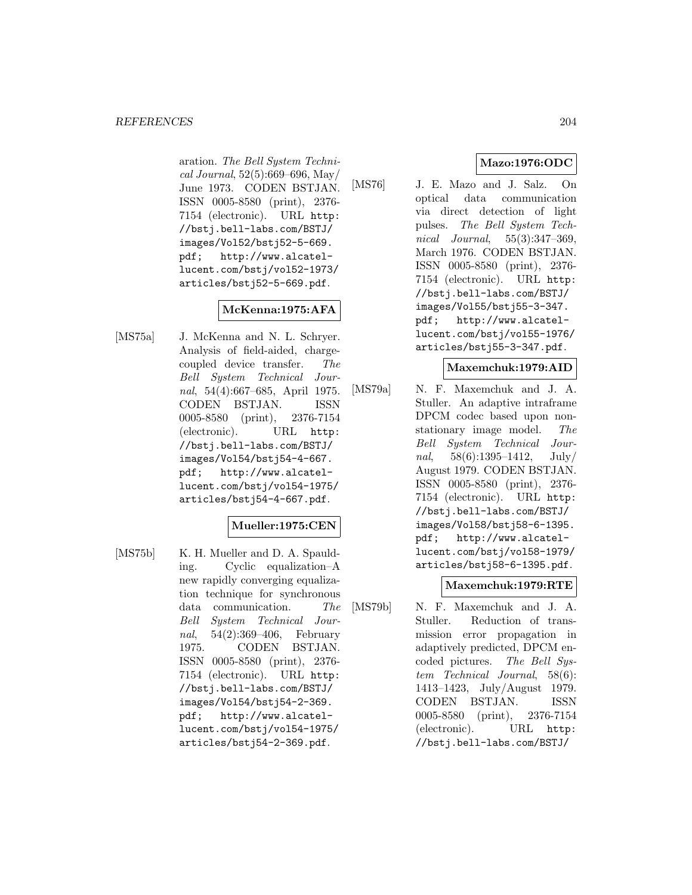aration. The Bell System Technical Journal, 52(5):669–696, May/ June 1973. CODEN BSTJAN. ISSN 0005-8580 (print), 2376- 7154 (electronic). URL http: //bstj.bell-labs.com/BSTJ/ images/Vol52/bstj52-5-669. pdf; http://www.alcatellucent.com/bstj/vol52-1973/ articles/bstj52-5-669.pdf.

# **McKenna:1975:AFA**

[MS75a] J. McKenna and N. L. Schryer. Analysis of field-aided, chargecoupled device transfer. The Bell System Technical Journal, 54(4):667–685, April 1975. CODEN BSTJAN. ISSN 0005-8580 (print), 2376-7154 (electronic). URL http: //bstj.bell-labs.com/BSTJ/ images/Vol54/bstj54-4-667. pdf; http://www.alcatellucent.com/bstj/vol54-1975/ articles/bstj54-4-667.pdf.

# **Mueller:1975:CEN**

[MS75b] K. H. Mueller and D. A. Spaulding. Cyclic equalization–A new rapidly converging equalization technique for synchronous data communication. The Bell System Technical Journal, 54(2):369–406, February 1975. CODEN BSTJAN. ISSN 0005-8580 (print), 2376- 7154 (electronic). URL http: //bstj.bell-labs.com/BSTJ/ images/Vol54/bstj54-2-369. pdf; http://www.alcatellucent.com/bstj/vol54-1975/ articles/bstj54-2-369.pdf.

# **Mazo:1976:ODC**

[MS76] J. E. Mazo and J. Salz. On optical data communication via direct detection of light pulses. The Bell System Technical Journal, 55(3):347–369, March 1976. CODEN BSTJAN. ISSN 0005-8580 (print), 2376- 7154 (electronic). URL http: //bstj.bell-labs.com/BSTJ/ images/Vol55/bstj55-3-347. pdf; http://www.alcatellucent.com/bstj/vol55-1976/ articles/bstj55-3-347.pdf.

# **Maxemchuk:1979:AID**

[MS79a] N. F. Maxemchuk and J. A. Stuller. An adaptive intraframe DPCM codec based upon nonstationary image model. The Bell System Technical Journal,  $58(6):1395-1412$ ,  $\text{July}/$ August 1979. CODEN BSTJAN. ISSN 0005-8580 (print), 2376- 7154 (electronic). URL http: //bstj.bell-labs.com/BSTJ/ images/Vol58/bstj58-6-1395. pdf; http://www.alcatellucent.com/bstj/vol58-1979/ articles/bstj58-6-1395.pdf.

# **Maxemchuk:1979:RTE**

[MS79b] N. F. Maxemchuk and J. A. Stuller. Reduction of transmission error propagation in adaptively predicted, DPCM encoded pictures. The Bell System Technical Journal, 58(6): 1413–1423, July/August 1979. CODEN BSTJAN. ISSN 0005-8580 (print), 2376-7154 (electronic). URL http: //bstj.bell-labs.com/BSTJ/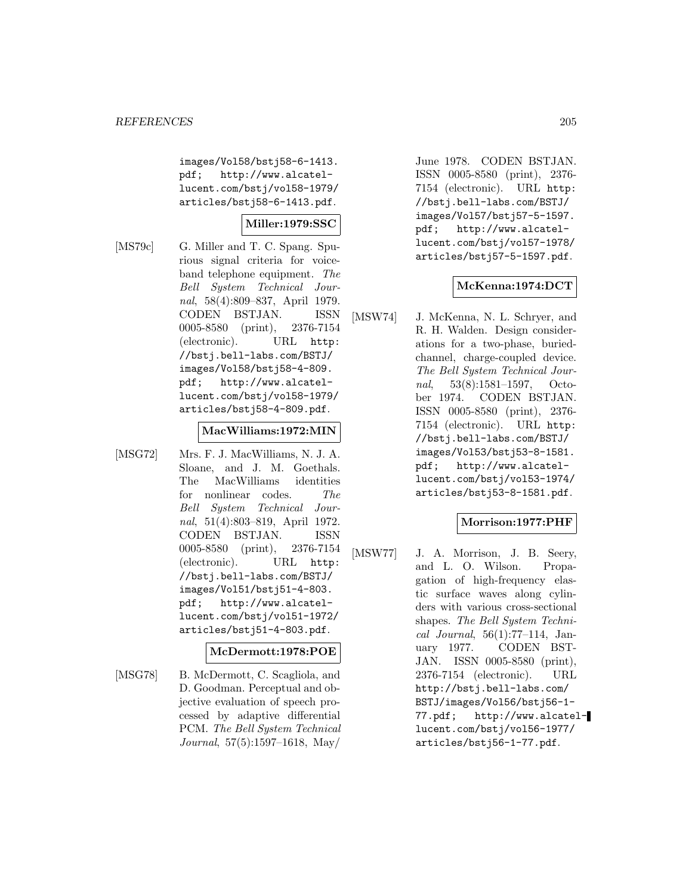images/Vol58/bstj58-6-1413. pdf; http://www.alcatellucent.com/bstj/vol58-1979/ articles/bstj58-6-1413.pdf.

### **Miller:1979:SSC**

[MS79c] G. Miller and T. C. Spang. Spurious signal criteria for voiceband telephone equipment. The Bell System Technical Journal, 58(4):809–837, April 1979. CODEN BSTJAN. ISSN 0005-8580 (print), 2376-7154 (electronic). URL http: //bstj.bell-labs.com/BSTJ/ images/Vol58/bstj58-4-809. pdf; http://www.alcatellucent.com/bstj/vol58-1979/ articles/bstj58-4-809.pdf.

#### **MacWilliams:1972:MIN**

[MSG72] Mrs. F. J. MacWilliams, N. J. A. Sloane, and J. M. Goethals. The MacWilliams identities for nonlinear codes. The Bell System Technical Journal, 51(4):803–819, April 1972. CODEN BSTJAN. ISSN 0005-8580 (print), 2376-7154 (electronic). URL http: //bstj.bell-labs.com/BSTJ/ images/Vol51/bstj51-4-803. pdf; http://www.alcatellucent.com/bstj/vol51-1972/ articles/bstj51-4-803.pdf.

### **McDermott:1978:POE**

[MSG78] B. McDermott, C. Scagliola, and D. Goodman. Perceptual and objective evaluation of speech processed by adaptive differential PCM. The Bell System Technical Journal, 57(5):1597–1618, May/

June 1978. CODEN BSTJAN. ISSN 0005-8580 (print), 2376- 7154 (electronic). URL http: //bstj.bell-labs.com/BSTJ/ images/Vol57/bstj57-5-1597. pdf; http://www.alcatellucent.com/bstj/vol57-1978/ articles/bstj57-5-1597.pdf.

### **McKenna:1974:DCT**

[MSW74] J. McKenna, N. L. Schryer, and R. H. Walden. Design considerations for a two-phase, buriedchannel, charge-coupled device. The Bell System Technical Journal, 53(8):1581–1597, October 1974. CODEN BSTJAN. ISSN 0005-8580 (print), 2376- 7154 (electronic). URL http: //bstj.bell-labs.com/BSTJ/ images/Vol53/bstj53-8-1581. pdf; http://www.alcatellucent.com/bstj/vol53-1974/ articles/bstj53-8-1581.pdf.

#### **Morrison:1977:PHF**

[MSW77] J. A. Morrison, J. B. Seery, and L. O. Wilson. Propagation of high-frequency elastic surface waves along cylinders with various cross-sectional shapes. The Bell System Technical Journal,  $56(1):77-114$ , January 1977. CODEN BST-JAN. ISSN 0005-8580 (print), 2376-7154 (electronic). URL http://bstj.bell-labs.com/ BSTJ/images/Vol56/bstj56-1- 77.pdf; http://www.alcatellucent.com/bstj/vol56-1977/ articles/bstj56-1-77.pdf.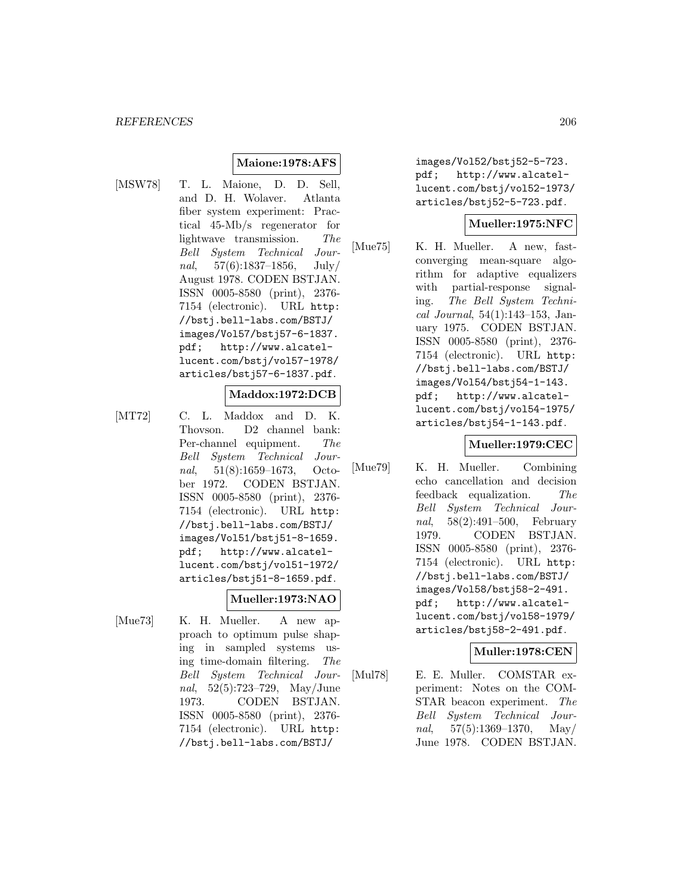# **Maione:1978:AFS**

[MSW78] T. L. Maione, D. D. Sell, and D. H. Wolaver. Atlanta fiber system experiment: Practical 45-Mb/s regenerator for lightwave transmission. The Bell System Technical Journal, 57(6):1837–1856, July/ August 1978. CODEN BSTJAN. ISSN 0005-8580 (print), 2376- 7154 (electronic). URL http: //bstj.bell-labs.com/BSTJ/ images/Vol57/bstj57-6-1837. pdf; http://www.alcatellucent.com/bstj/vol57-1978/ articles/bstj57-6-1837.pdf.

#### **Maddox:1972:DCB**

[MT72] C. L. Maddox and D. K. Thovson. D2 channel bank: Per-channel equipment. The Bell System Technical Journal, 51(8):1659–1673, October 1972. CODEN BSTJAN. ISSN 0005-8580 (print), 2376- 7154 (electronic). URL http: //bstj.bell-labs.com/BSTJ/ images/Vol51/bstj51-8-1659. pdf; http://www.alcatellucent.com/bstj/vol51-1972/ articles/bstj51-8-1659.pdf.

#### **Mueller:1973:NAO**

[Mue73] K. H. Mueller. A new approach to optimum pulse shaping in sampled systems using time-domain filtering. The Bell System Technical Journal, 52(5):723–729, May/June 1973. CODEN BSTJAN. ISSN 0005-8580 (print), 2376- 7154 (electronic). URL http: //bstj.bell-labs.com/BSTJ/

images/Vol52/bstj52-5-723. pdf; http://www.alcatellucent.com/bstj/vol52-1973/ articles/bstj52-5-723.pdf.

### **Mueller:1975:NFC**

[Mue75] K. H. Mueller. A new, fastconverging mean-square algorithm for adaptive equalizers with partial-response signaling. The Bell System Technical Journal, 54(1):143–153, January 1975. CODEN BSTJAN. ISSN 0005-8580 (print), 2376- 7154 (electronic). URL http: //bstj.bell-labs.com/BSTJ/ images/Vol54/bstj54-1-143. pdf; http://www.alcatellucent.com/bstj/vol54-1975/ articles/bstj54-1-143.pdf.

#### **Mueller:1979:CEC**

[Mue79] K. H. Mueller. Combining echo cancellation and decision feedback equalization. The Bell System Technical Journal, 58(2):491–500, February 1979. CODEN BSTJAN. ISSN 0005-8580 (print), 2376- 7154 (electronic). URL http: //bstj.bell-labs.com/BSTJ/ images/Vol58/bstj58-2-491. pdf; http://www.alcatellucent.com/bstj/vol58-1979/ articles/bstj58-2-491.pdf.

#### **Muller:1978:CEN**

[Mul78] E. E. Muller. COMSTAR experiment: Notes on the COM-STAR beacon experiment. The Bell System Technical Journal,  $57(5):1369-1370$ , May/ June 1978. CODEN BSTJAN.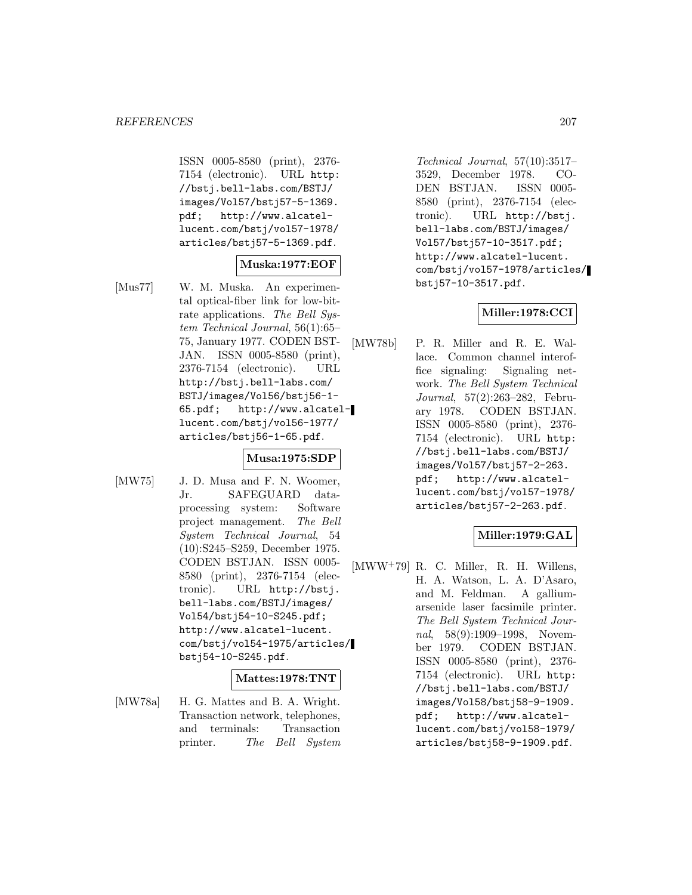ISSN 0005-8580 (print), 2376- 7154 (electronic). URL http: //bstj.bell-labs.com/BSTJ/ images/Vol57/bstj57-5-1369. pdf; http://www.alcatellucent.com/bstj/vol57-1978/ articles/bstj57-5-1369.pdf.

### **Muska:1977:EOF**

[Mus77] W. M. Muska. An experimental optical-fiber link for low-bitrate applications. The Bell System Technical Journal, 56(1):65– 75, January 1977. CODEN BST-JAN. ISSN 0005-8580 (print), 2376-7154 (electronic). URL http://bstj.bell-labs.com/ BSTJ/images/Vol56/bstj56-1- 65.pdf; http://www.alcatellucent.com/bstj/vol56-1977/ articles/bstj56-1-65.pdf.

### **Musa:1975:SDP**

[MW75] J. D. Musa and F. N. Woomer, Jr. SAFEGUARD dataprocessing system: Software project management. The Bell System Technical Journal, 54 (10):S245–S259, December 1975. CODEN BSTJAN. ISSN 0005- 8580 (print), 2376-7154 (electronic). URL http://bstj. bell-labs.com/BSTJ/images/ Vol54/bstj54-10-S245.pdf; http://www.alcatel-lucent. com/bstj/vol54-1975/articles/ bstj54-10-S245.pdf.

#### **Mattes:1978:TNT**

[MW78a] H. G. Mattes and B. A. Wright. Transaction network, telephones, and terminals: Transaction printer. The Bell System

Technical Journal, 57(10):3517– 3529, December 1978. CO-DEN BSTJAN. ISSN 0005- 8580 (print), 2376-7154 (electronic). URL http://bstj. bell-labs.com/BSTJ/images/ Vol57/bstj57-10-3517.pdf; http://www.alcatel-lucent. com/bstj/vol57-1978/articles/ bstj57-10-3517.pdf.

#### **Miller:1978:CCI**

[MW78b] P. R. Miller and R. E. Wallace. Common channel interoffice signaling: Signaling network. The Bell System Technical Journal, 57(2):263–282, February 1978. CODEN BSTJAN. ISSN 0005-8580 (print), 2376- 7154 (electronic). URL http: //bstj.bell-labs.com/BSTJ/ images/Vol57/bstj57-2-263. pdf; http://www.alcatellucent.com/bstj/vol57-1978/ articles/bstj57-2-263.pdf.

# **Miller:1979:GAL**

[MWW<sup>+</sup>79] R. C. Miller, R. H. Willens, H. A. Watson, L. A. D'Asaro, and M. Feldman. A galliumarsenide laser facsimile printer. The Bell System Technical Journal, 58(9):1909–1998, November 1979. CODEN BSTJAN. ISSN 0005-8580 (print), 2376- 7154 (electronic). URL http: //bstj.bell-labs.com/BSTJ/ images/Vol58/bstj58-9-1909. pdf; http://www.alcatellucent.com/bstj/vol58-1979/ articles/bstj58-9-1909.pdf.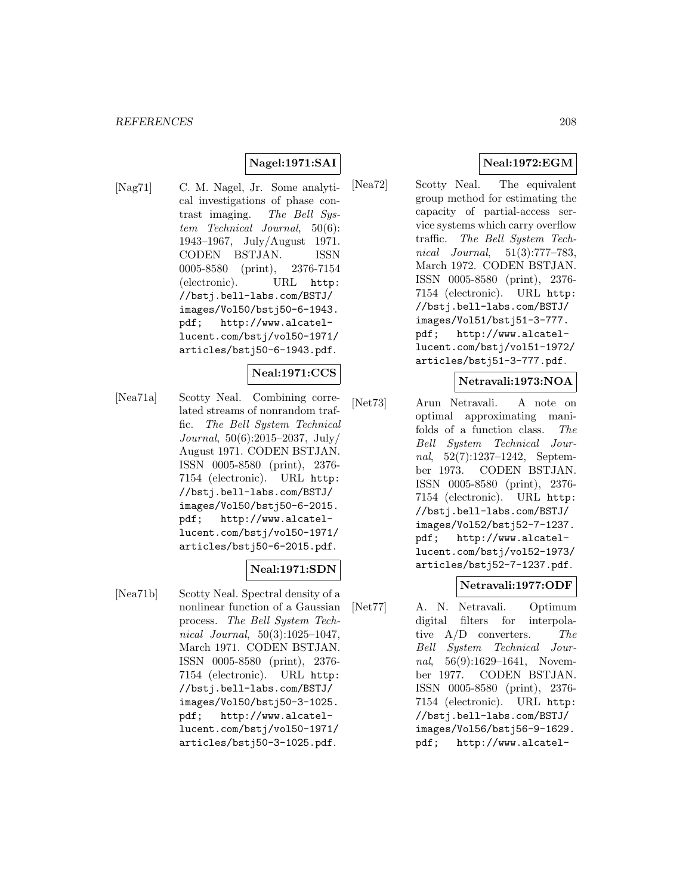# **Nagel:1971:SAI**

[Nag71] C. M. Nagel, Jr. Some analytical investigations of phase contrast imaging. The Bell System Technical Journal, 50(6): 1943–1967, July/August 1971. CODEN BSTJAN. ISSN 0005-8580 (print), 2376-7154 (electronic). URL http: //bstj.bell-labs.com/BSTJ/ images/Vol50/bstj50-6-1943. pdf; http://www.alcatellucent.com/bstj/vol50-1971/ articles/bstj50-6-1943.pdf.

#### **Neal:1971:CCS**

[Nea71a] Scotty Neal. Combining correlated streams of nonrandom traffic. The Bell System Technical Journal, 50(6):2015–2037, July/ August 1971. CODEN BSTJAN. ISSN 0005-8580 (print), 2376- 7154 (electronic). URL http: //bstj.bell-labs.com/BSTJ/ images/Vol50/bstj50-6-2015. pdf; http://www.alcatellucent.com/bstj/vol50-1971/ articles/bstj50-6-2015.pdf.

#### **Neal:1971:SDN**

[Nea71b] Scotty Neal. Spectral density of a nonlinear function of a Gaussian process. The Bell System Technical Journal, 50(3):1025–1047, March 1971. CODEN BSTJAN. ISSN 0005-8580 (print), 2376- 7154 (electronic). URL http: //bstj.bell-labs.com/BSTJ/ images/Vol50/bstj50-3-1025. pdf; http://www.alcatellucent.com/bstj/vol50-1971/ articles/bstj50-3-1025.pdf.

# **Neal:1972:EGM**

[Nea72] Scotty Neal. The equivalent group method for estimating the capacity of partial-access service systems which carry overflow traffic. The Bell System Technical Journal, 51(3):777–783, March 1972. CODEN BSTJAN. ISSN 0005-8580 (print), 2376- 7154 (electronic). URL http: //bstj.bell-labs.com/BSTJ/ images/Vol51/bstj51-3-777. pdf; http://www.alcatellucent.com/bstj/vol51-1972/ articles/bstj51-3-777.pdf.

#### **Netravali:1973:NOA**

[Net73] Arun Netravali. A note on optimal approximating manifolds of a function class. The Bell System Technical Journal, 52(7):1237–1242, September 1973. CODEN BSTJAN. ISSN 0005-8580 (print), 2376- 7154 (electronic). URL http: //bstj.bell-labs.com/BSTJ/ images/Vol52/bstj52-7-1237. pdf; http://www.alcatellucent.com/bstj/vol52-1973/ articles/bstj52-7-1237.pdf.

#### **Netravali:1977:ODF**

[Net77] A. N. Netravali. Optimum digital filters for interpolative A/D converters. The Bell System Technical Journal, 56(9):1629–1641, November 1977. CODEN BSTJAN. ISSN 0005-8580 (print), 2376- 7154 (electronic). URL http: //bstj.bell-labs.com/BSTJ/ images/Vol56/bstj56-9-1629. pdf; http://www.alcatel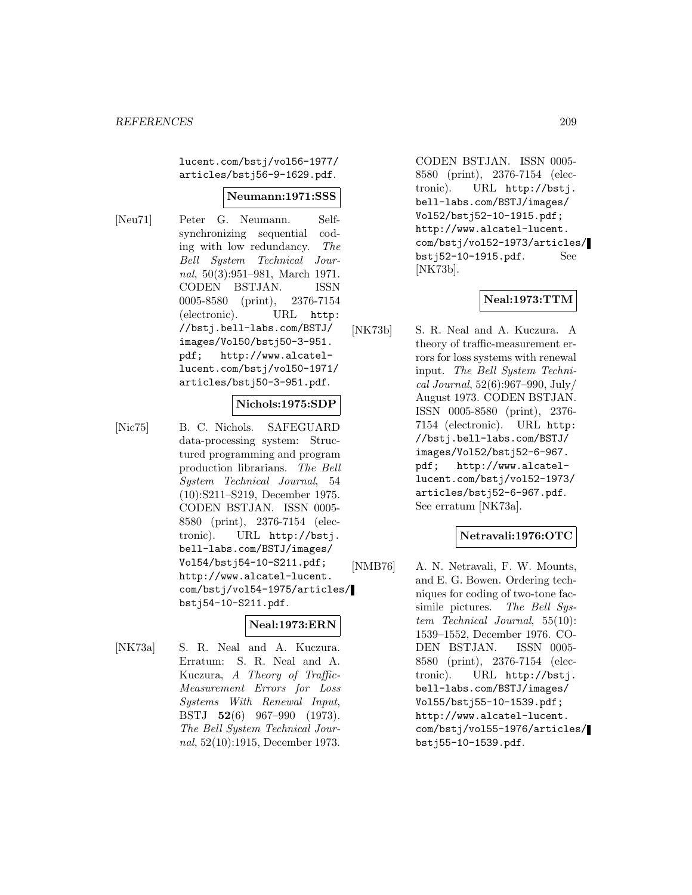lucent.com/bstj/vol56-1977/ articles/bstj56-9-1629.pdf.

#### **Neumann:1971:SSS**

[Neu71] Peter G. Neumann. Selfsynchronizing sequential coding with low redundancy. The Bell System Technical Journal, 50(3):951–981, March 1971. CODEN BSTJAN. ISSN 0005-8580 (print), 2376-7154 (electronic). URL http: //bstj.bell-labs.com/BSTJ/ images/Vol50/bstj50-3-951. pdf; http://www.alcatellucent.com/bstj/vol50-1971/ articles/bstj50-3-951.pdf.

#### **Nichols:1975:SDP**

[Nic75] B. C. Nichols. SAFEGUARD data-processing system: Structured programming and program production librarians. The Bell System Technical Journal, 54 (10):S211–S219, December 1975. CODEN BSTJAN. ISSN 0005- 8580 (print), 2376-7154 (electronic). URL http://bstj. bell-labs.com/BSTJ/images/ Vol54/bstj54-10-S211.pdf; http://www.alcatel-lucent. com/bstj/vol54-1975/articles/ bstj54-10-S211.pdf.

#### **Neal:1973:ERN**

[NK73a] S. R. Neal and A. Kuczura. Erratum: S. R. Neal and A. Kuczura, A Theory of Traffic-Measurement Errors for Loss Systems With Renewal Input, BSTJ **52**(6) 967–990 (1973). The Bell System Technical Journal, 52(10):1915, December 1973.

CODEN BSTJAN. ISSN 0005- 8580 (print), 2376-7154 (electronic). URL http://bstj. bell-labs.com/BSTJ/images/ Vol52/bstj52-10-1915.pdf; http://www.alcatel-lucent. com/bstj/vol52-1973/articles/ bstj52-10-1915.pdf. See [NK73b].

#### **Neal:1973:TTM**

[NK73b] S. R. Neal and A. Kuczura. A theory of traffic-measurement errors for loss systems with renewal input. The Bell System Technical Journal, 52(6):967–990, July/ August 1973. CODEN BSTJAN. ISSN 0005-8580 (print), 2376- 7154 (electronic). URL http: //bstj.bell-labs.com/BSTJ/ images/Vol52/bstj52-6-967. pdf; http://www.alcatellucent.com/bstj/vol52-1973/ articles/bstj52-6-967.pdf. See erratum [NK73a].

#### **Netravali:1976:OTC**

[NMB76] A. N. Netravali, F. W. Mounts, and E. G. Bowen. Ordering techniques for coding of two-tone facsimile pictures. The Bell System Technical Journal, 55(10): 1539–1552, December 1976. CO-DEN BSTJAN. ISSN 0005- 8580 (print), 2376-7154 (electronic). URL http://bstj. bell-labs.com/BSTJ/images/ Vol55/bstj55-10-1539.pdf; http://www.alcatel-lucent. com/bstj/vol55-1976/articles/ bstj55-10-1539.pdf.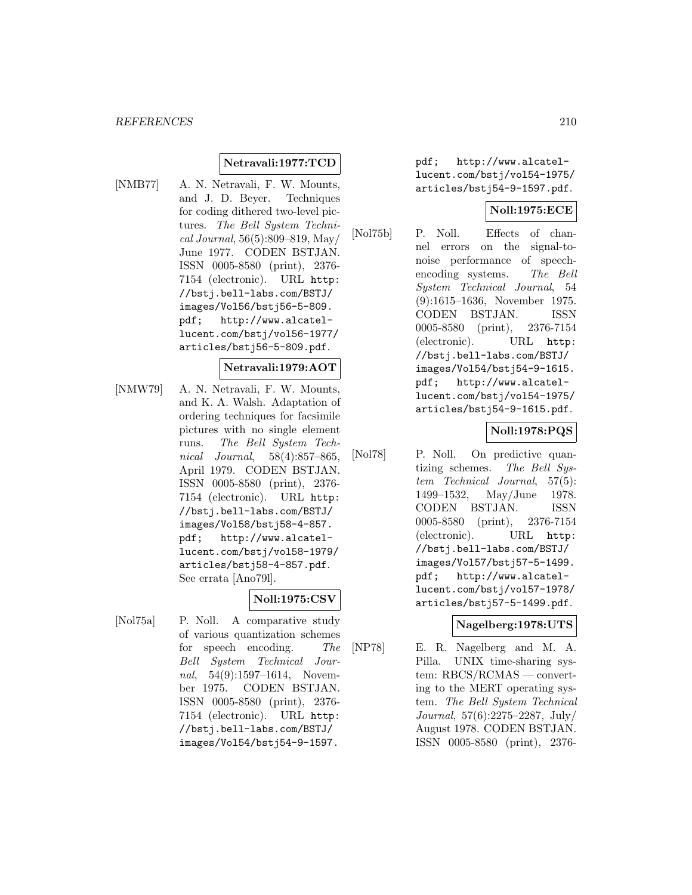### **Netravali:1977:TCD**

[NMB77] A. N. Netravali, F. W. Mounts, and J. D. Beyer. Techniques for coding dithered two-level pictures. The Bell System Technical Journal, 56(5):809–819, May/ June 1977. CODEN BSTJAN. ISSN 0005-8580 (print), 2376- 7154 (electronic). URL http: //bstj.bell-labs.com/BSTJ/ images/Vol56/bstj56-5-809. pdf; http://www.alcatellucent.com/bstj/vol56-1977/ articles/bstj56-5-809.pdf.

#### **Netravali:1979:AOT**

[NMW79] A. N. Netravali, F. W. Mounts, and K. A. Walsh. Adaptation of ordering techniques for facsimile pictures with no single element runs. The Bell System Technical Journal, 58(4):857–865, April 1979. CODEN BSTJAN. ISSN 0005-8580 (print), 2376- 7154 (electronic). URL http: //bstj.bell-labs.com/BSTJ/ images/Vol58/bstj58-4-857. pdf; http://www.alcatellucent.com/bstj/vol58-1979/ articles/bstj58-4-857.pdf. See errata [Ano79l].

#### **Noll:1975:CSV**

[Nol75a] P. Noll. A comparative study of various quantization schemes for speech encoding. The Bell System Technical Journal, 54(9):1597–1614, November 1975. CODEN BSTJAN. ISSN 0005-8580 (print), 2376- 7154 (electronic). URL http: //bstj.bell-labs.com/BSTJ/ images/Vol54/bstj54-9-1597.

pdf; http://www.alcatellucent.com/bstj/vol54-1975/ articles/bstj54-9-1597.pdf.

# **Noll:1975:ECE**

[Nol75b] P. Noll. Effects of channel errors on the signal-tonoise performance of speechencoding systems. The Bell System Technical Journal, 54 (9):1615–1636, November 1975. CODEN BSTJAN. ISSN 0005-8580 (print), 2376-7154 (electronic). URL http: //bstj.bell-labs.com/BSTJ/ images/Vol54/bstj54-9-1615. pdf; http://www.alcatellucent.com/bstj/vol54-1975/ articles/bstj54-9-1615.pdf.

### **Noll:1978:PQS**

[Nol78] P. Noll. On predictive quantizing schemes. The Bell System Technical Journal, 57(5): 1499–1532, May/June 1978. CODEN BSTJAN. ISSN 0005-8580 (print), 2376-7154 (electronic). URL http: //bstj.bell-labs.com/BSTJ/ images/Vol57/bstj57-5-1499. pdf; http://www.alcatellucent.com/bstj/vol57-1978/ articles/bstj57-5-1499.pdf.

#### **Nagelberg:1978:UTS**

[NP78] E. R. Nagelberg and M. A. Pilla. UNIX time-sharing system: RBCS/RCMAS — converting to the MERT operating system. The Bell System Technical Journal, 57(6):2275–2287, July/ August 1978. CODEN BSTJAN. ISSN 0005-8580 (print), 2376-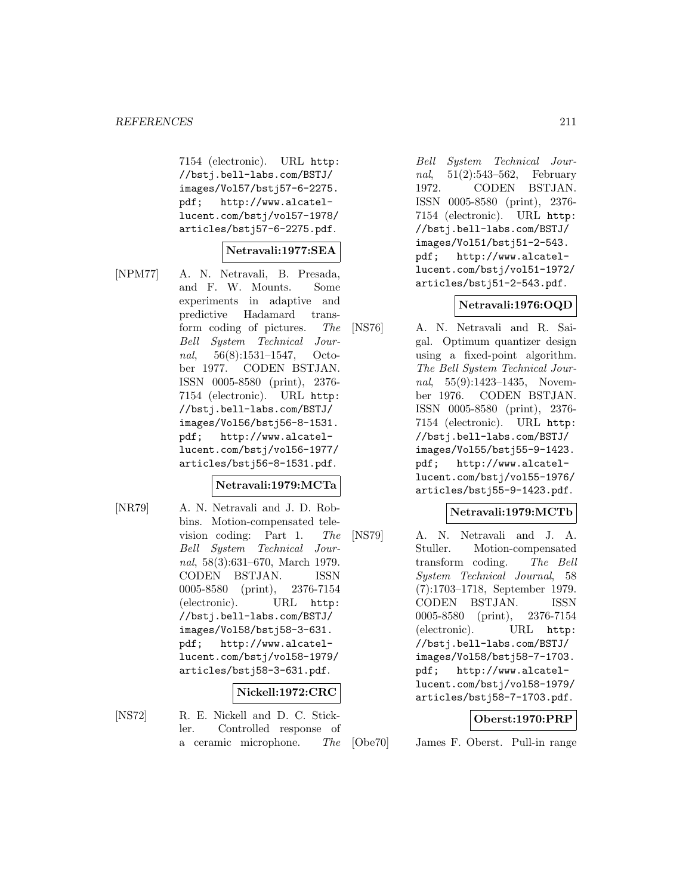7154 (electronic). URL http: //bstj.bell-labs.com/BSTJ/ images/Vol57/bstj57-6-2275. pdf; http://www.alcatellucent.com/bstj/vol57-1978/ articles/bstj57-6-2275.pdf.

#### **Netravali:1977:SEA**

[NPM77] A. N. Netravali, B. Presada, and F. W. Mounts. Some experiments in adaptive and predictive Hadamard transform coding of pictures. The Bell System Technical Journal, 56(8):1531–1547, October 1977. CODEN BSTJAN. ISSN 0005-8580 (print), 2376- 7154 (electronic). URL http: //bstj.bell-labs.com/BSTJ/ images/Vol56/bstj56-8-1531. pdf; http://www.alcatellucent.com/bstj/vol56-1977/ articles/bstj56-8-1531.pdf.

#### **Netravali:1979:MCTa**

[NR79] A. N. Netravali and J. D. Robbins. Motion-compensated television coding: Part 1. The Bell System Technical Journal, 58(3):631–670, March 1979. CODEN BSTJAN. ISSN 0005-8580 (print), 2376-7154 (electronic). URL http: //bstj.bell-labs.com/BSTJ/ images/Vol58/bstj58-3-631. pdf; http://www.alcatellucent.com/bstj/vol58-1979/ articles/bstj58-3-631.pdf.

#### **Nickell:1972:CRC**

- 
- [NS72] R. E. Nickell and D. C. Stickler. Controlled response of a ceramic microphone. The

Bell System Technical Journal, 51(2):543–562, February 1972. CODEN BSTJAN. ISSN 0005-8580 (print), 2376- 7154 (electronic). URL http: //bstj.bell-labs.com/BSTJ/ images/Vol51/bstj51-2-543. pdf; http://www.alcatellucent.com/bstj/vol51-1972/ articles/bstj51-2-543.pdf.

#### **Netravali:1976:OQD**

[NS76] A. N. Netravali and R. Saigal. Optimum quantizer design using a fixed-point algorithm. The Bell System Technical Journal, 55(9):1423-1435, November 1976. CODEN BSTJAN. ISSN 0005-8580 (print), 2376- 7154 (electronic). URL http: //bstj.bell-labs.com/BSTJ/ images/Vol55/bstj55-9-1423. pdf; http://www.alcatellucent.com/bstj/vol55-1976/ articles/bstj55-9-1423.pdf.

#### **Netravali:1979:MCTb**

[NS79] A. N. Netravali and J. A. Stuller. Motion-compensated transform coding. The Bell System Technical Journal, 58 (7):1703–1718, September 1979. CODEN BSTJAN. ISSN 0005-8580 (print), 2376-7154 (electronic). URL http: //bstj.bell-labs.com/BSTJ/ images/Vol58/bstj58-7-1703. pdf; http://www.alcatellucent.com/bstj/vol58-1979/ articles/bstj58-7-1703.pdf.

#### **Oberst:1970:PRP**

[Obe70] James F. Oberst. Pull-in range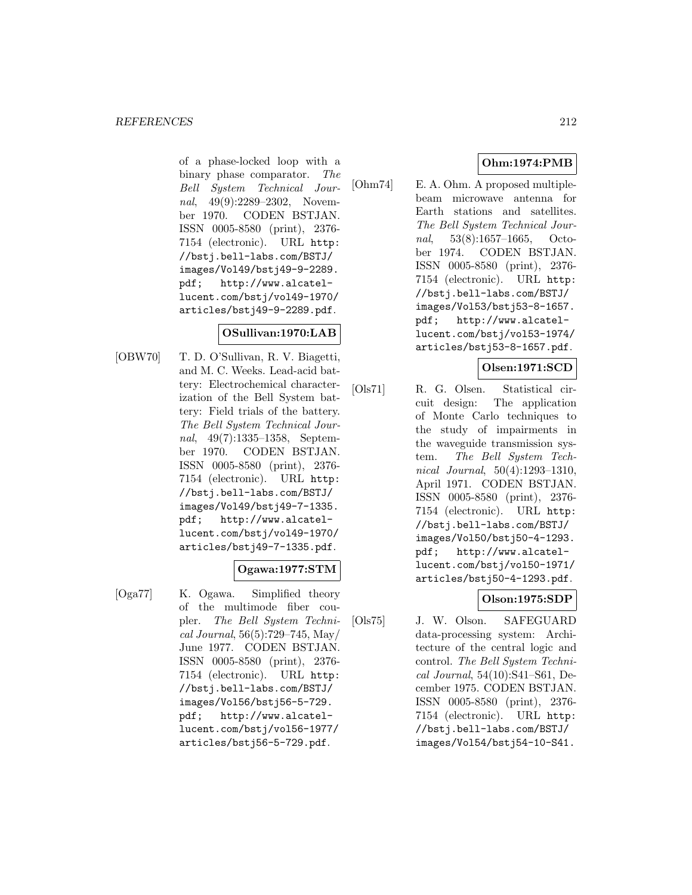of a phase-locked loop with a binary phase comparator. The Bell System Technical Journal, 49(9):2289–2302, November 1970. CODEN BSTJAN. ISSN 0005-8580 (print), 2376- 7154 (electronic). URL http: //bstj.bell-labs.com/BSTJ/ images/Vol49/bstj49-9-2289. pdf; http://www.alcatellucent.com/bstj/vol49-1970/ articles/bstj49-9-2289.pdf.

### **OSullivan:1970:LAB**

[OBW70] T. D. O'Sullivan, R. V. Biagetti, and M. C. Weeks. Lead-acid battery: Electrochemical characterization of the Bell System battery: Field trials of the battery. The Bell System Technical Journal, 49(7):1335–1358, September 1970. CODEN BSTJAN. ISSN 0005-8580 (print), 2376- 7154 (electronic). URL http: //bstj.bell-labs.com/BSTJ/ images/Vol49/bstj49-7-1335. pdf; http://www.alcatellucent.com/bstj/vol49-1970/ articles/bstj49-7-1335.pdf.

# **Ogawa:1977:STM**

[Oga77] K. Ogawa. Simplified theory of the multimode fiber coupler. The Bell System Technical Journal, 56(5):729–745, May/ June 1977. CODEN BSTJAN. ISSN 0005-8580 (print), 2376- 7154 (electronic). URL http: //bstj.bell-labs.com/BSTJ/ images/Vol56/bstj56-5-729. pdf; http://www.alcatellucent.com/bstj/vol56-1977/ articles/bstj56-5-729.pdf.

# **Ohm:1974:PMB**

[Ohm74] E. A. Ohm. A proposed multiplebeam microwave antenna for Earth stations and satellites. The Bell System Technical Journal, 53(8):1657–1665, October 1974. CODEN BSTJAN. ISSN 0005-8580 (print), 2376- 7154 (electronic). URL http: //bstj.bell-labs.com/BSTJ/ images/Vol53/bstj53-8-1657. pdf; http://www.alcatellucent.com/bstj/vol53-1974/ articles/bstj53-8-1657.pdf.

# **Olsen:1971:SCD**

[Ols71] R. G. Olsen. Statistical circuit design: The application of Monte Carlo techniques to the study of impairments in the waveguide transmission system. The Bell System Technical Journal, 50(4):1293–1310, April 1971. CODEN BSTJAN. ISSN 0005-8580 (print), 2376- 7154 (electronic). URL http: //bstj.bell-labs.com/BSTJ/ images/Vol50/bstj50-4-1293. pdf; http://www.alcatellucent.com/bstj/vol50-1971/ articles/bstj50-4-1293.pdf.

# **Olson:1975:SDP**

[Ols75] J. W. Olson. SAFEGUARD data-processing system: Architecture of the central logic and control. The Bell System Technical Journal, 54(10):S41–S61, December 1975. CODEN BSTJAN. ISSN 0005-8580 (print), 2376- 7154 (electronic). URL http: //bstj.bell-labs.com/BSTJ/ images/Vol54/bstj54-10-S41.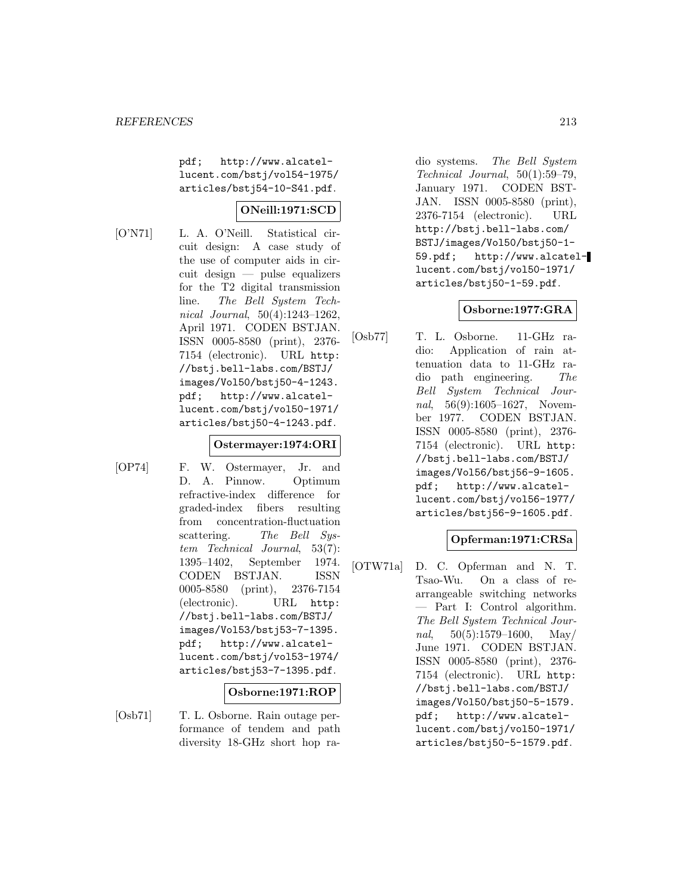pdf; http://www.alcatellucent.com/bstj/vol54-1975/ articles/bstj54-10-S41.pdf.

### **ONeill:1971:SCD**

[O'N71] L. A. O'Neill. Statistical circuit design: A case study of the use of computer aids in circuit design — pulse equalizers for the T2 digital transmission line. The Bell System Technical Journal, 50(4):1243–1262, April 1971. CODEN BSTJAN. ISSN 0005-8580 (print), 2376- 7154 (electronic). URL http: //bstj.bell-labs.com/BSTJ/ images/Vol50/bstj50-4-1243. pdf; http://www.alcatellucent.com/bstj/vol50-1971/ articles/bstj50-4-1243.pdf.

# **Ostermayer:1974:ORI**

[OP74] F. W. Ostermayer, Jr. and D. A. Pinnow. Optimum refractive-index difference for graded-index fibers resulting from concentration-fluctuation scattering. The Bell System Technical Journal, 53(7): 1395–1402, September 1974. CODEN BSTJAN. ISSN 0005-8580 (print), 2376-7154 (electronic). URL http: //bstj.bell-labs.com/BSTJ/ images/Vol53/bstj53-7-1395. pdf; http://www.alcatellucent.com/bstj/vol53-1974/ articles/bstj53-7-1395.pdf.

# **Osborne:1971:ROP**

[Osb71] T. L. Osborne. Rain outage performance of tendem and path diversity 18-GHz short hop radio systems. The Bell System Technical Journal, 50(1):59–79, January 1971. CODEN BST-JAN. ISSN 0005-8580 (print), 2376-7154 (electronic). URL http://bstj.bell-labs.com/ BSTJ/images/Vol50/bstj50-1- 59.pdf; http://www.alcatellucent.com/bstj/vol50-1971/ articles/bstj50-1-59.pdf.

#### **Osborne:1977:GRA**

[Osb77] T. L. Osborne. 11-GHz radio: Application of rain attenuation data to 11-GHz radio path engineering. The Bell System Technical Journal, 56(9):1605–1627, November 1977. CODEN BSTJAN. ISSN 0005-8580 (print), 2376- 7154 (electronic). URL http: //bstj.bell-labs.com/BSTJ/ images/Vol56/bstj56-9-1605. pdf; http://www.alcatellucent.com/bstj/vol56-1977/ articles/bstj56-9-1605.pdf.

# **Opferman:1971:CRSa**

[OTW71a] D. C. Opferman and N. T. Tsao-Wu. On a class of rearrangeable switching networks — Part I: Control algorithm. The Bell System Technical Journal,  $50(5):1579-1600$ , May/ June 1971. CODEN BSTJAN. ISSN 0005-8580 (print), 2376- 7154 (electronic). URL http: //bstj.bell-labs.com/BSTJ/ images/Vol50/bstj50-5-1579. pdf; http://www.alcatellucent.com/bstj/vol50-1971/ articles/bstj50-5-1579.pdf.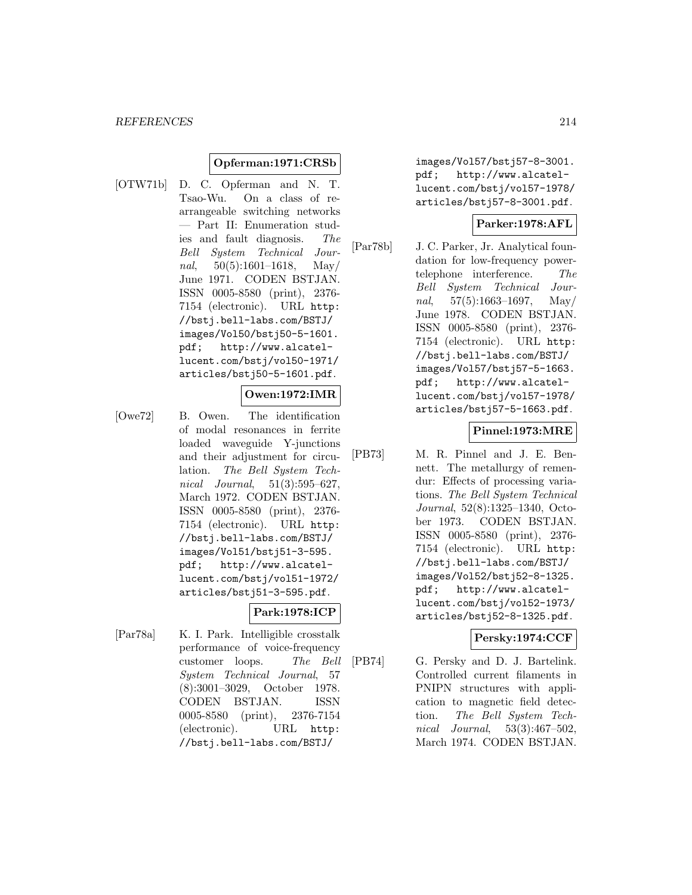#### **Opferman:1971:CRSb**

[OTW71b] D. C. Opferman and N. T. Tsao-Wu. On a class of rearrangeable switching networks — Part II: Enumeration studies and fault diagnosis. The Bell System Technical Journal,  $50(5):1601-1618$ , May/ June 1971. CODEN BSTJAN. ISSN 0005-8580 (print), 2376- 7154 (electronic). URL http: //bstj.bell-labs.com/BSTJ/ images/Vol50/bstj50-5-1601. pdf; http://www.alcatellucent.com/bstj/vol50-1971/ articles/bstj50-5-1601.pdf.

### **Owen:1972:IMR**

[Owe72] B. Owen. The identification of modal resonances in ferrite loaded waveguide Y-junctions and their adjustment for circulation. The Bell System Technical *Journal*, 51(3):595–627, March 1972. CODEN BSTJAN. ISSN 0005-8580 (print), 2376- 7154 (electronic). URL http: //bstj.bell-labs.com/BSTJ/ images/Vol51/bstj51-3-595. pdf; http://www.alcatellucent.com/bstj/vol51-1972/ articles/bstj51-3-595.pdf.

#### **Park:1978:ICP**

[Par78a] K. I. Park. Intelligible crosstalk performance of voice-frequency customer loops. The Bell System Technical Journal, 57 (8):3001–3029, October 1978. CODEN BSTJAN. ISSN 0005-8580 (print), 2376-7154 (electronic). URL http: //bstj.bell-labs.com/BSTJ/

images/Vol57/bstj57-8-3001. pdf; http://www.alcatellucent.com/bstj/vol57-1978/ articles/bstj57-8-3001.pdf.

#### **Parker:1978:AFL**

[Par78b] J. C. Parker, Jr. Analytical foundation for low-frequency powertelephone interference. The Bell System Technical Journal,  $57(5):1663-1697$ , May/ June 1978. CODEN BSTJAN. ISSN 0005-8580 (print), 2376- 7154 (electronic). URL http: //bstj.bell-labs.com/BSTJ/ images/Vol57/bstj57-5-1663. pdf; http://www.alcatellucent.com/bstj/vol57-1978/ articles/bstj57-5-1663.pdf.

#### **Pinnel:1973:MRE**

[PB73] M. R. Pinnel and J. E. Bennett. The metallurgy of remendur: Effects of processing variations. The Bell System Technical Journal, 52(8):1325–1340, October 1973. CODEN BSTJAN. ISSN 0005-8580 (print), 2376- 7154 (electronic). URL http: //bstj.bell-labs.com/BSTJ/ images/Vol52/bstj52-8-1325. pdf; http://www.alcatellucent.com/bstj/vol52-1973/ articles/bstj52-8-1325.pdf.

#### **Persky:1974:CCF**

[PB74] G. Persky and D. J. Bartelink. Controlled current filaments in PNIPN structures with application to magnetic field detection. The Bell System Technical Journal, 53(3):467–502, March 1974. CODEN BSTJAN.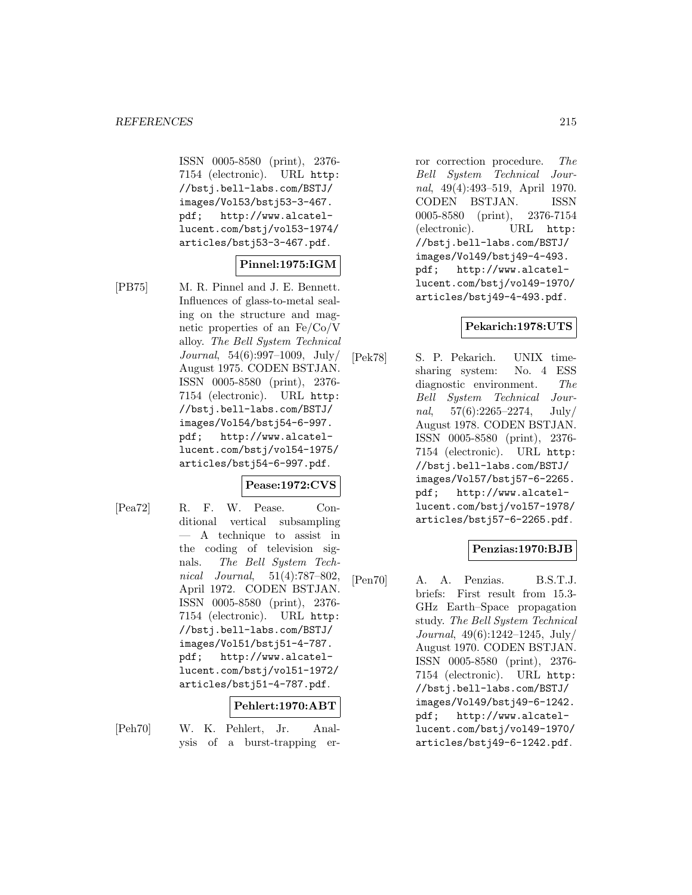ISSN 0005-8580 (print), 2376- 7154 (electronic). URL http: //bstj.bell-labs.com/BSTJ/ images/Vol53/bstj53-3-467. pdf; http://www.alcatellucent.com/bstj/vol53-1974/ articles/bstj53-3-467.pdf.

# **Pinnel:1975:IGM**

[PB75] M. R. Pinnel and J. E. Bennett. Influences of glass-to-metal sealing on the structure and magnetic properties of an Fe/Co/V alloy. The Bell System Technical Journal, 54(6):997–1009, July/ August 1975. CODEN BSTJAN. ISSN 0005-8580 (print), 2376- 7154 (electronic). URL http: //bstj.bell-labs.com/BSTJ/ images/Vol54/bstj54-6-997. pdf; http://www.alcatellucent.com/bstj/vol54-1975/ articles/bstj54-6-997.pdf.

#### **Pease:1972:CVS**

[Pea72] R. F. W. Pease. Conditional vertical subsampling — A technique to assist in the coding of television signals. The Bell System Technical Journal, 51(4):787–802, April 1972. CODEN BSTJAN. ISSN 0005-8580 (print), 2376- 7154 (electronic). URL http: //bstj.bell-labs.com/BSTJ/ images/Vol51/bstj51-4-787. pdf; http://www.alcatellucent.com/bstj/vol51-1972/ articles/bstj51-4-787.pdf.

#### **Pehlert:1970:ABT**

- 
- [Peh70] W. K. Pehlert, Jr. Analysis of a burst-trapping er-

ror correction procedure. The Bell System Technical Journal, 49(4):493–519, April 1970. CODEN BSTJAN. ISSN 0005-8580 (print), 2376-7154 (electronic). URL http: //bstj.bell-labs.com/BSTJ/ images/Vol49/bstj49-4-493. pdf; http://www.alcatellucent.com/bstj/vol49-1970/ articles/bstj49-4-493.pdf.

# **Pekarich:1978:UTS**

[Pek78] S. P. Pekarich. UNIX timesharing system: No. 4 ESS diagnostic environment. The Bell System Technical Journal,  $57(6):2265-2274$ , July/ August 1978. CODEN BSTJAN. ISSN 0005-8580 (print), 2376- 7154 (electronic). URL http: //bstj.bell-labs.com/BSTJ/ images/Vol57/bstj57-6-2265. pdf; http://www.alcatellucent.com/bstj/vol57-1978/ articles/bstj57-6-2265.pdf.

#### **Penzias:1970:BJB**

[Pen70] A. A. Penzias. B.S.T.J. briefs: First result from 15.3- GHz Earth–Space propagation study. The Bell System Technical Journal, 49(6):1242–1245, July/ August 1970. CODEN BSTJAN. ISSN 0005-8580 (print), 2376- 7154 (electronic). URL http: //bstj.bell-labs.com/BSTJ/ images/Vol49/bstj49-6-1242. pdf; http://www.alcatellucent.com/bstj/vol49-1970/ articles/bstj49-6-1242.pdf.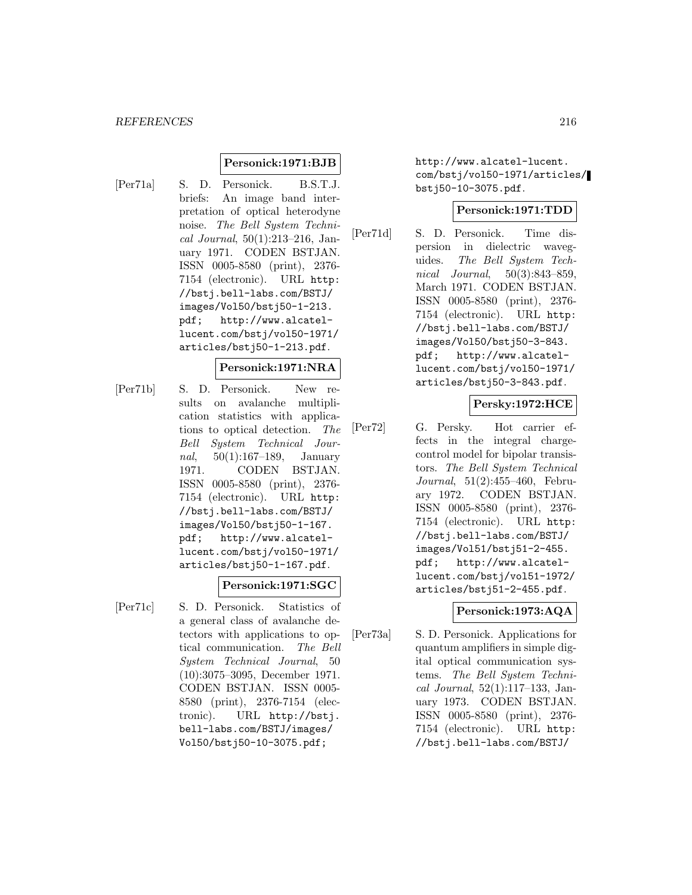### **Personick:1971:BJB**

[Per71a] S. D. Personick. B.S.T.J. briefs: An image band interpretation of optical heterodyne noise. The Bell System Technical Journal, 50(1):213–216, January 1971. CODEN BSTJAN. ISSN 0005-8580 (print), 2376- 7154 (electronic). URL http: //bstj.bell-labs.com/BSTJ/ images/Vol50/bstj50-1-213. pdf; http://www.alcatellucent.com/bstj/vol50-1971/ articles/bstj50-1-213.pdf.

#### **Personick:1971:NRA**

[Per71b] S. D. Personick. New results on avalanche multiplication statistics with applications to optical detection. The Bell System Technical Journal, 50(1):167–189, January 1971. CODEN BSTJAN. ISSN 0005-8580 (print), 2376- 7154 (electronic). URL http: //bstj.bell-labs.com/BSTJ/ images/Vol50/bstj50-1-167. pdf; http://www.alcatellucent.com/bstj/vol50-1971/ articles/bstj50-1-167.pdf.

#### **Personick:1971:SGC**

[Per71c] S. D. Personick. Statistics of a general class of avalanche detectors with applications to optical communication. The Bell System Technical Journal, 50 (10):3075–3095, December 1971. CODEN BSTJAN. ISSN 0005- 8580 (print), 2376-7154 (electronic). URL http://bstj. bell-labs.com/BSTJ/images/ Vol50/bstj50-10-3075.pdf;

http://www.alcatel-lucent. com/bstj/vol50-1971/articles/ bstj50-10-3075.pdf.

#### **Personick:1971:TDD**

[Per71d] S. D. Personick. Time dispersion in dielectric waveguides. The Bell System Technical Journal, 50(3):843–859, March 1971. CODEN BSTJAN. ISSN 0005-8580 (print), 2376- 7154 (electronic). URL http: //bstj.bell-labs.com/BSTJ/ images/Vol50/bstj50-3-843. pdf; http://www.alcatellucent.com/bstj/vol50-1971/ articles/bstj50-3-843.pdf.

### **Persky:1972:HCE**

[Per72] G. Persky. Hot carrier effects in the integral chargecontrol model for bipolar transistors. The Bell System Technical Journal, 51(2):455–460, February 1972. CODEN BSTJAN. ISSN 0005-8580 (print), 2376- 7154 (electronic). URL http: //bstj.bell-labs.com/BSTJ/ images/Vol51/bstj51-2-455. pdf; http://www.alcatellucent.com/bstj/vol51-1972/ articles/bstj51-2-455.pdf.

#### **Personick:1973:AQA**

[Per73a] S. D. Personick. Applications for quantum amplifiers in simple digital optical communication systems. The Bell System Technical Journal, 52(1):117–133, January 1973. CODEN BSTJAN. ISSN 0005-8580 (print), 2376- 7154 (electronic). URL http: //bstj.bell-labs.com/BSTJ/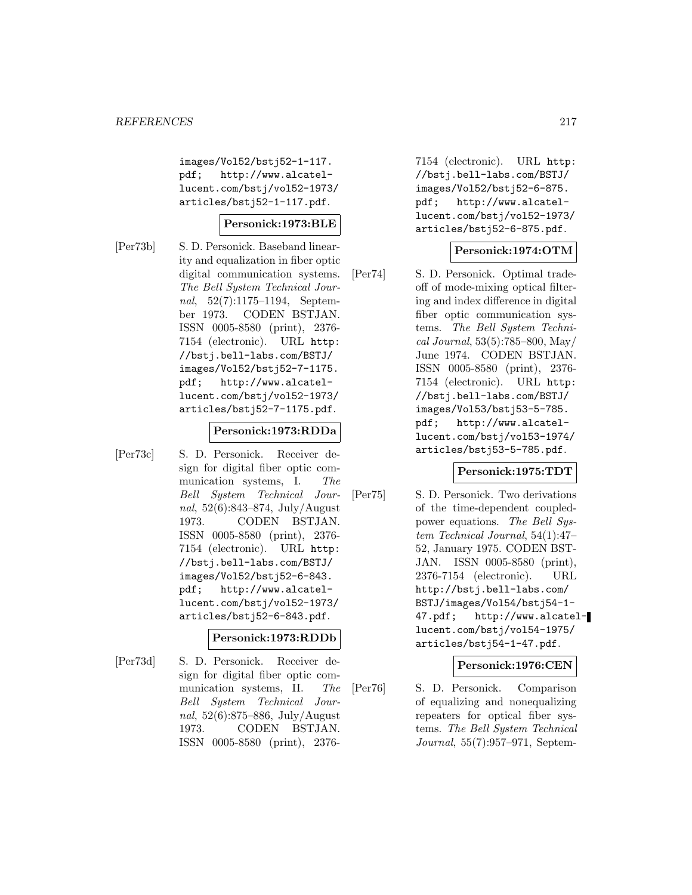images/Vol52/bstj52-1-117. pdf; http://www.alcatellucent.com/bstj/vol52-1973/ articles/bstj52-1-117.pdf.

# **Personick:1973:BLE**

[Per73b] S. D. Personick. Baseband linearity and equalization in fiber optic digital communication systems. The Bell System Technical Journal, 52(7):1175–1194, September 1973. CODEN BSTJAN. ISSN 0005-8580 (print), 2376- 7154 (electronic). URL http: //bstj.bell-labs.com/BSTJ/ images/Vol52/bstj52-7-1175. pdf; http://www.alcatellucent.com/bstj/vol52-1973/ articles/bstj52-7-1175.pdf.

#### **Personick:1973:RDDa**

[Per73c] S. D. Personick. Receiver design for digital fiber optic communication systems, I. The Bell System Technical Journal, 52(6):843–874, July/August 1973. CODEN BSTJAN. ISSN 0005-8580 (print), 2376- 7154 (electronic). URL http: //bstj.bell-labs.com/BSTJ/ images/Vol52/bstj52-6-843. pdf; http://www.alcatellucent.com/bstj/vol52-1973/ articles/bstj52-6-843.pdf.

### **Personick:1973:RDDb**

[Per73d] S. D. Personick. Receiver design for digital fiber optic communication systems, II. The Bell System Technical Journal, 52(6):875–886, July/August 1973. CODEN BSTJAN. ISSN 0005-8580 (print), 23767154 (electronic). URL http: //bstj.bell-labs.com/BSTJ/ images/Vol52/bstj52-6-875. pdf; http://www.alcatellucent.com/bstj/vol52-1973/ articles/bstj52-6-875.pdf.

#### **Personick:1974:OTM**

[Per74] S. D. Personick. Optimal tradeoff of mode-mixing optical filtering and index difference in digital fiber optic communication systems. The Bell System Technical Journal, 53(5):785–800, May/ June 1974. CODEN BSTJAN. ISSN 0005-8580 (print), 2376- 7154 (electronic). URL http: //bstj.bell-labs.com/BSTJ/ images/Vol53/bstj53-5-785. pdf; http://www.alcatellucent.com/bstj/vol53-1974/ articles/bstj53-5-785.pdf.

#### **Personick:1975:TDT**

[Per75] S. D. Personick. Two derivations of the time-dependent coupledpower equations. The Bell System Technical Journal, 54(1):47– 52, January 1975. CODEN BST-JAN. ISSN 0005-8580 (print), 2376-7154 (electronic). URL http://bstj.bell-labs.com/ BSTJ/images/Vol54/bstj54-1- 47.pdf; http://www.alcatellucent.com/bstj/vol54-1975/ articles/bstj54-1-47.pdf.

### **Personick:1976:CEN**

[Per76] S. D. Personick. Comparison of equalizing and nonequalizing repeaters for optical fiber systems. The Bell System Technical Journal, 55(7):957–971, Septem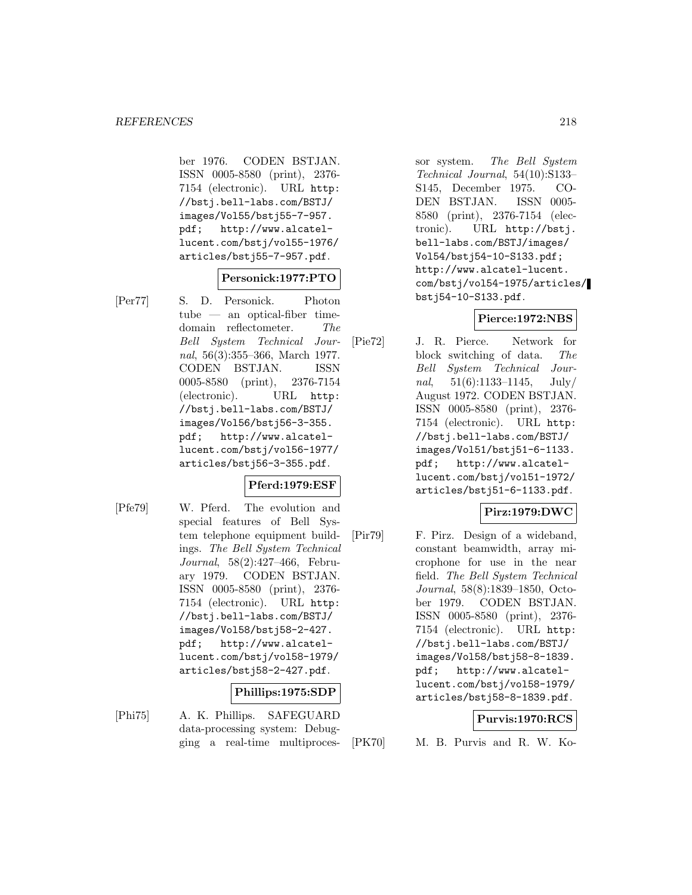ber 1976. CODEN BSTJAN. ISSN 0005-8580 (print), 2376- 7154 (electronic). URL http: //bstj.bell-labs.com/BSTJ/ images/Vol55/bstj55-7-957. pdf; http://www.alcatellucent.com/bstj/vol55-1976/ articles/bstj55-7-957.pdf.

## **Personick:1977:PTO**

[Per77] S. D. Personick. Photon tube — an optical-fiber timedomain reflectometer. The Bell System Technical Journal, 56(3):355–366, March 1977. CODEN BSTJAN. ISSN 0005-8580 (print), 2376-7154 (electronic). URL http: //bstj.bell-labs.com/BSTJ/ images/Vol56/bstj56-3-355. pdf; http://www.alcatellucent.com/bstj/vol56-1977/ articles/bstj56-3-355.pdf.

### **Pferd:1979:ESF**

[Pfe79] W. Pferd. The evolution and special features of Bell System telephone equipment buildings. The Bell System Technical Journal, 58(2):427–466, February 1979. CODEN BSTJAN. ISSN 0005-8580 (print), 2376- 7154 (electronic). URL http: //bstj.bell-labs.com/BSTJ/ images/Vol58/bstj58-2-427. pdf; http://www.alcatellucent.com/bstj/vol58-1979/ articles/bstj58-2-427.pdf.

### **Phillips:1975:SDP**

[Phi75] A. K. Phillips. SAFEGUARD data-processing system: Debugging a real-time multiprocessor system. The Bell System Technical Journal, 54(10):S133– S145, December 1975. CO-DEN BSTJAN. ISSN 0005- 8580 (print), 2376-7154 (electronic). URL http://bstj. bell-labs.com/BSTJ/images/ Vol54/bstj54-10-S133.pdf; http://www.alcatel-lucent. com/bstj/vol54-1975/articles/ bstj54-10-S133.pdf.

# **Pierce:1972:NBS**

[Pie72] J. R. Pierce. Network for block switching of data. The Bell System Technical Journal,  $51(6):1133-1145$ ,  $July/$ August 1972. CODEN BSTJAN. ISSN 0005-8580 (print), 2376- 7154 (electronic). URL http: //bstj.bell-labs.com/BSTJ/ images/Vol51/bstj51-6-1133. pdf; http://www.alcatellucent.com/bstj/vol51-1972/ articles/bstj51-6-1133.pdf.

# **Pirz:1979:DWC**

[Pir79] F. Pirz. Design of a wideband, constant beamwidth, array microphone for use in the near field. The Bell System Technical Journal, 58(8):1839–1850, October 1979. CODEN BSTJAN. ISSN 0005-8580 (print), 2376- 7154 (electronic). URL http: //bstj.bell-labs.com/BSTJ/ images/Vol58/bstj58-8-1839. pdf; http://www.alcatellucent.com/bstj/vol58-1979/ articles/bstj58-8-1839.pdf.

### **Purvis:1970:RCS**

[PK70] M. B. Purvis and R. W. Ko-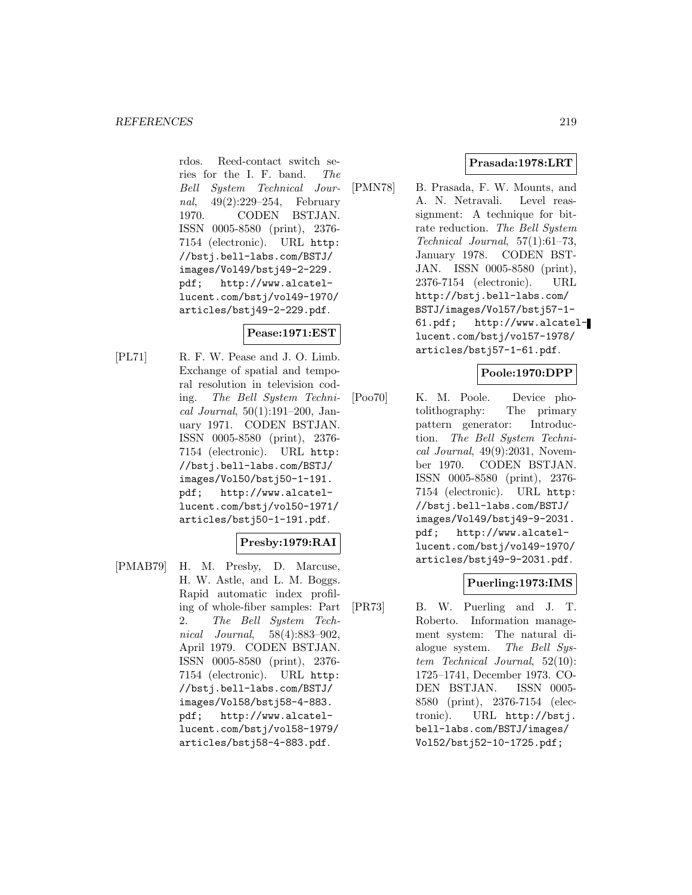rdos. Reed-contact switch series for the I. F. band. The Bell System Technical Journal, 49(2):229–254, February 1970. CODEN BSTJAN. ISSN 0005-8580 (print), 2376- 7154 (electronic). URL http: //bstj.bell-labs.com/BSTJ/ images/Vol49/bstj49-2-229. pdf; http://www.alcatellucent.com/bstj/vol49-1970/ articles/bstj49-2-229.pdf.

# **Pease:1971:EST**

[PL71] R. F. W. Pease and J. O. Limb. Exchange of spatial and temporal resolution in television coding. The Bell System Technical Journal,  $50(1):191-200$ , January 1971. CODEN BSTJAN. ISSN 0005-8580 (print), 2376- 7154 (electronic). URL http: //bstj.bell-labs.com/BSTJ/ images/Vol50/bstj50-1-191. pdf; http://www.alcatellucent.com/bstj/vol50-1971/ articles/bstj50-1-191.pdf.

# **Presby:1979:RAI**

[PMAB79] H. M. Presby, D. Marcuse, H. W. Astle, and L. M. Boggs. Rapid automatic index profiling of whole-fiber samples: Part 2. The Bell System Technical Journal, 58(4):883–902, April 1979. CODEN BSTJAN. ISSN 0005-8580 (print), 2376- 7154 (electronic). URL http: //bstj.bell-labs.com/BSTJ/ images/Vol58/bstj58-4-883. pdf; http://www.alcatellucent.com/bstj/vol58-1979/ articles/bstj58-4-883.pdf.

# **Prasada:1978:LRT**

[PMN78] B. Prasada, F. W. Mounts, and A. N. Netravali. Level reassignment: A technique for bitrate reduction. The Bell System Technical Journal, 57(1):61–73, January 1978. CODEN BST-JAN. ISSN 0005-8580 (print), 2376-7154 (electronic). URL http://bstj.bell-labs.com/ BSTJ/images/Vol57/bstj57-1- 61.pdf; http://www.alcatellucent.com/bstj/vol57-1978/ articles/bstj57-1-61.pdf.

# **Poole:1970:DPP**

[Poo70] K. M. Poole. Device photolithography: The primary pattern generator: Introduction. The Bell System Techni $cal Journal, 49(9):2031, Novem$ ber 1970. CODEN BSTJAN. ISSN 0005-8580 (print), 2376- 7154 (electronic). URL http: //bstj.bell-labs.com/BSTJ/ images/Vol49/bstj49-9-2031. pdf; http://www.alcatellucent.com/bstj/vol49-1970/ articles/bstj49-9-2031.pdf.

# **Puerling:1973:IMS**

[PR73] B. W. Puerling and J. T. Roberto. Information management system: The natural dialogue system. The Bell System Technical Journal, 52(10): 1725–1741, December 1973. CO-DEN BSTJAN. ISSN 0005- 8580 (print), 2376-7154 (electronic). URL http://bstj. bell-labs.com/BSTJ/images/ Vol52/bstj52-10-1725.pdf;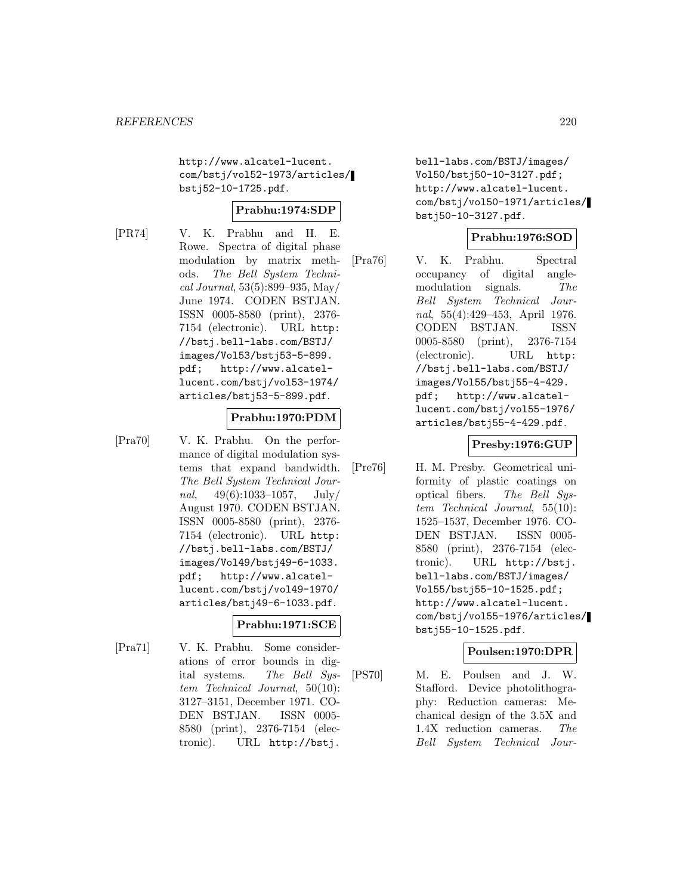http://www.alcatel-lucent. com/bstj/vol52-1973/articles/ bstj52-10-1725.pdf.

## **Prabhu:1974:SDP**

[PR74] V. K. Prabhu and H. E. Rowe. Spectra of digital phase modulation by matrix methods. The Bell System Technical Journal, 53(5):899–935, May/ June 1974. CODEN BSTJAN. ISSN 0005-8580 (print), 2376- 7154 (electronic). URL http: //bstj.bell-labs.com/BSTJ/ images/Vol53/bstj53-5-899. pdf; http://www.alcatellucent.com/bstj/vol53-1974/ articles/bstj53-5-899.pdf.

# **Prabhu:1970:PDM**

[Pra70] V. K. Prabhu. On the performance of digital modulation systems that expand bandwidth. The Bell System Technical Journal,  $49(6):1033-1057$ , July/ August 1970. CODEN BSTJAN. ISSN 0005-8580 (print), 2376- 7154 (electronic). URL http: //bstj.bell-labs.com/BSTJ/ images/Vol49/bstj49-6-1033. pdf; http://www.alcatellucent.com/bstj/vol49-1970/ articles/bstj49-6-1033.pdf.

# **Prabhu:1971:SCE**

[Pra71] V. K. Prabhu. Some considerations of error bounds in digital systems. The Bell System Technical Journal, 50(10): 3127–3151, December 1971. CO-DEN BSTJAN. ISSN 0005- 8580 (print), 2376-7154 (electronic). URL http://bstj.

bell-labs.com/BSTJ/images/ Vol50/bstj50-10-3127.pdf; http://www.alcatel-lucent. com/bstj/vol50-1971/articles/ bstj50-10-3127.pdf.

# **Prabhu:1976:SOD**

[Pra76] V. K. Prabhu. Spectral occupancy of digital anglemodulation signals. The Bell System Technical Journal, 55(4):429–453, April 1976. CODEN BSTJAN. ISSN 0005-8580 (print), 2376-7154 (electronic). URL http: //bstj.bell-labs.com/BSTJ/ images/Vol55/bstj55-4-429. pdf; http://www.alcatellucent.com/bstj/vol55-1976/ articles/bstj55-4-429.pdf.

# **Presby:1976:GUP**

[Pre76] H. M. Presby. Geometrical uniformity of plastic coatings on optical fibers. The Bell System Technical Journal, 55(10): 1525–1537, December 1976. CO-DEN BSTJAN. ISSN 0005- 8580 (print), 2376-7154 (electronic). URL http://bstj. bell-labs.com/BSTJ/images/ Vol55/bstj55-10-1525.pdf; http://www.alcatel-lucent. com/bstj/vol55-1976/articles/ bstj55-10-1525.pdf.

### **Poulsen:1970:DPR**

[PS70] M. E. Poulsen and J. W. Stafford. Device photolithography: Reduction cameras: Mechanical design of the 3.5X and 1.4X reduction cameras. The Bell System Technical Jour-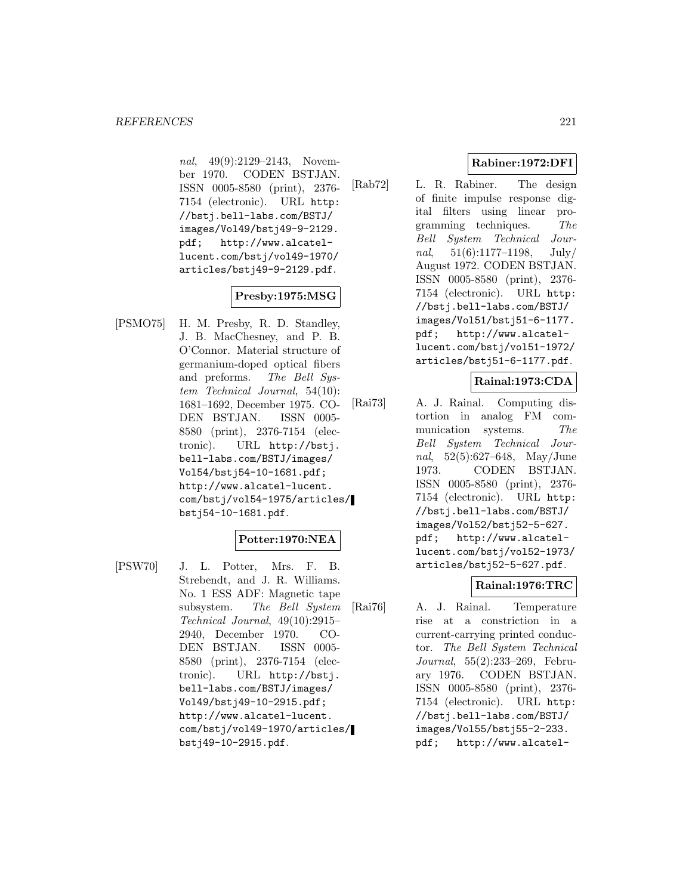nal, 49(9):2129-2143, November 1970. CODEN BSTJAN. ISSN 0005-8580 (print), 2376- 7154 (electronic). URL http: //bstj.bell-labs.com/BSTJ/ images/Vol49/bstj49-9-2129. pdf; http://www.alcatellucent.com/bstj/vol49-1970/ articles/bstj49-9-2129.pdf.

# **Presby:1975:MSG**

[PSMO75] H. M. Presby, R. D. Standley, J. B. MacChesney, and P. B. O'Connor. Material structure of germanium-doped optical fibers and preforms. The Bell System Technical Journal, 54(10): 1681–1692, December 1975. CO-DEN BSTJAN. ISSN 0005- 8580 (print), 2376-7154 (electronic). URL http://bstj. bell-labs.com/BSTJ/images/ Vol54/bstj54-10-1681.pdf; http://www.alcatel-lucent. com/bstj/vol54-1975/articles/ bstj54-10-1681.pdf.

# **Potter:1970:NEA**

[PSW70] J. L. Potter, Mrs. F. B. Strebendt, and J. R. Williams. No. 1 ESS ADF: Magnetic tape subsystem. The Bell System Technical Journal, 49(10):2915– 2940, December 1970. CO-DEN BSTJAN. ISSN 0005- 8580 (print), 2376-7154 (electronic). URL http://bstj. bell-labs.com/BSTJ/images/ Vol49/bstj49-10-2915.pdf; http://www.alcatel-lucent. com/bstj/vol49-1970/articles/ bstj49-10-2915.pdf.

# **Rabiner:1972:DFI**

[Rab72] L. R. Rabiner. The design of finite impulse response digital filters using linear programming techniques. The Bell System Technical Journal,  $51(6):1177-1198$ , July/ August 1972. CODEN BSTJAN. ISSN 0005-8580 (print), 2376- 7154 (electronic). URL http: //bstj.bell-labs.com/BSTJ/ images/Vol51/bstj51-6-1177. pdf; http://www.alcatellucent.com/bstj/vol51-1972/ articles/bstj51-6-1177.pdf.

# **Rainal:1973:CDA**

[Rai73] A. J. Rainal. Computing distortion in analog FM communication systems. The Bell System Technical Journal, 52(5):627–648, May/June 1973. CODEN BSTJAN. ISSN 0005-8580 (print), 2376- 7154 (electronic). URL http: //bstj.bell-labs.com/BSTJ/ images/Vol52/bstj52-5-627. pdf; http://www.alcatellucent.com/bstj/vol52-1973/ articles/bstj52-5-627.pdf.

# **Rainal:1976:TRC**

[Rai76] A. J. Rainal. Temperature rise at a constriction in a current-carrying printed conductor. The Bell System Technical Journal, 55(2):233–269, February 1976. CODEN BSTJAN. ISSN 0005-8580 (print), 2376- 7154 (electronic). URL http: //bstj.bell-labs.com/BSTJ/ images/Vol55/bstj55-2-233. pdf; http://www.alcatel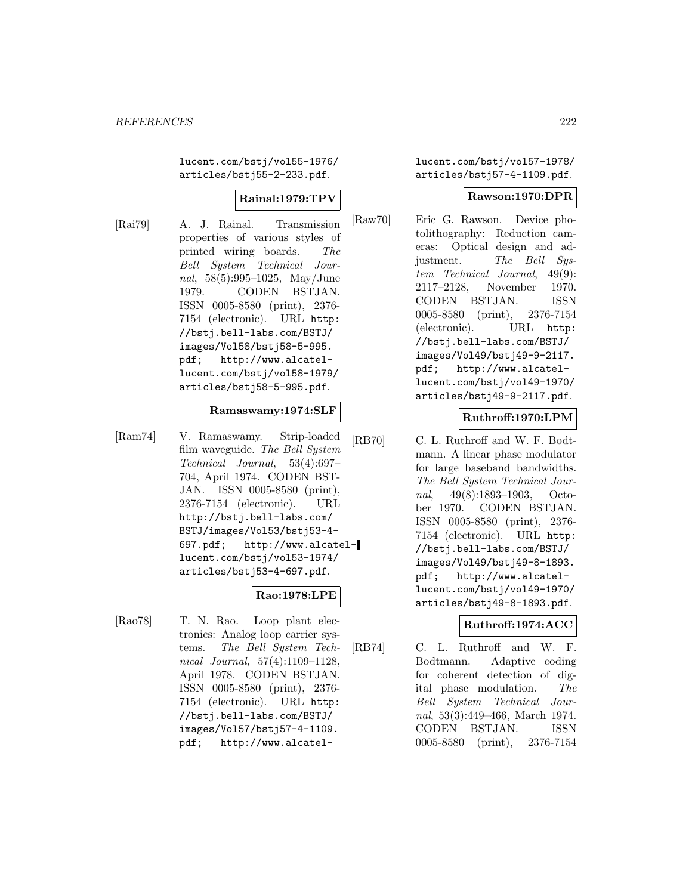lucent.com/bstj/vol55-1976/ articles/bstj55-2-233.pdf.

# **Rainal:1979:TPV**

[Rai79] A. J. Rainal. Transmission properties of various styles of printed wiring boards. The Bell System Technical Journal, 58(5):995–1025, May/June 1979. CODEN BSTJAN. ISSN 0005-8580 (print), 2376- 7154 (electronic). URL http: //bstj.bell-labs.com/BSTJ/ images/Vol58/bstj58-5-995. pdf; http://www.alcatellucent.com/bstj/vol58-1979/ articles/bstj58-5-995.pdf.

### **Ramaswamy:1974:SLF**

[Ram74] V. Ramaswamy. Strip-loaded film waveguide. The Bell System Technical Journal, 53(4):697– 704, April 1974. CODEN BST-JAN. ISSN 0005-8580 (print), 2376-7154 (electronic). URL http://bstj.bell-labs.com/ BSTJ/images/Vol53/bstj53-4- 697.pdf; http://www.alcatellucent.com/bstj/vol53-1974/ articles/bstj53-4-697.pdf.

# **Rao:1978:LPE**

[Rao78] T. N. Rao. Loop plant electronics: Analog loop carrier systems. The Bell System Technical Journal, 57(4):1109–1128, April 1978. CODEN BSTJAN. ISSN 0005-8580 (print), 2376- 7154 (electronic). URL http: //bstj.bell-labs.com/BSTJ/ images/Vol57/bstj57-4-1109. pdf; http://www.alcatellucent.com/bstj/vol57-1978/ articles/bstj57-4-1109.pdf.

# **Rawson:1970:DPR**

[Raw70] Eric G. Rawson. Device photolithography: Reduction cameras: Optical design and adjustment. The Bell System Technical Journal, 49(9): 2117–2128, November 1970. CODEN BSTJAN. ISSN 0005-8580 (print), 2376-7154 (electronic). URL http: //bstj.bell-labs.com/BSTJ/ images/Vol49/bstj49-9-2117. pdf; http://www.alcatellucent.com/bstj/vol49-1970/ articles/bstj49-9-2117.pdf.

# **Ruthroff:1970:LPM**

[RB70] C. L. Ruthroff and W. F. Bodtmann. A linear phase modulator for large baseband bandwidths. The Bell System Technical Journal, 49(8):1893–1903, October 1970. CODEN BSTJAN. ISSN 0005-8580 (print), 2376- 7154 (electronic). URL http: //bstj.bell-labs.com/BSTJ/ images/Vol49/bstj49-8-1893. pdf; http://www.alcatellucent.com/bstj/vol49-1970/ articles/bstj49-8-1893.pdf.

# **Ruthroff:1974:ACC**

[RB74] C. L. Ruthroff and W. F. Bodtmann. Adaptive coding for coherent detection of digital phase modulation. The Bell System Technical Journal, 53(3):449–466, March 1974. CODEN BSTJAN. ISSN 0005-8580 (print), 2376-7154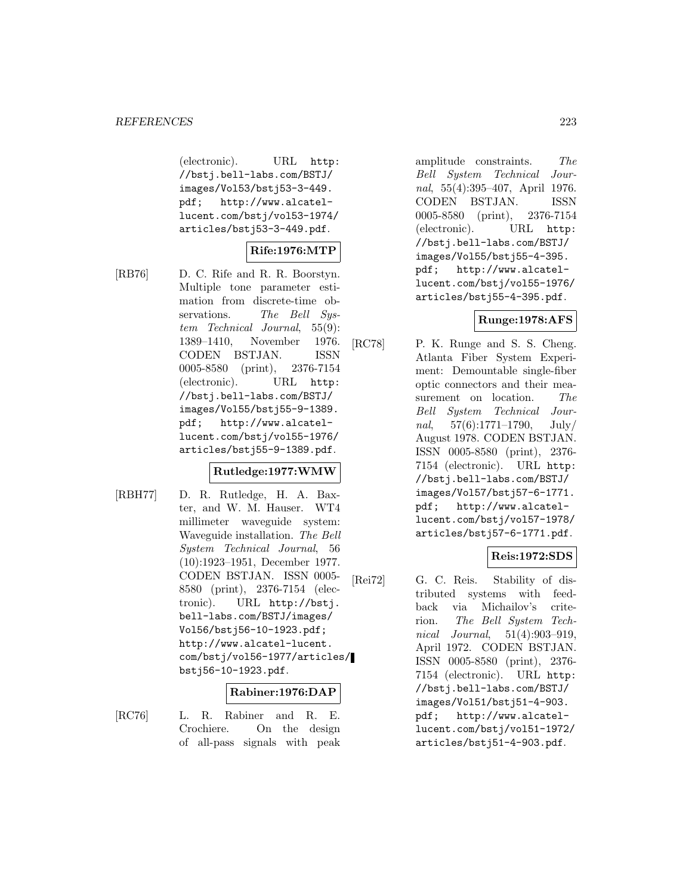(electronic). URL http: //bstj.bell-labs.com/BSTJ/ images/Vol53/bstj53-3-449. pdf; http://www.alcatellucent.com/bstj/vol53-1974/ articles/bstj53-3-449.pdf.

# **Rife:1976:MTP**

[RB76] D. C. Rife and R. R. Boorstyn. Multiple tone parameter estimation from discrete-time observations. The Bell System Technical Journal, 55(9): 1389–1410, November 1976. CODEN BSTJAN. ISSN 0005-8580 (print), 2376-7154 (electronic). URL http: //bstj.bell-labs.com/BSTJ/ images/Vol55/bstj55-9-1389. pdf; http://www.alcatellucent.com/bstj/vol55-1976/ articles/bstj55-9-1389.pdf.

## **Rutledge:1977:WMW**

[RBH77] D. R. Rutledge, H. A. Baxter, and W. M. Hauser. WT4 millimeter waveguide system: Waveguide installation. The Bell System Technical Journal, 56 (10):1923–1951, December 1977. CODEN BSTJAN. ISSN 0005- 8580 (print), 2376-7154 (electronic). URL http://bstj. bell-labs.com/BSTJ/images/ Vol56/bstj56-10-1923.pdf; http://www.alcatel-lucent. com/bstj/vol56-1977/articles/ bstj56-10-1923.pdf.

### **Rabiner:1976:DAP**

[RC76] L. R. Rabiner and R. E. Crochiere. On the design of all-pass signals with peak amplitude constraints. The Bell System Technical Journal, 55(4):395–407, April 1976. CODEN BSTJAN. ISSN 0005-8580 (print), 2376-7154 (electronic). URL http: //bstj.bell-labs.com/BSTJ/ images/Vol55/bstj55-4-395. pdf; http://www.alcatellucent.com/bstj/vol55-1976/ articles/bstj55-4-395.pdf.

# **Runge:1978:AFS**

[RC78] P. K. Runge and S. S. Cheng. Atlanta Fiber System Experiment: Demountable single-fiber optic connectors and their measurement on location. The Bell System Technical Journal,  $57(6):1771-1790$ , July/ August 1978. CODEN BSTJAN. ISSN 0005-8580 (print), 2376- 7154 (electronic). URL http: //bstj.bell-labs.com/BSTJ/ images/Vol57/bstj57-6-1771. pdf; http://www.alcatellucent.com/bstj/vol57-1978/ articles/bstj57-6-1771.pdf.

### **Reis:1972:SDS**

[Rei72] G. C. Reis. Stability of distributed systems with feedback via Michailov's criterion. The Bell System Technical Journal, 51(4):903–919, April 1972. CODEN BSTJAN. ISSN 0005-8580 (print), 2376- 7154 (electronic). URL http: //bstj.bell-labs.com/BSTJ/ images/Vol51/bstj51-4-903. pdf; http://www.alcatellucent.com/bstj/vol51-1972/ articles/bstj51-4-903.pdf.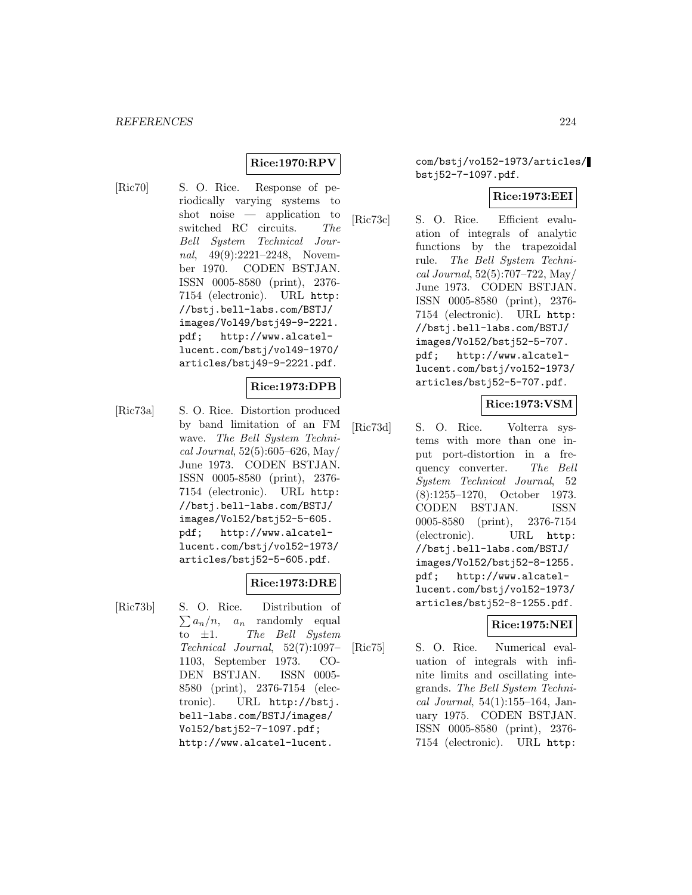# **Rice:1970:RPV**

[Ric70] S. O. Rice. Response of periodically varying systems to shot noise — application to switched RC circuits. The Bell System Technical Journal, 49(9):2221–2248, November 1970. CODEN BSTJAN. ISSN 0005-8580 (print), 2376- 7154 (electronic). URL http: //bstj.bell-labs.com/BSTJ/ images/Vol49/bstj49-9-2221. pdf; http://www.alcatellucent.com/bstj/vol49-1970/ articles/bstj49-9-2221.pdf.

# **Rice:1973:DPB**

[Ric73a] S. O. Rice. Distortion produced by band limitation of an FM wave. The Bell System Technical Journal, 52(5):605–626, May/ June 1973. CODEN BSTJAN. ISSN 0005-8580 (print), 2376- 7154 (electronic). URL http: //bstj.bell-labs.com/BSTJ/ images/Vol52/bstj52-5-605. pdf; http://www.alcatellucent.com/bstj/vol52-1973/ articles/bstj52-5-605.pdf.

# **Rice:1973:DRE**

[Ric73b] S. O. Rice. Distribution of  $\sum a_n/n$ , a<sub>n</sub> randomly equal to  $\pm 1$ . The Bell System Technical Journal, 52(7):1097– 1103, September 1973. CO-DEN BSTJAN. ISSN 0005- 8580 (print), 2376-7154 (electronic). URL http://bstj. bell-labs.com/BSTJ/images/ Vol52/bstj52-7-1097.pdf; http://www.alcatel-lucent.

com/bstj/vol52-1973/articles/ bstj52-7-1097.pdf.

#### **Rice:1973:EEI**

[Ric73c] S. O. Rice. Efficient evaluation of integrals of analytic functions by the trapezoidal rule. The Bell System Technical Journal, 52(5):707–722, May/ June 1973. CODEN BSTJAN. ISSN 0005-8580 (print), 2376- 7154 (electronic). URL http: //bstj.bell-labs.com/BSTJ/ images/Vol52/bstj52-5-707. pdf; http://www.alcatellucent.com/bstj/vol52-1973/ articles/bstj52-5-707.pdf.

### **Rice:1973:VSM**

[Ric73d] S. O. Rice. Volterra systems with more than one input port-distortion in a frequency converter. The Bell System Technical Journal, 52 (8):1255–1270, October 1973. CODEN BSTJAN. ISSN 0005-8580 (print), 2376-7154 (electronic). URL http: //bstj.bell-labs.com/BSTJ/ images/Vol52/bstj52-8-1255. pdf; http://www.alcatellucent.com/bstj/vol52-1973/ articles/bstj52-8-1255.pdf.

### **Rice:1975:NEI**

[Ric75] S. O. Rice. Numerical evaluation of integrals with infinite limits and oscillating integrands. The Bell System Technical Journal, 54(1):155–164, January 1975. CODEN BSTJAN. ISSN 0005-8580 (print), 2376- 7154 (electronic). URL http: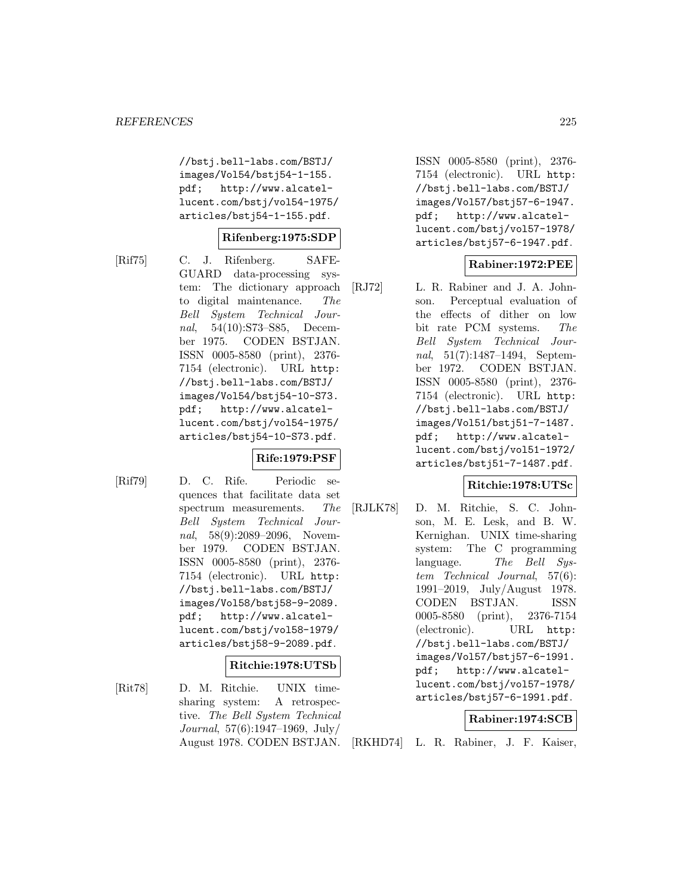//bstj.bell-labs.com/BSTJ/ images/Vol54/bstj54-1-155. pdf; http://www.alcatellucent.com/bstj/vol54-1975/ articles/bstj54-1-155.pdf.

### **Rifenberg:1975:SDP**

[Rif75] C. J. Rifenberg. SAFE-GUARD data-processing system: The dictionary approach to digital maintenance. The Bell System Technical Journal, 54(10):S73–S85, December 1975. CODEN BSTJAN. ISSN 0005-8580 (print), 2376- 7154 (electronic). URL http: //bstj.bell-labs.com/BSTJ/ images/Vol54/bstj54-10-S73. pdf; http://www.alcatellucent.com/bstj/vol54-1975/ articles/bstj54-10-S73.pdf.

### **Rife:1979:PSF**

[Rif79] D. C. Rife. Periodic sequences that facilitate data set spectrum measurements. The Bell System Technical Journal, 58(9):2089–2096, November 1979. CODEN BSTJAN. ISSN 0005-8580 (print), 2376- 7154 (electronic). URL http: //bstj.bell-labs.com/BSTJ/ images/Vol58/bstj58-9-2089. pdf; http://www.alcatellucent.com/bstj/vol58-1979/ articles/bstj58-9-2089.pdf.

#### **Ritchie:1978:UTSb**

[Rit78] D. M. Ritchie. UNIX timesharing system: A retrospective. The Bell System Technical Journal, 57(6):1947–1969, July/ August 1978. CODEN BSTJAN. ISSN 0005-8580 (print), 2376- 7154 (electronic). URL http: //bstj.bell-labs.com/BSTJ/ images/Vol57/bstj57-6-1947. pdf; http://www.alcatellucent.com/bstj/vol57-1978/ articles/bstj57-6-1947.pdf.

# **Rabiner:1972:PEE**

[RJ72] L. R. Rabiner and J. A. Johnson. Perceptual evaluation of the effects of dither on low bit rate PCM systems. The Bell System Technical Journal, 51(7):1487–1494, September 1972. CODEN BSTJAN. ISSN 0005-8580 (print), 2376- 7154 (electronic). URL http: //bstj.bell-labs.com/BSTJ/ images/Vol51/bstj51-7-1487. pdf; http://www.alcatellucent.com/bstj/vol51-1972/ articles/bstj51-7-1487.pdf.

### **Ritchie:1978:UTSc**

[RJLK78] D. M. Ritchie, S. C. Johnson, M. E. Lesk, and B. W. Kernighan. UNIX time-sharing system: The C programming language. The Bell System Technical Journal, 57(6): 1991–2019, July/August 1978. CODEN BSTJAN. ISSN 0005-8580 (print), 2376-7154 (electronic). URL http: //bstj.bell-labs.com/BSTJ/ images/Vol57/bstj57-6-1991. pdf; http://www.alcatellucent.com/bstj/vol57-1978/ articles/bstj57-6-1991.pdf.

### **Rabiner:1974:SCB**

[RKHD74] L. R. Rabiner, J. F. Kaiser,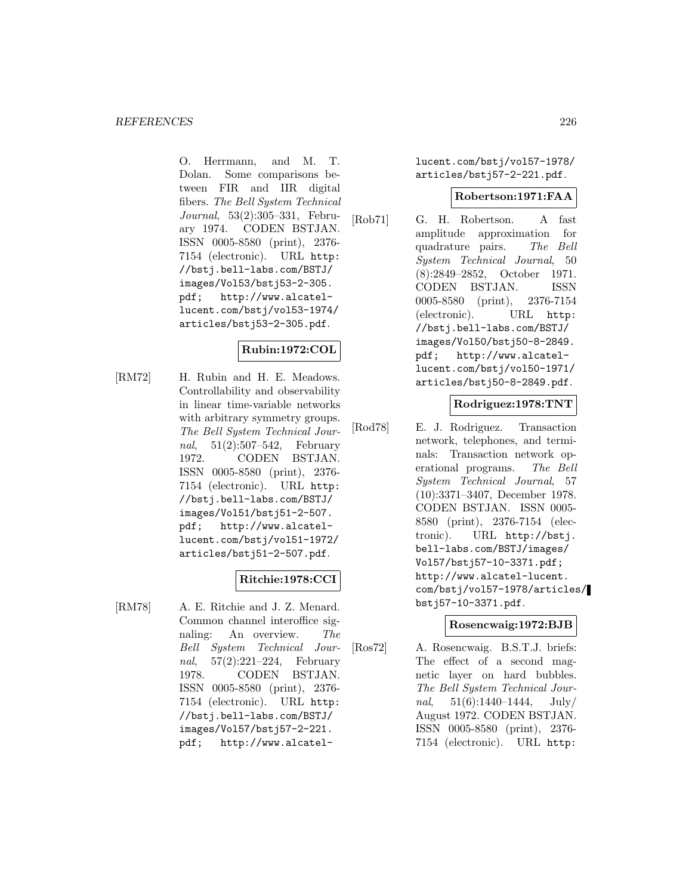O. Herrmann, and M. T. Dolan. Some comparisons between FIR and IIR digital fibers. The Bell System Technical Journal, 53(2):305–331, February 1974. CODEN BSTJAN. ISSN 0005-8580 (print), 2376- 7154 (electronic). URL http: //bstj.bell-labs.com/BSTJ/ images/Vol53/bstj53-2-305. pdf; http://www.alcatellucent.com/bstj/vol53-1974/ articles/bstj53-2-305.pdf.

# **Rubin:1972:COL**

[RM72] H. Rubin and H. E. Meadows. Controllability and observability in linear time-variable networks with arbitrary symmetry groups. The Bell System Technical Journal, 51(2):507–542, February 1972. CODEN BSTJAN. ISSN 0005-8580 (print), 2376- 7154 (electronic). URL http: //bstj.bell-labs.com/BSTJ/ images/Vol51/bstj51-2-507. pdf; http://www.alcatellucent.com/bstj/vol51-1972/ articles/bstj51-2-507.pdf.

# **Ritchie:1978:CCI**

[RM78] A. E. Ritchie and J. Z. Menard. Common channel interoffice signaling: An overview. The Bell System Technical Journal, 57(2):221–224, February 1978. CODEN BSTJAN. ISSN 0005-8580 (print), 2376- 7154 (electronic). URL http: //bstj.bell-labs.com/BSTJ/ images/Vol57/bstj57-2-221. pdf; http://www.alcatellucent.com/bstj/vol57-1978/ articles/bstj57-2-221.pdf.

#### **Robertson:1971:FAA**

[Rob71] G. H. Robertson. A fast amplitude approximation for quadrature pairs. The Bell System Technical Journal, 50 (8):2849–2852, October 1971. CODEN BSTJAN. ISSN 0005-8580 (print), 2376-7154 (electronic). URL http: //bstj.bell-labs.com/BSTJ/ images/Vol50/bstj50-8-2849. pdf; http://www.alcatellucent.com/bstj/vol50-1971/ articles/bstj50-8-2849.pdf.

### **Rodriguez:1978:TNT**

[Rod78] E. J. Rodriguez. Transaction network, telephones, and terminals: Transaction network operational programs. The Bell System Technical Journal, 57 (10):3371–3407, December 1978. CODEN BSTJAN. ISSN 0005- 8580 (print), 2376-7154 (electronic). URL http://bstj. bell-labs.com/BSTJ/images/ Vol57/bstj57-10-3371.pdf; http://www.alcatel-lucent. com/bstj/vol57-1978/articles/ bstj57-10-3371.pdf.

### **Rosencwaig:1972:BJB**

[Ros72] A. Rosencwaig. B.S.T.J. briefs: The effect of a second magnetic layer on hard bubbles. The Bell System Technical Journal,  $51(6):1440-1444$ ,  $\text{July}/$ August 1972. CODEN BSTJAN. ISSN 0005-8580 (print), 2376- 7154 (electronic). URL http: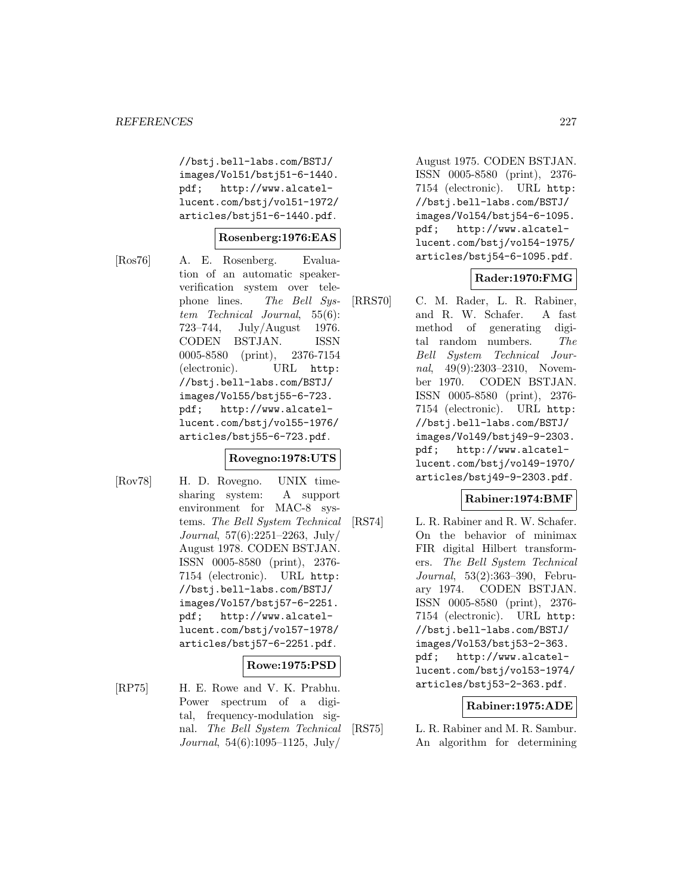//bstj.bell-labs.com/BSTJ/ images/Vol51/bstj51-6-1440. pdf; http://www.alcatellucent.com/bstj/vol51-1972/ articles/bstj51-6-1440.pdf.

#### **Rosenberg:1976:EAS**

[Ros76] A. E. Rosenberg. Evaluation of an automatic speakerverification system over telephone lines. The Bell System Technical Journal, 55(6): 723–744, July/August 1976. CODEN BSTJAN. ISSN 0005-8580 (print), 2376-7154 (electronic). URL http: //bstj.bell-labs.com/BSTJ/ images/Vol55/bstj55-6-723. pdf; http://www.alcatellucent.com/bstj/vol55-1976/ articles/bstj55-6-723.pdf.

### **Rovegno:1978:UTS**

[Rov78] H. D. Rovegno. UNIX timesharing system: A support environment for MAC-8 systems. The Bell System Technical Journal, 57(6):2251–2263, July/ August 1978. CODEN BSTJAN. ISSN 0005-8580 (print), 2376- 7154 (electronic). URL http: //bstj.bell-labs.com/BSTJ/ images/Vol57/bstj57-6-2251. pdf; http://www.alcatellucent.com/bstj/vol57-1978/ articles/bstj57-6-2251.pdf.

### **Rowe:1975:PSD**

[RP75] H. E. Rowe and V. K. Prabhu. Power spectrum of a digital, frequency-modulation signal. The Bell System Technical Journal, 54(6):1095–1125, July/

August 1975. CODEN BSTJAN. ISSN 0005-8580 (print), 2376- 7154 (electronic). URL http: //bstj.bell-labs.com/BSTJ/ images/Vol54/bstj54-6-1095. pdf; http://www.alcatellucent.com/bstj/vol54-1975/ articles/bstj54-6-1095.pdf.

# **Rader:1970:FMG**

[RRS70] C. M. Rader, L. R. Rabiner, and R. W. Schafer. A fast method of generating digital random numbers. The Bell System Technical Journal, 49(9):2303–2310, November 1970. CODEN BSTJAN. ISSN 0005-8580 (print), 2376- 7154 (electronic). URL http: //bstj.bell-labs.com/BSTJ/ images/Vol49/bstj49-9-2303. pdf; http://www.alcatellucent.com/bstj/vol49-1970/ articles/bstj49-9-2303.pdf.

### **Rabiner:1974:BMF**

[RS74] L. R. Rabiner and R. W. Schafer. On the behavior of minimax FIR digital Hilbert transformers. The Bell System Technical Journal, 53(2):363–390, February 1974. CODEN BSTJAN. ISSN 0005-8580 (print), 2376- 7154 (electronic). URL http: //bstj.bell-labs.com/BSTJ/ images/Vol53/bstj53-2-363. pdf; http://www.alcatellucent.com/bstj/vol53-1974/ articles/bstj53-2-363.pdf.

### **Rabiner:1975:ADE**

[RS75] L. R. Rabiner and M. R. Sambur. An algorithm for determining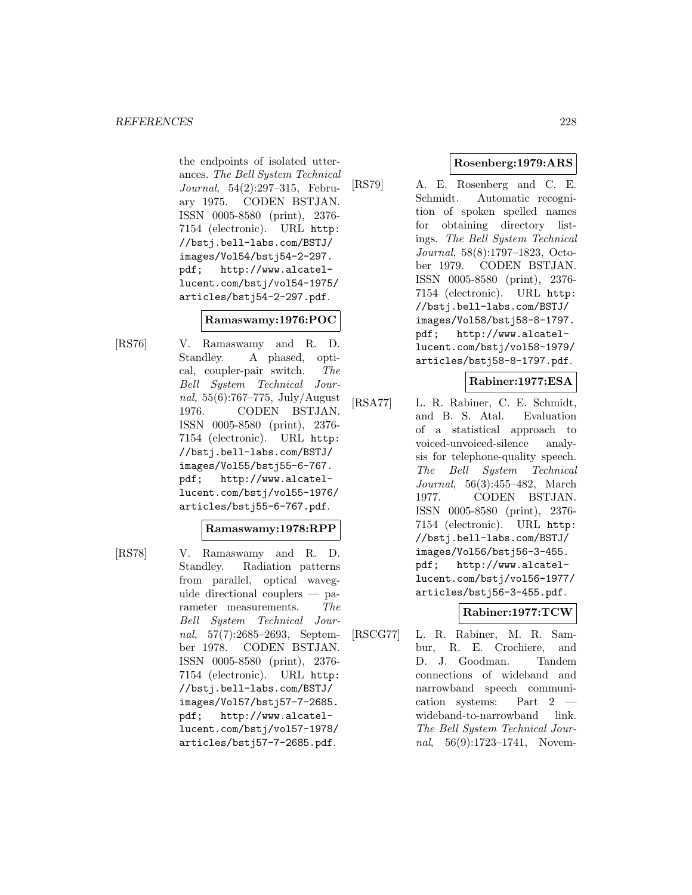the endpoints of isolated utterances. The Bell System Technical Journal, 54(2):297–315, February 1975. CODEN BSTJAN. ISSN 0005-8580 (print), 2376- 7154 (electronic). URL http: //bstj.bell-labs.com/BSTJ/ images/Vol54/bstj54-2-297. pdf; http://www.alcatellucent.com/bstj/vol54-1975/ articles/bstj54-2-297.pdf.

# **Ramaswamy:1976:POC**

[RS76] V. Ramaswamy and R. D. Standley. A phased, optical, coupler-pair switch. The Bell System Technical Journal, 55(6):767–775, July/August 1976. CODEN BSTJAN. ISSN 0005-8580 (print), 2376- 7154 (electronic). URL http: //bstj.bell-labs.com/BSTJ/ images/Vol55/bstj55-6-767. pdf; http://www.alcatellucent.com/bstj/vol55-1976/ articles/bstj55-6-767.pdf.

### **Ramaswamy:1978:RPP**

- 
- [RS78] V. Ramaswamy and R. D. Standley. Radiation patterns from parallel, optical waveguide directional couplers — parameter measurements. The Bell System Technical Journal, 57(7):2685–2693, September 1978. CODEN BSTJAN. ISSN 0005-8580 (print), 2376- 7154 (electronic). URL http: //bstj.bell-labs.com/BSTJ/ images/Vol57/bstj57-7-2685. pdf; http://www.alcatellucent.com/bstj/vol57-1978/ articles/bstj57-7-2685.pdf.

# **Rosenberg:1979:ARS**

[RS79] A. E. Rosenberg and C. E. Schmidt. Automatic recognition of spoken spelled names for obtaining directory listings. The Bell System Technical Journal, 58(8):1797–1823, October 1979. CODEN BSTJAN. ISSN 0005-8580 (print), 2376- 7154 (electronic). URL http: //bstj.bell-labs.com/BSTJ/ images/Vol58/bstj58-8-1797. pdf; http://www.alcatellucent.com/bstj/vol58-1979/ articles/bstj58-8-1797.pdf.

# **Rabiner:1977:ESA**

[RSA77] L. R. Rabiner, C. E. Schmidt, and B. S. Atal. Evaluation of a statistical approach to voiced-unvoiced-silence analysis for telephone-quality speech. The Bell System Technical Journal, 56(3):455–482, March 1977. CODEN BSTJAN. ISSN 0005-8580 (print), 2376- 7154 (electronic). URL http: //bstj.bell-labs.com/BSTJ/ images/Vol56/bstj56-3-455. pdf; http://www.alcatellucent.com/bstj/vol56-1977/ articles/bstj56-3-455.pdf.

# **Rabiner:1977:TCW**

[RSCG77] L. R. Rabiner, M. R. Sambur, R. E. Crochiere, and D. J. Goodman. Tandem connections of wideband and narrowband speech communication systems: Part 2 wideband-to-narrowband link. The Bell System Technical Journal, 56(9):1723-1741, Novem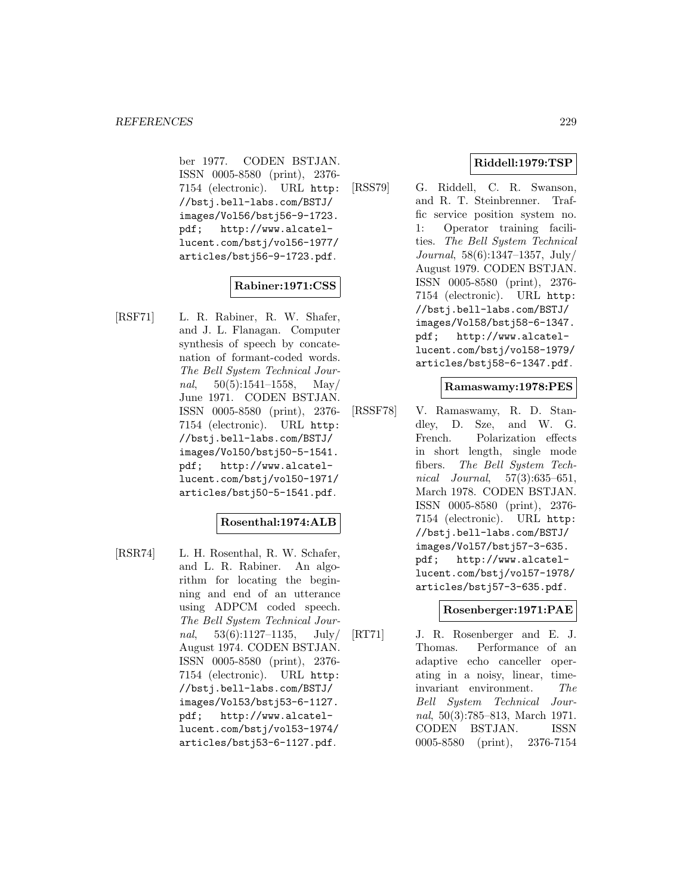ber 1977. CODEN BSTJAN. ISSN 0005-8580 (print), 2376- 7154 (electronic). URL http: //bstj.bell-labs.com/BSTJ/ images/Vol56/bstj56-9-1723. pdf; http://www.alcatellucent.com/bstj/vol56-1977/ articles/bstj56-9-1723.pdf.

# **Rabiner:1971:CSS**

[RSF71] L. R. Rabiner, R. W. Shafer, and J. L. Flanagan. Computer synthesis of speech by concatenation of formant-coded words. The Bell System Technical Journal,  $50(5):1541-1558$ , May/ June 1971. CODEN BSTJAN. ISSN 0005-8580 (print), 2376- 7154 (electronic). URL http: //bstj.bell-labs.com/BSTJ/ images/Vol50/bstj50-5-1541. pdf; http://www.alcatellucent.com/bstj/vol50-1971/ articles/bstj50-5-1541.pdf.

# **Rosenthal:1974:ALB**

[RSR74] L. H. Rosenthal, R. W. Schafer, and L. R. Rabiner. An algorithm for locating the beginning and end of an utterance using ADPCM coded speech. The Bell System Technical Journal,  $53(6):1127-1135$ , July/ August 1974. CODEN BSTJAN. ISSN 0005-8580 (print), 2376- 7154 (electronic). URL http: //bstj.bell-labs.com/BSTJ/ images/Vol53/bstj53-6-1127. pdf; http://www.alcatellucent.com/bstj/vol53-1974/ articles/bstj53-6-1127.pdf.

# **Riddell:1979:TSP**

[RSS79] G. Riddell, C. R. Swanson, and R. T. Steinbrenner. Traffic service position system no. 1: Operator training facilities. The Bell System Technical Journal, 58(6):1347–1357, July/ August 1979. CODEN BSTJAN. ISSN 0005-8580 (print), 2376- 7154 (electronic). URL http: //bstj.bell-labs.com/BSTJ/ images/Vol58/bstj58-6-1347. pdf; http://www.alcatellucent.com/bstj/vol58-1979/ articles/bstj58-6-1347.pdf.

### **Ramaswamy:1978:PES**

[RSSF78] V. Ramaswamy, R. D. Standley, D. Sze, and W. G. French. Polarization effects in short length, single mode fibers. The Bell System Technical Journal, 57(3):635–651, March 1978. CODEN BSTJAN. ISSN 0005-8580 (print), 2376- 7154 (electronic). URL http: //bstj.bell-labs.com/BSTJ/ images/Vol57/bstj57-3-635. pdf; http://www.alcatellucent.com/bstj/vol57-1978/ articles/bstj57-3-635.pdf.

### **Rosenberger:1971:PAE**

[RT71] J. R. Rosenberger and E. J. Thomas. Performance of an adaptive echo canceller operating in a noisy, linear, timeinvariant environment. The Bell System Technical Journal, 50(3):785–813, March 1971. CODEN BSTJAN. ISSN 0005-8580 (print), 2376-7154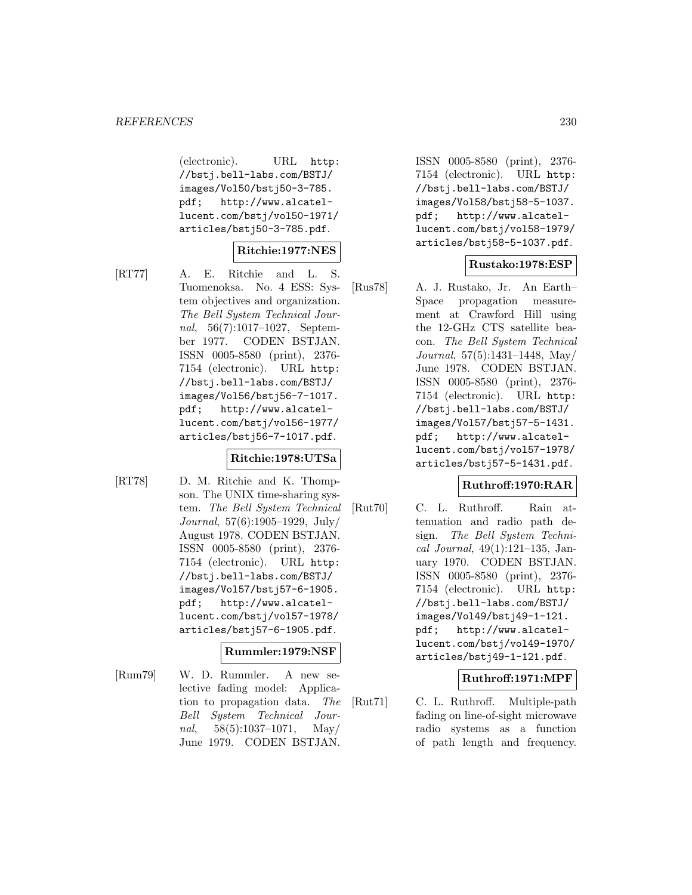(electronic). URL http: //bstj.bell-labs.com/BSTJ/ images/Vol50/bstj50-3-785. pdf; http://www.alcatellucent.com/bstj/vol50-1971/ articles/bstj50-3-785.pdf.

# **Ritchie:1977:NES**

- 
- [RT77] A. E. Ritchie and L. S. Tuomenoksa. No. 4 ESS: System objectives and organization. The Bell System Technical Journal, 56(7):1017–1027, September 1977. CODEN BSTJAN. ISSN 0005-8580 (print), 2376- 7154 (electronic). URL http: //bstj.bell-labs.com/BSTJ/ images/Vol56/bstj56-7-1017. pdf; http://www.alcatellucent.com/bstj/vol56-1977/ articles/bstj56-7-1017.pdf.

### **Ritchie:1978:UTSa**

- 
- [RT78] D. M. Ritchie and K. Thompson. The UNIX time-sharing system. The Bell System Technical Journal, 57(6):1905–1929, July/ August 1978. CODEN BSTJAN. ISSN 0005-8580 (print), 2376- 7154 (electronic). URL http: //bstj.bell-labs.com/BSTJ/ images/Vol57/bstj57-6-1905. pdf; http://www.alcatellucent.com/bstj/vol57-1978/ articles/bstj57-6-1905.pdf.

# **Rummler:1979:NSF**

[Rum79] W. D. Rummler. A new selective fading model: Application to propagation data. The Bell System Technical Journal,  $58(5):1037-1071$ , May/ June 1979. CODEN BSTJAN.

ISSN 0005-8580 (print), 2376- 7154 (electronic). URL http: //bstj.bell-labs.com/BSTJ/ images/Vol58/bstj58-5-1037. pdf; http://www.alcatellucent.com/bstj/vol58-1979/ articles/bstj58-5-1037.pdf.

# **Rustako:1978:ESP**

[Rus78] A. J. Rustako, Jr. An Earth– Space propagation measurement at Crawford Hill using the 12-GHz CTS satellite beacon. The Bell System Technical Journal, 57(5):1431–1448, May/ June 1978. CODEN BSTJAN. ISSN 0005-8580 (print), 2376- 7154 (electronic). URL http: //bstj.bell-labs.com/BSTJ/ images/Vol57/bstj57-5-1431. pdf; http://www.alcatellucent.com/bstj/vol57-1978/ articles/bstj57-5-1431.pdf.

### **Ruthroff:1970:RAR**

[Rut70] C. L. Ruthroff. Rain attenuation and radio path design. The Bell System Technical Journal, 49(1):121–135, January 1970. CODEN BSTJAN. ISSN 0005-8580 (print), 2376- 7154 (electronic). URL http: //bstj.bell-labs.com/BSTJ/ images/Vol49/bstj49-1-121. pdf; http://www.alcatellucent.com/bstj/vol49-1970/ articles/bstj49-1-121.pdf.

### **Ruthroff:1971:MPF**

[Rut71] C. L. Ruthroff. Multiple-path fading on line-of-sight microwave radio systems as a function of path length and frequency.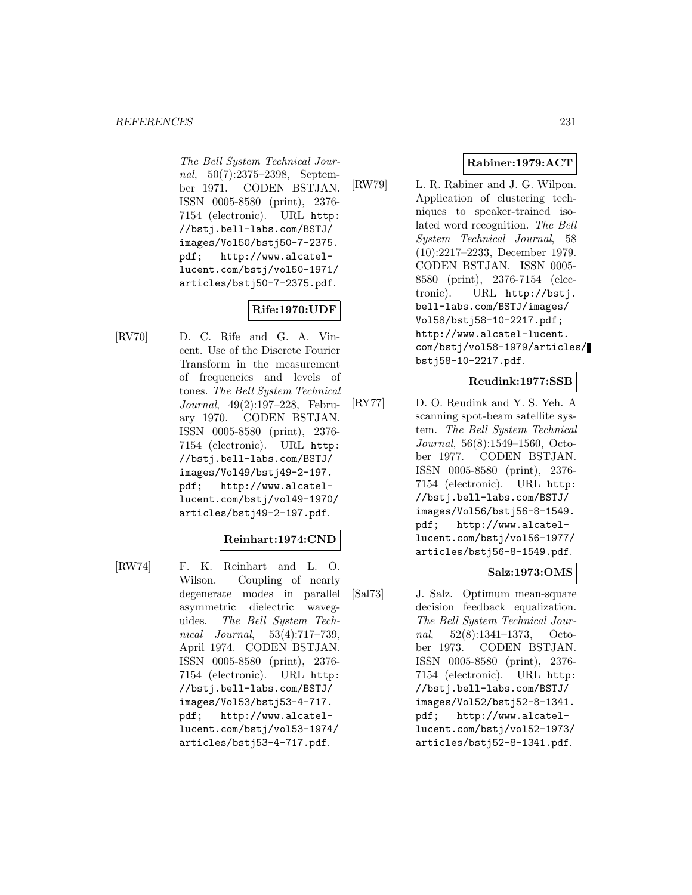The Bell System Technical Journal, 50(7):2375–2398, September 1971. CODEN BSTJAN. ISSN 0005-8580 (print), 2376- 7154 (electronic). URL http: //bstj.bell-labs.com/BSTJ/ images/Vol50/bstj50-7-2375. pdf; http://www.alcatellucent.com/bstj/vol50-1971/ articles/bstj50-7-2375.pdf.

**Rife:1970:UDF**

[RV70] D. C. Rife and G. A. Vincent. Use of the Discrete Fourier Transform in the measurement of frequencies and levels of tones. The Bell System Technical Journal, 49(2):197–228, February 1970. CODEN BSTJAN. ISSN 0005-8580 (print), 2376- 7154 (electronic). URL http: //bstj.bell-labs.com/BSTJ/ images/Vol49/bstj49-2-197. pdf; http://www.alcatellucent.com/bstj/vol49-1970/ articles/bstj49-2-197.pdf.

# **Reinhart:1974:CND**

[RW74] F. K. Reinhart and L. O. Wilson. Coupling of nearly degenerate modes in parallel asymmetric dielectric waveguides. The Bell System Technical Journal, 53(4):717–739, April 1974. CODEN BSTJAN. ISSN 0005-8580 (print), 2376- 7154 (electronic). URL http: //bstj.bell-labs.com/BSTJ/ images/Vol53/bstj53-4-717. pdf; http://www.alcatellucent.com/bstj/vol53-1974/ articles/bstj53-4-717.pdf.

# **Rabiner:1979:ACT**

[RW79] L. R. Rabiner and J. G. Wilpon. Application of clustering techniques to speaker-trained isolated word recognition. The Bell System Technical Journal, 58 (10):2217–2233, December 1979. CODEN BSTJAN. ISSN 0005- 8580 (print), 2376-7154 (electronic). URL http://bstj. bell-labs.com/BSTJ/images/ Vol58/bstj58-10-2217.pdf; http://www.alcatel-lucent. com/bstj/vol58-1979/articles/ bstj58-10-2217.pdf.

### **Reudink:1977:SSB**

[RY77] D. O. Reudink and Y. S. Yeh. A scanning spot-beam satellite system. The Bell System Technical Journal, 56(8):1549–1560, October 1977. CODEN BSTJAN. ISSN 0005-8580 (print), 2376- 7154 (electronic). URL http: //bstj.bell-labs.com/BSTJ/ images/Vol56/bstj56-8-1549. pdf; http://www.alcatellucent.com/bstj/vol56-1977/ articles/bstj56-8-1549.pdf.

# **Salz:1973:OMS**

[Sal73] J. Salz. Optimum mean-square decision feedback equalization. The Bell System Technical Journal, 52(8):1341–1373, October 1973. CODEN BSTJAN. ISSN 0005-8580 (print), 2376- 7154 (electronic). URL http: //bstj.bell-labs.com/BSTJ/ images/Vol52/bstj52-8-1341. pdf; http://www.alcatellucent.com/bstj/vol52-1973/ articles/bstj52-8-1341.pdf.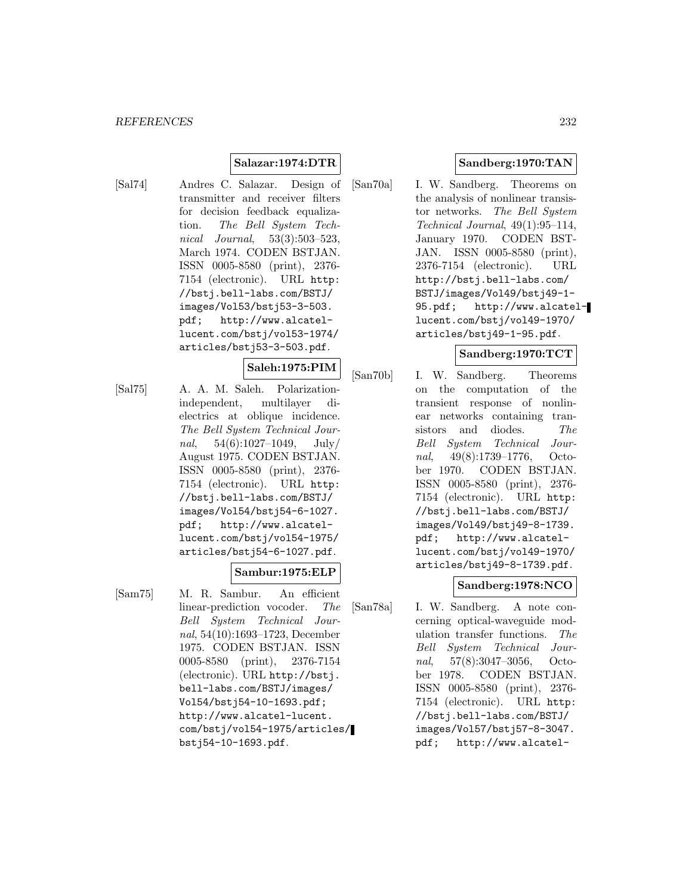#### **Salazar:1974:DTR**

[Sal74] Andres C. Salazar. Design of transmitter and receiver filters for decision feedback equalization. The Bell System Technical Journal, 53(3):503–523, March 1974. CODEN BSTJAN. ISSN 0005-8580 (print), 2376- 7154 (electronic). URL http: //bstj.bell-labs.com/BSTJ/ images/Vol53/bstj53-3-503. pdf; http://www.alcatellucent.com/bstj/vol53-1974/ articles/bstj53-3-503.pdf.

#### **Saleh:1975:PIM**

[Sal75] A. A. M. Saleh. Polarizationindependent, multilayer dielectrics at oblique incidence. The Bell System Technical Journal,  $54(6):1027-1049$ , July/ August 1975. CODEN BSTJAN. ISSN 0005-8580 (print), 2376- 7154 (electronic). URL http: //bstj.bell-labs.com/BSTJ/ images/Vol54/bstj54-6-1027. pdf; http://www.alcatellucent.com/bstj/vol54-1975/ articles/bstj54-6-1027.pdf.

## **Sambur:1975:ELP**

[Sam75] M. R. Sambur. An efficient linear-prediction vocoder. The Bell System Technical Journal, 54(10):1693–1723, December 1975. CODEN BSTJAN. ISSN 0005-8580 (print), 2376-7154 (electronic). URL http://bstj. bell-labs.com/BSTJ/images/ Vol54/bstj54-10-1693.pdf; http://www.alcatel-lucent. com/bstj/vol54-1975/articles/ bstj54-10-1693.pdf.

# **Sandberg:1970:TAN**

[San70a] I. W. Sandberg. Theorems on the analysis of nonlinear transistor networks. The Bell System Technical Journal, 49(1):95–114, January 1970. CODEN BST-JAN. ISSN 0005-8580 (print), 2376-7154 (electronic). URL http://bstj.bell-labs.com/ BSTJ/images/Vol49/bstj49-1- 95.pdf; http://www.alcatellucent.com/bstj/vol49-1970/ articles/bstj49-1-95.pdf.

# **Sandberg:1970:TCT**

[San70b] I. W. Sandberg. Theorems on the computation of the transient response of nonlinear networks containing transistors and diodes. The Bell System Technical Journal, 49(8):1739–1776, October 1970. CODEN BSTJAN. ISSN 0005-8580 (print), 2376- 7154 (electronic). URL http: //bstj.bell-labs.com/BSTJ/ images/Vol49/bstj49-8-1739. pdf; http://www.alcatellucent.com/bstj/vol49-1970/ articles/bstj49-8-1739.pdf.

### **Sandberg:1978:NCO**

[San78a] I. W. Sandberg. A note concerning optical-waveguide modulation transfer functions. The Bell System Technical Journal, 57(8):3047–3056, October 1978. CODEN BSTJAN. ISSN 0005-8580 (print), 2376- 7154 (electronic). URL http: //bstj.bell-labs.com/BSTJ/ images/Vol57/bstj57-8-3047. pdf; http://www.alcatel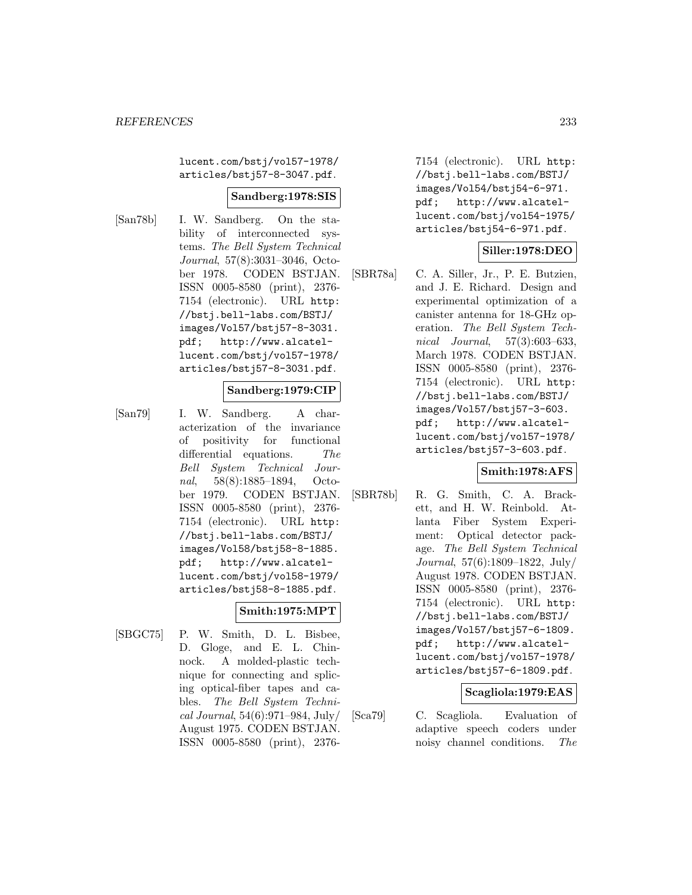lucent.com/bstj/vol57-1978/ articles/bstj57-8-3047.pdf.

#### **Sandberg:1978:SIS**

[San78b] I. W. Sandberg. On the stability of interconnected systems. The Bell System Technical Journal, 57(8):3031–3046, October 1978. CODEN BSTJAN. ISSN 0005-8580 (print), 2376- 7154 (electronic). URL http: //bstj.bell-labs.com/BSTJ/ images/Vol57/bstj57-8-3031. pdf; http://www.alcatellucent.com/bstj/vol57-1978/ articles/bstj57-8-3031.pdf.

#### **Sandberg:1979:CIP**

[San79] I. W. Sandberg. A characterization of the invariance of positivity for functional differential equations. The Bell System Technical Journal, 58(8):1885–1894, October 1979. CODEN BSTJAN. ISSN 0005-8580 (print), 2376- 7154 (electronic). URL http: //bstj.bell-labs.com/BSTJ/ images/Vol58/bstj58-8-1885. pdf; http://www.alcatellucent.com/bstj/vol58-1979/ articles/bstj58-8-1885.pdf.

### **Smith:1975:MPT**

[SBGC75] P. W. Smith, D. L. Bisbee, D. Gloge, and E. L. Chinnock. A molded-plastic technique for connecting and splicing optical-fiber tapes and cables. The Bell System Technical Journal, 54(6):971–984, July/ August 1975. CODEN BSTJAN. ISSN 0005-8580 (print), 23767154 (electronic). URL http: //bstj.bell-labs.com/BSTJ/ images/Vol54/bstj54-6-971. pdf; http://www.alcatellucent.com/bstj/vol54-1975/ articles/bstj54-6-971.pdf.

# **Siller:1978:DEO**

[SBR78a] C. A. Siller, Jr., P. E. Butzien, and J. E. Richard. Design and experimental optimization of a canister antenna for 18-GHz operation. The Bell System Technical Journal, 57(3):603–633, March 1978. CODEN BSTJAN. ISSN 0005-8580 (print), 2376- 7154 (electronic). URL http: //bstj.bell-labs.com/BSTJ/ images/Vol57/bstj57-3-603. pdf; http://www.alcatellucent.com/bstj/vol57-1978/ articles/bstj57-3-603.pdf.

### **Smith:1978:AFS**

[SBR78b] R. G. Smith, C. A. Brackett, and H. W. Reinbold. Atlanta Fiber System Experiment: Optical detector package. The Bell System Technical Journal, 57(6):1809–1822, July/ August 1978. CODEN BSTJAN. ISSN 0005-8580 (print), 2376- 7154 (electronic). URL http: //bstj.bell-labs.com/BSTJ/ images/Vol57/bstj57-6-1809. pdf; http://www.alcatellucent.com/bstj/vol57-1978/ articles/bstj57-6-1809.pdf.

### **Scagliola:1979:EAS**

[Sca79] C. Scagliola. Evaluation of adaptive speech coders under noisy channel conditions. The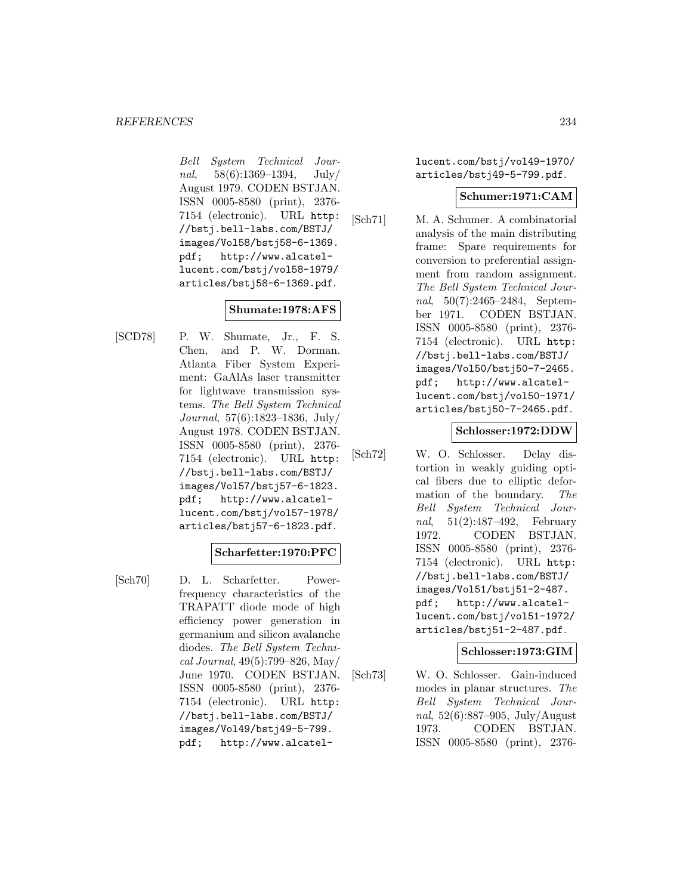Bell System Technical Journal,  $58(6):1369-1394$ , July/ August 1979. CODEN BSTJAN. ISSN 0005-8580 (print), 2376- 7154 (electronic). URL http: //bstj.bell-labs.com/BSTJ/ images/Vol58/bstj58-6-1369. pdf; http://www.alcatellucent.com/bstj/vol58-1979/ articles/bstj58-6-1369.pdf.

# **Shumate:1978:AFS**

[SCD78] P. W. Shumate, Jr., F. S. Chen, and P. W. Dorman. Atlanta Fiber System Experiment: GaAlAs laser transmitter for lightwave transmission systems. The Bell System Technical Journal, 57(6):1823–1836, July/ August 1978. CODEN BSTJAN. ISSN 0005-8580 (print), 2376- 7154 (electronic). URL http: //bstj.bell-labs.com/BSTJ/ images/Vol57/bstj57-6-1823. pdf; http://www.alcatellucent.com/bstj/vol57-1978/ articles/bstj57-6-1823.pdf.

### **Scharfetter:1970:PFC**

[Sch70] D. L. Scharfetter. Powerfrequency characteristics of the TRAPATT diode mode of high efficiency power generation in germanium and silicon avalanche diodes. The Bell System Technical Journal, 49(5):799–826, May/ June 1970. CODEN BSTJAN. ISSN 0005-8580 (print), 2376- 7154 (electronic). URL http: //bstj.bell-labs.com/BSTJ/ images/Vol49/bstj49-5-799. pdf; http://www.alcatellucent.com/bstj/vol49-1970/ articles/bstj49-5-799.pdf.

## **Schumer:1971:CAM**

[Sch71] M. A. Schumer. A combinatorial analysis of the main distributing frame: Spare requirements for conversion to preferential assignment from random assignment. The Bell System Technical Journal, 50(7):2465–2484, September 1971. CODEN BSTJAN. ISSN 0005-8580 (print), 2376- 7154 (electronic). URL http: //bstj.bell-labs.com/BSTJ/ images/Vol50/bstj50-7-2465. pdf; http://www.alcatellucent.com/bstj/vol50-1971/ articles/bstj50-7-2465.pdf.

#### **Schlosser:1972:DDW**

[Sch72] W. O. Schlosser. Delay distortion in weakly guiding optical fibers due to elliptic deformation of the boundary. The Bell System Technical Journal, 51(2):487–492, February 1972. CODEN BSTJAN. ISSN 0005-8580 (print), 2376- 7154 (electronic). URL http: //bstj.bell-labs.com/BSTJ/ images/Vol51/bstj51-2-487. pdf; http://www.alcatellucent.com/bstj/vol51-1972/ articles/bstj51-2-487.pdf.

### **Schlosser:1973:GIM**

[Sch73] W. O. Schlosser. Gain-induced modes in planar structures. The Bell System Technical Journal, 52(6):887–905, July/August 1973. CODEN BSTJAN. ISSN 0005-8580 (print), 2376-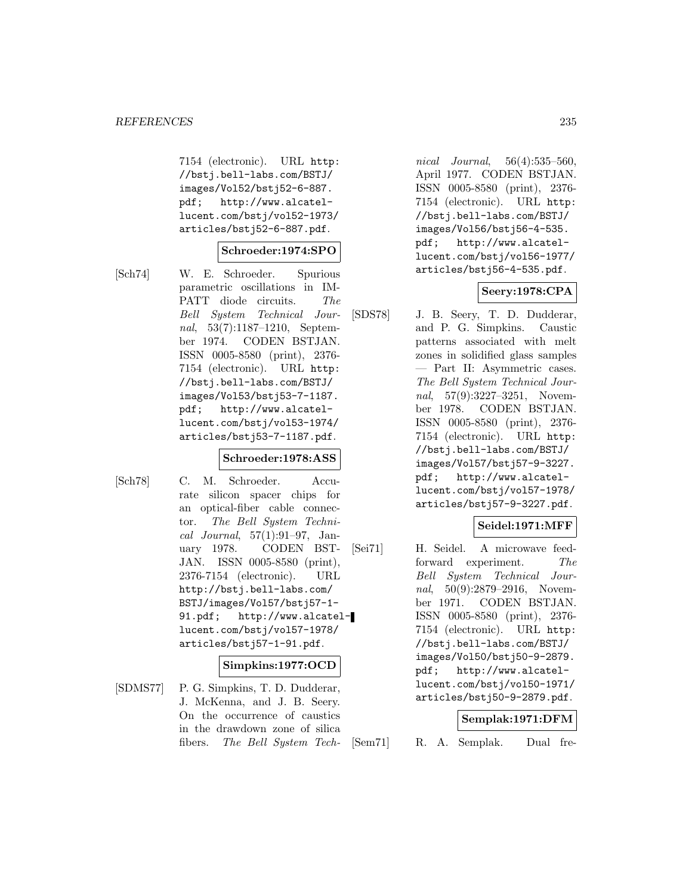7154 (electronic). URL http: //bstj.bell-labs.com/BSTJ/ images/Vol52/bstj52-6-887. pdf; http://www.alcatellucent.com/bstj/vol52-1973/ articles/bstj52-6-887.pdf.

#### **Schroeder:1974:SPO**

- 
- [Sch74] W. E. Schroeder. Spurious parametric oscillations in IM-PATT diode circuits. The Bell System Technical Journal, 53(7):1187–1210, September 1974. CODEN BSTJAN. ISSN 0005-8580 (print), 2376- 7154 (electronic). URL http: //bstj.bell-labs.com/BSTJ/ images/Vol53/bstj53-7-1187. pdf; http://www.alcatellucent.com/bstj/vol53-1974/ articles/bstj53-7-1187.pdf.

### **Schroeder:1978:ASS**

- 
- [Sch78] C. M. Schroeder. Accurate silicon spacer chips for an optical-fiber cable connector. The Bell System Technical Journal, 57(1):91–97, January 1978. CODEN BST-JAN. ISSN 0005-8580 (print), 2376-7154 (electronic). URL http://bstj.bell-labs.com/ BSTJ/images/Vol57/bstj57-1- 91.pdf; http://www.alcatellucent.com/bstj/vol57-1978/ articles/bstj57-1-91.pdf.

#### **Simpkins:1977:OCD**

[SDMS77] P. G. Simpkins, T. D. Dudderar, J. McKenna, and J. B. Seery. On the occurrence of caustics in the drawdown zone of silica fibers. The Bell System Tech-

nical Journal, 56(4):535–560, April 1977. CODEN BSTJAN. ISSN 0005-8580 (print), 2376- 7154 (electronic). URL http: //bstj.bell-labs.com/BSTJ/ images/Vol56/bstj56-4-535. pdf; http://www.alcatellucent.com/bstj/vol56-1977/ articles/bstj56-4-535.pdf.

### **Seery:1978:CPA**

[SDS78] J. B. Seery, T. D. Dudderar, and P. G. Simpkins. Caustic patterns associated with melt zones in solidified glass samples — Part II: Asymmetric cases. The Bell System Technical Journal, 57(9):3227-3251, November 1978. CODEN BSTJAN. ISSN 0005-8580 (print), 2376- 7154 (electronic). URL http: //bstj.bell-labs.com/BSTJ/ images/Vol57/bstj57-9-3227. pdf; http://www.alcatellucent.com/bstj/vol57-1978/ articles/bstj57-9-3227.pdf.

### **Seidel:1971:MFF**

[Sei71] H. Seidel. A microwave feedforward experiment. The Bell System Technical Journal, 50(9):2879-2916, November 1971. CODEN BSTJAN. ISSN 0005-8580 (print), 2376- 7154 (electronic). URL http: //bstj.bell-labs.com/BSTJ/ images/Vol50/bstj50-9-2879. pdf; http://www.alcatellucent.com/bstj/vol50-1971/ articles/bstj50-9-2879.pdf.

### **Semplak:1971:DFM**

[Sem71] R. A. Semplak. Dual fre-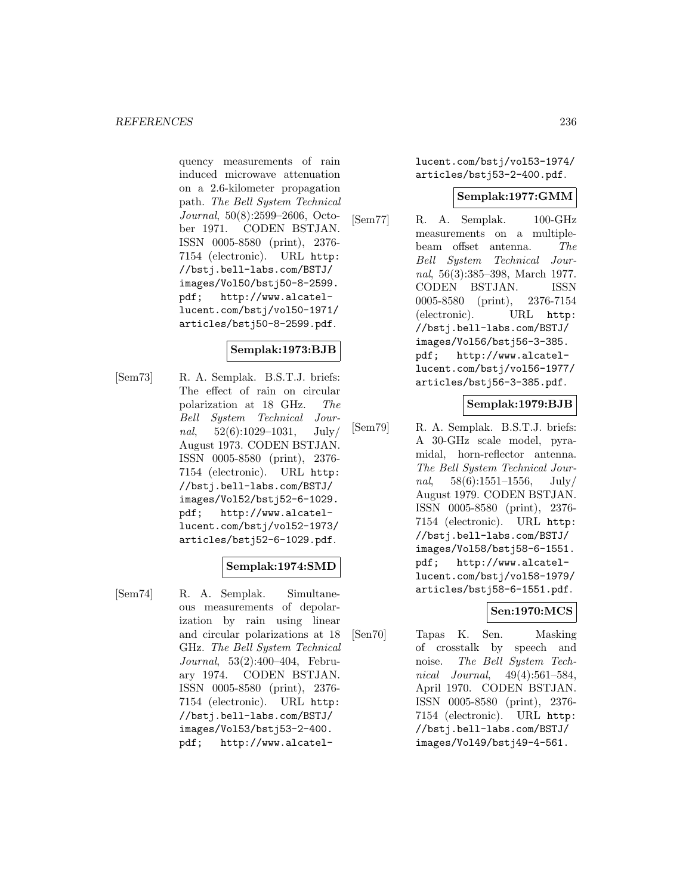quency measurements of rain induced microwave attenuation on a 2.6-kilometer propagation path. The Bell System Technical Journal, 50(8):2599–2606, October 1971. CODEN BSTJAN. ISSN 0005-8580 (print), 2376- 7154 (electronic). URL http: //bstj.bell-labs.com/BSTJ/ images/Vol50/bstj50-8-2599. pdf; http://www.alcatellucent.com/bstj/vol50-1971/ articles/bstj50-8-2599.pdf.

# **Semplak:1973:BJB**

[Sem73] R. A. Semplak. B.S.T.J. briefs: The effect of rain on circular polarization at 18 GHz. The Bell System Technical Journal,  $52(6):1029-1031$ , July/ August 1973. CODEN BSTJAN. ISSN 0005-8580 (print), 2376- 7154 (electronic). URL http: //bstj.bell-labs.com/BSTJ/ images/Vol52/bstj52-6-1029. pdf; http://www.alcatellucent.com/bstj/vol52-1973/ articles/bstj52-6-1029.pdf.

# **Semplak:1974:SMD**

[Sem74] R. A. Semplak. Simultaneous measurements of depolarization by rain using linear and circular polarizations at 18 GHz. The Bell System Technical Journal, 53(2):400–404, February 1974. CODEN BSTJAN. ISSN 0005-8580 (print), 2376- 7154 (electronic). URL http: //bstj.bell-labs.com/BSTJ/ images/Vol53/bstj53-2-400. pdf; http://www.alcatellucent.com/bstj/vol53-1974/ articles/bstj53-2-400.pdf.

# **Semplak:1977:GMM**

[Sem77] R. A. Semplak. 100-GHz measurements on a multiplebeam offset antenna. The Bell System Technical Journal, 56(3):385–398, March 1977. CODEN BSTJAN. ISSN 0005-8580 (print), 2376-7154 (electronic). URL http: //bstj.bell-labs.com/BSTJ/ images/Vol56/bstj56-3-385. pdf; http://www.alcatellucent.com/bstj/vol56-1977/ articles/bstj56-3-385.pdf.

# **Semplak:1979:BJB**

[Sem79] R. A. Semplak. B.S.T.J. briefs: A 30-GHz scale model, pyramidal, horn-reflector antenna. The Bell System Technical Journal,  $58(6):1551-1556$ , July/ August 1979. CODEN BSTJAN. ISSN 0005-8580 (print), 2376- 7154 (electronic). URL http: //bstj.bell-labs.com/BSTJ/ images/Vol58/bstj58-6-1551. pdf; http://www.alcatellucent.com/bstj/vol58-1979/ articles/bstj58-6-1551.pdf.

# **Sen:1970:MCS**

[Sen70] Tapas K. Sen. Masking of crosstalk by speech and noise. The Bell System Technical Journal, 49(4):561–584, April 1970. CODEN BSTJAN. ISSN 0005-8580 (print), 2376- 7154 (electronic). URL http: //bstj.bell-labs.com/BSTJ/ images/Vol49/bstj49-4-561.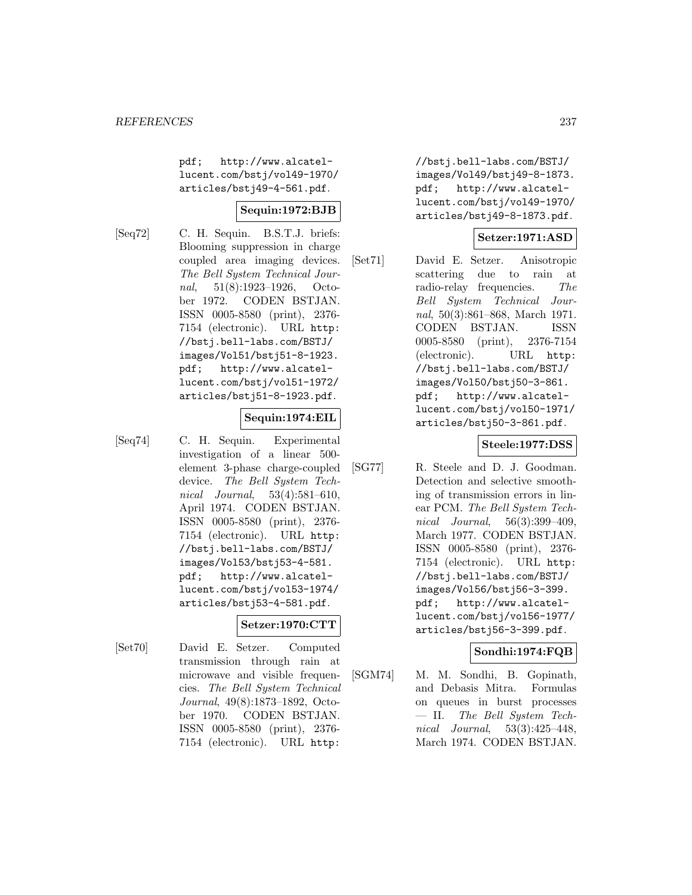pdf; http://www.alcatellucent.com/bstj/vol49-1970/ articles/bstj49-4-561.pdf.

# **Sequin:1972:BJB**

[Seq72] C. H. Sequin. B.S.T.J. briefs: Blooming suppression in charge coupled area imaging devices. The Bell System Technical Journal, 51(8):1923–1926, October 1972. CODEN BSTJAN. ISSN 0005-8580 (print), 2376- 7154 (electronic). URL http: //bstj.bell-labs.com/BSTJ/ images/Vol51/bstj51-8-1923. pdf; http://www.alcatellucent.com/bstj/vol51-1972/ articles/bstj51-8-1923.pdf.

### **Sequin:1974:EIL**

[Seq74] C. H. Sequin. Experimental investigation of a linear 500 element 3-phase charge-coupled device. The Bell System Technical Journal, 53(4):581–610, April 1974. CODEN BSTJAN. ISSN 0005-8580 (print), 2376- 7154 (electronic). URL http: //bstj.bell-labs.com/BSTJ/ images/Vol53/bstj53-4-581. pdf; http://www.alcatellucent.com/bstj/vol53-1974/ articles/bstj53-4-581.pdf.

### **Setzer:1970:CTT**

[Set70] David E. Setzer. Computed transmission through rain at microwave and visible frequencies. The Bell System Technical Journal, 49(8):1873–1892, October 1970. CODEN BSTJAN. ISSN 0005-8580 (print), 2376- 7154 (electronic). URL http:

//bstj.bell-labs.com/BSTJ/ images/Vol49/bstj49-8-1873. pdf; http://www.alcatellucent.com/bstj/vol49-1970/ articles/bstj49-8-1873.pdf.

# **Setzer:1971:ASD**

[Set71] David E. Setzer. Anisotropic scattering due to rain at radio-relay frequencies. The Bell System Technical Journal, 50(3):861–868, March 1971. CODEN BSTJAN. ISSN 0005-8580 (print), 2376-7154 (electronic). URL http: //bstj.bell-labs.com/BSTJ/ images/Vol50/bstj50-3-861. pdf; http://www.alcatellucent.com/bstj/vol50-1971/ articles/bstj50-3-861.pdf.

### **Steele:1977:DSS**

[SG77] R. Steele and D. J. Goodman. Detection and selective smoothing of transmission errors in linear PCM. The Bell System Technical Journal, 56(3):399–409, March 1977. CODEN BSTJAN. ISSN 0005-8580 (print), 2376- 7154 (electronic). URL http: //bstj.bell-labs.com/BSTJ/ images/Vol56/bstj56-3-399. pdf; http://www.alcatellucent.com/bstj/vol56-1977/ articles/bstj56-3-399.pdf.

# **Sondhi:1974:FQB**

[SGM74] M. M. Sondhi, B. Gopinath, and Debasis Mitra. Formulas on queues in burst processes — II. The Bell System Technical Journal, 53(3):425–448, March 1974. CODEN BSTJAN.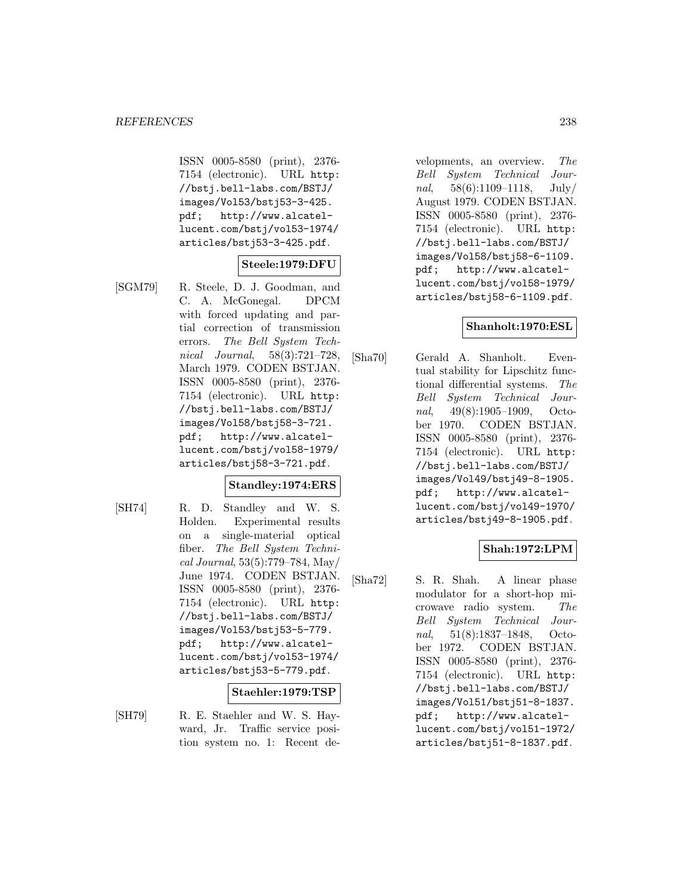ISSN 0005-8580 (print), 2376- 7154 (electronic). URL http: //bstj.bell-labs.com/BSTJ/ images/Vol53/bstj53-3-425. pdf; http://www.alcatellucent.com/bstj/vol53-1974/ articles/bstj53-3-425.pdf.

# **Steele:1979:DFU**

[SGM79] R. Steele, D. J. Goodman, and C. A. McGonegal. DPCM with forced updating and partial correction of transmission errors. The Bell System Technical Journal, 58(3):721–728, March 1979. CODEN BSTJAN. ISSN 0005-8580 (print), 2376- 7154 (electronic). URL http: //bstj.bell-labs.com/BSTJ/ images/Vol58/bstj58-3-721. pdf; http://www.alcatellucent.com/bstj/vol58-1979/ articles/bstj58-3-721.pdf.

# **Standley:1974:ERS**

[SH74] R. D. Standley and W. S. Holden. Experimental results on a single-material optical fiber. The Bell System Technical Journal, 53(5):779–784, May/ June 1974. CODEN BSTJAN. ISSN 0005-8580 (print), 2376- 7154 (electronic). URL http: //bstj.bell-labs.com/BSTJ/ images/Vol53/bstj53-5-779. pdf; http://www.alcatellucent.com/bstj/vol53-1974/ articles/bstj53-5-779.pdf.

### **Staehler:1979:TSP**

[SH79] R. E. Staehler and W. S. Hayward, Jr. Traffic service position system no. 1: Recent developments, an overview. The Bell System Technical Journal, 58(6):1109–1118, July/ August 1979. CODEN BSTJAN. ISSN 0005-8580 (print), 2376- 7154 (electronic). URL http: //bstj.bell-labs.com/BSTJ/ images/Vol58/bstj58-6-1109. pdf; http://www.alcatellucent.com/bstj/vol58-1979/ articles/bstj58-6-1109.pdf.

# **Shanholt:1970:ESL**

[Sha70] Gerald A. Shanholt. Eventual stability for Lipschitz functional differential systems. The Bell System Technical Journal, 49(8):1905–1909, October 1970. CODEN BSTJAN. ISSN 0005-8580 (print), 2376- 7154 (electronic). URL http: //bstj.bell-labs.com/BSTJ/ images/Vol49/bstj49-8-1905. pdf; http://www.alcatellucent.com/bstj/vol49-1970/ articles/bstj49-8-1905.pdf.

# **Shah:1972:LPM**

[Sha72] S. R. Shah. A linear phase modulator for a short-hop microwave radio system. The Bell System Technical Journal, 51(8):1837–1848, October 1972. CODEN BSTJAN. ISSN 0005-8580 (print), 2376- 7154 (electronic). URL http: //bstj.bell-labs.com/BSTJ/ images/Vol51/bstj51-8-1837. pdf; http://www.alcatellucent.com/bstj/vol51-1972/ articles/bstj51-8-1837.pdf.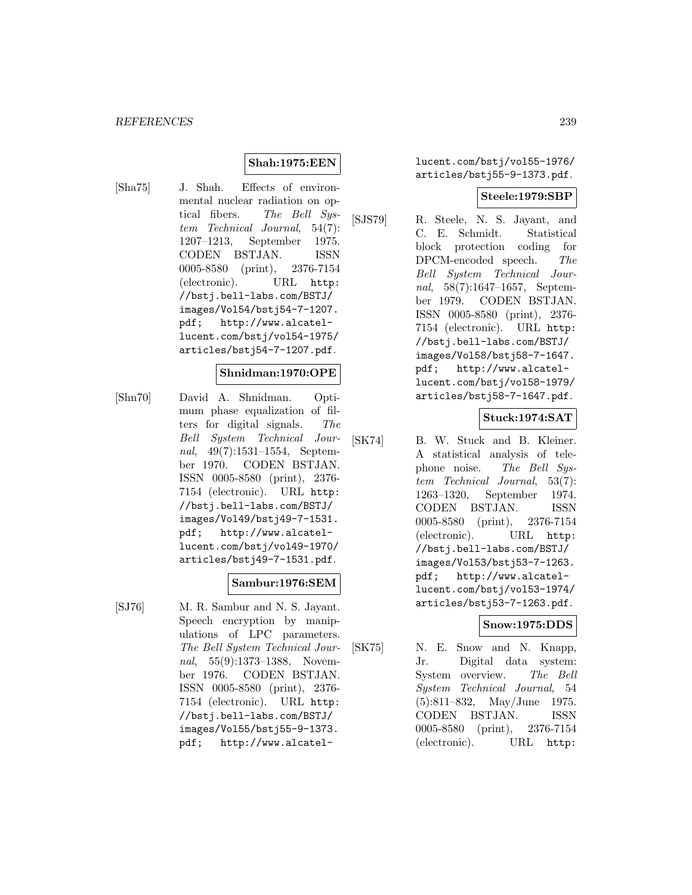### **Shah:1975:EEN**

[Sha75] J. Shah. Effects of environmental nuclear radiation on optical fibers. The Bell System Technical Journal, 54(7): 1207–1213, September 1975. CODEN BSTJAN. ISSN 0005-8580 (print), 2376-7154 (electronic). URL http: //bstj.bell-labs.com/BSTJ/ images/Vol54/bstj54-7-1207. pdf; http://www.alcatellucent.com/bstj/vol54-1975/ articles/bstj54-7-1207.pdf.

#### **Shnidman:1970:OPE**

[Shn70] David A. Shnidman. Optimum phase equalization of filters for digital signals. The Bell System Technical Journal, 49(7):1531–1554, September 1970. CODEN BSTJAN. ISSN 0005-8580 (print), 2376- 7154 (electronic). URL http: //bstj.bell-labs.com/BSTJ/ images/Vol49/bstj49-7-1531. pdf; http://www.alcatellucent.com/bstj/vol49-1970/ articles/bstj49-7-1531.pdf.

#### **Sambur:1976:SEM**

[SJ76] M. R. Sambur and N. S. Jayant. Speech encryption by manipulations of LPC parameters. The Bell System Technical Journal, 55(9):1373–1388, November 1976. CODEN BSTJAN. ISSN 0005-8580 (print), 2376- 7154 (electronic). URL http: //bstj.bell-labs.com/BSTJ/ images/Vol55/bstj55-9-1373. pdf; http://www.alcatellucent.com/bstj/vol55-1976/ articles/bstj55-9-1373.pdf.

#### **Steele:1979:SBP**

[SJS79] R. Steele, N. S. Jayant, and C. E. Schmidt. Statistical block protection coding for DPCM-encoded speech. The Bell System Technical Journal, 58(7):1647–1657, September 1979. CODEN BSTJAN. ISSN 0005-8580 (print), 2376- 7154 (electronic). URL http: //bstj.bell-labs.com/BSTJ/ images/Vol58/bstj58-7-1647. pdf; http://www.alcatellucent.com/bstj/vol58-1979/ articles/bstj58-7-1647.pdf.

### **Stuck:1974:SAT**

[SK74] B. W. Stuck and B. Kleiner. A statistical analysis of telephone noise. The Bell System Technical Journal, 53(7): 1263–1320, September 1974. CODEN BSTJAN. ISSN 0005-8580 (print), 2376-7154 (electronic). URL http: //bstj.bell-labs.com/BSTJ/ images/Vol53/bstj53-7-1263. pdf; http://www.alcatellucent.com/bstj/vol53-1974/ articles/bstj53-7-1263.pdf.

# **Snow:1975:DDS**

[SK75] N. E. Snow and N. Knapp, Jr. Digital data system: System overview. The Bell System Technical Journal, 54 (5):811–832, May/June 1975. CODEN BSTJAN. ISSN 0005-8580 (print), 2376-7154 (electronic). URL http: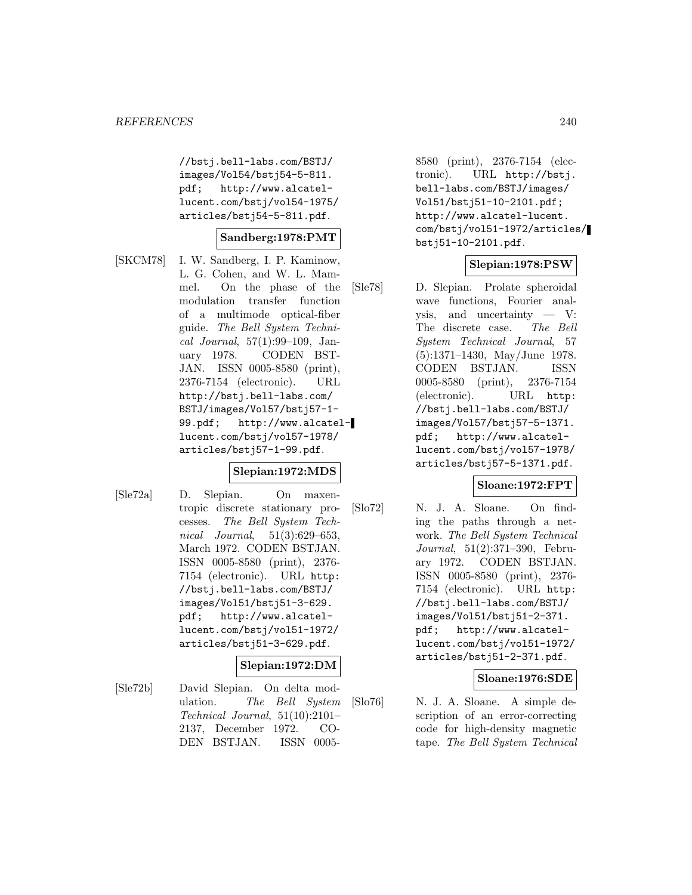//bstj.bell-labs.com/BSTJ/ images/Vol54/bstj54-5-811. pdf; http://www.alcatellucent.com/bstj/vol54-1975/ articles/bstj54-5-811.pdf.

### **Sandberg:1978:PMT**

[SKCM78] I. W. Sandberg, I. P. Kaminow, L. G. Cohen, and W. L. Mammel. On the phase of the modulation transfer function of a multimode optical-fiber guide. The Bell System Technical Journal, 57(1):99–109, January 1978. CODEN BST-JAN. ISSN 0005-8580 (print), 2376-7154 (electronic). URL http://bstj.bell-labs.com/ BSTJ/images/Vol57/bstj57-1- 99.pdf; http://www.alcatellucent.com/bstj/vol57-1978/ articles/bstj57-1-99.pdf.

#### **Slepian:1972:MDS**

[Sle72a] D. Slepian. On maxentropic discrete stationary processes. The Bell System Technical Journal, 51(3):629–653, March 1972. CODEN BSTJAN. ISSN 0005-8580 (print), 2376- 7154 (electronic). URL http: //bstj.bell-labs.com/BSTJ/ images/Vol51/bstj51-3-629. pdf; http://www.alcatellucent.com/bstj/vol51-1972/ articles/bstj51-3-629.pdf.

### **Slepian:1972:DM**

[Sle72b] David Slepian. On delta modulation. The Bell System Technical Journal, 51(10):2101– 2137, December 1972. CO-DEN BSTJAN. ISSN 00058580 (print), 2376-7154 (electronic). URL http://bstj. bell-labs.com/BSTJ/images/ Vol51/bstj51-10-2101.pdf; http://www.alcatel-lucent. com/bstj/vol51-1972/articles/ bstj51-10-2101.pdf.

# **Slepian:1978:PSW**

[Sle78] D. Slepian. Prolate spheroidal wave functions, Fourier analysis, and uncertainty — V: The discrete case. The Bell System Technical Journal, 57 (5):1371–1430, May/June 1978. CODEN BSTJAN. ISSN 0005-8580 (print), 2376-7154 (electronic). URL http: //bstj.bell-labs.com/BSTJ/ images/Vol57/bstj57-5-1371. pdf; http://www.alcatellucent.com/bstj/vol57-1978/ articles/bstj57-5-1371.pdf.

### **Sloane:1972:FPT**

[Slo72] N. J. A. Sloane. On finding the paths through a network. The Bell System Technical Journal, 51(2):371–390, February 1972. CODEN BSTJAN. ISSN 0005-8580 (print), 2376- 7154 (electronic). URL http: //bstj.bell-labs.com/BSTJ/ images/Vol51/bstj51-2-371. pdf; http://www.alcatellucent.com/bstj/vol51-1972/ articles/bstj51-2-371.pdf.

#### **Sloane:1976:SDE**

[Slo76] N. J. A. Sloane. A simple description of an error-correcting code for high-density magnetic tape. The Bell System Technical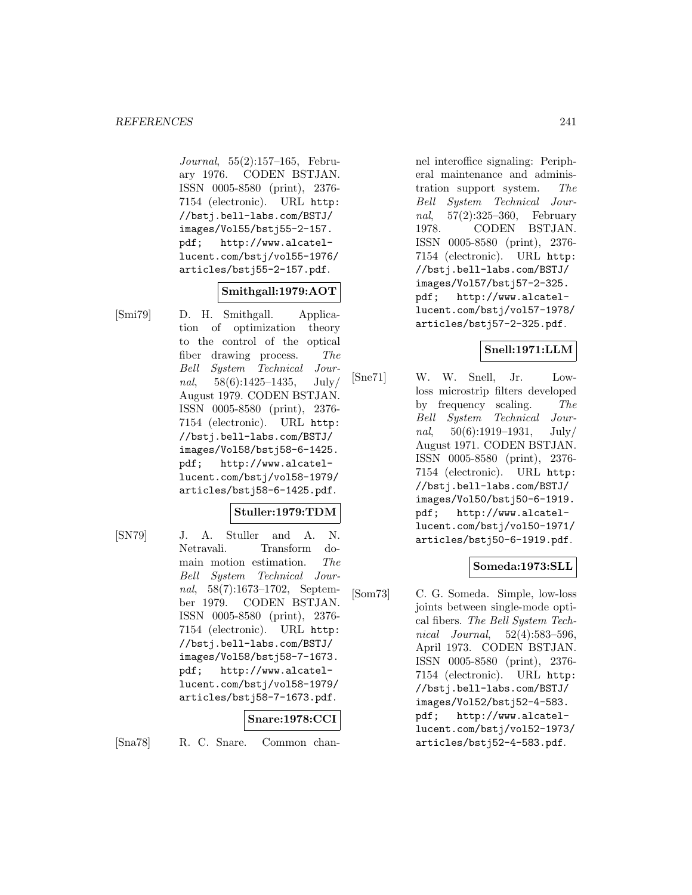Journal, 55(2):157–165, February 1976. CODEN BSTJAN. ISSN 0005-8580 (print), 2376- 7154 (electronic). URL http: //bstj.bell-labs.com/BSTJ/ images/Vol55/bstj55-2-157. pdf; http://www.alcatellucent.com/bstj/vol55-1976/ articles/bstj55-2-157.pdf.

# **Smithgall:1979:AOT**

[Smi79] D. H. Smithgall. Application of optimization theory to the control of the optical fiber drawing process. The Bell System Technical Journal,  $58(6):1425-1435$ , July August 1979. CODEN BSTJAN. ISSN 0005-8580 (print), 2376- 7154 (electronic). URL http: //bstj.bell-labs.com/BSTJ/ images/Vol58/bstj58-6-1425. pdf; http://www.alcatellucent.com/bstj/vol58-1979/ articles/bstj58-6-1425.pdf.

### **Stuller:1979:TDM**

[SN79] J. A. Stuller and A. N. Netravali. Transform domain motion estimation. The Bell System Technical Journal, 58(7):1673–1702, September 1979. CODEN BSTJAN. ISSN 0005-8580 (print), 2376- 7154 (electronic). URL http: //bstj.bell-labs.com/BSTJ/ images/Vol58/bstj58-7-1673. pdf; http://www.alcatellucent.com/bstj/vol58-1979/ articles/bstj58-7-1673.pdf.

#### **Snare:1978:CCI**

[Sna78] R. C. Snare. Common chan-

nel interoffice signaling: Peripheral maintenance and administration support system. The Bell System Technical Journal, 57(2):325–360, February 1978. CODEN BSTJAN. ISSN 0005-8580 (print), 2376- 7154 (electronic). URL http: //bstj.bell-labs.com/BSTJ/ images/Vol57/bstj57-2-325. pdf; http://www.alcatellucent.com/bstj/vol57-1978/ articles/bstj57-2-325.pdf.

# **Snell:1971:LLM**

[Sne71] W. W. Snell, Jr. Lowloss microstrip filters developed by frequency scaling. The Bell System Technical Journal,  $50(6):1919-1931$ , July/ August 1971. CODEN BSTJAN. ISSN 0005-8580 (print), 2376- 7154 (electronic). URL http: //bstj.bell-labs.com/BSTJ/ images/Vol50/bstj50-6-1919. pdf; http://www.alcatellucent.com/bstj/vol50-1971/ articles/bstj50-6-1919.pdf.

# **Someda:1973:SLL**

[Som73] C. G. Someda. Simple, low-loss joints between single-mode optical fibers. The Bell System Technical Journal, 52(4):583–596, April 1973. CODEN BSTJAN. ISSN 0005-8580 (print), 2376- 7154 (electronic). URL http: //bstj.bell-labs.com/BSTJ/ images/Vol52/bstj52-4-583. pdf; http://www.alcatellucent.com/bstj/vol52-1973/ articles/bstj52-4-583.pdf.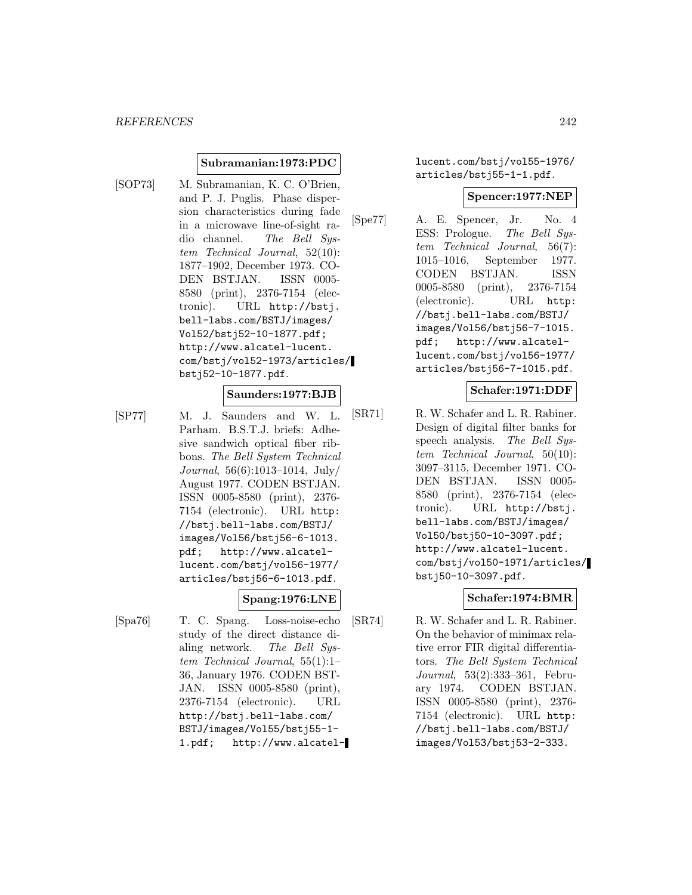#### **Subramanian:1973:PDC**

[SOP73] M. Subramanian, K. C. O'Brien, and P. J. Puglis. Phase dispersion characteristics during fade in a microwave line-of-sight radio channel. The Bell System Technical Journal, 52(10): 1877–1902, December 1973. CO-DEN BSTJAN. ISSN 0005- 8580 (print), 2376-7154 (electronic). URL http://bstj. bell-labs.com/BSTJ/images/ Vol52/bstj52-10-1877.pdf; http://www.alcatel-lucent. com/bstj/vol52-1973/articles/ bstj52-10-1877.pdf.

# **Saunders:1977:BJB**

[SP77] M. J. Saunders and W. L. Parham. B.S.T.J. briefs: Adhesive sandwich optical fiber ribbons. The Bell System Technical Journal, 56(6):1013–1014, July/ August 1977. CODEN BSTJAN. ISSN 0005-8580 (print), 2376- 7154 (electronic). URL http: //bstj.bell-labs.com/BSTJ/ images/Vol56/bstj56-6-1013. pdf; http://www.alcatellucent.com/bstj/vol56-1977/ articles/bstj56-6-1013.pdf.

### **Spang:1976:LNE**

[Spa76] T. C. Spang. Loss-noise-echo study of the direct distance dialing network. The Bell System Technical Journal, 55(1):1– 36, January 1976. CODEN BST-JAN. ISSN 0005-8580 (print), 2376-7154 (electronic). URL http://bstj.bell-labs.com/ BSTJ/images/Vol55/bstj55-1- 1.pdf; http://www.alcatellucent.com/bstj/vol55-1976/ articles/bstj55-1-1.pdf.

#### **Spencer:1977:NEP**

[Spe77] A. E. Spencer, Jr. No. 4 ESS: Prologue. The Bell System Technical Journal, 56(7): 1015–1016, September 1977. CODEN BSTJAN. ISSN 0005-8580 (print), 2376-7154 (electronic). URL http: //bstj.bell-labs.com/BSTJ/ images/Vol56/bstj56-7-1015. pdf; http://www.alcatellucent.com/bstj/vol56-1977/ articles/bstj56-7-1015.pdf.

## **Schafer:1971:DDF**

[SR71] R. W. Schafer and L. R. Rabiner. Design of digital filter banks for speech analysis. The Bell System Technical Journal, 50(10): 3097–3115, December 1971. CO-DEN BSTJAN. ISSN 0005- 8580 (print), 2376-7154 (electronic). URL http://bstj. bell-labs.com/BSTJ/images/ Vol50/bstj50-10-3097.pdf; http://www.alcatel-lucent. com/bstj/vol50-1971/articles/ bstj50-10-3097.pdf.

# **Schafer:1974:BMR**

[SR74] R. W. Schafer and L. R. Rabiner. On the behavior of minimax relative error FIR digital differentiators. The Bell System Technical Journal, 53(2):333–361, February 1974. CODEN BSTJAN. ISSN 0005-8580 (print), 2376- 7154 (electronic). URL http: //bstj.bell-labs.com/BSTJ/ images/Vol53/bstj53-2-333.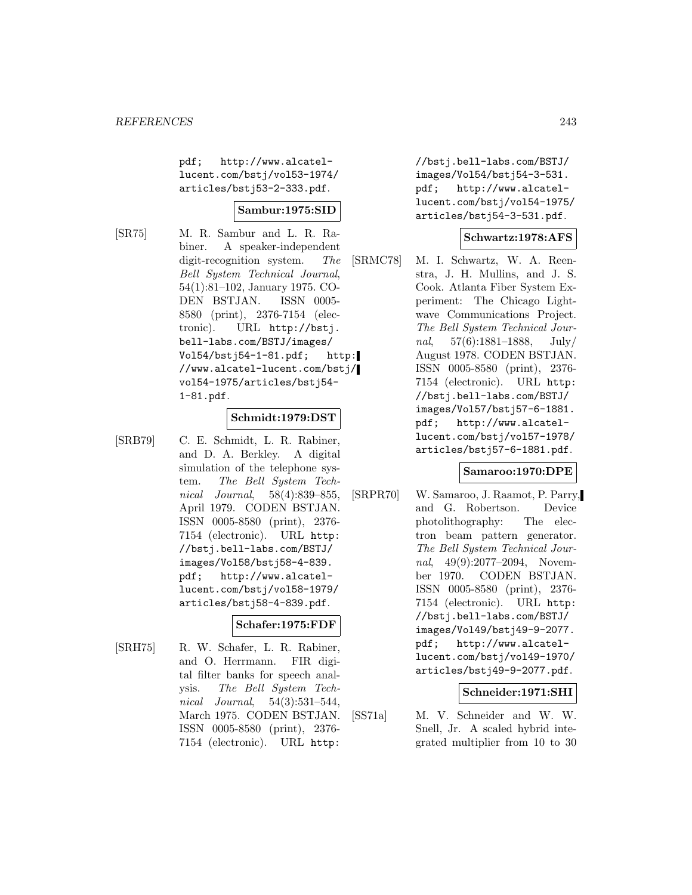pdf; http://www.alcatellucent.com/bstj/vol53-1974/ articles/bstj53-2-333.pdf.

# **Sambur:1975:SID**

[SR75] M. R. Sambur and L. R. Rabiner. A speaker-independent digit-recognition system. The Bell System Technical Journal, 54(1):81–102, January 1975. CO-DEN BSTJAN. ISSN 0005- 8580 (print), 2376-7154 (electronic). URL http://bstj. bell-labs.com/BSTJ/images/ Vol54/bstj54-1-81.pdf; http: //www.alcatel-lucent.com/bstj/ vol54-1975/articles/bstj54- 1-81.pdf.

#### **Schmidt:1979:DST**

[SRB79] C. E. Schmidt, L. R. Rabiner, and D. A. Berkley. A digital simulation of the telephone system. The Bell System Technical Journal, 58(4):839–855, April 1979. CODEN BSTJAN. ISSN 0005-8580 (print), 2376- 7154 (electronic). URL http: //bstj.bell-labs.com/BSTJ/ images/Vol58/bstj58-4-839. pdf; http://www.alcatellucent.com/bstj/vol58-1979/ articles/bstj58-4-839.pdf.

# **Schafer:1975:FDF**

[SRH75] R. W. Schafer, L. R. Rabiner, and O. Herrmann. FIR digital filter banks for speech analysis. The Bell System Technical Journal, 54(3):531–544, March 1975. CODEN BSTJAN. ISSN 0005-8580 (print), 2376- 7154 (electronic). URL http:

//bstj.bell-labs.com/BSTJ/ images/Vol54/bstj54-3-531. pdf; http://www.alcatellucent.com/bstj/vol54-1975/ articles/bstj54-3-531.pdf.

### **Schwartz:1978:AFS**

[SRMC78] M. I. Schwartz, W. A. Reenstra, J. H. Mullins, and J. S. Cook. Atlanta Fiber System Experiment: The Chicago Lightwave Communications Project. The Bell System Technical Journal, 57(6):1881–1888, July/ August 1978. CODEN BSTJAN. ISSN 0005-8580 (print), 2376- 7154 (electronic). URL http: //bstj.bell-labs.com/BSTJ/ images/Vol57/bstj57-6-1881. pdf; http://www.alcatellucent.com/bstj/vol57-1978/ articles/bstj57-6-1881.pdf.

### **Samaroo:1970:DPE**

[SRPR70] W. Samaroo, J. Raamot, P. Parry, and G. Robertson. Device photolithography: The electron beam pattern generator. The Bell System Technical Journal, 49(9):2077–2094, November 1970. CODEN BSTJAN. ISSN 0005-8580 (print), 2376- 7154 (electronic). URL http: //bstj.bell-labs.com/BSTJ/ images/Vol49/bstj49-9-2077. pdf; http://www.alcatellucent.com/bstj/vol49-1970/ articles/bstj49-9-2077.pdf.

### **Schneider:1971:SHI**

[SS71a] M. V. Schneider and W. W. Snell, Jr. A scaled hybrid integrated multiplier from 10 to 30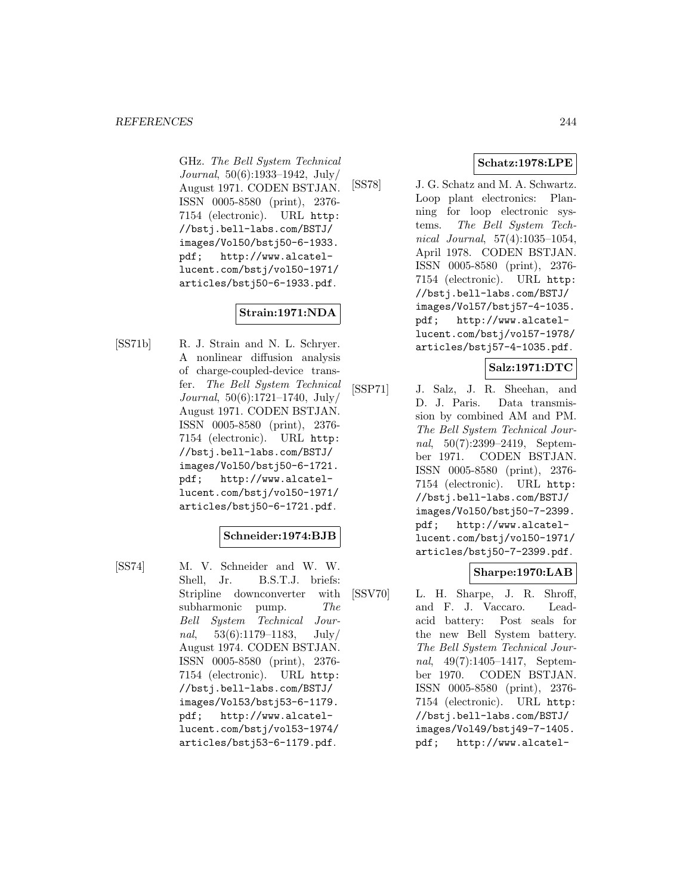GHz. The Bell System Technical Journal, 50(6):1933–1942, July/ August 1971. CODEN BSTJAN. ISSN 0005-8580 (print), 2376- 7154 (electronic). URL http: //bstj.bell-labs.com/BSTJ/ images/Vol50/bstj50-6-1933. pdf; http://www.alcatellucent.com/bstj/vol50-1971/ articles/bstj50-6-1933.pdf.

# **Strain:1971:NDA**

[SS71b] R. J. Strain and N. L. Schryer. A nonlinear diffusion analysis of charge-coupled-device transfer. The Bell System Technical Journal, 50(6):1721–1740, July/ August 1971. CODEN BSTJAN. ISSN 0005-8580 (print), 2376- 7154 (electronic). URL http: //bstj.bell-labs.com/BSTJ/ images/Vol50/bstj50-6-1721. pdf; http://www.alcatellucent.com/bstj/vol50-1971/ articles/bstj50-6-1721.pdf.

# **Schneider:1974:BJB**

[SS74] M. V. Schneider and W. W. Shell, Jr. B.S.T.J. briefs: Stripline downconverter with subharmonic pump. The Bell System Technical Journal,  $53(6):1179-1183$ , July/ August 1974. CODEN BSTJAN. ISSN 0005-8580 (print), 2376- 7154 (electronic). URL http: //bstj.bell-labs.com/BSTJ/ images/Vol53/bstj53-6-1179. pdf; http://www.alcatellucent.com/bstj/vol53-1974/ articles/bstj53-6-1179.pdf.

# **Schatz:1978:LPE**

[SS78] J. G. Schatz and M. A. Schwartz. Loop plant electronics: Planning for loop electronic systems. The Bell System Technical Journal, 57(4):1035–1054, April 1978. CODEN BSTJAN. ISSN 0005-8580 (print), 2376- 7154 (electronic). URL http: //bstj.bell-labs.com/BSTJ/ images/Vol57/bstj57-4-1035. pdf; http://www.alcatellucent.com/bstj/vol57-1978/ articles/bstj57-4-1035.pdf.

# **Salz:1971:DTC**

[SSP71] J. Salz, J. R. Sheehan, and D. J. Paris. Data transmission by combined AM and PM. The Bell System Technical Journal, 50(7):2399–2419, September 1971. CODEN BSTJAN. ISSN 0005-8580 (print), 2376- 7154 (electronic). URL http: //bstj.bell-labs.com/BSTJ/ images/Vol50/bstj50-7-2399. pdf; http://www.alcatellucent.com/bstj/vol50-1971/ articles/bstj50-7-2399.pdf.

# **Sharpe:1970:LAB**

[SSV70] L. H. Sharpe, J. R. Shroff, and F. J. Vaccaro. Leadacid battery: Post seals for the new Bell System battery. The Bell System Technical Journal, 49(7):1405–1417, September 1970. CODEN BSTJAN. ISSN 0005-8580 (print), 2376- 7154 (electronic). URL http: //bstj.bell-labs.com/BSTJ/ images/Vol49/bstj49-7-1405. pdf; http://www.alcatel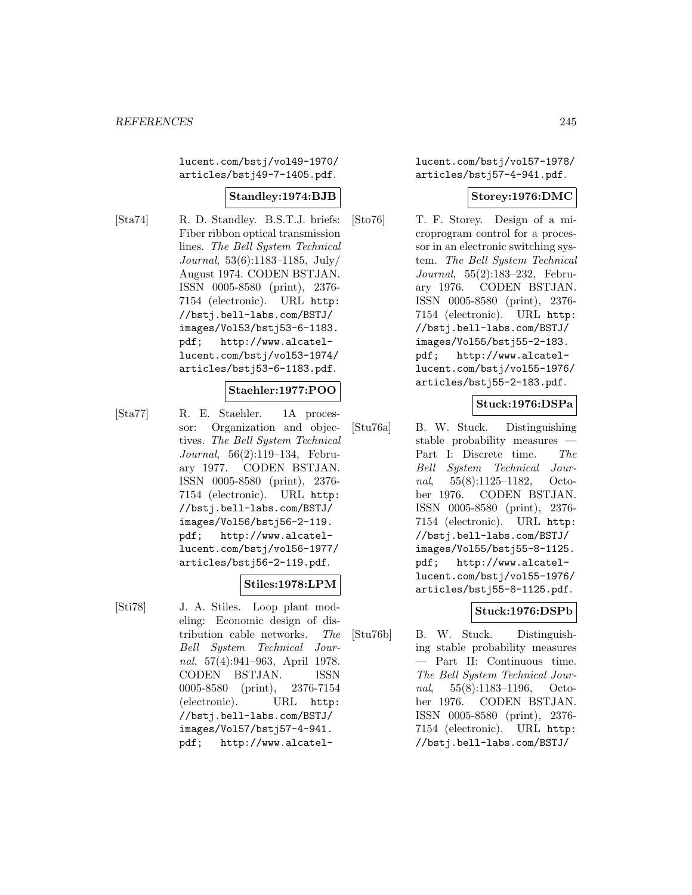lucent.com/bstj/vol49-1970/ articles/bstj49-7-1405.pdf.

## **Standley:1974:BJB**

[Sta74] R. D. Standley. B.S.T.J. briefs: Fiber ribbon optical transmission lines. The Bell System Technical Journal, 53(6):1183–1185, July/ August 1974. CODEN BSTJAN. ISSN 0005-8580 (print), 2376- 7154 (electronic). URL http: //bstj.bell-labs.com/BSTJ/ images/Vol53/bstj53-6-1183. pdf; http://www.alcatellucent.com/bstj/vol53-1974/ articles/bstj53-6-1183.pdf.

# **Staehler:1977:POO**

[Sta77] R. E. Staehler. 1A processor: Organization and objectives. The Bell System Technical Journal, 56(2):119–134, February 1977. CODEN BSTJAN. ISSN 0005-8580 (print), 2376- 7154 (electronic). URL http: //bstj.bell-labs.com/BSTJ/ images/Vol56/bstj56-2-119. pdf; http://www.alcatellucent.com/bstj/vol56-1977/ articles/bstj56-2-119.pdf.

### **Stiles:1978:LPM**

[Sti78] J. A. Stiles. Loop plant modeling: Economic design of distribution cable networks. The Bell System Technical Journal, 57(4):941–963, April 1978. CODEN BSTJAN. ISSN 0005-8580 (print), 2376-7154 (electronic). URL http: //bstj.bell-labs.com/BSTJ/ images/Vol57/bstj57-4-941. pdf; http://www.alcatellucent.com/bstj/vol57-1978/ articles/bstj57-4-941.pdf.

## **Storey:1976:DMC**

[Sto76] T. F. Storey. Design of a microprogram control for a processor in an electronic switching system. The Bell System Technical Journal, 55(2):183–232, February 1976. CODEN BSTJAN. ISSN 0005-8580 (print), 2376- 7154 (electronic). URL http: //bstj.bell-labs.com/BSTJ/ images/Vol55/bstj55-2-183. pdf; http://www.alcatellucent.com/bstj/vol55-1976/ articles/bstj55-2-183.pdf.

# **Stuck:1976:DSPa**

[Stu76a] B. W. Stuck. Distinguishing stable probability measures — Part I: Discrete time. The Bell System Technical Journal, 55(8):1125–1182, October 1976. CODEN BSTJAN. ISSN 0005-8580 (print), 2376- 7154 (electronic). URL http: //bstj.bell-labs.com/BSTJ/ images/Vol55/bstj55-8-1125. pdf; http://www.alcatellucent.com/bstj/vol55-1976/ articles/bstj55-8-1125.pdf.

### **Stuck:1976:DSPb**

[Stu76b] B. W. Stuck. Distinguishing stable probability measures — Part II: Continuous time. The Bell System Technical Journal, 55(8):1183–1196, October 1976. CODEN BSTJAN. ISSN 0005-8580 (print), 2376- 7154 (electronic). URL http: //bstj.bell-labs.com/BSTJ/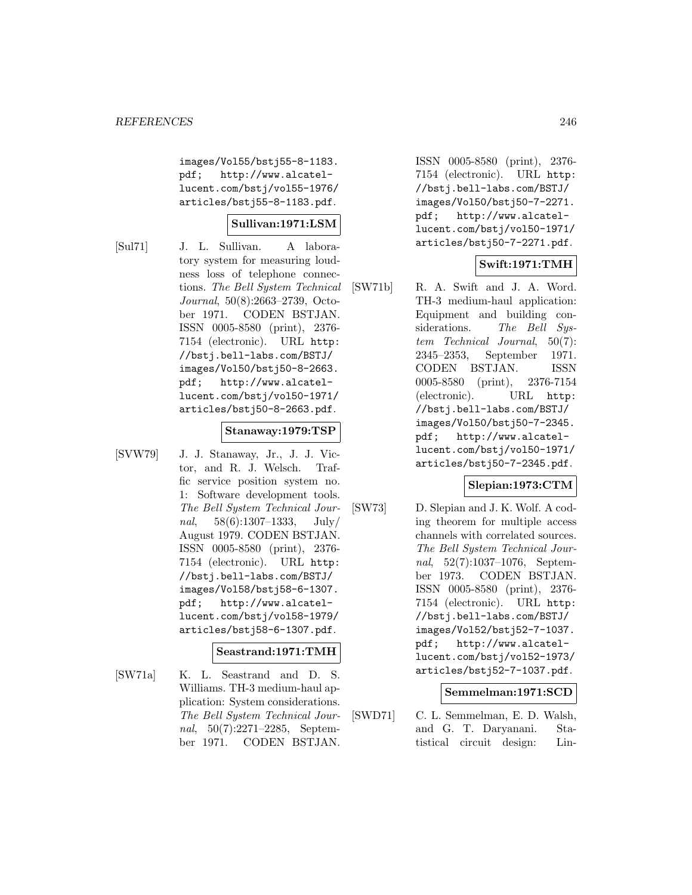images/Vol55/bstj55-8-1183. pdf; http://www.alcatellucent.com/bstj/vol55-1976/ articles/bstj55-8-1183.pdf.

## **Sullivan:1971:LSM**

[Sul71] J. L. Sullivan. A laboratory system for measuring loudness loss of telephone connections. The Bell System Technical Journal, 50(8):2663–2739, October 1971. CODEN BSTJAN. ISSN 0005-8580 (print), 2376- 7154 (electronic). URL http: //bstj.bell-labs.com/BSTJ/ images/Vol50/bstj50-8-2663. pdf; http://www.alcatellucent.com/bstj/vol50-1971/ articles/bstj50-8-2663.pdf.

### **Stanaway:1979:TSP**

[SVW79] J. J. Stanaway, Jr., J. J. Victor, and R. J. Welsch. Traffic service position system no. 1: Software development tools. The Bell System Technical Journal,  $58(6):1307-1333$ , July/ August 1979. CODEN BSTJAN. ISSN 0005-8580 (print), 2376- 7154 (electronic). URL http: //bstj.bell-labs.com/BSTJ/ images/Vol58/bstj58-6-1307. pdf; http://www.alcatellucent.com/bstj/vol58-1979/ articles/bstj58-6-1307.pdf.

# **Seastrand:1971:TMH**

[SW71a] K. L. Seastrand and D. S. Williams. TH-3 medium-haul application: System considerations. The Bell System Technical Journal, 50(7):2271–2285, September 1971. CODEN BSTJAN.

ISSN 0005-8580 (print), 2376- 7154 (electronic). URL http: //bstj.bell-labs.com/BSTJ/ images/Vol50/bstj50-7-2271. pdf; http://www.alcatellucent.com/bstj/vol50-1971/ articles/bstj50-7-2271.pdf.

# **Swift:1971:TMH**

[SW71b] R. A. Swift and J. A. Word. TH-3 medium-haul application: Equipment and building considerations. The Bell System Technical Journal, 50(7): 2345–2353, September 1971. CODEN BSTJAN. ISSN 0005-8580 (print), 2376-7154 (electronic). URL http: //bstj.bell-labs.com/BSTJ/ images/Vol50/bstj50-7-2345. pdf; http://www.alcatellucent.com/bstj/vol50-1971/ articles/bstj50-7-2345.pdf.

### **Slepian:1973:CTM**

[SW73] D. Slepian and J. K. Wolf. A coding theorem for multiple access channels with correlated sources. The Bell System Technical Journal, 52(7):1037–1076, September 1973. CODEN BSTJAN. ISSN 0005-8580 (print), 2376- 7154 (electronic). URL http: //bstj.bell-labs.com/BSTJ/ images/Vol52/bstj52-7-1037. pdf; http://www.alcatellucent.com/bstj/vol52-1973/ articles/bstj52-7-1037.pdf.

#### **Semmelman:1971:SCD**

[SWD71] C. L. Semmelman, E. D. Walsh, and G. T. Daryanani. Statistical circuit design: Lin-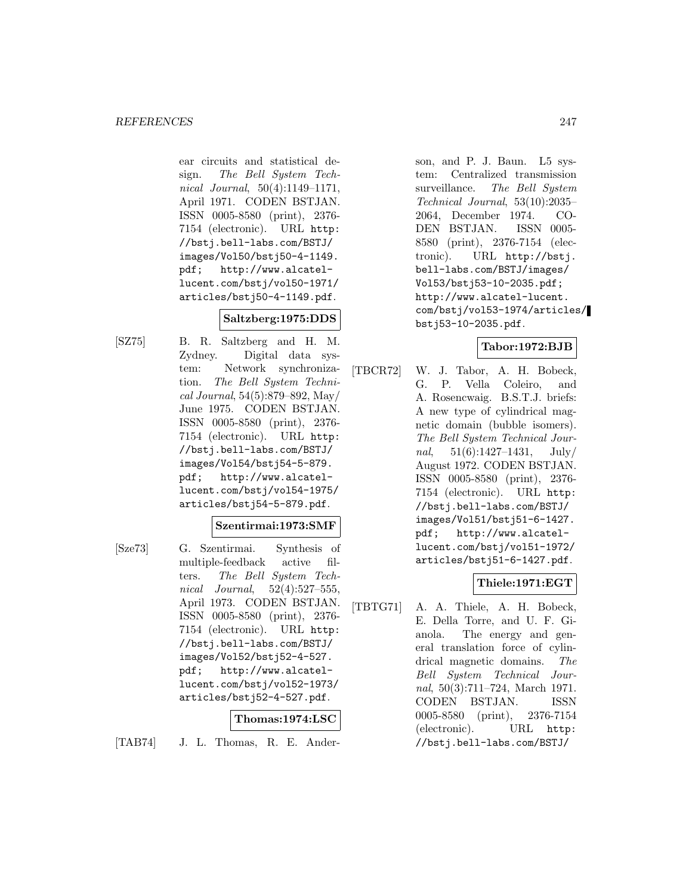ear circuits and statistical design. The Bell System Technical Journal, 50(4):1149–1171, April 1971. CODEN BSTJAN. ISSN 0005-8580 (print), 2376- 7154 (electronic). URL http: //bstj.bell-labs.com/BSTJ/ images/Vol50/bstj50-4-1149. pdf; http://www.alcatellucent.com/bstj/vol50-1971/ articles/bstj50-4-1149.pdf.

# **Saltzberg:1975:DDS**

[SZ75] B. R. Saltzberg and H. M. Zydney. Digital data system: Network synchronization. The Bell System Technical Journal, 54(5):879–892, May/ June 1975. CODEN BSTJAN. ISSN 0005-8580 (print), 2376- 7154 (electronic). URL http: //bstj.bell-labs.com/BSTJ/ images/Vol54/bstj54-5-879. pdf; http://www.alcatellucent.com/bstj/vol54-1975/ articles/bstj54-5-879.pdf.

### **Szentirmai:1973:SMF**

[Sze73] G. Szentirmai. Synthesis of multiple-feedback active filters. The Bell System Technical Journal, 52(4):527–555, April 1973. CODEN BSTJAN. ISSN 0005-8580 (print), 2376- 7154 (electronic). URL http: //bstj.bell-labs.com/BSTJ/ images/Vol52/bstj52-4-527. pdf; http://www.alcatellucent.com/bstj/vol52-1973/ articles/bstj52-4-527.pdf.

# **Thomas:1974:LSC**

[TAB74] J. L. Thomas, R. E. Ander-

son, and P. J. Baun. L5 system: Centralized transmission surveillance. The Bell System Technical Journal, 53(10):2035– 2064, December 1974. CO-DEN BSTJAN. ISSN 0005- 8580 (print), 2376-7154 (electronic). URL http://bstj. bell-labs.com/BSTJ/images/ Vol53/bstj53-10-2035.pdf; http://www.alcatel-lucent. com/bstj/vol53-1974/articles/ bstj53-10-2035.pdf.

# **Tabor:1972:BJB**

[TBCR72] W. J. Tabor, A. H. Bobeck, G. P. Vella Coleiro, and A. Rosencwaig. B.S.T.J. briefs: A new type of cylindrical magnetic domain (bubble isomers). The Bell System Technical Journal,  $51(6):1427-1431$ ,  $July/$ August 1972. CODEN BSTJAN. ISSN 0005-8580 (print), 2376- 7154 (electronic). URL http: //bstj.bell-labs.com/BSTJ/ images/Vol51/bstj51-6-1427. pdf; http://www.alcatellucent.com/bstj/vol51-1972/ articles/bstj51-6-1427.pdf.

# **Thiele:1971:EGT**

[TBTG71] A. A. Thiele, A. H. Bobeck, E. Della Torre, and U. F. Gianola. The energy and general translation force of cylindrical magnetic domains. The Bell System Technical Journal, 50(3):711–724, March 1971. CODEN BSTJAN. ISSN 0005-8580 (print), 2376-7154 (electronic). URL http: //bstj.bell-labs.com/BSTJ/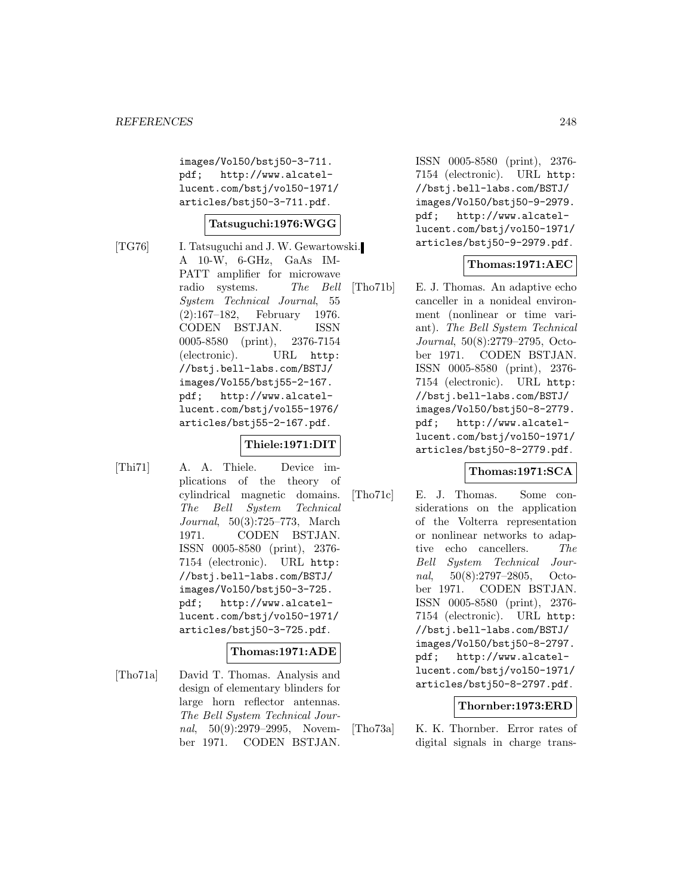images/Vol50/bstj50-3-711. pdf; http://www.alcatellucent.com/bstj/vol50-1971/ articles/bstj50-3-711.pdf.

## **Tatsuguchi:1976:WGG**

[TG76] I. Tatsuguchi and J. W. Gewartowski. A 10-W, 6-GHz, GaAs IM-PATT amplifier for microwave radio systems. The Bell System Technical Journal, 55 (2):167–182, February 1976. CODEN BSTJAN. ISSN 0005-8580 (print), 2376-7154 (electronic). URL http: //bstj.bell-labs.com/BSTJ/ images/Vol55/bstj55-2-167. pdf; http://www.alcatellucent.com/bstj/vol55-1976/ articles/bstj55-2-167.pdf.

# **Thiele:1971:DIT**

[Thi71] A. A. Thiele. Device implications of the theory of cylindrical magnetic domains. The Bell System Technical Journal, 50(3):725–773, March 1971. CODEN BSTJAN. ISSN 0005-8580 (print), 2376- 7154 (electronic). URL http: //bstj.bell-labs.com/BSTJ/ images/Vol50/bstj50-3-725. pdf; http://www.alcatellucent.com/bstj/vol50-1971/ articles/bstj50-3-725.pdf.

# **Thomas:1971:ADE**

[Tho71a] David T. Thomas. Analysis and design of elementary blinders for large horn reflector antennas. The Bell System Technical Journal, 50(9):2979–2995, November 1971. CODEN BSTJAN.

ISSN 0005-8580 (print), 2376- 7154 (electronic). URL http: //bstj.bell-labs.com/BSTJ/ images/Vol50/bstj50-9-2979. pdf; http://www.alcatellucent.com/bstj/vol50-1971/ articles/bstj50-9-2979.pdf.

# **Thomas:1971:AEC**

[Tho71b] E. J. Thomas. An adaptive echo canceller in a nonideal environment (nonlinear or time variant). The Bell System Technical Journal, 50(8):2779–2795, October 1971. CODEN BSTJAN. ISSN 0005-8580 (print), 2376- 7154 (electronic). URL http: //bstj.bell-labs.com/BSTJ/ images/Vol50/bstj50-8-2779. pdf; http://www.alcatellucent.com/bstj/vol50-1971/ articles/bstj50-8-2779.pdf.

# **Thomas:1971:SCA**

[Tho71c] E. J. Thomas. Some considerations on the application of the Volterra representation or nonlinear networks to adaptive echo cancellers. The Bell System Technical Journal, 50(8):2797–2805, October 1971. CODEN BSTJAN. ISSN 0005-8580 (print), 2376- 7154 (electronic). URL http: //bstj.bell-labs.com/BSTJ/ images/Vol50/bstj50-8-2797. pdf; http://www.alcatellucent.com/bstj/vol50-1971/ articles/bstj50-8-2797.pdf.

### **Thornber:1973:ERD**

[Tho73a] K. K. Thornber. Error rates of digital signals in charge trans-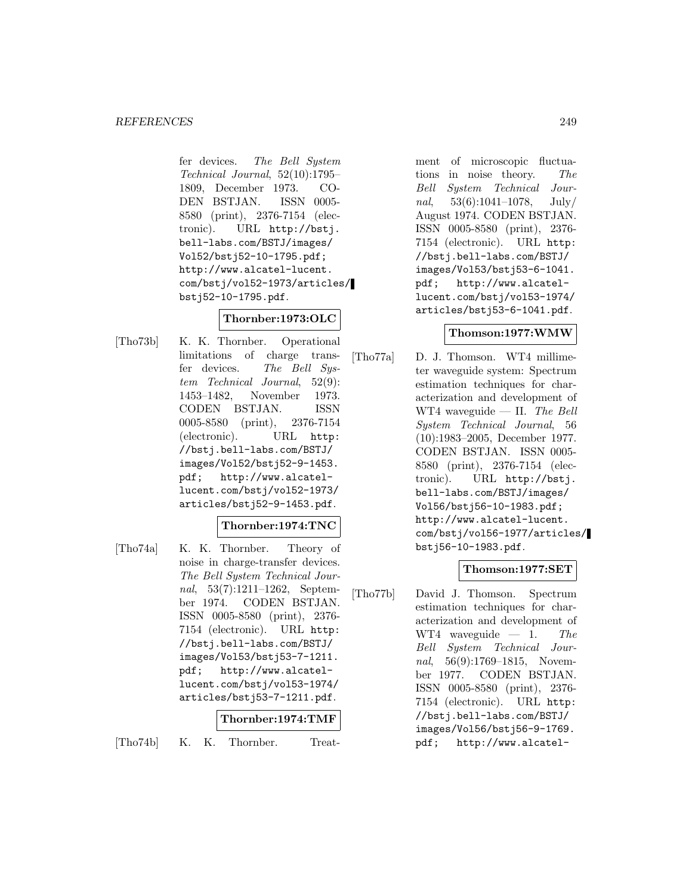fer devices. The Bell System Technical Journal, 52(10):1795– 1809, December 1973. CO-DEN BSTJAN. ISSN 0005- 8580 (print), 2376-7154 (electronic). URL http://bstj. bell-labs.com/BSTJ/images/ Vol52/bstj52-10-1795.pdf; http://www.alcatel-lucent. com/bstj/vol52-1973/articles/ bstj52-10-1795.pdf.

# **Thornber:1973:OLC**

[Tho73b] K. K. Thornber. Operational limitations of charge transfer devices. The Bell System Technical Journal, 52(9): 1453–1482, November 1973. CODEN BSTJAN. ISSN 0005-8580 (print), 2376-7154 (electronic). URL http: //bstj.bell-labs.com/BSTJ/ images/Vol52/bstj52-9-1453. pdf; http://www.alcatellucent.com/bstj/vol52-1973/ articles/bstj52-9-1453.pdf.

# **Thornber:1974:TNC**

[Tho74a] K. K. Thornber. Theory of noise in charge-transfer devices. The Bell System Technical Journal, 53(7):1211–1262, September 1974. CODEN BSTJAN. ISSN 0005-8580 (print), 2376- 7154 (electronic). URL http: //bstj.bell-labs.com/BSTJ/ images/Vol53/bstj53-7-1211. pdf; http://www.alcatellucent.com/bstj/vol53-1974/ articles/bstj53-7-1211.pdf.

# **Thornber:1974:TMF**

[Tho74b] K. K. Thornber. Treat-

ment of microscopic fluctuations in noise theory. The Bell System Technical Journal,  $53(6):1041-1078$ , July/ August 1974. CODEN BSTJAN. ISSN 0005-8580 (print), 2376- 7154 (electronic). URL http: //bstj.bell-labs.com/BSTJ/ images/Vol53/bstj53-6-1041. pdf; http://www.alcatellucent.com/bstj/vol53-1974/ articles/bstj53-6-1041.pdf.

# **Thomson:1977:WMW**

[Tho77a] D. J. Thomson. WT4 millimeter waveguide system: Spectrum estimation techniques for characterization and development of WT4 waveguide — II. The Bell System Technical Journal, 56 (10):1983–2005, December 1977. CODEN BSTJAN. ISSN 0005- 8580 (print), 2376-7154 (electronic). URL http://bstj. bell-labs.com/BSTJ/images/ Vol56/bstj56-10-1983.pdf; http://www.alcatel-lucent. com/bstj/vol56-1977/articles/ bstj56-10-1983.pdf.

# **Thomson:1977:SET**

[Tho77b] David J. Thomson. Spectrum estimation techniques for characterization and development of WT4 waveguide — 1. The Bell System Technical Journal, 56(9):1769–1815, November 1977. CODEN BSTJAN. ISSN 0005-8580 (print), 2376- 7154 (electronic). URL http: //bstj.bell-labs.com/BSTJ/ images/Vol56/bstj56-9-1769. pdf; http://www.alcatel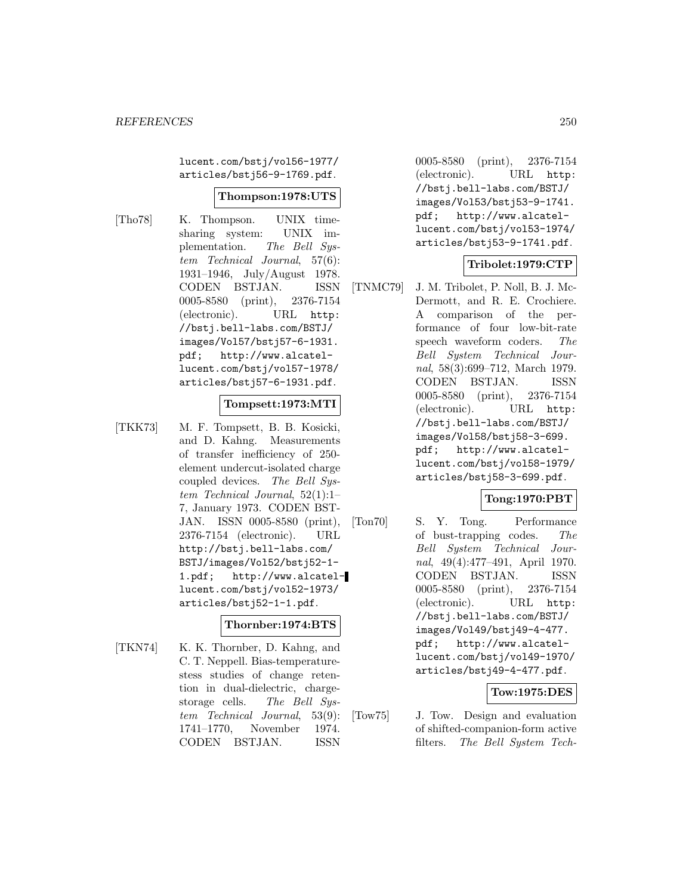lucent.com/bstj/vol56-1977/ articles/bstj56-9-1769.pdf.

#### **Thompson:1978:UTS**

[Tho78] K. Thompson. UNIX timesharing system: UNIX implementation. The Bell System Technical Journal, 57(6): 1931–1946, July/August 1978. CODEN BSTJAN. ISSN 0005-8580 (print), 2376-7154 (electronic). URL http: //bstj.bell-labs.com/BSTJ/ images/Vol57/bstj57-6-1931. pdf; http://www.alcatellucent.com/bstj/vol57-1978/ articles/bstj57-6-1931.pdf.

#### **Tompsett:1973:MTI**

[TKK73] M. F. Tompsett, B. B. Kosicki, and D. Kahng. Measurements of transfer inefficiency of 250 element undercut-isolated charge coupled devices. The Bell System Technical Journal, 52(1):1– 7, January 1973. CODEN BST-JAN. ISSN 0005-8580 (print), 2376-7154 (electronic). URL http://bstj.bell-labs.com/ BSTJ/images/Vol52/bstj52-1- 1.pdf; http://www.alcatellucent.com/bstj/vol52-1973/ articles/bstj52-1-1.pdf.

### **Thornber:1974:BTS**

[TKN74] K. K. Thornber, D. Kahng, and C. T. Neppell. Bias-temperaturestess studies of change retention in dual-dielectric, chargestorage cells. The Bell System Technical Journal, 53(9): 1741–1770, November 1974. CODEN BSTJAN. ISSN

0005-8580 (print), 2376-7154 (electronic). URL http: //bstj.bell-labs.com/BSTJ/ images/Vol53/bstj53-9-1741. pdf; http://www.alcatellucent.com/bstj/vol53-1974/ articles/bstj53-9-1741.pdf.

# **Tribolet:1979:CTP**

[TNMC79] J. M. Tribolet, P. Noll, B. J. Mc-Dermott, and R. E. Crochiere. A comparison of the performance of four low-bit-rate speech waveform coders. The Bell System Technical Journal, 58(3):699–712, March 1979. CODEN BSTJAN. ISSN 0005-8580 (print), 2376-7154 (electronic). URL http: //bstj.bell-labs.com/BSTJ/ images/Vol58/bstj58-3-699. pdf; http://www.alcatellucent.com/bstj/vol58-1979/ articles/bstj58-3-699.pdf.

### **Tong:1970:PBT**

[Ton70] S. Y. Tong. Performance of bust-trapping codes. The Bell System Technical Journal, 49(4):477–491, April 1970. CODEN BSTJAN. ISSN 0005-8580 (print), 2376-7154 (electronic). URL http: //bstj.bell-labs.com/BSTJ/ images/Vol49/bstj49-4-477. pdf; http://www.alcatellucent.com/bstj/vol49-1970/ articles/bstj49-4-477.pdf.

### **Tow:1975:DES**

[Tow75] J. Tow. Design and evaluation of shifted-companion-form active filters. The Bell System Tech-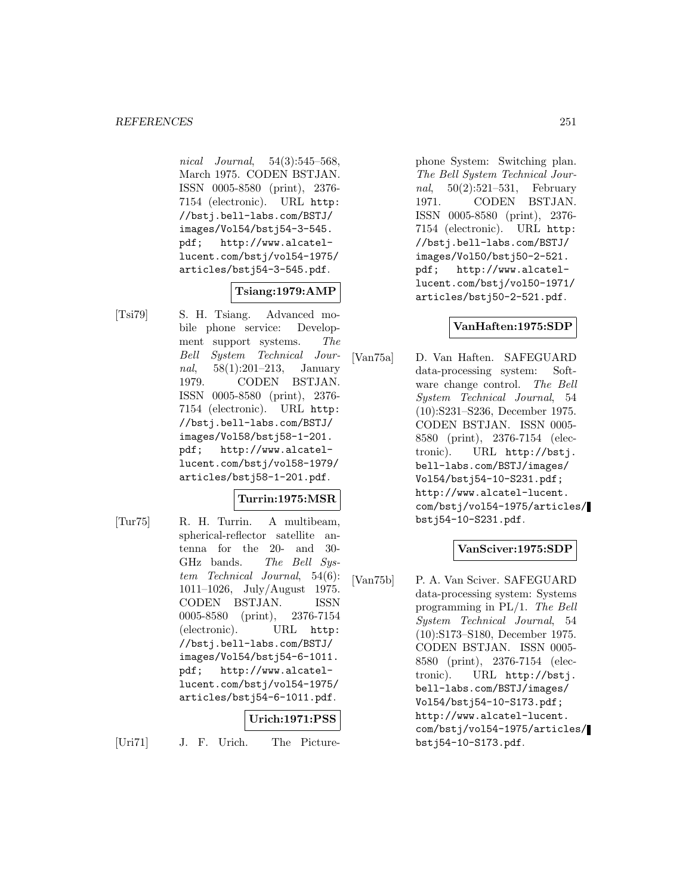nical Journal, 54(3):545–568, March 1975. CODEN BSTJAN. ISSN 0005-8580 (print), 2376- 7154 (electronic). URL http: //bstj.bell-labs.com/BSTJ/ images/Vol54/bstj54-3-545. pdf; http://www.alcatellucent.com/bstj/vol54-1975/ articles/bstj54-3-545.pdf.

# **Tsiang:1979:AMP**

[Tsi79] S. H. Tsiang. Advanced mobile phone service: Development support systems. The Bell System Technical Journal, 58(1):201–213, January 1979. CODEN BSTJAN. ISSN 0005-8580 (print), 2376- 7154 (electronic). URL http: //bstj.bell-labs.com/BSTJ/ images/Vol58/bstj58-1-201. pdf; http://www.alcatellucent.com/bstj/vol58-1979/ articles/bstj58-1-201.pdf.

# **Turrin:1975:MSR**

[Tur75] R. H. Turrin. A multibeam, spherical-reflector satellite antenna for the 20- and 30- GHz bands. The Bell System Technical Journal, 54(6): 1011–1026, July/August 1975. CODEN BSTJAN. ISSN 0005-8580 (print), 2376-7154 (electronic). URL http: //bstj.bell-labs.com/BSTJ/ images/Vol54/bstj54-6-1011. pdf; http://www.alcatellucent.com/bstj/vol54-1975/ articles/bstj54-6-1011.pdf.

# **Urich:1971:PSS**

[Uri71] J. F. Urich. The Picture-

phone System: Switching plan. The Bell System Technical Journal, 50(2):521–531, February 1971. CODEN BSTJAN. ISSN 0005-8580 (print), 2376- 7154 (electronic). URL http: //bstj.bell-labs.com/BSTJ/ images/Vol50/bstj50-2-521. pdf; http://www.alcatellucent.com/bstj/vol50-1971/ articles/bstj50-2-521.pdf.

# **VanHaften:1975:SDP**

[Van75a] D. Van Haften. SAFEGUARD data-processing system: Software change control. The Bell System Technical Journal, 54 (10):S231–S236, December 1975. CODEN BSTJAN. ISSN 0005- 8580 (print), 2376-7154 (electronic). URL http://bstj. bell-labs.com/BSTJ/images/ Vol54/bstj54-10-S231.pdf; http://www.alcatel-lucent. com/bstj/vol54-1975/articles/ bstj54-10-S231.pdf.

### **VanSciver:1975:SDP**

[Van75b] P. A. Van Sciver. SAFEGUARD data-processing system: Systems programming in PL/1. The Bell System Technical Journal, 54 (10):S173–S180, December 1975. CODEN BSTJAN. ISSN 0005- 8580 (print), 2376-7154 (electronic). URL http://bstj. bell-labs.com/BSTJ/images/ Vol54/bstj54-10-S173.pdf; http://www.alcatel-lucent. com/bstj/vol54-1975/articles/ bstj54-10-S173.pdf.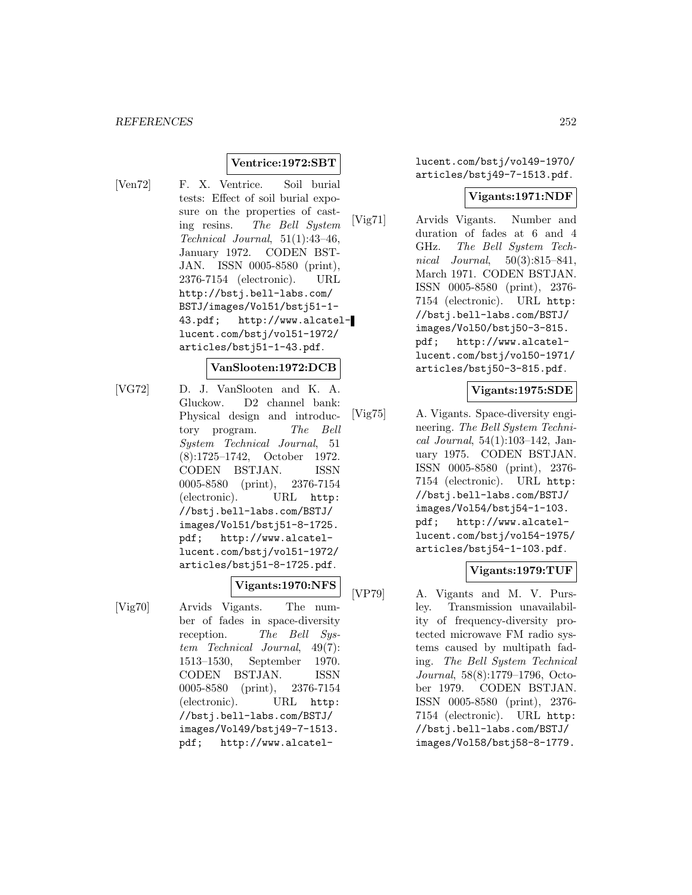## **Ventrice:1972:SBT**

[Ven72] F. X. Ventrice. Soil burial tests: Effect of soil burial exposure on the properties of casting resins. The Bell System Technical Journal, 51(1):43–46, January 1972. CODEN BST-JAN. ISSN 0005-8580 (print), 2376-7154 (electronic). URL http://bstj.bell-labs.com/ BSTJ/images/Vol51/bstj51-1- 43.pdf; http://www.alcatellucent.com/bstj/vol51-1972/ articles/bstj51-1-43.pdf.

#### **VanSlooten:1972:DCB**

[VG72] D. J. VanSlooten and K. A. Gluckow. D2 channel bank: Physical design and introductory program. The Bell System Technical Journal, 51 (8):1725–1742, October 1972. CODEN BSTJAN. ISSN 0005-8580 (print), 2376-7154 (electronic). URL http: //bstj.bell-labs.com/BSTJ/ images/Vol51/bstj51-8-1725. pdf; http://www.alcatellucent.com/bstj/vol51-1972/ articles/bstj51-8-1725.pdf.

**Vigants:1970:NFS**

[Vig70] Arvids Vigants. The number of fades in space-diversity reception. The Bell System Technical Journal, 49(7): 1513–1530, September 1970. CODEN BSTJAN. ISSN 0005-8580 (print), 2376-7154 (electronic). URL http: //bstj.bell-labs.com/BSTJ/ images/Vol49/bstj49-7-1513. pdf; http://www.alcatellucent.com/bstj/vol49-1970/ articles/bstj49-7-1513.pdf.

### **Vigants:1971:NDF**

[Vig71] Arvids Vigants. Number and duration of fades at 6 and 4 GHz. The Bell System Technical Journal, 50(3):815–841, March 1971. CODEN BSTJAN. ISSN 0005-8580 (print), 2376- 7154 (electronic). URL http: //bstj.bell-labs.com/BSTJ/ images/Vol50/bstj50-3-815. pdf; http://www.alcatellucent.com/bstj/vol50-1971/ articles/bstj50-3-815.pdf.

# **Vigants:1975:SDE**

[Vig75] A. Vigants. Space-diversity engineering. The Bell System Technical Journal, 54(1):103–142, January 1975. CODEN BSTJAN. ISSN 0005-8580 (print), 2376- 7154 (electronic). URL http: //bstj.bell-labs.com/BSTJ/ images/Vol54/bstj54-1-103. pdf; http://www.alcatellucent.com/bstj/vol54-1975/ articles/bstj54-1-103.pdf.

# **Vigants:1979:TUF**

[VP79] A. Vigants and M. V. Pursley. Transmission unavailability of frequency-diversity protected microwave FM radio systems caused by multipath fading. The Bell System Technical Journal, 58(8):1779–1796, October 1979. CODEN BSTJAN. ISSN 0005-8580 (print), 2376- 7154 (electronic). URL http: //bstj.bell-labs.com/BSTJ/ images/Vol58/bstj58-8-1779.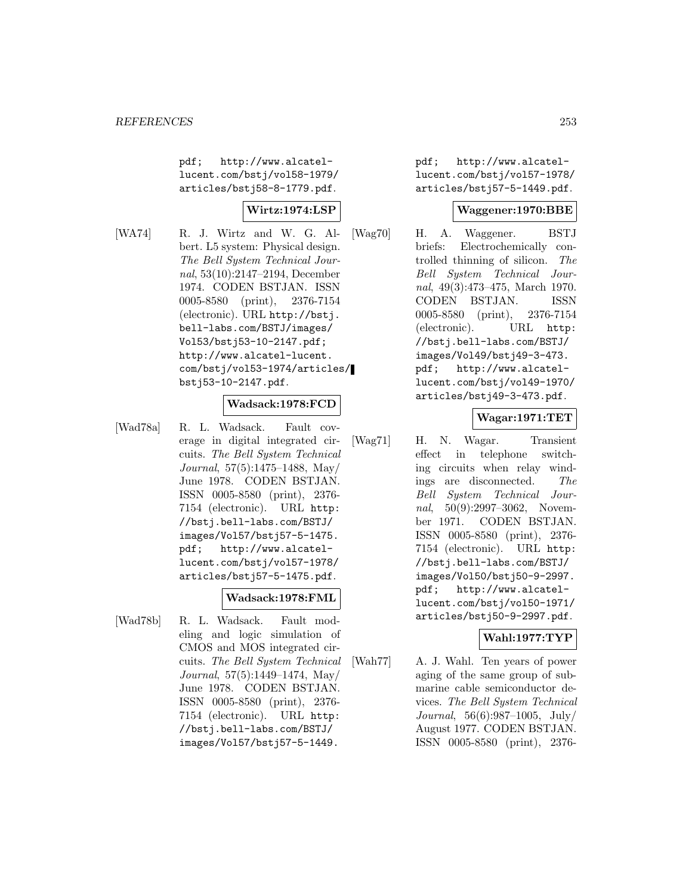pdf; http://www.alcatellucent.com/bstj/vol58-1979/ articles/bstj58-8-1779.pdf.

# **Wirtz:1974:LSP**

[WA74] R. J. Wirtz and W. G. Albert. L5 system: Physical design. The Bell System Technical Journal, 53(10):2147–2194, December 1974. CODEN BSTJAN. ISSN 0005-8580 (print), 2376-7154 (electronic). URL http://bstj. bell-labs.com/BSTJ/images/ Vol53/bstj53-10-2147.pdf; http://www.alcatel-lucent. com/bstj/vol53-1974/articles/ bstj53-10-2147.pdf.

#### **Wadsack:1978:FCD**

[Wad78a] R. L. Wadsack. Fault coverage in digital integrated circuits. The Bell System Technical Journal, 57(5):1475–1488, May/ June 1978. CODEN BSTJAN. ISSN 0005-8580 (print), 2376- 7154 (electronic). URL http: //bstj.bell-labs.com/BSTJ/ images/Vol57/bstj57-5-1475. pdf; http://www.alcatellucent.com/bstj/vol57-1978/ articles/bstj57-5-1475.pdf.

#### **Wadsack:1978:FML**

[Wad78b] R. L. Wadsack. Fault modeling and logic simulation of CMOS and MOS integrated circuits. The Bell System Technical Journal, 57(5):1449–1474, May/ June 1978. CODEN BSTJAN. ISSN 0005-8580 (print), 2376- 7154 (electronic). URL http: //bstj.bell-labs.com/BSTJ/ images/Vol57/bstj57-5-1449.

pdf; http://www.alcatellucent.com/bstj/vol57-1978/ articles/bstj57-5-1449.pdf.

#### **Waggener:1970:BBE**

[Wag70] H. A. Waggener. BSTJ briefs: Electrochemically controlled thinning of silicon. The Bell System Technical Journal, 49(3):473–475, March 1970. CODEN BSTJAN. ISSN 0005-8580 (print), 2376-7154 (electronic). URL http: //bstj.bell-labs.com/BSTJ/ images/Vol49/bstj49-3-473. pdf; http://www.alcatellucent.com/bstj/vol49-1970/ articles/bstj49-3-473.pdf.

### **Wagar:1971:TET**

[Wag71] H. N. Wagar. Transient effect in telephone switching circuits when relay windings are disconnected. The Bell System Technical Journal, 50(9):2997-3062, November 1971. CODEN BSTJAN. ISSN 0005-8580 (print), 2376- 7154 (electronic). URL http: //bstj.bell-labs.com/BSTJ/ images/Vol50/bstj50-9-2997. pdf; http://www.alcatellucent.com/bstj/vol50-1971/ articles/bstj50-9-2997.pdf.

## **Wahl:1977:TYP**

[Wah77] A. J. Wahl. Ten years of power aging of the same group of submarine cable semiconductor devices. The Bell System Technical Journal, 56(6):987–1005, July/ August 1977. CODEN BSTJAN. ISSN 0005-8580 (print), 2376-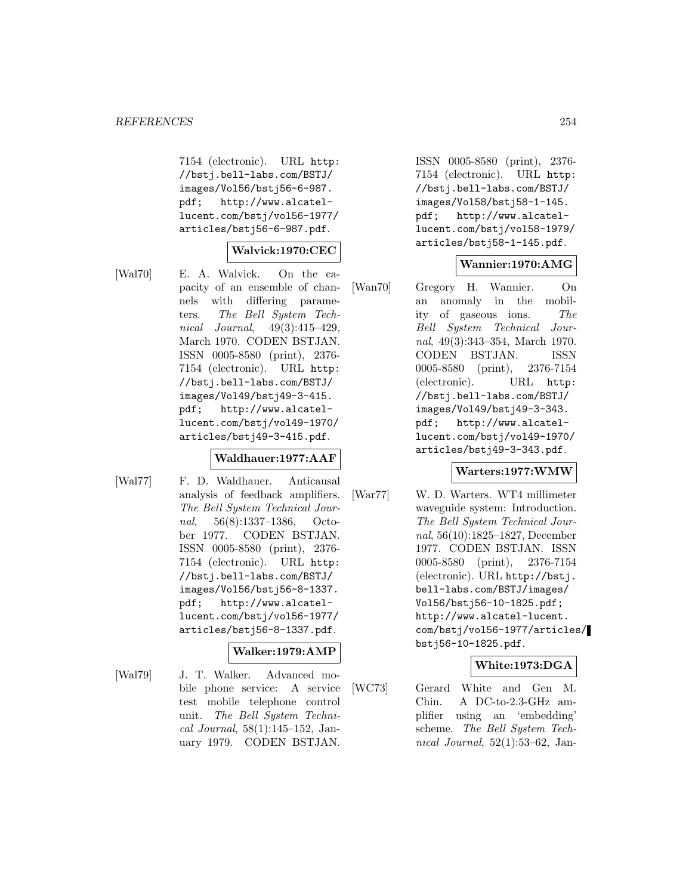7154 (electronic). URL http: //bstj.bell-labs.com/BSTJ/ images/Vol56/bstj56-6-987. pdf; http://www.alcatellucent.com/bstj/vol56-1977/ articles/bstj56-6-987.pdf.

### **Walvick:1970:CEC**

[Wal70] E. A. Walvick. On the capacity of an ensemble of channels with differing parameters. The Bell System Technical Journal, 49(3):415–429, March 1970. CODEN BSTJAN. ISSN 0005-8580 (print), 2376- 7154 (electronic). URL http: //bstj.bell-labs.com/BSTJ/ images/Vol49/bstj49-3-415. pdf; http://www.alcatellucent.com/bstj/vol49-1970/ articles/bstj49-3-415.pdf.

#### **Waldhauer:1977:AAF**

[Wal77] F. D. Waldhauer. Anticausal analysis of feedback amplifiers. The Bell System Technical Journal, 56(8):1337–1386, October 1977. CODEN BSTJAN. ISSN 0005-8580 (print), 2376- 7154 (electronic). URL http: //bstj.bell-labs.com/BSTJ/ images/Vol56/bstj56-8-1337. pdf; http://www.alcatellucent.com/bstj/vol56-1977/ articles/bstj56-8-1337.pdf.

# **Walker:1979:AMP**

[Wal79] J. T. Walker. Advanced mobile phone service: A service test mobile telephone control unit. The Bell System Technical Journal, 58(1):145–152, January 1979. CODEN BSTJAN.

ISSN 0005-8580 (print), 2376- 7154 (electronic). URL http: //bstj.bell-labs.com/BSTJ/ images/Vol58/bstj58-1-145. pdf; http://www.alcatellucent.com/bstj/vol58-1979/ articles/bstj58-1-145.pdf.

### **Wannier:1970:AMG**

[Wan70] Gregory H. Wannier. On an anomaly in the mobility of gaseous ions. The Bell System Technical Journal, 49(3):343–354, March 1970. CODEN BSTJAN. ISSN 0005-8580 (print), 2376-7154 (electronic). URL http: //bstj.bell-labs.com/BSTJ/ images/Vol49/bstj49-3-343. pdf; http://www.alcatellucent.com/bstj/vol49-1970/ articles/bstj49-3-343.pdf.

#### **Warters:1977:WMW**

[War77] W. D. Warters. WT4 millimeter waveguide system: Introduction. The Bell System Technical Journal, 56(10):1825–1827, December 1977. CODEN BSTJAN. ISSN 0005-8580 (print), 2376-7154 (electronic). URL http://bstj. bell-labs.com/BSTJ/images/ Vol56/bstj56-10-1825.pdf; http://www.alcatel-lucent. com/bstj/vol56-1977/articles/ bstj56-10-1825.pdf.

#### **White:1973:DGA**

[WC73] Gerard White and Gen M. Chin. A DC-to-2.3-GHz amplifier using an 'embedding' scheme. The Bell System Technical Journal,  $52(1):53-62$ , Jan-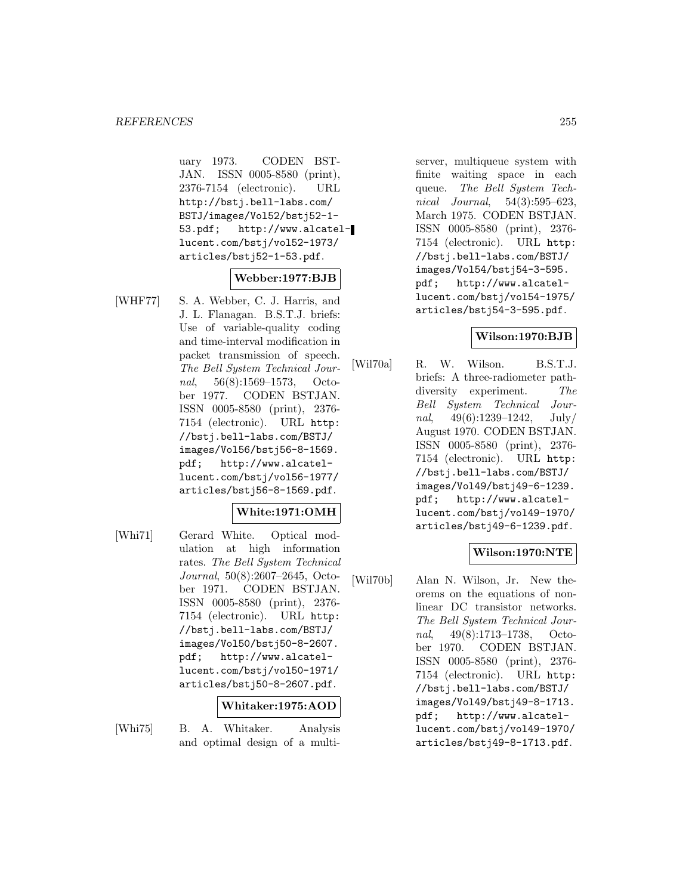uary 1973. CODEN BST-JAN. ISSN 0005-8580 (print), 2376-7154 (electronic). URL http://bstj.bell-labs.com/ BSTJ/images/Vol52/bstj52-1- 53.pdf; http://www.alcatellucent.com/bstj/vol52-1973/ articles/bstj52-1-53.pdf.

#### **Webber:1977:BJB**

[WHF77] S. A. Webber, C. J. Harris, and J. L. Flanagan. B.S.T.J. briefs: Use of variable-quality coding and time-interval modification in packet transmission of speech. The Bell System Technical Journal, 56(8):1569–1573, October 1977. CODEN BSTJAN. ISSN 0005-8580 (print), 2376- 7154 (electronic). URL http: //bstj.bell-labs.com/BSTJ/ images/Vol56/bstj56-8-1569. pdf; http://www.alcatellucent.com/bstj/vol56-1977/ articles/bstj56-8-1569.pdf.

## **White:1971:OMH**

[Whi71] Gerard White. Optical modulation at high information rates. The Bell System Technical Journal, 50(8):2607–2645, October 1971. CODEN BSTJAN. ISSN 0005-8580 (print), 2376- 7154 (electronic). URL http: //bstj.bell-labs.com/BSTJ/ images/Vol50/bstj50-8-2607. pdf; http://www.alcatellucent.com/bstj/vol50-1971/ articles/bstj50-8-2607.pdf.

#### **Whitaker:1975:AOD**

[Whi75] B. A. Whitaker. Analysis and optimal design of a multiserver, multiqueue system with finite waiting space in each queue. The Bell System Technical Journal, 54(3):595–623, March 1975. CODEN BSTJAN. ISSN 0005-8580 (print), 2376- 7154 (electronic). URL http: //bstj.bell-labs.com/BSTJ/ images/Vol54/bstj54-3-595. pdf; http://www.alcatellucent.com/bstj/vol54-1975/ articles/bstj54-3-595.pdf.

### **Wilson:1970:BJB**

[Wil70a] R. W. Wilson. B.S.T.J. briefs: A three-radiometer pathdiversity experiment. The Bell System Technical Journal,  $49(6):1239-1242$ , July/ August 1970. CODEN BSTJAN. ISSN 0005-8580 (print), 2376- 7154 (electronic). URL http: //bstj.bell-labs.com/BSTJ/ images/Vol49/bstj49-6-1239. pdf; http://www.alcatellucent.com/bstj/vol49-1970/ articles/bstj49-6-1239.pdf.

## **Wilson:1970:NTE**

[Wil70b] Alan N. Wilson, Jr. New theorems on the equations of nonlinear DC transistor networks. The Bell System Technical Journal, 49(8):1713–1738, October 1970. CODEN BSTJAN. ISSN 0005-8580 (print), 2376- 7154 (electronic). URL http: //bstj.bell-labs.com/BSTJ/ images/Vol49/bstj49-8-1713. pdf; http://www.alcatellucent.com/bstj/vol49-1970/ articles/bstj49-8-1713.pdf.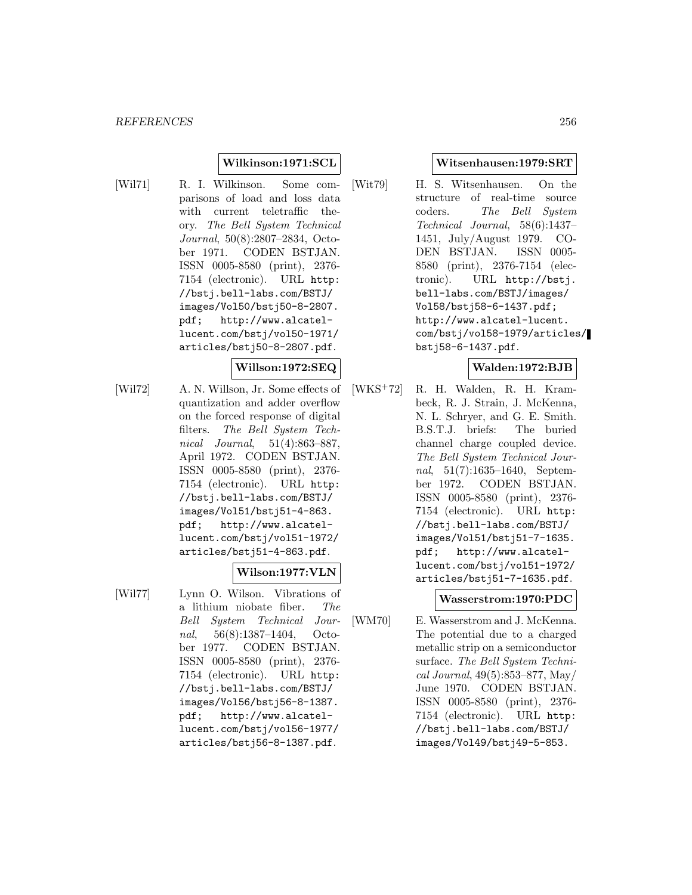### **Wilkinson:1971:SCL**

- 
- [Wil71] R. I. Wilkinson. Some comparisons of load and loss data with current teletraffic theory. The Bell System Technical Journal, 50(8):2807–2834, October 1971. CODEN BSTJAN. ISSN 0005-8580 (print), 2376- 7154 (electronic). URL http: //bstj.bell-labs.com/BSTJ/ images/Vol50/bstj50-8-2807. pdf; http://www.alcatellucent.com/bstj/vol50-1971/ articles/bstj50-8-2807.pdf.

#### **Willson:1972:SEQ**

[Wil72] A. N. Willson, Jr. Some effects of quantization and adder overflow on the forced response of digital filters. The Bell System Technical Journal, 51(4):863–887, April 1972. CODEN BSTJAN. ISSN 0005-8580 (print), 2376- 7154 (electronic). URL http: //bstj.bell-labs.com/BSTJ/ images/Vol51/bstj51-4-863. pdf; http://www.alcatellucent.com/bstj/vol51-1972/ articles/bstj51-4-863.pdf.

## **Wilson:1977:VLN**

[Wil77] Lynn O. Wilson. Vibrations of a lithium niobate fiber. The Bell System Technical Journal, 56(8):1387–1404, October 1977. CODEN BSTJAN. ISSN 0005-8580 (print), 2376- 7154 (electronic). URL http: //bstj.bell-labs.com/BSTJ/ images/Vol56/bstj56-8-1387. pdf; http://www.alcatellucent.com/bstj/vol56-1977/ articles/bstj56-8-1387.pdf.

#### **Witsenhausen:1979:SRT**

[Wit79] H. S. Witsenhausen. On the structure of real-time source coders. The Bell System Technical Journal, 58(6):1437– 1451, July/August 1979. CO-DEN BSTJAN. ISSN 0005- 8580 (print), 2376-7154 (electronic). URL http://bstj. bell-labs.com/BSTJ/images/ Vol58/bstj58-6-1437.pdf; http://www.alcatel-lucent. com/bstj/vol58-1979/articles/ bstj58-6-1437.pdf.

## **Walden:1972:BJB**

[WKS<sup>+</sup>72] R. H. Walden, R. H. Krambeck, R. J. Strain, J. McKenna, N. L. Schryer, and G. E. Smith. B.S.T.J. briefs: The buried channel charge coupled device. The Bell System Technical Journal, 51(7):1635–1640, September 1972. CODEN BSTJAN. ISSN 0005-8580 (print), 2376- 7154 (electronic). URL http: //bstj.bell-labs.com/BSTJ/ images/Vol51/bstj51-7-1635. pdf; http://www.alcatellucent.com/bstj/vol51-1972/ articles/bstj51-7-1635.pdf.

#### **Wasserstrom:1970:PDC**

[WM70] E. Wasserstrom and J. McKenna. The potential due to a charged metallic strip on a semiconductor surface. The Bell System Technical Journal, 49(5):853–877, May/ June 1970. CODEN BSTJAN. ISSN 0005-8580 (print), 2376- 7154 (electronic). URL http: //bstj.bell-labs.com/BSTJ/ images/Vol49/bstj49-5-853.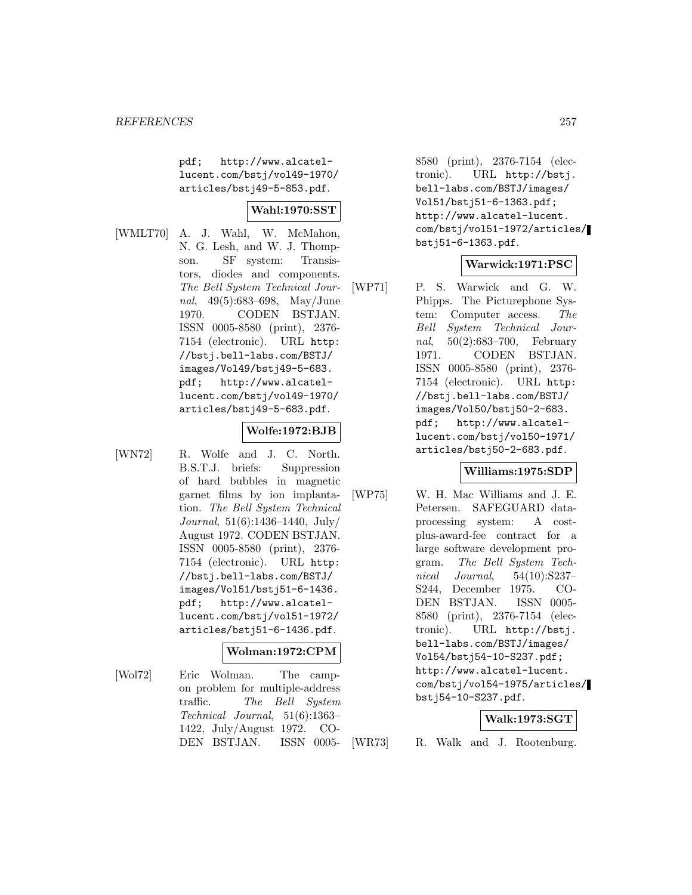pdf; http://www.alcatellucent.com/bstj/vol49-1970/ articles/bstj49-5-853.pdf.

## **Wahl:1970:SST**

[WMLT70] A. J. Wahl, W. McMahon, N. G. Lesh, and W. J. Thompson. SF system: Transistors, diodes and components. The Bell System Technical Journal, 49(5):683–698, May/June 1970. CODEN BSTJAN. ISSN 0005-8580 (print), 2376- 7154 (electronic). URL http: //bstj.bell-labs.com/BSTJ/ images/Vol49/bstj49-5-683. pdf; http://www.alcatellucent.com/bstj/vol49-1970/ articles/bstj49-5-683.pdf.

#### **Wolfe:1972:BJB**

- 
- [WN72] R. Wolfe and J. C. North. B.S.T.J. briefs: Suppression of hard bubbles in magnetic garnet films by ion implantation. The Bell System Technical Journal, 51(6):1436–1440, July/ August 1972. CODEN BSTJAN. ISSN 0005-8580 (print), 2376- 7154 (electronic). URL http: //bstj.bell-labs.com/BSTJ/ images/Vol51/bstj51-6-1436. pdf; http://www.alcatellucent.com/bstj/vol51-1972/ articles/bstj51-6-1436.pdf.

#### **Wolman:1972:CPM**

[Wol72] Eric Wolman. The campon problem for multiple-address traffic. The Bell System Technical Journal, 51(6):1363– 1422, July/August 1972. CO-DEN BSTJAN. ISSN 00058580 (print), 2376-7154 (electronic). URL http://bstj. bell-labs.com/BSTJ/images/ Vol51/bstj51-6-1363.pdf; http://www.alcatel-lucent. com/bstj/vol51-1972/articles/ bstj51-6-1363.pdf.

### **Warwick:1971:PSC**

[WP71] P. S. Warwick and G. W. Phipps. The Picturephone System: Computer access. The Bell System Technical Journal, 50(2):683–700, February 1971. CODEN BSTJAN. ISSN 0005-8580 (print), 2376- 7154 (electronic). URL http: //bstj.bell-labs.com/BSTJ/ images/Vol50/bstj50-2-683. pdf; http://www.alcatellucent.com/bstj/vol50-1971/ articles/bstj50-2-683.pdf.

#### **Williams:1975:SDP**

[WP75] W. H. Mac Williams and J. E. Petersen. SAFEGUARD dataprocessing system: A costplus-award-fee contract for a large software development program. The Bell System Technical Journal, 54(10):S237– S244, December 1975. CO-DEN BSTJAN. ISSN 0005- 8580 (print), 2376-7154 (electronic). URL http://bstj. bell-labs.com/BSTJ/images/ Vol54/bstj54-10-S237.pdf; http://www.alcatel-lucent. com/bstj/vol54-1975/articles/ bstj54-10-S237.pdf.

#### **Walk:1973:SGT**

[WR73] R. Walk and J. Rootenburg.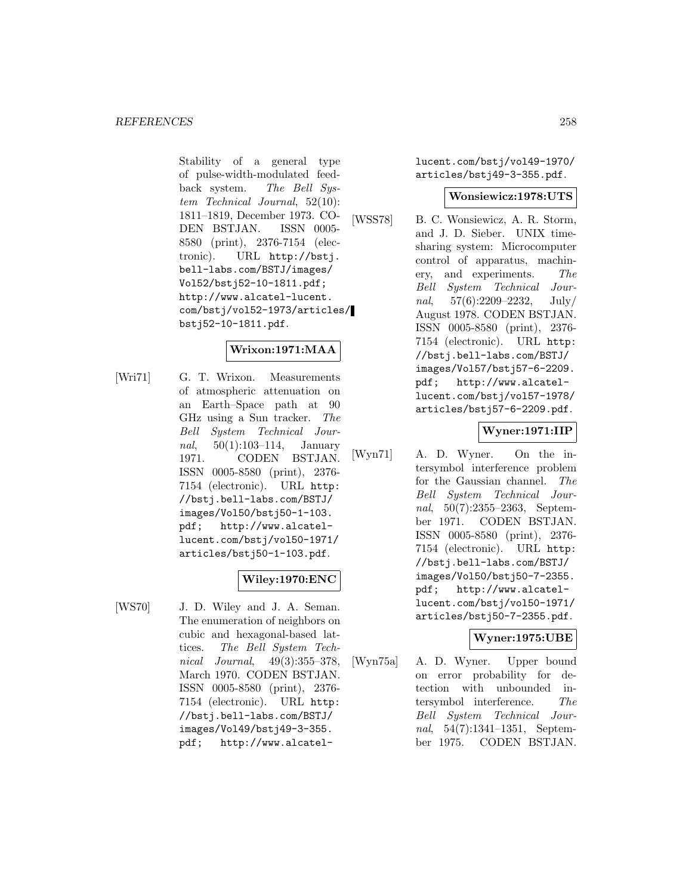Stability of a general type of pulse-width-modulated feedback system. The Bell System Technical Journal, 52(10): 1811–1819, December 1973. CO-DEN BSTJAN. ISSN 0005- 8580 (print), 2376-7154 (electronic). URL http://bstj. bell-labs.com/BSTJ/images/ Vol52/bstj52-10-1811.pdf; http://www.alcatel-lucent. com/bstj/vol52-1973/articles/ bstj52-10-1811.pdf.

### **Wrixon:1971:MAA**

[Wri71] G. T. Wrixon. Measurements of atmospheric attenuation on an Earth–Space path at 90 GHz using a Sun tracker. The Bell System Technical Jour*nal*,  $50(1):103-114$ , January 1971. CODEN BSTJAN. ISSN 0005-8580 (print), 2376- 7154 (electronic). URL http: //bstj.bell-labs.com/BSTJ/ images/Vol50/bstj50-1-103. pdf; http://www.alcatellucent.com/bstj/vol50-1971/ articles/bstj50-1-103.pdf.

## **Wiley:1970:ENC**

[WS70] J. D. Wiley and J. A. Seman. The enumeration of neighbors on cubic and hexagonal-based lattices. The Bell System Technical Journal, 49(3):355–378, March 1970. CODEN BSTJAN. ISSN 0005-8580 (print), 2376- 7154 (electronic). URL http: //bstj.bell-labs.com/BSTJ/ images/Vol49/bstj49-3-355. pdf; http://www.alcatellucent.com/bstj/vol49-1970/ articles/bstj49-3-355.pdf.

#### **Wonsiewicz:1978:UTS**

[WSS78] B. C. Wonsiewicz, A. R. Storm, and J. D. Sieber. UNIX timesharing system: Microcomputer control of apparatus, machinery, and experiments. The Bell System Technical Journal,  $57(6):2209-2232$ ,  $\text{July}/$ August 1978. CODEN BSTJAN. ISSN 0005-8580 (print), 2376- 7154 (electronic). URL http: //bstj.bell-labs.com/BSTJ/ images/Vol57/bstj57-6-2209. pdf; http://www.alcatellucent.com/bstj/vol57-1978/ articles/bstj57-6-2209.pdf.

### **Wyner:1971:IIP**

[Wyn71] A. D. Wyner. On the intersymbol interference problem for the Gaussian channel. The Bell System Technical Journal, 50(7):2355-2363, September 1971. CODEN BSTJAN. ISSN 0005-8580 (print), 2376- 7154 (electronic). URL http: //bstj.bell-labs.com/BSTJ/ images/Vol50/bstj50-7-2355. pdf; http://www.alcatellucent.com/bstj/vol50-1971/ articles/bstj50-7-2355.pdf.

## **Wyner:1975:UBE**

[Wyn75a] A. D. Wyner. Upper bound on error probability for detection with unbounded intersymbol interference. The Bell System Technical Journal, 54(7):1341–1351, September 1975. CODEN BSTJAN.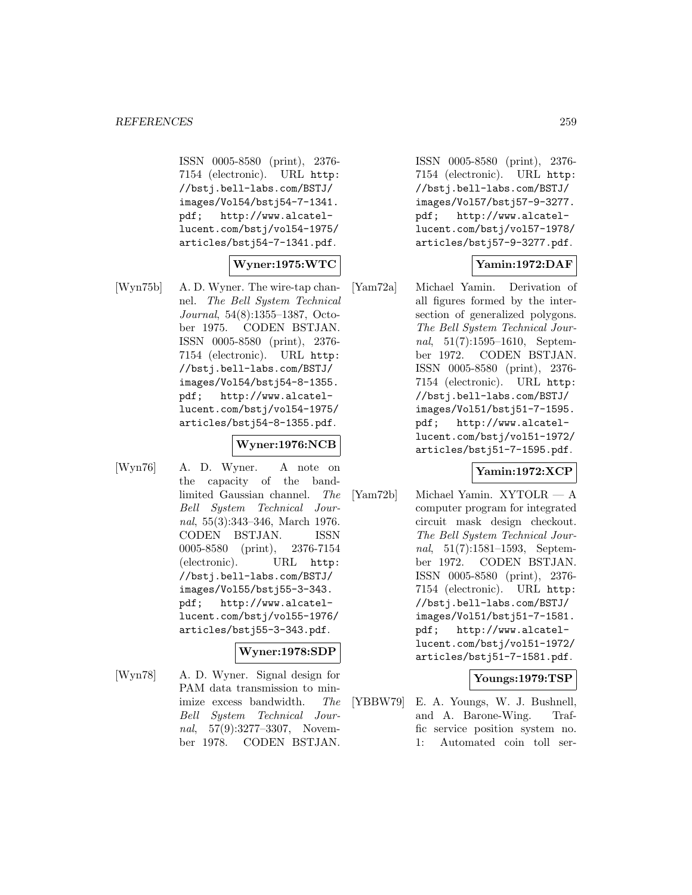ISSN 0005-8580 (print), 2376- 7154 (electronic). URL http: //bstj.bell-labs.com/BSTJ/ images/Vol54/bstj54-7-1341. pdf; http://www.alcatellucent.com/bstj/vol54-1975/ articles/bstj54-7-1341.pdf.

### **Wyner:1975:WTC**

[Wyn75b] A. D. Wyner. The wire-tap channel. The Bell System Technical Journal, 54(8):1355–1387, October 1975. CODEN BSTJAN. ISSN 0005-8580 (print), 2376- 7154 (electronic). URL http: //bstj.bell-labs.com/BSTJ/ images/Vol54/bstj54-8-1355. pdf; http://www.alcatellucent.com/bstj/vol54-1975/ articles/bstj54-8-1355.pdf.

# **Wyner:1976:NCB**

[Wyn76] A. D. Wyner. A note on the capacity of the bandlimited Gaussian channel. The Bell System Technical Journal, 55(3):343–346, March 1976. CODEN BSTJAN. ISSN 0005-8580 (print), 2376-7154 (electronic). URL http: //bstj.bell-labs.com/BSTJ/ images/Vol55/bstj55-3-343. pdf; http://www.alcatellucent.com/bstj/vol55-1976/ articles/bstj55-3-343.pdf.

## **Wyner:1978:SDP**

[Wyn78] A. D. Wyner. Signal design for PAM data transmission to minimize excess bandwidth. The Bell System Technical Journal, 57(9):3277–3307, November 1978. CODEN BSTJAN.

ISSN 0005-8580 (print), 2376- 7154 (electronic). URL http: //bstj.bell-labs.com/BSTJ/ images/Vol57/bstj57-9-3277. pdf; http://www.alcatellucent.com/bstj/vol57-1978/ articles/bstj57-9-3277.pdf.

# **Yamin:1972:DAF**

[Yam72a] Michael Yamin. Derivation of all figures formed by the intersection of generalized polygons. The Bell System Technical Journal, 51(7):1595–1610, September 1972. CODEN BSTJAN. ISSN 0005-8580 (print), 2376- 7154 (electronic). URL http: //bstj.bell-labs.com/BSTJ/ images/Vol51/bstj51-7-1595. pdf; http://www.alcatellucent.com/bstj/vol51-1972/ articles/bstj51-7-1595.pdf.

#### **Yamin:1972:XCP**

[Yam72b] Michael Yamin. XYTOLR — A computer program for integrated circuit mask design checkout. The Bell System Technical Journal, 51(7):1581–1593, September 1972. CODEN BSTJAN. ISSN 0005-8580 (print), 2376- 7154 (electronic). URL http: //bstj.bell-labs.com/BSTJ/ images/Vol51/bstj51-7-1581. pdf; http://www.alcatellucent.com/bstj/vol51-1972/ articles/bstj51-7-1581.pdf.

#### **Youngs:1979:TSP**

[YBBW79] E. A. Youngs, W. J. Bushnell, and A. Barone-Wing. Traffic service position system no. 1: Automated coin toll ser-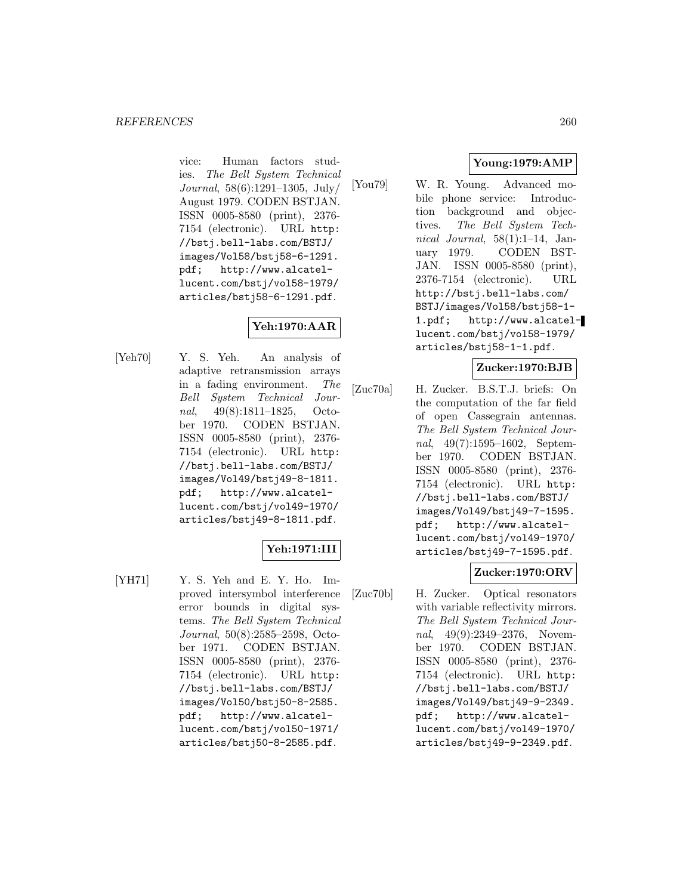vice: Human factors studies. The Bell System Technical Journal, 58(6):1291–1305, July/ August 1979. CODEN BSTJAN. ISSN 0005-8580 (print), 2376- 7154 (electronic). URL http: //bstj.bell-labs.com/BSTJ/ images/Vol58/bstj58-6-1291. pdf; http://www.alcatellucent.com/bstj/vol58-1979/ articles/bstj58-6-1291.pdf.

# **Yeh:1970:AAR**

[Yeh70] Y. S. Yeh. An analysis of adaptive retransmission arrays in a fading environment. The Bell System Technical Journal, 49(8):1811–1825, October 1970. CODEN BSTJAN. ISSN 0005-8580 (print), 2376- 7154 (electronic). URL http: //bstj.bell-labs.com/BSTJ/ images/Vol49/bstj49-8-1811. pdf; http://www.alcatellucent.com/bstj/vol49-1970/ articles/bstj49-8-1811.pdf.

# **Yeh:1971:III**

[YH71] Y. S. Yeh and E. Y. Ho. Improved intersymbol interference error bounds in digital systems. The Bell System Technical Journal, 50(8):2585–2598, October 1971. CODEN BSTJAN. ISSN 0005-8580 (print), 2376- 7154 (electronic). URL http: //bstj.bell-labs.com/BSTJ/ images/Vol50/bstj50-8-2585. pdf; http://www.alcatellucent.com/bstj/vol50-1971/ articles/bstj50-8-2585.pdf.

# **Young:1979:AMP**

[You79] W. R. Young. Advanced mobile phone service: Introduction background and objectives. The Bell System Technical Journal,  $58(1):1-14$ , January 1979. CODEN BST-JAN. ISSN 0005-8580 (print), 2376-7154 (electronic). URL http://bstj.bell-labs.com/ BSTJ/images/Vol58/bstj58-1- 1.pdf; http://www.alcatellucent.com/bstj/vol58-1979/ articles/bstj58-1-1.pdf.

## **Zucker:1970:BJB**

[Zuc70a] H. Zucker. B.S.T.J. briefs: On the computation of the far field of open Cassegrain antennas. The Bell System Technical Journal, 49(7):1595–1602, September 1970. CODEN BSTJAN. ISSN 0005-8580 (print), 2376- 7154 (electronic). URL http: //bstj.bell-labs.com/BSTJ/ images/Vol49/bstj49-7-1595. pdf; http://www.alcatellucent.com/bstj/vol49-1970/ articles/bstj49-7-1595.pdf.

# **Zucker:1970:ORV**

[Zuc70b] H. Zucker. Optical resonators with variable reflectivity mirrors. The Bell System Technical Journal, 49(9):2349–2376, November 1970. CODEN BSTJAN. ISSN 0005-8580 (print), 2376- 7154 (electronic). URL http: //bstj.bell-labs.com/BSTJ/ images/Vol49/bstj49-9-2349. pdf; http://www.alcatellucent.com/bstj/vol49-1970/ articles/bstj49-9-2349.pdf.